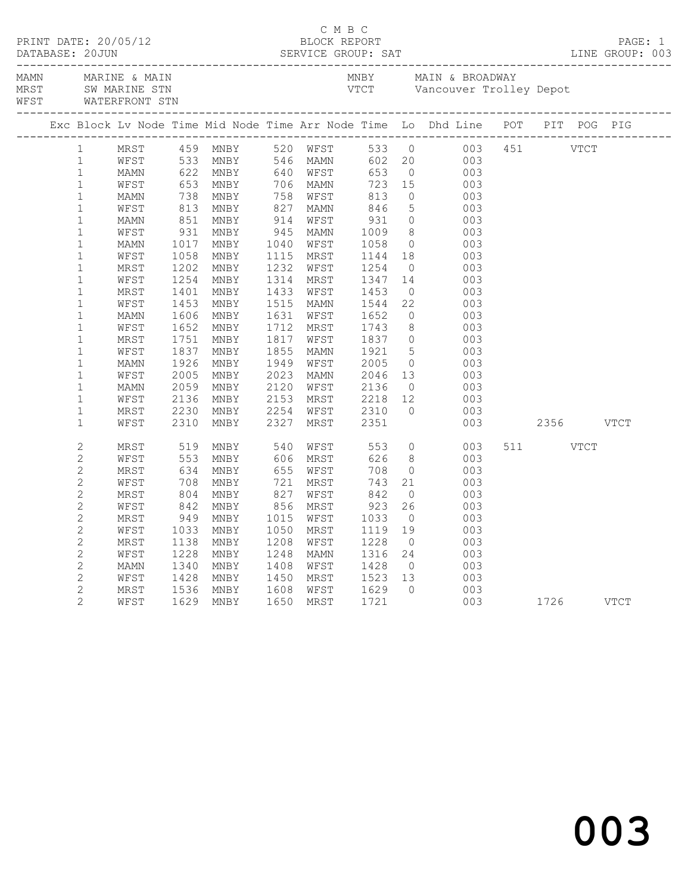|                       |                        | ------------------------------ |            |                        |  |                                                                                                                   |                |                                                                                              |          |  |  |
|-----------------------|------------------------|--------------------------------|------------|------------------------|--|-------------------------------------------------------------------------------------------------------------------|----------------|----------------------------------------------------------------------------------------------|----------|--|--|
|                       |                        |                                |            |                        |  |                                                                                                                   |                | Exc Block Lv Node Time Mid Node Time Arr Node Time Lo Dhd Line POT PIT POG PIG               |          |  |  |
|                       | $1 \quad \blacksquare$ |                                |            |                        |  |                                                                                                                   |                |                                                                                              |          |  |  |
|                       | 1                      |                                |            |                        |  |                                                                                                                   |                |                                                                                              |          |  |  |
| $\mathbf{1}$          |                        |                                |            |                        |  |                                                                                                                   |                |                                                                                              |          |  |  |
| $\mathbf{1}$          |                        |                                |            |                        |  |                                                                                                                   |                |                                                                                              |          |  |  |
| $1\,$                 |                        |                                |            |                        |  |                                                                                                                   |                |                                                                                              |          |  |  |
| $1\,$                 |                        |                                |            |                        |  |                                                                                                                   |                |                                                                                              |          |  |  |
| $\mathbf 1$           |                        |                                |            |                        |  |                                                                                                                   |                |                                                                                              |          |  |  |
| $\mathbf 1$           |                        |                                |            |                        |  |                                                                                                                   |                |                                                                                              |          |  |  |
| $\mathbf 1$           |                        |                                |            |                        |  |                                                                                                                   |                |                                                                                              |          |  |  |
| $\mathbf 1$           |                        |                                |            |                        |  |                                                                                                                   |                |                                                                                              |          |  |  |
| $\mathbf 1$           |                        |                                |            |                        |  |                                                                                                                   |                |                                                                                              |          |  |  |
| $\mathbf 1$           |                        |                                |            |                        |  |                                                                                                                   |                |                                                                                              |          |  |  |
| $\mathbf 1$           |                        |                                |            |                        |  |                                                                                                                   |                |                                                                                              |          |  |  |
| $\mathbf 1$           |                        |                                |            |                        |  |                                                                                                                   |                |                                                                                              |          |  |  |
| $\mathbf{1}$          |                        |                                |            |                        |  |                                                                                                                   |                |                                                                                              |          |  |  |
| $\mathbf 1$           |                        |                                |            |                        |  |                                                                                                                   |                |                                                                                              |          |  |  |
| $\mathbf 1$           |                        |                                |            |                        |  |                                                                                                                   |                |                                                                                              |          |  |  |
| $\mathbf{1}$          |                        |                                |            |                        |  |                                                                                                                   |                |                                                                                              |          |  |  |
| $\mathbf{1}$          |                        |                                |            |                        |  |                                                                                                                   |                |                                                                                              |          |  |  |
| $\mathbf{1}$          |                        |                                |            |                        |  |                                                                                                                   |                |                                                                                              |          |  |  |
| $\mathbf{1}$          |                        |                                |            |                        |  |                                                                                                                   |                |                                                                                              |          |  |  |
| $\mathbf 1$           |                        |                                |            |                        |  |                                                                                                                   |                |                                                                                              |          |  |  |
| $\mathbf 1$           |                        | MRST                           | 2230       |                        |  |                                                                                                                   |                |                                                                                              |          |  |  |
| $\mathbf{1}$          |                        | WFST                           |            | 2230 MNBY<br>2310 MNBY |  |                                                                                                                   |                | $\begin{matrix} 0 && 0 & 0 \\ 0 & 0 & 0 \\ 0 & 0 & 3 \end{matrix}$<br>003 2356 VTCT          |          |  |  |
| $\sqrt{2}$            |                        | MRST                           | 519        | MNBY 540 WFST 553 0    |  |                                                                                                                   |                | 003                                                                                          | 511 VTCT |  |  |
| $\sqrt{2}$            |                        | WFST                           | 553<br>634 | MNBY                   |  |                                                                                                                   |                | $\begin{array}{ccc} 8 & \hspace{1.5cm} & 003 \\ 0 & \hspace{1.5cm} & 003 \end{array}$<br>003 |          |  |  |
| $\sqrt{2}$            |                        | MRST                           |            | MNBY                   |  | 348 MRST<br>655 MFST<br>721 MRST<br>721 MRST<br>827 MFST<br>842<br>856 MRST<br>923<br>1015 MPST<br>11105<br>11105 |                |                                                                                              |          |  |  |
| $\sqrt{2}$            |                        | WFST                           | 708<br>804 | MNBY                   |  |                                                                                                                   |                | $\begin{array}{c} 21 \\ 0 \end{array}$<br>003                                                |          |  |  |
| $\sqrt{2}$            |                        | MRST                           |            | MNBY                   |  |                                                                                                                   |                | 003                                                                                          |          |  |  |
| $\sqrt{2}$            |                        | WFST                           |            | 842 MNBY<br>949 MNBY   |  |                                                                                                                   | 26             |                                                                                              |          |  |  |
| $\sqrt{2}$            |                        | MRST                           |            |                        |  |                                                                                                                   | $\overline{0}$ | $003$<br>$003$                                                                               |          |  |  |
| $\overline{c}$        |                        | WFST                           | 1033       | MNBY                   |  |                                                                                                                   |                |                                                                                              |          |  |  |
| $\sqrt{2}$            |                        | MRST                           |            | 1138 MNBY              |  | 1050 MRST 1119 19<br>1208 WFST 1228 0<br>1248 MAMN 1316 24<br>1408 WFST 1428 0                                    |                | $003$<br>$003$<br>003                                                                        |          |  |  |
| $\mathbf{2}$          |                        | WFST                           | 1228       | MNBY                   |  |                                                                                                                   |                |                                                                                              |          |  |  |
| $\sqrt{2}$            |                        | MAMN                           | 1340       | MNBY                   |  |                                                                                                                   |                | $24$ 003<br>0 003                                                                            |          |  |  |
| $\mathbf{2}$          |                        | WFST                           | 1428       | MNBY                   |  |                                                                                                                   |                | 003                                                                                          |          |  |  |
| $\overline{c}$        |                        | MRST                           |            | 1536 MNBY              |  | 1450 MRST 1523 13<br>1608 WFST 1629 0                                                                             |                | 003                                                                                          |          |  |  |
| $\mathbf{2}^{\prime}$ |                        | WFST                           |            | 1629 MNBY              |  | 1650 MRST 1721                                                                                                    |                | 003 1726 VTCT                                                                                |          |  |  |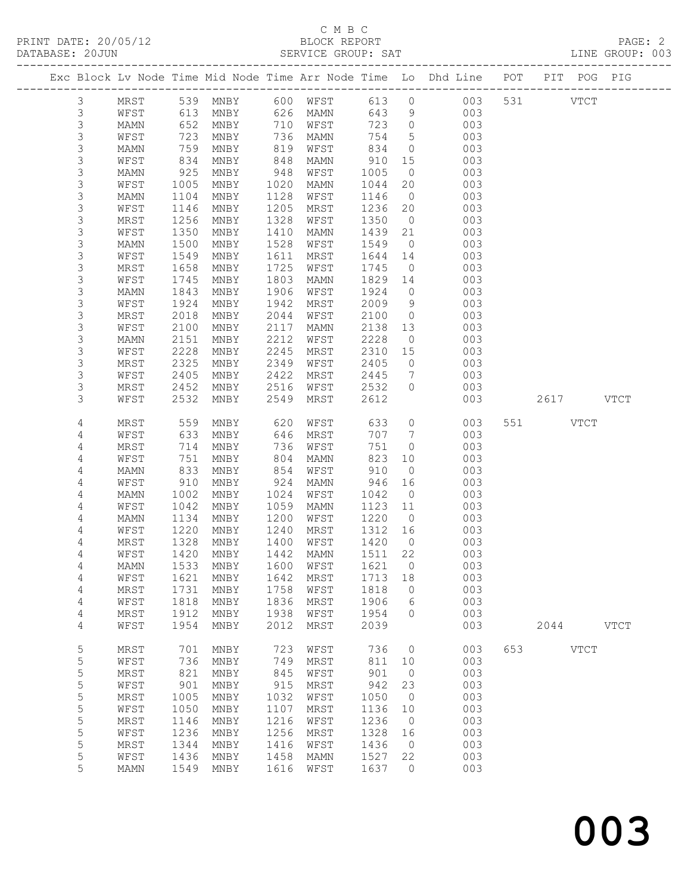### C M B C<br>BLOCK REPORT SERVICE GROUP: SAT

|                 |                 |              |              |              |              |              |                      | Exc Block Lv Node Time Mid Node Time Arr Node Time Lo Dhd Line POT |     | PIT POG PIG |               |             |
|-----------------|-----------------|--------------|--------------|--------------|--------------|--------------|----------------------|--------------------------------------------------------------------|-----|-------------|---------------|-------------|
|                 |                 |              |              |              |              |              |                      |                                                                    |     |             |               |             |
| $\mathfrak{Z}$  | MRST            | 539          | MNBY         | 600          | WFST         | 613          | $\circ$              | 003                                                                |     | 531         | <b>VTCT</b>   |             |
| $\mathfrak{Z}$  | WFST            | 613          | MNBY         | 626          | MAMN         | 643          | 9                    | 003                                                                |     |             |               |             |
| $\mathsf 3$     | MAMN            | 652          | MNBY         | 710          | WFST         | 723          | $\circ$              | 003                                                                |     |             |               |             |
| 3               | WFST            | 723          | MNBY         | 736          | MAMN         | 754          | $5\phantom{.0}$      | 003                                                                |     |             |               |             |
| 3               | MAMN            | 759          | MNBY         | 819          | WFST         | 834          | $\circ$              | 003                                                                |     |             |               |             |
| 3               | WFST            | 834          | MNBY         | 848          | MAMN         | 910          | 15                   | 003                                                                |     |             |               |             |
| 3               | MAMN            | 925          | MNBY         | 948          | WFST         | 1005         | $\overline{0}$       | 003                                                                |     |             |               |             |
| 3               | WFST            | 1005         | MNBY         | 1020         | MAMN         | 1044         | 20                   | 003                                                                |     |             |               |             |
| 3               | MAMN            | 1104         | MNBY         | 1128         | WFST         | 1146         | $\overline{0}$       | 003                                                                |     |             |               |             |
| 3               | WFST            | 1146<br>1256 | MNBY         | 1205<br>1328 | MRST         | 1236         | 20                   | 003<br>003                                                         |     |             |               |             |
| 3<br>3          | MRST<br>WFST    | 1350         | MNBY<br>MNBY | 1410         | WFST<br>MAMN | 1350<br>1439 | $\overline{0}$<br>21 | 003                                                                |     |             |               |             |
| 3               | MAMN            | 1500         | MNBY         | 1528         | WFST         | 1549         | $\overline{0}$       | 003                                                                |     |             |               |             |
| 3               | WFST            | 1549         | MNBY         | 1611         | MRST         | 1644         | 14                   | 003                                                                |     |             |               |             |
| 3               | MRST            | 1658         | MNBY         | 1725         | WFST         | 1745         | $\overline{0}$       | 003                                                                |     |             |               |             |
| 3               | WFST            | 1745         | MNBY         | 1803         | MAMN         | 1829         | 14                   | 003                                                                |     |             |               |             |
| 3               | MAMN            | 1843         | MNBY         | 1906         | WFST         | 1924         | $\circ$              | 003                                                                |     |             |               |             |
| 3               | WFST            | 1924         | MNBY         | 1942         | MRST         | 2009         | 9                    | 003                                                                |     |             |               |             |
| 3               | MRST            | 2018         | MNBY         | 2044         | WFST         | 2100         | $\circ$              | 003                                                                |     |             |               |             |
| 3               | WFST            | 2100         | MNBY         | 2117         | MAMN         | 2138         | 13                   | 003                                                                |     |             |               |             |
| 3               | MAMN            | 2151         | MNBY         | 2212         | WFST         | 2228         | $\overline{0}$       | 003                                                                |     |             |               |             |
| 3               | WFST            | 2228         | MNBY         | 2245         | MRST         | 2310         | 15                   | 003                                                                |     |             |               |             |
| 3               | MRST            | 2325         | MNBY         | 2349         | WFST         | 2405         | 0                    | 003                                                                |     |             |               |             |
| 3               | WFST            | 2405         | MNBY         | 2422         | MRST         | 2445         | $7\phantom{.0}$      | 003                                                                |     |             |               |             |
| 3               | MRST            | 2452         | MNBY         | 2516         | WFST         | 2532         | $\circ$              | 003                                                                |     |             |               |             |
| 3               | WFST            | 2532         | MNBY         | 2549         | MRST         | 2612         |                      | 003                                                                |     | 2617        |               | <b>VTCT</b> |
|                 |                 |              |              |              |              |              |                      |                                                                    |     |             |               |             |
| 4               | MRST            | 559          | MNBY         | 620          | WFST         | 633          | $\circ$              | 003                                                                | 551 |             | VTCT          |             |
| 4               | WFST            | 633          | MNBY         | 646          | MRST         | 707          | $7\phantom{.0}$      | 003                                                                |     |             |               |             |
| 4               | MRST            | 714          | MNBY         | 736          | WFST         | 751          | 0                    | 003                                                                |     |             |               |             |
| 4               | WFST            | 751          | MNBY         | 804          | MAMN         | 823          | 10                   | 003                                                                |     |             |               |             |
| 4               | MAMN            | 833          | MNBY         | 854          | WFST         | 910          | $\circ$              | 003                                                                |     |             |               |             |
| 4               | WFST            | 910          | MNBY         | 924          | MAMN         | 946          | 16                   | 003                                                                |     |             |               |             |
| $\overline{4}$  | MAMN            | 1002         | MNBY         | 1024         | WFST         | 1042         | $\overline{0}$       | 003                                                                |     |             |               |             |
| 4               | WFST            | 1042         | MNBY         | 1059         | MAMN         | 1123         | 11                   | 003                                                                |     |             |               |             |
| $\sqrt{4}$      | MAMN            | 1134         | MNBY         | 1200         | WFST         | 1220         | $\overline{0}$       | 003                                                                |     |             |               |             |
| 4               | WFST            | 1220         | MNBY         | 1240         | MRST         | 1312         | 16                   | 003                                                                |     |             |               |             |
| 4               | MRST            | 1328         | MNBY         | 1400         | WFST         | 1420         | $\overline{0}$       | 003                                                                |     |             |               |             |
| 4               | WFST            | 1420         | MNBY         | 1442         | MAMN         | 1511         | 22                   | 003                                                                |     |             |               |             |
| 4               | $\texttt{MAMN}$ |              | 1533 MNBY    |              | 1600 WFST    | 1621 0       |                      | 003                                                                |     |             |               |             |
| 4               | WFST            | 1621         | MNBY         | 1642         | MRST         | 1713         | 18                   | 003<br>003                                                         |     |             |               |             |
| $\sqrt{4}$      | MRST            | 1731         | MNBY         | 1758<br>1836 | WFST         | 1818<br>1906 | 0<br>6               | 003                                                                |     |             |               |             |
| 4<br>$\sqrt{4}$ | WFST<br>MRST    | 1818<br>1912 | MNBY<br>MNBY | 1938         | MRST<br>WFST | 1954         | $\circ$              | 003                                                                |     |             |               |             |
| $\overline{4}$  | WFST            | 1954         | MNBY         | 2012         | MRST         | 2039         |                      | 003                                                                |     | 2044        |               | <b>VTCT</b> |
|                 |                 |              |              |              |              |              |                      |                                                                    |     |             |               |             |
| 5               | MRST            | 701          | MNBY         | 723          | WFST         | 736          | 0                    | 003                                                                | 653 |             | $_{\rm VTCT}$ |             |
| 5               | WFST            | 736          | MNBY         | 749          | MRST         | 811          | 10                   | 003                                                                |     |             |               |             |
| 5               | MRST            | 821          | MNBY         | 845          | WFST         | 901          | $\circ$              | 003                                                                |     |             |               |             |
| 5               | WFST            | 901          | MNBY         | 915          | MRST         | 942          | 23                   | 003                                                                |     |             |               |             |
| 5               | MRST            | 1005         | MNBY         | 1032         | WFST         | 1050         | 0                    | 003                                                                |     |             |               |             |
| 5               | WFST            | 1050         | MNBY         | 1107         | MRST         | 1136         | 10                   | 003                                                                |     |             |               |             |
| $\mathsf S$     | <b>MRST</b>     | 1146         | MNBY         | 1216         | WFST         | 1236         | 0                    | 003                                                                |     |             |               |             |
| 5               | WFST            | 1236         | MNBY         | 1256         | MRST         | 1328         | 16                   | 003                                                                |     |             |               |             |
| 5               | <b>MRST</b>     | 1344         | MNBY         | 1416         | WFST         | 1436         | 0                    | 003                                                                |     |             |               |             |
| 5               | WFST            | 1436         | MNBY         | 1458         | <b>MAMN</b>  | 1527         | 22                   | 003                                                                |     |             |               |             |
| 5               | MAMN            | 1549         | MNBY         | 1616         | WFST         | 1637         | $\circ$              | 003                                                                |     |             |               |             |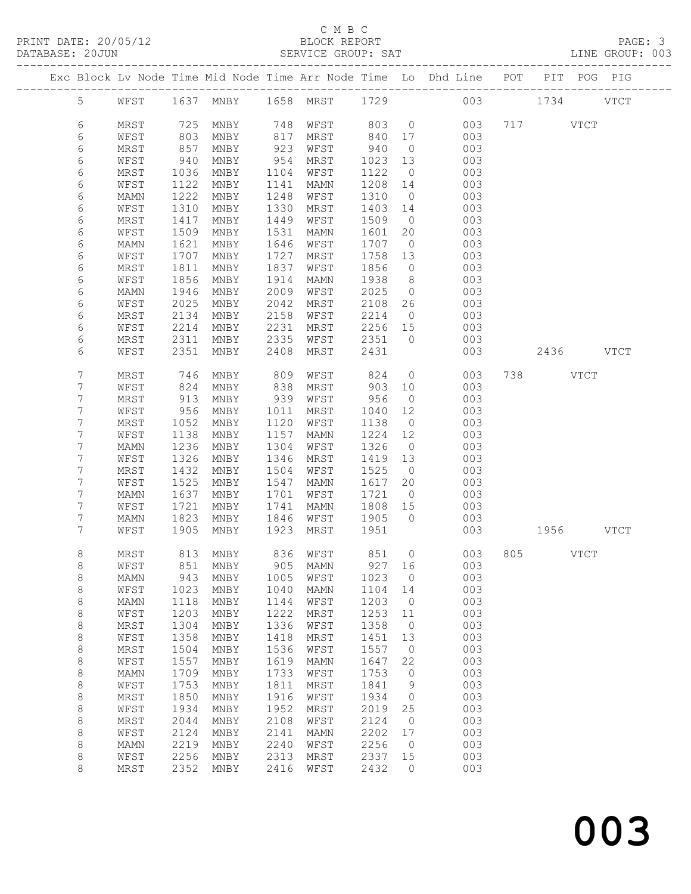# C M B C<br>BLOCK REPORT

| PRINT DATE: 20/05/12<br>DATABASE: 20JUN |                    |              |              |                                        |              | C M B C<br>BLOCK REPORT |              |               |                                                                                                     |     |           |             | PAGE: 3<br>5/12 FAGE: 5<br>SERVICE GROUP: SAT LINE GROUP: 003 |
|-----------------------------------------|--------------------|--------------|--------------|----------------------------------------|--------------|-------------------------|--------------|---------------|-----------------------------------------------------------------------------------------------------|-----|-----------|-------------|---------------------------------------------------------------|
|                                         |                    |              |              |                                        |              |                         |              |               | Exc Block Lv Node Time Mid Node Time Arr Node Time Lo Dhd Line POT PIT POG PIG                      |     |           |             |                                                               |
|                                         |                    |              |              |                                        |              |                         |              |               | 5 WFST 1637 MNBY 1658 MRST 1729 003 1734 VTCT                                                       |     |           |             |                                                               |
|                                         | 6                  | MRST         |              |                                        |              |                         |              |               | 725 MNBY 748 WFST 803 0 003 717 VTCT<br>803 MNBY 817 MRST 840 17 003<br>857 MNBY 923 WFST 940 0 003 |     |           |             |                                                               |
|                                         | 6                  | WFST         |              |                                        |              |                         |              |               |                                                                                                     |     |           |             |                                                               |
|                                         | 6                  | MRST         |              |                                        |              |                         |              |               |                                                                                                     |     |           |             |                                                               |
|                                         | 6                  | WFST         | 940          | MNBY                                   |              |                         |              |               | 954 MRST 1023 13 003                                                                                |     |           |             |                                                               |
|                                         | 6                  | MRST         | 1036         | MNBY                                   |              | 1104 WFST               |              |               |                                                                                                     |     |           |             |                                                               |
|                                         | 6                  | WFST         |              |                                        |              | 1141 MAMN               |              |               |                                                                                                     |     |           |             |                                                               |
|                                         | 6                  | MAMN         |              | 1122 MNBY<br>1222 MNBY                 | 1248         | WFST                    |              |               | $\begin{array}{cccc} 1122 & 0 & 003 \\ 1208 & 14 & 003 \\ 1310 & 0 & 003 \end{array}$               |     |           |             |                                                               |
|                                         | 6                  | WFST         | 1310         | MNBY                                   | 1330         | MRST                    |              |               | 1403 14 003                                                                                         |     |           |             |                                                               |
|                                         | 6                  | MRST         | 1417         | MNBY                                   | 1449         | WFST                    |              |               |                                                                                                     |     |           |             |                                                               |
|                                         | 6                  | WFST         | 1509         | MNBY                                   | 1531         | MAMN                    |              |               | $\begin{array}{cccc} 1509 & 0 & 003 \\ 1601 & 20 & 003 \\ 1707 & 0 & 003 \end{array}$               |     |           |             |                                                               |
|                                         | 6                  | MAMN         | 1621         | MNBY                                   | 1646         | WFST                    |              |               |                                                                                                     |     |           |             |                                                               |
|                                         | 6                  | WFST         | 1707         | MNBY                                   | 1727         | MRST                    |              |               | 1758 13 003                                                                                         |     |           |             |                                                               |
|                                         | $\epsilon$         | MRST         | 1811         | MNBY                                   | 1837         | WFST                    |              |               |                                                                                                     |     |           |             |                                                               |
|                                         | 6                  | WFST         | 1856         | MNBY                                   | 1914         | MAMN                    |              |               | $\begin{array}{cccc} 1856 & 0 & 003 \\ 1938 & 8 & 003 \\ 2025 & 0 & 003 \end{array}$                |     |           |             |                                                               |
|                                         | 6                  | MAMN         | 1946         | MNBY                                   | 2009         | WFST                    |              |               |                                                                                                     |     |           |             |                                                               |
|                                         | 6                  | WFST         | 2025         | MNBY                                   | 2042         | MRST                    |              |               | 2108 26 003                                                                                         |     |           |             |                                                               |
|                                         | 6                  | MRST         | 2134         | MNBY                                   | 2158         | WFST                    |              |               | 2214 0 003                                                                                          |     |           |             |                                                               |
|                                         | 6                  | WFST         | 2214         | MNBY                                   | 2231         |                         |              |               |                                                                                                     |     |           |             |                                                               |
|                                         | 6                  | MRST         |              | 2311 MNBY                              | 2335         |                         |              |               | MRST 2256 15 003<br>WFST 2351 0 003                                                                 |     |           |             |                                                               |
|                                         | 6                  | WFST         |              | 2351 MNBY                              | 2408         | MRST 2431               |              |               | 003                                                                                                 |     | 2436 VTCT |             |                                                               |
|                                         | 7                  | MRST         |              | MNBY 809<br>MNBY 838                   |              |                         |              |               | WFST 824 0 003 738 VTCT<br>MRST 903 10 003                                                          |     |           |             |                                                               |
|                                         | 7                  | WFST         |              | 746 MNBY<br>824 MNBY                   |              |                         |              |               |                                                                                                     |     |           |             |                                                               |
|                                         | 7                  | MRST         | 913          | MNBY                                   |              | 939 WFST                |              |               | 956 0 003                                                                                           |     |           |             |                                                               |
|                                         | 7                  | WFST         | 956          | MNBY                                   | 1011         | MRST                    |              |               | 1040 12 003                                                                                         |     |           |             |                                                               |
|                                         | 7                  | MRST         | 1052         | MNBY                                   | 1120         | WFST                    |              |               | $\begin{array}{cccc} 1138 & 0 & 003 \\ 1224 & 12 & 003 \\ 1326 & 0 & 003 \end{array}$               |     |           |             |                                                               |
|                                         | 7                  | WFST         | 1138         | MNBY                                   | 1157         | MAMN                    |              |               |                                                                                                     |     |           |             |                                                               |
|                                         | 7                  | MAMN         | 1236         | MNBY                                   | 1304         | WFST                    |              |               |                                                                                                     |     |           |             |                                                               |
|                                         | 7                  | WFST         | 1326         | MNBY                                   | 1346         | MRST                    |              |               | 1419 13 003                                                                                         |     |           |             |                                                               |
|                                         | 7                  | MRST         | 1432         | MNBY                                   | 1504         | WFST                    |              |               | 1525 0 003<br>1617 20 003<br>1721 0 003                                                             |     |           |             |                                                               |
|                                         | 7                  | WFST         | 1525         | MNBY                                   | 1547         | MAMN                    |              |               |                                                                                                     |     |           |             |                                                               |
|                                         | 7                  | MAMN         | 1637         | MNBY                                   |              | 1701 WFST               |              |               |                                                                                                     |     |           |             |                                                               |
|                                         | 7                  | WFST         |              | 1721 MNBY                              |              | 1741 MAMN               | 1808 15      |               | 003                                                                                                 |     |           |             |                                                               |
|                                         | 7                  | <b>MAMN</b>  |              | 1823 MNBY                              |              | 1846 WFST               | 1905         |               | $0$ 003                                                                                             |     |           |             |                                                               |
|                                         | 7                  |              |              | WFST 1905 MNBY 1923 MRST 1951          |              |                         |              |               | 003                                                                                                 |     | 1956 VTCT |             |                                                               |
|                                         | 8                  | MRST         | 813          | MNBY                                   | 836          | WFST                    | 851          | $\circ$       | 003                                                                                                 | 805 |           | <b>VTCT</b> |                                                               |
|                                         | 8                  | WFST         | 851          | MNBY                                   | 905          | <b>MAMN</b>             | 927          | 16            | 003                                                                                                 |     |           |             |                                                               |
|                                         | $\,8\,$            | MAMN         | 943          | MNBY                                   | 1005         | WFST                    | 1023         | $\circ$       | 003                                                                                                 |     |           |             |                                                               |
|                                         | $\,8\,$            | WFST         | 1023         | MNBY                                   | 1040         | <b>MAMN</b>             | 1104         | 14            | 003                                                                                                 |     |           |             |                                                               |
|                                         | 8                  | <b>MAMN</b>  | 1118         | MNBY                                   | 1144         | WFST                    | 1203         | 0             | 003                                                                                                 |     |           |             |                                                               |
|                                         | $\,8\,$            | WFST         | 1203         | MNBY                                   | 1222         | MRST                    | 1253         | 11            | 003                                                                                                 |     |           |             |                                                               |
|                                         | $\,8\,$            | MRST         | 1304         | $\operatorname{\mathsf{MNBY}}$         | 1336         | WFST                    | 1358         | $\circ$       | 003                                                                                                 |     |           |             |                                                               |
|                                         | $\,8\,$            | WFST         | 1358         | MNBY                                   | 1418         | MRST                    | 1451         | 13            | 003                                                                                                 |     |           |             |                                                               |
|                                         | 8                  | MRST         | 1504         | MNBY                                   | 1536         | WFST                    | 1557         | $\circ$       | 003                                                                                                 |     |           |             |                                                               |
|                                         | 8                  | WFST         | 1557         | MNBY                                   | 1619         | MAMN                    | 1647         | 22            | 003                                                                                                 |     |           |             |                                                               |
|                                         | $\,8\,$            | MAMN         | 1709         | MNBY                                   | 1733         | WFST                    | 1753         | $\circ$       | 003                                                                                                 |     |           |             |                                                               |
|                                         | $\,8\,$            | WFST         | 1753         | MNBY                                   | 1811         | MRST                    | 1841         | 9             | 003                                                                                                 |     |           |             |                                                               |
|                                         | $\,8\,$            | MRST         | 1850         | MNBY                                   | 1916         | WFST                    | 1934         | $\circ$       | 003                                                                                                 |     |           |             |                                                               |
|                                         | $\,8\,$<br>$\,8\,$ | WFST         | 1934<br>2044 | MNBY                                   | 1952<br>2108 | MRST                    | 2019<br>2124 | 25<br>$\circ$ | 003<br>003                                                                                          |     |           |             |                                                               |
|                                         | 8                  | MRST<br>WFST | 2124         | $\operatorname{\mathsf{MNBY}}$<br>MNBY | 2141         | WFST<br><b>MAMN</b>     | 2202         | 17            | 003                                                                                                 |     |           |             |                                                               |
|                                         | 8                  | MAMN         | 2219         | MNBY                                   | 2240         | WFST                    | 2256         | $\circ$       | 003                                                                                                 |     |           |             |                                                               |
|                                         |                    |              |              |                                        |              |                         |              |               |                                                                                                     |     |           |             |                                                               |

 8 WFST 2256 MNBY 2313 MRST 2337 15 003 8 MRST 2352 MNBY 2416 WFST 2432 0 003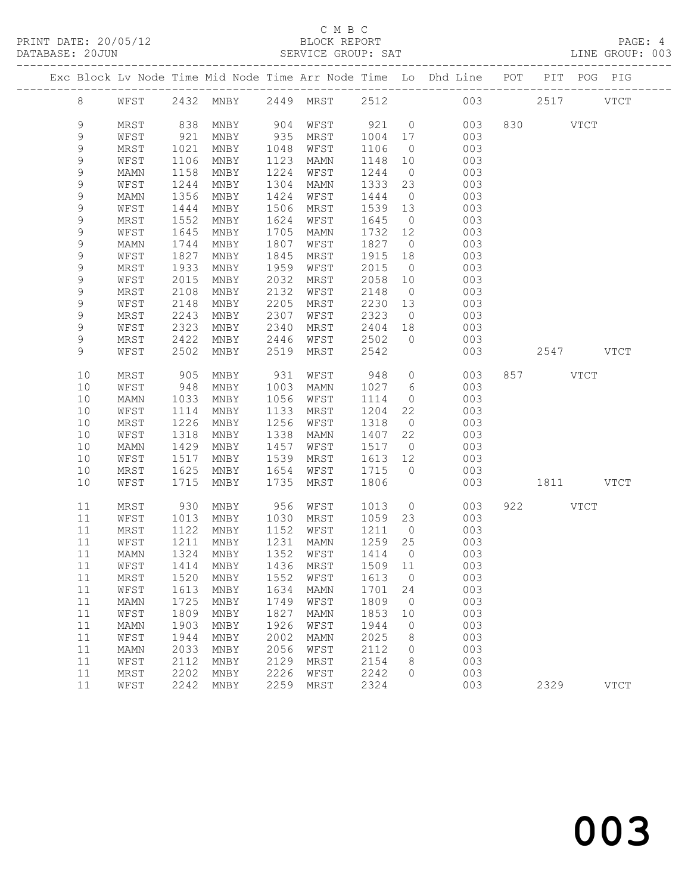# C M B C

|  | DATABASE: 20JUN |              |              |                                |              | SERVICE GROUP: SAT  |              |                | LINE GROUP: 003                                                                |           |          |           |             |  |
|--|-----------------|--------------|--------------|--------------------------------|--------------|---------------------|--------------|----------------|--------------------------------------------------------------------------------|-----------|----------|-----------|-------------|--|
|  |                 |              |              |                                |              |                     |              |                | Exc Block Lv Node Time Mid Node Time Arr Node Time Lo Dhd Line POT PIT POG PIG |           |          |           |             |  |
|  | 8               |              |              |                                |              |                     |              |                | WFST 2432 MNBY 2449 MRST 2512 003 2517 VTCT                                    |           |          |           |             |  |
|  | 9               | MRST         | 838          |                                |              | MNBY 904 WFST 921 0 |              |                | 003                                                                            |           | 830 VTCT |           |             |  |
|  | 9               | WFST         | 921          | MNBY                           |              | 935 MRST 1004 17    |              |                | 003                                                                            |           |          |           |             |  |
|  | 9               | MRST         | 1021         | MNBY                           | 1048         | WFST                | 1106         | $\overline{0}$ | 003                                                                            |           |          |           |             |  |
|  | 9               | WFST         | 1106         | MNBY                           | 1123         | MAMN                | 1148         | 10             | 003                                                                            |           |          |           |             |  |
|  | 9               | MAMN         | 1158         | MNBY                           | 1224         | WFST                | 1244         | $\overline{0}$ | 003                                                                            |           |          |           |             |  |
|  | 9               | WFST         | 1244         | MNBY                           | 1304         | MAMN                | 1333 23      |                | 003                                                                            |           |          |           |             |  |
|  | $\mathsf 9$     | MAMN         | 1356         | MNBY                           | 1424         | WFST                | 1444         | $\overline{0}$ | 003                                                                            |           |          |           |             |  |
|  | 9               | WFST         | 1444         | MNBY                           | 1506         | MRST                | 1539 13      |                | 003                                                                            |           |          |           |             |  |
|  | 9               | MRST         | 1552         | MNBY                           | 1624         | WFST                | 1645         | $\overline{0}$ | 003                                                                            |           |          |           |             |  |
|  | 9               | WFST         | 1645         | MNBY                           | 1705         | MAMN                | 1732 12      |                | 003                                                                            |           |          |           |             |  |
|  | $\mathsf 9$     | MAMN         | 1744         | MNBY                           | 1807         | WFST                | 1827 0       |                | 003                                                                            |           |          |           |             |  |
|  | 9               | WFST         | 1827         | MNBY                           | 1845         | MRST                | 1915         | 18             | 003                                                                            |           |          |           |             |  |
|  | 9               | MRST         | 1933         | MNBY                           | 1959         | WFST                | 2015         | $\overline{0}$ | 003                                                                            |           |          |           |             |  |
|  | 9               | WFST         | 2015         | MNBY                           | 2032         | MRST                | 2058         | 10             | 003                                                                            |           |          |           |             |  |
|  | 9               | MRST         | 2108         | MNBY                           | 2132         | WFST                | 2148         | $\overline{0}$ | 003                                                                            |           |          |           |             |  |
|  | 9               | WFST         | 2148         | MNBY                           | 2205         | MRST                | 2230 13      |                | 003                                                                            |           |          |           |             |  |
|  | 9               | MRST         | 2243         | MNBY                           | 2307         | WFST                | 2323         | $\overline{0}$ | 003                                                                            |           |          |           |             |  |
|  | 9               | WFST         | 2323         | MNBY                           | 2340         | MRST                | 2404 18      |                | 003                                                                            |           |          |           |             |  |
|  | 9               | MRST         | 2422         | MNBY                           | 2446         | WFST                | 2502         | $\bigcirc$     | 003                                                                            |           |          |           |             |  |
|  | 9               | WFST         | 2502         | MNBY                           | 2519         | MRST                | 2542         |                | 003                                                                            |           |          | 2547 VTCT |             |  |
|  | 10              | MRST         | 905          | MNBY                           | 931          | WFST                | 948          | $\overline{0}$ | 003                                                                            |           | 857 VTCT |           |             |  |
|  | 10              | WFST         | 948          | MNBY                           | 1003         | MAMN                | 1027 6       |                | 003                                                                            |           |          |           |             |  |
|  | 10              | MAMN         | 1033         | MNBY                           | 1056         | WFST                | 1114         | $\overline{0}$ | 003                                                                            |           |          |           |             |  |
|  | 10              | WFST         | 1114         | MNBY                           | 1133         | MRST                | 1204         | 22             | 003                                                                            |           |          |           |             |  |
|  | 10              | MRST         | 1226         | MNBY                           | 1256         | WFST                | 1318         | $\overline{0}$ | 003                                                                            |           |          |           |             |  |
|  | 10              | WFST         | 1318         | MNBY                           | 1338         | MAMN                | 1407 22      |                | 003                                                                            |           |          |           |             |  |
|  | 10              | MAMN         | 1429         | MNBY                           | 1457         | WFST                | 1517         | $\overline{0}$ | 003                                                                            |           |          |           |             |  |
|  | 10              | WFST         | 1517         | MNBY                           | 1539         | MRST                | 1613 12      |                | 003                                                                            |           |          |           |             |  |
|  | 10              | MRST         | 1625         | MNBY                           | 1654         | WFST                | 1715 0       |                | 003                                                                            |           |          |           |             |  |
|  | 10              | WFST         | 1715         | MNBY                           | 1735         | MRST                | 1806         |                | 003                                                                            | 1811 VTCT |          |           |             |  |
|  | 11              | MRST         | 930          | MNBY                           |              | 956 WFST            | 1013         |                | $\overline{0}$<br>003                                                          |           | 922 VTCT |           |             |  |
|  | 11              | WFST         | 1013         | MNBY                           |              | 1030 MRST           | 1059 23      |                | 003                                                                            |           |          |           |             |  |
|  | 11              | MRST         | 1122         | MNBY                           |              | 1152 WFST           | 1211         | $\overline{0}$ | 003                                                                            |           |          |           |             |  |
|  | 11              | WFST         | 1211         | MNBY                           |              | 1231 MAMN           | 1259 25      |                | 003                                                                            |           |          |           |             |  |
|  |                 |              |              |                                |              |                     |              |                | 11 MAMN 1324 MNBY 1352 WFST 1414 0 003                                         |           |          |           |             |  |
|  | 11              | WFST         | 1414         | MNBY                           | 1436         | MRST                | 1509         | 11             | 003                                                                            |           |          |           |             |  |
|  | 11              | MRST         | 1520         | MNBY                           | 1552         | WFST                | 1613         | $\overline{0}$ | 003                                                                            |           |          |           |             |  |
|  | 11              | WFST         | 1613         | MNBY                           | 1634         | <b>MAMN</b>         | 1701         | 24             | 003                                                                            |           |          |           |             |  |
|  | 11              | MAMN         | 1725         | MNBY                           | 1749         | WFST                | 1809         | $\overline{0}$ | 003                                                                            |           |          |           |             |  |
|  | 11              | WFST         | 1809         | MNBY                           | 1827         | MAMN                | 1853         | 10             | 003                                                                            |           |          |           |             |  |
|  | 11              | MAMN         | 1903         | $\operatorname{\mathsf{MNBY}}$ | 1926         | WFST                | 1944         | $\circ$        | 003                                                                            |           |          |           |             |  |
|  | 11              | WFST         | 1944         | MNBY                           | 2002         | <b>MAMN</b>         | 2025         | 8              | 003                                                                            |           |          |           |             |  |
|  | 11              | MAMN         | 2033         | MNBY                           | 2056         | WFST                | 2112         | $\circ$        | 003                                                                            |           |          |           |             |  |
|  | 11              | WFST         | 2112<br>2202 | MNBY                           | 2129<br>2226 | MRST                | 2154<br>2242 | 8<br>$\Omega$  | 003<br>003                                                                     |           |          |           |             |  |
|  | 11<br>11        | MRST<br>WFST |              | MNBY<br>2242 MNBY              | 2259         | WFST<br>MRST        | 2324         |                | 003                                                                            |           | 2329     |           | <b>VTCT</b> |  |
|  |                 |              |              |                                |              |                     |              |                |                                                                                |           |          |           |             |  |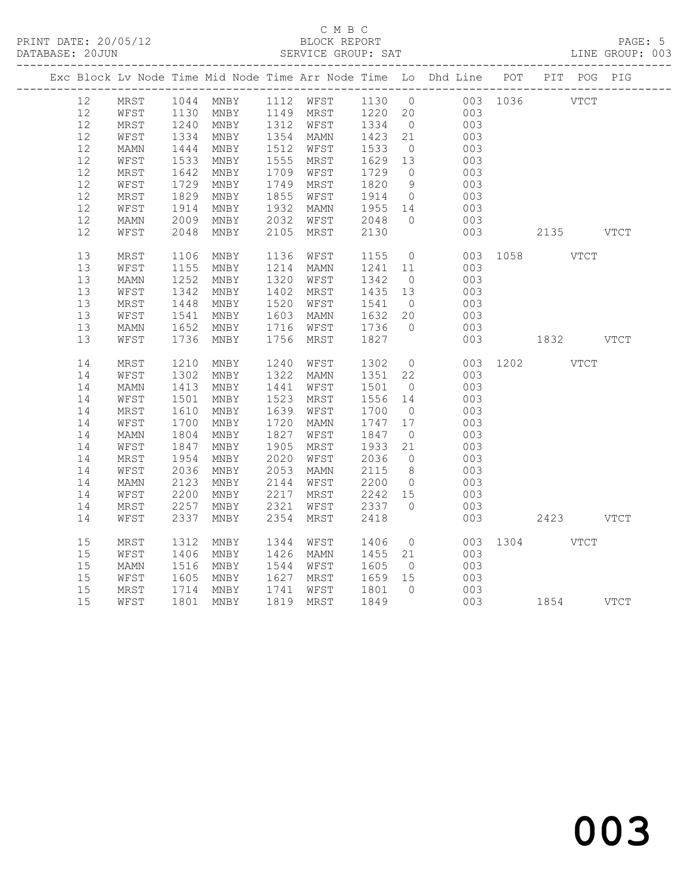### C M B C<br>BLOCK REPORT SERVICE GROUP: SAT

|    |      |              |           |      |           |         |                | Exc Block Lv Node Time Mid Node Time Arr Node Time Lo Dhd Line POT PIT POG PIG |               |           |  |
|----|------|--------------|-----------|------|-----------|---------|----------------|--------------------------------------------------------------------------------|---------------|-----------|--|
| 12 | MRST |              |           |      |           |         |                | 1044 MNBY 1112 WFST 1130 0 003 1036 VTCT                                       |               |           |  |
| 12 | WFST |              |           |      |           |         |                |                                                                                |               |           |  |
| 12 | MRST | 1130<br>1240 |           |      |           |         |                | MNBY 1149 MRST 1220 20 003<br>MNBY 1312 WFST 1334 0 003                        |               |           |  |
| 12 | WFST | 1334         | MNBY      |      | 1354 MAMN | 1423    | 21             | 003                                                                            |               |           |  |
| 12 | MAMN | 1444         | MNBY      | 1512 | WFST      | 1533    | $\overline{0}$ | 003                                                                            |               |           |  |
| 12 | WFST | 1533         | MNBY      | 1555 | MRST      | 1629 13 |                | 003                                                                            |               |           |  |
| 12 | MRST | 1642         | MNBY      | 1709 | WFST      | 1729    | $\overline{0}$ | 003                                                                            |               |           |  |
| 12 | WFST | 1729         | MNBY      | 1749 | MRST      | 1820    | 9              | 003                                                                            |               |           |  |
| 12 | MRST | 1829         | MNBY      | 1855 | WFST      | 1914    | $\overline{0}$ | 003                                                                            |               |           |  |
| 12 | WFST | 1914         | MNBY      | 1932 | MAMN      | 1955 14 |                | 003                                                                            |               |           |  |
| 12 | MAMN | 2009         | MNBY      | 2032 | WFST      | 2048    | $\overline{0}$ | 003                                                                            |               |           |  |
| 12 | WFST | 2048         | MNBY      | 2105 | MRST      | 2130    |                | 003                                                                            |               | 2135 VTCT |  |
| 13 | MRST | 1106         | MNBY      | 1136 | WFST      | 1155    | $\overline{0}$ | 003                                                                            | 1058 VTCT     |           |  |
| 13 | WFST | 1155         | MNBY      | 1214 | MAMN      | 1241    | 11             | 003                                                                            |               |           |  |
| 13 | MAMN | 1252         | MNBY      | 1320 | WFST      | 1342    | $\overline{0}$ | 003                                                                            |               |           |  |
| 13 | WFST | 1342         | MNBY      | 1402 | MRST      | 1435 13 |                | 003                                                                            |               |           |  |
| 13 | MRST | 1448         | MNBY      | 1520 | WFST      | 1541    | $\overline{0}$ | 003                                                                            |               |           |  |
| 13 | WFST | 1541         | MNBY      | 1603 | MAMN      | 1632    | 20             | 003                                                                            |               |           |  |
| 13 | MAMN | 1652         | MNBY      | 1716 | WFST      | 1736    | $\overline{0}$ | 003                                                                            |               |           |  |
| 13 | WFST | 1736         | MNBY      | 1756 | MRST      | 1827    |                | 003                                                                            | 1832 VTCT     |           |  |
| 14 | MRST | 1210         | MNBY      | 1240 | WFST      | 1302    | $\overline{0}$ |                                                                                | 003 1202 VTCT |           |  |
| 14 | WFST | 1302         | MNBY      | 1322 | MAMN      | 1351    | 22             | 003                                                                            |               |           |  |
| 14 | MAMN | 1413         | MNBY      | 1441 | WFST      | 1501    | $\overline{0}$ | 003                                                                            |               |           |  |
| 14 | WFST | 1501         | MNBY      | 1523 | MRST      | 1556 14 |                | 003                                                                            |               |           |  |
| 14 | MRST | 1610         | MNBY      | 1639 | WFST      | 1700    | $\overline{0}$ | 003                                                                            |               |           |  |
| 14 | WFST | 1700         | MNBY      | 1720 | MAMN      | 1747 17 |                | 003                                                                            |               |           |  |
| 14 | MAMN | 1804         | MNBY      | 1827 | WFST      | 1847    | $\overline{0}$ | 003                                                                            |               |           |  |
| 14 | WFST | 1847         | MNBY      | 1905 | MRST      | 1933    | 21             | 003                                                                            |               |           |  |
| 14 | MRST | 1954         | MNBY      | 2020 | WFST      | 2036    | $\overline{0}$ | 003                                                                            |               |           |  |
| 14 | WFST | 2036         | MNBY      | 2053 | MAMN      | 2115    | 8 <sup>8</sup> | 003                                                                            |               |           |  |
| 14 | MAMN | 2123         | MNBY      | 2144 | WFST      | 2200    | $\overline{0}$ | 003                                                                            |               |           |  |
| 14 | WFST | 2200         | MNBY      | 2217 | MRST      | 2242 15 |                | 003                                                                            |               |           |  |
| 14 | MRST | 2257         | MNBY      | 2321 | WFST      | 2337    | $\bigcirc$     | 003                                                                            |               |           |  |
| 14 | WFST | 2337         | MNBY      | 2354 | MRST      | 2418    |                | 003                                                                            |               | 2423 VTCT |  |
| 15 | MRST | 1312         | MNBY      | 1344 | WFST      | 1406    |                | $\overline{0}$<br>003                                                          | 1304 VTCT     |           |  |
| 15 | WFST | 1406         | MNBY      | 1426 | MAMN      | 1455 21 |                | 003                                                                            |               |           |  |
| 15 | MAMN | 1516         | MNBY      | 1544 | WFST      | 1605    | $\overline{0}$ | 003                                                                            |               |           |  |
| 15 | WFST | 1605         | MNBY      | 1627 | MRST      | 1659 15 |                | 003                                                                            |               |           |  |
| 15 | MRST | 1714         | MNBY      | 1741 | WFST      | 1801    | $\overline{0}$ | 003                                                                            |               |           |  |
| 15 | WFST |              | 1801 MNBY |      | 1819 MRST | 1849    |                |                                                                                | 003 1854 VTCT |           |  |
|    |      |              |           |      |           |         |                |                                                                                |               |           |  |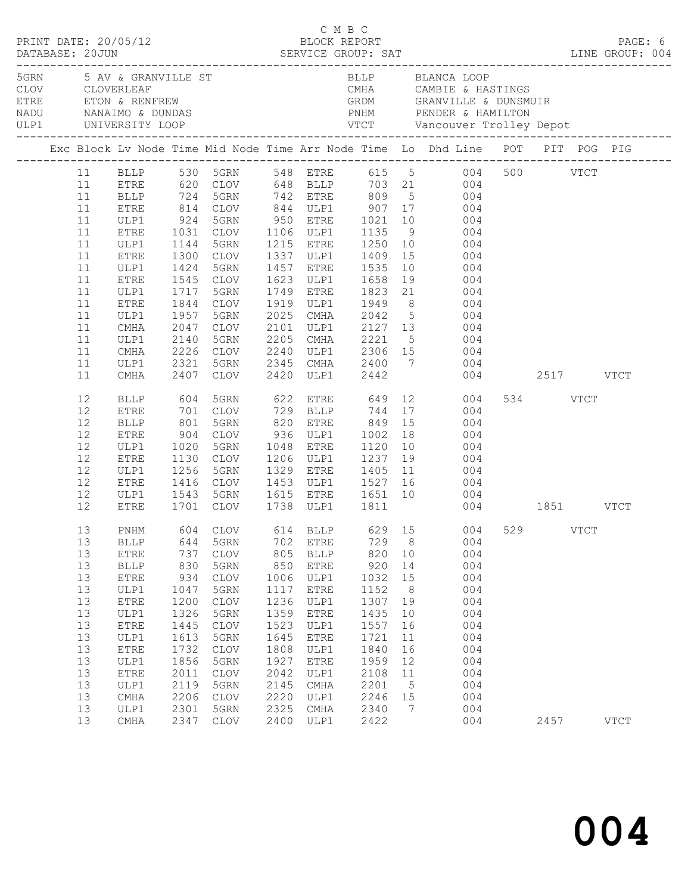|                                                                                                    |    | PRINT DATE: 20/05/12                                                                                                                                                                         |                                                                                                                          | UMBC<br>15/12 BLOCK REPORT<br>SERVICE GROUP: SAT                                                                                                                                                                                                                                             |                                                                                                                           | C M B C                                                                                                                                                  |                                                                                                                           |                                                                                    |                                                                                                                                                                                                                                                                                                                                                                                                                                                                                                                                         |               |          | PAGE: 6     |
|----------------------------------------------------------------------------------------------------|----|----------------------------------------------------------------------------------------------------------------------------------------------------------------------------------------------|--------------------------------------------------------------------------------------------------------------------------|----------------------------------------------------------------------------------------------------------------------------------------------------------------------------------------------------------------------------------------------------------------------------------------------|---------------------------------------------------------------------------------------------------------------------------|----------------------------------------------------------------------------------------------------------------------------------------------------------|---------------------------------------------------------------------------------------------------------------------------|------------------------------------------------------------------------------------|-----------------------------------------------------------------------------------------------------------------------------------------------------------------------------------------------------------------------------------------------------------------------------------------------------------------------------------------------------------------------------------------------------------------------------------------------------------------------------------------------------------------------------------------|---------------|----------|-------------|
|                                                                                                    |    |                                                                                                                                                                                              |                                                                                                                          | 5GRN 5 AV & GRANVILLE ST<br>CLOV      CLOVERLEAF<br>ETRE          ETON & RENFREW                                                                                                                                                                                                             |                                                                                                                           |                                                                                                                                                          |                                                                                                                           |                                                                                    | BLLP        BLANCA LOOP<br>CMHA         CAMBIE & HASTINGS<br>GRDM         GRANVILLE & DUNSMUIR                                                                                                                                                                                                                                                                                                                                                                                                                                          |               |          |             |
|                                                                                                    |    |                                                                                                                                                                                              |                                                                                                                          |                                                                                                                                                                                                                                                                                              |                                                                                                                           |                                                                                                                                                          |                                                                                                                           |                                                                                    | Exc Block Lv Node Time Mid Node Time Arr Node Time Lo Dhd Line POT PIT POG PIG                                                                                                                                                                                                                                                                                                                                                                                                                                                          |               |          |             |
| 11<br>11<br>11<br>11<br>11<br>11<br>11<br>11<br>11<br>11<br>11<br>11<br>11<br>11                   |    | ETRE<br>ULP1<br>ETRE<br>ULP1<br>ETRE<br>ULP1<br>ETRE<br>ULP1<br>ETRE<br>ULP1<br>CMHA<br>ULP1<br>CMHA<br>ULP1                                                                                 | 1424<br>1844<br>1957<br>2047<br>2140<br>2321                                                                             | 5GRN<br>1545 CLOV<br>1717 5GRN<br>CLOV<br>5GRN<br>CLOV<br>5GRN<br>2226 CLOV<br>5GRN                                                                                                                                                                                                          |                                                                                                                           | 1749 ETRE                                                                                                                                                |                                                                                                                           |                                                                                    | 11 BLLP 530 5GRN 548 ETRE 615 5 004 500 VTCT<br>11 ETRE 620 CLOV 648 BLLP 703 21 004<br>11 BLLP 724 5GRN 742 ETRE 809 5 004<br>814 CLOV 844 ULP1 907 17 004<br>924 5GRN 950 ETRE 1021 10 004<br>1031 CLOV 1106 ULP1 1135 9 004<br>1144 5GRN 1215 ETRE 1250 10 004<br>1300 CLOV 1337 ULP1 1409 15 004<br>1457 ETRE 1535 10 004<br>1623 ULP1 1658 19 004<br>1749 ETRE 1823 21 004<br>1919 ULP1 1949 8 004<br>2025 CMHA 2042 5 004<br>2101 ULP1 2127 13 004<br>2205 CMHA 2221 5 004<br>$2240$ ULP1 $2306$ 15 $004$<br>2345 CMHA 2400 7 004 |               |          |             |
| 11<br>12<br>12<br>12<br>12<br>12<br>12<br>12<br>12<br>12                                           |    | CMHA<br>BLLP<br>ETRE<br><b>BLLP</b><br>ETRE<br>ULP1<br>ETRE<br>ULP1<br><b>ETRE</b><br>ULP1                                                                                                   | 2407<br>1020<br>1130                                                                                                     | CLOV<br>5GRN<br>CLOV                                                                                                                                                                                                                                                                         |                                                                                                                           |                                                                                                                                                          | 2420 ULP1 2442                                                                                                            |                                                                                    | 604 5GRN 622 ETRE 649 12 004<br>701 CLOV 729 BLLP 744 17 004<br>801 5GRN 820 ETRE 849 15 004<br>904 CLOV 936 ULP1 1002 18 004<br>1048 ETRE 1120 10 004<br>1206 ULP1 1237 19 004<br>1256 5GRN 1329 ETRE 1405 11 004<br>1416 CLOV 1453 ULP1 1527 16 004<br>1543 5GRN 1615 ETRE 1651 10 004                                                                                                                                                                                                                                                | 004 2517 VTCT | 534 VTCT |             |
| 12<br>13<br>13<br>13<br>13<br>13<br>13<br>13<br>13<br>13<br>13<br>13<br>13<br>13<br>13<br>13<br>13 | 13 | ETRE<br><b>BLLP</b><br>ETRE<br><b>BLLP</b><br><b>ETRE</b><br>ULP1<br><b>ETRE</b><br>ULP1<br>${\tt ETRE}$<br>ULP1<br><b>ETRE</b><br>ULP1<br>${\tt ETRE}$<br>ULP1<br>$\rm CMA$<br>ULP1<br>CMHA | 644<br>737<br>830<br>934<br>1047<br>1200<br>1326<br>1445<br>1613<br>1732<br>1856<br>2011<br>2119<br>2206<br>2301<br>2347 | 1701 CLOV 1738 ULP1 1811<br>5GRN<br>$\mathtt{CLOV}$<br>5GRN<br>$\mathtt{CLOV}$<br>5GRN<br>$\mathtt{CLOV}$<br>5GRN<br>$\ensuremath{\mathsf{CLOV}}$<br>$5\,$ GRN<br>$\mathtt{CLOV}$<br>5GRN<br>$\ensuremath{\mathsf{CLOV}}$<br>5GRN<br>$\ensuremath{\mathsf{CLOV}}$<br>5GRN<br>$\mathtt{CLOV}$ | 702<br>805<br>850<br>1006<br>1117<br>1236<br>1359<br>1523<br>1645<br>1808<br>1927<br>2042<br>2145<br>2220<br>2325<br>2400 | <b>ETRE</b><br><b>BLLP</b><br>ETRE<br>ULP1<br>ETRE<br>ULP1<br>ETRE<br>ULP1<br><b>ETRE</b><br>ULP1<br><b>ETRE</b><br>ULP1<br>CMHA<br>ULP1<br>CMHA<br>ULP1 | 729<br>820<br>920<br>1032<br>1152<br>1307<br>1435<br>1557<br>1721<br>1840<br>1959<br>2108<br>2201<br>2246<br>2340<br>2422 | 8<br>10<br>14<br>15<br>8<br>19<br>10<br>16<br>11<br>16<br>12<br>11<br>5<br>15<br>7 | 004 1851 VTCT<br>PNHM 604 CLOV 614 BLLP 629 15 004 529 VTCT<br>004<br>004<br>004<br>004<br>004<br>004<br>004<br>004<br>004<br>004<br>004<br>004<br>004<br>004<br>004<br>004                                                                                                                                                                                                                                                                                                                                                             |               | 2457     | <b>VTCT</b> |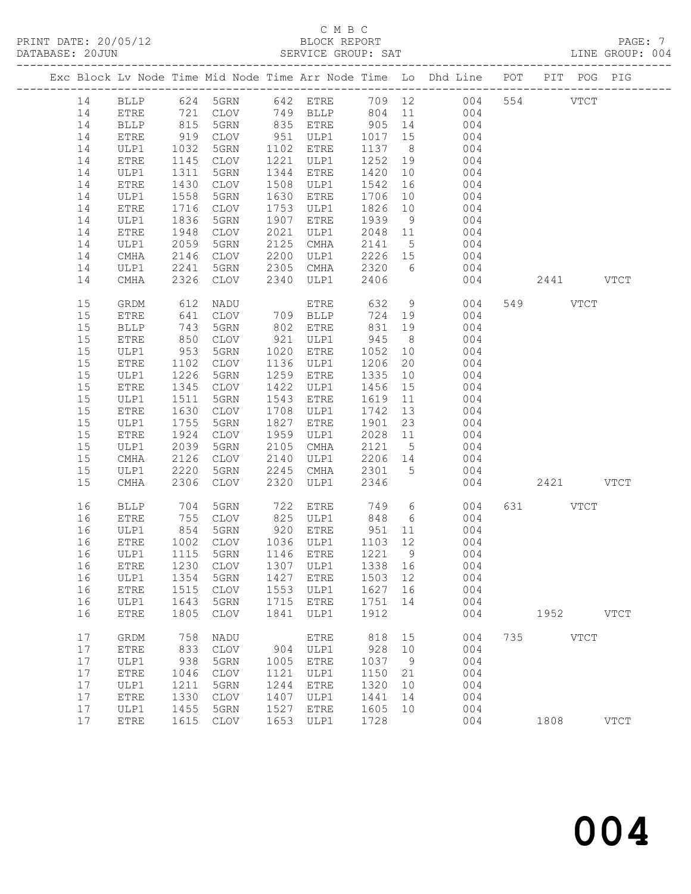# C M B C<br>BLOCK REPORT

LINE GROUP: 004

|  |    |              |                                                                                                                           |                                  |      |              |         |                 | Exc Block Lv Node Time Mid Node Time Arr Node Time Lo Dhd Line POT PIT POG PIG |     |          |               |             |
|--|----|--------------|---------------------------------------------------------------------------------------------------------------------------|----------------------------------|------|--------------|---------|-----------------|--------------------------------------------------------------------------------|-----|----------|---------------|-------------|
|  |    |              |                                                                                                                           | 624 5GRN                         |      | 642 ETRE     |         |                 |                                                                                |     | 554      |               |             |
|  | 14 | BLLP         |                                                                                                                           |                                  |      |              |         |                 | 709 12<br>004                                                                  |     |          | $_{\rm VTCT}$ |             |
|  | 14 | ${\tt ETRE}$ | $\begin{array}{c} \n \stackrel{\frown}{\phantom{}_{0}} \\  815 \\  \stackrel{\frown}{\phantom{}_{0}} \\  0\n \end{array}$ | CLOV                             |      | 749 BLLP     | 804     | 11              | 004                                                                            |     |          |               |             |
|  | 14 | <b>BLLP</b>  |                                                                                                                           | 5GRN                             |      | 835 ETRE     | 905     | 14              | 004                                                                            |     |          |               |             |
|  | 14 | ETRE         | 919                                                                                                                       | CLOV                             | 951  | ULP1         | 1017    | 15              | 004                                                                            |     |          |               |             |
|  | 14 | ULP1         | 1032                                                                                                                      | 5GRN                             | 1102 | ETRE         | 1137    | 8 <sup>8</sup>  | 004                                                                            |     |          |               |             |
|  | 14 | ETRE         | 1145                                                                                                                      | CLOV                             | 1221 | ULP1         | 1252    | 19              | 004                                                                            |     |          |               |             |
|  | 14 | ULP1         | 1311                                                                                                                      | 5GRN                             | 1344 | ETRE         | 1420    | 10              | 004                                                                            |     |          |               |             |
|  | 14 | ${\tt ETRE}$ | 1430                                                                                                                      | CLOV                             | 1508 | ULP1         | 1542    | 16              | 004                                                                            |     |          |               |             |
|  | 14 | ULP1         | 1558                                                                                                                      | 5GRN                             | 1630 | <b>ETRE</b>  | 1706    | 10              | 004                                                                            |     |          |               |             |
|  | 14 | ETRE         | 1716                                                                                                                      | CLOV                             | 1753 | ULP1         | 1826    | 10              | 004                                                                            |     |          |               |             |
|  | 14 | ULP1         | 1836                                                                                                                      | 5GRN                             | 1907 | <b>ETRE</b>  | 1939    | 9               | 004                                                                            |     |          |               |             |
|  | 14 | ETRE         | 1948                                                                                                                      | CLOV                             | 2021 | ULP1         | 2048    | 11              | 004                                                                            |     |          |               |             |
|  | 14 | ULP1         | 2059                                                                                                                      | 5GRN                             | 2125 | CMHA         | 2141    | $5\overline{)}$ | 004                                                                            |     |          |               |             |
|  | 14 |              |                                                                                                                           |                                  | 2200 |              | 2226    | 15              | 004                                                                            |     |          |               |             |
|  |    | CMHA         | 2146                                                                                                                      | CLOV                             |      | ULP1         |         |                 |                                                                                |     |          |               |             |
|  | 14 | ULP1         | 2241                                                                                                                      | 5GRN                             | 2305 | CMHA         | 2320    | 6               | 004                                                                            |     |          |               |             |
|  | 14 | CMHA         | 2326                                                                                                                      | CLOV                             | 2340 | ULP1         | 2406    |                 | 004                                                                            |     | 2441     |               | <b>VTCT</b> |
|  | 15 | GRDM         | 612                                                                                                                       | NADU                             |      | ETRE         | 632     | 9               | 004                                                                            |     | 549      | <b>VTCT</b>   |             |
|  | 15 | ETRE         | 641                                                                                                                       | CLOV                             |      | 709 BLLP     | 724     | 19              | 004                                                                            |     |          |               |             |
|  | 15 | <b>BLLP</b>  | 743                                                                                                                       | 5GRN                             | 802  | ETRE         | 831     | 19              | 004                                                                            |     |          |               |             |
|  | 15 | ETRE         | 850                                                                                                                       | <b>CLOV</b>                      | 921  | ULP1         | 945     | 8 <sup>8</sup>  | 004                                                                            |     |          |               |             |
|  | 15 | ULP1         | 953                                                                                                                       | 5GRN                             | 1020 | ETRE         | 1052    | 10              | 004                                                                            |     |          |               |             |
|  | 15 | ETRE         | 1102                                                                                                                      | CLOV                             | 1136 | ULP1         | 1206    | 20              | 004                                                                            |     |          |               |             |
|  | 15 | ULP1         | 1226                                                                                                                      | 5GRN                             | 1259 | <b>ETRE</b>  | 1335    | 10              | 004                                                                            |     |          |               |             |
|  | 15 | ETRE         | 1345                                                                                                                      | $\mathtt{CLOV}$                  | 1422 | ULP1         | 1456    | 15              | 004                                                                            |     |          |               |             |
|  |    |              |                                                                                                                           |                                  | 1543 |              |         |                 | 004                                                                            |     |          |               |             |
|  | 15 | ULP1         | 1511                                                                                                                      | 5GRN                             |      | ETRE         | 1619    | 11              |                                                                                |     |          |               |             |
|  | 15 | ETRE         | 1630                                                                                                                      | CLOV                             | 1708 | ULP1         | 1742    | 13              | 004                                                                            |     |          |               |             |
|  | 15 | ULP1         | 1755                                                                                                                      | 5GRN                             | 1827 | ${\tt ETRE}$ | 1901    | 23              | 004                                                                            |     |          |               |             |
|  | 15 | ETRE         | 1924                                                                                                                      | CLOV                             | 1959 | ULP1         | 2028    | 11              | 004                                                                            |     |          |               |             |
|  | 15 | ULP1         | 2039                                                                                                                      | 5GRN                             | 2105 | CMHA         | 2121    | $5\overline{)}$ | 004                                                                            |     |          |               |             |
|  | 15 | CMHA         | 2126                                                                                                                      | CLOV                             | 2140 | ULP1         | 2206    | 14              | 004                                                                            |     |          |               |             |
|  | 15 | ULP1         | 2220                                                                                                                      | 5GRN                             | 2245 | CMHA         | 2301    | 5               | 004                                                                            |     |          |               |             |
|  | 15 | CMHA         | 2306                                                                                                                      | <b>CLOV</b>                      | 2320 | ULP1         | 2346    |                 | 004                                                                            |     | 2421     |               | <b>VTCT</b> |
|  | 16 | <b>BLLP</b>  | 704                                                                                                                       | 5GRN                             | 722  | ETRE         | 749     | 6               | 004                                                                            |     | 631 VTCT |               |             |
|  | 16 | ETRE         | 755                                                                                                                       | CLOV                             | 825  | ULP1         | 848     | 6               | 004                                                                            |     |          |               |             |
|  | 16 | ULP1         | 854                                                                                                                       | 5GRN                             |      | 920 ETRE     | 951     | 11              | 004                                                                            |     |          |               |             |
|  | 16 | ETRE         | 1002                                                                                                                      | CLOV                             |      | 1036 ULP1    | 1103 12 |                 | 004                                                                            |     |          |               |             |
|  | 16 | ULP1         | 1115                                                                                                                      | 5GRN                             |      | 1146 ETRE    | 1221    | $\overline{9}$  | 004                                                                            |     |          |               |             |
|  | 16 |              |                                                                                                                           | ETRE 1230 CLOV 1307 ULP1 1338 16 |      |              |         |                 | 004                                                                            |     |          |               |             |
|  | 16 | ULP1         | 1354                                                                                                                      | 5GRN                             | 1427 | <b>ETRE</b>  | 1503    | 12              | 004                                                                            |     |          |               |             |
|  | 16 | <b>ETRE</b>  | 1515                                                                                                                      | <b>CLOV</b>                      | 1553 | ULP1         | 1627    | 16              | 004                                                                            |     |          |               |             |
|  |    |              |                                                                                                                           |                                  |      |              |         |                 |                                                                                |     |          |               |             |
|  | 16 | ULP1         | 1643                                                                                                                      | 5GRN                             | 1715 | ETRE         | 1751    | 14              | 004                                                                            |     |          |               |             |
|  | 16 | ETRE         | 1805                                                                                                                      | <b>CLOV</b>                      | 1841 | ULP1         | 1912    |                 | 004                                                                            |     | 1952     |               | <b>VTCT</b> |
|  | 17 | GRDM         | 758                                                                                                                       | NADU                             |      | <b>ETRE</b>  | 818     | 15              | 004                                                                            | 735 |          | <b>VTCT</b>   |             |
|  | 17 | ETRE         | 833                                                                                                                       | <b>CLOV</b>                      | 904  | ULP1         | 928     | 10              | 004                                                                            |     |          |               |             |
|  | 17 | ULP1         | 938                                                                                                                       | 5GRN                             | 1005 | <b>ETRE</b>  | 1037    | 9               | 004                                                                            |     |          |               |             |
|  | 17 | ETRE         | 1046                                                                                                                      | <b>CLOV</b>                      | 1121 | ULP1         | 1150    | 21              | 004                                                                            |     |          |               |             |
|  | 17 | ULP1         | 1211                                                                                                                      | 5GRN                             | 1244 | <b>ETRE</b>  | 1320    | 10              | 004                                                                            |     |          |               |             |
|  | 17 | ETRE         | 1330                                                                                                                      | <b>CLOV</b>                      | 1407 | ULP1         | 1441    | 14              | 004                                                                            |     |          |               |             |
|  | 17 | ULP1         | 1455                                                                                                                      | 5GRN                             | 1527 | <b>ETRE</b>  | 1605    | 10              | 004                                                                            |     |          |               |             |
|  | 17 | ${\tt ETRE}$ | 1615                                                                                                                      | $\mathtt{CLOV}$                  | 1653 | ULP1         | 1728    |                 | 004                                                                            |     | 1808     |               | <b>VTCT</b> |
|  |    |              |                                                                                                                           |                                  |      |              |         |                 |                                                                                |     |          |               |             |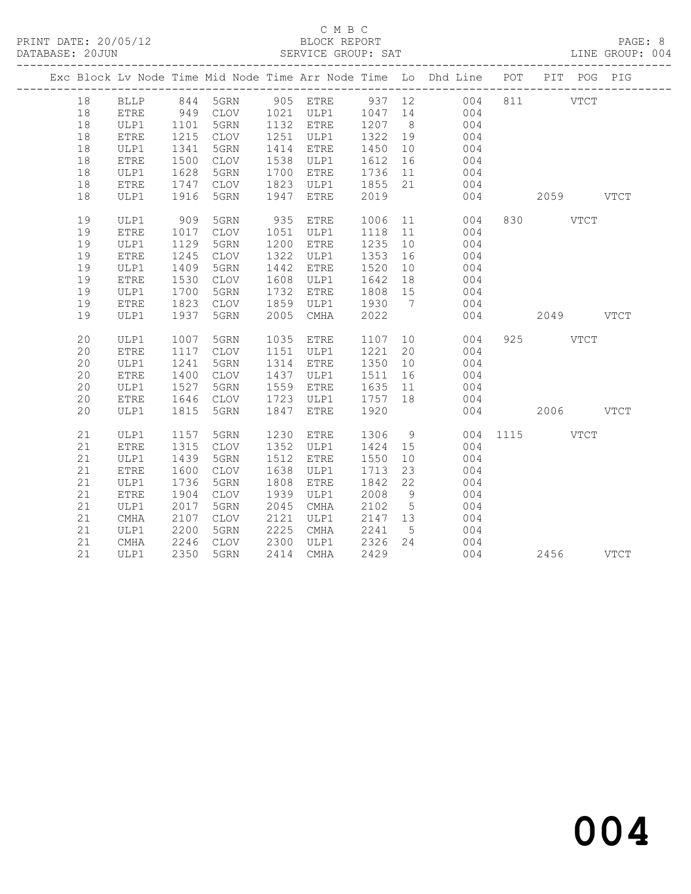### C M B C<br>BLOCK REPORT SERVICE GROUP: SAT

|    |              |      |             |      |             |         |                 | Exc Block Lv Node Time Mid Node Time Arr Node Time Lo Dhd Line POT PIT POG PIG    |           |  |
|----|--------------|------|-------------|------|-------------|---------|-----------------|-----------------------------------------------------------------------------------|-----------|--|
| 18 |              |      |             |      |             |         |                 | BLLP 844 5GRN 905 ETRE 937 12 004 811 VTCT<br>ETRE 949 CLOV 1021 ULP1 1047 14 004 |           |  |
| 18 |              |      |             |      |             |         |                 |                                                                                   |           |  |
| 18 | ULP1         | 1101 | 5GRN        |      | 1132 ETRE   | 1207 8  |                 | 004                                                                               |           |  |
| 18 | <b>ETRE</b>  | 1215 | CLOV        |      | 1251 ULP1   | 1322 19 |                 | 004                                                                               |           |  |
| 18 | ULP1         | 1341 | 5GRN        |      | 1414 ETRE   | 1450    | 10              | 004                                                                               |           |  |
| 18 | ${\tt ETRE}$ | 1500 | CLOV        |      | 1538 ULP1   | 1612 16 |                 | $004$<br>$004$                                                                    |           |  |
| 18 | ULP1         | 1628 | 5GRN        | 1700 | ETRE        | 1736 11 |                 |                                                                                   |           |  |
| 18 | ETRE         | 1747 | CLOV        | 1823 | ULP1        | 1855 21 |                 | 004                                                                               |           |  |
| 18 | ULP1         | 1916 | 5GRN        | 1947 | ETRE        | 2019    |                 | 004                                                                               | 2059 VTCT |  |
| 19 | ULP1         | 909  | 5GRN        |      | 935 ETRE    |         |                 | 1006 11<br>004                                                                    | 830 VTCT  |  |
| 19 | ${\tt ETRE}$ | 1017 | CLOV        |      | 1051 ULP1   | 1118 11 |                 | 004                                                                               |           |  |
| 19 | ULP1         | 1129 | 5GRN        | 1200 | ETRE        | 1235    | 10              | 004                                                                               |           |  |
| 19 | ETRE         | 1245 | CLOV        | 1322 | ULP1        | 1353    | 16              | 004                                                                               |           |  |
| 19 | ULP1         | 1409 | 5GRN        | 1442 | ETRE        | 1520    | 10              | $004$<br>$004$                                                                    |           |  |
| 19 | ${\tt ETRE}$ | 1530 | CLOV        | 1608 | ULP1        | 1642    | 18              |                                                                                   |           |  |
| 19 | ULP1         | 1700 | 5GRN        | 1732 | ETRE        | 1808 15 |                 | 004                                                                               |           |  |
| 19 | <b>ETRE</b>  | 1823 | CLOV        | 1859 | ULP1        | 1930 7  |                 | 004                                                                               |           |  |
| 19 | ULP1         | 1937 | 5GRN        | 2005 | CMHA        | 2022    |                 | 004                                                                               | 2049 VTCT |  |
| 20 | ULP1         | 1007 | 5GRN        |      | 1035 ETRE   |         |                 | 1107 10<br>004                                                                    | 925 VTCT  |  |
| 20 | <b>ETRE</b>  | 1117 | CLOV        |      | 1151 ULP1   | 1221    | 20              | 004                                                                               |           |  |
| 20 | ULP1         | 1241 | 5GRN        |      | 1314 ETRE   | 1350    | 10              | 004                                                                               |           |  |
| 20 | <b>ETRE</b>  | 1400 | CLOV        | 1437 | ULP1        | 1511    | 16              | 004                                                                               |           |  |
| 20 | ULP1         | 1527 | 5GRN        | 1559 | ETRE        | 1635 11 |                 | 004                                                                               |           |  |
| 20 | <b>ETRE</b>  | 1646 | CLOV        | 1723 | ULP1        | 1757    | 18              | 004                                                                               |           |  |
| 20 | ULP1         | 1815 | 5GRN        | 1847 | <b>ETRE</b> | 1920    |                 | 004                                                                               | 2006 VTCT |  |
| 21 | ULP1         | 1157 | 5GRN        | 1230 | ETRE        |         |                 | 1306 9 004 1115 VTCT                                                              |           |  |
| 21 | ETRE         | 1315 | CLOV        |      | 1352 ULP1   | 1424 15 |                 | 004                                                                               |           |  |
| 21 | ULP1         | 1439 | 5GRN        | 1512 | ETRE        | 1550    | 10              | 004                                                                               |           |  |
| 21 | ETRE         | 1600 | CLOV        | 1638 | ULP1        | 1713    | 23              | 004                                                                               |           |  |
| 21 | ULP1         | 1736 | 5GRN        | 1808 | <b>ETRE</b> | 1842    | 22              | 004                                                                               |           |  |
| 21 | ${\tt ETRE}$ | 1904 | CLOV        | 1939 | ULP1        | 2008    | 9               | 004                                                                               |           |  |
| 21 | ULP1         | 2017 | 5GRN        | 2045 | CMHA        | 2102    | $5\overline{)}$ | 004                                                                               |           |  |
| 21 | CMHA         | 2107 | <b>CLOV</b> | 2121 | ULP1        | 2147 13 |                 | 004                                                                               |           |  |
| 21 | ULP1         | 2200 | 5GRN        | 2225 | CMHA        | 2241    | $5^{\circ}$     | 004                                                                               |           |  |
| 21 | CMHA         | 2246 | CLOV        | 2300 | ULP1        | 2326    | 24              | 004                                                                               |           |  |
| 21 | ULP1         | 2350 | 5GRN        | 2414 | CMHA        | 2429    |                 | 004                                                                               | 2456 VTCT |  |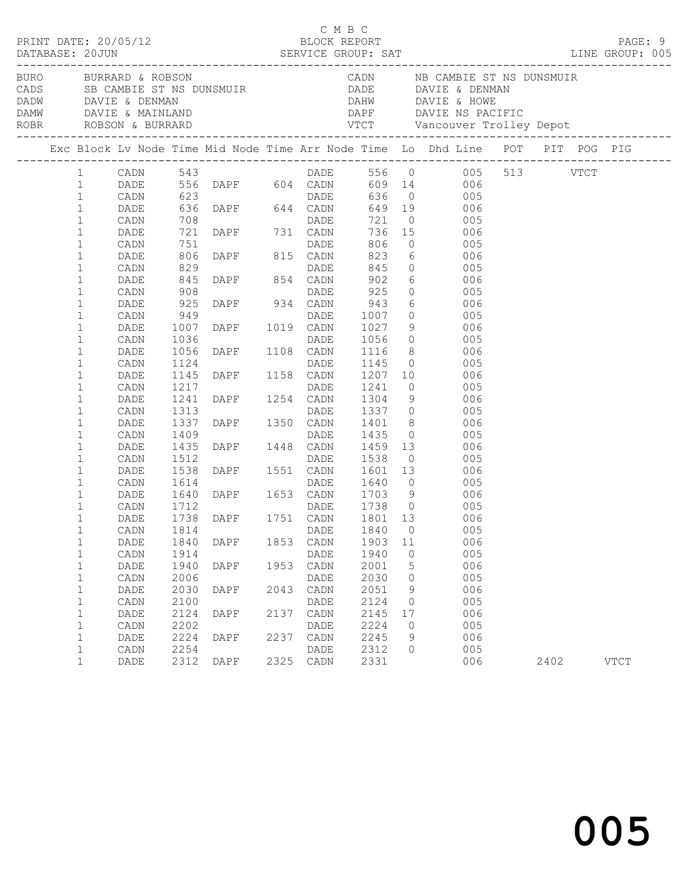|                                              |                      |                          |                                  |              | C M B C              |                      |                    | PRINT DATE: 20/05/12 BLOCK REPORT<br>:DATABASE: 20JUN SERVICE GROUP: SAT LINE GROUP: 1997 DATABASE: 20JUN                                                                                                                              |      | PAGE: 9<br>LINE GROUP: 005 |  |
|----------------------------------------------|----------------------|--------------------------|----------------------------------|--------------|----------------------|----------------------|--------------------|----------------------------------------------------------------------------------------------------------------------------------------------------------------------------------------------------------------------------------------|------|----------------------------|--|
|                                              |                      |                          |                                  |              |                      |                      |                    | BURO BURRARD & ROBSON CADN NB CAMBIE ST NS DUNSMUIR<br>CADS SB CAMBIE ST NS DUNSMUIR DADE DAVIE & DENMAN<br>DADW DAVIE & DENMAN DAVIE & MAINLAND DAPF DAVIE NS PACIFIC<br>ROBR ROBSON & BURRARD VTCT Vancouver Trolley Depot<br>------ |      |                            |  |
|                                              |                      |                          |                                  |              |                      |                      |                    | Exc Block Lv Node Time Mid Node Time Arr Node Time Lo Dhd Line POT PIT POG PIG                                                                                                                                                         |      |                            |  |
| $\mathbf{1}$<br>$\mathbf{1}$<br>$\mathbf{1}$ |                      |                          |                                  |              |                      |                      |                    | CADN 543<br>DADE 556 DAPF 604 CADN 609 14 006<br>CADN 623 DADE 636 0 005 513 VTCT<br>DADE 636 0 005<br>DADE 636 0 005<br>DADE 636 DAPF 644 CADN 649 19 006                                                                             |      |                            |  |
| $\mathbf{1}$<br>$\mathbf{1}$                 | CADN                 |                          |                                  |              |                      |                      |                    |                                                                                                                                                                                                                                        |      |                            |  |
| $\mathbf{1}$<br>$\mathbf{1}$                 | DADE<br>CADN         | 708<br>721<br>751        |                                  |              |                      |                      |                    | 031 DADE 721 0<br>DAPF 731 CADN 736 15 006<br>DAPF 815 CADN 823 6 006                                                                                                                                                                  |      |                            |  |
| $\mathbf 1$<br>$\mathbf 1$<br>1              | DADE<br>CADN<br>DADE | 806<br>829<br>845<br>908 | DADE<br>DAPF 854 CADN            |              |                      |                      |                    | 845 0 005<br>902  6    006<br>925  0    005                                                                                                                                                                                            |      |                            |  |
| $\mathbf 1$<br>$\mathbf 1$<br>$\mathbf 1$    | CADN<br>DADE         | 925<br>949               |                                  |              |                      |                      |                    | DADE 925 0 005<br>DAPF 934 CADN 943 6 006                                                                                                                                                                                              |      |                            |  |
| 1<br>$\mathbf 1$                             | CADN<br>DADE<br>CADN | 1007<br>1036             |                                  |              |                      |                      |                    | DAPE 1019 CADN 943 0<br>DADE 1007 0 005<br>DAPE 1019 CADN 1027 9 006<br>DAPE 1108 CADN 1116 8 006<br>DAPE 1168 CADN 1116 8 006<br>DAPE 1158 CADN 1207 10 006<br>DAPE 1254 CADN 1304 9 005<br>DAPE 1254 CADN 1304 9 006                 |      |                            |  |
| $\mathbf{1}$<br>$\mathbf{1}$                 | DADE<br>CADN         | 1056<br>1124             |                                  |              |                      |                      |                    |                                                                                                                                                                                                                                        |      |                            |  |
| $\mathbf{1}$<br>$\mathbf 1$<br>$\mathbf{1}$  | DADE<br>CADN<br>DADE | 1145<br>1217<br>1241     |                                  |              |                      |                      |                    |                                                                                                                                                                                                                                        |      |                            |  |
| $\mathbf 1$<br>1                             | CADN<br>DADE         | 1313<br>1337             | DADE<br>DAPF 1350 CADN<br>DADE   |              |                      |                      |                    | 1337 0 005<br>$1401$ 8 006                                                                                                                                                                                                             |      |                            |  |
| $\mathbf 1$<br>$\mathbf{1}$                  | CADN<br>DADE         | 1409<br>1435             |                                  |              | DADE                 | 1435                 | $\overline{0}$     | 005                                                                                                                                                                                                                                    |      |                            |  |
| $\mathbf{1}$<br>1<br>$\mathbf 1$             | CADN<br>DADE<br>CADN | 1512<br>1538<br>1614     |                                  |              |                      |                      |                    | DAPF 1448 CADN 1459 13 006<br>DAPF 1551 CADN 1601 13 006<br>DAPF 1551 CADN 1601 13 006<br>DAPF 1653 CADN 1703 9 006                                                                                                                    |      |                            |  |
| $\mathbf 1$<br>$\mathbf 1$                   | DADE<br>CADN         | 1640<br>1712             | 1712 DADE<br>1738 DAPF 1751 CADN |              |                      |                      |                    | 1738 0 005                                                                                                                                                                                                                             |      |                            |  |
| 1<br>$\mathbf 1$                             | DADE<br>CADN 1814    |                          |                                  |              | DADE 1840 0          | 1801 13              |                    | 006<br>005                                                                                                                                                                                                                             |      |                            |  |
| 1<br>$\mathbf{1}$<br>1                       | DADE<br>CADN<br>DADE | 1840<br>1914<br>1940     | DAPF<br>DAPF                     | 1853<br>1953 | CADN<br>DADE<br>CADN | 1903<br>1940<br>2001 | 11<br>$\circ$<br>5 | 006<br>005<br>006                                                                                                                                                                                                                      |      |                            |  |
| 1<br>$\mathbf{1}$                            | CADN<br>DADE         | 2006<br>2030             | DAPF                             | 2043         | <b>DADE</b><br>CADN  | 2030<br>2051         | 0<br>9             | 005<br>006                                                                                                                                                                                                                             |      |                            |  |
| $\mathbf{1}$<br>$\mathbf 1$                  | CADN<br>DADE         | 2100<br>2124             | <b>DAPF</b>                      | 2137         | DADE<br>CADN         | 2124<br>2145         | $\mathbf{0}$<br>17 | 005<br>006                                                                                                                                                                                                                             |      |                            |  |
| $\mathbf{1}$<br>$\mathbf 1$<br>1             | CADN<br>DADE<br>CADN | 2202<br>2224<br>2254     | DAPF                             | 2237         | DADE<br>CADN<br>DADE | 2224<br>2245<br>2312 | 0<br>9<br>0        | 005<br>006<br>005                                                                                                                                                                                                                      |      |                            |  |
| $\mathbf 1$                                  | DADE                 | 2312                     | DAPF                             | 2325         | CADN                 | 2331                 |                    | 006                                                                                                                                                                                                                                    | 2402 | <b>VTCT</b>                |  |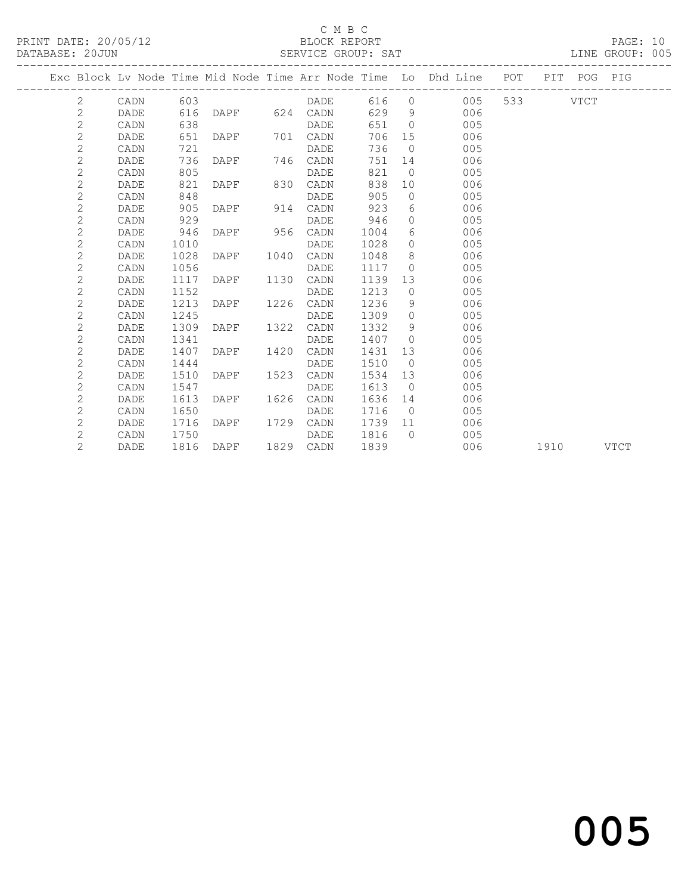### C M B C<br>BLOCK REPORT

### SERVICE GROUP: SAT

|                |             |      |               |      |               |         |                | Exc Block Lv Node Time Mid Node Time Arr Node Time Lo Dhd Line POT |  | PIT POG PIG |  |
|----------------|-------------|------|---------------|------|---------------|---------|----------------|--------------------------------------------------------------------|--|-------------|--|
| 2              | CADN        | 603  |               |      | DADE          |         |                | 616 0<br>005                                                       |  | VTCT        |  |
| $\mathbf{2}$   | DADE        | 616  |               |      | DAPF 624 CADN |         |                | 629 9<br>006                                                       |  |             |  |
| $\overline{c}$ | CADN        | 638  |               |      | DADE          | 651 0   |                | 005                                                                |  |             |  |
| $\overline{c}$ | DADE        | 651  | DAPF 701 CADN |      |               | 706     | 15             | 006                                                                |  |             |  |
| $\overline{2}$ | CADN        | 721  |               |      | DADE          | 736     | $\bigcirc$     | 005                                                                |  |             |  |
| $\overline{c}$ | DADE        | 736  | DAPF 746 CADN |      |               | 751     |                | 006<br>14                                                          |  |             |  |
| $\mathbf{2}$   | CADN        | 805  |               |      | DADE          | 821     | $\overline{0}$ | 005                                                                |  |             |  |
| $\overline{c}$ | DADE        | 821  | DAPF          |      | 830 CADN      | 838     | 10             | 006                                                                |  |             |  |
| $\overline{2}$ | CADN        | 848  |               |      | <b>DADE</b>   | 905     | $\overline{0}$ | 005                                                                |  |             |  |
| $\overline{c}$ | <b>DADE</b> | 905  | DAPF 914      |      | CADN          | 923     |                | $6\degree$<br>006                                                  |  |             |  |
| $\overline{c}$ | CADN        | 929  |               |      | DADE          | 946     | $\circ$        | 005                                                                |  |             |  |
| $\overline{2}$ | DADE        | 946  | DAPF 956 CADN |      |               | 1004    | 6              | 006                                                                |  |             |  |
| $\overline{c}$ | CADN        | 1010 |               |      | DADE          | 1028    | $\Omega$       | 005                                                                |  |             |  |
| $\mathbf{2}$   | DADE        | 1028 | DAPF          | 1040 | CADN          | 1048    |                | 8 - 10<br>006                                                      |  |             |  |
| $\overline{c}$ | CADN        | 1056 |               |      | DADE          | 1117    | $\overline{0}$ | 005                                                                |  |             |  |
| $\overline{2}$ | DADE        | 1117 | DAPF          |      | 1130 CADN     | 1139    | 13             | 006                                                                |  |             |  |
| $\overline{2}$ | CADN        | 1152 |               |      | DADE          | 1213    | $\overline{0}$ | 005                                                                |  |             |  |
| $\mathbf{2}$   | DADE        | 1213 | DAPF          | 1226 | CADN          | 1236    | 9              | 006                                                                |  |             |  |
| $\overline{c}$ | CADN        | 1245 |               |      | DADE          | 1309    | $\overline{0}$ | 005                                                                |  |             |  |
| $\overline{c}$ | DADE        | 1309 | DAPF          | 1322 | CADN          | 1332    | 9              | 006                                                                |  |             |  |
| $\overline{2}$ | CADN        | 1341 |               |      | DADE          | 1407    | $\bigcirc$     | 005                                                                |  |             |  |
| $\overline{c}$ | DADE        | 1407 | DAPF          | 1420 | CADN          | 1431    |                | 006<br>13                                                          |  |             |  |
| $\overline{c}$ | CADN        | 1444 |               |      | DADE          | 1510    | $\overline{0}$ | 005                                                                |  |             |  |
| $\overline{c}$ | DADE        | 1510 | DAPF          | 1523 | CADN          | 1534    | 13             | 006                                                                |  |             |  |
| $\overline{c}$ | CADN        | 1547 |               |      | DADE          | 1613    | $\bigcirc$     | 005                                                                |  |             |  |
| $\overline{2}$ | <b>DADE</b> | 1613 | DAPF          | 1626 | CADN          | 1636    |                | 006<br>14                                                          |  |             |  |
| $\overline{c}$ | CADN        | 1650 |               |      | DADE          | 1716    | $\overline{0}$ | 005                                                                |  |             |  |
| $\overline{2}$ | DADE        | 1716 | DAPF          | 1729 | CADN          | 1739 11 |                | 006                                                                |  |             |  |
| $\overline{2}$ | CADN        | 1750 |               |      | DADE          | 1816    | $\bigcap$      | 005                                                                |  |             |  |
| $\overline{2}$ | DADE        | 1816 | DAPF          |      | 1829 CADN     | 1839    |                | 006                                                                |  | 1910 VTCT   |  |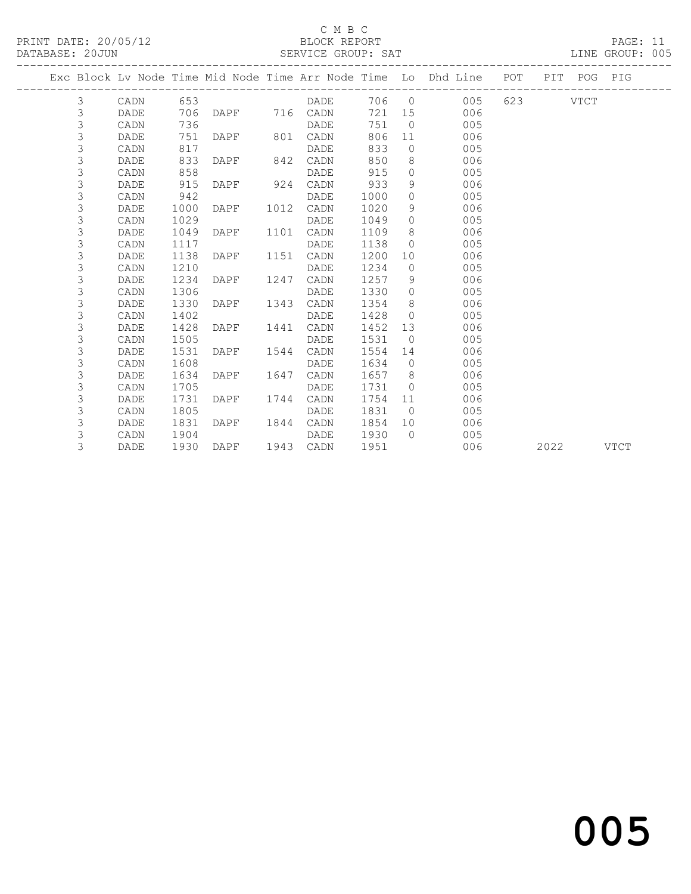PRINT DATE: 20/05/12 BLOCK REPORT BLOCK REPORT

## C M B C<br>BLOCK REPORT

| DATABASE: 20JUN |   |                         |      |           |      | SERVICE GROUP: SAT |        |                |                                                                                |          |  | LINE GROUP: 005 |  |
|-----------------|---|-------------------------|------|-----------|------|--------------------|--------|----------------|--------------------------------------------------------------------------------|----------|--|-----------------|--|
|                 |   | ----------------------- |      |           |      |                    |        |                | Exc Block Lv Node Time Mid Node Time Arr Node Time Lo Dhd Line POT PIT POG PIG |          |  |                 |  |
|                 | 3 | CADN                    | 653  |           |      | DADE 706 0         |        |                | 005                                                                            | 623 VTCT |  |                 |  |
|                 | 3 | DADE                    | 706  |           |      | DAPF 716 CADN      | 721 15 |                | 006                                                                            |          |  |                 |  |
|                 | 3 | CADN                    | 736  |           |      | DADE               | 751    | $\overline{0}$ | 005                                                                            |          |  |                 |  |
|                 | 3 | DADE                    | 751  | DAPF 801  |      | CADN               | 806    | 11             | 006                                                                            |          |  |                 |  |
|                 | 3 | CADN                    | 817  |           |      | DADE               | 833    | $\Omega$       | 005                                                                            |          |  |                 |  |
|                 | 3 | DADE                    | 833  | DAPF 842  |      | CADN               | 850    | 8              | 006                                                                            |          |  |                 |  |
|                 | 3 | CADN                    | 858  |           |      | DADE               | 915    | $\circ$        | 005                                                                            |          |  |                 |  |
|                 | 3 | DADE                    | 915  | DAPF 924  |      | CADN               | 933    | 9              | 006                                                                            |          |  |                 |  |
|                 | 3 | CADN                    | 942  |           |      | DADE               | 1000   | $\circ$        | 005                                                                            |          |  |                 |  |
|                 | 3 | DADE                    | 1000 | DAPF      | 1012 | CADN               | 1020   | 9              | 006                                                                            |          |  |                 |  |
|                 | 3 | CADN                    | 1029 |           |      | DADE               | 1049   | $\Omega$       | 005                                                                            |          |  |                 |  |
|                 | 3 | DADE                    | 1049 | DAPF      | 1101 | CADN               | 1109   | 8              | 006                                                                            |          |  |                 |  |
|                 | 3 | CADN                    | 1117 |           |      | DADE               | 1138   | $\circ$        | 005                                                                            |          |  |                 |  |
|                 | 3 | DADE                    | 1138 | DAPF      | 1151 | CADN               | 1200   | 10             | 006                                                                            |          |  |                 |  |
|                 | 3 | CADN                    | 1210 |           |      | DADE               | 1234   | $\circ$        | 005                                                                            |          |  |                 |  |
|                 | 3 | DADE                    | 1234 | DAPF      | 1247 | CADN               | 1257   | 9              | 006                                                                            |          |  |                 |  |
|                 | 3 | CADN                    | 1306 |           |      | DADE               | 1330   | $\circ$        | 005                                                                            |          |  |                 |  |
|                 | 3 | DADE                    | 1330 | DAPF      | 1343 | CADN               | 1354   | 8              | 006                                                                            |          |  |                 |  |
|                 | 3 | CADN                    | 1402 |           |      | DADE               | 1428   | $\Omega$       | 005                                                                            |          |  |                 |  |
|                 | 3 | DADE                    |      | 1428 DAPF |      | 1441 CADN          | 1452   | 13             | 006                                                                            |          |  |                 |  |

3 DADE 1930 DAPF 1943 CADN 1951 006 2022 VTCT

and the contract of  $\sim$  005

 3 CADN 1505 DADE 1531 0 005 3 DADE 1531 DAPF 1544 CADN 1554 14 006 3 CADN 1608 DADE 1634 0 005

 3 DADE 1634 DAPF 1647 CADN 1657 8 006 3 CADN 1705 DADE 1731 0 005 3 DADE 1731 DAPF 1744 CADN 1754 11 006 3 CADN 1805 DADE 1831 0 005 3 DADE 1831 DAPF 1844 CADN 1854 10 006 3 CADN 1904 DADE 1930 0 005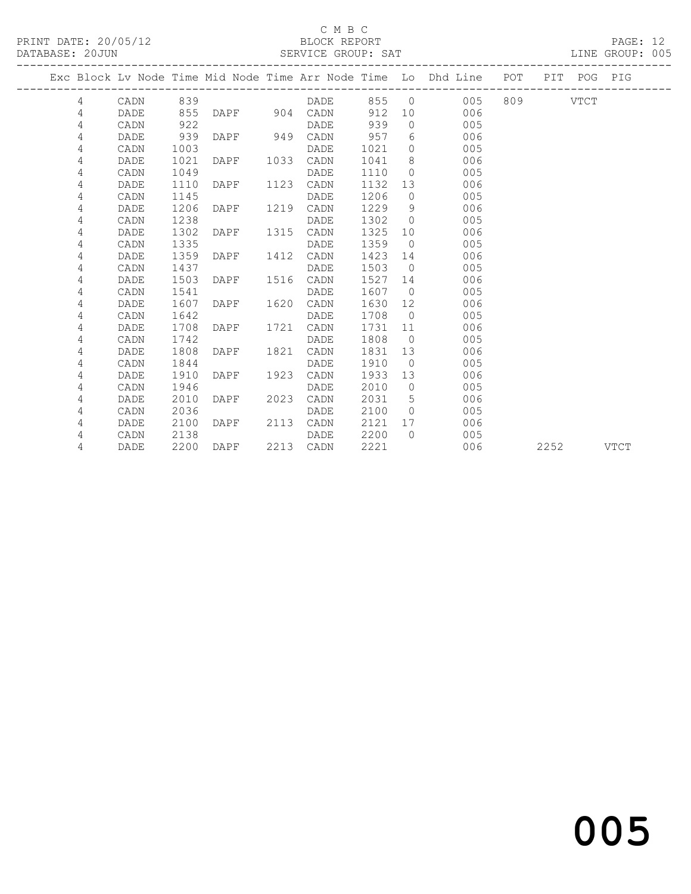### C M B C<br>BLOCK REPORT

### SERVICE GROUP: SAT

|   |      |      |          |      | ------------------------- |         |                | Exc Block Lv Node Time Mid Node Time Arr Node Time Lo Dhd Line POT |          |      | PIT POG PIG |             |
|---|------|------|----------|------|---------------------------|---------|----------------|--------------------------------------------------------------------|----------|------|-------------|-------------|
| 4 | CADN | 839  |          |      | DADE                      |         |                | 855 0<br>005                                                       | 809 VTCT |      |             |             |
| 4 | DADE | 855  |          |      | DAPF 904 CADN             | 912     |                | 006<br>10                                                          |          |      |             |             |
| 4 | CADN | 922  |          |      | DADE                      | 939     | $\bigcirc$     | 005                                                                |          |      |             |             |
| 4 | DADE | 939  | DAPF 949 |      | CADN                      | 957     | 6              | 006                                                                |          |      |             |             |
| 4 | CADN | 1003 |          |      | DADE                      | 1021    |                | $\Omega$<br>005                                                    |          |      |             |             |
| 4 | DADE | 1021 | DAPF     | 1033 | CADN                      | 1041    | 8 <sup>8</sup> | 006                                                                |          |      |             |             |
| 4 | CADN | 1049 |          |      | DADE                      | 1110    | $\overline{0}$ | 005                                                                |          |      |             |             |
| 4 | DADE | 1110 | DAPF     | 1123 | CADN                      | 1132 13 |                | 006                                                                |          |      |             |             |
| 4 | CADN | 1145 |          |      | DADE                      | 1206    | $\overline{0}$ | 005                                                                |          |      |             |             |
| 4 | DADE | 1206 | DAPF     | 1219 | CADN                      | 1229    | 9              | 006                                                                |          |      |             |             |
| 4 | CADN | 1238 |          |      | DADE                      | 1302    | $\overline{0}$ | 005                                                                |          |      |             |             |
| 4 | DADE | 1302 | DAPF     | 1315 | CADN                      | 1325    | 10             | 006                                                                |          |      |             |             |
| 4 | CADN | 1335 |          |      | DADE                      | 1359    | $\overline{0}$ | 005                                                                |          |      |             |             |
| 4 | DADE | 1359 | DAPF     | 1412 | CADN                      | 1423    |                | 006<br>14                                                          |          |      |             |             |
| 4 | CADN | 1437 |          |      | DADE                      | 1503 0  |                | 005                                                                |          |      |             |             |
| 4 | DADE | 1503 | DAPF     | 1516 | CADN                      | 1527    | 14             | 006                                                                |          |      |             |             |
| 4 | CADN | 1541 |          |      | DADE                      | 1607    |                | $\overline{0}$<br>005                                              |          |      |             |             |
| 4 | DADE | 1607 | DAPF     | 1620 | CADN                      | 1630    | 12             | 006                                                                |          |      |             |             |
| 4 | CADN | 1642 |          |      | DADE                      | 1708    | $\bigcirc$     | 005                                                                |          |      |             |             |
| 4 | DADE | 1708 | DAPF     | 1721 | CADN                      | 1731    | 11             | 006                                                                |          |      |             |             |
| 4 | CADN | 1742 |          |      | DADE                      | 1808    | $\overline{0}$ | 005                                                                |          |      |             |             |
| 4 | DADE | 1808 | DAPF     | 1821 | CADN                      | 1831    |                | 006<br>13                                                          |          |      |             |             |
| 4 | CADN | 1844 |          |      | DADE                      | 1910    | $\overline{0}$ | 005                                                                |          |      |             |             |
| 4 | DADE | 1910 | DAPF     | 1923 | CADN                      | 1933    | 13             | 006                                                                |          |      |             |             |
| 4 | CADN | 1946 |          |      | DADE                      | 2010    | $\overline{0}$ | 005                                                                |          |      |             |             |
| 4 | DADE | 2010 | DAPF     | 2023 | CADN                      | 2031    | $5^{\circ}$    | 006                                                                |          |      |             |             |
| 4 | CADN | 2036 |          |      | DADE                      | 2100    | $\bigcirc$     | 005                                                                |          |      |             |             |
| 4 | DADE | 2100 | DAPF     | 2113 | CADN                      | 2121    | 17             | 006                                                                |          |      |             |             |
| 4 | CADN | 2138 |          |      | DADE                      | 2200    | $\bigcap$      | 005                                                                |          |      |             |             |
| 4 | DADE | 2200 | DAPF     |      | 2213 CADN                 | 2221    |                | 006                                                                |          | 2252 |             | <b>VTCT</b> |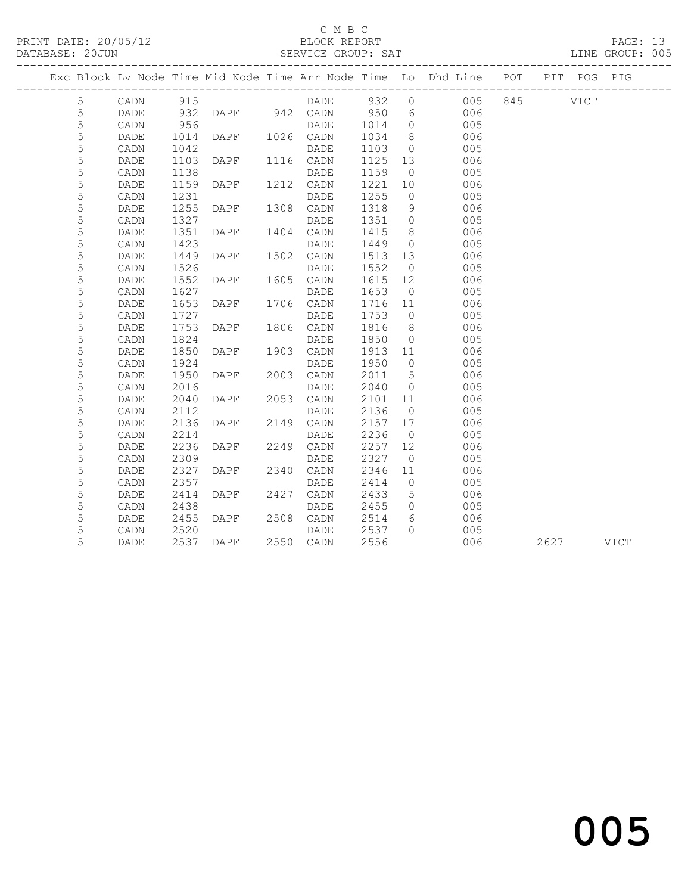### C M B C

PRINT DATE: 20/05/12 BLOCK REPORT PAGE: 13

DATABASE: 20JUN SERVICE GROUP: SAT DATABASE: 20JUN 905

 5 CADN 2309 DADE 2327 0 005 5 DADE 2327 DAPF 2340 CADN 2346 11<br>5 CADN 2357 DAPF DADE 2414 0

 5 CADN 2438 DADE 2455 0 005 5 DADE 2455 DAPF 2508 CADN 2514 6 006 5 CADN 2520 DADE 2537 0 005

5 DADE 2414 DAPF 2427 CADN 2433 5 006

5 DADE 2537 DAPF 2550 CADN 2556 006 2627 VTCT

------------------------------------------------------------------------------------------------- Exc Block Lv Node Time Mid Node Time Arr Node Time Lo Dhd Line POT PIT POG PIG ------------------------------------------------------------------------------------------------- 5 CADN 915 DADE 932 0 005 845 VTCT<br>5 DADE 932 DAPF 942 CADN 950 6 006<br>5 CADN 956 DADE 1014 0 005 5 DADE 932 DAPF 942 CADN 950 6 006 5 CADN 956 DADE 1014 0 005 5 DADE 1014 DAPF 1026 CADN 1034 8 006 5 CADN 1042 DADE 1103 0 005 5 DADE 1103 DAPF 1116 CADN 1125 13 006 5 CADN 1138 DADE 1159 0 005 5 DADE 1159 DAPF 1212 CADN 1221 10 006 5 CADN 1231 DADE 1255 0 005 5 DADE 1255 DAPF 1308 CADN 1318 9 006 5 CADN 1327 DADE 1351 0 005 1351 DAPF 1404 CADN 1415 8<br>
5 CADN 1423 DADE 1449 0 005<br>
5 DADE 1449 DAPF 1502 CADN 1513 13 006 5 CADN 1423 DADE 1449 0<br>5 DADE 1449 DAPF 1502 CADN 1513 13 5 DADE 1449 DAPF 1502 CADN 1513 13 006<br>5 CADN 1526 DADE 1552 0 005<br>5 DADE 1552 DAPF 1605 CADN 1615 12 006 5 CADN 1526 DADE 1552 0 005 5 DADE 1552 DAPF 1605 CADN 1615 12 006 5 CADN 1627 DADE 1653 0 005 5 DADE 1653 DAPF 1706 CADN 1716 11 006 5 CADN 1727 DADE 1753 0 005 5 DADE 1753 DAPF 1806 CADN 1816 8 006 5 CADN 1824 DADE 1850 0 005 5 DADE 1850 DAPF 1903 CADN 1913 11 006 5 CADN 1924 DADE 1950 0 005 5 DADE 1950 DAPF 2003 CADN 2011 5 006<br>5 CADN 2016 DADE 2040 0 005<br>5 DADE 2040 DAPF 2053 CADN 2101 11 006 5 CADN 2016 DADE 2040 0 005 5 DADE 2040 DAPF 2053 CADN 2101 11 006 5 CADN 2112 DADE 2136 0 005 5 DADE 2136 DAPF 2149 CADN 2157 17 006 5 CADN 2214 DADE 2236 0 005 5 DADE 2236 DAPF 2249 CADN 2257 12 006 1111 2115 CHER 2236<br>
DADE 2236 0 005<br>
DADE 2327 12 006<br>
DADE 2327 0 005<br>
DAPF 2340 CADN 2346 11 006<br>
DADE 2414 0 005<br>
DAPF 2427 CADN 2433 5 006

# and the contract of  $\sim$  005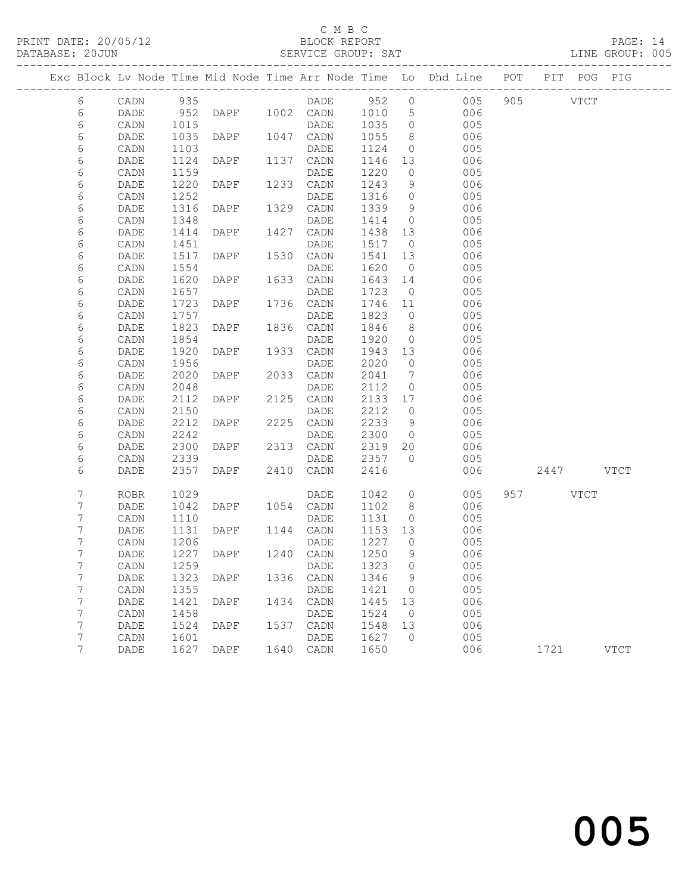PRINT DATE: 20/05/12 BLOCK REPORT BATABASE: 20JUN

### C M B C<br>BLOCK REPORT

PAGE: 14<br>LINE GROUP: 005

|        |              |              |                |      |                   |              |                     | Exc Block Lv Node Time Mid Node Time Arr Node Time Lo Dhd Line POT PIT POG PIG |           |             |
|--------|--------------|--------------|----------------|------|-------------------|--------------|---------------------|--------------------------------------------------------------------------------|-----------|-------------|
| $6\,$  | CADN         | 935          |                |      |                   |              |                     | DADE 952 0 005                                                                 | 905 VTCT  |             |
| 6      | DADE         | 952          | DAPF 1002 CADN |      |                   | 1010         | 5 <sup>5</sup>      | 006                                                                            |           |             |
| 6      | CADN         | 1015         |                |      | DADE              | 1035         | $\overline{0}$      | 005                                                                            |           |             |
| 6      | DADE         | 1035         | DAPF           |      | 1047 CADN         | 1055         | 8 <sup>8</sup>      | 006                                                                            |           |             |
| 6      | CADN         | 1103         |                |      | DADE              | 1124         | $\circ$             | 005                                                                            |           |             |
| 6      | DADE         | 1124         | DAPF           |      | 1137 CADN         | 1146         | 13                  | 006                                                                            |           |             |
| 6      | CADN         | 1159         |                |      | DADE              | 1220         | $\circ$             | 005                                                                            |           |             |
| 6      | DADE         | 1220         | DAPF           |      | 1233 CADN         | 1243         | 9                   | 006                                                                            |           |             |
| 6      | CADN         | 1252         |                |      | DADE              | 1316         | $\circ$             | 005                                                                            |           |             |
| 6      | DADE         | 1316         | DAPF           |      | 1329 CADN         | 1339         | 9                   | 006                                                                            |           |             |
| 6      | CADN         | 1348         |                |      | DADE              | 1414         | $\overline{0}$      | 005                                                                            |           |             |
| 6      | DADE         | 1414         | DAPF           | 1427 | CADN              | 1438         | 13                  | 006                                                                            |           |             |
| 6      | CADN         | 1451         |                |      | DADE              | 1517         | $\overline{0}$      | 005                                                                            |           |             |
| 6      | DADE         | 1517         | DAPF           |      | 1530 CADN         | 1541         | 13                  | 006                                                                            |           |             |
| 6      | CADN         | 1554         |                |      | DADE              | 1620         | $\overline{0}$      | 005                                                                            |           |             |
| 6      | DADE         | 1620         | DAPF           |      | 1633 CADN         | 1643         | 14                  | 006                                                                            |           |             |
| 6      | CADN         | 1657         |                |      | DADE              | 1723         | $\overline{0}$      | 005                                                                            |           |             |
| 6      | DADE         | 1723         | DAPF           |      | 1736 CADN         | 1746         | 11                  | 006                                                                            |           |             |
| 6      | CADN         | 1757         |                |      | DADE              | 1823         | $\overline{0}$      | 005                                                                            |           |             |
| 6      | DADE         | 1823         | DAPF           |      | 1836 CADN         | 1846         | 8 <sup>8</sup>      | 006                                                                            |           |             |
| 6      | CADN         | 1854         |                |      | DADE              | 1920         | $\overline{0}$      | 005                                                                            |           |             |
| 6      | DADE         | 1920         | DAPF           | 1933 | CADN              | 1943         | 13                  | 006                                                                            |           |             |
| 6      | CADN         | 1956         |                |      | DADE              | 2020         | $\overline{0}$      | 005                                                                            |           |             |
| 6      | DADE         | 2020         | DAPF           | 2033 | CADN              | 2041         | $7\phantom{.0}\,$   | 006                                                                            |           |             |
| 6      | CADN         | 2048         |                |      | DADE              | 2112         | $\circ$             | 005                                                                            |           |             |
| 6      | DADE         | 2112         | DAPF           | 2125 | CADN              | 2133         | 17                  | 006                                                                            |           |             |
| 6      | CADN         | 2150         |                |      | DADE              | 2212         | $\overline{0}$      | 005                                                                            |           |             |
| 6      | DADE         | 2212<br>2242 | DAPF           |      | 2225 CADN<br>DADE | 2233<br>2300 | 9<br>$\overline{0}$ | 006<br>005                                                                     |           |             |
| 6<br>6 | CADN         |              |                | 2313 |                   |              | 20                  | 006                                                                            |           |             |
| 6      | DADE<br>CADN | 2300<br>2339 | DAPF           |      | CADN<br>DADE      | 2319<br>2357 | $\overline{0}$      | 005                                                                            |           |             |
| 6      | DADE         | 2357         | DAPF           |      | 2410 CADN         | 2416         |                     | 006                                                                            | 2447 VTCT |             |
|        |              |              |                |      |                   |              |                     |                                                                                |           |             |
| 7      | <b>ROBR</b>  | 1029         |                |      | DADE              | 1042         | $\circ$             | 005                                                                            | 957 VTCT  |             |
| 7      | DADE         | 1042         | DAPF           |      | 1054 CADN         | 1102         | 8                   | 006                                                                            |           |             |
| 7      | CADN         | 1110         |                |      | DADE              | 1131         | $\circ$             | 005                                                                            |           |             |
| 7      | DADE         | 1131         | DAPF           |      | 1144 CADN         | 1153 13      |                     | 006                                                                            |           |             |
| 7      | CADN         | 1206         |                |      | DADE              | 1227         | $\bigcirc$          | 005                                                                            |           |             |
| 7      | DADE         | 1227         | DAPF 1240 CADN |      |                   | 1250         | 9                   | 006                                                                            |           |             |
| 7      | CADN 1259    |              |                |      | DADE 1323 0       |              |                     | 005                                                                            |           |             |
| 7      | DADE         | 1323         | DAPF           | 1336 | CADN              | 1346         | 9                   | 006                                                                            |           |             |
| 7      | CADN         | 1355         |                |      | DADE              | 1421         | 0                   | 005                                                                            |           |             |
| 7      | DADE         | 1421         | DAPF           | 1434 | CADN              | 1445         | 13                  | 006                                                                            |           |             |
| 7      | CADN         | 1458         |                |      | DADE              | 1524         | $\overline{0}$      | 005                                                                            |           |             |
| 7      | DADE         | 1524         | DAPF           | 1537 | CADN              | 1548         | 13                  | 006                                                                            |           |             |
| 7      | CADN         | 1601         |                |      | DADE              | 1627         | $\Omega$            | 005                                                                            |           |             |
| 7      | DADE         | 1627         | DAPF           | 1640 | CADN              | 1650         |                     | 006                                                                            | 1721      | <b>VTCT</b> |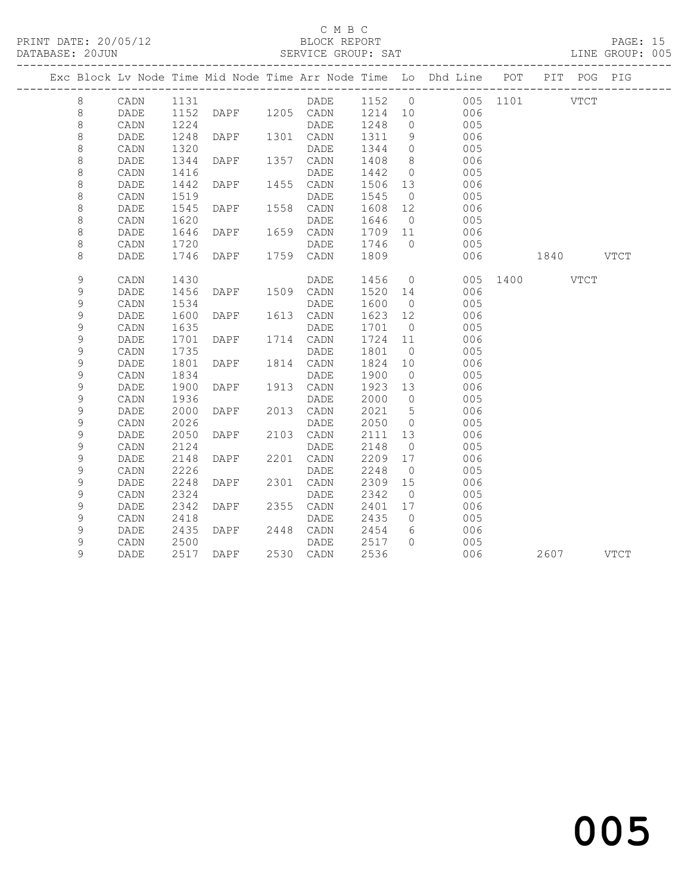### C M B C

| Exc Block Lv Node Time Mid Node Time Arr Node Time Lo Dhd Line POT PIT POG PIG<br>DADE 1152 0 005 1101 VTCT<br>8<br>CADN 1131<br>DAPF 1205 CADN 1214 10 006<br>$\,8\,$<br>1152<br>DADE<br>$\,8\,$<br>1224<br>1248<br>$\overline{0}$<br>005<br>CADN<br>DADE<br>$\,8\,$<br>DAPF 1301 CADN<br>1248<br>1311<br>9<br>006<br>DADE<br>8<br>CADN<br>1320<br>DADE<br>1344<br>$\overline{0}$<br>005<br>DAPF 1357 CADN<br>$\,8\,$<br>DADE<br>1344<br>1408<br>8 <sup>8</sup><br>006<br>$\,8\,$<br>$\overline{0}$<br>005<br>CADN<br>1416<br>DADE<br>1442<br>DAPF<br>$\,8\,$<br>1442<br>1455 CADN<br>1506 13<br>006<br>DADE<br>8<br>1519<br>DADE<br>1545<br>$\overline{0}$<br>005<br>CADN<br>$\,8\,$<br>DADE<br>1545<br>DAPF 1558 CADN<br>1608<br>12<br>006<br>$\,8\,$<br>1620<br>CADN<br>DADE<br>1646<br>$\overline{0}$<br>005<br>$\,8\,$<br>1646<br>DAPF<br>1659 CADN<br>1709 11<br>006<br>DADE<br>8<br>1720<br>1746<br>$\overline{0}$<br>005<br>CADN<br>DADE<br>DAPF 1759 CADN<br>8<br>1746<br>1809<br>006<br>1840 VTCT<br>DADE<br>$\mathsf 9$<br>1456 0<br>1430<br>005 1400 VTCT<br>CADN<br>DADE<br>DAPF 1509 CADN<br>9<br>1456<br>1520 14<br>006<br>DADE<br>9<br>CADN<br>1534<br>1600<br>005<br>DADE<br>$\overline{0}$<br>$\mathsf 9$<br>1600<br>1623 12<br>006<br>DADE<br>DAPF<br>1613 CADN<br>$\mathsf 9$<br>1635<br>1701<br>005<br>CADN<br>DADE<br>$\overline{0}$<br>9<br>DAPF<br>1724<br>1701<br>1714 CADN<br>11<br>006<br>DADE<br>9<br>1735<br>CADN<br>DADE<br>1801<br>$\overline{0}$<br>005<br>$\mathsf 9$<br>1801<br>DAPF<br>1814 CADN<br>1824<br>10<br>006<br>DADE<br>$\mathsf 9$<br>1834<br>1900<br>$\overline{0}$<br>005<br>CADN<br>DADE<br>9<br>1900<br>DAPF 1913 CADN<br>1923 13<br>006<br>DADE<br>9<br>1936<br>2000<br>CADN<br>$\overline{0}$<br>005<br>DADE<br>$\mathsf 9$<br>2000<br>2021<br>$5^{\circ}$<br>DAPF 2013 CADN<br>006<br>DADE<br>$\mathsf 9$<br>2026<br>2050<br>005<br>CADN<br>DADE<br>$\overline{0}$<br>9<br>2050<br>DAPF 2103 CADN<br>2111<br>DADE<br>13<br>006 |  |
|-------------------------------------------------------------------------------------------------------------------------------------------------------------------------------------------------------------------------------------------------------------------------------------------------------------------------------------------------------------------------------------------------------------------------------------------------------------------------------------------------------------------------------------------------------------------------------------------------------------------------------------------------------------------------------------------------------------------------------------------------------------------------------------------------------------------------------------------------------------------------------------------------------------------------------------------------------------------------------------------------------------------------------------------------------------------------------------------------------------------------------------------------------------------------------------------------------------------------------------------------------------------------------------------------------------------------------------------------------------------------------------------------------------------------------------------------------------------------------------------------------------------------------------------------------------------------------------------------------------------------------------------------------------------------------------------------------------------------------------------------------------------------------------------------------------------------------------------------------------------------------------------------------------------------------------------------------------------------------------|--|
|                                                                                                                                                                                                                                                                                                                                                                                                                                                                                                                                                                                                                                                                                                                                                                                                                                                                                                                                                                                                                                                                                                                                                                                                                                                                                                                                                                                                                                                                                                                                                                                                                                                                                                                                                                                                                                                                                                                                                                                     |  |
|                                                                                                                                                                                                                                                                                                                                                                                                                                                                                                                                                                                                                                                                                                                                                                                                                                                                                                                                                                                                                                                                                                                                                                                                                                                                                                                                                                                                                                                                                                                                                                                                                                                                                                                                                                                                                                                                                                                                                                                     |  |
|                                                                                                                                                                                                                                                                                                                                                                                                                                                                                                                                                                                                                                                                                                                                                                                                                                                                                                                                                                                                                                                                                                                                                                                                                                                                                                                                                                                                                                                                                                                                                                                                                                                                                                                                                                                                                                                                                                                                                                                     |  |
|                                                                                                                                                                                                                                                                                                                                                                                                                                                                                                                                                                                                                                                                                                                                                                                                                                                                                                                                                                                                                                                                                                                                                                                                                                                                                                                                                                                                                                                                                                                                                                                                                                                                                                                                                                                                                                                                                                                                                                                     |  |
|                                                                                                                                                                                                                                                                                                                                                                                                                                                                                                                                                                                                                                                                                                                                                                                                                                                                                                                                                                                                                                                                                                                                                                                                                                                                                                                                                                                                                                                                                                                                                                                                                                                                                                                                                                                                                                                                                                                                                                                     |  |
|                                                                                                                                                                                                                                                                                                                                                                                                                                                                                                                                                                                                                                                                                                                                                                                                                                                                                                                                                                                                                                                                                                                                                                                                                                                                                                                                                                                                                                                                                                                                                                                                                                                                                                                                                                                                                                                                                                                                                                                     |  |
|                                                                                                                                                                                                                                                                                                                                                                                                                                                                                                                                                                                                                                                                                                                                                                                                                                                                                                                                                                                                                                                                                                                                                                                                                                                                                                                                                                                                                                                                                                                                                                                                                                                                                                                                                                                                                                                                                                                                                                                     |  |
|                                                                                                                                                                                                                                                                                                                                                                                                                                                                                                                                                                                                                                                                                                                                                                                                                                                                                                                                                                                                                                                                                                                                                                                                                                                                                                                                                                                                                                                                                                                                                                                                                                                                                                                                                                                                                                                                                                                                                                                     |  |
|                                                                                                                                                                                                                                                                                                                                                                                                                                                                                                                                                                                                                                                                                                                                                                                                                                                                                                                                                                                                                                                                                                                                                                                                                                                                                                                                                                                                                                                                                                                                                                                                                                                                                                                                                                                                                                                                                                                                                                                     |  |
|                                                                                                                                                                                                                                                                                                                                                                                                                                                                                                                                                                                                                                                                                                                                                                                                                                                                                                                                                                                                                                                                                                                                                                                                                                                                                                                                                                                                                                                                                                                                                                                                                                                                                                                                                                                                                                                                                                                                                                                     |  |
|                                                                                                                                                                                                                                                                                                                                                                                                                                                                                                                                                                                                                                                                                                                                                                                                                                                                                                                                                                                                                                                                                                                                                                                                                                                                                                                                                                                                                                                                                                                                                                                                                                                                                                                                                                                                                                                                                                                                                                                     |  |
|                                                                                                                                                                                                                                                                                                                                                                                                                                                                                                                                                                                                                                                                                                                                                                                                                                                                                                                                                                                                                                                                                                                                                                                                                                                                                                                                                                                                                                                                                                                                                                                                                                                                                                                                                                                                                                                                                                                                                                                     |  |
|                                                                                                                                                                                                                                                                                                                                                                                                                                                                                                                                                                                                                                                                                                                                                                                                                                                                                                                                                                                                                                                                                                                                                                                                                                                                                                                                                                                                                                                                                                                                                                                                                                                                                                                                                                                                                                                                                                                                                                                     |  |
|                                                                                                                                                                                                                                                                                                                                                                                                                                                                                                                                                                                                                                                                                                                                                                                                                                                                                                                                                                                                                                                                                                                                                                                                                                                                                                                                                                                                                                                                                                                                                                                                                                                                                                                                                                                                                                                                                                                                                                                     |  |
|                                                                                                                                                                                                                                                                                                                                                                                                                                                                                                                                                                                                                                                                                                                                                                                                                                                                                                                                                                                                                                                                                                                                                                                                                                                                                                                                                                                                                                                                                                                                                                                                                                                                                                                                                                                                                                                                                                                                                                                     |  |
|                                                                                                                                                                                                                                                                                                                                                                                                                                                                                                                                                                                                                                                                                                                                                                                                                                                                                                                                                                                                                                                                                                                                                                                                                                                                                                                                                                                                                                                                                                                                                                                                                                                                                                                                                                                                                                                                                                                                                                                     |  |
|                                                                                                                                                                                                                                                                                                                                                                                                                                                                                                                                                                                                                                                                                                                                                                                                                                                                                                                                                                                                                                                                                                                                                                                                                                                                                                                                                                                                                                                                                                                                                                                                                                                                                                                                                                                                                                                                                                                                                                                     |  |
|                                                                                                                                                                                                                                                                                                                                                                                                                                                                                                                                                                                                                                                                                                                                                                                                                                                                                                                                                                                                                                                                                                                                                                                                                                                                                                                                                                                                                                                                                                                                                                                                                                                                                                                                                                                                                                                                                                                                                                                     |  |
|                                                                                                                                                                                                                                                                                                                                                                                                                                                                                                                                                                                                                                                                                                                                                                                                                                                                                                                                                                                                                                                                                                                                                                                                                                                                                                                                                                                                                                                                                                                                                                                                                                                                                                                                                                                                                                                                                                                                                                                     |  |
|                                                                                                                                                                                                                                                                                                                                                                                                                                                                                                                                                                                                                                                                                                                                                                                                                                                                                                                                                                                                                                                                                                                                                                                                                                                                                                                                                                                                                                                                                                                                                                                                                                                                                                                                                                                                                                                                                                                                                                                     |  |
|                                                                                                                                                                                                                                                                                                                                                                                                                                                                                                                                                                                                                                                                                                                                                                                                                                                                                                                                                                                                                                                                                                                                                                                                                                                                                                                                                                                                                                                                                                                                                                                                                                                                                                                                                                                                                                                                                                                                                                                     |  |
|                                                                                                                                                                                                                                                                                                                                                                                                                                                                                                                                                                                                                                                                                                                                                                                                                                                                                                                                                                                                                                                                                                                                                                                                                                                                                                                                                                                                                                                                                                                                                                                                                                                                                                                                                                                                                                                                                                                                                                                     |  |
|                                                                                                                                                                                                                                                                                                                                                                                                                                                                                                                                                                                                                                                                                                                                                                                                                                                                                                                                                                                                                                                                                                                                                                                                                                                                                                                                                                                                                                                                                                                                                                                                                                                                                                                                                                                                                                                                                                                                                                                     |  |
|                                                                                                                                                                                                                                                                                                                                                                                                                                                                                                                                                                                                                                                                                                                                                                                                                                                                                                                                                                                                                                                                                                                                                                                                                                                                                                                                                                                                                                                                                                                                                                                                                                                                                                                                                                                                                                                                                                                                                                                     |  |
|                                                                                                                                                                                                                                                                                                                                                                                                                                                                                                                                                                                                                                                                                                                                                                                                                                                                                                                                                                                                                                                                                                                                                                                                                                                                                                                                                                                                                                                                                                                                                                                                                                                                                                                                                                                                                                                                                                                                                                                     |  |
|                                                                                                                                                                                                                                                                                                                                                                                                                                                                                                                                                                                                                                                                                                                                                                                                                                                                                                                                                                                                                                                                                                                                                                                                                                                                                                                                                                                                                                                                                                                                                                                                                                                                                                                                                                                                                                                                                                                                                                                     |  |
|                                                                                                                                                                                                                                                                                                                                                                                                                                                                                                                                                                                                                                                                                                                                                                                                                                                                                                                                                                                                                                                                                                                                                                                                                                                                                                                                                                                                                                                                                                                                                                                                                                                                                                                                                                                                                                                                                                                                                                                     |  |
|                                                                                                                                                                                                                                                                                                                                                                                                                                                                                                                                                                                                                                                                                                                                                                                                                                                                                                                                                                                                                                                                                                                                                                                                                                                                                                                                                                                                                                                                                                                                                                                                                                                                                                                                                                                                                                                                                                                                                                                     |  |
|                                                                                                                                                                                                                                                                                                                                                                                                                                                                                                                                                                                                                                                                                                                                                                                                                                                                                                                                                                                                                                                                                                                                                                                                                                                                                                                                                                                                                                                                                                                                                                                                                                                                                                                                                                                                                                                                                                                                                                                     |  |
| 9<br>2124<br>CADN<br>2148<br>$\overline{0}$<br>005<br>DADE                                                                                                                                                                                                                                                                                                                                                                                                                                                                                                                                                                                                                                                                                                                                                                                                                                                                                                                                                                                                                                                                                                                                                                                                                                                                                                                                                                                                                                                                                                                                                                                                                                                                                                                                                                                                                                                                                                                          |  |
| 9<br>2148<br>DAPF<br>2201 CADN<br>2209<br>17<br>006<br>DADE                                                                                                                                                                                                                                                                                                                                                                                                                                                                                                                                                                                                                                                                                                                                                                                                                                                                                                                                                                                                                                                                                                                                                                                                                                                                                                                                                                                                                                                                                                                                                                                                                                                                                                                                                                                                                                                                                                                         |  |
| 9<br>$\mathtt{CADN}$<br>2226<br>DADE<br>2248<br>005<br>$\overline{0}$                                                                                                                                                                                                                                                                                                                                                                                                                                                                                                                                                                                                                                                                                                                                                                                                                                                                                                                                                                                                                                                                                                                                                                                                                                                                                                                                                                                                                                                                                                                                                                                                                                                                                                                                                                                                                                                                                                               |  |
| 9<br>DAPF<br>2301 CADN<br>2248<br>2309<br>15<br>006<br>DADE                                                                                                                                                                                                                                                                                                                                                                                                                                                                                                                                                                                                                                                                                                                                                                                                                                                                                                                                                                                                                                                                                                                                                                                                                                                                                                                                                                                                                                                                                                                                                                                                                                                                                                                                                                                                                                                                                                                         |  |
| 9<br>2324<br>2342<br>CADN<br>DADE<br>$\overline{0}$<br>005                                                                                                                                                                                                                                                                                                                                                                                                                                                                                                                                                                                                                                                                                                                                                                                                                                                                                                                                                                                                                                                                                                                                                                                                                                                                                                                                                                                                                                                                                                                                                                                                                                                                                                                                                                                                                                                                                                                          |  |
| 9<br>2342<br>DAPF<br>2355 CADN<br>2401<br>17<br>006<br>DADE                                                                                                                                                                                                                                                                                                                                                                                                                                                                                                                                                                                                                                                                                                                                                                                                                                                                                                                                                                                                                                                                                                                                                                                                                                                                                                                                                                                                                                                                                                                                                                                                                                                                                                                                                                                                                                                                                                                         |  |
| 9<br>2418<br>$\mathtt{CADN}$<br>DADE<br>2435<br>$\overline{0}$<br>005                                                                                                                                                                                                                                                                                                                                                                                                                                                                                                                                                                                                                                                                                                                                                                                                                                                                                                                                                                                                                                                                                                                                                                                                                                                                                                                                                                                                                                                                                                                                                                                                                                                                                                                                                                                                                                                                                                               |  |
| 9<br>DAPF 2448 CADN<br>2454<br>DADE<br>2435<br>6<br>006                                                                                                                                                                                                                                                                                                                                                                                                                                                                                                                                                                                                                                                                                                                                                                                                                                                                                                                                                                                                                                                                                                                                                                                                                                                                                                                                                                                                                                                                                                                                                                                                                                                                                                                                                                                                                                                                                                                             |  |
| 9<br>2500<br>2517<br>$\bigcap$<br>CADN<br>DADE<br>005                                                                                                                                                                                                                                                                                                                                                                                                                                                                                                                                                                                                                                                                                                                                                                                                                                                                                                                                                                                                                                                                                                                                                                                                                                                                                                                                                                                                                                                                                                                                                                                                                                                                                                                                                                                                                                                                                                                               |  |
| 9<br>2517 DAPF<br>2536<br><b>DADE</b><br>2530 CADN<br>006<br>2607 VTCT                                                                                                                                                                                                                                                                                                                                                                                                                                                                                                                                                                                                                                                                                                                                                                                                                                                                                                                                                                                                                                                                                                                                                                                                                                                                                                                                                                                                                                                                                                                                                                                                                                                                                                                                                                                                                                                                                                              |  |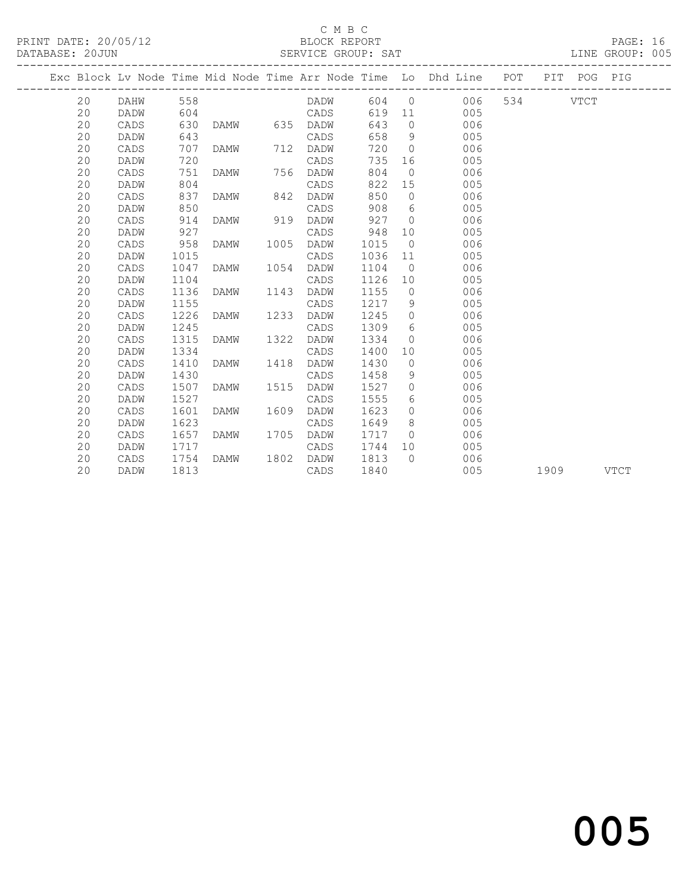### C M B C<br>BLOCK REPORT

| DATABASE: 20JUN |         |      |                |      |      |      |                | SERVICE GROUP: SAT                                                             |              |  | LINE GROUP: 005 |  |
|-----------------|---------|------|----------------|------|------|------|----------------|--------------------------------------------------------------------------------|--------------|--|-----------------|--|
|                 |         |      |                |      |      |      |                | Exc Block Lv Node Time Mid Node Time Arr Node Time Lo Dhd Line POT PIT POG PIG |              |  |                 |  |
|                 | 20 DAHW | 558  |                |      | DADW |      |                | 604 0                                                                          | 006 534 VTCT |  |                 |  |
| 20              | DADW    | 604  |                |      | CADS | 619  |                | 11 7<br>005                                                                    |              |  |                 |  |
| 20              | CADS    | 630  | DAMW 635       |      | DADW | 643  | $\Omega$       | 006                                                                            |              |  |                 |  |
| 20              | DADW    | 643  |                |      | CADS | 658  |                | 9<br>005                                                                       |              |  |                 |  |
| 20              | CADS    | 707  | DAMW 712       |      | DADW | 720  | $\bigcirc$     | 006                                                                            |              |  |                 |  |
| 20              | DADW    | 720  |                |      | CADS | 735  |                | 16<br>005                                                                      |              |  |                 |  |
| 20              | CADS    | 751  | DAMW 756       |      | DADW | 804  | $\overline{0}$ | 006                                                                            |              |  |                 |  |
| 20              | DADW    | 804  |                |      | CADS | 822  |                | 005<br>15                                                                      |              |  |                 |  |
| 20              | CADS    | 837  | DAMW 842       |      | DADW | 850  | $\overline{0}$ | 006                                                                            |              |  |                 |  |
| 20              | DADW    | 850  |                |      | CADS | 908  | 6              | 005                                                                            |              |  |                 |  |
| 20              | CADS    | 914  | DAMW 919       |      | DADW | 927  | $\bigcirc$     | 006                                                                            |              |  |                 |  |
| 20              | DADW    | 927  |                |      | CADS | 948  | 10             | 005                                                                            |              |  |                 |  |
| 20              | CADS    | 958  | DAMW           | 1005 | DADW | 1015 | $\bigcirc$     | 006                                                                            |              |  |                 |  |
| 20              | DADW    | 1015 |                |      | CADS | 1036 | 11             | 005                                                                            |              |  |                 |  |
| 20              | CADS    | 1047 | DAMW 1054      |      | DADW | 1104 | $\overline{0}$ | 006                                                                            |              |  |                 |  |
| 20              | DADW    | 1104 |                |      | CADS | 1126 | 10             | 005                                                                            |              |  |                 |  |
| 20              | CADS    | 1136 | DAMW           | 1143 | DADW | 1155 | $\overline{0}$ | 006                                                                            |              |  |                 |  |
| 20              | DADW    | 1155 |                |      | CADS | 1217 | 9              | 005                                                                            |              |  |                 |  |
| 20              | CADS    | 1226 | DAMW           | 1233 | DADW | 1245 | $\bigcirc$     | 006                                                                            |              |  |                 |  |
| 20              | DADW    | 1245 |                |      | CADS | 1309 | 6              | 005                                                                            |              |  |                 |  |
| 20              | CADS    | 1315 | DAMW           | 1322 | DADW | 1334 | $\overline{0}$ | 006                                                                            |              |  |                 |  |
| 20              | DADW    | 1334 |                |      | CADS | 1400 | 10             | 005                                                                            |              |  |                 |  |
| 20              | CADS    | 1410 | DAMW 1418 DADW |      |      | 1430 | $\overline{0}$ | 006                                                                            |              |  |                 |  |
| 20              | DADW    | 1430 |                |      | CADS | 1458 | 9              | 005                                                                            |              |  |                 |  |

20 CADS 1507 DAMW 1515 DADW 1527 0 006

20 CADS 1601 DAMW 1609 DADW 1623 0 006

 20 CADS 1657 DAMW 1705 DADW 1717 0 006 20 DADW 1717 CADS 1744 10 005 20 CADS 1754 DAMW 1802 DADW 1813 0 006

20 DADW 1527 CADS 1555 6 005

20 DADW 1623 CADS 1649 8 005

# and the contract of  $\sim$  005

1909 VTCT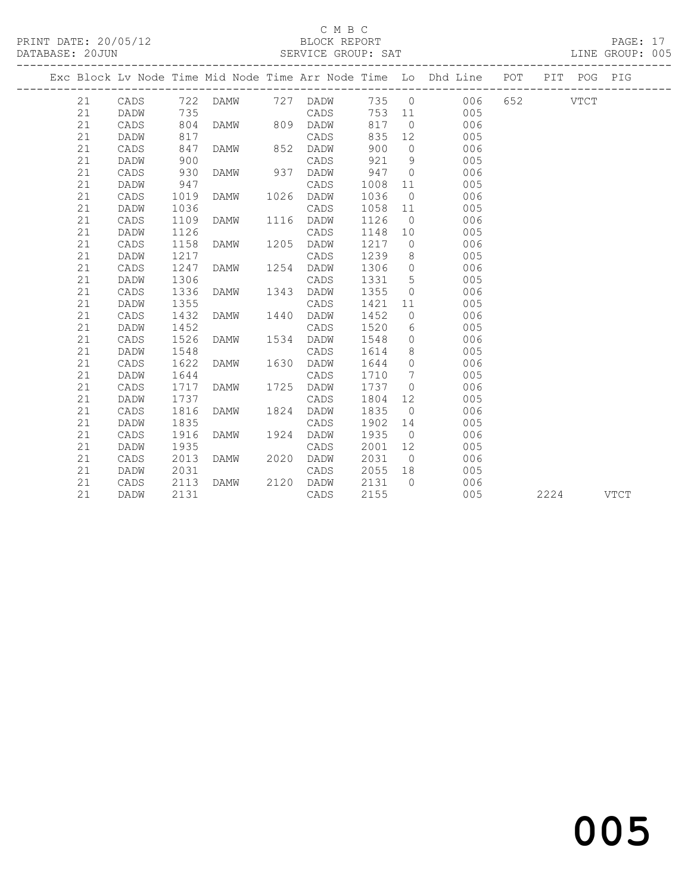## C M B C<br>BLOCK REPORT

PRINT DATE: 20/05/12 BLOCK REPORT PAGE: 17 SERVICE GROUP: SAT -------------------------------------------------------------------------------------------------

| Exc Block Lv Node Time Mid Node Time Arr Node Time Lo Dhd Line |              |              |             |      |              |              |                |            | POT | PIT  | POG         | PIG         |  |
|----------------------------------------------------------------|--------------|--------------|-------------|------|--------------|--------------|----------------|------------|-----|------|-------------|-------------|--|
| 21                                                             | CADS         | 722          | DAMW        |      | 727 DADW     | 735          | $\overline{0}$ | 006        | 652 |      | <b>VTCT</b> |             |  |
| 21                                                             | DADW         | 735          |             |      | CADS         | 753          | 11             | 005        |     |      |             |             |  |
| 21                                                             | CADS         | 804          | <b>DAMW</b> | 809  | DADW         | 817          | $\circ$        | 006        |     |      |             |             |  |
| 21                                                             | DADW         | 817          |             |      | CADS         | 835          | 12             | 005        |     |      |             |             |  |
| 21                                                             | CADS         | 847          | DAMW        | 852  | DADW         | 900          | $\mathbf 0$    | 006        |     |      |             |             |  |
| 21                                                             | DADW         | 900          |             |      | CADS         | 921          | 9              | 005        |     |      |             |             |  |
| 21                                                             | CADS         | 930          | <b>DAMW</b> | 937  | DADW         | 947          | $\Omega$       | 006        |     |      |             |             |  |
| 21                                                             | DADW         | 947          |             |      | CADS         | 1008         | 11             | 005        |     |      |             |             |  |
| 21                                                             | CADS         | 1019         | DAMW        | 1026 | DADW         | 1036         | $\overline{0}$ | 006        |     |      |             |             |  |
| 21                                                             | DADW         | 1036         |             |      | CADS         | 1058         | 11             | 005        |     |      |             |             |  |
| 21                                                             | CADS         | 1109         | DAMW        | 1116 | DADW         | 1126         | $\overline{0}$ | 006        |     |      |             |             |  |
| 21                                                             | DADW         | 1126         |             |      | CADS         | 1148         | 10             | 005        |     |      |             |             |  |
| 21                                                             | CADS         | 1158         | DAMW        | 1205 | DADW         | 1217         | $\circ$        | 006        |     |      |             |             |  |
| 21                                                             | DADW         | 1217         |             |      | CADS         | 1239         | 8              | 005        |     |      |             |             |  |
| 21                                                             | CADS         | 1247         | <b>DAMW</b> | 1254 | DADW         | 1306         | $\circ$        | 006        |     |      |             |             |  |
| 21                                                             | DADW         | 1306         |             |      | CADS         | 1331         | 5              | 005        |     |      |             |             |  |
| 21                                                             | CADS         | 1336         | DAMW        | 1343 | DADW         | 1355         | $\mathbf 0$    | 006        |     |      |             |             |  |
| 21                                                             | DADW         | 1355         |             |      | CADS         | 1421         | 11             | 005        |     |      |             |             |  |
| 21                                                             | CADS         | 1432         | <b>DAMW</b> | 1440 | DADW         | 1452         | $\circ$        | 006        |     |      |             |             |  |
| 21                                                             | DADW         | 1452         |             |      | CADS         | 1520         | 6              | 005        |     |      |             |             |  |
| 21<br>21                                                       | CADS<br>DADW | 1526<br>1548 | <b>DAMW</b> | 1534 | DADW<br>CADS | 1548<br>1614 | $\circ$<br>8   | 006<br>005 |     |      |             |             |  |
| 21                                                             | CADS         | 1622         | DAMW        | 1630 | DADW         | 1644         | 0              | 006        |     |      |             |             |  |
| 21                                                             | DADW         | 1644         |             |      | CADS         | 1710         | 7              | 005        |     |      |             |             |  |
| 21                                                             | CADS         | 1717         | DAMW        | 1725 | DADW         | 1737         | $\circ$        | 006        |     |      |             |             |  |
| 21                                                             | DADW         | 1737         |             |      | CADS         | 1804         | 12             | 005        |     |      |             |             |  |
| 21                                                             | CADS         | 1816         | <b>DAMW</b> | 1824 | DADW         | 1835         | $\Omega$       | 006        |     |      |             |             |  |
| 21                                                             | DADW         | 1835         |             |      | CADS         | 1902         | 14             | 005        |     |      |             |             |  |
| 21                                                             | CADS         | 1916         | <b>DAMW</b> | 1924 | DADW         | 1935         | $\overline{0}$ | 006        |     |      |             |             |  |
| 21                                                             | DADW         | 1935         |             |      | CADS         | 2001         | 12             | 005        |     |      |             |             |  |
| 21                                                             | CADS         | 2013         | DAMW        | 2020 | DADW         | 2031         | $\circ$        | 006        |     |      |             |             |  |
| 21                                                             | DADW         | 2031         |             |      | CADS         | 2055         | 18             | 005        |     |      |             |             |  |
| 21                                                             | CADS         | 2113         | <b>DAMW</b> | 2120 | DADW         | 2131         | $\Omega$       | 006        |     |      |             |             |  |
| 21                                                             | DADW         | 2131         |             |      | CADS         | 2155         |                | 005        |     | 2224 |             | <b>VTCT</b> |  |

and the contract of  $\sim$  005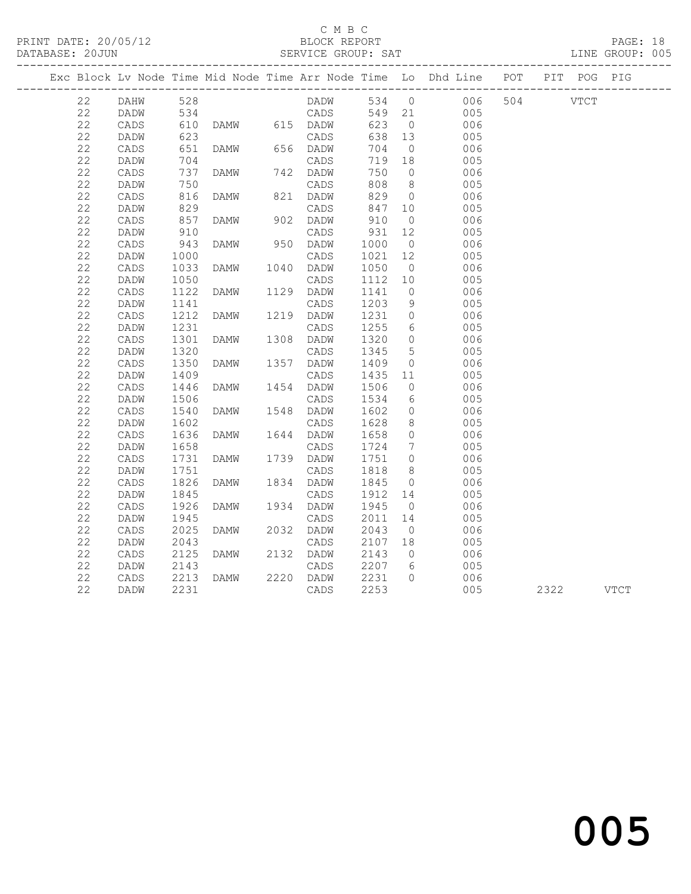PRINT DATE: 20/05/12 BLOCK REPORT BATABASE: 20JUN

### C M B C<br>BLOCK REPORT

PAGE: 18<br>LINE GROUP: 005

|  |          |                 |              |               |                   |              |                      | Exc Block Lv Node Time Mid Node Time Arr Node Time Lo Dhd Line POT PIT POG PIG |     |           |  |
|--|----------|-----------------|--------------|---------------|-------------------|--------------|----------------------|--------------------------------------------------------------------------------|-----|-----------|--|
|  | 22       | <b>DAHW</b>     | 528          |               | DADW              |              |                      | 534 0 006                                                                      | 504 | VTCT      |  |
|  | 22       | DADW            | 534          |               | CADS              | 549 21       |                      | 005                                                                            |     |           |  |
|  | 22       | CADS            | 610          | DAMW 615 DADW |                   | 623          | $\overline{0}$       | 006                                                                            |     |           |  |
|  | 22       | DADW            | 623          |               | CADS              | 638 13       |                      | 005                                                                            |     |           |  |
|  | 22       | CADS            | 651          | DAMW          | 656 DADW          | 704          | $\overline{0}$       | 006                                                                            |     |           |  |
|  | 22       | DADW            | 704          |               | CADS              | 719          | 18                   | 005                                                                            |     |           |  |
|  | 22       | CADS            | 737          | DAMW          | 742 DADW          | 750          | $\overline{0}$       | 006                                                                            |     |           |  |
|  | 22       | DADW            | 750          |               | CADS              | 808          | 8 <sup>8</sup>       | 005                                                                            |     |           |  |
|  | 22       | CADS            | 816          | DAMW          | 821 DADW          | 829          | $\overline{0}$       | 006                                                                            |     |           |  |
|  | 22       | DADW            | 829          |               | CADS              | 847          | 10                   | 005                                                                            |     |           |  |
|  | 22       | CADS            | 857          | DAMW          | 902 DADW          | 910          | $\overline{0}$       | 006                                                                            |     |           |  |
|  | 22       | DADW            | 910          |               | CADS              | 931          | 12                   | 005                                                                            |     |           |  |
|  | 22       | CADS            | 943          | DAMW          | 950 DADW          | 1000         | $\overline{0}$       | 006                                                                            |     |           |  |
|  | 22       | DADW            | 1000         |               | CADS              | 1021         | 12                   | 005                                                                            |     |           |  |
|  | 22       | CADS            | 1033         | DAMW          | 1040 DADW         | 1050         | $\overline{0}$       | 006                                                                            |     |           |  |
|  | 22       | DADW            | 1050         |               | CADS              | 1112         | 10                   | 005                                                                            |     |           |  |
|  | 22       | CADS            | 1122         | DAMW          | 1129 DADW         | 1141         | $\overline{0}$       | 006                                                                            |     |           |  |
|  | 22       | DADW            | 1141         |               | CADS              | 1203         | 9                    | 005                                                                            |     |           |  |
|  | 22       | CADS            | 1212         | DAMW          | 1219 DADW         | 1231         | $\overline{0}$       | 006                                                                            |     |           |  |
|  | 22       | DADW            | 1231         |               | CADS              | 1255         | 6                    | 005                                                                            |     |           |  |
|  | 22       | CADS            | 1301         | DAMW          | 1308 DADW         | 1320         | $\overline{0}$       | 006                                                                            |     |           |  |
|  | 22       | DADW            | 1320         |               | CADS              | 1345         | $5\phantom{.0}$      | 005                                                                            |     |           |  |
|  | 22       | $\mathtt{CADS}$ | 1350         | DAMW          | 1357 DADW         | 1409         | $\overline{0}$       | 006                                                                            |     |           |  |
|  | 22       | DADW            | 1409         |               | CADS              | 1435         | 11                   | 005                                                                            |     |           |  |
|  | 22       | CADS            | 1446         | DAMW          | 1454 DADW         | 1506         | $\bigcirc$           | 006                                                                            |     |           |  |
|  | 22       | DADW            | 1506         |               | CADS              | 1534         | 6                    | 005                                                                            |     |           |  |
|  | 22       | CADS            | 1540         | DAMW          | 1548 DADW         | 1602         | $\overline{0}$       | 006                                                                            |     |           |  |
|  | 22       | DADW            | 1602         |               | CADS              | 1628         | 8                    | 005                                                                            |     |           |  |
|  | 22       | $\mathtt{CADS}$ | 1636         | DAMW          | 1644 DADW         | 1658         | $\overline{0}$       | 006                                                                            |     |           |  |
|  | 22       | DADW            | 1658         |               | CADS              | 1724         | $\overline{7}$       | 005                                                                            |     |           |  |
|  | 22       | CADS            | 1731         | DAMW          | 1739 DADW         | 1751         | $\overline{0}$       | 006                                                                            |     |           |  |
|  | 22       | DADW            | 1751         |               | CADS              | 1818         | 8 <sup>8</sup>       | 005                                                                            |     |           |  |
|  | 22       | CADS            | 1826         | DAMW          | 1834 DADW         | 1845         | $\overline{0}$       | 006                                                                            |     |           |  |
|  | 22       | DADW            | 1845         |               | CADS              | 1912         | 14                   | 005                                                                            |     |           |  |
|  | 22<br>22 | $\mathtt{CADS}$ | 1926         | DAMW          | 1934 DADW         | 1945<br>2011 | $\overline{0}$       | 006                                                                            |     |           |  |
|  |          | DADW            | 1945         |               | CADS              |              | 14                   | 005                                                                            |     |           |  |
|  | 22<br>22 | $\mathtt{CADS}$ | 2025         | DAMW          | 2032 DADW         | 2043         | $\overline{0}$       | 006                                                                            |     |           |  |
|  | 22       | DADW            | 2043<br>2125 | DAMW          | CADS<br>2132 DADW | 2107<br>2143 | 18<br>$\overline{0}$ | 005                                                                            |     |           |  |
|  | 22       | CADS            | 2143         |               |                   | 2207         |                      | 006                                                                            |     |           |  |
|  | 22       | DADW            | 2213         |               | CADS<br>2220 DADW | 2231         | 6<br>$\bigcirc$      | 005                                                                            |     |           |  |
|  | 22       | CADS            |              | DAMW          |                   | 2253         |                      | 006<br>005                                                                     |     |           |  |
|  |          | DADW            | 2231         |               | CADS              |              |                      |                                                                                |     | 2322 VTCT |  |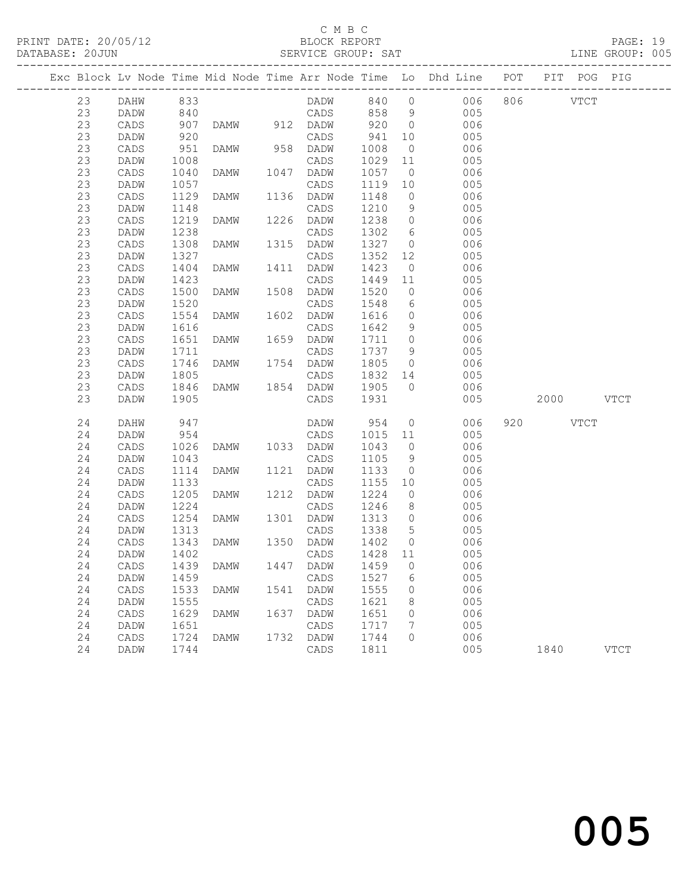PRINT DATE: 20/05/12 BLOCK REPORT BATABASE: 20JUN

## C M B C<br>BLOCK REPORT

PAGE: 19<br>LINE GROUP: 005

|    |                   |            |                |      |                  |                |                | Exc Block Lv Node Time Mid Node Time Arr Node Time Lo Dhd Line POT PIT POG PIG |           |             |
|----|-------------------|------------|----------------|------|------------------|----------------|----------------|--------------------------------------------------------------------------------|-----------|-------------|
| 23 | <b>DAHW</b>       | 833        |                |      |                  |                |                | DADW 840 0 006 806 VTCT                                                        |           |             |
| 23 | DADW              | 840<br>907 |                |      | CADS             | 858 9<br>920 0 |                | 005                                                                            |           |             |
| 23 | CADS              |            | DAMW 912 DADW  |      |                  |                |                | 006                                                                            |           |             |
| 23 | DADW              | 920        |                |      | CADS             | 941            | 10             | 005                                                                            |           |             |
| 23 | CADS              | 951        | DAMW           |      | 958 DADW         | 1008           | $\overline{0}$ | 006                                                                            |           |             |
| 23 | DADW              | 1008       |                |      | CADS             | 1029           | 11             | 005                                                                            |           |             |
| 23 | CADS              | 1040       | DAMW           |      | 1047 DADW        | 1057           | $\overline{0}$ | 006                                                                            |           |             |
| 23 | DADW              | 1057       |                |      | CADS             | 1119           | 10             | 005                                                                            |           |             |
| 23 | CADS              | 1129       | DAMW           |      | 1136 DADW        | 1148           | $\overline{0}$ | 006                                                                            |           |             |
| 23 | DADW              | 1148       |                |      | CADS             | 1210           | 9              | 005                                                                            |           |             |
| 23 | CADS              | 1219       | DAMW           |      | 1226 DADW        | 1238           | $\overline{0}$ | 006                                                                            |           |             |
| 23 | DADW              | 1238       |                |      | CADS             | 1302           | 6              | 005                                                                            |           |             |
| 23 | CADS              | 1308       | DAMW           |      | 1315 DADW        | 1327           | $\overline{0}$ | 006                                                                            |           |             |
| 23 | DADW              | 1327       |                |      | CADS             | 1352           | 12             | 005                                                                            |           |             |
| 23 | CADS              | 1404       | DAMW           |      | 1411 DADW        | 1423           | $\overline{0}$ | 006                                                                            |           |             |
| 23 | DADW              | 1423       |                |      | CADS             | 1449           | 11             | 005                                                                            |           |             |
| 23 | CADS              | 1500       | DAMW           | 1508 | DADW             | 1520           | $\overline{0}$ | 006                                                                            |           |             |
| 23 | DADW              | 1520       |                |      | CADS             | 1548           | 6              | 005                                                                            |           |             |
| 23 | CADS              | 1554       | DAMW           |      | 1602 DADW        | 1616           | $\overline{0}$ | 006                                                                            |           |             |
| 23 | DADW              | 1616       |                |      | CADS             | 1642           | 9              | 005                                                                            |           |             |
| 23 | CADS              | 1651       | DAMW           |      | 1659 DADW        | 1711           | $\overline{0}$ | 006                                                                            |           |             |
| 23 | DADW              | 1711       |                |      | CADS             | 1737           | 9              | 005                                                                            |           |             |
| 23 | CADS              | 1746       | DAMW           |      | 1754 DADW        | 1805           | $\overline{0}$ | 006                                                                            |           |             |
| 23 | DADW              | 1805       |                |      | CADS             | 1832 14        |                | 005                                                                            |           |             |
| 23 | CADS              | 1846       | DAMW           |      | 1854 DADW        | 1905           | $\overline{0}$ | 006                                                                            |           |             |
| 23 | DADW              | 1905       |                |      | CADS             | 1931           |                | 005                                                                            | 2000 VTCT |             |
| 24 | DAHW              | 947        |                |      | DADW             | 954            |                | $\overline{0}$<br>006                                                          | 920 VTCT  |             |
| 24 | DADW              | 954        |                |      | CADS             | 1015 11        |                | 005                                                                            |           |             |
| 24 | CADS              | 1026       | DAMW 1033 DADW |      |                  | 1043           | $\overline{0}$ | 006                                                                            |           |             |
| 24 | DADW              | 1043       |                |      | CADS             | 1105           | 9              | 005                                                                            |           |             |
| 24 | CADS              | 1114       | DAMW           |      | 1121 DADW        | 1133           | $\overline{0}$ | 006                                                                            |           |             |
| 24 | DADW              | 1133       |                |      | CADS             | 1155           | 10             | 005                                                                            |           |             |
| 24 | CADS              | 1205       | DAMW           | 1212 | DADW             | 1224           | $\circ$        | 006                                                                            |           |             |
| 24 | DADW              | 1224       |                |      | CADS             | 1246           | 8 <sup>8</sup> | 005                                                                            |           |             |
| 24 | CADS              | 1254       | DAMW           |      | 1301 DADW        | 1313           | $\overline{0}$ | 006                                                                            |           |             |
| 24 | DADW              | 1313       |                |      | CADS             | 1338           | $5^{\circ}$    | 005                                                                            |           |             |
| 24 | CADS              | 1343       | DAMW           |      | 1350 DADW        | 1402           | $\overline{0}$ | 006                                                                            |           |             |
| 24 | DADW              | 1402       |                |      | CADS             | 1428 11        |                | 005                                                                            |           |             |
|    | 24 CADS 1439 DAMW |            |                |      | 1447 DADW 1459 0 |                |                | 006                                                                            |           |             |
| 24 | DADW              | 1459       |                |      | CADS             | 1527           | 6              | 005                                                                            |           |             |
| 24 | CADS              | 1533       | DAMW           | 1541 | DADW             | 1555           | 0              | 006                                                                            |           |             |
| 24 | DADW              | 1555       |                |      | CADS             | 1621           | 8              | 005                                                                            |           |             |
| 24 | $\mathtt{CADS}$   | 1629       | DAMW           | 1637 | DADW             | 1651           | 0              | 006                                                                            |           |             |
| 24 | DADW              | 1651       |                |      | CADS             | 1717           | 7              | 005                                                                            |           |             |
| 24 | CADS              | 1724       | <b>DAMW</b>    | 1732 | DADW             | 1744           | $\circ$        | 006                                                                            |           |             |
| 24 | DADW              | 1744       |                |      | CADS             | 1811           |                | 005                                                                            | 1840      | <b>VTCT</b> |
|    |                   |            |                |      |                  |                |                |                                                                                |           |             |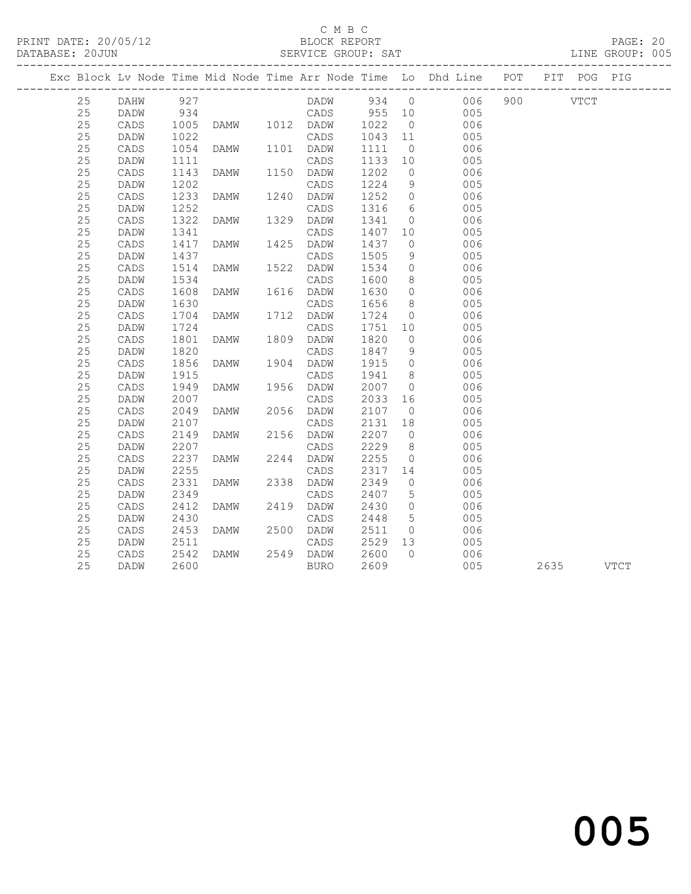### C M B C<br>BLOCK REPORT

### SERVICE GROUP: SAT

|  |    |                 |              |                |      |             |      |                 | Exc Block Lv Node Time Mid Node Time Arr Node Time Lo Dhd Line POT PIT POG PIG |  |           |  |
|--|----|-----------------|--------------|----------------|------|-------------|------|-----------------|--------------------------------------------------------------------------------|--|-----------|--|
|  | 25 | <b>DAHW</b>     | 927          |                |      |             |      |                 | DADW 934 0 006 900 VTCT                                                        |  |           |  |
|  | 25 | DADW            | 934          |                |      | CADS 955 10 |      |                 | 005                                                                            |  |           |  |
|  | 25 | CADS            | 1005         | DAMW 1012 DADW |      |             | 1022 | $\overline{0}$  | 006                                                                            |  |           |  |
|  | 25 | DADW            |              |                |      | CADS        | 1043 | 11              | 005                                                                            |  |           |  |
|  | 25 | CADS            | 1022<br>1054 | DAMW           |      | 1101 DADW   | 1111 | $\overline{0}$  | 006                                                                            |  |           |  |
|  | 25 | DADW            | 1111         |                |      | CADS        | 1133 | 10              | 005                                                                            |  |           |  |
|  | 25 | CADS            | 1143         | <b>DAMW</b>    | 1150 | DADW        | 1202 | $\overline{0}$  | 006                                                                            |  |           |  |
|  | 25 | DADW            | 1202         |                |      | CADS        | 1224 | 9               | 005                                                                            |  |           |  |
|  | 25 | CADS            | 1233         | DAMW           |      | 1240 DADW   | 1252 | $\overline{0}$  | 006                                                                            |  |           |  |
|  | 25 | DADW            | 1252         |                |      | CADS        | 1316 | 6               | 005                                                                            |  |           |  |
|  | 25 | $\mathtt{CADS}$ | 1322         | DAMW           | 1329 | DADW        | 1341 | $\overline{0}$  | 006                                                                            |  |           |  |
|  | 25 | DADW            | 1341         |                |      | CADS        | 1407 | 10              | 005                                                                            |  |           |  |
|  | 25 | CADS            | 1417         | DAMW           | 1425 | DADW        | 1437 | $\overline{0}$  | 006                                                                            |  |           |  |
|  | 25 | DADW            | 1437         |                |      | CADS        | 1505 | 9               | 005                                                                            |  |           |  |
|  | 25 | CADS            | 1514         | DAMW           | 1522 | DADW        | 1534 | $\overline{0}$  | 006                                                                            |  |           |  |
|  | 25 | DADW            | 1534         |                |      | CADS        | 1600 | 8 <sup>8</sup>  | 005                                                                            |  |           |  |
|  | 25 | $\mathtt{CADS}$ | 1608         | DAMW           |      | 1616 DADW   | 1630 | $\overline{0}$  | 006                                                                            |  |           |  |
|  | 25 | DADW            | 1630         |                |      | CADS        | 1656 | 8 <sup>8</sup>  | 005                                                                            |  |           |  |
|  | 25 | CADS            | 1704         | DAMW           |      | 1712 DADW   | 1724 | $\overline{0}$  | 006                                                                            |  |           |  |
|  | 25 | DADW            | 1724         |                |      | CADS        | 1751 | 10              | 005                                                                            |  |           |  |
|  | 25 | $\mathtt{CADS}$ | 1801         | DAMW           |      | 1809 DADW   | 1820 | $\overline{0}$  | 006                                                                            |  |           |  |
|  | 25 | DADW            | 1820         |                |      | CADS        | 1847 | 9               | 005                                                                            |  |           |  |
|  | 25 | CADS            | 1856         | DAMW           | 1904 | DADW        | 1915 | $\overline{0}$  | 006                                                                            |  |           |  |
|  | 25 | DADW            | 1915         |                |      | CADS        | 1941 | 8 <sup>8</sup>  | 005                                                                            |  |           |  |
|  | 25 | CADS            | 1949         | DAMW           |      | 1956 DADW   | 2007 | $\overline{0}$  | 006                                                                            |  |           |  |
|  | 25 | DADW            | 2007         |                |      | CADS        | 2033 | 16              | 005                                                                            |  |           |  |
|  | 25 | $\mathtt{CADS}$ | 2049         | DAMW           |      | 2056 DADW   | 2107 | $\overline{0}$  | 006                                                                            |  |           |  |
|  | 25 | DADW            | 2107         |                |      | CADS        | 2131 | 18              | 005                                                                            |  |           |  |
|  | 25 | CADS            | 2149         | DAMW           |      | 2156 DADW   | 2207 | $\overline{0}$  | 006                                                                            |  |           |  |
|  | 25 | DADW            | 2207         |                |      | CADS        | 2229 | 8 <sup>8</sup>  | 005                                                                            |  |           |  |
|  | 25 | $\mathtt{CADS}$ | 2237         | DAMW           | 2244 | DADW        | 2255 | $\overline{0}$  | 006                                                                            |  |           |  |
|  | 25 | DADW            | 2255         |                |      | CADS        | 2317 | 14              | 005                                                                            |  |           |  |
|  | 25 | CADS            | 2331         | DAMW           | 2338 | DADW        | 2349 | $\overline{0}$  | 006                                                                            |  |           |  |
|  | 25 | DADW            | 2349         |                |      | CADS        | 2407 | $5\overline{)}$ | 005                                                                            |  |           |  |
|  | 25 | CADS            | 2412         | DAMW           | 2419 | DADW        | 2430 | $\overline{0}$  | 006                                                                            |  |           |  |
|  | 25 | DADW            | 2430         |                |      | CADS        | 2448 | 5 <sup>5</sup>  | 005                                                                            |  |           |  |
|  | 25 | $\mathtt{CADS}$ | 2453         | DAMW           |      | 2500 DADW   | 2511 | $\overline{0}$  | 006                                                                            |  |           |  |
|  | 25 | DADW            | 2511         |                |      | CADS        | 2529 | 13              | 005                                                                            |  |           |  |
|  | 25 | CADS            | 2542         | DAMW           |      | 2549 DADW   | 2600 | $\bigcirc$      | 006                                                                            |  |           |  |
|  | 25 | DADW            | 2600         |                |      | <b>BURO</b> | 2609 |                 | 005                                                                            |  | 2635 VTCT |  |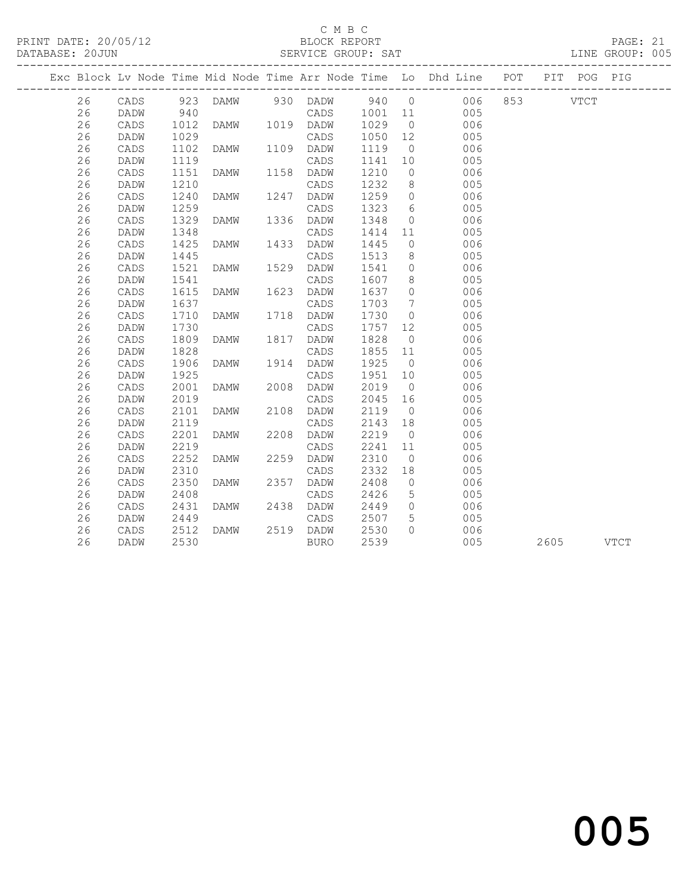### C M B C

DATABASE: 20JUN SERVICE GROUP: SAT DATABASE: 20JUN 905 ------------------------------------------------------------------------------------------------- Exc Block Lv Node Time Mid Node Time Arr Node Time Lo Dhd Line POT PIT POG PIG ------------------------------------------------------------------------------------------------- 26 CADS 923 DAMW 930 DADW 940 0 006 853 VTCT 26 DADW 940 CADS 1001 11 005 26 CADS 1012 DAMW 1019 DADW 1029 0 006 26 DADW 1029 CADS 1050 12 005 26 CADS 1102 DAMW 1109 DADW 1119 0 006 26 DADW 1119 CADS 1141 10 005 26 CADS 1151 DAMW 1158 DADW 1210 0 006 26 DADW 1210 CADS 1232 8 005 26 CADS 1240 DAMW 1247 DADW 1259 0 006 26 DADW 1259 CADS 1323 6 005 26 CADS 1329 DAMW 1336 DADW 1348 0 006 26 DADW 1348 CADS 1414 11 005 26 CADS 1425 DAMW 1433 DADW 1445 0 006 26 DADW 1445 CADS 1513 8 005 26 CADS 1521 DAMW 1529 DADW 1541 0 006 26 DADW 1541 CADS 1607 8 005 26 CADS 1425 DAMW 1433 DADW 1445 0 0006<br>
26 DADW 1445 CADS 1513 8 005<br>
26 CADS 1521 DAMW 1529 DADW 1541 0 006<br>
26 DADW 1541 CADS 1607 8 005<br>
26 CADS 1615 DAMW 1623 DADW 1637 0 006<br>
26 DADW 1637 CADS 1703 7 005<br>
26 CADS 171 26 DADW 1637 CADS 1703 7 005 26 CADS 1710 DAMW 1718 DADW 1730 0 006 26 DADW 1730 CADS 1757 12 005 26 CADS 1809 DAMW 1817 DADW 1828 0 006 26 DADW 1828 CADS 1855 11 005 26 CADS 1906 DAMW 1914 DADW 1925 0 006

 26 DADW 1925 CADS 1951 10 005 26 CADS 2001 DAMW 2008 DADW 2019 0 006 26 DADW 2019 CADS 2045 16 005 26 CADS 2101 DAMW 2108 DADW 2119 0 006 26 DADW 2119 CADS 2143 18 005 26 CADS 2201 DAMW 2208 DADW 2219 0 006 26 DADW 2219 CADS 2241 11 005 26 CADS 2252 DAMW 2259 DADW 2310 0 006 26 DADW 2310 CADS 2332 18 005 26 CADS 2350 DAMW 2357 DADW 2408 0 006 26 DADW 2408 CADS 2426 5 005 26 CADS 2431 DAMW 2438 DADW 2449 0 006 26 DADW 2449 CADS 2507 5 005 26 CADS 2512 DAMW 2519 DADW 2530 0 006

26 DADW 2530 BURO 2539 005 2605 VTCT

# and the contract of  $\sim$  005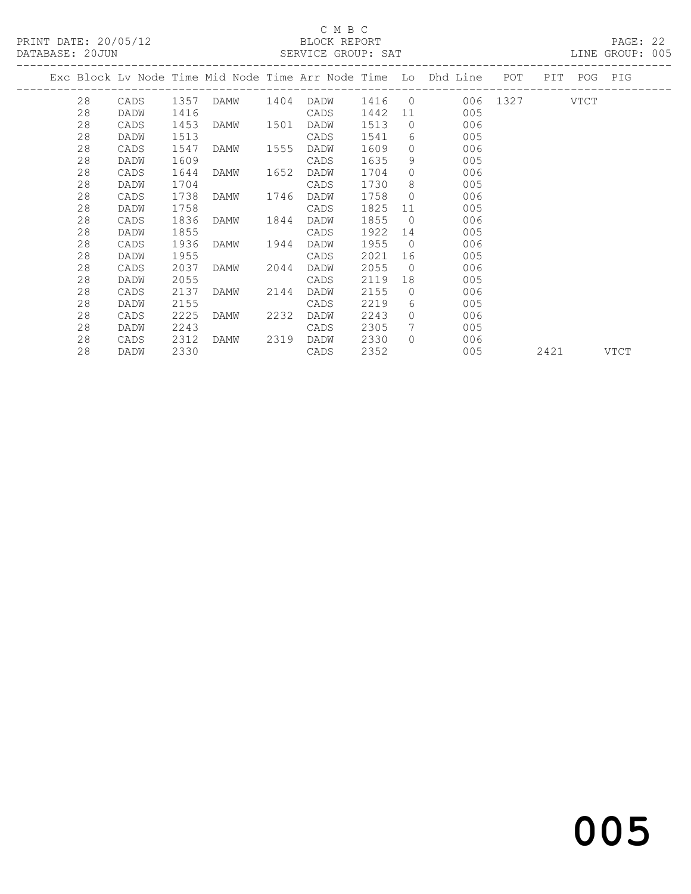PRINT DATE: 20/05/12 BLOCK REPORT<br>
DATABASE: 20.JUN

## C M B C<br>BLOCK REPORT

PAGE: 22<br>LINE GROUP: 005

|  | DAIABASE; ZUJUN |      |      |                            |      | SLKVICL GKUUF; SAI |         |                 |                                                                    |               |             | LINE GROUP; UUJ |
|--|-----------------|------|------|----------------------------|------|--------------------|---------|-----------------|--------------------------------------------------------------------|---------------|-------------|-----------------|
|  |                 |      |      |                            |      |                    |         |                 | Exc Block Lv Node Time Mid Node Time Arr Node Time Lo Dhd Line POT |               | PIT POG PIG |                 |
|  |                 |      |      | 28    CADS    1357    DAMW |      | 1404 DADW          |         |                 | 1416 0                                                             | 006 1327 VTCT |             |                 |
|  | 28              | DADW | 1416 |                            |      | CADS               | 1442 11 |                 | 005                                                                |               |             |                 |
|  | 28              | CADS | 1453 | DAMW                       | 1501 | DADW               | 1513    | $\Omega$        | 006                                                                |               |             |                 |
|  | 28              | DADW | 1513 |                            |      | CADS               | 1541    |                 | $6\degree$<br>005                                                  |               |             |                 |
|  | 28              | CADS | 1547 | DAMW                       | 1555 | DADW               | 1609    | $\bigcap$       | 006                                                                |               |             |                 |
|  | 28              | DADW | 1609 |                            |      | CADS               | 1635    | 9               | 005                                                                |               |             |                 |
|  | 28              | CADS | 1644 | DAMW                       | 1652 | DADW               | 1704    | $\Omega$        | 006                                                                |               |             |                 |
|  | 28              | DADW | 1704 |                            |      | CADS               | 1730    | 8               | 005                                                                |               |             |                 |
|  | 28              | CADS | 1738 | DAMW                       | 1746 | DADW               | 1758    | $\overline{0}$  | 006                                                                |               |             |                 |
|  | 28              | DADW | 1758 |                            |      | CADS               | 1825    | 11              | 005                                                                |               |             |                 |
|  | 28              | CADS | 1836 | DAMW                       | 1844 | DADW               | 1855    | $\overline{0}$  | 006                                                                |               |             |                 |
|  | 28              | DADW | 1855 |                            |      | CADS               | 1922    | 14              | 005                                                                |               |             |                 |
|  | 28              | CADS | 1936 | DAMW                       | 1944 | DADW               | 1955    | $\overline{0}$  | 006                                                                |               |             |                 |
|  | 28              | DADW | 1955 |                            |      | CADS               | 2021    | 16              | 005                                                                |               |             |                 |
|  | 28              | CADS | 2037 | DAMW 2044                  |      | DADW               | 2055    | $\overline{0}$  | 006                                                                |               |             |                 |
|  | 28              | DADW | 2055 |                            |      | CADS               | 2119    | 18              | 005                                                                |               |             |                 |
|  | 28              | CADS | 2137 | DAMW                       | 2144 | DADW               | 2155    | $\overline{0}$  | 006                                                                |               |             |                 |
|  | 28              | DADW | 2155 |                            |      | CADS               | 2219    | 6               | 005                                                                |               |             |                 |
|  | 28              | CADS | 2225 | DAMW                       | 2232 | DADW               | 2243    | $\bigcirc$      | 006                                                                |               |             |                 |
|  | 28              | DADW | 2243 |                            |      | CADS               | 2305    | $7\overline{ }$ | 005                                                                |               |             |                 |
|  | 28              | CADS |      | 2312 DAMW 2319 DADW        |      |                    | 2330    | $\bigcirc$      | 006                                                                |               |             |                 |

### 28 DADW 2330 CADS 2352 005 2421 VTCT

# and the contract of  $\sim$  005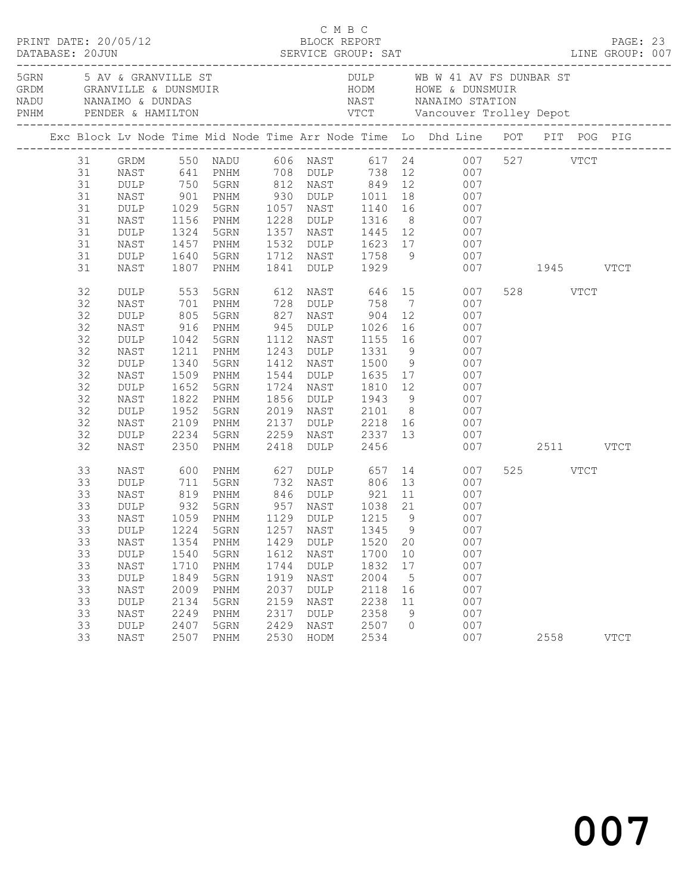|    |                                      |              |      |            |             |                                      |                 | Exc Block Lv Node Time Mid Node Time Arr Node Time Lo Dhd Line POT PIT POG PIG                                       |               |             |  |
|----|--------------------------------------|--------------|------|------------|-------------|--------------------------------------|-----------------|----------------------------------------------------------------------------------------------------------------------|---------------|-------------|--|
| 31 |                                      |              |      |            |             |                                      |                 | GRDM 550 NADU 606 NAST 617 24 007 527 VTCT<br>NAST 641 PNHM 708 DULP 738 12 007<br>DULP 750 5GRN 812 NAST 849 12 007 |               |             |  |
| 31 |                                      |              |      |            |             |                                      |                 |                                                                                                                      |               |             |  |
| 31 |                                      |              |      |            |             |                                      |                 |                                                                                                                      |               |             |  |
| 31 | NAST                                 | 901          | PNHM |            |             | 930 DULP 1011 18                     |                 | 007                                                                                                                  |               |             |  |
| 31 | DULP                                 | 1029         | 5GRN |            | 1057 NAST   |                                      |                 | 1140 16<br>007                                                                                                       |               |             |  |
| 31 | NAST                                 | 1156<br>1324 | PNHM |            | 1228 DULP   | 1316 8<br>1445 12                    |                 | 007                                                                                                                  |               |             |  |
| 31 | DULP                                 |              | 5GRN |            | 1357 NAST   |                                      |                 | 007                                                                                                                  |               |             |  |
| 31 | NAST                                 | 1457         | PNHM |            |             | 1532 DULP 1623 17                    |                 | 007                                                                                                                  |               |             |  |
| 31 | DULP                                 | 1640         | 5GRN |            |             | 1712 NAST 1758 9                     |                 | 007                                                                                                                  |               |             |  |
| 31 | NAST                                 | 1807         | PNHM |            | 1841 DULP   | 1929                                 |                 |                                                                                                                      | 007 1945 VTCT |             |  |
| 32 | DULP                                 | 553          | 5GRN |            |             | 612 NAST 646 15                      |                 | 007                                                                                                                  | 528 VTCT      |             |  |
| 32 | NAST                                 | 701          | PNHM | 728        |             | DULP 758                             |                 | $7\overline{ }$<br>007                                                                                               |               |             |  |
| 32 | DULP                                 | 805<br>916   | 5GRN | 827<br>945 |             | NAST 904 12<br>DULP 1026 16          |                 | 007                                                                                                                  |               |             |  |
| 32 | NAST                                 |              | PNHM |            |             |                                      |                 | 007                                                                                                                  |               |             |  |
| 32 | DULP                                 | 1042         | 5GRN | 1112       | NAST        | 1155 16                              |                 | 007                                                                                                                  |               |             |  |
| 32 | NAST                                 | 1211         | PNHM |            | 1243 DULP   | 1331                                 | 9               | 007                                                                                                                  |               |             |  |
| 32 | $\texttt{DULP}$                      | 1340         | 5GRN |            | 1412 NAST   | 1500 9<br>1635 17                    |                 | 007                                                                                                                  |               |             |  |
| 32 | NAST                                 | 1509         | PNHM |            | 1544 DULP   |                                      |                 | 007                                                                                                                  |               |             |  |
| 32 | DULP                                 | 1652         | 5GRN | 1724       | NAST        | 1810 12                              |                 | 007                                                                                                                  |               |             |  |
| 32 | NAST                                 | 1822         | PNHM |            |             | 1856 DULP 1943 9                     |                 | 007                                                                                                                  |               |             |  |
| 32 | DULP                                 | 1952         | 5GRN |            | 2019 NAST   | NAST 2101 8<br>DULP 2218 16          |                 | 007                                                                                                                  |               |             |  |
| 32 | NAST                                 | 2109         | PNHM | 2137       |             |                                      |                 | 007                                                                                                                  |               |             |  |
| 32 | DULP                                 | 2234         | 5GRN | 2259       |             |                                      |                 | 007                                                                                                                  |               |             |  |
| 32 | NAST                                 | 2350         | PNHM | 2418       | <b>DULP</b> | 2456                                 |                 |                                                                                                                      | 007 2511 VTCT |             |  |
| 33 | NAST                                 | 600<br>711   | PNHM |            |             |                                      |                 | 007                                                                                                                  | 525 VTCT      |             |  |
| 33 | DULP                                 |              | 5GRN |            |             |                                      |                 | 007                                                                                                                  |               |             |  |
| 33 | NAST                                 | 819          | PNHM |            |             | 846 DULP 921                         |                 | 11<br>007                                                                                                            |               |             |  |
| 33 | DULP                                 | 932          | 5GRN |            |             | 957 NAST 1038 21                     |                 | 007                                                                                                                  |               |             |  |
| 33 | NAST                                 | 1059<br>1224 | PNHM |            |             | 1129 DULP 1215 9<br>1257 NAST 1345 9 |                 | $\begin{array}{c} 0.07 \\ 0.07 \end{array}$                                                                          |               |             |  |
| 33 | DULP                                 |              | 5GRN |            | $1257$ NAST |                                      |                 | 007                                                                                                                  |               |             |  |
| 33 | NAST 1354 PNHM 1429 DULP 1520 20 007 |              |      |            |             |                                      |                 |                                                                                                                      |               |             |  |
| 33 | DULP                                 | 1540         | 5GRN | 1612       | NAST        | 1700                                 | 10              | 007                                                                                                                  |               |             |  |
| 33 | NAST                                 | 1710         | PNHM | 1744       | <b>DULP</b> | 1832                                 | 17              | 007                                                                                                                  |               |             |  |
| 33 | DULP                                 | 1849         | 5GRN | 1919       | NAST        | 2004                                 | $5\overline{)}$ | 007                                                                                                                  |               |             |  |
| 33 | NAST                                 | 2009         | PNHM | 2037       | DULP        | 2118                                 | 16              | 007                                                                                                                  |               |             |  |
| 33 | DULP                                 | 2134         | 5GRN | 2159       | NAST        | 2238                                 | 11              | 007                                                                                                                  |               |             |  |
| 33 | NAST                                 | 2249         | PNHM | 2317       | <b>DULP</b> | 2358                                 | 9               | 007                                                                                                                  |               |             |  |
| 33 | DULP                                 | 2407         | 5GRN | 2429       | NAST        | 2507                                 | $\circ$         | 007                                                                                                                  |               |             |  |
| 33 | NAST                                 | 2507         | PNHM | 2530       | HODM        | 2534                                 |                 | 007                                                                                                                  | 2558          | <b>VTCT</b> |  |

C M B C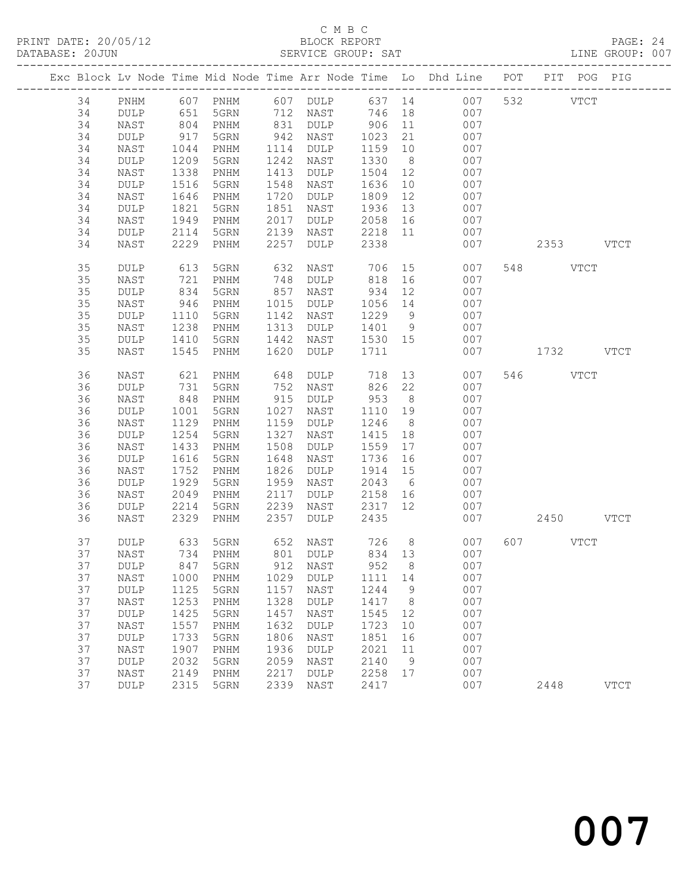### C M B C<br>BLOCK REPORT SERVICE GROUP: SAT

|  |    |                 |            |                   |      |                |             |                | Exc Block Lv Node Time Mid Node Time Arr Node Time Lo Dhd Line POT PIT POG PIG |           |             |
|--|----|-----------------|------------|-------------------|------|----------------|-------------|----------------|--------------------------------------------------------------------------------|-----------|-------------|
|  | 34 | PNHM            |            | 607 PNHM          |      | 607 DULP       |             |                | 637 14 007                                                                     | 532 VTCT  |             |
|  | 34 | DULP            | 651        | 5GRN              |      | 712 NAST       | 746 18      |                | 007                                                                            |           |             |
|  | 34 | NAST            |            | PNHM              |      | 831 DULP       | $906 \t 11$ |                | 007                                                                            |           |             |
|  | 34 | DULP            | 804<br>917 | 5GRN              | 942  | NAST           | 1023        | 21             | 007                                                                            |           |             |
|  | 34 | NAST            | 1044       | PNHM              | 1114 | DULP           | 1159 10     |                | 007                                                                            |           |             |
|  | 34 | DULP            | 1209       | 5GRN              | 1242 | NAST           | 1330        | 8 <sup>8</sup> | 007                                                                            |           |             |
|  | 34 | NAST            | 1338       | PNHM              | 1413 | DULP           | 1504 12     |                | 007                                                                            |           |             |
|  | 34 | $\texttt{DULP}$ | 1516       | 5GRN              | 1548 | NAST           | 1636        | 10             | 007                                                                            |           |             |
|  | 34 | NAST            | 1646       | PNHM              | 1720 | DULP           | 1809        | 12             | 007                                                                            |           |             |
|  | 34 | DULP            | 1821       | 5GRN              | 1851 | NAST           | 1936        | 13             | 007                                                                            |           |             |
|  | 34 | NAST            | 1949       | PNHM              | 2017 | DULP           | 2058        | 16             | 007                                                                            |           |             |
|  | 34 | $\texttt{DULP}$ | 2114       | 5GRN              | 2139 | NAST           | 2218 11     |                | 007                                                                            |           |             |
|  | 34 | NAST            |            | 2229 PNHM         | 2257 | DULP           | 2338        |                | 007                                                                            | 2353 VTCT |             |
|  | 35 | DULP            | 613        | 5GRN              | 632  | NAST           | 706         | 15             | 007                                                                            | 548 VTCT  |             |
|  | 35 | NAST            | 721        | PNHM              | 748  | DULP           | 818         | 16             | 007                                                                            |           |             |
|  | 35 | $\texttt{DULP}$ | 834        | 5GRN              | 857  | NAST           | 934         | 12             | 007                                                                            |           |             |
|  | 35 | NAST            | 946        | PNHM              | 1015 | DULP           | 1056        | 14             | 007                                                                            |           |             |
|  | 35 | DULP            | 1110       | 5GRN              | 1142 | NAST           | 1229        | 9              | 007                                                                            |           |             |
|  | 35 | NAST            | 1238       | PNHM              | 1313 | DULP           | 1401 9      |                | 007                                                                            |           |             |
|  | 35 | DULP            | 1410       | 5GRN              | 1442 | NAST           | 1530 15     |                | 007                                                                            |           |             |
|  | 35 | NAST            | 1545       | PNHM              | 1620 | DULP           | 1711        |                | 007                                                                            | 1732 VTCT |             |
|  |    |                 |            |                   |      |                |             |                |                                                                                |           |             |
|  | 36 | NAST            | 621        | PNHM              | 648  | DULP           | 718         |                | 13<br>007                                                                      | 546 VTCT  |             |
|  | 36 | DULP            | 731        | 5GRN              | 752  | NAST           | 826         | 22             | 007                                                                            |           |             |
|  | 36 | NAST            | 848        | PNHM              | 915  | DULP           | 953         | 8 <sup>8</sup> | 007                                                                            |           |             |
|  | 36 | DULP            | 1001       | 5GRN              | 1027 | NAST           | 1110        | 19             | 007                                                                            |           |             |
|  | 36 | NAST            | 1129       | PNHM              | 1159 | DULP           | 1246        | 8 <sup>8</sup> | 007                                                                            |           |             |
|  | 36 | DULP            | 1254       | 5GRN              | 1327 | NAST           | 1415        | 18             | 007                                                                            |           |             |
|  | 36 | NAST            | 1433       | PNHM              | 1508 | DULP           | 1559        | 17             | 007                                                                            |           |             |
|  | 36 | DULP            | 1616       | 5GRN              | 1648 | NAST           | 1736        | 16             | 007                                                                            |           |             |
|  | 36 | NAST            | 1752       | PNHM              | 1826 | DULP           | 1914        | 15             | 007                                                                            |           |             |
|  | 36 | $\texttt{DULP}$ | 1929       | 5GRN              | 1959 | NAST           | 2043        | 6              | 007                                                                            |           |             |
|  | 36 | NAST            | 2049       | PNHM              | 2117 | DULP           | 2158        | 16             | 007                                                                            |           |             |
|  | 36 | DULP            | 2214       | 5GRN              | 2239 | NAST           | 2317        | 12             | 007                                                                            |           |             |
|  | 36 | NAST            | 2329       | PNHM              | 2357 | DULP           | 2435        |                | 007                                                                            | 2450 VTCT |             |
|  | 37 | DULP            |            | 633 5GRN          |      | 652 NAST 726 8 |             |                | 007                                                                            | 607 VTCT  |             |
|  | 37 | NAST            |            | 734 PNHM          |      | 801 DULP       |             |                | 834 13<br>007                                                                  |           |             |
|  | 37 | DULP            |            | 847 5GRN 912 NAST |      |                | 952 8       |                | 007                                                                            |           |             |
|  | 37 | NAST            | 1000       | PNHM              | 1029 | <b>DULP</b>    | 1111        | 14             | 007                                                                            |           |             |
|  | 37 | $\texttt{DULP}$ | 1125       | 5GRN              | 1157 | NAST           | 1244        | 9              | 007                                                                            |           |             |
|  | 37 | NAST            | 1253       | PNHM              | 1328 | <b>DULP</b>    | 1417        | 8              | 007                                                                            |           |             |
|  | 37 | DULP            | 1425       | 5GRN              | 1457 | NAST           | 1545        | 12             | 007                                                                            |           |             |
|  | 37 | NAST            | 1557       | PNHM              | 1632 | <b>DULP</b>    | 1723        | 10             | 007                                                                            |           |             |
|  | 37 | DULP            | 1733       | 5GRN              | 1806 | NAST           | 1851        | 16             | 007                                                                            |           |             |
|  | 37 | NAST            | 1907       | PNHM              | 1936 | <b>DULP</b>    | 2021        | 11             | 007                                                                            |           |             |
|  | 37 | DULP            | 2032       | 5GRN              | 2059 | NAST           | 2140        | 9              | 007                                                                            |           |             |
|  | 37 | NAST            | 2149       | PNHM              | 2217 | <b>DULP</b>    | 2258        | 17             | 007                                                                            |           |             |
|  | 37 | DULP            | 2315       | 5GRN              | 2339 | NAST           | 2417        |                | 007                                                                            | 2448      | <b>VTCT</b> |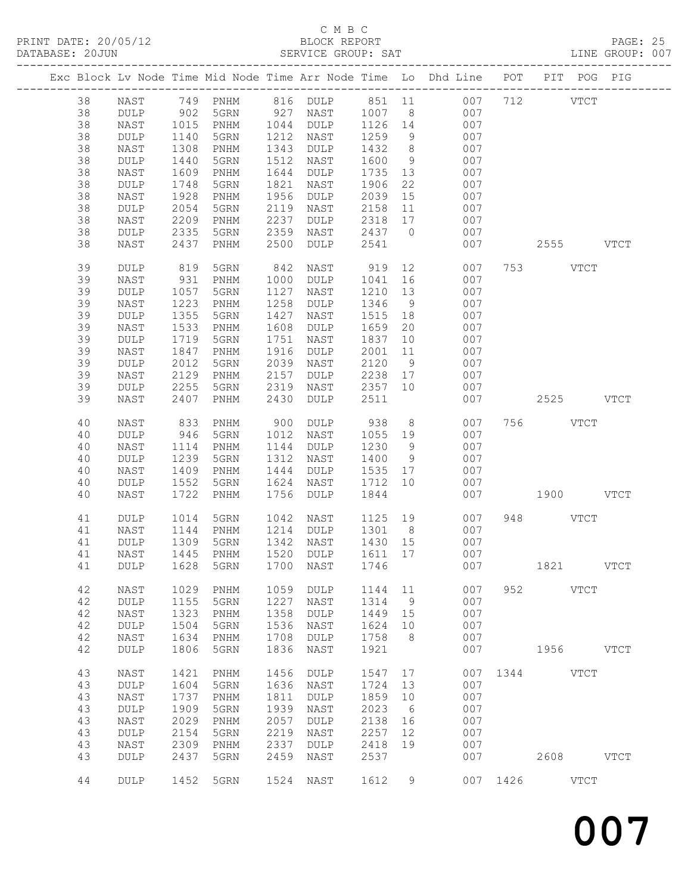### C M B C<br>BLOCK REPORT SERVICE GROUP: SAT

|    |                 |               |                               |      |                 |                    |                | Exc Block Lv Node Time Mid Node Time Arr Node Time Lo Dhd Line POT PIT POG PIG |          |           |             |             |
|----|-----------------|---------------|-------------------------------|------|-----------------|--------------------|----------------|--------------------------------------------------------------------------------|----------|-----------|-------------|-------------|
| 38 | NAST            |               | 749 PNHM                      |      | 816 DULP 851 11 |                    |                | 007                                                                            |          | 712 VTCT  |             |             |
| 38 | DULP            |               | 5GRN                          |      | 927 NAST        | $201$ 11<br>1007 8 |                | 007                                                                            |          |           |             |             |
| 38 | NAST            | $902$<br>1015 |                               | 1044 |                 | 1126               |                | 007                                                                            |          |           |             |             |
|    |                 | 1015          | PNHM                          |      | DULP            |                    | 14             |                                                                                |          |           |             |             |
| 38 | DULP            | 1140          | 5GRN                          | 1212 | NAST            | 1259               | 9              | 007                                                                            |          |           |             |             |
| 38 | NAST            | 1308          | PNHM                          | 1343 | DULP            | 1432               | 8 <sup>8</sup> | 007                                                                            |          |           |             |             |
| 38 | DULP            | 1440          | 5GRN                          | 1512 | NAST            | 1600               | 9              | 007                                                                            |          |           |             |             |
| 38 | NAST            | 1609          | PNHM                          | 1644 | DULP            | 1735               | 13             | 007                                                                            |          |           |             |             |
| 38 | DULP            | 1748          | 5GRN                          | 1821 | NAST            | 1906               | 22             | 007                                                                            |          |           |             |             |
| 38 | NAST            | 1928          | PNHM                          | 1956 | DULP            | 2039               | 15             | 007                                                                            |          |           |             |             |
| 38 | DULP            | 2054          | 5GRN                          | 2119 | NAST            | 2158               | 11             | 007                                                                            |          |           |             |             |
| 38 | NAST            | 2209          | PNHM                          | 2237 | <b>DULP</b>     | 2318               | 17             | 007                                                                            |          |           |             |             |
| 38 | DULP            | 2335          | 5GRN                          | 2359 | NAST            | 2437               | $\overline{0}$ | 007                                                                            |          |           |             |             |
| 38 | NAST            | 2437          | PNHM                          | 2500 | DULP            | 2541               |                | 007                                                                            |          | 2555 VTCT |             |             |
|    |                 |               |                               |      |                 |                    |                |                                                                                |          |           |             |             |
| 39 | <b>DULP</b>     | 819           | 5GRN                          | 842  | NAST            | 919                | 12             | 007                                                                            |          | 753 VTCT  |             |             |
| 39 | NAST            | 931           | PNHM                          | 1000 | DULP            | 1041               | 16             | 007                                                                            |          |           |             |             |
| 39 | <b>DULP</b>     | 1057          | 5GRN                          | 1127 | NAST            | 1210               | 13             | 007                                                                            |          |           |             |             |
| 39 | NAST            | 1223          | PNHM                          | 1258 | <b>DULP</b>     | 1346               | 9              | 007                                                                            |          |           |             |             |
| 39 |                 |               | 5GRN                          | 1427 |                 | 1515               |                | 007                                                                            |          |           |             |             |
|    | DULP            | 1355          |                               |      | NAST            |                    | 18             |                                                                                |          |           |             |             |
| 39 | NAST            | 1533          | $\mathop{\rm PNHM}\nolimits$  | 1608 | <b>DULP</b>     | 1659               | 20             | 007                                                                            |          |           |             |             |
| 39 | <b>DULP</b>     | 1719          | 5GRN                          | 1751 | NAST            | 1837               | 10             | 007                                                                            |          |           |             |             |
| 39 | NAST            | 1847          | PNHM                          | 1916 | DULP            | 2001               | 11             | 007                                                                            |          |           |             |             |
| 39 | DULP            | 2012          | 5GRN                          | 2039 | NAST            | 2120               | 9              | 007                                                                            |          |           |             |             |
| 39 | NAST            | 2129          | PNHM                          | 2157 | DULP            | 2238               | 17             | 007                                                                            |          |           |             |             |
| 39 | <b>DULP</b>     | 2255          | 5GRN                          | 2319 | NAST            | 2357 10            |                | 007                                                                            |          |           |             |             |
| 39 | NAST            | 2407          | PNHM                          | 2430 | DULP            | 2511               |                | 007                                                                            |          | 2525 VTCT |             |             |
|    |                 |               |                               |      |                 |                    |                |                                                                                |          |           |             |             |
| 40 | NAST            | 833           | PNHM                          | 900  | DULP            | 938                | 8 <sup>8</sup> | 007                                                                            |          | 756 VTCT  |             |             |
| 40 | <b>DULP</b>     | 946           | 5GRN                          | 1012 | NAST            | 1055               | 19             | 007                                                                            |          |           |             |             |
| 40 | NAST            | 1114          | PNHM                          | 1144 | DULP            | 1230               | 9              | 007                                                                            |          |           |             |             |
| 40 | DULP            | 1239          | 5GRN                          | 1312 | NAST            | 1400               | 9              | 007                                                                            |          |           |             |             |
|    |                 |               |                               |      |                 |                    |                |                                                                                |          |           |             |             |
| 40 | NAST            | 1409          | PNHM                          | 1444 | DULP            | 1535               | 17             | 007                                                                            |          |           |             |             |
| 40 | DULP            | 1552          | 5GRN                          | 1624 | NAST            | 1712               | 10             | 007                                                                            |          |           |             |             |
| 40 | NAST            | 1722          | PNHM                          | 1756 | DULP            | 1844               |                | 007                                                                            |          | 1900 VTCT |             |             |
| 41 | DULP            | 1014          | 5GRN                          | 1042 | NAST            | 1125 19            |                | 007                                                                            |          | 948 VTCT  |             |             |
|    |                 |               |                               |      |                 |                    |                |                                                                                |          |           |             |             |
| 41 | NAST            | 1144          | PNHM                          |      | 1214 DULP       | 1301               | 8 <sup>8</sup> | 007                                                                            |          |           |             |             |
| 41 | $\texttt{DULP}$ | 1309          | 5GRN                          | 1342 | NAST            | 1430 15            |                | 007                                                                            |          |           |             |             |
| 41 | NAST            | 1445          | PNHM                          |      | 1520 DULP       | 1611 17            |                | 007                                                                            |          |           |             |             |
| 41 |                 |               | DULP 1628 5GRN 1700 NAST 1746 |      |                 |                    |                | 007                                                                            |          | 1821      |             | <b>VTCT</b> |
|    |                 |               |                               |      |                 |                    |                |                                                                                |          |           |             |             |
| 42 | NAST            | 1029          | PNHM                          | 1059 | <b>DULP</b>     | 1144               | 11             | 007                                                                            | 952      |           | <b>VTCT</b> |             |
| 42 | DULP            | 1155          | 5GRN                          | 1227 | NAST            | 1314               | 9              | 007                                                                            |          |           |             |             |
| 42 | NAST            | 1323          | PNHM                          | 1358 | DULP            | 1449               | 15             | 007                                                                            |          |           |             |             |
| 42 | DULP            | 1504          | 5GRN                          | 1536 | NAST            | 1624               | 10             | 007                                                                            |          |           |             |             |
| 42 | NAST            | 1634          | PNHM                          | 1708 | <b>DULP</b>     | 1758               | 8              | 007                                                                            |          |           |             |             |
| 42 | <b>DULP</b>     | 1806          | 5GRN                          | 1836 | NAST            | 1921               |                | 007                                                                            |          | 1956 VTCT |             |             |
|    |                 |               |                               |      |                 |                    |                |                                                                                |          |           |             |             |
| 43 | NAST            | 1421          | PNHM                          | 1456 | <b>DULP</b>     | 1547               | 17             | 007                                                                            | 1344     |           | <b>VTCT</b> |             |
| 43 | <b>DULP</b>     | 1604          | 5GRN                          | 1636 | NAST            | 1724               | 13             | 007                                                                            |          |           |             |             |
| 43 | NAST            | 1737          | PNHM                          | 1811 | DULP            | 1859               | 10             | 007                                                                            |          |           |             |             |
| 43 | $\texttt{DULP}$ | 1909          | 5GRN                          | 1939 | NAST            | 2023               | 6              | 007                                                                            |          |           |             |             |
| 43 | NAST            | 2029          | PNHM                          | 2057 | DULP            | 2138               | 16             | 007                                                                            |          |           |             |             |
| 43 | DULP            | 2154          | 5GRN                          | 2219 | NAST            | 2257               | 12             | 007                                                                            |          |           |             |             |
| 43 | NAST            | 2309          | PNHM                          | 2337 | DULP            | 2418               | 19             | 007                                                                            |          |           |             |             |
| 43 | DULP            | 2437          |                               | 2459 | $_{\rm NAST}$   | 2537               |                | 007                                                                            |          | 2608 VTCT |             |             |
|    |                 |               | 5GRN                          |      |                 |                    |                |                                                                                |          |           |             |             |
| 44 | DULP            | 1452          | $5\,$ GRN                     | 1524 | NAST            | 1612               | 9              |                                                                                | 007 1426 |           | VTCT        |             |
|    |                 |               |                               |      |                 |                    |                |                                                                                |          |           |             |             |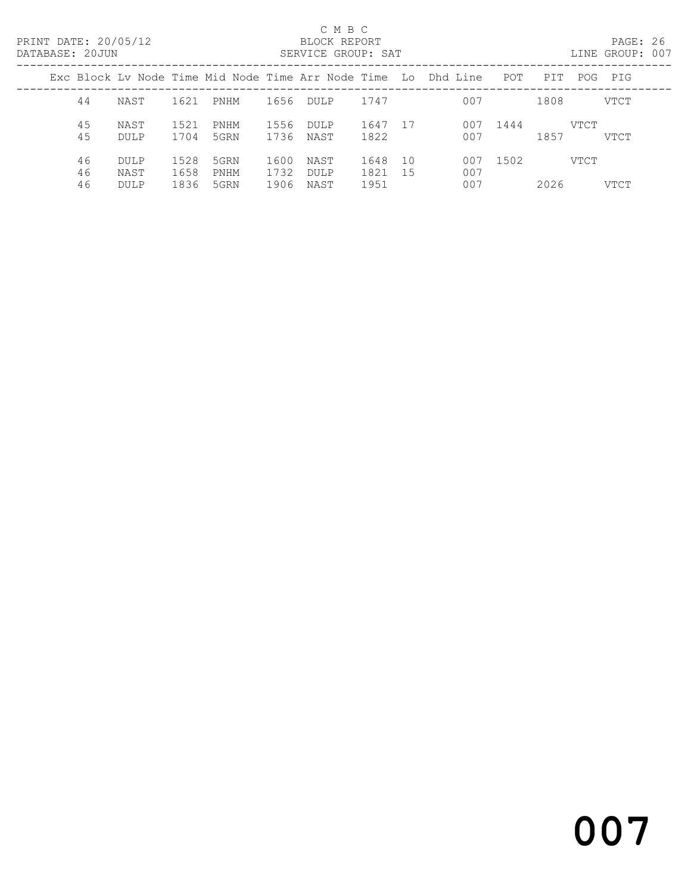# C M B C<br>BLOCK REPORT

PAGE: 26<br>LINE GROUP: 007

|  |                |                             |                      |                      |                      |                      |                      |          | Exc Block Ly Node Time Mid Node Time Arr Node Time Lo Dhd Line | POT  | PIT  | POG  | PIG  |
|--|----------------|-----------------------------|----------------------|----------------------|----------------------|----------------------|----------------------|----------|----------------------------------------------------------------|------|------|------|------|
|  | 44             | NAST                        | 1621                 | PNHM                 | 1656                 | <b>DULP</b>          | 1747                 |          | 007                                                            |      | 1808 |      | VTCT |
|  | 45<br>45       | NAST<br>DULP                | 1521<br>1704         | PNHM<br>5GRN         | 1556<br>1736         | <b>DULP</b><br>NAST  | 1647<br>1822         | - 17     | 007<br>007                                                     | 1444 | 1857 | VTCT | VTCT |
|  | 46<br>46<br>46 | DULP<br>NAST<br><b>DULP</b> | 1528<br>1658<br>1836 | 5GRN<br>PNHM<br>5GRN | 1600<br>1732<br>1906 | NAST<br>DULP<br>NAST | 1648<br>1821<br>1951 | 10<br>15 | 007<br>007<br>007                                              | 1502 | 2026 | VTCT | VTCT |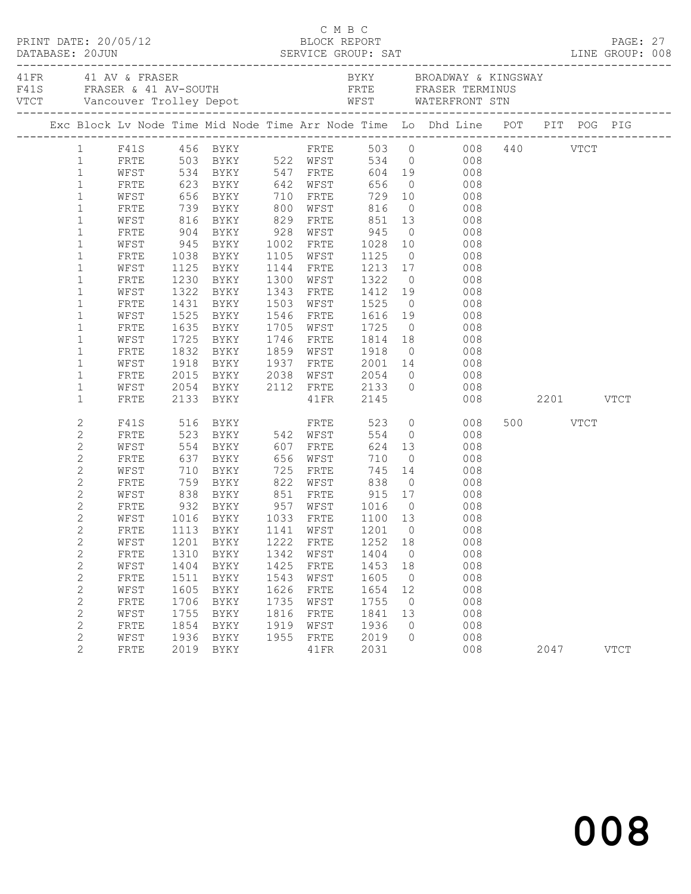| $\begin{array}{cccc}\n\texttt{CRINT} & \texttt{DATE:} & 20/05/12 & \texttt{C} & \texttt{M} & \texttt{B} & \texttt{C}\n\end{array}$ |              |              |                            |              |                   |                   |                      |                                                                                                                               |               |          |             |  |
|------------------------------------------------------------------------------------------------------------------------------------|--------------|--------------|----------------------------|--------------|-------------------|-------------------|----------------------|-------------------------------------------------------------------------------------------------------------------------------|---------------|----------|-------------|--|
|                                                                                                                                    |              |              |                            |              |                   |                   |                      |                                                                                                                               |               |          |             |  |
|                                                                                                                                    |              |              |                            |              |                   |                   |                      | Exc Block Lv Node Time Mid Node Time Arr Node Time Lo Dhd Line POT PIT POG PIG                                                |               |          |             |  |
|                                                                                                                                    |              |              |                            |              |                   |                   |                      | 1 F41S 456 BYKY FRTE 503 0 008 440 VTCT<br>1 FRTE 503 BYKY 522 WFST 534 0 008 440 VTCT<br>1 WFST 534 BYKY 547 FRTE 604 19 008 |               |          |             |  |
|                                                                                                                                    |              |              |                            |              |                   |                   |                      |                                                                                                                               |               |          |             |  |
|                                                                                                                                    |              |              |                            |              |                   |                   |                      |                                                                                                                               |               |          |             |  |
| $\mathbf{1}$                                                                                                                       | FRTE         |              | 623 BYKY 642 WFST          |              |                   | 656               |                      | $\overline{0}$<br>008                                                                                                         |               |          |             |  |
| $\mathbf{1}$                                                                                                                       | WFST         |              |                            |              |                   |                   |                      |                                                                                                                               |               |          |             |  |
| $\mathbf{1}$                                                                                                                       | FRTE         |              |                            |              |                   |                   |                      | 816 0 008<br>851 13 008                                                                                                       |               |          |             |  |
| $\mathbf{1}$                                                                                                                       | WFST         |              | 904 BYKY 928 WFST 945      |              |                   |                   |                      | $\overline{0}$                                                                                                                |               |          |             |  |
| $\mathbf 1$                                                                                                                        | FRTE         |              |                            |              |                   |                   |                      | 008                                                                                                                           |               |          |             |  |
| $\mathbf{1}$                                                                                                                       | WFST<br>FRTE |              | 945 BYKY 1002 FRTE         |              | 1105 WFST         | 1028              |                      | 10<br>008                                                                                                                     |               |          |             |  |
| $\mathbf 1$<br>$\mathbf 1$                                                                                                         | WFST         |              | 1038 BYKY<br>1125 BYKY     |              | 1144 FRTE         | 1125 0<br>1213 17 |                      | 008<br>008                                                                                                                    |               |          |             |  |
| $\mathbf 1$                                                                                                                        | FRTE         |              | 1230 BYKY                  |              | 1300 WFST         | 1322              |                      | $\overline{0}$<br>008                                                                                                         |               |          |             |  |
| $\mathbf{1}$                                                                                                                       | WFST         | 1322         | BYKY                       |              | 1343 FRTE         | 1412 19           |                      | 008                                                                                                                           |               |          |             |  |
| $\mathbf{1}$                                                                                                                       | FRTE         |              |                            |              | 1503 WFST         |                   |                      | 008                                                                                                                           |               |          |             |  |
| $\mathbf{1}$                                                                                                                       | WFST         |              | 1431 BYKY<br>1525 BYKY     |              | 1546 FRTE         | 1525 0<br>1616 19 |                      | 008                                                                                                                           |               |          |             |  |
| $\mathbf 1$                                                                                                                        | FRTE         |              | 1635 BYKY                  |              | 1705 WFST         | 1725              |                      | $\overline{O}$<br>008                                                                                                         |               |          |             |  |
| $\mathbf{1}$                                                                                                                       | WFST         | 1725         | BYKY                       |              | 1746 FRTE 1814 18 |                   |                      | 008                                                                                                                           |               |          |             |  |
| $\mathbf 1$                                                                                                                        | FRTE         |              |                            |              | 1859 WFST         |                   |                      |                                                                                                                               |               |          |             |  |
| $\mathbf 1$                                                                                                                        | WFST         |              |                            |              |                   |                   |                      |                                                                                                                               |               |          |             |  |
| $\mathbf 1$                                                                                                                        | FRTE         |              |                            |              |                   |                   |                      | 1832 BYKY 1859 WFST 1918 0 008<br>1918 BYKY 1937 FRTE 2001 14 008<br>2015 BYKY 2038 WFST 2054 0 008                           |               |          |             |  |
| $\mathbf{1}$                                                                                                                       | WFST         |              | 2054 BYKY 2112 FRTE 2133 0 |              |                   |                   |                      | 008                                                                                                                           |               |          |             |  |
| $\mathbf 1$                                                                                                                        | FRTE         |              | 2133 BYKY                  |              | 41FR 2145         |                   |                      |                                                                                                                               | 008 2201 VTCT |          |             |  |
| 2                                                                                                                                  | F41S         |              | 516 BYKY                   |              | FRTE              | 523               |                      | $\overline{O}$<br>008                                                                                                         |               | 500 VTCT |             |  |
| $\mathbf{2}$                                                                                                                       | FRTE         |              | 523 BYKY 542 WFST          |              |                   | 554               |                      | $\overline{0}$<br>008                                                                                                         |               |          |             |  |
| $\mathbf{2}$                                                                                                                       | WFST         |              | 554 BYKY                   |              | 607 FRTE          | 624               |                      | 13<br>008                                                                                                                     |               |          |             |  |
| $\mathbf{2}$                                                                                                                       | FRTE         |              | 637 BYKY<br>710 BYKY       |              | 656 WFST          | 710               | $\overline{0}$       | 008                                                                                                                           |               |          |             |  |
| $\mathbf{2}$                                                                                                                       | WFST         |              |                            | 725          | FRTE              |                   |                      | 745 14<br>008                                                                                                                 |               |          |             |  |
| $\mathbf{2}$                                                                                                                       | FRTE         |              | 759 BYKY 822 WFST 838      |              |                   |                   |                      | $\overline{0}$<br>008                                                                                                         |               |          |             |  |
| $\mathbf{2}$                                                                                                                       | WFST         | 838          | BYKY 851 FRTE              |              |                   |                   |                      | 915 17 008                                                                                                                    |               |          |             |  |
| $\mathbf{2}$                                                                                                                       | FRTE         |              |                            |              |                   | 1016 0<br>1100 13 | $\overline{0}$       | $\begin{array}{c} 008 \\ 008 \end{array}$                                                                                     |               |          |             |  |
| $\mathbf{2}$                                                                                                                       | WFST         |              |                            |              |                   |                   |                      |                                                                                                                               |               |          |             |  |
| $\mathbf{2}$                                                                                                                       |              |              |                            |              |                   |                   |                      | FRTE 1113 BYKY 1141 WFST 1201 0 008                                                                                           |               |          |             |  |
| 2                                                                                                                                  | WFST         | 1201         | BYKY                       | 1222         | FRTE              | 1252              | 18                   | 008                                                                                                                           |               |          |             |  |
| $\mathbf{2}$                                                                                                                       | FRTE         | 1310         | BYKY                       | 1342         | WFST              | 1404              | $\overline{0}$       | 008                                                                                                                           |               |          |             |  |
| $\mathbf{2}$                                                                                                                       | WFST         | 1404         | BYKY                       | 1425         | FRTE              | 1453              | 18                   | 008                                                                                                                           |               |          |             |  |
| $\mathbf{2}$                                                                                                                       | FRTE         | 1511         | BYKY                       | 1543<br>1626 | WFST              | 1605              | $\overline{0}$<br>12 | 008<br>008                                                                                                                    |               |          |             |  |
| $\mathbf{2}$<br>$\mathbf{2}$                                                                                                       | WFST<br>FRTE | 1605<br>1706 | BYKY                       | 1735         | FRTE<br>WFST      | 1654<br>1755      | $\overline{0}$       | 008                                                                                                                           |               |          |             |  |
| $\mathbf{2}$                                                                                                                       | WFST         | 1755         | BYKY<br>BYKY               | 1816         | FRTE              | 1841              | 13                   | 008                                                                                                                           |               |          |             |  |
| 2                                                                                                                                  | FRTE         | 1854         | BYKY                       | 1919         | WFST              | 1936              | $\circ$              | 008                                                                                                                           |               |          |             |  |
| $\mathbf{2}$                                                                                                                       | WFST         | 1936         | BYKY                       | 1955         | FRTE              | 2019              | $\Omega$             | 008                                                                                                                           |               |          |             |  |
| 2                                                                                                                                  | FRTE         | 2019         | BYKY                       |              | 41FR              | 2031              |                      | 008                                                                                                                           |               | 2047     | <b>VTCT</b> |  |
|                                                                                                                                    |              |              |                            |              |                   |                   |                      |                                                                                                                               |               |          |             |  |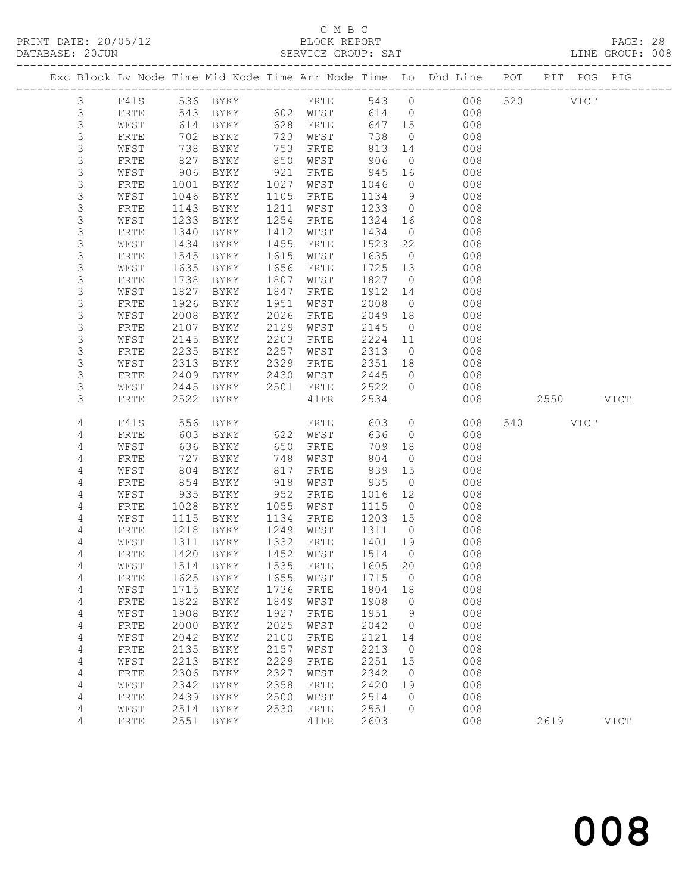PRINT DATE: 20/05/12 BLOCK REPORT<br>DATABASE: 20JUN SERVICE GROUP: SAT

# C M B C<br>BLOCK REPORT

PAGE: 28<br>LINE GROUP: 008

| nummun coopi   |              |      |             |      | ATTLATAT ATTAAT . |         |                |                                                                                             |     |             |             |
|----------------|--------------|------|-------------|------|-------------------|---------|----------------|---------------------------------------------------------------------------------------------|-----|-------------|-------------|
|                |              |      |             |      |                   |         |                | ---------------------<br>Exc Block Lv Node Time Mid Node Time Arr Node Time Lo Dhd Line POT |     | PIT POG PIG |             |
| 3              | F41S         |      | 536 BYKY    |      | FRTE              | 543 0   |                | 008                                                                                         |     | 520 VTCT    |             |
| $\mathfrak{Z}$ | FRTE         | 543  | BYKY        |      | 602 WFST          | 614     |                | 008<br>$\overline{0}$                                                                       |     |             |             |
| 3              | WFST         | 614  | BYKY        | 628  | FRTE              | 647     | 15             | 008                                                                                         |     |             |             |
| 3              | FRTE         | 702  | BYKY        | 723  | WFST              | 738     | $\overline{0}$ | 008                                                                                         |     |             |             |
| $\mathsf S$    | WFST         | 738  | BYKY        | 753  | FRTE              | 813     | 14             | 008                                                                                         |     |             |             |
| 3              | FRTE         | 827  | BYKY        | 850  | WFST              | 906     | $\overline{0}$ | 008                                                                                         |     |             |             |
| 3              | WFST         | 906  | BYKY        | 921  | FRTE              | 945     | 16             | 008                                                                                         |     |             |             |
| $\mathsf S$    | FRTE         | 1001 | BYKY        | 1027 | WFST              | 1046    | $\circ$        | 008                                                                                         |     |             |             |
| $\mathsf S$    | WFST         | 1046 | BYKY        | 1105 | FRTE              | 1134    | 9              | 008                                                                                         |     |             |             |
| 3              | FRTE         | 1143 | BYKY        | 1211 | WFST              | 1233    | $\overline{0}$ | 008                                                                                         |     |             |             |
| $\mathsf S$    | WFST         | 1233 | BYKY        | 1254 | FRTE              | 1324    | 16             | 008                                                                                         |     |             |             |
| $\mathsf S$    | FRTE         | 1340 | BYKY        | 1412 | WFST              | 1434    | $\overline{0}$ | 008                                                                                         |     |             |             |
| $\mathsf S$    | WFST         | 1434 | BYKY        | 1455 | FRTE              | 1523    | 22             | 008                                                                                         |     |             |             |
| 3              | FRTE         | 1545 | BYKY        | 1615 | WFST              | 1635    | $\overline{0}$ | 008                                                                                         |     |             |             |
| 3              | WFST         | 1635 | BYKY        | 1656 | FRTE              | 1725    | 13             | 008                                                                                         |     |             |             |
| 3              | FRTE         | 1738 | BYKY        | 1807 | WFST              | 1827    | $\overline{0}$ | 008                                                                                         |     |             |             |
| $\mathsf S$    | WFST         | 1827 | BYKY        | 1847 | FRTE              | 1912    | 14             | 008                                                                                         |     |             |             |
| $\mathfrak{Z}$ | FRTE         | 1926 | BYKY        | 1951 | WFST              | 2008    | $\overline{0}$ | 008                                                                                         |     |             |             |
| 3              | WFST         | 2008 | BYKY        | 2026 | FRTE              | 2049    | 18             | 008                                                                                         |     |             |             |
| 3              | FRTE         | 2107 | BYKY        | 2129 | WFST              | 2145    | $\overline{0}$ | 008                                                                                         |     |             |             |
| $\mathsf S$    | WFST         | 2145 | BYKY        | 2203 | ${\tt FRTE}$      | 2224    | 11             | 008                                                                                         |     |             |             |
| $\mathsf 3$    | FRTE         | 2235 | BYKY        | 2257 | WFST              | 2313    | $\overline{0}$ | 008                                                                                         |     |             |             |
| 3              | WFST         | 2313 | BYKY        | 2329 | FRTE              | 2351 18 |                | 008                                                                                         |     |             |             |
| 3              | FRTE         | 2409 | BYKY        | 2430 | WFST              | 2445    | $\circ$        | 008                                                                                         |     |             |             |
| 3              | WFST         | 2445 | BYKY        | 2501 | FRTE              | 2522    | $\circ$        | 008                                                                                         |     |             |             |
| 3              | FRTE         | 2522 | BYKY        |      | 41FR              | 2534    |                | 008                                                                                         |     | 2550        | <b>VTCT</b> |
|                |              |      |             |      |                   |         |                |                                                                                             |     |             |             |
| 4              | F41S         | 556  | BYKY        |      | FRTE              | 603     | $\circ$        | 008                                                                                         | 540 | <b>VTCT</b> |             |
| 4              | FRTE         | 603  | BYKY        |      | 622 WFST          | 636     | $\circ$        | 008                                                                                         |     |             |             |
| 4              | WFST         | 636  | BYKY        | 650  | FRTE              | 709     | 18             | 008                                                                                         |     |             |             |
| 4              | FRTE         | 727  | BYKY        | 748  | WFST              | 804     | $\overline{0}$ | 008                                                                                         |     |             |             |
| 4              | WFST         | 804  | BYKY        | 817  | FRTE              | 839     | 15             | 008                                                                                         |     |             |             |
| 4              | FRTE         | 854  | BYKY        | 918  | WFST              | 935     | $\circ$        | 008                                                                                         |     |             |             |
| 4              | WFST         | 935  | BYKY        | 952  | FRTE              | 1016    | 12             | 008                                                                                         |     |             |             |
| 4              | FRTE         | 1028 | BYKY        | 1055 | WFST              | 1115    | $\overline{0}$ | 008                                                                                         |     |             |             |
| 4              | WFST         | 1115 | BYKY        | 1134 | FRTE              | 1203    | 15             | 008                                                                                         |     |             |             |
| 4              | FRTE         | 1218 | BYKY        | 1249 | WFST              | 1311    | $\overline{0}$ | 008                                                                                         |     |             |             |
| 4              | WFST         | 1311 | BYKY        | 1332 | FRTE              | 1401    | 19             | 008                                                                                         |     |             |             |
| 4              | FRTE         | 1420 | BYKY        | 1452 | WFST              | 1514    | $\overline{0}$ | 008                                                                                         |     |             |             |
| 4              | WFST         | 1514 | <b>BYKY</b> | 1535 | FRTE              | 1605    | 20             | 008                                                                                         |     |             |             |
| 4              | FRTE         | 1625 | BYKY        | 1655 | WFST              | 1715    | 0              | 008                                                                                         |     |             |             |
| 4              | WFST         | 1715 | BYKY        | 1736 | FRTE              | 1804    | 18             | 008                                                                                         |     |             |             |
| 4              | FRTE         | 1822 | BYKY        | 1849 | WFST              | 1908    | 0              | 008                                                                                         |     |             |             |
| 4              | WFST         | 1908 | BYKY        | 1927 | FRTE              | 1951    | 9              | 008                                                                                         |     |             |             |
| 4              | FRTE         | 2000 | BYKY        | 2025 | WFST              | 2042    | $\circ$        | 008                                                                                         |     |             |             |
| 4              | WFST         | 2042 | BYKY        | 2100 | ${\tt FRTE}$      | 2121    | 14             | 008                                                                                         |     |             |             |
| 4              | ${\tt FRTE}$ | 2135 | BYKY        | 2157 | WFST              | 2213    | 0              | 008                                                                                         |     |             |             |
| 4              | WFST         | 2213 | BYKY        | 2229 | FRTE              | 2251    | 15             | 008                                                                                         |     |             |             |
| 4              | FRTE         | 2306 | BYKY        | 2327 | WFST              | 2342    | 0              | 008                                                                                         |     |             |             |
| 4              | WFST         | 2342 | BYKY        | 2358 | ${\tt FRTE}$      | 2420    | 19             | 008                                                                                         |     |             |             |

 4 FRTE 2439 BYKY 2500 WFST 2514 0 008 4 WFST 2514 BYKY 2530 FRTE 2551 0 008

4 FRTE 2551 BYKY 41FR 2603 008 2619 VTCT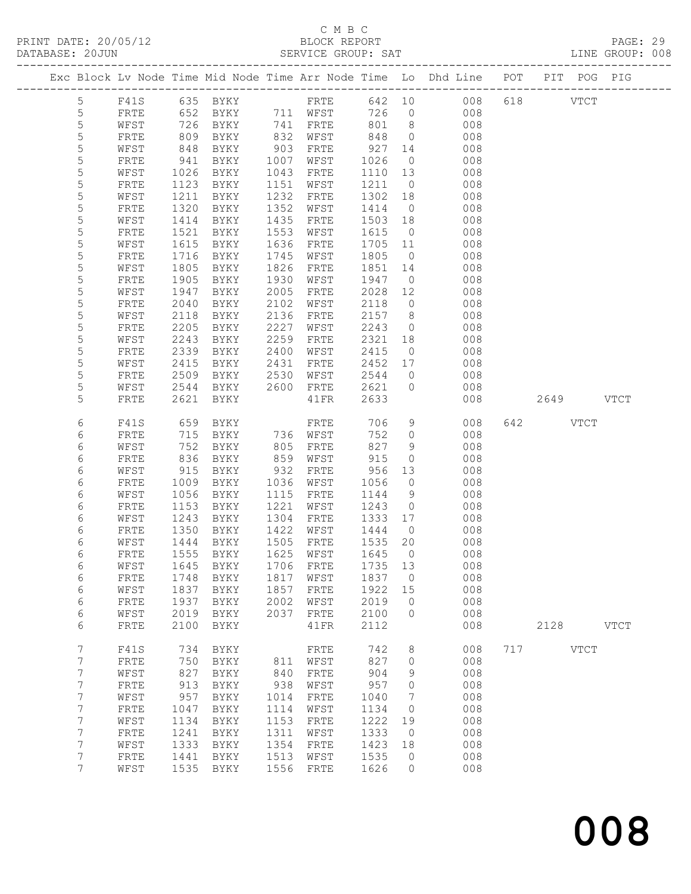# C M B C<br>BLOCK REPORT

PRINT DATE: 20/05/12 BLOCK REPORT PAGE: 29 SERVICE GROUP: SAT

|  |                  |              |      |                                  |      |                 |      |                 | Exc Block Lv Node Time Mid Node Time Arr Node Time Lo Dhd Line POT PIT POG PIG |           |             |
|--|------------------|--------------|------|----------------------------------|------|-----------------|------|-----------------|--------------------------------------------------------------------------------|-----------|-------------|
|  |                  |              |      |                                  |      |                 |      |                 |                                                                                |           |             |
|  | 5                | F41S         |      |                                  |      |                 |      |                 | 635 BYKY FRTE 642 10 008                                                       | 618 VTCT  |             |
|  | $\mathsf S$      | FRTE         |      | 652 BYKY 711 WFST                |      |                 | 726  | $\overline{0}$  | 008                                                                            |           |             |
|  | 5                | WFST         | 726  | BYKY                             |      | 741 FRTE        | 801  | 8 <sup>8</sup>  | 008                                                                            |           |             |
|  |                  |              |      |                                  |      |                 |      |                 |                                                                                |           |             |
|  | $\mathsf S$      | FRTE         | 809  | BYKY                             | 832  | WFST            | 848  | $\overline{0}$  | 008                                                                            |           |             |
|  | $\mathsf S$      | WFST         | 848  | BYKY                             | 903  | FRTE            | 927  | 14              | 008                                                                            |           |             |
|  | $\mathsf S$      | FRTE         | 941  | BYKY                             | 1007 | WFST            | 1026 | $\overline{0}$  | 008                                                                            |           |             |
|  | $\mathsf S$      | WFST         | 1026 | BYKY                             | 1043 | FRTE            | 1110 | 13              | 008                                                                            |           |             |
|  | $\mathsf S$      | FRTE         | 1123 | BYKY                             | 1151 | WFST            | 1211 | $\overline{0}$  | 008                                                                            |           |             |
|  | 5                | WFST         | 1211 | BYKY                             | 1232 | FRTE            | 1302 | 18              | 008                                                                            |           |             |
|  | $\mathsf S$      | FRTE         | 1320 | BYKY                             | 1352 | WFST            | 1414 | $\overline{0}$  | 008                                                                            |           |             |
|  | 5                | WFST         | 1414 | BYKY                             | 1435 | FRTE            | 1503 | 18              | 008                                                                            |           |             |
|  | 5                | FRTE         | 1521 | BYKY                             | 1553 | WFST            | 1615 | $\overline{0}$  | 008                                                                            |           |             |
|  | 5                |              | 1615 |                                  | 1636 |                 | 1705 | 11              | 008                                                                            |           |             |
|  |                  | WFST         |      | BYKY                             |      | FRTE            |      |                 |                                                                                |           |             |
|  | $\mathsf S$      | ${\tt FRTE}$ | 1716 | BYKY                             | 1745 | WFST            | 1805 | $\overline{0}$  | 008                                                                            |           |             |
|  | $\mathsf S$      | WFST         | 1805 | BYKY                             | 1826 | FRTE            | 1851 | 14              | 008                                                                            |           |             |
|  | $\mathsf S$      | FRTE         | 1905 | BYKY                             | 1930 | WFST            | 1947 | $\overline{0}$  | 008                                                                            |           |             |
|  | 5                | WFST         | 1947 | BYKY                             | 2005 | FRTE            | 2028 | 12              | 008                                                                            |           |             |
|  | $\mathsf S$      | FRTE         | 2040 | BYKY                             | 2102 | WFST            | 2118 | $\overline{0}$  | 008                                                                            |           |             |
|  | 5                | WFST         | 2118 | BYKY                             | 2136 | FRTE            | 2157 | 8 <sup>8</sup>  | 008                                                                            |           |             |
|  | $\mathsf S$      | FRTE         | 2205 | BYKY                             | 2227 | WFST            | 2243 | $\overline{0}$  | 008                                                                            |           |             |
|  | 5                | WFST         | 2243 | BYKY                             | 2259 | FRTE            | 2321 | 18              | 008                                                                            |           |             |
|  | $\mathsf S$      | ${\tt FRTE}$ | 2339 | BYKY                             | 2400 | WFST            | 2415 | $\overline{0}$  | 008                                                                            |           |             |
|  | $\mathsf S$      |              | 2415 |                                  | 2431 |                 | 2452 | 17              | 008                                                                            |           |             |
|  |                  | WFST         |      | BYKY                             |      | FRTE            |      |                 |                                                                                |           |             |
|  | 5                | ${\tt FRTE}$ | 2509 | BYKY                             | 2530 | WFST            | 2544 | $\overline{0}$  | 008                                                                            |           |             |
|  | 5                | WFST         | 2544 | BYKY                             | 2600 | FRTE            | 2621 | $\overline{0}$  | 008                                                                            |           |             |
|  | 5                | FRTE         | 2621 | BYKY                             |      | $41\mathrm{FR}$ | 2633 |                 | 008                                                                            | 2649 VTCT |             |
|  |                  |              |      |                                  |      |                 |      |                 |                                                                                |           |             |
|  | 6                | F41S         | 659  | BYKY                             |      | FRTE            | 706  | 9               | 008                                                                            | 642 VTCT  |             |
|  | 6                | FRTE         | 715  | BYKY                             |      | 736 WFST        | 752  | $\circ$         | 008                                                                            |           |             |
|  | $\sqrt{6}$       | WFST         | 752  | BYKY                             | 805  | FRTE            | 827  | 9               | 008                                                                            |           |             |
|  | $\sqrt{6}$       | FRTE         | 836  | BYKY                             | 859  | WFST            | 915  | $\circ$         | 008                                                                            |           |             |
|  | 6                | WFST         | 915  | BYKY                             | 932  | FRTE            | 956  | 13              | 008                                                                            |           |             |
|  | $\epsilon$       | FRTE         | 1009 | BYKY                             | 1036 | WFST            | 1056 | $\circ$         | 008                                                                            |           |             |
|  | 6                | WFST         | 1056 | BYKY                             | 1115 | FRTE            | 1144 | 9               | 008                                                                            |           |             |
|  |                  |              | 1153 |                                  | 1221 |                 | 1243 | $\overline{0}$  | 008                                                                            |           |             |
|  | 6                | FRTE         |      | BYKY                             |      | WFST            |      |                 |                                                                                |           |             |
|  | 6                | WFST         | 1243 | BYKY                             | 1304 | FRTE            | 1333 | 17              | 008                                                                            |           |             |
|  | 6                | FRTE         | 1350 | BYKY                             | 1422 | WFST            | 1444 | $\overline{0}$  | 008                                                                            |           |             |
|  | 6                | WFST         | 1444 | BYKY                             | 1505 | FRTE            | 1535 | 20              | 008                                                                            |           |             |
|  | 6                | ${\tt FRTE}$ | 1555 | BYKY                             |      | 1625 WFST       | 1645 | $\overline{0}$  | 008                                                                            |           |             |
|  | 6                |              |      | WFST 1645 BYKY 1706 FRTE 1735 13 |      |                 |      |                 | 008                                                                            |           |             |
|  | 6                | FRTE         | 1748 | BYKY                             | 1817 | WFST            | 1837 | $\overline{0}$  | 008                                                                            |           |             |
|  | $\sqrt{6}$       | WFST         | 1837 | BYKY                             | 1857 | FRTE            | 1922 | 15              | 008                                                                            |           |             |
|  | $\sqrt{6}$       | FRTE         | 1937 | BYKY                             | 2002 | WFST            | 2019 | $\circ$         | 008                                                                            |           |             |
|  | $\sqrt{6}$       | WFST         | 2019 | BYKY                             | 2037 | FRTE            | 2100 | $\circ$         | 008                                                                            |           |             |
|  | 6                | FRTE         | 2100 | BYKY                             |      | 41FR            | 2112 |                 | 008                                                                            | 2128      | <b>VTCT</b> |
|  |                  |              |      |                                  |      |                 |      |                 |                                                                                |           |             |
|  | $\boldsymbol{7}$ |              | 734  |                                  |      |                 | 742  |                 | 008                                                                            | 717 VTCT  |             |
|  |                  | F41S         |      | BYKY                             |      | FRTE            |      | 8               |                                                                                |           |             |
|  | $7\phantom{.}$   | FRTE         | 750  | BYKY                             | 811  | WFST            | 827  | $\circ$         | 008                                                                            |           |             |
|  | $\boldsymbol{7}$ | WFST         | 827  | BYKY                             | 840  | ${\tt FRTE}$    | 904  | 9               | 008                                                                            |           |             |
|  | 7                | FRTE         | 913  | BYKY                             | 938  | WFST            | 957  | $\circ$         | 008                                                                            |           |             |
|  | $\boldsymbol{7}$ | WFST         | 957  | BYKY                             | 1014 | FRTE            | 1040 | $7\phantom{.0}$ | 008                                                                            |           |             |
|  | $\boldsymbol{7}$ | FRTE         | 1047 | BYKY                             | 1114 | WFST            | 1134 | $\overline{0}$  | 008                                                                            |           |             |
|  | 7                | WFST         | 1134 | BYKY                             | 1153 | FRTE            | 1222 | 19              | 008                                                                            |           |             |
|  | 7                | FRTE         | 1241 | BYKY                             | 1311 | WFST            | 1333 | $\overline{0}$  | 008                                                                            |           |             |
|  | $\boldsymbol{7}$ | WFST         | 1333 | BYKY                             | 1354 | FRTE            | 1423 | 18              | 008                                                                            |           |             |
|  | 7                | FRTE         | 1441 | BYKY                             | 1513 | WFST            | 1535 | $\overline{0}$  | 008                                                                            |           |             |
|  | 7                | WFST         | 1535 | BYKY                             | 1556 | FRTE            | 1626 | $\circ$         | 008                                                                            |           |             |
|  |                  |              |      |                                  |      |                 |      |                 |                                                                                |           |             |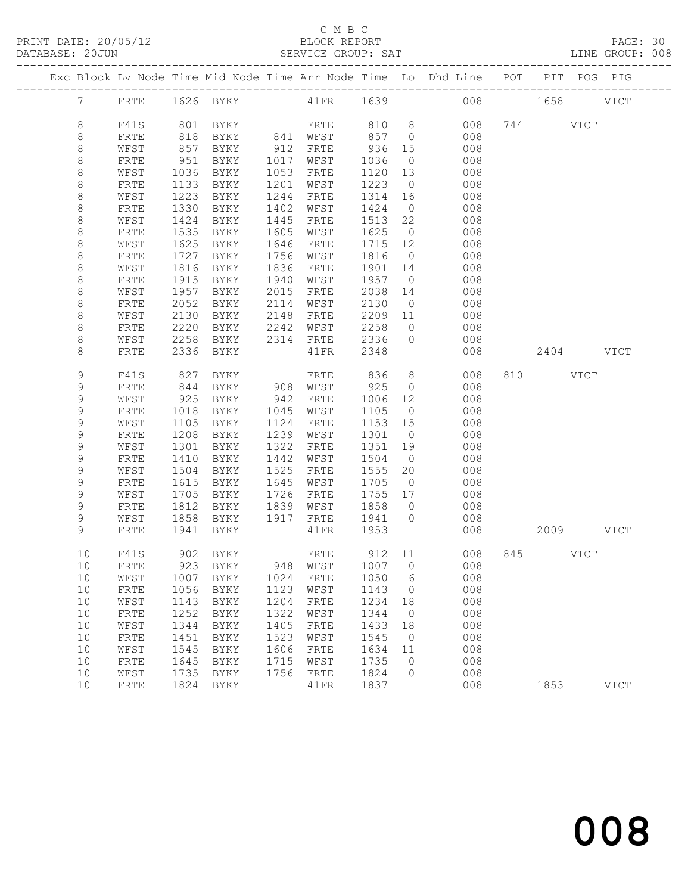## C M B C<br>BLOCK REPORT

|  | DATABASE: 20JUN |      |      |                                             |      | SERVICE GROUP: SAT |              |                          |                                                                                |              |          |             | LINE GROUP: 008 |  |
|--|-----------------|------|------|---------------------------------------------|------|--------------------|--------------|--------------------------|--------------------------------------------------------------------------------|--------------|----------|-------------|-----------------|--|
|  |                 |      |      |                                             |      |                    |              |                          | Exc Block Lv Node Time Mid Node Time Arr Node Time Lo Dhd Line POT PIT POG PIG |              |          |             |                 |  |
|  |                 |      |      |                                             |      |                    |              |                          | 7 FRTE 1626 BYKY 41FR 1639 008 1658 VTCT                                       |              |          |             |                 |  |
|  | 8               | F41S |      | 801 BYKY                                    |      |                    | FRTE 810 8   |                          |                                                                                | 008 744 VTCT |          |             |                 |  |
|  | 8               | FRTE | 818  |                                             |      |                    |              |                          | 008                                                                            |              |          |             |                 |  |
|  | 8               | WFST | 857  | BYKY 841 WFST 857 0<br>BYKY 912 FRTE 936 15 |      | 912 FRTE           |              |                          | 008                                                                            |              |          |             |                 |  |
|  | 8               | FRTE | 951  | BYKY                                        |      | 1017 WFST          | 1036         | $\overline{0}$           | 008                                                                            |              |          |             |                 |  |
|  | 8               | WFST | 1036 | BYKY                                        |      | 1053 FRTE          | 1120         | 13                       | 008                                                                            |              |          |             |                 |  |
|  | 8               | FRTE | 1133 | BYKY                                        |      | 1201 WFST          | 1223 0       |                          | 008                                                                            |              |          |             |                 |  |
|  | 8               | WFST | 1223 | BYKY                                        | 1244 | FRTE               | 1314 16      |                          | 008                                                                            |              |          |             |                 |  |
|  | 8               | FRTE | 1330 | BYKY                                        | 1402 | WFST               | 1424         | $\overline{0}$           | 008                                                                            |              |          |             |                 |  |
|  | 8               | WFST | 1424 | BYKY                                        | 1445 | FRTE               | 1513         | 22                       | 008                                                                            |              |          |             |                 |  |
|  | $\,8\,$         | FRTE | 1535 | BYKY                                        |      | 1605 WFST          | 1625         | $\overline{0}$           | 008                                                                            |              |          |             |                 |  |
|  | 8               | WFST | 1625 | BYKY                                        |      | 1646 FRTE          | 1715 12      |                          | 008                                                                            |              |          |             |                 |  |
|  | 8               | FRTE | 1727 | BYKY                                        | 1756 | WFST               | 1816         |                          | $\overline{0}$<br>008                                                          |              |          |             |                 |  |
|  | 8               | WFST | 1816 | BYKY                                        |      | 1836 FRTE          | 1901         | 14                       | 008                                                                            |              |          |             |                 |  |
|  | 8               | FRTE | 1915 | BYKY                                        | 1940 | WFST               | 1957 0       |                          | 008                                                                            |              |          |             |                 |  |
|  | 8               | WFST | 1957 | BYKY                                        | 2015 | FRTE               | 2038 14      |                          | 008                                                                            |              |          |             |                 |  |
|  | 8               | FRTE | 2052 | BYKY                                        | 2114 | WFST               | 2130         | $\overline{0}$           | 008                                                                            |              |          |             |                 |  |
|  | 8               | WFST | 2130 | BYKY 2148                                   |      | FRTE               | 2209 11      |                          | 008                                                                            |              |          |             |                 |  |
|  | 8               | FRTE | 2220 | BYKY 2242                                   |      | WFST               | 2258         | $\overline{0}$           | 008                                                                            |              |          |             |                 |  |
|  | $\,8\,$         | WFST | 2258 | BYKY 2314 FRTE                              |      |                    | 2336         | $\overline{0}$           | 008                                                                            |              |          |             |                 |  |
|  | 8               | FRTE | 2336 | BYKY                                        |      | 41 FR              | 2348         |                          | 008                                                                            |              |          | $2404$ VTCT |                 |  |
|  | 9               | F41S | 827  |                                             |      |                    | 836          | 8 <sup>8</sup>           | 008                                                                            |              | 810 VTCT |             |                 |  |
|  | 9               | FRTE | 844  |                                             |      |                    | 925          | $\overline{0}$           | 008                                                                            |              |          |             |                 |  |
|  | 9               | WFST | 925  | BYKY                                        |      | 942 FRTE           | 1006 12      |                          | 008                                                                            |              |          |             |                 |  |
|  | 9               | FRTE | 1018 | BYKY 1045                                   |      | WFST               | 1105         | $\overline{0}$           | 008                                                                            |              |          |             |                 |  |
|  | 9               | WFST | 1105 | BYKY                                        | 1124 | FRTE               | 1153 15      |                          | 008                                                                            |              |          |             |                 |  |
|  | 9               | FRTE | 1208 | BYKY                                        |      | 1239 WFST          | 1301 0       |                          | 008                                                                            |              |          |             |                 |  |
|  | 9               | WFST | 1301 | BYKY                                        | 1322 | FRTE               | 1351         | 19                       | 008                                                                            |              |          |             |                 |  |
|  | 9               | FRTE | 1410 | BYKY                                        | 1442 | WFST               | 1504         | $\overline{0}$           | 008                                                                            |              |          |             |                 |  |
|  | 9               | WFST | 1504 | BYKY                                        | 1525 | FRTE               | 1555         | 20                       | 008                                                                            |              |          |             |                 |  |
|  | 9               | FRTE | 1615 | BYKY                                        | 1645 | WFST               | 1705 0       |                          | 008                                                                            |              |          |             |                 |  |
|  | 9               | WFST | 1705 | BYKY                                        | 1726 | FRTE               | 1755 17      |                          | 008                                                                            |              |          |             |                 |  |
|  | 9               | FRTE | 1812 | BYKY                                        | 1839 | WFST               | 1858 0       |                          | 008                                                                            |              |          |             |                 |  |
|  | 9               | WFST | 1858 | BYKY 1917 FRTE 1941 0                       |      |                    |              |                          | 008                                                                            |              |          |             |                 |  |
|  | 9               | FRTE |      | 1941 BYKY                                   |      | $41\mathrm{FR}$    | 1953         |                          | 008                                                                            |              |          | 2009 VTCT   |                 |  |
|  |                 |      |      | 10 F41S 902 BYKY                            |      |                    |              |                          | FRTE 912 11 008 845 VTCT                                                       |              |          |             |                 |  |
|  | 10              | FRTE | 923  | BYKY                                        | 948  | WFST               | 1007         | $\overline{0}$           | 008                                                                            |              |          |             |                 |  |
|  | 10              | WFST | 1007 | BYKY                                        | 1024 | FRTE               | 1050         | 6                        | 008                                                                            |              |          |             |                 |  |
|  | 10              | FRTE | 1056 | BYKY                                        | 1123 | WFST               | 1143         | $\overline{0}$           | 008                                                                            |              |          |             |                 |  |
|  | 10              | WFST | 1143 | BYKY                                        | 1204 | FRTE               | 1234         | 18                       | 008                                                                            |              |          |             |                 |  |
|  | 10              | FRTE | 1252 | BYKY                                        | 1322 | WFST               | 1344         | $\overline{\phantom{0}}$ | 008                                                                            |              |          |             |                 |  |
|  | 10              | WFST | 1344 | BYKY                                        | 1405 | ${\tt FRTE}$       | 1433         | 18                       | 008                                                                            |              |          |             |                 |  |
|  | 10              | FRTE | 1451 | BYKY                                        | 1523 | WFST               | 1545         | $\overline{0}$           | 008                                                                            |              |          |             |                 |  |
|  | 10              | WFST | 1545 | BYKY                                        | 1606 | FRTE               | 1634         | 11                       | 008                                                                            |              |          |             |                 |  |
|  | 10              | FRTE | 1645 | BYKY                                        | 1715 | WFST               | 1735         | $\overline{0}$           | 008                                                                            |              |          |             |                 |  |
|  | 10<br>10        | WFST | 1735 | BYKY<br>1824 BYKY                           | 1756 | FRTE               | 1824<br>1837 | $\circ$                  | 008<br>008                                                                     |              | 1853     |             |                 |  |
|  |                 | FRTE |      |                                             |      | 41FR               |              |                          |                                                                                |              |          |             | <b>VTCT</b>     |  |
|  |                 |      |      |                                             |      |                    |              |                          |                                                                                |              |          |             |                 |  |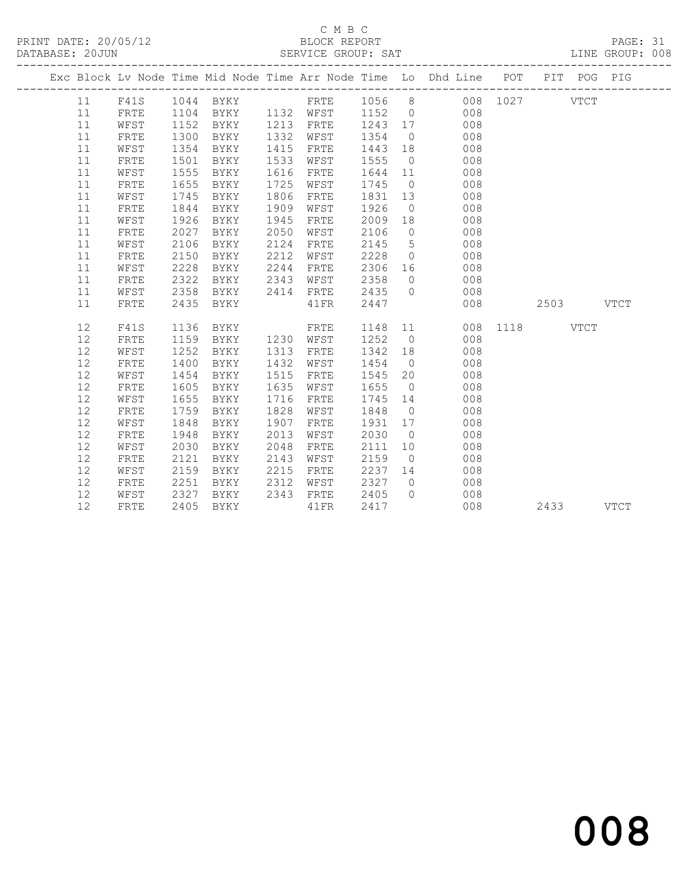# C M B C<br>BLOCK REPORT

| PRINT DATE: 20/05/12<br>DATABASE: 20JUN |    |              |      |                     |      |           |         |                |                                                                                |           |           |  |  |
|-----------------------------------------|----|--------------|------|---------------------|------|-----------|---------|----------------|--------------------------------------------------------------------------------|-----------|-----------|--|--|
|                                         |    |              |      |                     |      |           |         |                | Exc Block Lv Node Time Mid Node Time Arr Node Time Lo Dhd Line POT PIT POG PIG |           |           |  |  |
|                                         | 11 | F41S         |      |                     |      |           |         |                |                                                                                |           |           |  |  |
|                                         | 11 | FRTE         |      | 1104 BYKY 1132 WFST |      |           |         |                | 1152 0 008                                                                     |           |           |  |  |
|                                         | 11 | WFST         | 1152 | BYKY                |      | 1213 FRTE | 1243 17 |                | 008                                                                            |           |           |  |  |
|                                         | 11 | FRTE         | 1300 | BYKY                | 1332 | WFST      | 1354    |                | $\begin{array}{ccc} 0 & & 008 \\ 18 & & 008 \\ 0 & & 008 \end{array}$          |           |           |  |  |
|                                         | 11 | WFST         | 1354 | BYKY                | 1415 | FRTE      | 1443    |                |                                                                                |           |           |  |  |
|                                         | 11 | FRTE         | 1501 | BYKY                | 1533 | WFST      | 1555    |                |                                                                                |           |           |  |  |
|                                         | 11 | WFST         | 1555 | BYKY                | 1616 | FRTE      | 1644 11 |                | 008                                                                            |           |           |  |  |
|                                         | 11 | FRTE         | 1655 | BYKY                | 1725 | WFST      | 1745    |                | $\overline{O}$<br>008                                                          |           |           |  |  |
|                                         | 11 | WFST         | 1745 | BYKY                | 1806 | FRTE      | 1831    |                | 13<br>008                                                                      |           |           |  |  |
|                                         | 11 | FRTE         | 1844 | BYKY                | 1909 | WFST      | 1926    |                | 008<br>$\overline{0}$                                                          |           |           |  |  |
|                                         | 11 | WFST         | 1926 | BYKY                | 1945 | FRTE      | 2009    | 18             | 008                                                                            |           |           |  |  |
|                                         | 11 | FRTE         | 2027 | BYKY                | 2050 | WFST      | 2106    | $\overline{0}$ | $\begin{array}{c} 0.08 \\ 0.08 \end{array}$                                    |           |           |  |  |
|                                         | 11 | WFST         | 2106 | BYKY                | 2124 | FRTE      | 2145    |                | $5$ 008                                                                        |           |           |  |  |
|                                         | 11 | FRTE         | 2150 | BYKY                | 2212 | WFST      | 2228    |                | $\overline{0}$<br>008                                                          |           |           |  |  |
|                                         | 11 | WFST         | 2228 | BYKY                | 2244 | FRTE      | 2306 16 |                | 008                                                                            |           |           |  |  |
|                                         | 11 | FRTE         | 2322 | BYKY                | 2343 | WFST      | 2358    | $\overline{0}$ | 008                                                                            |           |           |  |  |
|                                         | 11 | WFST         | 2358 | BYKY                | 2414 | FRTE      | 2435    |                | $\overline{0}$<br>008                                                          |           |           |  |  |
|                                         | 11 | FRTE         | 2435 | BYKY                |      | 41FR      | 2447    |                | 008                                                                            | 2503 VTCT |           |  |  |
|                                         | 12 | F41S         | 1136 | BYKY                |      | FRTE      |         |                | 1148  11  008  1118  VTCT                                                      |           |           |  |  |
|                                         | 12 | FRTE         | 1159 | <b>BYKY</b>         |      | 1230 WFST | 1252    |                | $\overline{0}$<br>008                                                          |           |           |  |  |
|                                         | 12 | WFST         | 1252 | BYKY                | 1313 | FRTE      | 1342 18 |                | 008                                                                            |           |           |  |  |
|                                         | 12 | FRTE         | 1400 | BYKY                | 1432 | WFST      | 1454    |                | 008<br>$\overline{0}$                                                          |           |           |  |  |
|                                         | 12 | WFST         | 1454 | BYKY                | 1515 | FRTE      | 1545 20 |                | 008                                                                            |           |           |  |  |
|                                         | 12 | FRTE         | 1605 | BYKY                | 1635 | WFST      | 1655    | $\overline{0}$ | 008                                                                            |           |           |  |  |
|                                         | 12 | WFST         | 1655 | BYKY                | 1716 | FRTE      | 1745    | 14             | 008                                                                            |           |           |  |  |
|                                         | 12 | FRTE         | 1759 | BYKY                | 1828 | WFST      | 1848    | $\overline{0}$ | 008                                                                            |           |           |  |  |
|                                         | 12 | WFST         | 1848 | BYKY                | 1907 | FRTE      | 1931    | 17             | 008                                                                            |           |           |  |  |
|                                         | 12 | FRTE         | 1948 | BYKY                | 2013 | WFST      | 2030    | $\overline{0}$ | 008                                                                            |           |           |  |  |
|                                         | 12 | WFST         | 2030 | BYKY                | 2048 | FRTE      | 2111    | 10             | 008                                                                            |           |           |  |  |
|                                         | 12 | ${\tt FRTE}$ | 2121 | BYKY                | 2143 | WFST      | 2159    | $\overline{0}$ | 008                                                                            |           |           |  |  |
|                                         | 12 | WFST         | 2159 | BYKY                | 2215 | FRTE      | 2237    |                | $\begin{array}{ccc} 14 & \quad & 008 \\ 0 & \quad & 008 \end{array}$           |           |           |  |  |
|                                         | 12 | FRTE         | 2251 | BYKY                | 2312 | WFST      | 2327    |                |                                                                                |           |           |  |  |
|                                         | 12 | WFST         | 2327 | BYKY                | 2343 | FRTE      | 2405    | $\overline{0}$ | 008                                                                            |           |           |  |  |
|                                         | 12 | FRTE         | 2405 | BYKY                |      | 41FR      | 2417    |                | 008                                                                            |           | 2433 VTCT |  |  |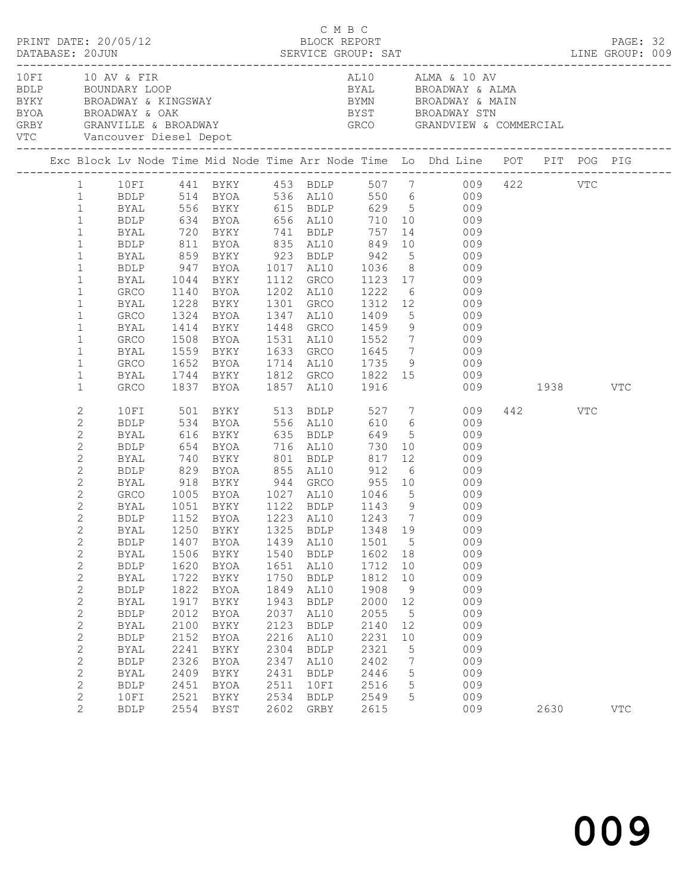| PRINT DATE: 20/05/12<br>DATABASE: 20JUN SERVICE GROUP: SAT LINE GROUP: 009<br>10 FI 10 AV & FIR<br>BDLP BOUNDARY LOOP<br>BYKY BROADWAY & KINGSWAY BYMN BYMN BROADWAY & MAIN BYOA BYMN BROADWAY & MAIN BYOA BYST BROADWAY STN GRBY GRANDVIEW & COMP                                                                                         |                                                                                                                                                                                                                                                                            |                                                                                                                      |                                                                                                                                                       |                                                                                                                      | C M B C<br>BLOCK REPORT                                                                                                                                                      |                                                                                                                             |                                                                                                  |                                                                                                                                                                                                                                                                                                                                                                                                                                                                                                                                                                                                   |                 | PAGE: 32   |  |
|--------------------------------------------------------------------------------------------------------------------------------------------------------------------------------------------------------------------------------------------------------------------------------------------------------------------------------------------|----------------------------------------------------------------------------------------------------------------------------------------------------------------------------------------------------------------------------------------------------------------------------|----------------------------------------------------------------------------------------------------------------------|-------------------------------------------------------------------------------------------------------------------------------------------------------|----------------------------------------------------------------------------------------------------------------------|------------------------------------------------------------------------------------------------------------------------------------------------------------------------------|-----------------------------------------------------------------------------------------------------------------------------|--------------------------------------------------------------------------------------------------|---------------------------------------------------------------------------------------------------------------------------------------------------------------------------------------------------------------------------------------------------------------------------------------------------------------------------------------------------------------------------------------------------------------------------------------------------------------------------------------------------------------------------------------------------------------------------------------------------|-----------------|------------|--|
| VTC Vancouver Diesel Depot<br>Exc Block Lv Node Time Mid Node Time Arr Node Time Lo Dhd Line POT PIT POG PIG                                                                                                                                                                                                                               |                                                                                                                                                                                                                                                                            |                                                                                                                      |                                                                                                                                                       |                                                                                                                      |                                                                                                                                                                              |                                                                                                                             |                                                                                                  | AL10 ALMA & 10 AV<br>BYAL BROADWAY & ALMA<br>BYST         BROADWAY STN<br>GRCO        GRANDVIEW & COMMERCIAL                                                                                                                                                                                                                                                                                                                                                                                                                                                                                      |                 |            |  |
|                                                                                                                                                                                                                                                                                                                                            |                                                                                                                                                                                                                                                                            |                                                                                                                      |                                                                                                                                                       |                                                                                                                      |                                                                                                                                                                              |                                                                                                                             |                                                                                                  |                                                                                                                                                                                                                                                                                                                                                                                                                                                                                                                                                                                                   |                 |            |  |
| $\mathbf{1}$<br>$\mathbf{1}$<br>$\mathbf{1}$<br>$\mathbf{1}$<br>$\mathbf{1}$<br>$\mathbf{1}$<br>$\mathbf{1}$<br>$\mathbf{1}$<br>$\mathbf{1}$<br>$\mathbf{1}$<br>$\mathbf{1}$<br>$\mathbf{1}$                                                                                                                                               | BYAL<br>BDLP<br>BYAL<br>GRCO<br>BYAL<br>GRCO<br>BYAL<br>GRCO<br>BYAL<br>GRCO                                                                                                                                                                                               | 1044<br>1228                                                                                                         | 720 BYKY 741 BDLP                                                                                                                                     |                                                                                                                      |                                                                                                                                                                              | 757                                                                                                                         |                                                                                                  | 1 10FI 441 BYKY 453 BDLP 507 7 009 422 VTC<br>1 BDLP 514 BYOA 536 AL10 550 6 009<br>1 BYAL 556 BYKY 615 BDLP 629 5 009<br>1 BDLP 634 BYOA 656 AL10 710 10 009<br>14 009<br>811 BYOA 835 AL10 849 10 009<br>BYAL 859 BYKY 923 BDLP 942 5 009<br>BDLP 947 BYOA 1017 AL10 1036 8 009<br>BYKY 1112 GRCO 1123 17 009<br>1140 BYOA 1202 AL10 1222 6 009<br>1228 BYKY 1301 GRCO 1312 12 009<br>1324 BYOA 1347 AL10 1409 5 009<br>1414 BYKY 1448 GRCO 1459 9 009<br>1508 BYOA 1531 AL10 1552 7 009<br>1559 BYKY 1633 GRCO 1645 7 009<br>1652 BYOA 1714 AL10 1735 9 009<br>1744 BYKY 1812 GRCO 1822 15 009 |                 |            |  |
| $\mathbf{1}$<br>$\mathbf{1}$                                                                                                                                                                                                                                                                                                               | BYAL                                                                                                                                                                                                                                                                       |                                                                                                                      | GRCO 1837 BYOA 1857 AL10 1916                                                                                                                         |                                                                                                                      |                                                                                                                                                                              |                                                                                                                             |                                                                                                  |                                                                                                                                                                                                                                                                                                                                                                                                                                                                                                                                                                                                   | 009 1938 VTC    |            |  |
| 2<br>2<br>2<br>2<br>$\sqrt{2}$<br>2<br>$\overline{2}$<br>$\overline{2}$<br>$\overline{2}$<br>$\mathbf{2}$<br>$\mathbf{2}$<br>$\mathbf{2}$<br>$\mathbf{2}$<br>$\mathbf{2}$<br>2<br>$\mathbf{2}$<br>$\mathbf{2}$<br>$\mathbf{2}$<br>2<br>$\mathbf{2}$<br>$\mathbf{2}$<br>$\mathbf{2}$<br>$\mathbf{2}$<br>$\mathbf{2}$<br>2<br>$\overline{2}$ | 10FI<br>BDLP<br>BYAL<br>BDLP<br>BYAL<br>BDLP<br>BYAL<br>GRCO<br>BYAL<br>BDLP<br><b>BDLP</b><br>BYAL<br><b>BDLP</b><br>BYAL<br><b>BDLP</b><br>BYAL<br><b>BDLP</b><br>BYAL<br><b>BDLP</b><br><b>BYAL</b><br><b>BDLP</b><br><b>BYAL</b><br><b>BDLP</b><br>10FI<br><b>BDLP</b> | 1407<br>1506<br>1620<br>1722<br>1822<br>1917<br>2012<br>2100<br>2152<br>2241<br>2326<br>2409<br>2451<br>2521<br>2554 | 616 BYKY 635 BDLP<br>654 BYOA<br>BYOA<br>BYKY<br>BYOA<br>BYKY<br>BYOA<br>BYKY<br>BYOA<br>BYKY<br>BYOA<br>BYKY<br>BYOA<br>BYKY<br>BYOA<br>BYKY<br>BYST | 1439<br>1540<br>1651<br>1750<br>1849<br>1943<br>2037<br>2123<br>2216<br>2304<br>2347<br>2431<br>2511<br>2534<br>2602 | 716 AL10<br>AL10<br>BDLP<br>AL10<br><b>BDLP</b><br>AL10<br><b>BDLP</b><br>AL10<br>${\tt BDLP}$<br>AL10<br><b>BDLP</b><br>AL10<br><b>BDLP</b><br>10FI<br>${\tt BDLP}$<br>GRBY | 730<br>1501<br>1602<br>1712<br>1812<br>1908<br>2000<br>2055<br>2140<br>2231<br>2321<br>2402<br>2446<br>2516<br>2549<br>2615 | $5\overline{)}$<br>18<br>10<br>10<br>9<br>12<br>$5^{\circ}$<br>12<br>10<br>5<br>7<br>5<br>5<br>5 | 649 5 009<br>10 009<br>009<br>009<br>918 BYKY 944 GRCO 955 10 009<br>1005 BYOA 1027 AL10 1046 5 009<br>1051 BYKY 1122 BDLP 1143 9 009<br>1152 BYOA 1223 AL10 1243 7 009<br>BYAL 1250 BYKY 1325 BDLP 1348 19 009<br>009<br>009<br>009<br>009<br>009<br>009<br>009<br>009<br>009<br>009<br>009<br>009<br>009<br>009<br>009                                                                                                                                                                                                                                                                          | 442 VTC<br>2630 | <b>VTC</b> |  |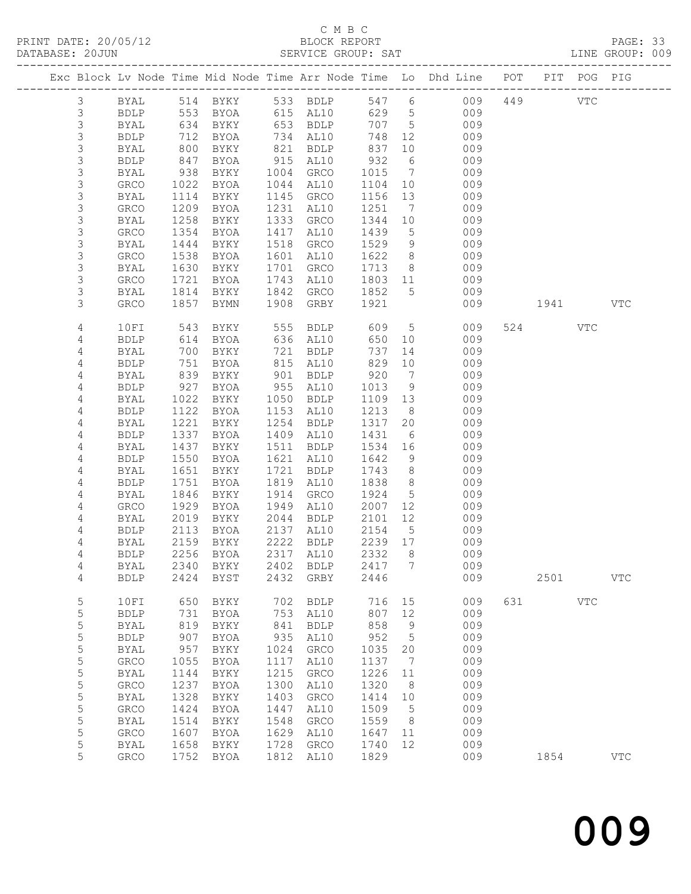# C M B C<br>BLOCK REPORT

| DATABASE: 20JUN |                | ---------------------- |                                             |                                                                                        |      | SERVICE GROUP: SAT |           |                 |                                                                                |          |     | LINE GROUP: 009 |  |
|-----------------|----------------|------------------------|---------------------------------------------|----------------------------------------------------------------------------------------|------|--------------------|-----------|-----------------|--------------------------------------------------------------------------------|----------|-----|-----------------|--|
|                 |                |                        |                                             |                                                                                        |      |                    |           |                 | Exc Block Lv Node Time Mid Node Time Arr Node Time Lo Dhd Line POT PIT POG PIG |          |     |                 |  |
|                 | $\mathcal{S}$  |                        |                                             |                                                                                        |      |                    |           |                 | BYAL 514 BYKY 533 BDLP 547 6 009 449 VTC                                       |          |     |                 |  |
|                 | $\mathfrak{Z}$ |                        |                                             | BDLP 553 BYOA 615 AL10                                                                 |      |                    |           |                 | 629 5<br>009                                                                   |          |     |                 |  |
|                 | $\mathfrak{Z}$ | BYAL                   |                                             |                                                                                        |      |                    | 707 5     |                 | 009                                                                            |          |     |                 |  |
|                 | $\mathsf 3$    | BDLP                   |                                             | 634 BYKY       653  BDLP<br>712   BYOA       734   AL10<br>800   BYKY       821   BDLP |      |                    | 748       | 12              | 009                                                                            |          |     |                 |  |
|                 | 3              | BYAL                   |                                             |                                                                                        |      |                    | 837       | 10              | 009                                                                            |          |     |                 |  |
|                 | 3              | <b>BDLP</b>            | 847                                         | BYOA                                                                                   |      | 915 AL10           | 932       | $6\overline{6}$ | 009                                                                            |          |     |                 |  |
|                 |                |                        |                                             |                                                                                        |      |                    |           | $7\overline{ }$ |                                                                                |          |     |                 |  |
|                 | 3              | BYAL                   | 938                                         | BYKY                                                                                   |      | 1004 GRCO          | 1015      |                 | 009                                                                            |          |     |                 |  |
|                 | $\mathsf 3$    | GRCO                   | 1022                                        | BYOA                                                                                   |      | 1044 AL10          | 1104 10   |                 | 009                                                                            |          |     |                 |  |
|                 | 3              | BYAL                   | 1114                                        | BYKY                                                                                   |      | 1145 GRCO          | 1156 13   |                 | 009                                                                            |          |     |                 |  |
|                 | 3              | GRCO                   | 1209                                        | BYOA                                                                                   |      | 1231 AL10          | 1251      | $7\overline{ }$ | 009                                                                            |          |     |                 |  |
|                 | 3              | BYAL                   | 1258                                        | BYKY                                                                                   |      | 1333 GRCO          | 1344      | 10              | 009                                                                            |          |     |                 |  |
|                 | 3              | GRCO                   | 1354                                        | BYOA                                                                                   |      | 1417 AL10          | 1439      | $5^{\circ}$     | 009                                                                            |          |     |                 |  |
|                 | 3              | BYAL                   | 1444                                        | BYKY                                                                                   |      | 1518 GRCO          | 1529      | 9               | 009                                                                            |          |     |                 |  |
|                 | 3              | GRCO                   | 1538                                        | BYOA                                                                                   |      | 1601 AL10          | 1622      | 8 <sup>8</sup>  | 009                                                                            |          |     |                 |  |
|                 | 3              | BYAL                   | 1630                                        | BYKY                                                                                   |      | 1701 GRCO          | 1713      |                 | 8<br>009                                                                       |          |     |                 |  |
|                 | 3              | GRCO                   | 1721                                        | BYOA                                                                                   |      | 1743 AL10          | 1803 11   |                 | 009                                                                            |          |     |                 |  |
|                 | 3              | BYAL                   | $\begin{array}{c} 1721 \\ 1814 \end{array}$ | BYKY                                                                                   |      | 1842 GRCO 1852 5   |           |                 | 009                                                                            |          |     |                 |  |
|                 | 3              | GRCO                   | 1857                                        | BYMN                                                                                   |      | 1908 GRBY 1921     |           |                 | 009                                                                            | 1941 VTC |     |                 |  |
|                 | $\sqrt{4}$     | 10FI                   | 543                                         | BYKY                                                                                   |      |                    |           | 5 <sub>5</sub>  | 009                                                                            | 524 VTC  |     |                 |  |
|                 | 4              | <b>BDLP</b>            | 614                                         | BYOA                                                                                   |      |                    | 650 10    |                 | 009                                                                            |          |     |                 |  |
|                 | 4              | BYAL                   | 700                                         | BYKY                                                                                   |      | 721 BDLP           | 737       |                 | 14<br>009                                                                      |          |     |                 |  |
|                 | 4              | BDLP                   | 751                                         | BYOA                                                                                   |      | 815 AL10           | 829       | 10              | 009                                                                            |          |     |                 |  |
|                 |                |                        |                                             |                                                                                        |      |                    |           | $\overline{7}$  | 009                                                                            |          |     |                 |  |
|                 | 4              | BYAL                   | 839<br>927                                  | BYKY                                                                                   |      | 901 BDLP           | 920       |                 |                                                                                |          |     |                 |  |
|                 | $\overline{4}$ | BDLP                   |                                             | BYOA                                                                                   |      | 955 AL10           | 1013      | 9               | 009                                                                            |          |     |                 |  |
|                 | 4              | BYAL                   | 1022                                        | BYKY                                                                                   |      | 1050 BDLP          | 1109 13   |                 | 009                                                                            |          |     |                 |  |
|                 | 4              | <b>BDLP</b>            | 1122                                        | BYOA                                                                                   |      | 1153 AL10          | 1213      | 8 <sup>8</sup>  | 009                                                                            |          |     |                 |  |
|                 | 4              | BYAL                   | 1221                                        | BYKY                                                                                   |      | 1254 BDLP          | 1317      | 20              | 009                                                                            |          |     |                 |  |
|                 | $\overline{4}$ | <b>BDLP</b>            | 1337                                        | BYOA                                                                                   |      | 1409 AL10          | 1431      | $6\overline{6}$ | 009                                                                            |          |     |                 |  |
|                 | 4              | BYAL                   | 1437                                        | BYKY                                                                                   |      | 1511 BDLP          | 1534 16   |                 | 009                                                                            |          |     |                 |  |
|                 | 4              | <b>BDLP</b>            | 1550                                        | BYOA                                                                                   |      | 1621 AL10          | 1642      | 9               | 009                                                                            |          |     |                 |  |
|                 | 4              | BYAL                   | 1651                                        | BYKY                                                                                   |      | 1721 BDLP          | 1743      | 8 <sup>8</sup>  | 009                                                                            |          |     |                 |  |
|                 | $\overline{4}$ | BDLP                   | 1751                                        | BYOA                                                                                   |      | 1819 AL10          | 1838      | 8 <sup>8</sup>  | 009                                                                            |          |     |                 |  |
|                 | 4              | BYAL                   | 1846                                        | BYKY                                                                                   |      | 1914 GRCO          | 1924      | 5 <sup>5</sup>  | 009                                                                            |          |     |                 |  |
|                 | 4              | GRCO                   | 1929                                        | BYOA                                                                                   |      | 1949 AL10          | 2007 12   |                 | 009                                                                            |          |     |                 |  |
|                 | 4              | BYAL                   | 2019                                        | BYKY                                                                                   |      | 2044 BDLP          | 2101      | 12              | 009                                                                            |          |     |                 |  |
|                 | $\overline{4}$ | BDLP                   | 2113                                        | BYOA                                                                                   |      | 2137 AL10          | 2154      | $5\overline{)}$ | 009                                                                            |          |     |                 |  |
|                 | 4              | BYAL                   |                                             | 2159 BYKY                                                                              |      | 2222 BDLP          | $2239$ 17 |                 | 009                                                                            |          |     |                 |  |
|                 | 4              | BDLP                   |                                             |                                                                                        |      |                    |           |                 | 2256 BYOA 2317 AL10 2332 8 009                                                 |          |     |                 |  |
|                 | 4              | <b>BYAL</b>            | 2340                                        | BYKY                                                                                   | 2402 | BDLP               | 2417      | 7               | 009                                                                            |          |     |                 |  |
|                 | 4              | <b>BDLP</b>            | 2424                                        | BYST                                                                                   | 2432 | GRBY               | 2446      |                 | 009                                                                            | 2501     |     | <b>VTC</b>      |  |
|                 | 5              | 10FI                   | 650                                         | BYKY                                                                                   | 702  | BDLP               | 716       | 15              | 009                                                                            | 631 000  | VTC |                 |  |
|                 | 5              | <b>BDLP</b>            | 731                                         | BYOA                                                                                   | 753  | AL10               | 807       | 12              | 009                                                                            |          |     |                 |  |
|                 |                |                        | 819                                         |                                                                                        |      |                    | 858       |                 | 009                                                                            |          |     |                 |  |
|                 | 5              | BYAL                   |                                             | BYKY                                                                                   | 841  | <b>BDLP</b>        |           | 9               |                                                                                |          |     |                 |  |
|                 | 5              | <b>BDLP</b>            | 907                                         | BYOA                                                                                   | 935  | AL10               | 952       | $5^{\circ}$     | 009                                                                            |          |     |                 |  |
|                 | 5              | BYAL                   | 957                                         | BYKY                                                                                   | 1024 | GRCO               | 1035      | 20              | 009                                                                            |          |     |                 |  |
|                 | 5              | GRCO                   | 1055                                        | BYOA                                                                                   | 1117 | AL10               | 1137      | $\overline{7}$  | 009                                                                            |          |     |                 |  |
|                 | 5              | BYAL                   | 1144                                        | BYKY                                                                                   | 1215 | ${\tt GRCO}$       | 1226      | 11              | 009                                                                            |          |     |                 |  |
|                 | 5              | GRCO                   | 1237                                        | BYOA                                                                                   | 1300 | AL10               | 1320      | 8 <sup>8</sup>  | 009                                                                            |          |     |                 |  |
|                 | 5              | <b>BYAL</b>            | 1328                                        | BYKY                                                                                   | 1403 | ${\tt GRCO}$       | 1414      | 10              | 009                                                                            |          |     |                 |  |
|                 | 5              | GRCO                   | 1424                                        | BYOA                                                                                   | 1447 | AL10               | 1509      | $5\phantom{0}$  | 009                                                                            |          |     |                 |  |
|                 | 5              | BYAL                   | 1514                                        | BYKY                                                                                   | 1548 | GRCO               | 1559      | 8 <sup>8</sup>  | 009                                                                            |          |     |                 |  |
|                 | 5              | GRCO                   | 1607                                        | BYOA                                                                                   | 1629 | AL10               | 1647      | 11              | 009                                                                            |          |     |                 |  |
|                 | 5              | BYAL                   | 1658                                        | BYKY                                                                                   | 1728 | GRCO               | 1740      | 12              | 009                                                                            |          |     |                 |  |
|                 | 5              | <b>GRCO</b>            |                                             | 1752 BYOA                                                                              | 1812 | AL10               | 1829      |                 | 009                                                                            | 1854     |     | <b>VTC</b>      |  |
|                 |                |                        |                                             |                                                                                        |      |                    |           |                 |                                                                                |          |     |                 |  |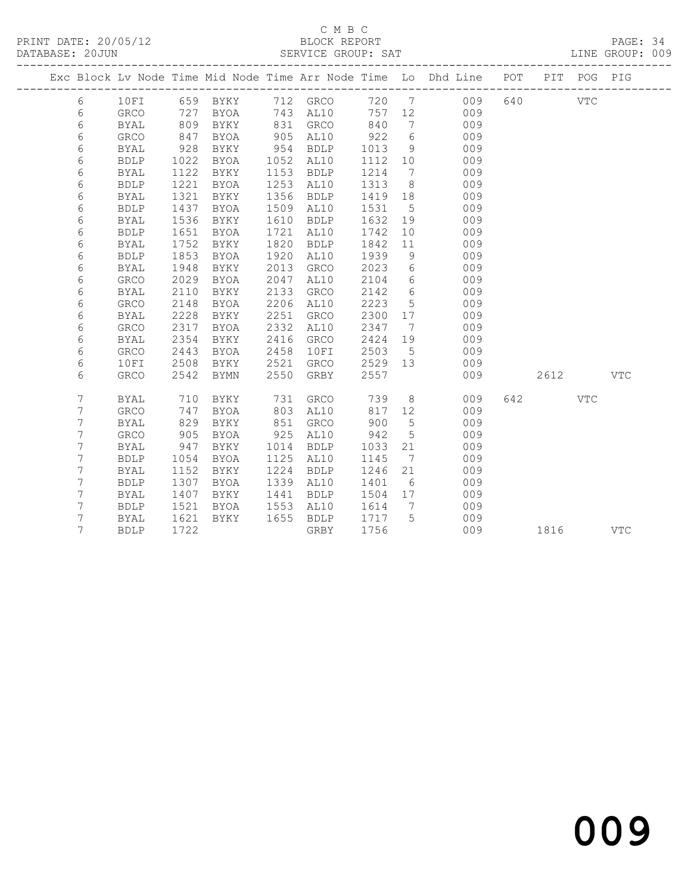PRINT DATE: 20/05/12 BLOCK REPORT BATABASE: 20JUN

# C M B C<br>BLOCK REPORT

PAGE: 34<br>LINE GROUP: 009

|  |   |              |      |             |      |              |         |                              | Exc Block Lv Node Time Mid Node Time Arr Node Time Lo Dhd Line POT |     |      | PIT POG PIG |            |
|--|---|--------------|------|-------------|------|--------------|---------|------------------------------|--------------------------------------------------------------------|-----|------|-------------|------------|
|  | 6 | 10FI         |      | 659 BYKY    |      | 712 GRCO     |         |                              | 720 7 009                                                          | 640 |      | VTC         |            |
|  | 6 | GRCO         | 727  | BYOA        |      | 743 AL10     |         | 757 12                       | 009                                                                |     |      |             |            |
|  | 6 | <b>BYAL</b>  | 809  | BYKY        | 831  | GRCO         | 840     | $\overline{7}$               | 009                                                                |     |      |             |            |
|  | 6 | GRCO         | 847  | <b>BYOA</b> | 905  | AL10         | 922     | 6                            | 009                                                                |     |      |             |            |
|  | 6 | <b>BYAL</b>  | 928  | BYKY        | 954  | <b>BDLP</b>  | 1013    | 9                            | 009                                                                |     |      |             |            |
|  | 6 | <b>BDLP</b>  | 1022 | BYOA        | 1052 | AL10         | 1112    | 10                           | 009                                                                |     |      |             |            |
|  | 6 | <b>BYAL</b>  | 1122 | BYKY        | 1153 | <b>BDLP</b>  | 1214    | $\overline{7}$               | 009                                                                |     |      |             |            |
|  | 6 | <b>BDLP</b>  | 1221 | BYOA        | 1253 | AL10         | 1313    | 8 <sup>8</sup>               | 009                                                                |     |      |             |            |
|  | 6 | <b>BYAL</b>  | 1321 | BYKY        | 1356 | <b>BDLP</b>  | 1419    | 18                           | 009                                                                |     |      |             |            |
|  | 6 | <b>BDLP</b>  | 1437 | BYOA        | 1509 | AL10         | 1531    | $5\phantom{.0}$              | 009                                                                |     |      |             |            |
|  | 6 | <b>BYAL</b>  | 1536 | BYKY        | 1610 | <b>BDLP</b>  | 1632    | 19                           | 009                                                                |     |      |             |            |
|  | 6 | <b>BDLP</b>  | 1651 | <b>BYOA</b> | 1721 | AL10         | 1742    | 10                           | 009                                                                |     |      |             |            |
|  | 6 | <b>BYAL</b>  | 1752 | BYKY        | 1820 | <b>BDLP</b>  | 1842    | 11                           | 009                                                                |     |      |             |            |
|  | 6 | <b>BDLP</b>  | 1853 | BYOA        | 1920 | AL10         | 1939    | 9                            | 009                                                                |     |      |             |            |
|  | 6 | <b>BYAL</b>  | 1948 | BYKY        | 2013 | ${\tt GRCO}$ | 2023    | 6                            | 009                                                                |     |      |             |            |
|  | 6 | ${\tt GRCO}$ | 2029 | <b>BYOA</b> | 2047 | AL10         | 2104    | 6                            | 009                                                                |     |      |             |            |
|  | 6 | <b>BYAL</b>  | 2110 | BYKY        | 2133 | GRCO         | 2142    | 6                            | 009                                                                |     |      |             |            |
|  | 6 | <b>GRCO</b>  | 2148 | BYOA        | 2206 | AL10         | 2223    | 5                            | 009                                                                |     |      |             |            |
|  | 6 | <b>BYAL</b>  | 2228 | BYKY        | 2251 | GRCO         | 2300    | 17                           | 009                                                                |     |      |             |            |
|  | 6 | GRCO         | 2317 | BYOA        | 2332 | AL10         | 2347    | $\overline{7}$               | 009                                                                |     |      |             |            |
|  | 6 | <b>BYAL</b>  | 2354 | <b>BYKY</b> | 2416 | GRCO         | 2424    | 19                           | 009                                                                |     |      |             |            |
|  | 6 | <b>GRCO</b>  | 2443 | <b>BYOA</b> | 2458 | 10FI         | 2503    | $5^{\circ}$                  | 009                                                                |     |      |             |            |
|  | 6 | 10FI         | 2508 | BYKY        | 2521 | GRCO         | 2529 13 |                              | 009                                                                |     |      |             |            |
|  | 6 | <b>GRCO</b>  | 2542 | <b>BYMN</b> | 2550 | GRBY         | 2557    |                              | 009                                                                |     | 2612 |             | <b>VTC</b> |
|  | 7 | <b>BYAL</b>  | 710  | BYKY        | 731  | GRCO         | 739     | 8 <sup>8</sup>               | 009                                                                | 642 |      | <b>VTC</b>  |            |
|  | 7 | <b>GRCO</b>  | 747  | <b>BYOA</b> | 803  | AL10         | 817     | 12                           | 009                                                                |     |      |             |            |
|  | 7 | <b>BYAL</b>  | 829  | BYKY        | 851  | GRCO         | 900     | $5\phantom{.0}$              | 009                                                                |     |      |             |            |
|  | 7 | GRCO         | 905  | <b>BYOA</b> | 925  | AL10         | 942     | 5                            | 009                                                                |     |      |             |            |
|  | 7 | <b>BYAL</b>  | 947  | BYKY        | 1014 | <b>BDLP</b>  | 1033    | 21                           | 009                                                                |     |      |             |            |
|  | 7 | <b>BDLP</b>  | 1054 | <b>BYOA</b> | 1125 | AL10         | 1145    | $7\phantom{.0}\phantom{.0}7$ | 009                                                                |     |      |             |            |
|  | 7 | BYAL         | 1152 | BYKY        | 1224 | <b>BDLP</b>  | 1246    | 21                           | 009                                                                |     |      |             |            |
|  | 7 | <b>BDLP</b>  | 1307 | BYOA        | 1339 | AL10         | 1401    | 6                            | 009                                                                |     |      |             |            |
|  | 7 | <b>BYAL</b>  | 1407 | BYKY        | 1441 | <b>BDLP</b>  | 1504    | 17                           | 009                                                                |     |      |             |            |
|  | 7 | <b>BDLP</b>  | 1521 | BYOA        | 1553 | AL10         | 1614    | 7                            | 009                                                                |     |      |             |            |
|  | 7 | <b>BYAL</b>  | 1621 | BYKY        | 1655 | <b>BDLP</b>  | 1717    | 5                            | 009                                                                |     |      |             |            |
|  | 7 | <b>BDLP</b>  | 1722 |             |      | GRBY         | 1756    |                              | 009                                                                |     | 1816 |             | <b>VTC</b> |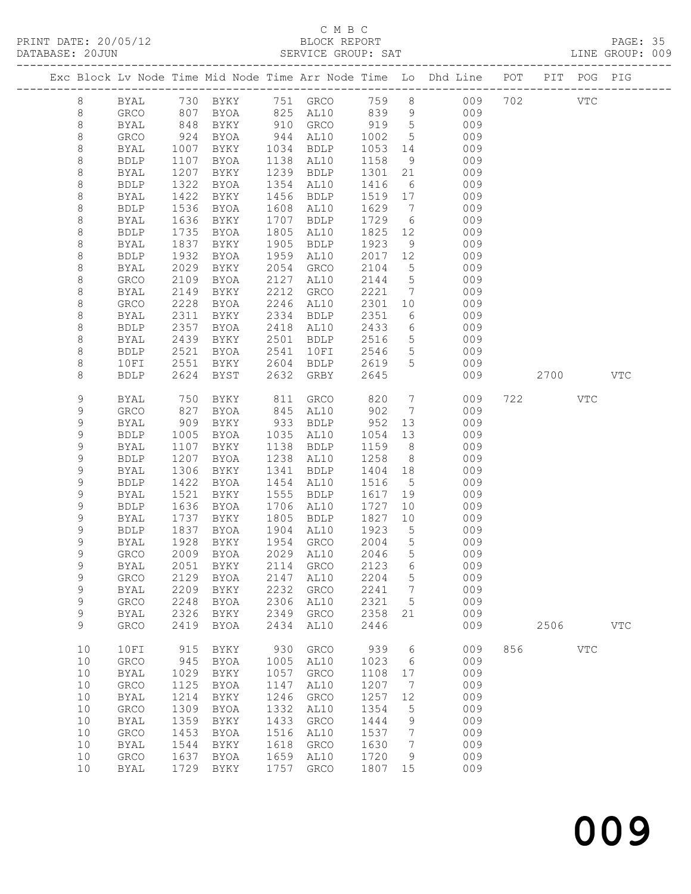# C M B C<br>BLOCK REPORT

| DATABASE: 20JUN |              |              |              |                                 |      | SERVICE GROUP: SAT                          |         |                 |                                                                                |                     | LINE GROUP: 009 |
|-----------------|--------------|--------------|--------------|---------------------------------|------|---------------------------------------------|---------|-----------------|--------------------------------------------------------------------------------|---------------------|-----------------|
|                 |              |              |              |                                 |      |                                             |         |                 | Exc Block Lv Node Time Mid Node Time Arr Node Time Lo Dhd Line POT PIT POG PIG |                     |                 |
|                 | 8            |              |              |                                 |      |                                             |         |                 | BYAL 730 BYKY 751 GRCO 759 8 009 702 VTC                                       |                     |                 |
|                 | 8            | GRCO         | 807          |                                 |      |                                             |         |                 | BYOA 825 AL10 839 9 009                                                        |                     |                 |
|                 | 8            | BYAL         |              |                                 |      | BYKY 910 GRCO 919 5<br>BYOA 944 AL10 1002 5 |         |                 | 009                                                                            |                     |                 |
|                 | $\,8\,$      | GRCO         | 848<br>924   | BYOA 944 AL10<br>BYKY 1034 BDLP |      |                                             |         |                 | 009                                                                            |                     |                 |
|                 | 8            | BYAL         | 1007         |                                 |      |                                             | 1053 14 |                 | 009                                                                            |                     |                 |
|                 | 8            | <b>BDLP</b>  | 1107         | BYOA                            |      | 1138 AL10                                   | 1158    | 9               | 009                                                                            |                     |                 |
|                 | 8            | BYAL         | 1207         | BYKY                            |      | 1239 BDLP                                   | 1301    | 21              | 009                                                                            |                     |                 |
|                 | 8            | <b>BDLP</b>  | 1322         | BYOA                            |      | 1354 AL10                                   | 1416    | 6               | 009                                                                            |                     |                 |
|                 | $\,8\,$      | BYAL         | 1422         | BYKY                            |      | 1456 BDLP                                   | 1519 17 |                 | 009                                                                            |                     |                 |
|                 | 8            | <b>BDLP</b>  | 1536         | BYOA                            |      | 1608 AL10                                   | 1629    | $\overline{7}$  | 009                                                                            |                     |                 |
|                 | 8            | BYAL         | 1636         | BYKY                            | 1707 | BDLP                                        | 1729    | 6               | 009                                                                            |                     |                 |
|                 | $\,8\,$      | <b>BDLP</b>  | 1735         | BYOA                            |      | 1805 AL10                                   | 1825 12 |                 | 009                                                                            |                     |                 |
|                 | $\,8\,$      | BYAL         | 1837         | BYKY                            |      | 1905 BDLP                                   | 1923    | 9               | 009                                                                            |                     |                 |
|                 | 8            | <b>BDLP</b>  | 1932         | BYOA                            |      | 1959 AL10                                   | 2017    | 12              | 009                                                                            |                     |                 |
|                 | $\,8\,$      | BYAL         | 2029         | BYKY                            |      | 2054 GRCO                                   | 2104    | 5 <sup>5</sup>  | 009                                                                            |                     |                 |
|                 | $\,8\,$      | GRCO         | 2109         | BYOA                            |      | 2127 AL10                                   | 2144 5  |                 | 009                                                                            |                     |                 |
|                 | $\,8\,$      | <b>BYAL</b>  | 2149         | BYKY                            |      | 2212 GRCO                                   | 2221    | $\overline{7}$  | 009                                                                            |                     |                 |
|                 | 8            | GRCO         | 2228         | BYOA                            |      | 2246 AL10                                   | 2301 10 |                 | 009                                                                            |                     |                 |
|                 | 8            | BYAL         | 2311         | BYKY                            |      | 2334 BDLP                                   | 2351    | $6\overline{6}$ | 009                                                                            |                     |                 |
|                 |              |              |              |                                 |      |                                             | 2433    | 6               |                                                                                |                     |                 |
|                 | 8            | <b>BDLP</b>  | 2357         | BYOA                            |      | 2418 AL10<br>2501 BDLP                      |         |                 | 009                                                                            |                     |                 |
|                 | $\,8\,$      | BYAL         | 2439         | BYKY                            |      |                                             | 2516    | 5 <sup>5</sup>  | 009                                                                            |                     |                 |
|                 | 8            | <b>BDLP</b>  | 2521         | BYOA                            | 2541 | 10FI                                        | 2546    | 5 <sup>5</sup>  | 009                                                                            |                     |                 |
|                 | 8            | 10FI         | 2551         |                                 |      | BYKY 2604 BDLP                              | 2619    | 5 <sup>5</sup>  | 009                                                                            |                     |                 |
|                 | 8            | <b>BDLP</b>  | 2624         | BYST                            | 2632 | GRBY                                        | 2645    |                 | 009                                                                            | 2700                | <b>VTC</b>      |
|                 | 9            | BYAL         | 750          | BYKY                            |      | 811 GRCO                                    | 820     |                 | $7\overline{ }$<br>009                                                         | 722<br>VTC          |                 |
|                 | 9            | GRCO         | 827          | BYOA                            |      | 845 AL10                                    | 902     |                 | $7\overline{ }$<br>009                                                         |                     |                 |
|                 | 9            | <b>BYAL</b>  | 909          | BYKY                            |      | 933 BDLP                                    | 952     | 13              | 009                                                                            |                     |                 |
|                 | 9            | <b>BDLP</b>  | 1005         | BYOA                            |      | 1035 AL10                                   | 1054    | 13              | 009                                                                            |                     |                 |
|                 | $\mathsf 9$  | BYAL         | 1107         | BYKY                            |      | 1138 BDLP                                   | 1159    | 8 <sup>8</sup>  | 009                                                                            |                     |                 |
|                 | $\mathsf 9$  | <b>BDLP</b>  | 1207         | BYOA                            |      | 1238 AL10                                   | 1258    | 8 <sup>8</sup>  | 009                                                                            |                     |                 |
|                 | 9            | BYAL         | 1306         | BYKY                            |      | 1341 BDLP                                   | 1404    | 18              | 009                                                                            |                     |                 |
|                 | 9            | <b>BDLP</b>  | 1422         | BYOA                            |      | 1454 AL10                                   | 1516    | $5\overline{)}$ | 009                                                                            |                     |                 |
|                 | $\mathsf 9$  | BYAL         | 1521         | BYKY                            |      | 1555 BDLP                                   | 1617    | 19              | 009                                                                            |                     |                 |
|                 | 9            | <b>BDLP</b>  | 1636         | BYOA                            |      | 1706 AL10                                   | 1727    | 10              | 009                                                                            |                     |                 |
|                 | 9            | BYAL         | 1737         | BYKY                            |      | 1805 BDLP                                   | 1827    | 10              | 009                                                                            |                     |                 |
|                 | 9            | <b>BDLP</b>  | 1837<br>1928 | BYOA                            |      | 1904 AL10                                   | 1923    | $5\overline{)}$ | 009                                                                            |                     |                 |
|                 | $\mathsf 9$  | BYAL         |              | BYKY                            |      | 1954 GRCO                                   | 2004    | $5\overline{)}$ | 009                                                                            |                     |                 |
|                 | $\mathsf{Q}$ |              |              | GRCO 2009 BYOA 2029 AL10 2046 5 |      |                                             |         |                 | 009                                                                            |                     |                 |
|                 | 9            | BYAL         | 2051         | BYKY                            | 2114 | GRCO                                        | 2123    | 6               | 009                                                                            |                     |                 |
|                 | 9            | ${\tt GRCO}$ | 2129         | BYOA                            | 2147 | AL10                                        | 2204    | $5\phantom{.0}$ | 009                                                                            |                     |                 |
|                 | $\mathsf 9$  | <b>BYAL</b>  | 2209         | BYKY                            | 2232 | GRCO                                        | 2241    | $\overline{7}$  | 009                                                                            |                     |                 |
|                 | 9            | ${\tt GRCO}$ | 2248         | <b>BYOA</b>                     | 2306 | AL10                                        | 2321    | $5\overline{)}$ | 009                                                                            |                     |                 |
|                 | 9            | BYAL         | 2326         | BYKY                            | 2349 | GRCO                                        | 2358    | 21              | 009                                                                            |                     |                 |
|                 | 9            | GRCO         | 2419         | <b>BYOA</b>                     | 2434 | AL10                                        | 2446    |                 | 009                                                                            | 2506                | VTC             |
|                 | 10           | 10FI         | 915          | BYKY                            | 930  | GRCO                                        | 939     | $6\overline{6}$ | 009                                                                            | 856 8<br><b>VTC</b> |                 |
|                 | 10           | GRCO         | 945          | BYOA                            | 1005 | AL10                                        | 1023    | $6\overline{6}$ | 009                                                                            |                     |                 |
|                 | 10           | <b>BYAL</b>  | 1029         | BYKY                            | 1057 | ${\tt GRCO}$                                | 1108    | 17              | 009                                                                            |                     |                 |
|                 | 10           | ${\tt GRCO}$ | 1125         | BYOA                            | 1147 | AL10                                        | 1207    | $\overline{7}$  | 009                                                                            |                     |                 |
|                 | 10           | <b>BYAL</b>  | 1214         | BYKY                            | 1246 | GRCO                                        | 1257    | 12              | 009                                                                            |                     |                 |
|                 | 10           | GRCO         | 1309         | BYOA                            | 1332 | AL10                                        | 1354    | $5^{\circ}$     | 009                                                                            |                     |                 |
|                 | 10           | BYAL         | 1359         | BYKY                            | 1433 | GRCO                                        | 1444    | 9               | 009                                                                            |                     |                 |
|                 | 10           | GRCO         | 1453         | BYOA                            | 1516 | AL10                                        | 1537    | $\overline{7}$  | 009                                                                            |                     |                 |
|                 | 10           | BYAL         | 1544         | BYKY                            | 1618 | GRCO                                        | 1630    | $\overline{7}$  | 009                                                                            |                     |                 |
|                 | 10           | GRCO         | 1637         | BYOA                            | 1659 | AL10                                        | 1720    | 9               | 009                                                                            |                     |                 |
|                 | 10           | BYAL         | 1729         | BYKY                            | 1757 | GRCO                                        | 1807 15 |                 | 009                                                                            |                     |                 |
|                 |              |              |              |                                 |      |                                             |         |                 |                                                                                |                     |                 |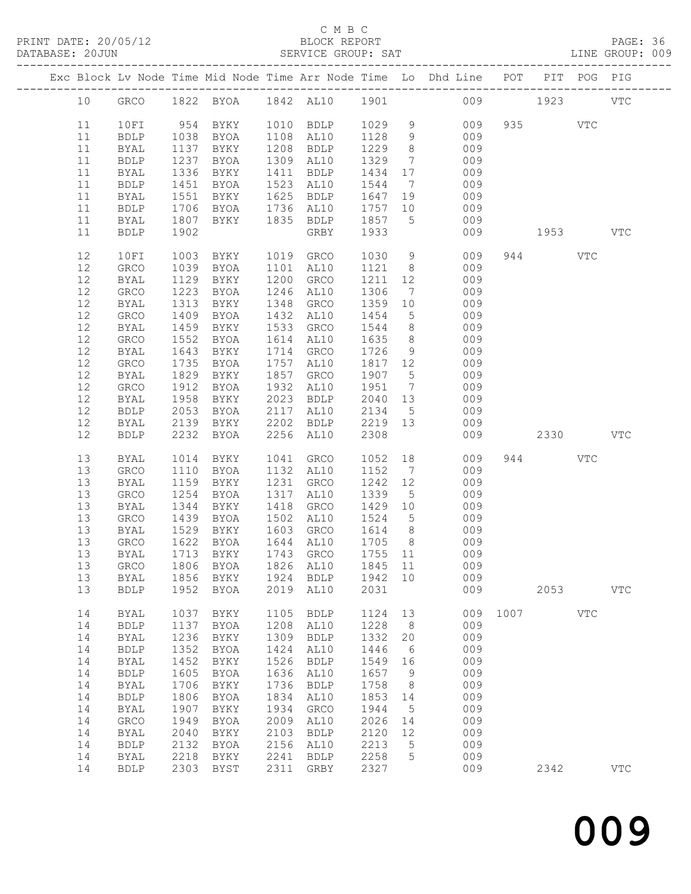PRINT DATE: 20/05/12 BLOCK REPORT BATABASE: 20JUN

## C M B C<br>BLOCK REPORT

PAGE: 36<br>LINE GROUP: 009

|                                                                                    |                                                                                                                                                                                              |                                                                                                              |                                                                                                                     |                                                                                                              |                                                                                                                                                                     |                                                                                                                                  |                                                                                                      | Exc Block Lv Node Time Mid Node Time Arr Node Time Lo Dhd Line POT                                                   |                  | PIT POG PIG |              |
|------------------------------------------------------------------------------------|----------------------------------------------------------------------------------------------------------------------------------------------------------------------------------------------|--------------------------------------------------------------------------------------------------------------|---------------------------------------------------------------------------------------------------------------------|--------------------------------------------------------------------------------------------------------------|---------------------------------------------------------------------------------------------------------------------------------------------------------------------|----------------------------------------------------------------------------------------------------------------------------------|------------------------------------------------------------------------------------------------------|----------------------------------------------------------------------------------------------------------------------|------------------|-------------|--------------|
| 10                                                                                 |                                                                                                                                                                                              |                                                                                                              |                                                                                                                     |                                                                                                              |                                                                                                                                                                     |                                                                                                                                  |                                                                                                      | GRCO 1822 BYOA 1842 AL10 1901 009 1923                                                                               |                  |             | <b>VTC</b>   |
| 11<br>11<br>11<br>11<br>11                                                         | 10FI<br>BDLP<br>BYAL<br><b>BDLP</b><br>BYAL                                                                                                                                                  | 1038<br>1137<br>1237<br>1336                                                                                 | 954 BYKY<br>BYOA<br>BYKY<br>BYOA<br>BYKY                                                                            |                                                                                                              | 1010 BDLP 1029 9<br>1108 AL10<br>1208 BDLP<br>1309 AL10<br>1411 BDLP                                                                                                | 1128 9<br>1229<br>1329<br>1434 17                                                                                                | 8 <sup>8</sup><br>$\overline{7}$                                                                     | 009<br>009<br>009<br>009<br>009                                                                                      | 935 VTC          |             |              |
| 11<br>11<br>11<br>11<br>11                                                         | <b>BDLP</b><br>BYAL<br><b>BDLP</b><br>BYAL<br>BDLP                                                                                                                                           | 1451<br>1551<br>1706<br>1807<br>1902                                                                         | BYOA<br>BYKY<br>BYOA<br>BYKY                                                                                        |                                                                                                              | 1523 AL10<br>1625 BDLP<br>1736 AL10<br>1835 BDLP<br>GRBY                                                                                                            | 1544 7<br>1647 19<br>1757 10<br>1857 5<br>1933                                                                                   |                                                                                                      | 009<br>009<br>009<br>009<br>009                                                                                      | 1953             |             | VTC          |
| 12<br>12<br>12<br>12<br>12<br>12<br>12<br>12<br>12<br>12<br>$12$<br>12<br>12<br>12 | 10FI<br>GRCO<br>BYAL<br>GRCO<br><b>BYAL</b><br>GRCO<br>BYAL<br>GRCO<br>BYAL<br>GRCO<br>BYAL<br>GRCO<br>BYAL<br><b>BDLP</b>                                                                   | 1003<br>1039<br>1129<br>1223<br>1313<br>1409<br>1459<br>1552<br>1643<br>1735<br>1829<br>1912<br>1958<br>2053 | BYKY<br>BYOA<br>BYKY<br>BYOA<br>BYKY<br>BYOA<br>BYKY<br>BYOA<br>BYKY<br><b>BYOA</b><br>BYKY<br>BYOA<br>BYKY<br>BYOA | 1101<br>1533<br>2117                                                                                         | 1019 GRCO<br>AL10<br>1200 GRCO<br>1246 AL10<br>1348 GRCO<br>1432 AL10<br>GRCO<br>1614 AL10<br>1714 GRCO<br>1757 AL10<br>1857 GRCO<br>1932 AL10<br>2023 BDLP<br>AL10 | 1030<br>1121 8<br>1211 12<br>1306<br>1359 10<br>1454<br>1544<br>1635<br>1726<br>1817 12<br>1907 5<br>1951 7<br>2040 13<br>2134 5 | $7\overline{)}$<br>$5\overline{)}$<br>8 <sup>8</sup><br>8 <sup>8</sup><br>9                          | 9<br>009<br>009<br>009<br>009<br>009<br>009<br>009<br>009<br>009<br>009<br>009<br>009<br>009<br>009                  | 944              | VTC         |              |
| 12<br>12                                                                           | BYAL<br>BDLP                                                                                                                                                                                 | 2139<br>2232                                                                                                 | BYKY<br>BYOA                                                                                                        | 2202                                                                                                         | BDLP 2219 13<br>2256 AL10                                                                                                                                           | 2308                                                                                                                             |                                                                                                      | 009<br>009                                                                                                           | 2330             |             | $_{\rm VTC}$ |
| 13<br>13<br>13<br>13<br>13<br>13<br>13<br>13<br>13<br>13<br>13                     | BYAL<br>GRCO<br>BYAL<br>GRCO<br>BYAL<br>GRCO<br>BYAL<br>GRCO<br>BYAL<br>BYAL<br><b>BDLP</b>                                                                                                  | 1014<br>1110<br>1159<br>1254<br>1344<br>1439<br>1529<br>1622<br>1952                                         | BYKY<br>BYOA<br>BYKY<br>BYOA<br>BYKY<br>BYOA<br>BYKY<br>BYOA<br>1713 BYKY<br>1856 BYKY<br>BYOA                      | 1041<br>1418<br>1924                                                                                         | GRCO<br>1132 AL10<br>1231 GRCO<br>1317 AL10<br>GRCO<br>1502 AL10<br>1603 GRCO<br>1644 AL10<br>1743 GRCO<br>BDLP<br>2019 AL10                                        | 1052 18<br>1152 7<br>1242 12<br>1339 5<br>1429 10<br>1524 5<br>1614 8<br>1705 8<br>1755 11<br>1942 10<br>2031                    |                                                                                                      | 009<br>009<br>009<br>009<br>009<br>009<br>009<br>009<br>009<br>13 GRCO 1806 BYOA 1826 AL10 1845 11 009<br>009<br>009 | 944<br>2053      | VTC         | <b>VTC</b>   |
| 14<br>14<br>14<br>14<br>14<br>14<br>14<br>14<br>14<br>14<br>14<br>14<br>14<br>14   | <b>BYAL</b><br><b>BDLP</b><br><b>BYAL</b><br>${\tt BDLP}$<br><b>BYAL</b><br><b>BDLP</b><br><b>BYAL</b><br>${\tt BDLP}$<br><b>BYAL</b><br>GRCO<br><b>BYAL</b><br>${\tt BDLP}$<br>BYAL<br>BDLP | 1037<br>1137<br>1236<br>1352<br>1452<br>1605<br>1706<br>1806<br>1907<br>1949<br>2040<br>2132<br>2218         | BYKY<br>BYOA<br>BYKY<br>BYOA<br>BYKY<br>BYOA<br>BYKY<br>BYOA<br>BYKY<br>BYOA<br>BYKY<br>BYOA<br>BYKY<br>2303 BYST   | 1105<br>1208<br>1309<br>1424<br>1526<br>1636<br>1736<br>1834<br>1934<br>2009<br>2103<br>2156<br>2241<br>2311 | <b>BDLP</b><br>AL10<br><b>BDLP</b><br>AL10<br><b>BDLP</b><br>AL10<br><b>BDLP</b><br>AL10<br>GRCO<br>AL10<br><b>BDLP</b><br>AL10<br><b>BDLP</b><br>GRBY              | 1124<br>1228<br>1332<br>1446<br>1549 16<br>1657<br>1758<br>1853<br>1944<br>2026<br>2120<br>2213<br>2258<br>2327                  | 13<br>8<br>20<br>6<br>- 9<br>8 <sup>8</sup><br>14<br>$5\phantom{.0}$<br>14<br>12<br>$5^{\circ}$<br>5 | 009<br>009<br>009<br>009<br>009<br>009<br>009<br>009<br>009<br>009<br>009<br>009<br>009                              | 009 1007<br>2342 | VTC         | <b>VTC</b>   |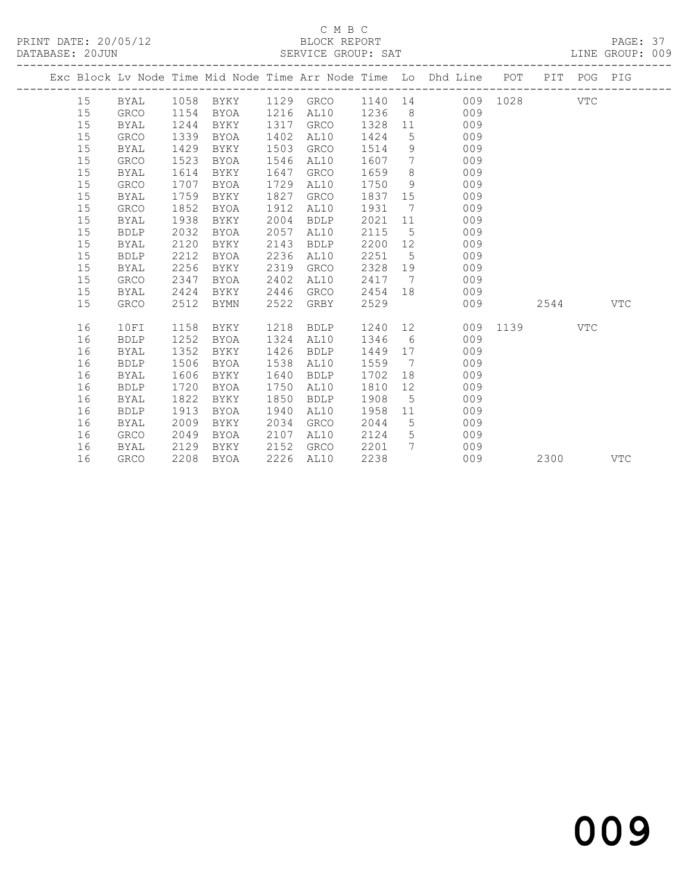# C M B C<br>BLOCK REPORT

PAGE: 37<br>LINE GROUP: 009

|  |    |             |      |                     |      |             |         |                              | Exc Block Lv Node Time Mid Node Time Arr Node Time Lo Dhd Line POT PIT POG PIG |          |      |            |            |
|--|----|-------------|------|---------------------|------|-------------|---------|------------------------------|--------------------------------------------------------------------------------|----------|------|------------|------------|
|  | 15 | BYAL        |      | 1058 BYKY 1129 GRCO |      |             | 1140 14 |                              |                                                                                | 009 1028 |      | VTC        |            |
|  | 15 | <b>GRCO</b> | 1154 | BYOA                | 1216 | AL10        | 1236    | 8 <sup>8</sup>               | 009                                                                            |          |      |            |            |
|  | 15 | <b>BYAL</b> | 1244 | BYKY                | 1317 | GRCO        | 1328    |                              | 11<br>009                                                                      |          |      |            |            |
|  | 15 | GRCO        | 1339 | BYOA                | 1402 | AL10        | 1424    |                              | 009<br>$5 - 5$                                                                 |          |      |            |            |
|  | 15 | BYAL        | 1429 | BYKY                | 1503 | GRCO        | 1514    | 9                            | 009                                                                            |          |      |            |            |
|  | 15 | GRCO        | 1523 | BYOA                | 1546 | AL10        | 1607    | $7\phantom{.0}\phantom{.0}7$ | 009                                                                            |          |      |            |            |
|  | 15 | BYAL        | 1614 | BYKY                | 1647 | GRCO        | 1659    | 8                            | 009                                                                            |          |      |            |            |
|  | 15 | GRCO        | 1707 | BYOA                | 1729 | AL10        | 1750    | 9                            | 009                                                                            |          |      |            |            |
|  | 15 | BYAL        | 1759 | BYKY                | 1827 | GRCO        | 1837    | 15                           | 009                                                                            |          |      |            |            |
|  | 15 | GRCO        | 1852 | BYOA                | 1912 | AL10        | 1931    |                              | $7\degree$<br>009                                                              |          |      |            |            |
|  | 15 | <b>BYAL</b> | 1938 | BYKY                | 2004 | <b>BDLP</b> | 2021    | 11                           | 009                                                                            |          |      |            |            |
|  | 15 | <b>BDLP</b> | 2032 | BYOA                | 2057 | AL10        | 2115    | $5^{\circ}$                  | 009                                                                            |          |      |            |            |
|  | 15 | BYAL        | 2120 | BYKY                | 2143 | BDLP        | 2200    | 12 <sup>°</sup>              | 009                                                                            |          |      |            |            |
|  | 15 | <b>BDLP</b> | 2212 | BYOA                | 2236 | AL10        | 2251    | 5 <sup>5</sup>               | 009                                                                            |          |      |            |            |
|  | 15 | <b>BYAL</b> | 2256 | BYKY                | 2319 | GRCO        | 2328    |                              | 009<br>19                                                                      |          |      |            |            |
|  | 15 | <b>GRCO</b> | 2347 | BYOA                | 2402 | AL10        | 2417    | $\overline{7}$               | 009                                                                            |          |      |            |            |
|  | 15 | BYAL        | 2424 | BYKY                | 2446 | GRCO        | 2454    | 18                           | 009                                                                            |          |      |            |            |
|  | 15 | <b>GRCO</b> | 2512 | BYMN                | 2522 | GRBY        | 2529    |                              | 009                                                                            |          | 2544 |            | <b>VTC</b> |
|  | 16 | 10FI        | 1158 | BYKY                | 1218 | BDLP        | 1240 12 |                              |                                                                                | 009 1139 |      | <b>VTC</b> |            |
|  | 16 | <b>BDLP</b> | 1252 | BYOA                | 1324 | AL10        | 1346    | $6\overline{6}$              | 009                                                                            |          |      |            |            |
|  | 16 | BYAL        | 1352 | BYKY                | 1426 | BDLP        | 1449    | 17                           | 009                                                                            |          |      |            |            |
|  | 16 | <b>BDLP</b> | 1506 | BYOA                | 1538 | AL10        | 1559    | $\overline{7}$               | 009                                                                            |          |      |            |            |
|  | 16 | <b>BYAL</b> | 1606 | BYKY                | 1640 | <b>BDLP</b> | 1702    | 18                           | 009                                                                            |          |      |            |            |
|  | 16 | <b>BDLP</b> | 1720 | BYOA                | 1750 | AL10        | 1810    | 12                           | 009                                                                            |          |      |            |            |
|  | 16 | BYAL        | 1822 | BYKY                | 1850 | <b>BDLP</b> | 1908    | 5                            | 009                                                                            |          |      |            |            |
|  | 16 | <b>BDLP</b> | 1913 | BYOA                | 1940 | AL10        | 1958    | 11                           | 009                                                                            |          |      |            |            |
|  | 16 | <b>BYAL</b> | 2009 | BYKY                | 2034 | GRCO        | 2044    | 5                            | 009                                                                            |          |      |            |            |
|  | 16 | GRCO        | 2049 | BYOA                | 2107 | AL10        | 2124    | 5 <sup>5</sup>               | 009                                                                            |          |      |            |            |
|  | 16 | BYAL        | 2129 | BYKY                | 2152 | GRCO        | 2201    | $7^{\circ}$                  | 009                                                                            |          |      |            |            |
|  | 16 | <b>GRCO</b> | 2208 | BYOA                | 2226 | AL10        | 2238    |                              | 009                                                                            |          | 2300 |            | <b>VTC</b> |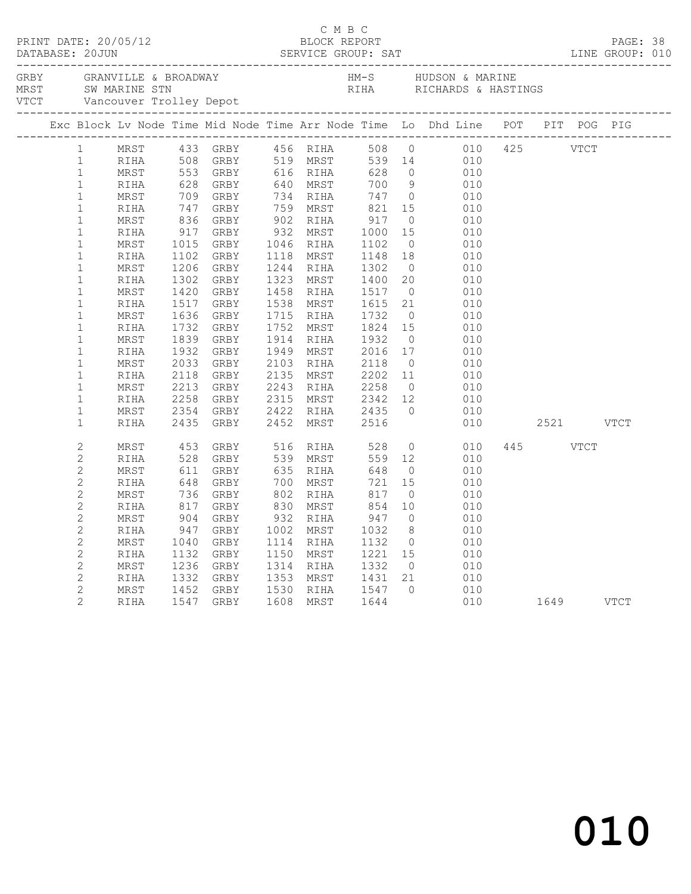|  |                   |            |                                                        |  |  | Exc Block Lv Node Time Mid Node Time Arr Node Time Lo Dhd Line POT PIT POG PIG                                                                                                                                                                                                                                      |          |  |  |
|--|-------------------|------------|--------------------------------------------------------|--|--|---------------------------------------------------------------------------------------------------------------------------------------------------------------------------------------------------------------------------------------------------------------------------------------------------------------------|----------|--|--|
|  | $1 \qquad \qquad$ |            | MRST 433 GRBY 456 RIHA                                 |  |  | $508 \qquad 0 \qquad \qquad 010 \qquad 425 \qquad \qquad \text{VTCT}$<br>MRST 433 GRBY 456 RHA 508 0 010<br>MRST 553 GRBY 519 MRST 539 0 010<br>MRST 553 GRBY 519 MRST 539 14 010<br>RIHA 528 GRBY 640 MRST 700 9 0110<br>MRST 709 GRBY 734 RHA 747 0 0110<br>NRST 736 GRBY 734 RHA 747 0 0110<br>NRST 836 GRBY 902 |          |  |  |
|  | $\mathbf{1}$      |            |                                                        |  |  |                                                                                                                                                                                                                                                                                                                     |          |  |  |
|  | $\mathbf{1}$      |            |                                                        |  |  |                                                                                                                                                                                                                                                                                                                     |          |  |  |
|  | $\mathbf{1}$      |            |                                                        |  |  |                                                                                                                                                                                                                                                                                                                     |          |  |  |
|  | $\mathbf{1}$      |            |                                                        |  |  |                                                                                                                                                                                                                                                                                                                     |          |  |  |
|  | $\mathbf{1}$      |            |                                                        |  |  |                                                                                                                                                                                                                                                                                                                     |          |  |  |
|  | $1\,$             |            |                                                        |  |  |                                                                                                                                                                                                                                                                                                                     |          |  |  |
|  | $1\,$             |            |                                                        |  |  |                                                                                                                                                                                                                                                                                                                     |          |  |  |
|  | $\mathbf{1}$      |            |                                                        |  |  |                                                                                                                                                                                                                                                                                                                     |          |  |  |
|  | $\mathbf 1$       |            |                                                        |  |  |                                                                                                                                                                                                                                                                                                                     |          |  |  |
|  | $\mathbf 1$       |            |                                                        |  |  |                                                                                                                                                                                                                                                                                                                     |          |  |  |
|  | $1\,$             |            |                                                        |  |  |                                                                                                                                                                                                                                                                                                                     |          |  |  |
|  | $\mathbf 1$       |            |                                                        |  |  |                                                                                                                                                                                                                                                                                                                     |          |  |  |
|  | $\mathbf 1$       |            |                                                        |  |  |                                                                                                                                                                                                                                                                                                                     |          |  |  |
|  | $\mathbf 1$       |            |                                                        |  |  |                                                                                                                                                                                                                                                                                                                     |          |  |  |
|  | $\mathbf 1$       |            |                                                        |  |  |                                                                                                                                                                                                                                                                                                                     |          |  |  |
|  | $\mathbf 1$       |            |                                                        |  |  |                                                                                                                                                                                                                                                                                                                     |          |  |  |
|  | $\mathbf 1$       |            |                                                        |  |  |                                                                                                                                                                                                                                                                                                                     |          |  |  |
|  | $\mathbf{1}$      |            |                                                        |  |  |                                                                                                                                                                                                                                                                                                                     |          |  |  |
|  | $\mathbf{1}$      |            |                                                        |  |  |                                                                                                                                                                                                                                                                                                                     |          |  |  |
|  | $\mathbf{1}$      |            |                                                        |  |  |                                                                                                                                                                                                                                                                                                                     |          |  |  |
|  | $\mathbf 1$       |            |                                                        |  |  |                                                                                                                                                                                                                                                                                                                     |          |  |  |
|  | $\mathbf 1$       | MRST       |                                                        |  |  |                                                                                                                                                                                                                                                                                                                     |          |  |  |
|  | $\mathbf 1$       | RIHA       |                                                        |  |  | 2354 GRBY 2422 RIHA 2435 0 010<br>2435 GRBY 2452 MRST 2516 010                                                                                                                                                                                                                                                      |          |  |  |
|  | $\mathbf{2}$      | MRST       | 453 GRBY 516 RIHA 528                                  |  |  | $0$ $010$                                                                                                                                                                                                                                                                                                           | 445 VTCT |  |  |
|  | $\overline{c}$    | RIHA       |                                                        |  |  | $559$ 12                                                                                                                                                                                                                                                                                                            |          |  |  |
|  | $\overline{c}$    | MRST       |                                                        |  |  |                                                                                                                                                                                                                                                                                                                     |          |  |  |
|  | $\mathbf{2}$      | RIHA       |                                                        |  |  |                                                                                                                                                                                                                                                                                                                     |          |  |  |
|  | $\mathbf{2}$      | MRST       |                                                        |  |  |                                                                                                                                                                                                                                                                                                                     |          |  |  |
|  | $\mathbf{2}$      | RIHA       |                                                        |  |  |                                                                                                                                                                                                                                                                                                                     |          |  |  |
|  | $\mathbf{2}$      | $\tt MRST$ |                                                        |  |  |                                                                                                                                                                                                                                                                                                                     |          |  |  |
|  | $\overline{c}$    | RIHA       |                                                        |  |  | 453 GRBY 516 RIHA 528 0 010<br>528 GRBY 539 MRST 559 12 010<br>611 GRBY 635 RIHA 648 0 010<br>648 GRBY 700 MRST 721 15 010<br>736 GRBY 802 RIHA 817 0 010<br>817 GRBY 830 MRST 854 10 010<br>904 GRBY 932 RIHA 947 0 010<br>947 GRBY 932 RIHA 947 0                                                                 |          |  |  |
|  | $\mathbf{2}$      | MRST       |                                                        |  |  |                                                                                                                                                                                                                                                                                                                     |          |  |  |
|  | $\mathbf{2}$      | RIHA       |                                                        |  |  |                                                                                                                                                                                                                                                                                                                     |          |  |  |
|  | $\mathbf{2}$      | MRST       |                                                        |  |  |                                                                                                                                                                                                                                                                                                                     |          |  |  |
|  | $\mathbf{2}$      | RIHA       |                                                        |  |  |                                                                                                                                                                                                                                                                                                                     |          |  |  |
|  | $\mathbf{2}$      | MRST       | 1452 GRBY 1530 RIHA 1547 0<br>1547 GRBY 1608 MRST 1644 |  |  | $0$ $010$<br>$010$ $1649$ VTCT                                                                                                                                                                                                                                                                                      |          |  |  |
|  | $\overline{2}$    | RIHA       |                                                        |  |  |                                                                                                                                                                                                                                                                                                                     |          |  |  |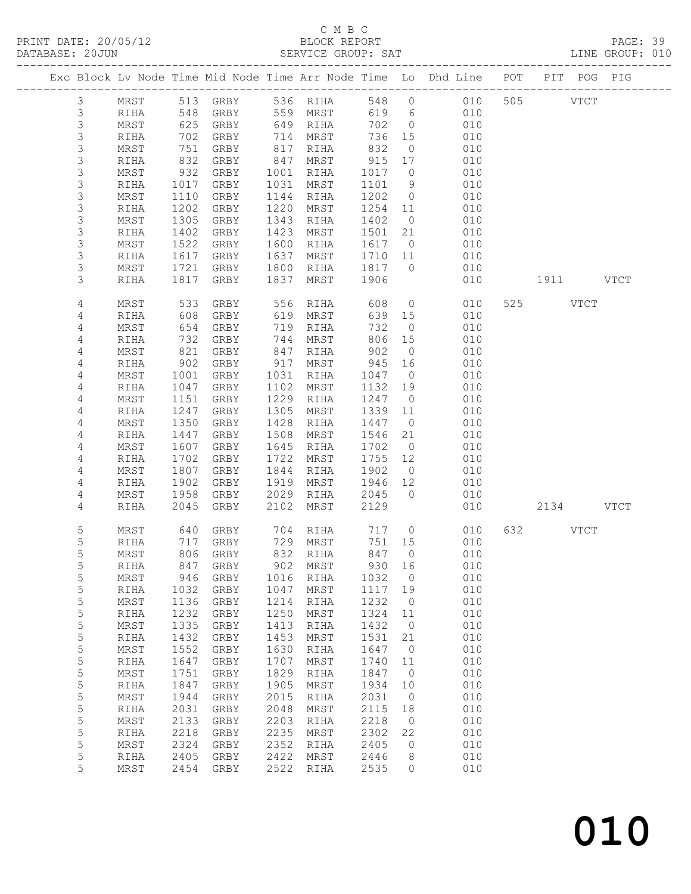# C M B C<br>BLOCK REPORT<br>SERVICE GROUP: SAT

| DATABASE: 20JUN | PRINT DATE: 20/05/12                                                           |                  |                                |              |                      |                                                      |                                        | V12<br>BLOCK REPORT<br>SERVICE GROUP: SAT |          |           | PAGE: 39<br>LINE GROUP: 010 |  |
|-----------------|--------------------------------------------------------------------------------|------------------|--------------------------------|--------------|----------------------|------------------------------------------------------|----------------------------------------|-------------------------------------------|----------|-----------|-----------------------------|--|
|                 | Exc Block Lv Node Time Mid Node Time Arr Node Time Lo Dhd Line POT PIT POG PIG |                  |                                |              |                      |                                                      |                                        |                                           |          |           |                             |  |
| $\mathfrak{Z}$  | MRST                                                                           |                  |                                |              |                      |                                                      |                                        | 513 GRBY 536 RIHA 548 0 010 505 VTCT      |          |           |                             |  |
| $\mathfrak{Z}$  | RIHA                                                                           |                  |                                |              |                      |                                                      |                                        |                                           |          |           |                             |  |
| $\mathsf 3$     | MRST                                                                           |                  |                                |              |                      |                                                      |                                        |                                           |          |           |                             |  |
| $\mathsf 3$     | RIHA                                                                           | 702              |                                |              | GRBY 714 MRST        |                                                      |                                        | 736 15 010                                |          |           |                             |  |
| 3               | MRST                                                                           | 751              | GRBY                           |              | 817 RIHA             | 832                                                  |                                        | $\overline{O}$<br>010                     |          |           |                             |  |
| $\mathsf 3$     | RIHA                                                                           | 832<br>932       | GRBY                           |              | 847 MRST             | $\begin{array}{cc} 915 & 17 \\ 1017 & 0 \end{array}$ |                                        | 010                                       |          |           |                             |  |
| 3               | MRST                                                                           |                  | GRBY                           |              | 1001 RIHA            |                                                      |                                        | 010                                       |          |           |                             |  |
| 3               | RIHA                                                                           | 1017             | GRBY                           |              | 1031 MRST            | 1101                                                 |                                        | 9 010                                     |          |           |                             |  |
| 3               | MRST                                                                           | 1110             | GRBY                           |              | 1144 RIHA            |                                                      |                                        | 1202 0 010                                |          |           |                             |  |
| $\mathsf 3$     | RIHA                                                                           | 1202             | GRBY                           | 1220         | MRST                 |                                                      |                                        | $1254$ $11$ 010                           |          |           |                             |  |
| 3               | MRST                                                                           | $\frac{1}{1305}$ | GRBY                           | 1343         | RIHA                 | 1402 0                                               |                                        | 010                                       |          |           |                             |  |
| 3               | RIHA                                                                           | 1402             | GRBY                           | 1423         | MRST                 |                                                      |                                        | 1501  21  010                             |          |           |                             |  |
| 3               | MRST                                                                           | 1522             | GRBY                           | 1600         | RIHA                 | 1617                                                 |                                        | $\overline{0}$<br>010                     |          |           |                             |  |
| 3               | RIHA                                                                           | 1617             | GRBY                           | 1637         | MRST                 | 1710 11                                              |                                        | 010                                       |          |           |                             |  |
| 3               | MRST                                                                           | $10 -$<br>1721   | GRBY                           | 1800         | RIHA                 | 1817 0                                               |                                        | 010                                       |          |           |                             |  |
| 3               | RIHA                                                                           | 1817             | GRBY                           |              | 1837 MRST            | 1906                                                 |                                        | 010                                       |          | 1911 VTCT |                             |  |
| 4               | MRST                                                                           | 533              | GRBY 556 RIHA<br>GRBY 619 MRST |              |                      | 608                                                  |                                        | 0 0 0 0 0 0 $\sqrt{ }$                    | 525 VTCT |           |                             |  |
| 4               | RIHA                                                                           | 608<br>654       | GRBY<br>GRBY                   |              | 619 MRST<br>719 RIHA | 732                                                  | 639 15                                 | 010<br>$\overline{O}$<br>010              |          |           |                             |  |
| 4<br>4          | MRST                                                                           | 732              |                                |              | 744 MRST             |                                                      |                                        | 806 15 010                                |          |           |                             |  |
| 4               | RIHA<br>MRST                                                                   | 821              | GRBY<br>GRBY                   |              | 847 RIHA             | 902                                                  | $\overline{0}$                         | 010                                       |          |           |                             |  |
| 4               | RIHA                                                                           | 902              | GRBY                           |              | 917 MRST             | 945                                                  | 16                                     | 010                                       |          |           |                             |  |
| 4               | MRST                                                                           | 1001             | GRBY                           | 1031         | RIHA                 | 1047                                                 |                                        | $\overline{0}$<br>010                     |          |           |                             |  |
| 4               | RIHA                                                                           | 1047             | GRBY                           |              | 1102 MRST            | 1132 19                                              |                                        | 010                                       |          |           |                             |  |
| 4               | MRST                                                                           | 1151             | GRBY                           | 1229         | RIHA                 | 1247 0                                               |                                        | 010                                       |          |           |                             |  |
| 4               | RIHA                                                                           | 1247             | GRBY                           | 1305         | MRST                 | 1339 11                                              |                                        | 010                                       |          |           |                             |  |
| 4               | MRST                                                                           | 1350             | GRBY                           | 1428         | RIHA                 | 1447 0                                               |                                        | 010                                       |          |           |                             |  |
| 4               | RIHA                                                                           | 1447             | GRBY                           | 1508         | MRST                 | 1546 21                                              |                                        | 010                                       |          |           |                             |  |
| 4               | MRST                                                                           | 1607             | GRBY                           | 1645         | RIHA                 | 1702                                                 | $\overline{0}$                         | 010                                       |          |           |                             |  |
| 4               | RIHA                                                                           | 1702             | GRBY                           | 1722         | MRST                 | 1755                                                 |                                        | 010                                       |          |           |                             |  |
| 4               | MRST                                                                           | 1807             | GRBY                           | 1844         | RIHA                 | 1902                                                 | $\begin{array}{c} 12 \\ 0 \end{array}$ | 010                                       |          |           |                             |  |
| 4               | RIHA                                                                           | 1902             | GRBY                           |              | 1919 MRST            | 1946 12                                              |                                        | 010                                       |          |           |                             |  |
| 4               | MRST                                                                           | 1958             | GRBY                           |              | 2029 RIHA            | 2045                                                 |                                        | 0 010                                     |          |           |                             |  |
| 4               | RIHA                                                                           | 2045             | GRBY                           | 2102         | MRST                 | 2129                                                 |                                        | 010                                       |          | 2134 VTCT |                             |  |
| 5               | MRST                                                                           |                  |                                |              |                      |                                                      |                                        | 640 GRBY 704 RIHA 717 0 010               | 632 VTCT |           |                             |  |
| 5               | RIHA                                                                           | 717              | GRBY                           | 729          | MRST                 | 751                                                  | 15                                     | 010                                       |          |           |                             |  |
| 5               | $\mbox{MRST}$                                                                  | 806              | GRBY                           | 832          | $\verb RIHA $        | 847                                                  | 0                                      | 010                                       |          |           |                             |  |
| 5               | RIHA                                                                           | 847              | GRBY                           | 902          | MRST                 | 930                                                  | 16                                     | 010                                       |          |           |                             |  |
| 5               | $\tt MRST$                                                                     | 946              | GRBY                           | 1016         | RIHA                 | 1032                                                 | 0                                      | 010                                       |          |           |                             |  |
| 5               | RIHA                                                                           | 1032             | GRBY                           | 1047         | MRST                 | 1117                                                 | 19                                     | 010                                       |          |           |                             |  |
| 5               | $\tt MRST$                                                                     | 1136             | ${\tt GRBY}$                   | 1214         | $\verb RIHA $        | 1232                                                 | 0                                      | 010                                       |          |           |                             |  |
| 5               | RIHA                                                                           | 1232             | ${\tt GRBY}$                   | 1250         | MRST                 | 1324                                                 | 11                                     | 010                                       |          |           |                             |  |
| 5               | $\tt MRST$                                                                     | 1335             | ${\tt GRBY}$                   | 1413         | $\verb RIHA $        | 1432                                                 | 0                                      | 010                                       |          |           |                             |  |
| 5<br>5          | RIHA                                                                           | 1432<br>1552     | GRBY                           | 1453<br>1630 | MRST                 | 1531<br>1647                                         | 21<br>0                                | 010<br>010                                |          |           |                             |  |
| 5               | $\tt MRST$<br>RIHA                                                             | 1647             | ${\tt GRBY}$<br>GRBY           | 1707         | RIHA<br>MRST         | 1740                                                 | 11                                     | 010                                       |          |           |                             |  |
| 5               | $\tt MRST$                                                                     | 1751             | ${\tt GRBY}$                   | 1829         | RIHA                 | 1847                                                 | 0                                      | 010                                       |          |           |                             |  |
| 5               | RIHA                                                                           | 1847             | GRBY                           | 1905         | MRST                 | 1934                                                 | 10                                     | 010                                       |          |           |                             |  |
| 5               | $\tt MRST$                                                                     | 1944             | ${\tt GRBY}$                   | 2015         | RIHA                 | 2031                                                 | 0                                      | 010                                       |          |           |                             |  |
| 5               | RIHA                                                                           | 2031             | GRBY                           | 2048         | MRST                 | 2115                                                 | 18                                     | 010                                       |          |           |                             |  |
| 5               | $\tt MRST$                                                                     | 2133             | GRBY                           | 2203         | RIHA                 | 2218                                                 | $\mathbb O$                            | 010                                       |          |           |                             |  |
| 5               | RIHA                                                                           | 2218             | ${\tt GRBY}$                   | 2235         | MRST                 | 2302                                                 | 22                                     | 010                                       |          |           |                             |  |
| 5               | $\tt MRST$                                                                     | 2324             | ${\tt GRBY}$                   | 2352         | RIHA                 | 2405                                                 | 0                                      | 010                                       |          |           |                             |  |
| 5               | RIHA                                                                           | 2405             | GRBY                           | 2422         | MRST                 | 2446                                                 | 8                                      | 010                                       |          |           |                             |  |
| 5               | $\tt MRST$                                                                     | 2454             | GRBY                           | 2522         | RIHA                 | 2535                                                 | 0                                      | 010                                       |          |           |                             |  |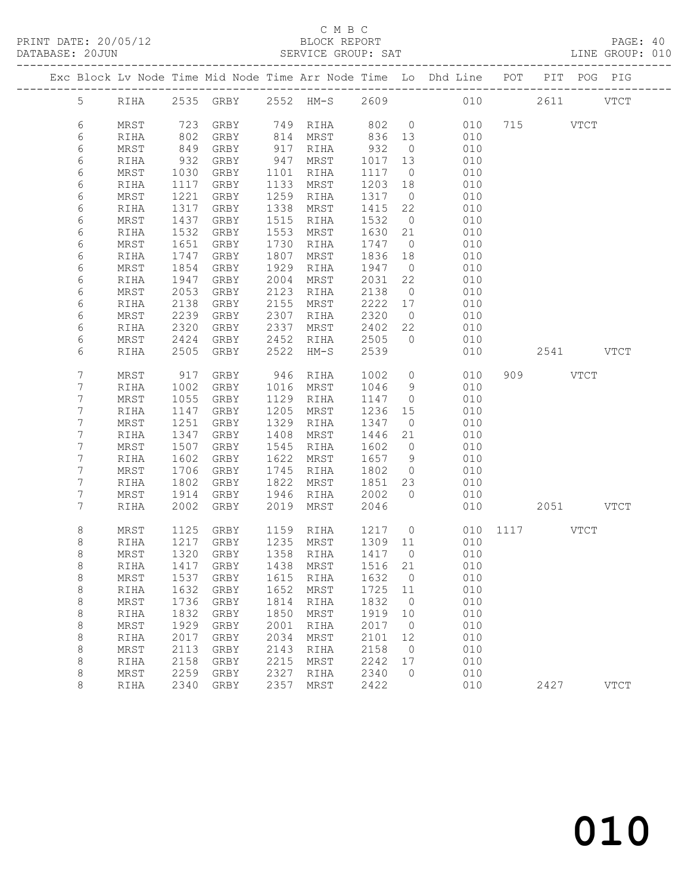### C M B C

|  | DATABASE: 20JUN |      |      | ------------------------- |      | SERVICE GROUP: SAT                                                      |         |                | LINE GROUP: 010                                                                |              |          |           |             |  |
|--|-----------------|------|------|---------------------------|------|-------------------------------------------------------------------------|---------|----------------|--------------------------------------------------------------------------------|--------------|----------|-----------|-------------|--|
|  |                 |      |      |                           |      |                                                                         |         |                | Exc Block Lv Node Time Mid Node Time Arr Node Time Lo Dhd Line POT PIT POG PIG |              |          |           |             |  |
|  |                 |      |      |                           |      |                                                                         |         |                | 5 RIHA 2535 GRBY 2552 HM-S 2609 010 2611 VTCT                                  |              |          |           |             |  |
|  | 6               | MRST |      | 723 GRBY 749 RIHA         |      |                                                                         | 802 0   |                |                                                                                | 010 715 VTCT |          |           |             |  |
|  | 6               | RIHA | 802  | GRBY                      |      |                                                                         |         |                | 010                                                                            |              |          |           |             |  |
|  | 6               | MRST | 849  | GRBY                      |      | 814 MRST       836   13<br>917   RIHA        932     0<br>.<br>917 RIHA |         |                | 010                                                                            |              |          |           |             |  |
|  | 6               | RIHA | 932  | GRBY                      |      | 947 MRST                                                                | 1017    | 13             | 010                                                                            |              |          |           |             |  |
|  | 6               | MRST | 1030 | GRBY                      | 1101 | RIHA                                                                    | 1117    | $\overline{0}$ | 010                                                                            |              |          |           |             |  |
|  | 6               | RIHA | 1117 | GRBY                      |      | 1133 MRST                                                               | 1203 18 |                | 010                                                                            |              |          |           |             |  |
|  | 6               | MRST | 1221 | GRBY                      | 1259 | RIHA                                                                    | 1317    | $\overline{0}$ | 010                                                                            |              |          |           |             |  |
|  | 6               | RIHA | 1317 | GRBY                      | 1338 | MRST                                                                    | 1415    | 22             | 010                                                                            |              |          |           |             |  |
|  | 6               | MRST | 1437 | GRBY                      | 1515 | RIHA                                                                    | 1532    | $\overline{0}$ | 010                                                                            |              |          |           |             |  |
|  | 6               | RIHA | 1532 | GRBY                      | 1553 | MRST                                                                    | 1630 21 |                | 010                                                                            |              |          |           |             |  |
|  | 6               | MRST | 1651 | GRBY                      |      | 1730 RIHA                                                               | 1747    | $\overline{0}$ | 010                                                                            |              |          |           |             |  |
|  | 6               | RIHA | 1747 | GRBY                      | 1807 | MRST                                                                    | 1836    | 18             | 010                                                                            |              |          |           |             |  |
|  | 6               | MRST | 1854 | GRBY                      | 1929 | RIHA                                                                    | 1947    | $\overline{0}$ | 010                                                                            |              |          |           |             |  |
|  | 6               | RIHA | 1947 | GRBY                      | 2004 | MRST                                                                    | 2031    | 22             | 010                                                                            |              |          |           |             |  |
|  | 6               | MRST | 2053 | GRBY                      | 2123 | RIHA                                                                    | 2138    | $\overline{0}$ | 010                                                                            |              |          |           |             |  |
|  | 6               | RIHA | 2138 | GRBY                      | 2155 | MRST                                                                    | 2222 17 |                | 010                                                                            |              |          |           |             |  |
|  | 6               | MRST | 2239 | GRBY                      | 2307 | RIHA                                                                    | 2320    | $\overline{0}$ | 010                                                                            |              |          |           |             |  |
|  | 6               | RIHA | 2320 | GRBY                      | 2337 | MRST                                                                    | 2402 22 |                | 010                                                                            |              |          |           |             |  |
|  | 6               | MRST | 2424 | GRBY                      |      | 2452 RIHA                                                               | 2505    | $\bigcirc$     | 010                                                                            |              |          |           |             |  |
|  | 6               | RIHA | 2505 | GRBY                      | 2522 | HM-S                                                                    | 2539    |                | 010                                                                            |              |          | 2541 VTCT |             |  |
|  | 7               | MRST | 917  | GRBY                      |      | 946 RIHA                                                                | 1002    | $\overline{0}$ | 010                                                                            |              | 909 VTCT |           |             |  |
|  | 7               | RIHA | 1002 | GRBY                      |      | 1016 MRST                                                               | 1046    | 9              | 010                                                                            |              |          |           |             |  |
|  | 7               | MRST | 1055 | GRBY                      |      | 1129 RIHA                                                               | 1147    | $\overline{0}$ | 010                                                                            |              |          |           |             |  |
|  | 7               | RIHA | 1147 | GRBY                      | 1205 | MRST                                                                    | 1236    | 15             | 010                                                                            |              |          |           |             |  |
|  | 7               | MRST | 1251 | GRBY                      | 1329 | RIHA                                                                    | 1347    | $\overline{0}$ | 010                                                                            |              |          |           |             |  |
|  | 7               | RIHA | 1347 | GRBY                      |      | 1408 MRST                                                               | 1446    | 21             | 010                                                                            |              |          |           |             |  |
|  | 7               | MRST | 1507 | GRBY                      |      | 1545 RIHA                                                               | 1602    | $\overline{0}$ | 010                                                                            |              |          |           |             |  |
|  | 7               | RIHA | 1602 | GRBY                      |      | 1622 MRST                                                               | 1657    | 9              | 010                                                                            |              |          |           |             |  |
|  | 7               | MRST | 1706 | GRBY                      |      | 1745 RIHA                                                               | 1802    | $\overline{0}$ | 010                                                                            |              |          |           |             |  |
|  | 7               | RIHA | 1802 | GRBY                      |      | 1822 MRST                                                               | 1851    | 23             | 010                                                                            |              |          |           |             |  |
|  | 7               | MRST | 1914 | GRBY                      |      | 1946 RIHA                                                               | 2002    | $\overline{0}$ | 010                                                                            |              |          |           |             |  |
|  | 7               | RIHA | 2002 | GRBY                      | 2019 | MRST                                                                    | 2046    |                |                                                                                | 010 00       |          | 2051 VTCT |             |  |
|  | 8               | MRST | 1125 | GRBY                      |      | 1159 RIHA                                                               |         |                | 1217 0 010 1117 VTCT                                                           |              |          |           |             |  |
|  | 8               | RIHA |      | 1217 GRBY                 |      | $1235$ MRST $1309$ 11                                                   |         |                | 010                                                                            |              |          |           |             |  |
|  | 8               |      |      |                           |      |                                                                         |         |                | MRST 1320 GRBY 1358 RIHA 1417 0 010                                            |              |          |           |             |  |
|  | 8               | RIHA | 1417 | GRBY                      | 1438 | MRST                                                                    | 1516    | 21             | 010                                                                            |              |          |           |             |  |
|  | $\,8\,$         | MRST | 1537 | GRBY                      | 1615 | RIHA                                                                    | 1632    | $\overline{0}$ | 010                                                                            |              |          |           |             |  |
|  | $\,8\,$         | RIHA | 1632 | GRBY                      | 1652 | MRST                                                                    | 1725    | 11             | 010                                                                            |              |          |           |             |  |
|  | 8               | MRST | 1736 | GRBY                      | 1814 | RIHA                                                                    | 1832    | $\overline{0}$ | 010                                                                            |              |          |           |             |  |
|  | $\,8\,$         | RIHA | 1832 | GRBY                      | 1850 | MRST                                                                    | 1919    | 10             | 010                                                                            |              |          |           |             |  |
|  | $\,8\,$         | MRST | 1929 | GRBY                      | 2001 | RIHA                                                                    | 2017    | $\overline{0}$ | 010                                                                            |              |          |           |             |  |
|  | $\,8\,$         | RIHA | 2017 | GRBY                      | 2034 | MRST                                                                    | 2101    | 12             | 010                                                                            |              |          |           |             |  |
|  | 8               | MRST | 2113 | GRBY                      | 2143 | RIHA                                                                    | 2158    | $\overline{0}$ | 010                                                                            |              |          |           |             |  |
|  | 8               | RIHA | 2158 | GRBY                      | 2215 | MRST                                                                    | 2242    | 17             | 010                                                                            |              |          |           |             |  |
|  | 8               | MRST | 2259 | GRBY                      | 2327 | RIHA                                                                    | 2340    | $\overline{0}$ | 010                                                                            |              |          |           |             |  |
|  | 8               | RIHA | 2340 | GRBY                      | 2357 | MRST                                                                    | 2422    |                | 010                                                                            |              | 2427     |           | <b>VTCT</b> |  |
|  |                 |      |      |                           |      |                                                                         |         |                |                                                                                |              |          |           |             |  |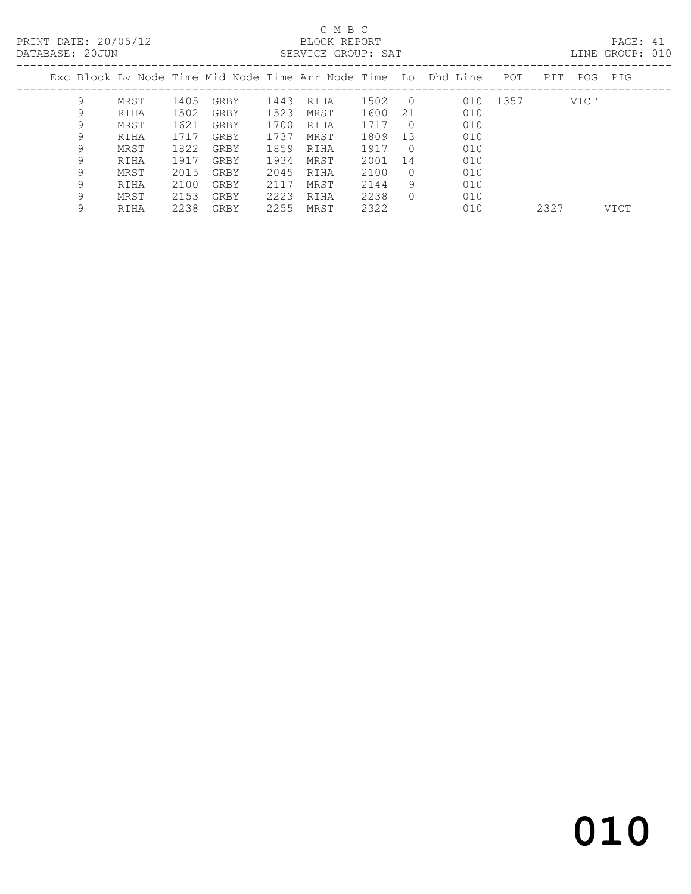# C M B C

| DATABASE: 20JUN |    |      |      |      |      | SERVICE GROUP: SAT |      |            |                                                                |          |            | LINE GROUP: 010 |  |
|-----------------|----|------|------|------|------|--------------------|------|------------|----------------------------------------------------------------|----------|------------|-----------------|--|
|                 |    |      |      |      |      |                    |      |            | Exc Block Lv Node Time Mid Node Time Arr Node Time Lo Dhd Line | POT      | PIT<br>POG | PIG             |  |
|                 | 9  | MRST | 1405 | GRBY | 1443 | RIHA               | 1502 | $\bigcirc$ |                                                                | 010 1357 | VTCT       |                 |  |
|                 |    | RIHA | 1502 | GRBY | 1523 | MRST               | 1600 | 21         | 010                                                            |          |            |                 |  |
|                 | 9. | MRST | 1621 | GRBY | 1700 | RIHA               | 1717 | $\Omega$   | 010                                                            |          |            |                 |  |
|                 | 9  | RIHA | 1717 | GRBY | 1737 | MRST               | 1809 | 13         | 010                                                            |          |            |                 |  |
|                 | 9  | MRST | 1822 | GRBY | 1859 | RIHA               | 1917 | $\bigcirc$ | 010                                                            |          |            |                 |  |
|                 | 9. | RIHA | 1917 | GRBY | 1934 | MRST               | 2001 | 14         | 010                                                            |          |            |                 |  |
|                 | 9. | MRST | 2015 | GRBY | 2045 | RIHA               | 2100 | $\bigcap$  | 010                                                            |          |            |                 |  |
|                 | 9. | RIHA | 2100 | GRBY | 2117 | MRST               | 2144 | 9          | 010                                                            |          |            |                 |  |
|                 | 9. | MRST | 2153 | GRBY | 2223 | RIHA               | 2238 | $\Omega$   | 010                                                            |          |            |                 |  |

9 RIHA 2238 GRBY 2255 MRST 2322 010 2327 VTCT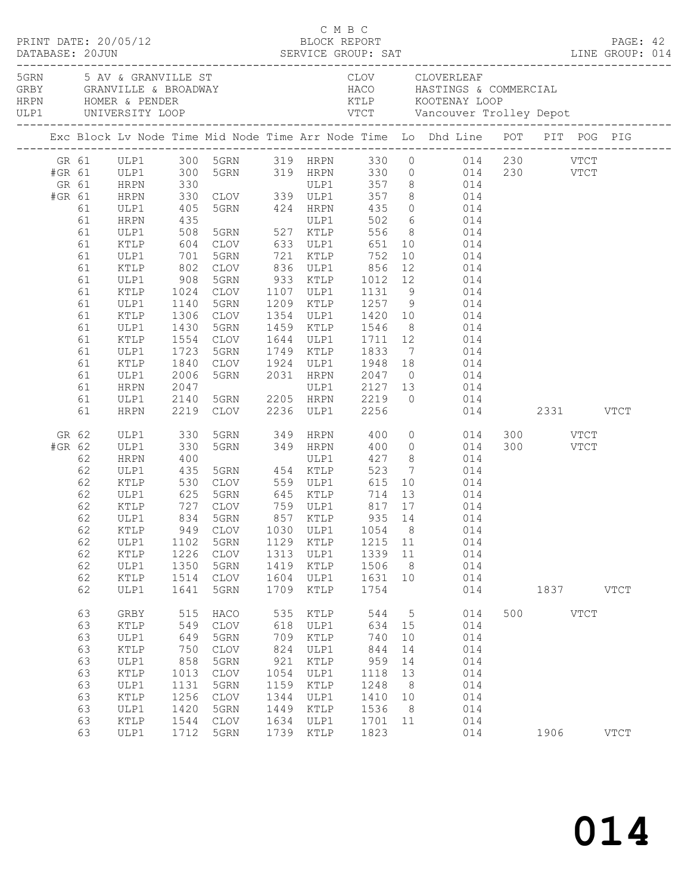|        |          |               |            |                          |      |               | C M B C        |    |                                                                                                                                                             |     |          |             |             |  |
|--------|----------|---------------|------------|--------------------------|------|---------------|----------------|----|-------------------------------------------------------------------------------------------------------------------------------------------------------------|-----|----------|-------------|-------------|--|
|        |          |               |            |                          |      |               |                |    |                                                                                                                                                             |     |          |             |             |  |
|        |          |               |            |                          |      |               |                |    | Exc Block Lv Node Time Mid Node Time Arr Node Time Lo Dhd Line POT PIT POG PIG                                                                              |     |          |             |             |  |
| #GR 61 |          |               |            |                          |      |               |                |    | GR 61 ULP1 300 5GRN 319 HRPN 330 0 014 230 VTCT<br>ULP1 300 5GRN 319 HRPN 330 0 014 230 VTCT<br>HRPN 330 ULP1 357 8 014<br>HRPN 330 CLOV 339 ULP1 357 8 014 |     |          |             |             |  |
| GR 61  |          |               |            |                          |      |               |                |    |                                                                                                                                                             |     |          |             |             |  |
| #GR 61 |          |               |            |                          |      |               |                |    |                                                                                                                                                             |     |          |             |             |  |
|        | 61       | ULP1          |            |                          |      |               |                |    | 405 5GRN 424 HRPN 435 0 014                                                                                                                                 |     |          |             |             |  |
|        | 61       | <b>HRPN</b>   |            |                          |      |               |                |    | $502$ 6 014<br>$556$ 8 014<br>$651$ 10 014                                                                                                                  |     |          |             |             |  |
|        | 61       | ULP1          |            |                          |      |               |                |    |                                                                                                                                                             |     |          |             |             |  |
|        | 61       | KTLP          |            |                          |      |               |                |    |                                                                                                                                                             |     |          |             |             |  |
|        | 61       | ULP1          |            | 701 5GRN                 |      |               | 721 KTLP 752   |    | 10 014                                                                                                                                                      |     |          |             |             |  |
|        | 61       | KTLP          |            | 802 CLOV                 |      |               |                |    | 802 CLOV 836 ULP1 856 12 014<br>908 5GRN 933 KTLP 1012 12 014<br>1024 CLOV 1107 ULP1 1131 9 014                                                             |     |          |             |             |  |
|        | 61<br>61 | ULP1<br>KTLP  |            |                          |      |               |                |    |                                                                                                                                                             |     |          |             |             |  |
|        | 61       | ULP1          | 1140       | 5GRN                     |      |               |                |    | 1209 KTLP 1257 9 014                                                                                                                                        |     |          |             |             |  |
|        | 61       | KTLP          | 1306       | CLOV                     |      |               |                |    |                                                                                                                                                             |     |          |             |             |  |
|        | 61       | ULP1          |            |                          |      |               |                |    |                                                                                                                                                             |     |          |             |             |  |
|        | 61       | KTLP          |            | 1430 5GRN<br>1554 CLOV   |      |               |                |    | 1354 ULP1 1420 10 014<br>1459 KTLP 1546 8 014<br>1644 ULP1 1711 12 014                                                                                      |     |          |             |             |  |
|        | 61       | ULP1          | 1723       | 5GRN                     |      |               | 1749 KTLP 1833 |    | $\frac{1}{7}$ 014                                                                                                                                           |     |          |             |             |  |
|        | 61       | KTLP          | 1840       |                          |      |               |                |    | CLOV 1924 ULP1 1948 18 014                                                                                                                                  |     |          |             |             |  |
|        | 61       | ULP1          |            |                          |      |               |                |    | 2006 5GRN 2031 HRPN 2047 0 014<br>2047 ULP1 2127 13 014<br>2140 5GRN 2205 HRPN 2219 0 014                                                                   |     |          |             |             |  |
|        | 61       | HRPN          |            |                          |      |               |                |    |                                                                                                                                                             |     |          |             |             |  |
|        | 61       | ULP1          |            |                          |      |               |                |    |                                                                                                                                                             |     |          |             |             |  |
|        | 61       | HRPN          |            | 2219 CLOV 2236 ULP1 2256 |      |               |                |    | 014 2331 VTCT                                                                                                                                               |     |          |             |             |  |
| GR 62  |          | ULP1          | 330<br>330 |                          |      |               |                |    | 5GRN 349 HRPN 400 0 014<br>5GRN 349 HRPN 400 0 014                                                                                                          |     | 300 VTCT |             |             |  |
| #GR 62 |          | ULP1          |            |                          |      |               |                |    |                                                                                                                                                             |     | 300 VTCT |             |             |  |
|        | 62       | HRPN          | 400        |                          |      | ULP1          |                |    | 427 8 014                                                                                                                                                   |     |          |             |             |  |
|        | 62       | ULP1          |            |                          |      |               |                |    |                                                                                                                                                             |     |          |             |             |  |
|        | 62       | KTLP          |            |                          |      |               |                |    | 435 5GRN 454 KTLP 523 7 014<br>530 CLOV 559 ULP1 615 10 014<br>625 5GRN 645 KTLP 714 13 014                                                                 |     |          |             |             |  |
|        | 62       | ULP1          |            |                          |      |               |                |    |                                                                                                                                                             |     |          |             |             |  |
|        | 62<br>62 | KTLP<br>ULP1  |            | 834 5GRN                 |      | 857 KTLP      | 935 14         |    | 727 CLOV 759 ULP1 817 17 014                                                                                                                                |     |          |             |             |  |
|        |          |               |            |                          |      |               |                |    | 014<br>62 KTLP 949 CLOV 1030 ULP1 1054 8 014                                                                                                                |     |          |             |             |  |
|        | 62       | ULP1          | 1102       | 5GRN                     | 1129 | KTLP          | 1215           | 11 | 014                                                                                                                                                         |     |          |             |             |  |
|        | 62       | $\verb KTLP $ | 1226       | $\mathtt{CLOV}$          | 1313 | ULP1          | 1339           | 11 | 014                                                                                                                                                         |     |          |             |             |  |
|        | 62       | ULP1          | 1350       | 5GRN                     | 1419 | KTLP          | 1506           | 8  | 014                                                                                                                                                         |     |          |             |             |  |
|        | 62       | KTLP          | 1514       | $\mathtt{CLOV}$          | 1604 | ULP1          | 1631           | 10 | 014                                                                                                                                                         |     |          |             |             |  |
|        | 62       | ULP1          | 1641       | 5GRN                     | 1709 | $\verb KTLP $ | 1754           |    | 014                                                                                                                                                         |     | 1837     |             | <b>VTCT</b> |  |
|        | 63       | GRBY          | 515        | HACO                     | 535  | KTLP          | 544            | 5  | 014                                                                                                                                                         | 500 |          | <b>VTCT</b> |             |  |
|        | 63       | KTLP          | 549        | $\mathtt{CLOV}$          | 618  | ULP1          | 634            | 15 | 014                                                                                                                                                         |     |          |             |             |  |
|        | 63       | ULP1          | 649        | 5GRN                     | 709  | KTLP          | 740            | 10 | 014                                                                                                                                                         |     |          |             |             |  |
|        | 63       | KTLP          | 750        | $\mathtt{CLOV}$          | 824  | ULP1          | 844            | 14 | 014                                                                                                                                                         |     |          |             |             |  |
|        | 63       | ULP1          | 858        | 5GRN                     | 921  | KTLP          | 959            | 14 | 014                                                                                                                                                         |     |          |             |             |  |
|        | 63       | KTLP          | 1013       | <b>CLOV</b>              | 1054 | ULP1          | 1118           | 13 | 014                                                                                                                                                         |     |          |             |             |  |
|        | 63       | ULP1          | 1131       | 5GRN                     | 1159 | KTLP          | 1248           | 8  | 014                                                                                                                                                         |     |          |             |             |  |
|        | 63       | KTLP          | 1256       | <b>CLOV</b>              | 1344 | ULP1          | 1410           | 10 | 014                                                                                                                                                         |     |          |             |             |  |
|        | 63       | ULP1          | 1420       | 5GRN                     | 1449 | KTLP          | 1536           | 8  | 014                                                                                                                                                         |     |          |             |             |  |
|        | 63       | KTLP          | 1544       | <b>CLOV</b>              | 1634 | ULP1          | 1701           | 11 | 014                                                                                                                                                         |     |          |             |             |  |
|        | 63       | ULP1          | 1712       | 5GRN                     | 1739 | $\verb KTLP $ | 1823           |    | 014                                                                                                                                                         |     | 1906     |             | <b>VTCT</b> |  |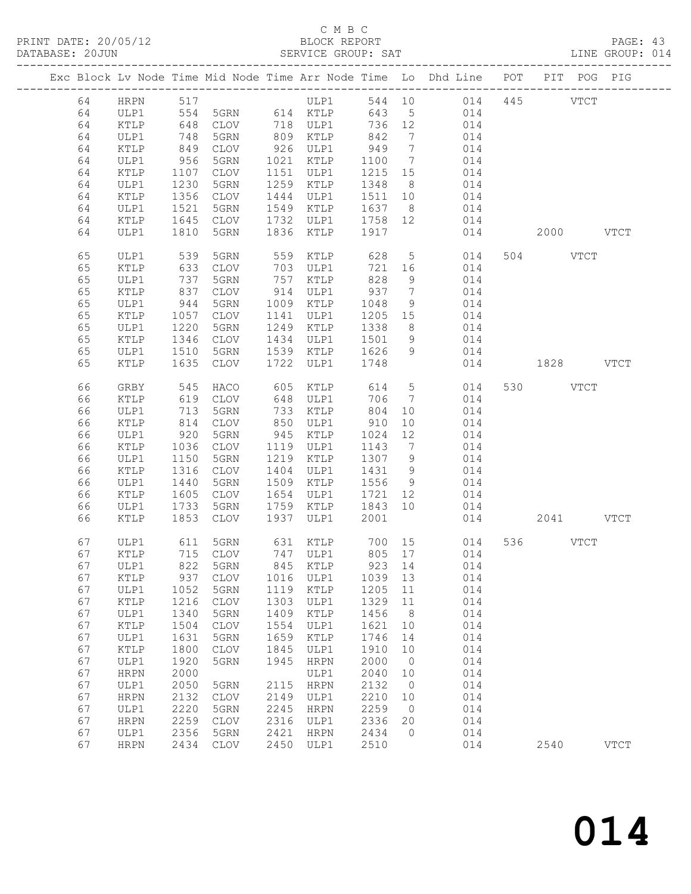# C M B C<br>BLOCK REPORT

| DATABASE: 20JUN |    |                 |                     |                 |      | SERVICE GROUP: SAT             |         |                 |                                                                                |               |          |           | LINE GROUP: 014 |
|-----------------|----|-----------------|---------------------|-----------------|------|--------------------------------|---------|-----------------|--------------------------------------------------------------------------------|---------------|----------|-----------|-----------------|
|                 |    |                 |                     |                 |      |                                |         |                 | Exc Block Lv Node Time Mid Node Time Arr Node Time Lo Dhd Line POT PIT POG PIG |               |          |           |                 |
|                 | 64 | HRPN 517        |                     |                 |      | ULP1                           |         |                 | 544 10 014 445 VTCT                                                            |               |          |           |                 |
|                 | 64 | ULP1            | 554                 |                 |      | 5GRN 614 KTLP                  |         |                 | 643 5 014                                                                      |               |          |           |                 |
|                 | 64 | KTLP            | 648<br>748<br>849   |                 |      | CLOV 718 ULP1<br>5GRN 809 KTLP | 736 12  |                 | 014                                                                            |               |          |           |                 |
|                 | 64 | ULP1            |                     |                 |      |                                | 842     | $7\overline{ }$ | 014                                                                            |               |          |           |                 |
|                 | 64 | KTLP            |                     | CLOV            |      | 926 ULP1                       | 949     | $\overline{7}$  | 014                                                                            |               |          |           |                 |
|                 | 64 | ULP1            | 956                 | 5GRN            |      | 1021 KTLP                      | 1100    | $\overline{7}$  | 014                                                                            |               |          |           |                 |
|                 | 64 | KTLP            | 1107                | CLOV            |      | 1151 ULP1                      | 1215 15 |                 | 014                                                                            |               |          |           |                 |
|                 | 64 | ULP1            | 1230                | 5GRN            |      | 1259 KTLP                      | 1348    | 8 <sup>8</sup>  | 014                                                                            |               |          |           |                 |
|                 | 64 | KTLP            | 1356                | CLOV            |      | 1444 ULP1                      | 1511 10 |                 | 014                                                                            |               |          |           |                 |
|                 | 64 | ULP1            | 1521                | 5GRN            |      | 1549 KTLP                      | 1637 8  |                 | 014                                                                            |               |          |           |                 |
|                 | 64 | KTLP            | 1645                | CLOV            |      | 1732 ULP1                      | 1758 12 |                 | 014                                                                            |               |          |           |                 |
|                 | 64 | ULP1            | 1810                | 5GRN            |      | 1836 KTLP                      | 1917    |                 | 014                                                                            |               |          | 2000 VTCT |                 |
|                 | 65 | ULP1            | 539                 | 5GRN            | 559  | KTLP                           | 628     |                 | $5 - 5$<br>014                                                                 |               | 504 VTCT |           |                 |
|                 | 65 | KTLP            | 633                 | CLOV            |      | 703 ULP1                       | 721     | 16              | 014                                                                            |               |          |           |                 |
|                 | 65 | ULP1            | 737<br>$131$<br>837 | 5GRN            |      | 757 KTLP                       | 828     | 9               | 014                                                                            |               |          |           |                 |
|                 | 65 | KTLP            |                     | CLOV            |      | $757$<br>914 ULP1              | 937     | $\overline{7}$  | 014                                                                            |               |          |           |                 |
|                 | 65 | ULP1            | 944                 | 5GRN            |      | 1009 KTLP                      | 1048    | 9               | 014                                                                            |               |          |           |                 |
|                 | 65 | KTLP            | 1057                | CLOV            |      | 1141 ULP1                      | 1205 15 |                 | 014                                                                            |               |          |           |                 |
|                 | 65 | ULP1            | 1220                | 5GRN            |      | 1249 KTLP                      | 1338    | 8 <sup>8</sup>  | 014                                                                            |               |          |           |                 |
|                 | 65 | $\texttt{KTLP}$ | 1346                | CLOV            |      | 1434 ULP1                      | 1501    | 9               | 014                                                                            |               |          |           |                 |
|                 | 65 | ULP1            | 1510                | 5GRN            |      | 1539 KTLP                      | 1626    | 9               | 014                                                                            |               |          |           |                 |
|                 | 65 | KTLP            | 1635                | CLOV            | 1722 | ULP1                           | 1748    |                 |                                                                                | 014 1828 VTCT |          |           |                 |
|                 | 66 | GRBY            | 545                 | HACO            | 605  | KTLP                           | 614 5   |                 | 014                                                                            |               | 530 VTCT |           |                 |
|                 | 66 | KTLP            | 619                 | CLOV            | 648  | ULP1                           | 706     | $\overline{7}$  | 014                                                                            |               |          |           |                 |
|                 | 66 | ULP1            | 713                 | 5GRN            | 733  | KTLP                           | 804     | 10              | 014                                                                            |               |          |           |                 |
|                 | 66 | KTLP            | 814                 | CLOV            | 850  | ULP1                           | 910     | 10              | 014                                                                            |               |          |           |                 |
|                 | 66 | ULP1            | 920                 | 5GRN            |      | 945 KTLP                       | 1024    | 12              | 014                                                                            |               |          |           |                 |
|                 | 66 | KTLP            | 1036                | CLOV            |      | 1119 ULP1                      | 1143    | $7\overline{ }$ | 014                                                                            |               |          |           |                 |
|                 | 66 | ULP1            | 1150                | 5GRN            |      | 1219 KTLP                      | 1307    | 9               | 014                                                                            |               |          |           |                 |
|                 | 66 | KTLP            | 1316                | CLOV            | 1404 | ULP1                           | 1431    | 9               | 014                                                                            |               |          |           |                 |
|                 | 66 | ULP1            | 1440                | 5GRN            |      | 1509 KTLP                      | 1556    | 9               | 014                                                                            |               |          |           |                 |
|                 | 66 | KTLP            | 1605                | CLOV            | 1654 | ULP1                           | 1721    | 12              | 014                                                                            |               |          |           |                 |
|                 | 66 | ULP1            | 1733                | 5GRN            |      | 1759 KTLP                      | 1843 10 |                 | 014                                                                            |               |          |           |                 |
|                 | 66 | KTLP            | 1853                | CLOV            | 1937 | ULP1                           | 2001    |                 |                                                                                | 014           |          | 2041 VTCT |                 |
|                 | 67 | ULP1            |                     |                 |      |                                |         |                 | 611 5GRN 631 KTLP 700 15 014                                                   |               | 536 VTCT |           |                 |
|                 | 67 |                 |                     |                 |      |                                |         |                 | KTLP 715 CLOV 747 ULP1 805 17 014                                              |               |          |           |                 |
|                 | 67 | ULP1            | 822                 | 5GRN            | 845  | KTLP                           | 923     | 14              | 014                                                                            |               |          |           |                 |
|                 | 67 | KTLP            | 937                 | CLOV            | 1016 | ULP1                           | 1039    | 13              | 014                                                                            |               |          |           |                 |
|                 | 67 | ULP1            | 1052                | 5GRN            | 1119 | $\verb KTLP $                  | 1205    | 11              | 014                                                                            |               |          |           |                 |
|                 | 67 | $\verb KTLP $   | 1216                | $\mathtt{CLOV}$ | 1303 | ULP1                           | 1329    | 11              | 014                                                                            |               |          |           |                 |
|                 | 67 | ULP1            | 1340                | 5GRN            | 1409 | KTLP                           | 1456    | 8 <sup>8</sup>  | 014                                                                            |               |          |           |                 |
|                 | 67 | KTLP            | 1504                | CLOV            | 1554 | ULP1                           | 1621    | 10              | 014                                                                            |               |          |           |                 |
|                 | 67 | ULP1            | 1631                | 5GRN            | 1659 | KTLP                           | 1746    | 14              | 014                                                                            |               |          |           |                 |
|                 | 67 | KTLP            | 1800                | $\mathtt{CLOV}$ | 1845 | ULP1                           | 1910    | 10              | 014                                                                            |               |          |           |                 |
|                 | 67 | ULP1            | 1920                | 5GRN            | 1945 | HRPN                           | 2000    | $\overline{0}$  | 014                                                                            |               |          |           |                 |
|                 | 67 | <b>HRPN</b>     | 2000                |                 |      | ULP1                           | 2040    | 10              | 014                                                                            |               |          |           |                 |
|                 | 67 | ULP1            | 2050                | 5GRN            | 2115 | <b>HRPN</b>                    | 2132    | $\overline{0}$  | 014                                                                            |               |          |           |                 |
|                 | 67 | ${\tt HRPN}$    | 2132                | $\mathtt{CLOV}$ | 2149 | ULP1                           | 2210    | 10              | 014                                                                            |               |          |           |                 |
|                 | 67 | ULP1            | 2220                | 5GRN            | 2245 | <b>HRPN</b>                    | 2259    | $\overline{0}$  | 014                                                                            |               |          |           |                 |
|                 | 67 | <b>HRPN</b>     | 2259                | CLOV            | 2316 | ULP1                           | 2336    | 20              | 014                                                                            |               |          |           |                 |
|                 | 67 | ULP1            | 2356                | 5GRN            | 2421 | HRPN                           | 2434    | $\overline{0}$  | 014                                                                            |               |          |           |                 |
|                 | 67 | <b>HRPN</b>     |                     | 2434 CLOV       | 2450 | ULP1                           | 2510    |                 | 014                                                                            |               | 2540     |           | <b>VTCT</b>     |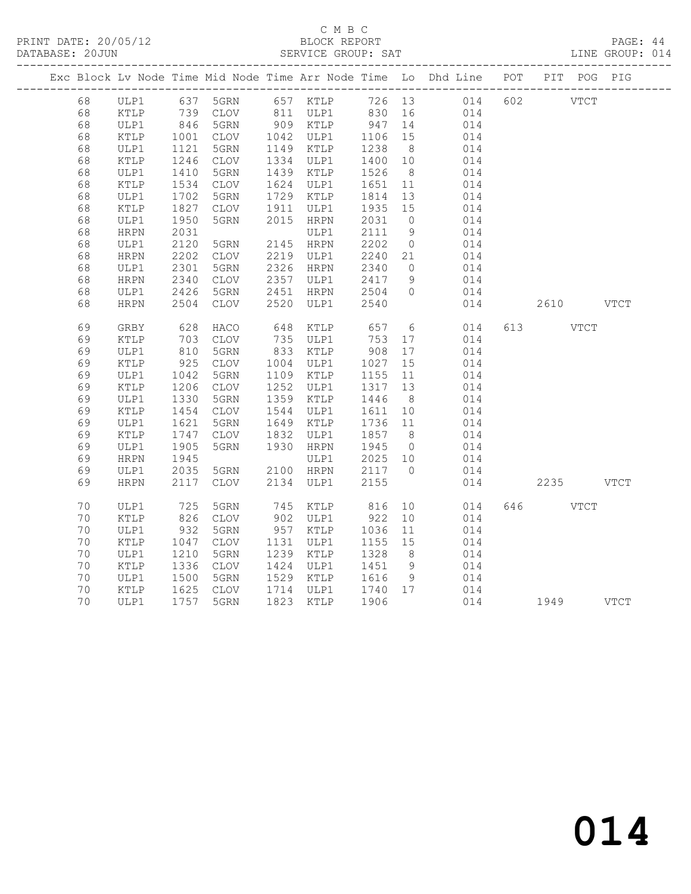# C M B C<br>BLOCK REPORT

PAGE: 44<br>LINE GROUP: 014

|  |          |              |                 |              |     |                                  |                          |                | Exc Block Lv Node Time Mid Node Time Arr Node Time Lo Dhd Line POT | PIT POG PIG |  |
|--|----------|--------------|-----------------|--------------|-----|----------------------------------|--------------------------|----------------|--------------------------------------------------------------------|-------------|--|
|  | 68       |              |                 |              |     |                                  |                          |                | ULP1 637 5GRN 657 KTLP 726 13 014 602 VTCT                         |             |  |
|  | 68       | KTLP         |                 |              |     |                                  |                          |                | 739 CLOV 811 ULP1 830 16 014                                       |             |  |
|  | 68       | ULP1         |                 | 5GRN         |     |                                  |                          |                |                                                                    |             |  |
|  | 68       | KTLP         | $846$<br>$1001$ | CLOV         |     |                                  |                          |                |                                                                    |             |  |
|  | 68       | ULP1         | 1121            | 5GRN         |     | 1149 KTLP                        | 1238                     | 8 <sup>8</sup> | 014                                                                |             |  |
|  | 68       | KTLP         | 1246            | CLOV         |     | 1334 ULP1                        | 1400 10                  |                | 014                                                                |             |  |
|  | 68       | ULP1         | 1410            | 5GRN         |     | 1439 KTLP                        | 1526                     | 8 <sup>8</sup> | 014                                                                |             |  |
|  | 68       | KTLP         | 1534            | CLOV         |     | 1624 ULP1                        | 1651                     | 11             | 014                                                                |             |  |
|  | 68       | ULP1         | 1702            | 5GRN         |     | 1729 KTLP                        | 1814                     | 13             | 014                                                                |             |  |
|  | 68       | KTLP         | 1827            | CLOV         |     | 1911 ULP1                        | 1935 15                  |                | 014                                                                |             |  |
|  | 68       | ULP1         | 1950            | 5GRN         |     | 2015 HRPN                        | 2031                     | $\overline{0}$ | 014                                                                |             |  |
|  | 68       | HRPN         | 2031            |              |     | ULP1                             | 2111                     | 9              | 014                                                                |             |  |
|  | 68       | ULP1         | 2120            | 5GRN         |     | 2145 HRPN                        | 2202                     | $\overline{0}$ | 014                                                                |             |  |
|  | 68       | HRPN         | 2202            | CLOV         |     | 2219 ULP1                        | 2240 21                  |                | 014                                                                |             |  |
|  | 68       | ULP1         | 2301            | 5GRN         |     | 2326 HRPN                        | 2340                     | $\overline{0}$ | 014                                                                |             |  |
|  | 68       | <b>HRPN</b>  | 2340            | CLOV         |     | 2357 ULP1                        |                          | 9              | 014                                                                |             |  |
|  | 68       | ULP1         | 2426            | 5GRN         |     | 2451 HRPN                        | 2417<br>2504             | $\overline{0}$ | 014                                                                |             |  |
|  | 68       | <b>HRPN</b>  | 2504            | CLOV         |     | 2520 ULP1                        | 2540                     |                | 014                                                                | 2610 VTCT   |  |
|  | 69       | GRBY         | 628             | HACO         | 648 | KTLP                             | 657                      |                | $6\overline{6}$<br>014                                             | 613 VTCT    |  |
|  | 69       |              |                 |              |     | 735 ULP1                         |                          |                | 014                                                                |             |  |
|  |          | KTLP         | 703<br>810      | CLOV         |     |                                  | 753                      | 17             |                                                                    |             |  |
|  | 69<br>69 | ULP1         | 925             | 5GRN<br>CLOV |     | 833 KTLP<br>1004 ULP1            | 908<br>1027              | 17             | 014                                                                |             |  |
|  | 69       | KTLP<br>ULP1 | 1042            | 5GRN         |     | 1109 KTLP                        | 1155                     | 15<br>11       | 014<br>014                                                         |             |  |
|  | 69       | KTLP         | 1206            | CLOV         |     | 1252 ULP1                        | 1317                     | 13             | 014                                                                |             |  |
|  | 69       | ULP1         | 1330            | 5GRN         |     | 1359 KTLP                        | 1446                     | 8 <sup>8</sup> | 014                                                                |             |  |
|  | 69       | KTLP         | 1454            | CLOV         |     | 1544 ULP1                        | 1611                     | 10             | 014                                                                |             |  |
|  | 69       | ULP1         | 1621            | 5GRN         |     | 1649 KTLP                        | 1736 11                  |                | 014                                                                |             |  |
|  | 69       | KTLP         | 1747            | CLOV         |     | 1832 ULP1                        | 1857                     | 8 <sup>8</sup> | 014                                                                |             |  |
|  | 69       | ULP1         | 1905            | 5GRN         |     | 1930 HRPN                        | 1945                     | $\overline{0}$ | 014                                                                |             |  |
|  | 69       | HRPN         | 1945            |              |     | ULP1                             | 2025 10                  |                | 014                                                                |             |  |
|  | 69       | ULP1         | 2035            | 5GRN         |     | 2100 HRPN                        |                          |                | 014                                                                |             |  |
|  | 69       | HRPN         | 2117            | CLOV         |     | 2134 ULP1                        | $2117$ 0<br>2155<br>2155 |                | 014                                                                | 2235 VTCT   |  |
|  |          |              |                 |              |     |                                  |                          |                |                                                                    |             |  |
|  | 70       | ULP1         | 725             | 5GRN         |     | 745 KTLP                         | 816                      |                | 10<br>014                                                          | 646 VTCT    |  |
|  | 70       | KTLP         | 826             | CLOV         |     | 902 ULP1                         | 922                      | 10             | 014                                                                |             |  |
|  | 70       | ULP1         | 932             | 5GRN         |     | 957 KTLP                         | 1036                     | 11             | 014                                                                |             |  |
|  | 70       | KTLP         | 1047            | CLOV         |     | 1131 ULP1                        | 1155                     | 15             | 014                                                                |             |  |
|  | 70       | ULP1         | 1210            | 5GRN         |     | 1239 KTLP                        | 1328                     | 8 <sup>1</sup> | 014                                                                |             |  |
|  | 70       | KTLP         | 1336            | CLOV         |     | 1424 ULP1                        | 1451                     | 9              | $014$<br>$014$                                                     |             |  |
|  | 70       | ULP1         | 1500            | 5GRN         |     | 1121 0211 1101<br>1529 KTLP 1616 |                          | 9              |                                                                    |             |  |
|  | 70       | KTLP         | 1625<br>1757    | CLOV         |     | 1714 ULP1 1740 17                |                          |                | 014                                                                |             |  |
|  | 70       | ULP1         |                 | 1757 5GRN    |     | 1823 KTLP                        | 1906                     |                | 014                                                                | 1949 VTCT   |  |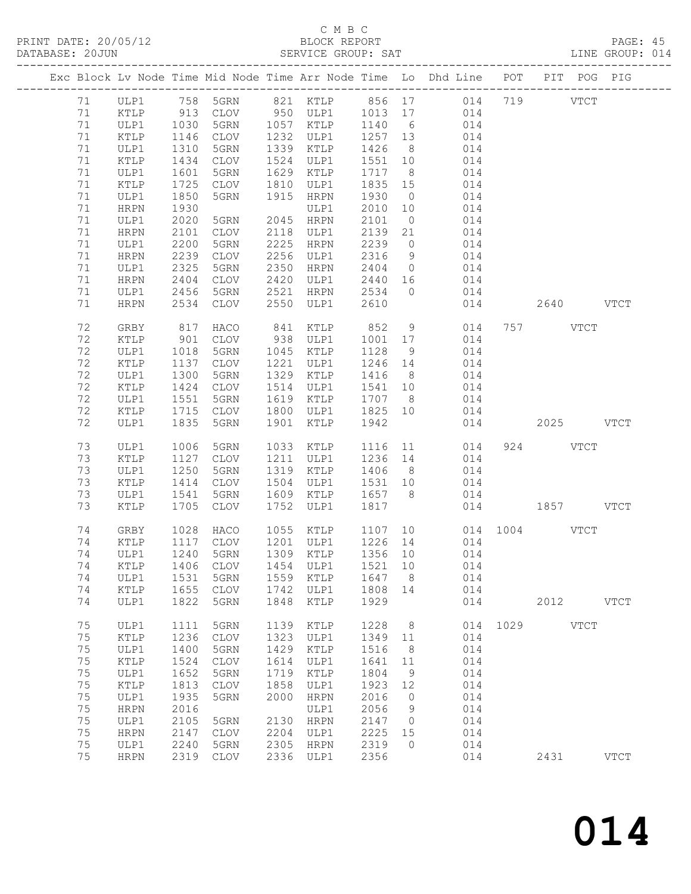# C M B C<br>BLOCK REPORT

| DATABASE: 20JUN |    |             |      |                 |      | SERVICE GROUP: SAT    |         |                | LINE GROUP: 014                                                                |     |               |             |  |
|-----------------|----|-------------|------|-----------------|------|-----------------------|---------|----------------|--------------------------------------------------------------------------------|-----|---------------|-------------|--|
|                 |    |             |      |                 |      |                       |         |                | Exc Block Lv Node Time Mid Node Time Arr Node Time Lo Dhd Line POT PIT POG PIG |     |               |             |  |
|                 |    |             |      |                 |      |                       |         |                | 71  ULP1  758  5GRN  821  KTLP  856  17  014  719  VTCT                        |     |               |             |  |
|                 | 71 | KTLP        |      |                 |      |                       |         |                | 913 CLOV 950 ULP1 1013 17 014                                                  |     |               |             |  |
|                 | 71 | ULP1        | 1030 |                 |      | 5GRN 1057 KTLP 1140 6 |         |                | 014                                                                            |     |               |             |  |
|                 | 71 | KTLP        | 1146 | CLOV            |      | 1232 ULP1             | 1257 13 |                | 014                                                                            |     |               |             |  |
|                 | 71 | ULP1        | 1310 | 5GRN            |      | 1339 KTLP             | 1426    | 8 <sup>8</sup> | 014                                                                            |     |               |             |  |
|                 | 71 | KTLP        | 1434 | CLOV            |      | 1524 ULP1             | 1551 10 |                | 014                                                                            |     |               |             |  |
|                 | 71 | ULP1        | 1601 | 5GRN            |      | 1629 KTLP             | 1717    | 8 <sup>8</sup> | 014                                                                            |     |               |             |  |
|                 | 71 | KTLP        | 1725 | CLOV            |      | 1810 ULP1             | 1835 15 |                | 014                                                                            |     |               |             |  |
|                 | 71 | ULP1        | 1850 | 5GRN            | 1915 | HRPN                  | 1930    | $\overline{0}$ | 014                                                                            |     |               |             |  |
|                 | 71 | HRPN        | 1930 |                 |      | ULP1                  | 2010 10 |                | 014                                                                            |     |               |             |  |
|                 | 71 | ULP1        | 2020 | 5GRN            | 2045 | HRPN                  | 2101    | $\overline{0}$ | 014                                                                            |     |               |             |  |
|                 | 71 | HRPN        | 2101 | CLOV            |      | 2118 ULP1             | 2139    | 21             | 014                                                                            |     |               |             |  |
|                 | 71 |             | 2200 | 5GRN            | 2225 |                       | 2239    | $\overline{0}$ |                                                                                |     |               |             |  |
|                 | 71 | ULP1        | 2239 | CLOV            |      | HRPN<br>2256 ULP1     | 2316    |                | 014<br>014                                                                     |     |               |             |  |
|                 |    | HRPN        |      |                 |      |                       |         | 9              |                                                                                |     |               |             |  |
|                 | 71 | ULP1        | 2325 | 5GRN            | 2350 | HRPN                  | 2404    | $\overline{0}$ | 014                                                                            |     |               |             |  |
|                 | 71 | HRPN        | 2404 | CLOV            |      | 2420 ULP1             | 2440 16 |                | 014                                                                            |     |               |             |  |
|                 | 71 | ULP1        | 2456 | 5GRN            | 2521 | HRPN 2534             |         | $\overline{0}$ | 014                                                                            |     |               |             |  |
|                 | 71 | HRPN        | 2534 | CLOV            | 2550 | ULP1                  | 2610    |                |                                                                                | 014 | 2640 VTCT     |             |  |
|                 | 72 | GRBY        | 817  | HACO            |      | 841 KTLP              | 852     | 9              | 014                                                                            |     | 757 VTCT      |             |  |
|                 | 72 | KTLP        | 901  | CLOV            |      | 938 ULP1              | 1001 17 |                | 014                                                                            |     |               |             |  |
|                 | 72 | ULP1        | 1018 | 5GRN            |      | 1045 KTLP             | 1128    | 9              | 014                                                                            |     |               |             |  |
|                 | 72 | KTLP        | 1137 | CLOV            |      | 1221 ULP1             | 1246 14 |                | 014                                                                            |     |               |             |  |
|                 | 72 | ULP1        | 1300 | 5GRN            |      | 1329 KTLP             | 1416 8  |                | 014                                                                            |     |               |             |  |
|                 | 72 | KTLP        | 1424 | CLOV            |      | 1514 ULP1             | 1541 10 |                | 014                                                                            |     |               |             |  |
|                 | 72 | ULP1        | 1551 | 5GRN            | 1619 | KTLP                  | 1707 8  |                | 014                                                                            |     |               |             |  |
|                 | 72 | KTLP        | 1715 | CLOV            |      | 1800 ULP1             | 1825 10 |                | 014                                                                            |     |               |             |  |
|                 | 72 | ULP1        | 1835 | 5GRN            | 1901 | KTLP                  | 1942    |                |                                                                                | 014 | 2025 VTCT     |             |  |
|                 | 73 | ULP1        | 1006 | 5GRN            |      | 1033 KTLP             |         |                | 1116 11<br>014                                                                 |     | 924 VTCT      |             |  |
|                 | 73 | KTLP        | 1127 | CLOV            |      | 1211 ULP1             | 1236 14 |                | 014                                                                            |     |               |             |  |
|                 | 73 | ULP1        | 1250 | 5GRN            |      | 1319 KTLP             | 1406 8  |                | 014                                                                            |     |               |             |  |
|                 | 73 | KTLP        | 1414 | CLOV            |      | 1504 ULP1             | 1531 10 |                | 014                                                                            |     |               |             |  |
|                 | 73 | ULP1        | 1541 | 5GRN            |      | 1609 KTLP             | 1657 8  |                | 014                                                                            |     |               |             |  |
|                 | 73 | KTLP        | 1705 | CLOV            | 1752 | ULP1                  | 1817    |                |                                                                                |     | 014 1857 VTCT |             |  |
|                 | 74 | GRBY        | 1028 | HACO            |      |                       |         |                | 1055 KTLP 1107 10 014 1004 VTCT                                                |     |               |             |  |
|                 | 74 | KTLP        |      | 1117 CLOV       |      | $1201$ ULP1 $1226$ 14 |         |                | 014                                                                            |     |               |             |  |
|                 |    |             |      |                 |      |                       |         |                | 74 ULP1 1240 5GRN 1309 KTLP 1356 10 014                                        |     |               |             |  |
|                 | 74 | KTLP        | 1406 | CLOV            | 1454 | ULP1                  | 1521    | 10             | 014                                                                            |     |               |             |  |
|                 | 74 | ULP1        | 1531 | 5GRN            | 1559 | KTLP                  | 1647    | 8 <sup>8</sup> | 014                                                                            |     |               |             |  |
|                 | 74 | KTLP        | 1655 | CLOV            | 1742 | ULP1                  | 1808    | 14             | 014                                                                            |     |               |             |  |
|                 | 74 | ULP1        | 1822 | 5GRN            | 1848 | KTLP                  | 1929    |                | 014                                                                            |     | 2012 VTCT     |             |  |
|                 | 75 | ULP1        | 1111 | 5GRN            | 1139 | KTLP                  | 1228    | 8 <sup>8</sup> |                                                                                |     | 014 1029 VTCT |             |  |
|                 | 75 | KTLP        | 1236 | CLOV            | 1323 | ULP1                  | 1349 11 |                | 014                                                                            |     |               |             |  |
|                 | 75 | ULP1        | 1400 | 5GRN            | 1429 | KTLP                  | 1516    | 8              | 014                                                                            |     |               |             |  |
|                 | 75 | KTLP        | 1524 | $\mathtt{CLOV}$ | 1614 | ULP1                  | 1641    | 11             | 014                                                                            |     |               |             |  |
|                 | 75 | ULP1        | 1652 | 5GRN            | 1719 | KTLP                  | 1804    | 9              | 014                                                                            |     |               |             |  |
|                 | 75 | KTLP        | 1813 | <b>CLOV</b>     | 1858 | ULP1                  | 1923    | 12             | 014                                                                            |     |               |             |  |
|                 | 75 | ULP1        | 1935 | 5GRN            | 2000 | HRPN                  | 2016    | $\overline{0}$ | 014                                                                            |     |               |             |  |
|                 | 75 | HRPN        | 2016 |                 |      | ULP1                  | 2056    | 9              | 014                                                                            |     |               |             |  |
|                 | 75 | ULP1        | 2105 | 5GRN            | 2130 | HRPN                  | 2147    | $\overline{0}$ | 014                                                                            |     |               |             |  |
|                 | 75 | <b>HRPN</b> | 2147 | CLOV            | 2204 | ULP1                  | 2225    | 15             | 014                                                                            |     |               |             |  |
|                 | 75 | ULP1        | 2240 | 5GRN            | 2305 | HRPN                  | 2319    | $\overline{0}$ | 014                                                                            |     |               |             |  |
|                 | 75 | <b>HRPN</b> |      | 2319 CLOV       |      | 2336 ULP1             | 2356    |                | 014                                                                            |     | 2431          | <b>VTCT</b> |  |
|                 |    |             |      |                 |      |                       |         |                |                                                                                |     |               |             |  |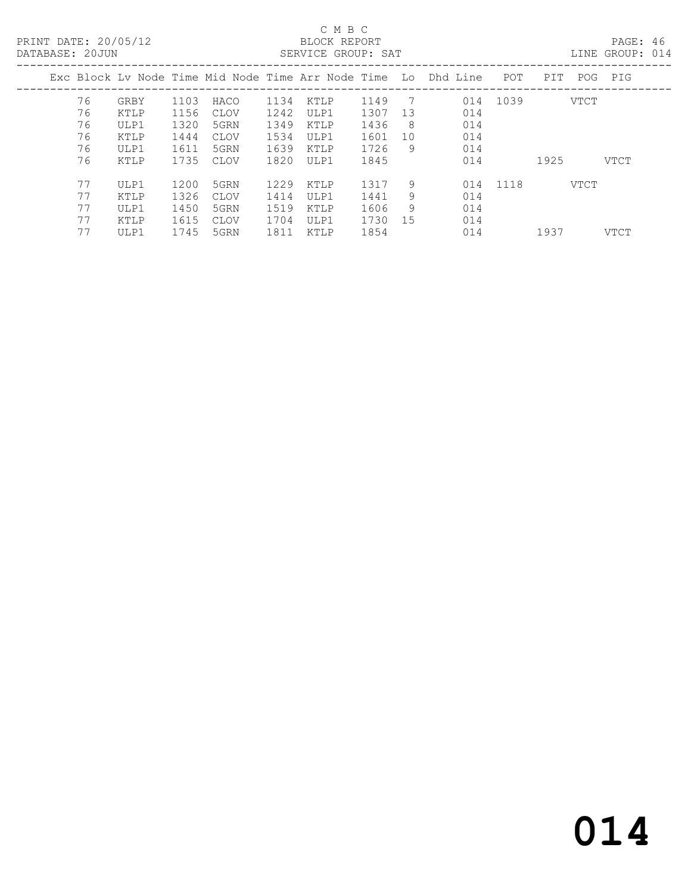#### C M B C<br>BLOCK REPORT DATABASE: 20JUN SERVICE GROUP: SAT LINE GROUP: 014

| DATABASE: ZUJUN |    |      |      |             |      | SLKVICL GKUUF: SAT |      |    |                                                                |          |      |      | LINE GROUP: UI4 |  |
|-----------------|----|------|------|-------------|------|--------------------|------|----|----------------------------------------------------------------|----------|------|------|-----------------|--|
|                 |    |      |      |             |      |                    |      |    | Exc Block Ly Node Time Mid Node Time Arr Node Time Lo Dhd Line | POT      | PIT  |      | POG PIG         |  |
|                 | 76 | GRBY | 1103 | HACO        | 1134 | KTLP               | 1149 | 7  | 014                                                            | 1039     |      | VTCT |                 |  |
|                 | 76 | KTLP | 1156 | CLOV        | 1242 | ULP1               | 1307 | 13 | 014                                                            |          |      |      |                 |  |
|                 | 76 | ULP1 | 1320 | 5GRN        | 1349 | KTLP               | 1436 | 8  | 014                                                            |          |      |      |                 |  |
|                 | 76 | KTLP | 1444 | <b>CLOV</b> | 1534 | ULP1               | 1601 | 10 | 014                                                            |          |      |      |                 |  |
|                 | 76 | ULP1 | 1611 | 5GRN        | 1639 | KTLP               | 1726 | -9 | 014                                                            |          |      |      |                 |  |
|                 | 76 | KTLP | 1735 | CLOV        | 1820 | ULP1               | 1845 |    | 014                                                            |          | 1925 |      | VTCT            |  |
|                 | 77 | ULP1 | 1200 | 5GRN        | 1229 | KTLP               | 1317 | 9  |                                                                | 014 1118 |      | VTCT |                 |  |
|                 | 77 | KTLP | 1326 | CLOV        | 1414 | ULP1               | 1441 | 9  | 014                                                            |          |      |      |                 |  |
|                 | 77 | ULP1 | 1450 | 5GRN        | 1519 | KTLP               | 1606 | 9  | 014                                                            |          |      |      |                 |  |
|                 | 77 | KTLP | 1615 | <b>CLOV</b> | 1704 | ULP1               | 1730 | 15 | 014                                                            |          |      |      |                 |  |
|                 | 77 | ULP1 | 1745 | 5GRN        | 1811 | KTLP               | 1854 |    | 014                                                            |          | 1937 |      | VTCT            |  |
|                 |    |      |      |             |      |                    |      |    |                                                                |          |      |      |                 |  |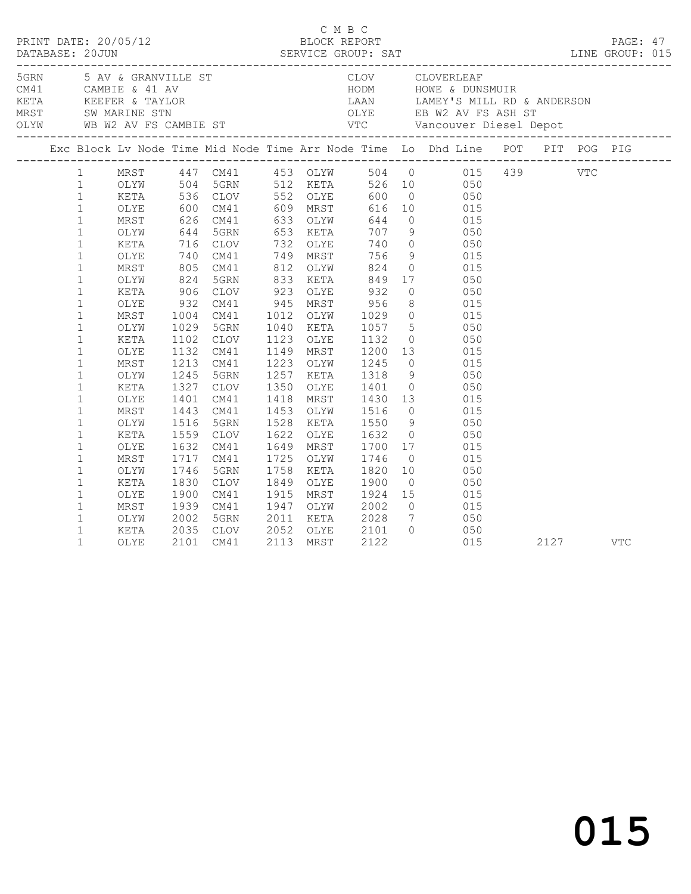|  |                                                                                                                                                                                                                                                                                                                                                                                                                                                              |                                                                                                                                                                                                       |                      |                                                                                                                                                                                                            |                                                  |                                                                                        |                 | 5GRN 5 AV & GRANVILLE ST CLOV CLOVERLEAF<br>CM41 CAMBIE & 41 AV HODM HOWE & DUNSMUIR<br>KETA KEEFER & TAYLOR LAAN LAMEY'S MILL RD & ANDERSON<br>MRST SW MARINE STN OLYE EB W2 AV FS ASH ST<br>OLYW WB W2 AV FS CAMBIE ST VTC Vancouver                                                                                                                                                                                                                                                                                                                                                                                                                                                                                                                                                                                                                                                      |      |     |  |
|--|--------------------------------------------------------------------------------------------------------------------------------------------------------------------------------------------------------------------------------------------------------------------------------------------------------------------------------------------------------------------------------------------------------------------------------------------------------------|-------------------------------------------------------------------------------------------------------------------------------------------------------------------------------------------------------|----------------------|------------------------------------------------------------------------------------------------------------------------------------------------------------------------------------------------------------|--------------------------------------------------|----------------------------------------------------------------------------------------|-----------------|---------------------------------------------------------------------------------------------------------------------------------------------------------------------------------------------------------------------------------------------------------------------------------------------------------------------------------------------------------------------------------------------------------------------------------------------------------------------------------------------------------------------------------------------------------------------------------------------------------------------------------------------------------------------------------------------------------------------------------------------------------------------------------------------------------------------------------------------------------------------------------------------|------|-----|--|
|  |                                                                                                                                                                                                                                                                                                                                                                                                                                                              |                                                                                                                                                                                                       |                      |                                                                                                                                                                                                            |                                                  |                                                                                        |                 |                                                                                                                                                                                                                                                                                                                                                                                                                                                                                                                                                                                                                                                                                                                                                                                                                                                                                             |      |     |  |
|  | 1<br>1<br>$\mathbf{1}$<br>$\mathbf{1}$<br>$\mathbf{1}$<br>$\mathbf{1}$<br>$\mathbf{1}$<br>$\mathbf{1}$<br>$1\,$<br>$\mathbf{1}$<br>$\mathbf{1}$<br>$\mathbf 1$<br>$\mathbf{1}$<br>$\mathbf{1}$<br>$\mathbf{1}$<br>$\mathbf{1}$<br>$\mathbf{1}$<br>$\mathbf{1}$<br>$\mathbf{1}$<br>$\mathbf{1}$<br>$\mathbf{1}$<br>$\mathbf 1$<br>$\mathbf{1}$<br>$\mathbf 1$<br>$\mathbf{1}$<br>$\mathbf{1}$<br>$\mathbf{1}$<br>$\mathbf{1}$<br>$\mathbf{1}$<br>$\mathbf{1}$ | OLYE 600 CM41<br>MRST<br>OLYW<br>KETA<br>OLYE<br>MRST<br>OLYW<br>OLYW<br>KETA<br>OLYE<br>MRST<br>OLYW<br>KETA<br>OLYE<br>MRST<br>OLYW<br>KETA<br>OLYE<br>MRST<br>OLYW<br>KETA<br>OLYE<br>MRST<br>OLYW | 1029<br>1443<br>1830 | 5GRN<br>1102 CLOV<br>1132 CM41<br>1213 CM41<br>1245 5GRN<br>1327 CLOV<br>1401 CM41<br>CM41<br>1516 5GRN<br>1559 CLOV<br>1632 CM41<br>1717 CM41<br>1746 5GRN<br>CLOV<br>1900 CM41<br>1939 CM41<br>2002 5GRN | 1453 OLYW<br>1649 MRST<br>1725 OLYW<br>1758 KETA | 1223 OLYW 1245<br>1257 KETA 1318<br>1350 OLYE 1401<br>1849 OLYE 1900<br>2011 KETA 2028 | $7\overline{ }$ | MRST 447 CM41 453 OLYW 504 0 015 439 VTC<br>OLYW 504 5GRN 512 KETA 526 10 050<br>KETA 536 CLOV 552 OLYE 600 0 050<br>600 CM41 609 MRST 616 10 015<br>626 CM41 633 OLYW 644 0 015<br>644 5GRN 653 KETA 707 9 050<br>044 JUNN 033 NEIA 707 9<br>716 CLOV 732 OLYE 740 0 050<br>740 CM41 749 MRST 756 9 015<br>805 CM41 812 OLYW 824 0 015<br>824 5GRN 833 KETA 849 17 050<br>XETA 906 CLOV 923 OLYE 932 0 050<br>OLYE 932 CM41 945 MRST 956 8 015<br>MRST 1004 CM41 1012 OLYW 1029 0 015<br>1040 KETA 1057 5 050<br>1123 OLYE 1132 0 050<br>1149 MRST 1200 13 015<br>$0\qquad \qquad 015$<br>9 050<br>0 050<br>1418 MRST 1430 13 015<br>1453 OLYW 1516 0 015<br>1528 KETA 1550 9 050<br>1622 OLYE 1632 0 050<br>$\begin{array}{cccc} 1700 & 17 & & 015 \\ 1746 & 0 & & 015 \\ 1820 & 10 & & 050 \end{array}$<br>$0 \qquad \qquad 050$<br>1915 MRST 1924 15 015<br>1947 OLYW 2002 0 015<br>050 |      |     |  |
|  | $\mathbf{1}$<br>$\mathbf{1}$                                                                                                                                                                                                                                                                                                                                                                                                                                 | KETA<br>OLYE                                                                                                                                                                                          |                      | 2035 CLOV<br>2101 CM41                                                                                                                                                                                     |                                                  |                                                                                        |                 | 2052 OLYE 2101 0 050<br>2113 MRST 2122 015<br>015                                                                                                                                                                                                                                                                                                                                                                                                                                                                                                                                                                                                                                                                                                                                                                                                                                           | 2127 | VTC |  |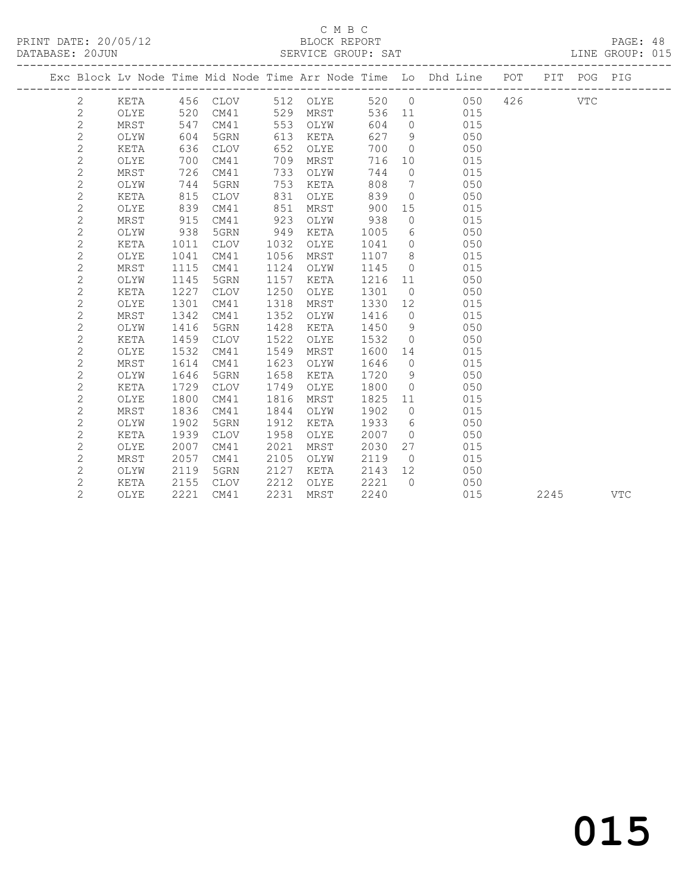#### C M B C SERVICE GROUP: SAT

| PRINT DATE: 20/05/12<br>DATABASE: 20JUN |      |      |      |      | BLOCK REPORT<br>SERVICE GROUP: SAT |        |                 |                                                                    |         |             | PAGE: 48<br>LINE GROUP: 015 |  |
|-----------------------------------------|------|------|------|------|------------------------------------|--------|-----------------|--------------------------------------------------------------------|---------|-------------|-----------------------------|--|
|                                         |      |      |      |      |                                    |        |                 | Exc Block Lv Node Time Mid Node Time Arr Node Time Lo Dhd Line POT |         | PIT POG PIG |                             |  |
| 2                                       | KETA | 456  | CLOV |      | 512 OLYE                           |        |                 | 520 0                                                              | 050 426 | VTC         |                             |  |
| $\overline{2}$                          | OLYE | 520  | CM41 | 529  | MRST                               |        | 536 11          | 015                                                                |         |             |                             |  |
| 2                                       | MRST | 547  | CM41 | 553  | OLYW                               | 604    | $\overline{0}$  | 015                                                                |         |             |                             |  |
| 2                                       | OLYW | 604  | 5GRN | 613  | KETA                               | 627    | 9               | 050                                                                |         |             |                             |  |
| 2                                       | KETA | 636  | CLOV | 652  | OLYE                               | 700    | $\bigcirc$      | 050                                                                |         |             |                             |  |
| 2                                       | OLYE | 700  | CM41 | 709  | MRST                               | 716    | 10 <sup>°</sup> | 015                                                                |         |             |                             |  |
| 2                                       | MRST | 726  | CM41 | 733  | OLYW                               | 744    | $\bigcirc$      | 015                                                                |         |             |                             |  |
| 2                                       | OLYW | 744  | 5GRN | 753  | KETA                               | 808    | $7^{\circ}$     | 050                                                                |         |             |                             |  |
| 2                                       | KETA | 815  | CLOV | 831  | OLYE                               | 839    | $\bigcirc$      | 050                                                                |         |             |                             |  |
| 2                                       | OLYE | 839  | CM41 | 851  | MRST                               | 900    | 15              | 015                                                                |         |             |                             |  |
| 2                                       | MRST | 915  | CM41 | 923  | OLYW                               | 938    | $\Omega$        | 015                                                                |         |             |                             |  |
| 2                                       | OLYW | 938  | 5GRN | 949  | KETA                               | 1005   | 6               | 050                                                                |         |             |                             |  |
| 2                                       | KETA | 1011 | CLOV | 1032 | OLYE                               | 1041   | $\Omega$        | 050                                                                |         |             |                             |  |
| 2                                       | OLYE | 1041 | CM41 | 1056 | MRST                               | 1107   | 8               | 015                                                                |         |             |                             |  |
| 2                                       | MRST | 1115 | CM41 | 1124 | OLYW                               | 1145   | $\bigcirc$      | 015                                                                |         |             |                             |  |
| 2                                       | OLYW | 1145 | 5GRN | 1157 | KETA                               | 1216   | 11              | 050                                                                |         |             |                             |  |
| 2                                       | KETA | 1227 | CLOV |      | 1250 OLYE                          | 1301 0 |                 | 050                                                                |         |             |                             |  |

 2 OLYE 1301 CM41 1318 MRST 1330 12 015 2 MRST 1342 CM41 1352 OLYW 1416 0 015

2 KETA 1459 CLOV 1522 OLYE 1532 0 050

2 MRST 1614 CM41 1623 OLYW 1646 0 015

2 OLYW 1416 5GRN 1428 KETA 1450 9 050

2 OLYE 1532 CM41 1549 MRST 1600 14 015

 2 OLYW 1646 5GRN 1658 KETA 1720 9 050 2 KETA 1729 CLOV 1749 OLYE 1800 0 050 2 OLYE 1800 CM41 1816 MRST 1825 11 015 2 MRST 1836 CM41 1844 OLYW 1902 0 015 2 OLYW 1902 5GRN 1912 KETA 1933 6 050 2 KETA 1939 CLOV 1958 OLYE 2007 0 050 2 OLYE 2007 CM41 2021 MRST 2030 27 015 2 MRST 2057 CM41 2105 OLYW 2119 0 015 2 OLYW 2119 5GRN 2127 KETA 2143 12 050 2 KETA 2155 CLOV 2212 OLYE 2221 0 050 2 OLYE 2221 CM41 2231 MRST 2240 015 2245 VTC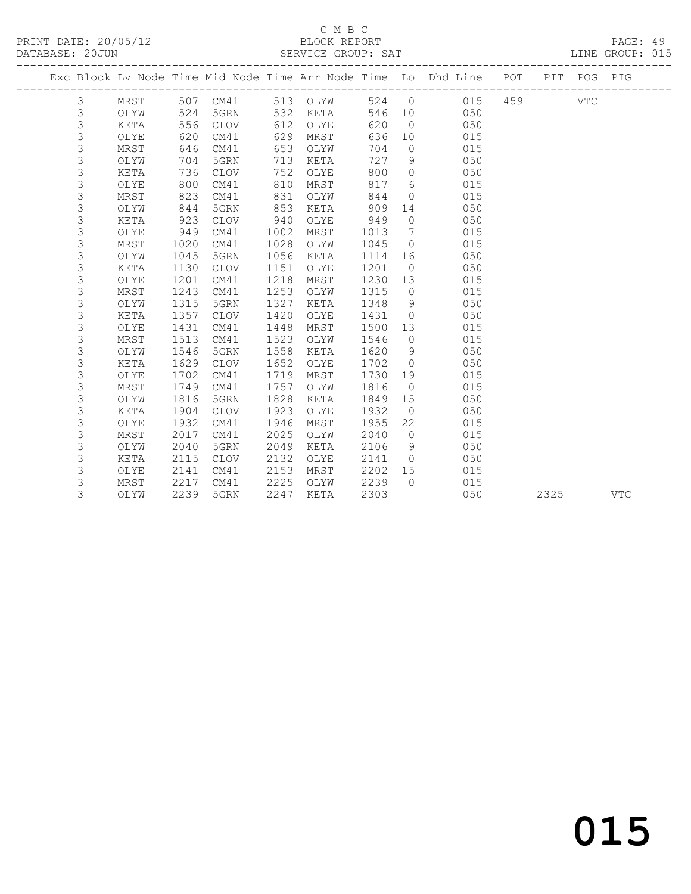PRINT DATE: 20/05/12 BLOCK REPORT<br>
DATABASE: 20JUN SERVICE GROUP: SAT

# C M B C<br>BLOCK REPORT

PAGE: 49<br>LINE GROUP: 015

|  |                |              |              | ---------------------- |              |              |              |                     | -----------------------                                            |     |      |             |            |
|--|----------------|--------------|--------------|------------------------|--------------|--------------|--------------|---------------------|--------------------------------------------------------------------|-----|------|-------------|------------|
|  |                |              |              |                        |              |              |              |                     | Exc Block Lv Node Time Mid Node Time Arr Node Time Lo Dhd Line POT |     |      | PIT POG PIG |            |
|  | 3              | MRST         |              | 507 CM41               |              | 513 OLYW     |              |                     | 524 0<br>015                                                       | 459 |      | VTC         |            |
|  | 3              | OLYW         | 524          | 5GRN                   | 532          | KETA         |              |                     | 546 10<br>050                                                      |     |      |             |            |
|  | 3              | KETA         | 556          | CLOV                   | 612          | OLYE         | 620          | $\overline{0}$      | 050                                                                |     |      |             |            |
|  | 3              | OLYE         | 620          | CM41                   | 629          | MRST         | 636          | 10                  | 015                                                                |     |      |             |            |
|  | $\mathsf 3$    | MRST         | 646          | CM41                   | 653          | OLYW         | 704          | $\overline{0}$      | 015                                                                |     |      |             |            |
|  | 3              | OLYW         | 704          | 5GRN                   | 713          | KETA         | 727          | 9                   | 050                                                                |     |      |             |            |
|  | 3              | KETA         | 736          | CLOV                   | 752          | OLYE         | 800          | $\overline{0}$      | 050                                                                |     |      |             |            |
|  | 3              | OLYE         | 800          | CM41                   | 810          | MRST         | 817          | 6                   | 015                                                                |     |      |             |            |
|  | 3              | MRST         | 823          | CM41                   | 831          | OLYW         | 844          | $\circ$             | 015                                                                |     |      |             |            |
|  | $\mathfrak{Z}$ | OLYW         | 844          | 5GRN                   | 853          | KETA         | 909          | 14                  | 050                                                                |     |      |             |            |
|  | 3              | KETA         | 923          | CLOV                   | 940          | OLYE         | 949          | $\overline{0}$      | 050                                                                |     |      |             |            |
|  | $\mathsf 3$    | OLYE         | 949          | CM41                   | 1002         | MRST         | 1013         | $\overline{7}$      | 015                                                                |     |      |             |            |
|  | 3              | MRST         | 1020         | CM41                   | 1028         | OLYW         | 1045         | $\overline{0}$      | 015                                                                |     |      |             |            |
|  | $\mathsf 3$    | OLYW         | 1045         | 5GRN                   | 1056         | KETA         | 1114         | 16                  | 050                                                                |     |      |             |            |
|  | $\mathfrak{Z}$ | KETA         | 1130         | CLOV                   | 1151         | OLYE         | 1201         | $\overline{0}$      | 050                                                                |     |      |             |            |
|  | 3              | OLYE         | 1201         | CM41                   | 1218         | MRST         | 1230 13      |                     | 015                                                                |     |      |             |            |
|  | 3              | MRST         | 1243         | CM41                   | 1253         | OLYW         | 1315         | $\overline{0}$      | 015                                                                |     |      |             |            |
|  | $\mathsf 3$    | OLYW         | 1315         | 5GRN                   | 1327         | KETA         | 1348         | 9<br>$\overline{0}$ | 050<br>050                                                         |     |      |             |            |
|  | 3<br>3         | KETA<br>OLYE | 1357<br>1431 | CLOV<br>CM41           | 1420<br>1448 | OLYE<br>MRST | 1431<br>1500 | 13                  | 015                                                                |     |      |             |            |
|  | 3              | MRST         | 1513         | CM41                   | 1523         | OLYW         | 1546         | $\overline{0}$      | 015                                                                |     |      |             |            |
|  | 3              | OLYW         | 1546         | 5GRN                   | 1558         | KETA         | 1620         | 9                   | 050                                                                |     |      |             |            |
|  | 3              | KETA         | 1629         | CLOV                   | 1652         | OLYE         | 1702         | $\overline{0}$      | 050                                                                |     |      |             |            |
|  | 3              | OLYE         | 1702         | CM41                   | 1719         | MRST         | 1730         | 19                  | 015                                                                |     |      |             |            |
|  | 3              | MRST         | 1749         | CM41                   | 1757         | OLYW         | 1816         | $\overline{0}$      | 015                                                                |     |      |             |            |
|  | 3              | OLYW         | 1816         | 5GRN                   | 1828         | KETA         | 1849         | 15                  | 050                                                                |     |      |             |            |
|  | 3              | KETA         | 1904         | CLOV                   | 1923         | OLYE         | 1932         | $\overline{0}$      | 050                                                                |     |      |             |            |
|  | $\mathsf 3$    | OLYE         | 1932         | CM41                   | 1946         | MRST         | 1955         | 22                  | 015                                                                |     |      |             |            |
|  | 3              | MRST         | 2017         | CM41                   | 2025         | OLYW         | 2040         | $\overline{0}$      | 015                                                                |     |      |             |            |
|  | 3              | OLYW         | 2040         | 5GRN                   | 2049         | KETA         | 2106         | 9                   | 050                                                                |     |      |             |            |
|  | 3              | KETA         | 2115         | CLOV                   | 2132         | OLYE         | 2141         | $\overline{0}$      | 050                                                                |     |      |             |            |
|  | 3              | OLYE         | 2141         | CM41                   | 2153         | MRST         | 2202         | 15                  | 015                                                                |     |      |             |            |
|  | 3              | MRST         | 2217         | CM41                   | 2225         | OLYW         | 2239         | $\bigcap$           | 015                                                                |     |      |             |            |
|  | 3              | OLYW         | 2239         | 5GRN                   | 2247         | KETA         | 2303         |                     | 050                                                                |     | 2325 |             | <b>VTC</b> |
|  |                |              |              |                        |              |              |              |                     |                                                                    |     |      |             |            |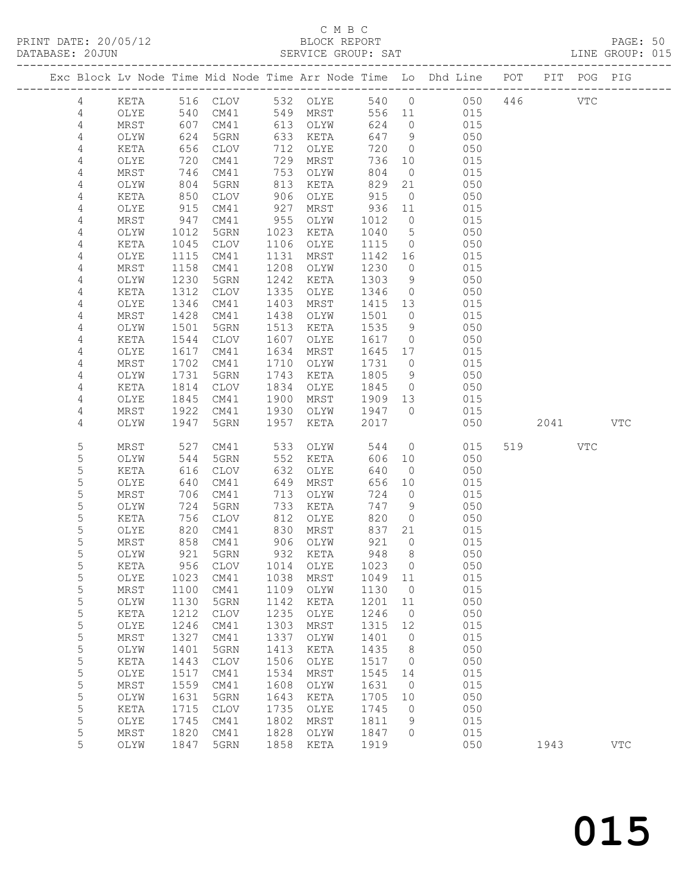# C M B C<br>BLOCK REPORT<br>SERVICE GROUP: SAT

| DATABASE: 20JUN |                |               |                   |                      |            | SERVICE GROUP: SAT     |            |                      |                                                                                |        |     | LINE GROUP: 015 |  |
|-----------------|----------------|---------------|-------------------|----------------------|------------|------------------------|------------|----------------------|--------------------------------------------------------------------------------|--------|-----|-----------------|--|
|                 |                |               |                   |                      |            |                        |            |                      | Exc Block Lv Node Time Mid Node Time Arr Node Time Lo Dhd Line POT PIT POG PIG |        |     |                 |  |
|                 | 4              |               |                   |                      |            | KETA 516 CLOV 532 OLYE |            |                      | 540 0 050 446 VTC                                                              |        |     |                 |  |
|                 | 4              | OLYE          | 540               |                      |            | CM41 549 MRST          |            |                      | 556 11 015                                                                     |        |     |                 |  |
|                 | 4              | MRST          | 607<br>624<br>656 | CM41                 |            | 613 OLYW               | 624        | $\overline{0}$       | 015                                                                            |        |     |                 |  |
|                 | $\overline{4}$ | OLYW          |                   | 5GRN                 |            | 633 KETA               |            | 647 9                | 050                                                                            |        |     |                 |  |
|                 | 4              | KETA          |                   | CLOV                 |            | 712 OLYE               | 720        | $\overline{0}$       | 050                                                                            |        |     |                 |  |
|                 | 4              | OLYE          | 720               | CM41                 |            | 729 MRST               | 736        | 10                   | 015                                                                            |        |     |                 |  |
|                 | 4              | MRST          | 746               | CM41                 |            | 753 OLYW               | 804        | $\overline{0}$       | 015                                                                            |        |     |                 |  |
|                 | 4              | OLYW          | 746<br>804<br>850 | 5GRN                 |            | 813 KETA               | 829<br>915 | 21                   | 050                                                                            |        |     |                 |  |
|                 | 4<br>4         | KETA<br>OLYE  | 915               | CLOV<br>CM41         | 906<br>927 | OLYE<br>MRST           | 936 11     | $\overline{0}$       | 050<br>015                                                                     |        |     |                 |  |
|                 | 4              | MRST          | 947               | CM41                 | 955        | OLYW                   | 1012       | $\overline{0}$       | 015                                                                            |        |     |                 |  |
|                 | 4              | OLYW          | 1012              | 5GRN                 | 1023       | KETA                   | 1040       | $5\overline{)}$      | 050                                                                            |        |     |                 |  |
|                 | 4              | KETA          | 1045              | CLOV                 | 1106       | OLYE                   | 1115       | $\overline{0}$       | 050                                                                            |        |     |                 |  |
|                 | 4              | OLYE          | 1115              | CM41                 | 1131       | MRST                   |            |                      | 015<br>1142 16                                                                 |        |     |                 |  |
|                 | 4              | MRST          | 1158              | CM41                 | 1208       | OLYW                   | 1230       | $\overline{0}$       | 015                                                                            |        |     |                 |  |
|                 | 4              | OLYW          | 1230              | 5GRN                 | 1242       | KETA                   | 1303       | 9                    | 050                                                                            |        |     |                 |  |
|                 | 4              | KETA          | 1312              | CLOV                 | 1335       | OLYE                   | 1346       | $\overline{0}$       | 050                                                                            |        |     |                 |  |
|                 | 4              | OLYE          | 1346              | CM41                 | 1403       | MRST                   | 1415 13    |                      | 015                                                                            |        |     |                 |  |
|                 | 4              | MRST          | 1428              | CM41                 | 1438       | OLYW                   | 1501       | $\overline{0}$       | 015                                                                            |        |     |                 |  |
|                 | 4              | OLYW          | 1501              | 5GRN                 | 1513       | KETA                   | 1535       | 9                    | 050                                                                            |        |     |                 |  |
|                 | 4              | KETA          | 1544              | CLOV                 | 1607       | OLYE                   | 1617       | $\overline{0}$       | 050                                                                            |        |     |                 |  |
|                 | 4              | OLYE          | 1617              | CM41                 | 1634       | MRST                   | 1645 17    |                      | 015                                                                            |        |     |                 |  |
|                 | 4              | MRST          | 1702              | CM41                 | 1710       | OLYW                   | 1731       | $\overline{0}$       | 015                                                                            |        |     |                 |  |
|                 | 4              | OLYW          | 1731              | 5GRN                 | 1743       | KETA                   | 1805       | 9                    | 050                                                                            |        |     |                 |  |
|                 | 4              | KETA          | 1814              | CLOV                 | 1834       | OLYE                   | 1845       | $\overline{0}$       | 050                                                                            |        |     |                 |  |
|                 | 4              | OLYE          | 1845              | CM41                 | 1900       | MRST                   | 1909 13    |                      | 015                                                                            |        |     |                 |  |
|                 | 4              | MRST          | 1922              | CM41                 | 1930       | OLYW 1947 0            |            |                      | 015                                                                            |        |     |                 |  |
|                 | 4              | OLYW          | 1947              | 5GRN                 | 1957       | KETA                   | 2017       |                      | 050                                                                            | 2041 \ |     | <b>VTC</b>      |  |
|                 | 5              | MRST          | 527               | CM41                 |            | 533 OLYW               | 544        |                      | $\overline{0}$<br>015                                                          | 519    | VTC |                 |  |
|                 | 5              | OLYW          | 544               | 5GRN                 |            | 552 KETA               | 606        | 10                   | 050                                                                            |        |     |                 |  |
|                 | 5              | KETA          | 616               | CLOV                 | 632        | OLYE                   | 640        | $\overline{0}$       | 050                                                                            |        |     |                 |  |
|                 | 5              | OLYE          | 640               | CM41                 | 649        | MRST                   | 656        | 10                   | 015                                                                            |        |     |                 |  |
|                 | 5              | MRST          | 706               | CM41                 | 713        | OLYW                   | 724        | $\overline{0}$       | 015                                                                            |        |     |                 |  |
|                 | 5              | OLYW          | 724               | 5GRN                 | 733        | KETA                   | 747        | 9                    | 050                                                                            |        |     |                 |  |
|                 | 5<br>5         | KETA<br>OLYE  | 756               | CLOV                 | 812        | OLYE<br>830 MRST       | 820<br>837 | $\overline{0}$<br>21 | 050<br>015                                                                     |        |     |                 |  |
|                 | 5              | MRST          |                   | 820 CM41<br>858 CM41 |            | 906 OLYW               | 921        | $\overline{0}$       | 015                                                                            |        |     |                 |  |
|                 | 5              | OLYW          |                   | 921 5GRN             |            | 932 KETA               |            | 948 8                | 050                                                                            |        |     |                 |  |
|                 | 5              | KETA          | 956               | CLOV                 | 1014       | OLYE                   | 1023       | $\overline{0}$       | 050                                                                            |        |     |                 |  |
|                 | 5              | OLYE          | 1023              | CM41                 | 1038       | MRST                   | 1049 11    |                      | 015                                                                            |        |     |                 |  |
|                 | 5              | MRST          | 1100              | CM41                 | 1109       | OLYW                   | 1130       | $\overline{0}$       | 015                                                                            |        |     |                 |  |
|                 | 5              | OLYW          | 1130              | 5GRN                 | 1142       | KETA                   | 1201       | 11                   | 050                                                                            |        |     |                 |  |
|                 | 5              | KETA          | 1212              | <b>CLOV</b>          | 1235       | OLYE                   | 1246       | $\overline{0}$       | 050                                                                            |        |     |                 |  |
|                 | $\mathsf S$    | $\verb OLYE $ | 1246              | CM41                 | 1303       | MRST                   | 1315       | 12                   | 015                                                                            |        |     |                 |  |
|                 | $\mathsf S$    | MRST          | 1327              | CM41                 | 1337       | OLYW                   | 1401       | $\overline{0}$       | 015                                                                            |        |     |                 |  |
|                 | $\mathsf S$    | OLYW          | 1401              | 5GRN                 | 1413       | KETA                   | 1435       | 8                    | 050                                                                            |        |     |                 |  |
|                 | 5              | KETA          | 1443              | <b>CLOV</b>          | 1506       | OLYE                   | 1517       | $\overline{0}$       | 050                                                                            |        |     |                 |  |
|                 | 5              | OLYE          | 1517              | CM41                 | 1534       | MRST                   | 1545       | 14                   | 015                                                                            |        |     |                 |  |
|                 | $\mathsf S$    | MRST          | 1559              | CM41                 | 1608       | OLYW                   | 1631       | $\overline{0}$       | 015                                                                            |        |     |                 |  |
|                 | 5              | OLYW          | 1631              | 5GRN                 | 1643       | KETA                   | 1705       | 10                   | 050                                                                            |        |     |                 |  |
|                 | 5              | KETA          | 1715              | <b>CLOV</b>          | 1735       | OLYE                   | 1745       | $\overline{0}$       | 050                                                                            |        |     |                 |  |
|                 | 5              | OLYE          | 1745              | CM41                 | 1802       | MRST                   | 1811       | 9                    | 015                                                                            |        |     |                 |  |
|                 | 5              | MRST          | 1820              | CM41                 | 1828       | OLYW                   | 1847       | $\circ$              | 015                                                                            |        |     |                 |  |
|                 | 5              | OLYW          | 1847              | 5GRN                 | 1858       | KETA                   | 1919       |                      | 050                                                                            | 1943   |     | <b>VTC</b>      |  |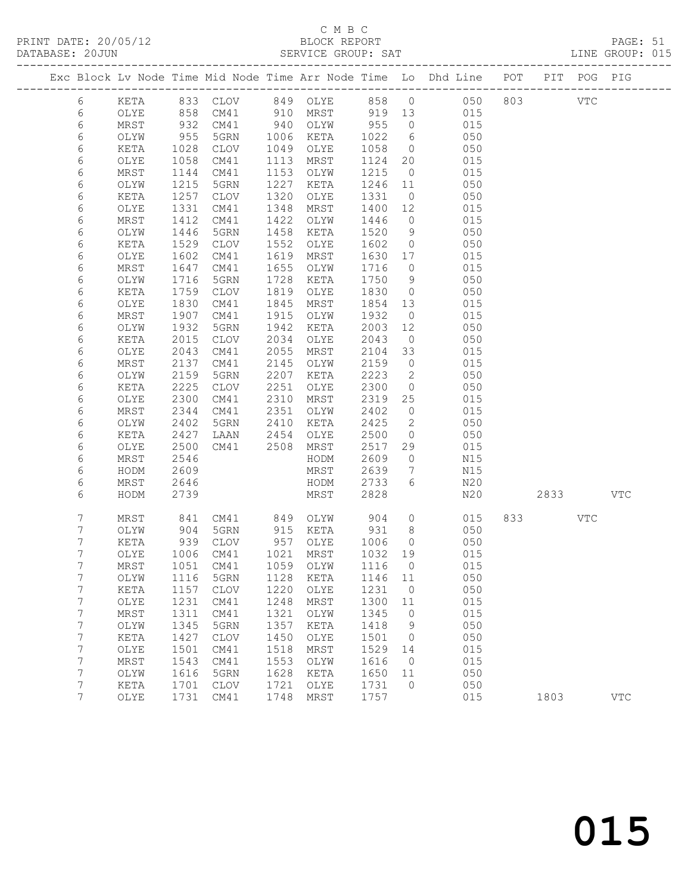# C M B C<br>BLOCK REPORT

|                                                                                |              |              |              |                |                               |         |          | PAGE: 51<br>LINE GROUP: 015 |  |
|--------------------------------------------------------------------------------|--------------|--------------|--------------|----------------|-------------------------------|---------|----------|-----------------------------|--|
| Exc Block Lv Node Time Mid Node Time Arr Node Time Lo Dhd Line POT PIT POG PIG |              |              |              |                |                               |         |          |                             |  |
| KETA 833 CLOV 849 OLYE 858 0 050 803 VTC<br>6                                  |              |              |              |                |                               |         |          |                             |  |
| 858 CM41 910 MRST 919 13 015<br>6<br>OLYE                                      |              |              |              |                |                               |         |          |                             |  |
| 6<br>932<br>MRST                                                               |              |              |              |                | CM41 940 OLYW 955 0 015       |         |          |                             |  |
| 6<br>955<br>1028<br>OLYW<br>5GRN 1006 KETA                                     |              |              |              |                | 1022 6 050                    |         |          |                             |  |
| 6<br>KETA<br>CLOV<br>1058                                                      |              | 1049 OLYE    | 1058 0       |                | 050<br>1124 20 015            |         |          |                             |  |
| 6<br>OLYE<br>CM41                                                              | 1113<br>1153 | MRST         |              |                |                               |         |          |                             |  |
| 6<br>CM41<br>MRST<br>1144                                                      | 1227         | OLYW         |              |                | 1215 0 015                    |         |          |                             |  |
| 6<br>1215<br>5GRN<br>OLYW<br>6<br>1257<br>KETA<br>CLOV                         | 1320         | KETA<br>OLYE | 1331 0       |                | 1246 11 050<br>050            |         |          |                             |  |
| 1331<br>6<br>CM41<br>OLYE                                                      | 1348         | MRST         |              |                | $1400$ $12$ $015$             |         |          |                             |  |
| 1412<br>CM41<br>6<br>MRST                                                      | 1422         | OLYW         | 1446         |                | $0$ 015                       |         |          |                             |  |
| 6<br>1446<br>5GRN<br>OLYW                                                      | 1458         | KETA         | 1520         | 9              | 050                           |         |          |                             |  |
| 6<br>1529<br>KETA<br>CLOV                                                      | 1552         | OLYE         | 1602         | $\overline{0}$ | 050                           |         |          |                             |  |
| 1602<br>6<br>OLYE<br>CM41                                                      | 1619         | MRST         |              |                | 1630 17 015                   |         |          |                             |  |
| 1647<br>CM41<br>6<br>MRST                                                      | 1655         | OLYW         | 1716         | $\overline{0}$ | 015                           |         |          |                             |  |
| 6<br>OLYW<br>1716<br>5GRN                                                      | 1728         | KETA         | 1750 9       |                | 050                           |         |          |                             |  |
| 6<br>1759<br>KETA<br>CLOV                                                      | 1819         | OLYE         | 1830 0       |                | 050                           |         |          |                             |  |
| 1830<br>6<br>OLYE<br>CM41                                                      | 1845         | MRST         | 1854 13      |                | 015                           |         |          |                             |  |
| 1907<br>6<br>MRST<br>CM41                                                      | 1915         | OLYW         | 1932         |                | $0$ 015                       |         |          |                             |  |
| 6<br>1932<br>OLYW<br>5GRN                                                      | 1942         | KETA         | 2003         |                | 12 050                        |         |          |                             |  |
| $\epsilon$<br>2015<br>CLOV<br>KETA                                             | 2034         | OLYE         | 2043         | $\overline{0}$ | 050                           |         |          |                             |  |
| 6<br>2043<br>OLYE<br>CM41                                                      | 2055         | MRST         | 2104         | 33             | 015                           |         |          |                             |  |
| 6<br>MRST<br>2137<br>CM41                                                      | 2145         | OLYW         | 2159         |                | $0$ 015                       |         |          |                             |  |
| 6<br>OLYW<br>2159<br>5GRN                                                      | 2207         | KETA         | 2223         |                | 2 050                         |         |          |                             |  |
| 6<br>2225<br>CLOV<br>KETA                                                      | 2251         | OLYE         | 2300         | $\overline{0}$ | 050                           |         |          |                             |  |
| 6<br>OLYE<br>2300<br>CM41                                                      | 2310         | MRST         | 2319         | 25             | 015                           |         |          |                             |  |
| 6<br>2344<br>CM41<br>MRST                                                      | 2351         | OLYW         | 2402         |                | $0$ 015                       |         |          |                             |  |
| 6<br>2402<br>5GRN<br>OLYW                                                      | 2410         | KETA         | 2425         |                | 2 050                         |         |          |                             |  |
| 6<br>2427<br>LAAN 2454 OLYE<br>CM41 2508 MRST<br>HODM<br>KETA                  |              |              | 2500         | $\overline{0}$ | 050                           |         |          |                             |  |
| 6<br>2500<br>OLYE                                                              |              |              | 2517         | 29             | 015                           |         |          |                             |  |
| 6<br>MRST<br>2546<br>6<br>HODM<br>2609                                         |              | MRST         | 2609<br>2639 | $\overline{0}$ | N15<br>$7\overline{ }$<br>N15 |         |          |                             |  |
| 6<br>MRST<br>2646                                                              |              | HODM         | 2733 6       |                | N20                           |         |          |                             |  |
| 6<br>2739<br>HODM                                                              |              | MRST         | 2828         |                | N20                           |         | 2833 VTC |                             |  |
|                                                                                |              |              |              |                |                               |         |          |                             |  |
| 841 CM41 849 OLYW 904 0 015<br>7<br>MRST                                       |              |              |              |                |                               | 833 VTC |          |                             |  |
| 7<br>904 5GRN<br>OLYW                                                          |              | 915 KETA     | 931 8        |                | 050                           |         |          |                             |  |
| $7\phantom{.}$<br>KETA 939 CLOV 957 OLYE 1006 0                                |              |              |              |                | 050                           |         |          |                             |  |
| 7<br>1006<br>CM41<br>OLYE                                                      | 1021         | MRST         | 1032         | 19             | 015                           |         |          |                             |  |
| 7<br>1051<br>CM41<br>MRST                                                      | 1059         | OLYW         | 1116         | $\circ$        | 015                           |         |          |                             |  |
| 7<br>OLYW<br>1116<br>5GRN                                                      | 1128         | KETA         | 1146         | 11             | 050                           |         |          |                             |  |
| 7<br>1157<br>KETA<br><b>CLOV</b>                                               | 1220         | OLYE         | 1231         | $\circ$        | 050                           |         |          |                             |  |
| 7<br>1231<br>OLYE<br>CM41<br>7<br>1311<br>CM41<br>MRST                         | 1248<br>1321 | MRST<br>OLYW | 1300<br>1345 | 11<br>$\circ$  | 015<br>015                    |         |          |                             |  |
| 7<br>1345<br>5GRN<br>OLYW                                                      | 1357         | KETA         | 1418         | 9              | 050                           |         |          |                             |  |
| $\boldsymbol{7}$<br>1427<br>KETA<br><b>CLOV</b>                                | 1450         | OLYE         | 1501         | $\circ$        | 050                           |         |          |                             |  |
| $\boldsymbol{7}$<br>OLYE<br>1501<br>CM41                                       | 1518         | MRST         | 1529         | 14             | 015                           |         |          |                             |  |
| 7<br>MRST<br>1543<br>CM41                                                      | 1553         | OLYW         | 1616         | $\circ$        | 015                           |         |          |                             |  |
| $\boldsymbol{7}$<br>1616<br>5GRN<br>OLYW                                       | 1628         | KETA         | 1650         | 11             | 050                           |         |          |                             |  |
| 7<br>KETA<br>1701<br><b>CLOV</b>                                               | 1721         | OLYE         | 1731         | $\circ$        | 050                           |         |          |                             |  |
| $\overline{7}$<br>1731<br>OLYE<br>CM41                                         | 1748         | MRST         | 1757         |                | 015                           | 1803    |          | $_{\rm VTC}$                |  |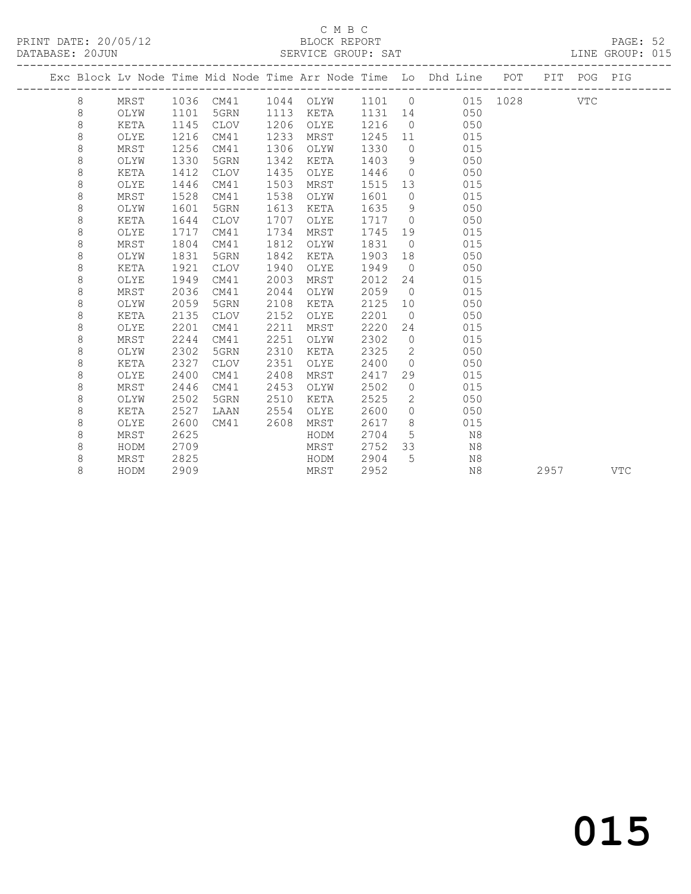#### C M B C<br>BLOCK REPORT SERVICE GROUP: SAT

|  |         |      |      |             |      |           |         |                | Exc Block Lv Node Time Mid Node Time Arr Node Time Lo Dhd Line POT |          |      | PIT POG PIG |            |
|--|---------|------|------|-------------|------|-----------|---------|----------------|--------------------------------------------------------------------|----------|------|-------------|------------|
|  | 8       | MRST |      | 1036 CM41   |      | 1044 OLYW | 1101 0  |                |                                                                    | 015 1028 |      | VTC         |            |
|  | 8       | OLYW | 1101 | 5GRN        | 1113 | KETA      | 1131 14 |                | 050                                                                |          |      |             |            |
|  | $\,8\,$ | KETA | 1145 | CLOV        | 1206 | OLYE      | 1216    | $\overline{0}$ | 050                                                                |          |      |             |            |
|  | $\,8\,$ | OLYE | 1216 | CM41        | 1233 | MRST      | 1245    | 11             | 015                                                                |          |      |             |            |
|  | $\,8\,$ | MRST | 1256 | CM41        | 1306 | OLYW      | 1330    | $\overline{0}$ | 015                                                                |          |      |             |            |
|  | $\,8\,$ | OLYW | 1330 | 5GRN        | 1342 | KETA      | 1403    | 9              | 050                                                                |          |      |             |            |
|  | 8       | KETA | 1412 | <b>CLOV</b> | 1435 | OLYE      | 1446    | $\overline{0}$ | 050                                                                |          |      |             |            |
|  | 8       | OLYE | 1446 | CM41        | 1503 | MRST      | 1515    | 13             | 015                                                                |          |      |             |            |
|  | 8       | MRST | 1528 | CM41        | 1538 | OLYW      | 1601    | $\overline{0}$ | 015                                                                |          |      |             |            |
|  | 8       | OLYW | 1601 | 5GRN        | 1613 | KETA      | 1635    | 9              | 050                                                                |          |      |             |            |
|  | $\,8\,$ | KETA | 1644 | <b>CLOV</b> | 1707 | OLYE      | 1717    | $\overline{0}$ | 050                                                                |          |      |             |            |
|  | $\,8\,$ | OLYE | 1717 | CM41        | 1734 | MRST      | 1745    | 19             | 015                                                                |          |      |             |            |
|  | 8       | MRST | 1804 | CM41        | 1812 | OLYW      | 1831    | $\bigcirc$     | 015                                                                |          |      |             |            |
|  | 8       | OLYW | 1831 | 5GRN        | 1842 | KETA      | 1903    | 18             | 050                                                                |          |      |             |            |
|  | 8       | KETA | 1921 | <b>CLOV</b> | 1940 | OLYE      | 1949    | $\bigcirc$     | 050                                                                |          |      |             |            |
|  | 8       | OLYE | 1949 | CM41        | 2003 | MRST      | 2012    | 24             | 015                                                                |          |      |             |            |
|  | 8       | MRST | 2036 | CM41        | 2044 | OLYW      | 2059    | $\overline{0}$ | 015                                                                |          |      |             |            |
|  | 8       | OLYW | 2059 | 5GRN        | 2108 | KETA      | 2125    | 10             | 050                                                                |          |      |             |            |
|  | $\,8\,$ | KETA | 2135 | CLOV        | 2152 | OLYE      | 2201    | $\overline{0}$ | 050                                                                |          |      |             |            |
|  | 8       | OLYE | 2201 | CM41        | 2211 | MRST      | 2220    | 24             | 015                                                                |          |      |             |            |
|  | 8       | MRST | 2244 | CM41        | 2251 | OLYW      | 2302    | $\circ$        | 015                                                                |          |      |             |            |
|  | 8       | OLYW | 2302 | 5GRN        | 2310 | KETA      | 2325    | 2              | 050                                                                |          |      |             |            |
|  | 8       | KETA | 2327 | <b>CLOV</b> | 2351 | OLYE      | 2400    | $\overline{0}$ | 050                                                                |          |      |             |            |
|  | 8       | OLYE | 2400 | CM41        | 2408 | MRST      | 2417    | 29             | 015                                                                |          |      |             |            |
|  | 8       | MRST | 2446 | CM41        | 2453 | OLYW      | 2502    | $\circ$        | 015                                                                |          |      |             |            |
|  | 8       | OLYW | 2502 | 5GRN        | 2510 | KETA      | 2525    | $\mathbf{2}$   | 050                                                                |          |      |             |            |
|  | 8       | KETA | 2527 | LAAN        | 2554 | OLYE      | 2600    | $\circ$        | 050                                                                |          |      |             |            |
|  | 8       | OLYE | 2600 | CM41        | 2608 | MRST      | 2617    | 8              | 015                                                                |          |      |             |            |
|  | 8       | MRST | 2625 |             |      | HODM      | 2704    | 5              | N8                                                                 |          |      |             |            |
|  | 8       | HODM | 2709 |             |      | MRST      | 2752    | 33             | N8                                                                 |          |      |             |            |
|  | 8       | MRST | 2825 |             |      | HODM      | 2904    | 5              | N8                                                                 |          |      |             |            |
|  | 8       | HODM | 2909 |             |      | MRST      | 2952    |                | N8                                                                 |          | 2957 |             | <b>VTC</b> |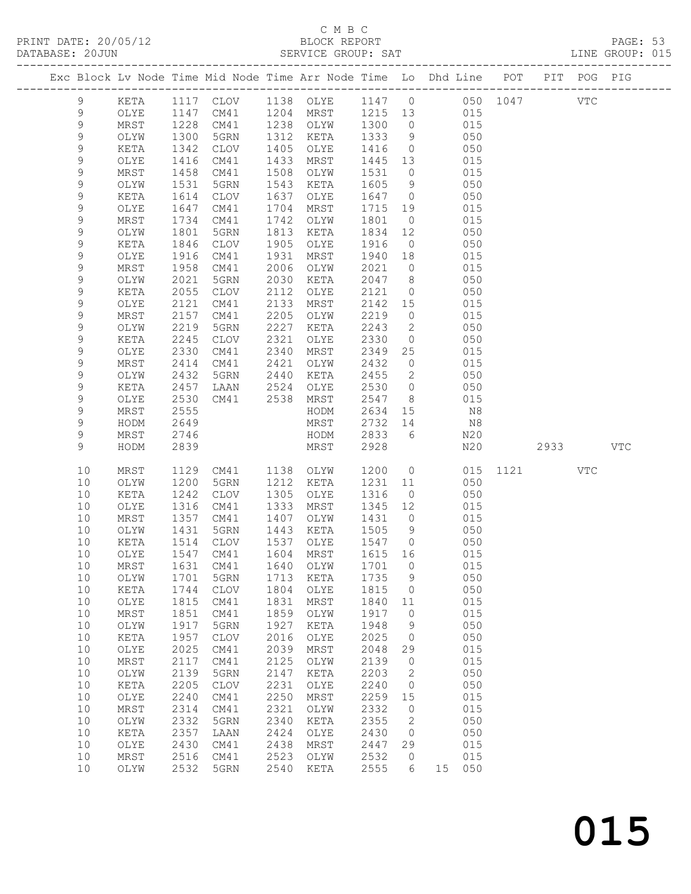# C M B C<br>BLOCK REPORT

|             |      |      |             |      | C M B C   |         |                |                                                                    |          |               | PAGE: 53<br>LINE GROUP: 015 |  |
|-------------|------|------|-------------|------|-----------|---------|----------------|--------------------------------------------------------------------|----------|---------------|-----------------------------|--|
|             |      |      |             |      |           |         |                | Exc Block Lv Node Time Mid Node Time Arr Node Time Lo Dhd Line POT |          | PIT POG PIG   |                             |  |
| 9           | KETA |      | 1117 CLOV   |      | 1138 OLYE | 1147 0  |                |                                                                    | 050 1047 | VTC           |                             |  |
| 9           | OLYE |      | 1147 CM41   | 1204 | MRST      | 1215 13 |                | 015                                                                |          |               |                             |  |
| 9           | MRST | 1228 | CM41        | 1238 | OLYW      | 1300    | $\circ$        | 015                                                                |          |               |                             |  |
| $\mathsf 9$ | OLYW | 1300 | 5GRN        | 1312 | KETA      | 1333    | 9              | 050                                                                |          |               |                             |  |
| 9           | KETA | 1342 | <b>CLOV</b> | 1405 | OLYE      | 1416    | $\circ$        | 050                                                                |          |               |                             |  |
| 9           | OLYE | 1416 | CM41        | 1433 | MRST      | 1445    | 13             | 015                                                                |          |               |                             |  |
| 9           | MRST | 1458 | CM41        | 1508 | OLYW      | 1531    | $\circ$        | 015                                                                |          |               |                             |  |
| 9           | OLYW | 1531 | 5GRN        | 1543 | KETA      | 1605    | 9              | 050                                                                |          |               |                             |  |
| 9           | KETA | 1614 | <b>CLOV</b> | 1637 | OLYE      | 1647    | $\circ$        | 050                                                                |          |               |                             |  |
| 9           | OLYE | 1647 | CM41        | 1704 | MRST      | 1715    | 19             | 015                                                                |          |               |                             |  |
| 9           | MRST | 1734 | CM41        | 1742 | OLYW      | 1801    | $\circ$        | 015                                                                |          |               |                             |  |
| $\mathsf 9$ | OLYW | 1801 | 5GRN        | 1813 | KETA      | 1834    | 12             | 050                                                                |          |               |                             |  |
| 9           | KETA | 1846 | <b>CLOV</b> | 1905 | OLYE      | 1916    | $\overline{0}$ | 050                                                                |          |               |                             |  |
| 9           | OLYE | 1916 | CM41        | 1931 | MRST      | 1940    | 18             | 015                                                                |          |               |                             |  |
| 9           | MRST | 1958 | CM41        | 2006 | OLYW      | 2021    | $\circ$        | 015                                                                |          |               |                             |  |
| $\mathsf 9$ | OLYW | 2021 | 5GRN        | 2030 | KETA      | 2047    | 8              | 050                                                                |          |               |                             |  |
| $\mathsf 9$ | KETA | 2055 | <b>CLOV</b> | 2112 | OLYE      | 2121    | $\circ$        | 050                                                                |          |               |                             |  |
| 9           | OLYE | 2121 | CM41        | 2133 | MRST      | 2142    | 15             | 015                                                                |          |               |                             |  |
| 9           | MRST | 2157 | CM41        | 2205 | OLYW      | 2219    | $\circ$        | 015                                                                |          |               |                             |  |
| 9           | OLYW | 2219 | 5GRN        | 2227 | KETA      | 2243    | 2              | 050                                                                |          |               |                             |  |
| $\mathsf 9$ | KETA | 2245 | <b>CLOV</b> | 2321 | OLYE      | 2330    | $\circ$        | 050                                                                |          |               |                             |  |
| 9           | OLYE | 2330 | CM41        | 2340 | MRST      | 2349    | 25             | 015                                                                |          |               |                             |  |
| 9           | MRST | 2414 | CM41        | 2421 | OLYW      | 2432    | $\circ$        | 015                                                                |          |               |                             |  |
| 9           | OLYW | 2432 | 5GRN        | 2440 | KETA      | 2455    | 2              | 050                                                                |          |               |                             |  |
| $\mathsf 9$ | KETA | 2457 | LAAN        | 2524 | OLYE      | 2530    | $\circ$        | 050                                                                |          |               |                             |  |
| 9           | OLYE | 2530 | CM41        | 2538 | MRST      | 2547    | 8              | 015                                                                |          |               |                             |  |
| 9           | MRST | 2555 |             |      | HODM      | 2634    | 15             | N8                                                                 |          |               |                             |  |
| 9           | HODM | 2649 |             |      | MRST      | 2732    | 14             | N8                                                                 |          |               |                             |  |
| 9           | MRST | 2746 |             |      | HODM      | 2833    | 6              | N20                                                                |          |               |                             |  |
| 9           | HODM | 2839 |             |      | MRST      | 2928    |                | N20                                                                |          | 2933 and 2933 | <b>VTC</b>                  |  |
| 10          | MRST | 1129 | CM41        | 1138 | OLYW      | 1200    | $\circ$        |                                                                    | 015 1121 | VTC           |                             |  |
| 10          | OLYW | 1200 | 5GRN        | 1212 | KETA      | 1231    | 11             | 050                                                                |          |               |                             |  |
| 10          | KETA | 1242 | <b>CLOV</b> | 1305 | OLYE      | 1316    | $\overline{0}$ | 050                                                                |          |               |                             |  |
| 10          | OLYE | 1316 | CM41        | 1333 | MRST      | 1345    | 12             | 015                                                                |          |               |                             |  |
| 10          | MRST | 1357 | CM41        | 1407 | OLYW      | 1431    | $\circ$        | 015                                                                |          |               |                             |  |
| 10          | OLYW | 1431 | 5GRN        | 1443 | KETA      | 1505    | 9              | 050                                                                |          |               |                             |  |

 10 KETA 1514 CLOV 1537 OLYE 1547 0 050 10 OLYE 1547 CM41 1604 MRST 1615 16 015 10 MRST 1631 CM41 1640 OLYW 1701 0 015 10 OLYW 1701 5GRN 1713 KETA 1735 9 050 10 KETA 1744 CLOV 1804 OLYE 1815 0 050 10 OLYE 1815 CM41 1831 MRST 1840 11 015 10 MRST 1851 CM41 1859 OLYW 1917 0 015 10 OLYW 1917 5GRN 1927 KETA 1948 9 050 10 KETA 1957 CLOV 2016 OLYE 2025 0 050 10 OLYE 2025 CM41 2039 MRST 2048 29 015 10 MRST 2117 CM41 2125 OLYW 2139 0 015 10 OLYW 2139 5GRN 2147 KETA 2203 2 050 10 KETA 2205 CLOV 2231 OLYE 2240 0 050 10 OLYE 2240 CM41 2250 MRST 2259 15 015 10 MRST 2314 CM41 2321 OLYW 2332 0 015 10 OLYW 2332 5GRN 2340 KETA 2355 2 050 10 KETA 2357 LAAN 2424 OLYE 2430 0 050 10 OLYE 2430 CM41 2438 MRST 2447 29 015 10 MRST 2516 CM41 2523 OLYW 2532 0 015 10 OLYW 2532 5GRN 2540 KETA 2555 6 15 050

|  | 015 |
|--|-----|
|  |     |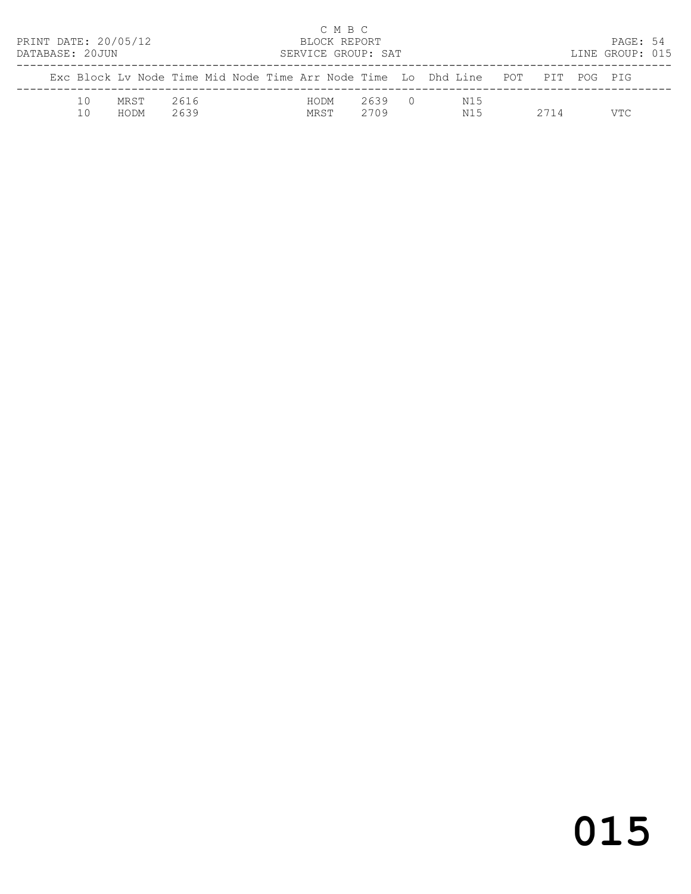| PRINT DATE: 20/05/12<br>DATABASE: 20JUN |          |              |              |  |              | C M B C<br>BLOCK REPORT | SERVICE GROUP: SAT |                                                                                |      | PAGE: 54<br>LINE GROUP: 015 |  |
|-----------------------------------------|----------|--------------|--------------|--|--------------|-------------------------|--------------------|--------------------------------------------------------------------------------|------|-----------------------------|--|
|                                         |          |              |              |  |              |                         |                    | Exc Block Ly Node Time Mid Node Time Arr Node Time Lo Dhd Line POT PIT POG PIG |      |                             |  |
|                                         | 10<br>10 | MRST<br>HODM | 2616<br>2639 |  | HODM<br>MRST |                         | 2639 0<br>2709     | N15<br>N15                                                                     | 2714 | VTC                         |  |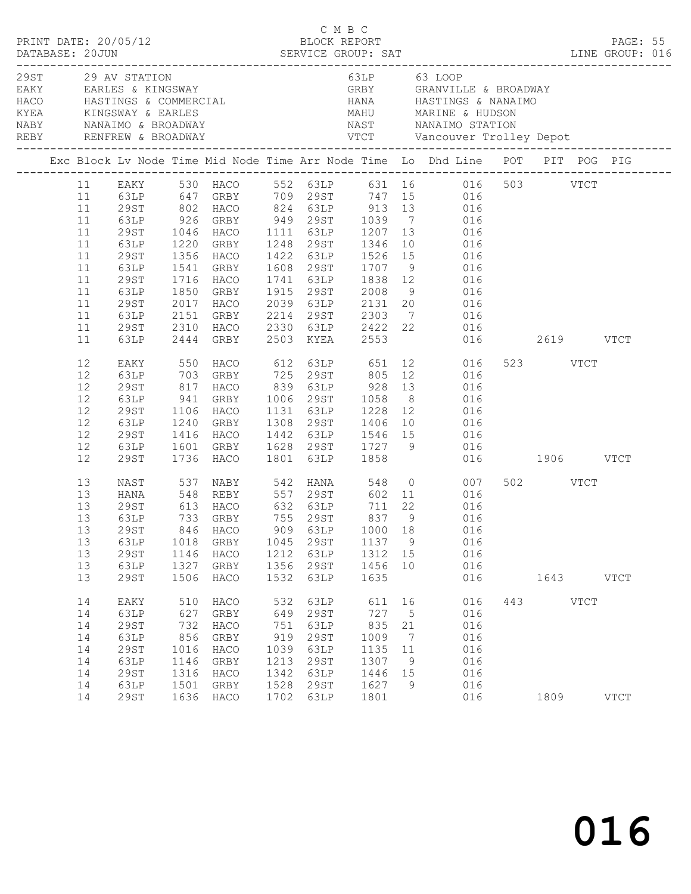| PRINT DATE: 20/05/12                                                 |                                                                              |                                                                  |                                                                           |                                                                  | C M B C                                                              | C M B C<br>BLOCK REPORT                                           |                                                                   | DESCRIPTION DESCRIPTION DESCRIPTION DESCRIPTION DESCRIPTION DESCRIPTION DESCRIPTIONS DESCRIPTIONS DESCRIPTIONS<br>DATABASE: 20JUN SERVICE GROUP: SAT LINE GROUP: 016                                                                                                                                                                                                                                                                           |                       | PAGE: 55      |  |
|----------------------------------------------------------------------|------------------------------------------------------------------------------|------------------------------------------------------------------|---------------------------------------------------------------------------|------------------------------------------------------------------|----------------------------------------------------------------------|-------------------------------------------------------------------|-------------------------------------------------------------------|------------------------------------------------------------------------------------------------------------------------------------------------------------------------------------------------------------------------------------------------------------------------------------------------------------------------------------------------------------------------------------------------------------------------------------------------|-----------------------|---------------|--|
|                                                                      | 29ST 29 AV STATION                                                           |                                                                  |                                                                           |                                                                  |                                                                      |                                                                   |                                                                   | 63LP 63 LOOP<br>EAKY EARLES & KINGSWAY CRBY GRANVILLE & BROADWAY<br>REBY RENFREW & BROADWAY VTCT Vancouver Trolley Depot                                                                                                                                                                                                                                                                                                                       |                       |               |  |
|                                                                      |                                                                              |                                                                  |                                                                           |                                                                  |                                                                      |                                                                   |                                                                   | Exc Block Lv Node Time Mid Node Time Arr Node Time Lo Dhd Line POT PIT POG PIG                                                                                                                                                                                                                                                                                                                                                                 |                       |               |  |
| 11<br>11<br>11<br>11<br>11<br>11<br>11<br>11<br>11<br>11<br>11<br>11 | 29ST<br>63LP<br>29ST<br>63LP<br>29ST<br>63LP<br>29ST<br>63LP<br>29ST         | 1850                                                             | 1716 HACO 1741 63LP 1838 12<br>GRBY                                       |                                                                  |                                                                      |                                                                   |                                                                   | 11 EAKY 530 HACO 552 63LP 631 16 016 503 VTCT<br>63LP 647 GRBY 709 29ST 747 15 016<br>29ST 802 HACO 824 63LP 913 13 016<br>63LP 926 GRBY 949 29ST 1039 7 016<br>1046 HACO 1111 63LP 1207 13 016<br>1220 GRBY 1248 29ST 1346 10 016<br>1356 HACO 1422 63LP 1526 15 016<br>1541 GRBY 1608 29ST 1707 9 016<br>016<br>1915 29ST 2008 9 016<br>2017 HACO 2039 63LP 2131 20 016<br>2151 GRBY 2214 29ST 2303 7 016<br>2310 HACO 2330 63LP 2422 22 016 |                       |               |  |
| 11<br>12<br>12<br>12<br>12<br>12<br>12<br>12<br>12<br>12             | 63LP<br>EAKY<br>63LP<br>29ST<br>63LP<br>29ST<br>63LP<br>29ST<br>63LP<br>29ST |                                                                  | 2444 GRBY<br>941 GRBY<br>1106 HACO<br>1240 GRBY<br>1601 GRBY<br>1736 HACO |                                                                  | 1801 63LP                                                            | 2503 KYEA 2553<br>1858                                            |                                                                   | 016 2619 VTCT<br>817 HACO 839 63LP 928 13 016<br>1006 29ST 1058 8 016<br>1131 63LP 1228 12 016<br>1308 29ST 1406 10 016<br>1416 HACO 1442 63LP 1546 15 016<br>1628 29ST 1727 9 016<br>016 1906 VTCT                                                                                                                                                                                                                                            | 523 VTCT              |               |  |
| 13<br>13<br>13<br>13<br>13<br>13<br>13<br>13                         | HANA<br>29ST<br>63LP<br>63LP<br>29ST<br>63LP<br>29ST                         | 1018<br>1146<br>1327<br>1506                                     | 13 29ST 846 HACO<br>GRBY<br>HACO<br>GRBY<br>HACO                          | 1045<br>1212<br>1356<br>1532                                     | 29ST<br>63LP<br>29ST<br>63LP                                         | 1137<br>1312 15<br>1456<br>1635                                   | $\overline{9}$<br>10                                              | NAST 537 NABY 542 HANA 548 0 007<br>909 63LP 1000 18 016<br>016<br>016<br>016<br>016                                                                                                                                                                                                                                                                                                                                                           | 502 VTCT<br>1643 VTCT |               |  |
| 14<br>14<br>14<br>14<br>14<br>14<br>14<br>14<br>14                   | EAKY<br>63LP<br>29ST<br>63LP<br>29ST<br>63LP<br>29ST<br>63LP<br>29ST         | 510<br>627<br>732<br>856<br>1016<br>1146<br>1316<br>1501<br>1636 | HACO<br>GRBY<br>HACO<br>GRBY<br>HACO<br>GRBY<br>HACO<br>GRBY<br>HACO      | 532<br>649<br>751<br>919<br>1039<br>1213<br>1342<br>1528<br>1702 | 63LP<br>29ST<br>63LP<br>29ST<br>63LP<br>29ST<br>63LP<br>29ST<br>63LP | 611<br>727<br>835<br>1009<br>1135<br>1307<br>1446<br>1627<br>1801 | 16<br>$5^{\circ}$<br>21<br>$\overline{7}$<br>11<br>9<br>15<br>- 9 | 016<br>016<br>016<br>016<br>016<br>016<br>016<br>016<br>016                                                                                                                                                                                                                                                                                                                                                                                    | 443 VTCT<br>1809      | $_{\rm VTCT}$ |  |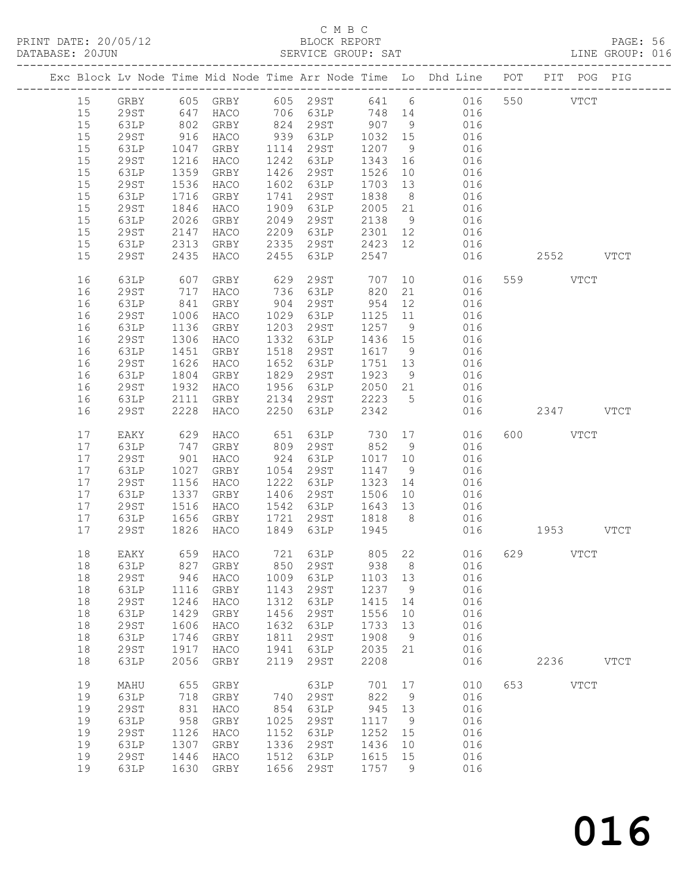# C M B C<br>BLOCK REPORT

PAGE: 56<br>LINE GROUP: 016

|  |    |             |            |                         |      |             |                                           |                | Exc Block Lv Node Time Mid Node Time Arr Node Time Lo Dhd Line POT PIT POG PIG |     |           |               |             |
|--|----|-------------|------------|-------------------------|------|-------------|-------------------------------------------|----------------|--------------------------------------------------------------------------------|-----|-----------|---------------|-------------|
|  | 15 | GRBY        |            | 605 GRBY                |      | 605 29ST    |                                           |                | 641 6 016                                                                      |     | 550       | $_{\rm VTCT}$ |             |
|  | 15 | 29ST        | 647        | HACO                    |      |             |                                           |                | 706 63LP 748 14 016                                                            |     |           |               |             |
|  | 15 | 63LP        |            | GRBY                    |      | 824 29ST    | $\begin{array}{c} 907 \\ 511 \end{array}$ |                | 016                                                                            |     |           |               |             |
|  | 15 | 29ST        | 802<br>916 | HACO                    |      | 939 63LP    | 1032 15                                   |                | 016                                                                            |     |           |               |             |
|  | 15 | 63LP        | 1047       | GRBY                    | 1114 | 29ST        | 1207                                      | 9              | 016                                                                            |     |           |               |             |
|  | 15 | <b>29ST</b> | 1216       | HACO                    | 1242 | 63LP        | 1343                                      | 16             | 016                                                                            |     |           |               |             |
|  | 15 | 63LP        | 1359       | GRBY                    | 1426 | 29ST        | 1526                                      | 10             | 016                                                                            |     |           |               |             |
|  | 15 | <b>29ST</b> | 1536       | HACO                    | 1602 | 63LP        | 1703                                      | 13             | 016                                                                            |     |           |               |             |
|  | 15 | 63LP        | 1716       | GRBY                    | 1741 | 29ST        | 1838                                      | 8 <sup>8</sup> | 016                                                                            |     |           |               |             |
|  | 15 | 29ST        | 1846       | HACO                    | 1909 | 63LP        | 2005                                      | 21             | 016                                                                            |     |           |               |             |
|  | 15 | 63LP        | 2026       | GRBY                    | 2049 | 29ST        | 2138                                      | 9              | 016                                                                            |     |           |               |             |
|  | 15 | 29ST        | 2147       | HACO                    | 2209 | 63LP        | 2301 12                                   |                | 016                                                                            |     |           |               |             |
|  | 15 | 63LP        | 2313       | GRBY                    | 2335 | 29ST        | 2423 12                                   |                | 016                                                                            |     |           |               |             |
|  | 15 | 29ST        | 2435       | HACO                    | 2455 | 63LP        | 2547                                      |                | 016                                                                            |     | 2552 VTCT |               |             |
|  | 16 | 63LP        | 607        | GRBY                    | 629  | 29ST        | 707                                       |                | 10<br>016                                                                      |     | 559 VTCT  |               |             |
|  | 16 | 29ST        | 717        | HACO                    | 736  | 63LP        | 820                                       | 21             | 016                                                                            |     |           |               |             |
|  | 16 | 63LP        | 841        | GRBY                    | 904  | 29ST        | 954                                       | 12             | 016                                                                            |     |           |               |             |
|  | 16 | 29ST        | 1006       | HACO                    | 1029 | 63LP        | 1125                                      | 11             | 016                                                                            |     |           |               |             |
|  | 16 | 63LP        | 1136       | GRBY                    | 1203 | 29ST        | 1257 9                                    |                | 016                                                                            |     |           |               |             |
|  | 16 | 29ST        | 1306       | HACO                    | 1332 | 63LP        | 1436 15                                   |                | 016                                                                            |     |           |               |             |
|  | 16 | 63LP        | 1451       | GRBY                    | 1518 | 29ST        | 1617                                      | 9              | 016                                                                            |     |           |               |             |
|  | 16 | <b>29ST</b> | 1626       | HACO                    | 1652 | 63LP        | 1751 13                                   |                | 016                                                                            |     |           |               |             |
|  | 16 | 63LP        | 1804       | GRBY                    | 1829 | 29ST        | 1923                                      | 9              | 016                                                                            |     |           |               |             |
|  | 16 | 29ST        | 1932       | HACO                    | 1956 | 63LP        | 2050 21                                   |                | 016                                                                            |     |           |               |             |
|  | 16 | 63LP        | 2111       | GRBY                    | 2134 | 29ST        | 2223                                      | 5 <sup>5</sup> | 016                                                                            |     |           |               |             |
|  | 16 | 29ST        | 2228       | HACO                    | 2250 | 63LP        | 2342                                      |                | 016                                                                            |     | 2347 VTCT |               |             |
|  | 17 | EAKY        | 629        | HACO                    | 651  | 63LP        | 730 17                                    |                | 016                                                                            | 600 | VTCT      |               |             |
|  | 17 | 63LP        | 747        | GRBY                    | 809  | 29ST        | 852                                       | 9              | 016                                                                            |     |           |               |             |
|  | 17 | 29ST        | 901        | HACO                    | 924  | 63LP        | 1017 10                                   |                | 016                                                                            |     |           |               |             |
|  | 17 | 63LP        | 1027       | GRBY                    | 1054 | 29ST        | 1147                                      | 9              | 016                                                                            |     |           |               |             |
|  | 17 | 29ST        | 1156       | HACO                    | 1222 | 63LP        | 1323                                      | 14             | 016                                                                            |     |           |               |             |
|  | 17 | 63LP        | 1337       | GRBY                    | 1406 | 29ST        | 1506                                      | 10             | 016                                                                            |     |           |               |             |
|  | 17 | 29ST        | 1516       | HACO                    | 1542 | 63LP        | 1643                                      | 13             | 016                                                                            |     |           |               |             |
|  | 17 | 63LP        | 1656       | GRBY                    | 1721 | 29ST        | 1818                                      | 8 <sup>8</sup> | 016                                                                            |     |           |               |             |
|  | 17 | <b>29ST</b> | 1826       | HACO                    | 1849 | 63LP        | 1945                                      |                | 016                                                                            |     | 1953 VTCT |               |             |
|  | 18 | EAKY        |            | 659 HACO                |      |             |                                           |                | 721 63LP 805 22 016                                                            |     | 629 VTCT  |               |             |
|  |    | 18 63LP     |            | 827 GRBY 850 29ST 938 8 |      |             |                                           |                | 016                                                                            |     |           |               |             |
|  | 18 | 29ST        | 946        | HACO                    | 1009 | 63LP        | 1103                                      | 13             | 016                                                                            |     |           |               |             |
|  | 18 | 63LP        | 1116       | GRBY                    | 1143 | 29ST        | 1237                                      | 9              | 016                                                                            |     |           |               |             |
|  | 18 | <b>29ST</b> | 1246       | HACO                    | 1312 | 63LP        | 1415                                      | 14             | 016                                                                            |     |           |               |             |
|  | 18 | 63LP        | 1429       | GRBY                    | 1456 | <b>29ST</b> | 1556                                      | 10             | 016                                                                            |     |           |               |             |
|  | 18 | 29ST        | 1606       | HACO                    | 1632 | 63LP        | 1733                                      | 13             | 016                                                                            |     |           |               |             |
|  | 18 | 63LP        | 1746       | GRBY                    | 1811 | 29ST        | 1908                                      | 9              | 016                                                                            |     |           |               |             |
|  | 18 | <b>29ST</b> | 1917       | HACO                    | 1941 | 63LP        | 2035                                      | 21             | 016                                                                            |     |           |               |             |
|  | 18 | 63LP        | 2056       | GRBY                    | 2119 | 29ST        | 2208                                      |                | 016                                                                            |     | 2236      |               | <b>VTCT</b> |
|  | 19 | MAHU        | 655        | ${\tt GRBY}$            |      | 63LP        | 701                                       | 17             | 010                                                                            | 653 |           | <b>VTCT</b>   |             |
|  | 19 | 63LP        | 718        | GRBY                    | 740  | 29ST        | 822                                       | 9              | 016                                                                            |     |           |               |             |
|  | 19 | <b>29ST</b> | 831        | HACO                    | 854  | 63LP        | 945                                       | 13             | 016                                                                            |     |           |               |             |
|  | 19 | 63LP        | 958        | GRBY                    | 1025 | <b>29ST</b> | 1117                                      | 9              | 016                                                                            |     |           |               |             |
|  | 19 | <b>29ST</b> | 1126       | HACO                    | 1152 | 63LP        | 1252                                      | 15             | 016                                                                            |     |           |               |             |
|  | 19 | 63LP        | 1307       | GRBY                    | 1336 | 29ST        | 1436                                      | 10             | 016                                                                            |     |           |               |             |
|  | 19 | <b>29ST</b> | 1446       | HACO                    | 1512 | 63LP        | 1615                                      | 15             | 016                                                                            |     |           |               |             |
|  | 19 | 63LP        | 1630       | GRBY                    | 1656 | 29ST        | 1757                                      | 9              | 016                                                                            |     |           |               |             |
|  |    |             |            |                         |      |             |                                           |                |                                                                                |     |           |               |             |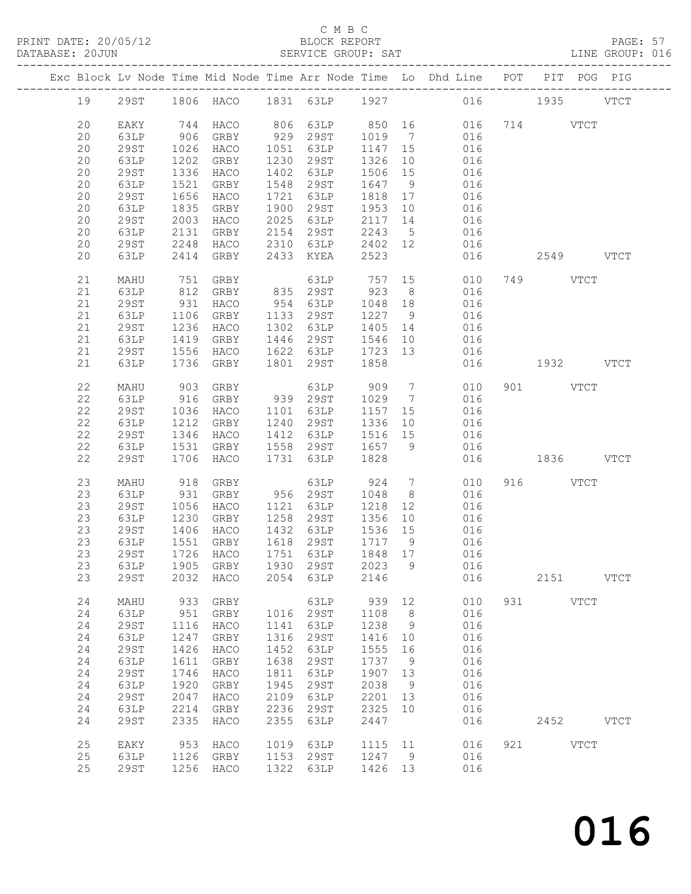### C M B C<br>BLOCK REPORT

PAGE: 57<br>LINE GROUP: 016

|  |          |              |      |                                    |      |                             |         |                 | Exc Block Lv Node Time Mid Node Time Arr Node Time Lo Dhd Line POT PIT POG PIG |     |              |             |             |
|--|----------|--------------|------|------------------------------------|------|-----------------------------|---------|-----------------|--------------------------------------------------------------------------------|-----|--------------|-------------|-------------|
|  | 19       | 29ST         |      |                                    |      |                             |         |                 | 1806 HACO 1831 63LP 1927 016 1935                                              |     |              |             | <b>VTCT</b> |
|  | 20<br>20 | EAKY<br>63LP | 906  | 744 HACO<br>GRBY                   |      | 806 63LP 850 16<br>929 29ST | 1019    | $\overline{7}$  | 016                                                                            |     | 016 714 VTCT |             |             |
|  |          |              |      |                                    |      |                             |         |                 |                                                                                |     |              |             |             |
|  | 20       | 29ST         | 1026 | HACO                               | 1051 | 63LP                        | 1147 15 |                 | 016                                                                            |     |              |             |             |
|  | 20       | 63LP         | 1202 | GRBY                               | 1230 | 29ST                        | 1326    | 10              | 016                                                                            |     |              |             |             |
|  | 20       | <b>29ST</b>  | 1336 | HACO                               | 1402 | 63LP                        | 1506    | 15              | 016                                                                            |     |              |             |             |
|  | 20       | 63LP         | 1521 | GRBY                               | 1548 | 29ST                        | 1647    | 9               | 016                                                                            |     |              |             |             |
|  | 20       | <b>29ST</b>  | 1656 | HACO                               | 1721 | 63LP                        | 1818    | 17              | 016                                                                            |     |              |             |             |
|  |          |              |      |                                    |      |                             |         |                 |                                                                                |     |              |             |             |
|  | 20       | 63LP         | 1835 | GRBY                               | 1900 | 29ST                        | 1953    | 10              | 016                                                                            |     |              |             |             |
|  | 20       | <b>29ST</b>  | 2003 | HACO                               | 2025 | 63LP                        | 2117    | 14              | 016                                                                            |     |              |             |             |
|  | 20       | 63LP         | 2131 | GRBY                               | 2154 | 29ST                        | 2243    | 5 <sup>5</sup>  | 016                                                                            |     |              |             |             |
|  | 20       | 29ST         | 2248 | HACO                               | 2310 | 63LP                        | 2402 12 |                 | 016                                                                            |     |              |             |             |
|  | 20       | 63LP         | 2414 | GRBY                               | 2433 | KYEA                        | 2523    |                 | 016                                                                            |     | 2549 VTCT    |             |             |
|  |          |              |      |                                    |      |                             |         |                 |                                                                                |     |              |             |             |
|  | 21       | MAHU         | 751  | GRBY                               |      | 63LP                        | 757     |                 | 15<br>010                                                                      |     | 749 VTCT     |             |             |
|  |          |              |      |                                    |      |                             |         |                 |                                                                                |     |              |             |             |
|  | 21       | 63LP         | 812  | GRBY                               |      | 835 29ST                    | 923     | 8 <sup>8</sup>  | 016                                                                            |     |              |             |             |
|  | 21       | <b>29ST</b>  | 931  | HACO                               | 954  | 63LP                        | 1048    | 18              | 016                                                                            |     |              |             |             |
|  | 21       | 63LP         | 1106 | GRBY                               | 1133 | 29ST                        | 1227 9  |                 | 016                                                                            |     |              |             |             |
|  | 21       | 29ST         | 1236 | HACO                               | 1302 | 63LP                        | 1405    | 14              | 016                                                                            |     |              |             |             |
|  | 21       | 63LP         | 1419 | GRBY                               | 1446 | 29ST                        | 1546    | 10              | 016                                                                            |     |              |             |             |
|  | 21       | 29ST         | 1556 | HACO                               | 1622 | 63LP                        | 1723    | 13              | 016                                                                            |     |              |             |             |
|  |          |              |      |                                    |      |                             |         |                 |                                                                                |     |              |             |             |
|  | 21       | 63LP         | 1736 | GRBY                               |      | 1801 29ST                   | 1858    |                 | 016                                                                            |     | 1932 VTCT    |             |             |
|  |          |              |      |                                    |      |                             |         |                 |                                                                                |     |              |             |             |
|  | 22       | MAHU         | 903  | GRBY                               |      | 63LP                        | 909     | $7\overline{ }$ | 010                                                                            |     | 901 VTCT     |             |             |
|  | 22       | 63LP         | 916  | GRBY                               |      | 939 29ST                    | 1029    | $7\overline{ }$ | 016                                                                            |     |              |             |             |
|  | 22       | <b>29ST</b>  | 1036 | HACO                               | 1101 | 63LP                        | 1157    | 15              | 016                                                                            |     |              |             |             |
|  | 22       | 63LP         | 1212 | GRBY                               | 1240 | 29ST                        | 1336    | 10              | 016                                                                            |     |              |             |             |
|  | 22       | 29ST         | 1346 | HACO                               | 1412 | 63LP                        | 1516 15 |                 | 016                                                                            |     |              |             |             |
|  | 22       |              | 1531 |                                    | 1558 | 29ST                        | 1657    | 9               | 016                                                                            |     |              |             |             |
|  |          | 63LP         |      | GRBY                               |      |                             |         |                 |                                                                                |     |              |             |             |
|  | 22       | <b>29ST</b>  | 1706 | HACO                               | 1731 | 63LP                        | 1828    |                 | 016                                                                            |     | 1836 VTCT    |             |             |
|  | 23       |              | 918  |                                    |      |                             | 924     | $7\overline{ }$ | 010                                                                            |     | 916 VTCT     |             |             |
|  |          | MAHU         |      | GRBY                               |      | 63LP                        |         |                 |                                                                                |     |              |             |             |
|  | 23       | 63LP         | 931  | GRBY                               |      | 956 29ST                    | 1048    | 8 <sup>8</sup>  | 016                                                                            |     |              |             |             |
|  | 23       | 29ST         | 1056 | HACO                               | 1121 | 63LP                        | 1218    | 12              | 016                                                                            |     |              |             |             |
|  | 23       | 63LP         | 1230 | GRBY                               | 1258 | 29ST                        | 1356    | 10              | 016                                                                            |     |              |             |             |
|  | 23       | 29ST         | 1406 | HACO                               |      | 1432 63LP                   | 1536 15 |                 | 016                                                                            |     |              |             |             |
|  | 23       | 63LP         | 1551 | GRBY                               |      | 1618 29ST                   | 1717 9  |                 | 016                                                                            |     |              |             |             |
|  | 23       | 29ST         |      | 1726 HACO                          |      | 1751 63LP                   | 1848 17 |                 | 016                                                                            |     |              |             |             |
|  |          |              |      |                                    |      |                             |         |                 |                                                                                |     |              |             |             |
|  |          |              |      | 23 63LP 1905 GRBY 1930 29ST 2023 9 |      |                             |         |                 | 016                                                                            |     |              |             |             |
|  | 23       | 29ST         | 2032 | HACO                               | 2054 | 63LP                        | 2146    |                 | 016                                                                            |     | 2151         |             | <b>VTCT</b> |
|  |          |              |      |                                    |      |                             |         |                 |                                                                                |     |              |             |             |
|  | 24       | MAHU         | 933  | GRBY                               |      | 63LP                        | 939     | 12              | 010                                                                            | 931 |              | <b>VTCT</b> |             |
|  | 24       | 63LP         | 951  | GRBY                               | 1016 | 29ST                        | 1108    | 8               | 016                                                                            |     |              |             |             |
|  | 24       | <b>29ST</b>  | 1116 | HACO                               | 1141 | 63LP                        | 1238    | 9               | 016                                                                            |     |              |             |             |
|  | 24       | 63LP         | 1247 | GRBY                               | 1316 | 29ST                        | 1416    | 10              | 016                                                                            |     |              |             |             |
|  | 24       | <b>29ST</b>  | 1426 | HACO                               | 1452 | 63LP                        | 1555    | 16              | 016                                                                            |     |              |             |             |
|  |          |              |      |                                    |      |                             |         |                 |                                                                                |     |              |             |             |
|  | 24       | 63LP         | 1611 | GRBY                               | 1638 | 29ST                        | 1737    | 9               | 016                                                                            |     |              |             |             |
|  | 24       | <b>29ST</b>  | 1746 | HACO                               | 1811 | 63LP                        | 1907    | 13              | 016                                                                            |     |              |             |             |
|  | 24       | 63LP         | 1920 | GRBY                               | 1945 | 29ST                        | 2038    | - 9             | 016                                                                            |     |              |             |             |
|  | 24       | 29ST         | 2047 | HACO                               | 2109 | 63LP                        | 2201    | 13              | 016                                                                            |     |              |             |             |
|  | 24       | 63LP         | 2214 | GRBY                               | 2236 | 29ST                        | 2325    | 10              | 016                                                                            |     |              |             |             |
|  | 24       | <b>29ST</b>  | 2335 | HACO                               | 2355 | 63LP                        | 2447    |                 | 016                                                                            |     | 2452         |             | <b>VTCT</b> |
|  |          |              |      |                                    |      |                             |         |                 |                                                                                |     |              |             |             |
|  | 25       | EAKY         | 953  | HACO                               | 1019 | 63LP                        | 1115    | 11              | 016                                                                            | 921 |              | <b>VTCT</b> |             |
|  | 25       | 63LP         | 1126 | GRBY                               | 1153 | 29ST                        | 1247    | 9               | 016                                                                            |     |              |             |             |
|  |          |              |      |                                    |      |                             |         |                 |                                                                                |     |              |             |             |
|  | 25       | <b>29ST</b>  | 1256 | HACO                               | 1322 | 63LP                        | 1426    | 13              | 016                                                                            |     |              |             |             |
|  |          |              |      |                                    |      |                             |         |                 |                                                                                |     |              |             |             |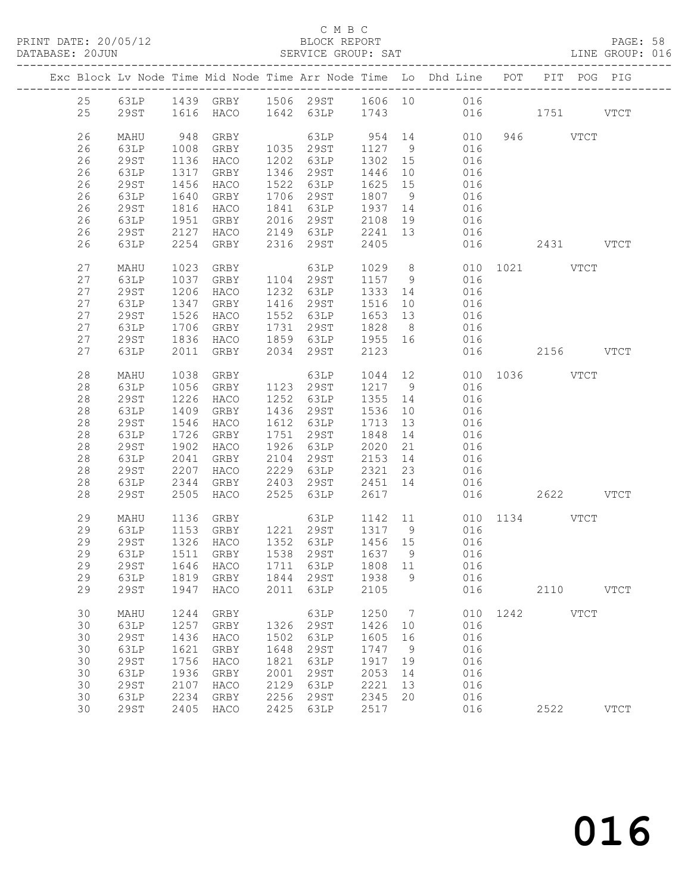#### C M B C<br>BLOCK REPORT

PAGE: 58<br>LINE GROUP: 016

|    |             |      |                               |      |                                       |         |                | Exc Block Lv Node Time Mid Node Time Arr Node Time Lo Dhd Line POT                                                                        |               |           | PIT POG PIG |
|----|-------------|------|-------------------------------|------|---------------------------------------|---------|----------------|-------------------------------------------------------------------------------------------------------------------------------------------|---------------|-----------|-------------|
|    |             |      |                               |      |                                       |         |                | 25 63LP 1439 GRBY 1506 29ST 1606 10 016                                                                                                   |               |           |             |
| 25 |             |      | 29ST 1616 HACO 1642 63LP 1743 |      |                                       |         |                | 016 1751 VTCT                                                                                                                             |               |           |             |
| 26 | MAHU        | 948  | GRBY                          |      |                                       |         |                | $\begin{array}{cccccccc} & 63 \text{LP} & 954 & 14 & 010 & 946 & & \text{VTCT} \\ 1035 & 29 \text{ST} & 1127 & 9 & 016 & & & \end{array}$ |               |           |             |
| 26 | 63LP        | 1008 | GRBY                          |      |                                       |         |                |                                                                                                                                           |               |           |             |
| 26 | 29ST        | 1136 | HACO                          |      | 1202 63LP                             | 1302 15 |                | 016                                                                                                                                       |               |           |             |
| 26 | 63LP        | 1317 | GRBY                          |      | 1346 29ST                             | 1446 10 |                | 016                                                                                                                                       |               |           |             |
| 26 | 29ST        | 1456 | HACO                          |      | 1522 63LP                             | 1625 15 |                | 016                                                                                                                                       |               |           |             |
| 26 | 63LP        | 1640 | GRBY                          |      | 1706 29ST                             | 1807 9  |                | 016<br>016                                                                                                                                |               |           |             |
| 26 | 29ST        |      | $1816$ HACO                   |      | 1841 63LP                             | 1937 14 |                |                                                                                                                                           |               |           |             |
| 26 | 63LP        | 1951 |                               |      | GRBY 2016 29ST 2108 19                |         |                | 016                                                                                                                                       |               |           |             |
| 26 | 29ST        | 2127 |                               |      | HACO 2149 63LP                        | 2241 13 |                | 016                                                                                                                                       |               |           |             |
| 26 | 63LP        |      | 2254 GRBY                     |      | 2316 29ST                             | 2405    |                |                                                                                                                                           | 016           | 2431 VTCT |             |
| 27 | MAHU        | 1023 | GRBY                          |      | 63LP                                  |         |                | 1029 8 010 1021 VTCT                                                                                                                      |               |           |             |
| 27 | 63LP        |      | 1037 GRBY 1104 29ST           |      |                                       | 1157 9  |                | 016                                                                                                                                       |               |           |             |
| 27 | 29ST        | 1206 | HACO                          |      |                                       | 1333 14 |                | 016                                                                                                                                       |               |           |             |
| 27 | 63LP        | 1347 | GRBY                          |      | 1232 63LP<br>1416 29ST                | 1516 10 |                | 016                                                                                                                                       |               |           |             |
| 27 | 29ST        | 1526 | HACO                          |      | 1552 63LP                             | 1653 13 |                | 016                                                                                                                                       |               |           |             |
| 27 | 63LP        | 1706 | GRBY                          |      | 1731 29ST                             | 1828 8  |                | 016                                                                                                                                       |               |           |             |
| 27 | 29ST        | 1836 | HACO                          |      | 1859 63LP                             | 1955 16 |                | 016                                                                                                                                       |               |           |             |
| 27 | 63LP        |      | 2011 GRBY                     |      | 2034 29ST                             | 2123    |                |                                                                                                                                           | 016 2156 VTCT |           |             |
|    |             |      |                               |      |                                       |         |                |                                                                                                                                           |               |           |             |
| 28 | MAHU        | 1038 | GRBY                          |      | 63LP                                  |         |                | 1044 12 010 1036 VTCT                                                                                                                     |               |           |             |
| 28 | 63LP        |      | 1056 GRBY                     |      | 1123 29ST                             | 1217 9  |                | 016                                                                                                                                       |               |           |             |
| 28 | 29ST        | 1226 | HACO                          |      | 1252 63LP 1355 14                     |         |                | 016                                                                                                                                       |               |           |             |
| 28 | 63LP        | 1409 | GRBY                          |      | 1436 29ST 1536 10                     |         |                | 016                                                                                                                                       |               |           |             |
| 28 | 29ST        | 1546 | HACO                          |      | 1612 63LP                             | 1713 13 |                | 016                                                                                                                                       |               |           |             |
| 28 | 63LP        | 1726 | GRBY                          |      | 1751 29ST                             | 1848 14 |                | 016                                                                                                                                       |               |           |             |
| 28 | 29ST        | 1902 | HACO                          |      | 1926 63LP                             | 2020 21 |                | 016<br>016                                                                                                                                |               |           |             |
| 28 | 63LP        | 2041 | GRBY                          |      | 2104 29ST 2153 14                     |         |                |                                                                                                                                           |               |           |             |
| 28 | 29ST        | 2207 | HACO                          |      | 2229 63LP                             | 2321 23 |                | 016                                                                                                                                       |               |           |             |
| 28 | 63LP        | 2344 | GRBY                          |      | 2403 29ST                             | 2451 14 |                | 016                                                                                                                                       |               |           |             |
| 28 | 29ST        | 2505 | HACO                          |      | 2525 63LP                             | 2617    |                |                                                                                                                                           | 016           | 2622 VTCT |             |
| 29 | MAHU        |      | 1136 GRBY                     |      |                                       |         |                | 63LP 1142 11 010 1134 VTCT                                                                                                                |               |           |             |
| 29 | 63LP        |      | 1153 GRBY 1221 29ST 1317 9    |      |                                       |         |                | 016                                                                                                                                       |               |           |             |
| 29 | 29ST        |      | 1326 HACO                     |      | 1352 63LP 1456 15<br>1538 29ST 1637 9 |         |                |                                                                                                                                           |               |           |             |
| 29 | 63LP        |      | $1511$ GRBY                   |      | 1538 29ST                             | 1637 9  |                | $016$<br>$016$                                                                                                                            |               |           |             |
|    |             |      |                               |      |                                       |         |                | 29  29ST  1646  HACO  1711  63LP  1808  11  016                                                                                           |               |           |             |
| 29 | 63LP        |      | 1819 GRBY                     | 1844 | 29ST                                  | 1938    | - 9            | 016                                                                                                                                       |               |           |             |
| 29 | <b>29ST</b> | 1947 | HACO                          | 2011 | 63LP                                  | 2105    |                | 016                                                                                                                                       |               | 2110 VTCT |             |
| 30 | MAHU        | 1244 | GRBY                          |      | 63LP                                  | 1250    | $\overline{7}$ |                                                                                                                                           | 010 1242 VTCT |           |             |
| 30 | 63LP        | 1257 | GRBY                          | 1326 | 29ST                                  | 1426    | 10             | 016                                                                                                                                       |               |           |             |
|    |             |      |                               |      |                                       |         |                |                                                                                                                                           |               |           |             |
| 30 | <b>29ST</b> | 1436 | HACO                          | 1502 | 63LP                                  | 1605    | 16             | 016                                                                                                                                       |               |           |             |
| 30 | 63LP        | 1621 | GRBY                          | 1648 | 29ST                                  | 1747    | 9              | 016                                                                                                                                       |               |           |             |
| 30 | <b>29ST</b> | 1756 | HACO                          | 1821 | 63LP                                  | 1917    | 19             | 016                                                                                                                                       |               |           |             |
| 30 | 63LP        | 1936 | GRBY                          | 2001 | 29ST                                  | 2053    | 14             | 016                                                                                                                                       |               |           |             |
| 30 | <b>29ST</b> | 2107 | HACO                          | 2129 | 63LP                                  | 2221    | 13             | 016                                                                                                                                       |               |           |             |
| 30 | 63LP        | 2234 | GRBY                          | 2256 | 29ST                                  | 2345    | 20             | 016                                                                                                                                       |               |           |             |
| 30 | 29ST        | 2405 | HACO                          | 2425 | 63LP                                  | 2517    |                | 016                                                                                                                                       |               | 2522      | <b>VTCT</b> |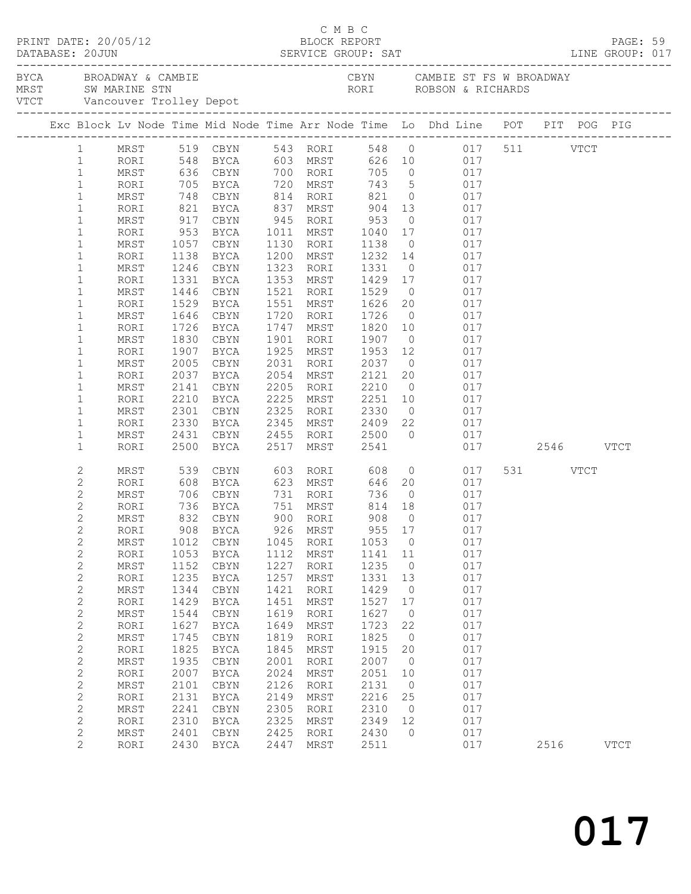| DATABASE: 20JUN                  |              |                  | $\begin{array}{cccc}\n\texttt{CRINT} & \texttt{DATE:} & 20/05/12 & \texttt{C} & \texttt{M} & \texttt{B} & \texttt{C}\n\end{array}$                                                                                             |              |                                        |                   |                      |                                                                                                       |          | PAGE: 59    |  |
|----------------------------------|--------------|------------------|--------------------------------------------------------------------------------------------------------------------------------------------------------------------------------------------------------------------------------|--------------|----------------------------------------|-------------------|----------------------|-------------------------------------------------------------------------------------------------------|----------|-------------|--|
|                                  |              |                  | EXAMBLE STRING AND DESCRIPTION OF THE CRYST CAMBLE STRING MRST SWOMARINE STRING WARE STRING ON THE MANUSCRIPT ON THE MANUSCRIPT OF THE MANUSCRIPT OF THE MANUSCRIPT OF THE MANUSCRIPT OF THE MANUSCRIPT OF THE MANUSCRIPT OF T |              |                                        |                   |                      | CBYN CAMBIE ST FS W BROADWAY                                                                          |          |             |  |
|                                  |              |                  | Exc Block Lv Node Time Mid Node Time Arr Node Time Lo Dhd Line POT PIT POG PIG                                                                                                                                                 |              |                                        |                   |                      |                                                                                                       |          |             |  |
|                                  |              |                  | 1 MRST 519 CBYN 543 RORI 548 0 017 511 VTCT<br>1 RORI 548 BYCA 603 MRST 626 10 017<br>1 MRST 636 CBYN 700 RORI 705 0 017                                                                                                       |              |                                        |                   |                      |                                                                                                       |          |             |  |
|                                  |              |                  |                                                                                                                                                                                                                                |              |                                        |                   |                      |                                                                                                       |          |             |  |
|                                  |              |                  |                                                                                                                                                                                                                                |              |                                        |                   |                      |                                                                                                       |          |             |  |
| $\mathbf{1}$                     | RORI         |                  | 705 BYCA 720 MRST                                                                                                                                                                                                              |              |                                        |                   |                      | 743 5 017                                                                                             |          |             |  |
| $\mathbf{1}$                     | MRST         |                  | 748 CBYN 814 RORI 821<br>821 BYCA 837 MRST 904<br>917 CBYN 945 RORI 953                                                                                                                                                        |              |                                        |                   |                      | 0 017                                                                                                 |          |             |  |
| $\mathbf{1}$                     | RORI         |                  |                                                                                                                                                                                                                                |              | BYCA 837 MRST 904<br>CBYN 945 RORI 953 |                   |                      | $\begin{array}{ccc} 13 & \hspace{1.5cm} & 017 \\ \hspace{1.5cm} 0 & \hspace{1.5cm} & 017 \end{array}$ |          |             |  |
| $\mathbf{1}$<br>$\mathbf{1}$     | MRST<br>RORI | 953              | BYCA                                                                                                                                                                                                                           |              | 1011 MRST 1040                         |                   |                      | 17 017                                                                                                |          |             |  |
| $\mathbf{1}$                     | MRST         | 1057             | CBYN                                                                                                                                                                                                                           |              | 1130 RORI                              | 1138              | $\overline{0}$       | 017                                                                                                   |          |             |  |
| $\mathbf{1}$                     | RORI         | 1138             | BYCA                                                                                                                                                                                                                           |              | 1200 MRST                              |                   |                      |                                                                                                       |          |             |  |
| $\mathbf{1}$                     | MRST         | 1246             | CBYN                                                                                                                                                                                                                           |              | 1323 RORI                              |                   |                      | 1232  14  017<br>1331  0  017                                                                         |          |             |  |
| $\mathbf{1}$                     | RORI         | 1331             | BYCA                                                                                                                                                                                                                           |              | 1353 MRST 1429 17                      |                   |                      | 017                                                                                                   |          |             |  |
| 1                                | MRST         | 1446             | CBYN                                                                                                                                                                                                                           |              | 1521 RORI 1529                         |                   | $\overline{0}$       | 017                                                                                                   |          |             |  |
| $\mathbf{1}$                     | RORI         | 1529             | BYCA                                                                                                                                                                                                                           |              | 1551 MRST                              | 1626 20<br>1726 0 |                      | $\begin{array}{ccc} 20 & \quad & 017 \\ \quad 0 & \quad & 017 \end{array}$                            |          |             |  |
| $\mathbf{1}$                     | MRST         | 1646             | CBYN                                                                                                                                                                                                                           |              | 1720 RORI                              |                   |                      |                                                                                                       |          |             |  |
| $\mathbf{1}$                     | RORI         |                  | 1726 BYCA                                                                                                                                                                                                                      |              | 1747 MRST                              | 1820 10           |                      | 017                                                                                                   |          |             |  |
| $\mathbf{1}$                     | MRST         | 1830             | CBYN                                                                                                                                                                                                                           |              | 1901 RORI                              | 1907              |                      | 0 0 17                                                                                                |          |             |  |
| $\mathbf{1}$                     | RORI         | 1907             | BYCA                                                                                                                                                                                                                           |              | 1925 MRST                              | 1953 12<br>2037 0 |                      | $\begin{array}{c} 017 \\ \hline 017 \end{array}$                                                      |          |             |  |
| 1<br>$\mathbf{1}$                | MRST<br>RORI | 2005<br>2037     | CBYN<br>BYCA                                                                                                                                                                                                                   |              | 2031 RORI<br>2054 MRST                 | 2121 20           |                      | 017<br>017                                                                                            |          |             |  |
| 1                                | MRST         | 2141             | CBYN                                                                                                                                                                                                                           |              | 2205 RORI                              | 2210              | $\overline{0}$       | 017                                                                                                   |          |             |  |
| $\mathbf{1}$                     | RORI         | 2210             | BYCA                                                                                                                                                                                                                           |              | 2225 MRST                              |                   |                      |                                                                                                       |          |             |  |
| 1                                | MRST         |                  | CBYN                                                                                                                                                                                                                           |              | 2325 RORI                              |                   |                      | 2251 10 017<br>2330 0 017<br>2409 22 017                                                              |          |             |  |
| $\mathbf{1}$                     | RORI         | $2301$<br>$2330$ | BYCA                                                                                                                                                                                                                           | 2345         | MRST                                   |                   |                      |                                                                                                       |          |             |  |
| 1                                | MRST         | 2431             | CBYN                                                                                                                                                                                                                           |              | 2455 RORI 2500                         |                   |                      | $0$ 017                                                                                               |          |             |  |
| $\mathbf{1}$                     | RORI         | 2500             | BYCA                                                                                                                                                                                                                           | 2517         | MRST                                   | 2541              |                      | 017 2546 VTCT                                                                                         |          |             |  |
| 2                                | MRST         |                  | 539 CBYN                                                                                                                                                                                                                       |              | 603 RORI 608                           |                   |                      | $\overline{0}$<br>017                                                                                 | 531 VTCT |             |  |
| 2                                | RORI         |                  | 608 BYCA                                                                                                                                                                                                                       |              | 623 MRST                               |                   |                      | 646 20 017                                                                                            |          |             |  |
| 2                                | MRST         | 706              |                                                                                                                                                                                                                                |              | CBYN 731 RORI                          | 736               |                      | $0$ 017                                                                                               |          |             |  |
| $\overline{c}$<br>$\overline{c}$ | RORI<br>MRST |                  | 736 BYCA<br>832 CBYN                                                                                                                                                                                                           |              | 751 MRST<br>900 RORI                   | 814 18<br>908 0   |                      | $\begin{array}{c} 017 \\ 017 \end{array}$                                                             |          |             |  |
| $\overline{2}$                   |              |                  | RORI 908 BYCA                                                                                                                                                                                                                  |              | 926 MRST                               |                   |                      | 955 17 017                                                                                            |          |             |  |
| 2                                | MRST         | 1012             | CBYN                                                                                                                                                                                                                           |              | 1045 RORI                              | 1053              | $\overline{0}$       | 017                                                                                                   |          |             |  |
| $\overline{c}$                   | RORI         | 1053             | BYCA                                                                                                                                                                                                                           | 1112         | MRST                                   | 1141 11           |                      | 017                                                                                                   |          |             |  |
| $\mathbf{2}$                     | MRST         | 1152             | CBYN                                                                                                                                                                                                                           | 1227         | RORI                                   | 1235              | $\overline{0}$       | 017                                                                                                   |          |             |  |
| $\overline{c}$                   | RORI         | 1235             | BYCA                                                                                                                                                                                                                           | 1257         | MRST                                   | 1331              | 13                   | 017                                                                                                   |          |             |  |
| $\overline{c}$                   | MRST         | 1344             | CBYN                                                                                                                                                                                                                           | 1421         | RORI                                   | 1429              | 0                    | 017                                                                                                   |          |             |  |
| $\overline{c}$                   | RORI         | 1429             | BYCA                                                                                                                                                                                                                           | 1451         | MRST                                   | 1527              | 17                   | 017                                                                                                   |          |             |  |
| $\mathbf{2}$                     | MRST         | 1544             | CBYN                                                                                                                                                                                                                           | 1619         | RORI                                   | 1627              | $\overline{0}$       | 017                                                                                                   |          |             |  |
| $\overline{c}$                   | RORI         | 1627             | BYCA                                                                                                                                                                                                                           | 1649         | MRST                                   | 1723              | 22                   | 017                                                                                                   |          |             |  |
| $\overline{c}$                   | MRST         | 1745             | CBYN                                                                                                                                                                                                                           | 1819         | RORI                                   | 1825              | $\overline{0}$       | 017                                                                                                   |          |             |  |
| 2<br>$\mathbf{2}$                | RORI         | 1825<br>1935     | BYCA                                                                                                                                                                                                                           | 1845         | MRST                                   | 1915<br>2007      | 20<br>$\overline{0}$ | 017<br>017                                                                                            |          |             |  |
| 2                                | MRST<br>RORI | 2007             | CBYN<br><b>BYCA</b>                                                                                                                                                                                                            | 2001<br>2024 | RORI<br>MRST                           | 2051              | 10                   | 017                                                                                                   |          |             |  |
| 2                                | MRST         | 2101             | CBYN                                                                                                                                                                                                                           | 2126         | RORI                                   | 2131              | $\overline{0}$       | 017                                                                                                   |          |             |  |
| 2                                | RORI         | 2131             | BYCA                                                                                                                                                                                                                           | 2149         | MRST                                   | 2216              | 25                   | 017                                                                                                   |          |             |  |
| $\mathbf{2}$                     | MRST         | 2241             | CBYN                                                                                                                                                                                                                           | 2305         | RORI                                   | 2310              | $\overline{0}$       | 017                                                                                                   |          |             |  |
| $\mathbf{2}$                     | RORI         | 2310             | BYCA                                                                                                                                                                                                                           | 2325         | MRST                                   | 2349              | 12                   | 017                                                                                                   |          |             |  |
| $\mathbf{2}$                     | MRST         | 2401             | CBYN                                                                                                                                                                                                                           | 2425         | RORI                                   | 2430              | $\circ$              | 017                                                                                                   |          |             |  |
| 2                                | RORI         | 2430             | BYCA                                                                                                                                                                                                                           | 2447         | MRST                                   | 2511              |                      | 017                                                                                                   | 2516     | <b>VTCT</b> |  |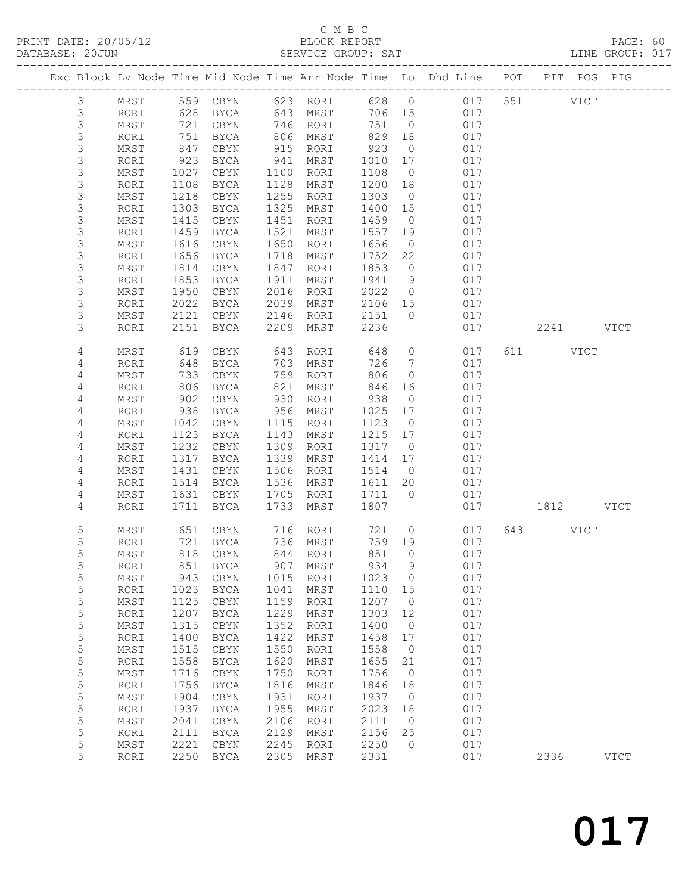# C M B C<br>BLOCK REPORT

| DATABASE: 20JUN |      |                  |                    |      | SERVICE GROUP: SAT   |         |                |                                                                                |               | LINE GROUP: 017 |
|-----------------|------|------------------|--------------------|------|----------------------|---------|----------------|--------------------------------------------------------------------------------|---------------|-----------------|
|                 |      |                  | ------------------ |      |                      |         |                | Exc Block Lv Node Time Mid Node Time Arr Node Time Lo Dhd Line POT PIT POG PIG |               |                 |
| 3               |      |                  |                    |      |                      |         |                | MRST 559 CBYN 623 RORI 628 0 017 551 VTCT                                      |               |                 |
| 3               | RORI | 628              |                    |      | BYCA 643 MRST        |         |                | 706 15<br>017                                                                  |               |                 |
| 3               | MRST | 721              | CBYN               |      | 746 RORI             | 751     | $\overline{0}$ | 017                                                                            |               |                 |
| $\mathsf S$     | RORI | 751              | BYCA               |      |                      | 829     | 18             | 017                                                                            |               |                 |
| $\mathsf S$     | MRST | 847              | CBYN               |      | 806 MRST<br>915 RORI | 923     | $\overline{0}$ | 017                                                                            |               |                 |
| $\mathsf S$     | RORI | 923              | BYCA               |      | 941 MRST             | 1010    | 17             | 017                                                                            |               |                 |
| 3               | MRST | 1027             | CBYN               | 1100 | RORI                 | 1108    | $\overline{0}$ | 017                                                                            |               |                 |
| $\mathsf S$     | RORI | 1108             | BYCA               |      | 1128 MRST            | 1200 18 |                | 017                                                                            |               |                 |
| $\mathsf 3$     | MRST | 1218             | CBYN               | 1255 | RORI                 | 1303    | $\overline{0}$ | 017                                                                            |               |                 |
| 3               | RORI | 1303             | BYCA               | 1325 | MRST                 | 1400 15 |                | 017                                                                            |               |                 |
| 3               | MRST | 1415             | CBYN               | 1451 | RORI                 | 1459    | $\overline{0}$ | 017                                                                            |               |                 |
| $\mathsf S$     | RORI | 1459             | BYCA               | 1521 | MRST                 | 1557 19 |                | 017                                                                            |               |                 |
| $\mathsf 3$     | MRST | 1616             | CBYN               |      | 1650 RORI            | 1656    | $\overline{0}$ | 017                                                                            |               |                 |
| 3               | RORI | 1656             | BYCA               | 1718 | MRST                 | 1752    | 22             | 017                                                                            |               |                 |
| $\mathsf S$     | MRST | 1814             | CBYN               | 1847 | RORI                 | 1853    | $\overline{0}$ | 017                                                                            |               |                 |
| 3               | RORI | 1853             | BYCA               | 1911 | MRST                 | 1941    | 9              | 017                                                                            |               |                 |
| 3               | MRST | 1950             | CBYN               | 2016 | RORI                 | 2022    | $\overline{0}$ | 017                                                                            |               |                 |
| 3               | RORI | 2022             | BYCA               | 2039 | MRST                 | 2106 15 |                | 017                                                                            |               |                 |
| 3               | MRST | 2121             | CBYN 2146          |      | RORI                 | 2151    | $\overline{0}$ | 017                                                                            |               |                 |
| 3               | RORI | 2151             | BYCA               | 2209 | MRST                 | 2236    |                | 017                                                                            | 2241 VTCT     |                 |
|                 |      |                  |                    |      |                      |         |                |                                                                                |               |                 |
| 4               | MRST | 619              | CBYN               | 643  | RORI                 | 648     |                | $\overline{0}$<br>017                                                          | 611 VTCT      |                 |
| 4               | RORI | 648              | BYCA               |      | 703 MRST             | 726     | $\overline{7}$ | 017                                                                            |               |                 |
| 4               | MRST |                  | CBYN               |      | 759 RORI             | 806     | $\overline{0}$ | 017                                                                            |               |                 |
| 4               | RORI | $^{7}$ 33<br>806 | BYCA               |      | 821 MRST             | 846     | 16             | 017                                                                            |               |                 |
| 4               | MRST | 902              | CBYN               | 930  | RORI                 | 938     | $\overline{0}$ | 017                                                                            |               |                 |
| 4               | RORI | 938              | BYCA               |      | 956 MRST             | 1025    | 17             | 017                                                                            |               |                 |
| 4               | MRST | 1042             | CBYN               | 1115 | RORI                 | 1123    | $\overline{0}$ | 017                                                                            |               |                 |
| 4               | RORI | 1123             | BYCA               |      | 1143 MRST            | 1215 17 |                | 017                                                                            |               |                 |
| 4               | MRST | 1232             | CBYN               | 1309 | RORI                 | 1317    | $\overline{0}$ | 017                                                                            |               |                 |
| 4               | RORI | 1317             | BYCA               | 1339 | MRST                 | 1414    | 17             | 017                                                                            |               |                 |
| 4               | MRST | 1431             | CBYN               | 1506 | RORI                 | 1514    | $\overline{0}$ | 017                                                                            |               |                 |
| 4               | RORI | 1514             | BYCA               |      | 1536 MRST            | 1611 20 |                | 017                                                                            |               |                 |
| 4               | MRST | 1631             | CBYN               | 1705 | RORI                 | 1711 0  |                | 017                                                                            |               |                 |
| 4               | RORI | 1711             | <b>BYCA</b>        | 1733 | MRST                 | 1807    |                |                                                                                | 017 1812 VTCT |                 |
| 5               | MRST | 651              | CBYN               |      | 716 RORI<br>736 MRST | 721 0   |                | 017                                                                            | 643 VTCT      |                 |
| 5               | RORI |                  | $721$ BYCA         |      |                      |         | 759 19         | 017                                                                            |               |                 |
| 5               |      |                  |                    |      |                      |         |                | MRST 818 CBYN 844 RORI 851 0 017                                               |               |                 |
| 5               | RORI | 851              | BYCA               | 907  | <b>MRST</b>          | 934     | 9              | 017                                                                            |               |                 |
| 5               | MRST | 943              | CBYN               | 1015 | RORI                 | 1023    | $\overline{0}$ | 017                                                                            |               |                 |
| 5               | RORI | 1023             | BYCA               | 1041 | MRST                 | 1110    | 15             | 017                                                                            |               |                 |
| 5               | MRST | 1125             | CBYN               | 1159 | RORI                 | 1207    | $\overline{0}$ | 017                                                                            |               |                 |
| 5               | RORI | 1207             | BYCA               | 1229 | MRST                 | 1303    | 12             | 017                                                                            |               |                 |
| $\mathsf S$     | MRST | 1315             | CBYN               | 1352 | RORI                 | 1400    | $\overline{0}$ | 017                                                                            |               |                 |
| 5               | RORI | 1400             | BYCA               | 1422 | MRST                 | 1458    | 17             | 017                                                                            |               |                 |
| 5               | MRST | 1515             | CBYN               | 1550 | RORI                 | 1558    | $\overline{0}$ | 017                                                                            |               |                 |
| 5               | RORI | 1558             | BYCA               | 1620 | MRST                 | 1655    | 21             | 017                                                                            |               |                 |
| 5               | MRST | 1716             | CBYN               | 1750 | RORI                 | 1756    | $\overline{0}$ | 017                                                                            |               |                 |
| 5               | RORI | 1756             | BYCA               | 1816 | MRST                 | 1846    | 18             | 017                                                                            |               |                 |
| 5               | MRST | 1904             | CBYN               | 1931 | RORI                 | 1937    | $\overline{0}$ | 017                                                                            |               |                 |
| 5               | RORI | 1937             | <b>BYCA</b>        | 1955 | MRST                 | 2023    | 18             | 017                                                                            |               |                 |
| 5               | MRST | 2041             | $\tt CBYN$         | 2106 | RORI                 | 2111    | $\overline{0}$ | 017                                                                            |               |                 |
| 5               | RORI | 2111             | <b>BYCA</b>        | 2129 | MRST                 | 2156    | 25             | 017                                                                            |               |                 |
| 5               | MRST | 2221             | $\tt CBYN$         | 2245 | RORI                 | 2250    | $\overline{0}$ | 017                                                                            |               |                 |
| 5               | RORI |                  | 2250 BYCA          | 2305 | MRST                 | 2331    |                | 017                                                                            | 2336          | <b>VTCT</b>     |
|                 |      |                  |                    |      |                      |         |                |                                                                                |               |                 |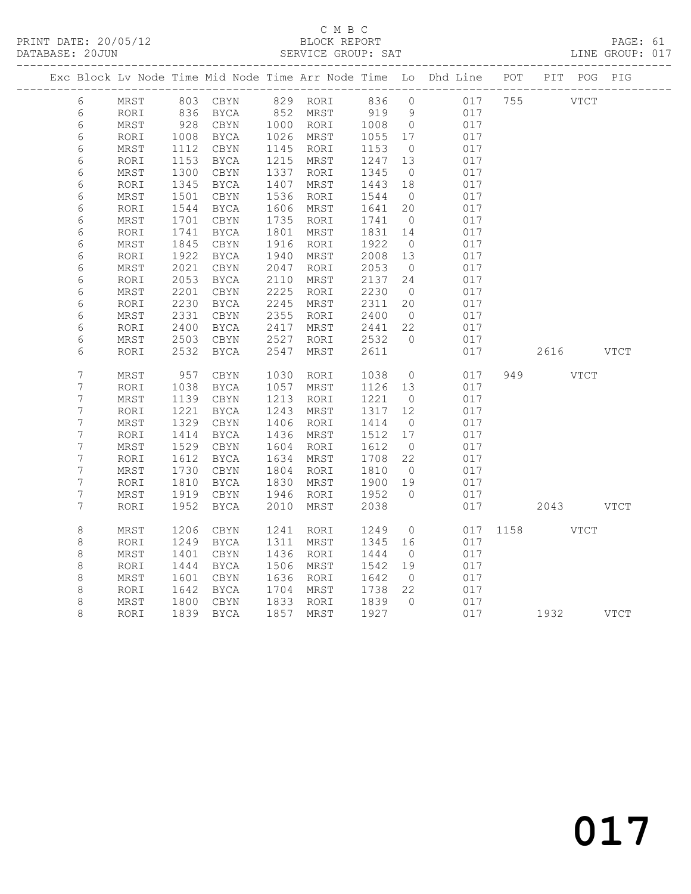#### C M B C<br>BLOCK REPORT SERVICE GROUP: SAT

|                  |              |              |                         |              |              |              |                      | Exc Block Lv Node Time Mid Node Time Arr Node Time Lo Dhd Line POT PIT POG PIG |               |  |
|------------------|--------------|--------------|-------------------------|--------------|--------------|--------------|----------------------|--------------------------------------------------------------------------------|---------------|--|
| 6                | MRST         |              | 803 CBYN 829 RORI 836 0 |              |              |              |                      | 017 755                                                                        | <b>VTCT</b>   |  |
| 6                | RORI         | 836<br>928   | BYCA                    | 852          | MRST         | 919          | 9                    | 017                                                                            |               |  |
| 6                | MRST         |              | CBYN                    |              | 1000 RORI    | 1008         | $\overline{0}$       | 017                                                                            |               |  |
| 6                | RORI         | 1008         | BYCA                    |              | 1026 MRST    | 1055         | 17                   | 017                                                                            |               |  |
| 6                | MRST         | 1112         | CBYN                    | 1145         | RORI         | 1153         | $\overline{0}$       | 017                                                                            |               |  |
| 6                | RORI         | 1153         | BYCA                    | 1215         | MRST         | 1247         | 13                   | 017                                                                            |               |  |
| $\epsilon$       | MRST         | 1300         | CBYN                    | 1337         | RORI         | 1345         | $\overline{0}$       | 017                                                                            |               |  |
| 6                | RORI         | 1345         | BYCA                    | 1407         | MRST         | 1443         | 18                   | 017                                                                            |               |  |
| 6                | MRST         | 1501         | CBYN                    | 1536         | RORI         | 1544         | $\overline{0}$       | 017                                                                            |               |  |
| 6                | $\tt RORI$   | 1544         | BYCA                    | 1606         | MRST         | 1641         | 20                   | 017                                                                            |               |  |
| 6                | MRST         | 1701         | CBYN                    | 1735         | RORI         | 1741         | $\overline{0}$       | 017                                                                            |               |  |
| $\epsilon$       | RORI         | 1741         | <b>BYCA</b>             | 1801         | MRST         | 1831         | 14                   | 017                                                                            |               |  |
| $\epsilon$       | MRST         | 1845         | $\tt CBYN$              | 1916         | RORI         | 1922         | $\overline{0}$       | 017                                                                            |               |  |
| $\epsilon$       | RORI         | 1922         | <b>BYCA</b>             | 1940         | MRST         | 2008         | 13                   | 017                                                                            |               |  |
| 6                | MRST<br>RORI | 2021<br>2053 | CBYN<br>BYCA            | 2047<br>2110 | RORI<br>MRST | 2053<br>2137 | $\overline{0}$<br>24 | 017<br>017                                                                     |               |  |
| 6<br>6           | MRST         | 2201         | $\tt CBYN$              | 2225         | RORI         | 2230         | $\overline{0}$       | 017                                                                            |               |  |
| 6                | RORI         | 2230         | BYCA                    | 2245         | MRST         | 2311         | 20                   | 017                                                                            |               |  |
| 6                | MRST         | 2331         | $\tt CBYN$              | 2355         | RORI         | 2400         | $\overline{0}$       | 017                                                                            |               |  |
| 6                | RORI         | 2400         | BYCA                    | 2417         | MRST         | 2441         | 22                   | 017                                                                            |               |  |
| $\epsilon$       | MRST         | 2503         | CBYN                    | 2527         | RORI         | 2532         | $\bigcirc$           | 017                                                                            |               |  |
| 6                | RORI         | 2532         | BYCA                    | 2547         | MRST         | 2611         |                      | 017                                                                            | 2616 VTCT     |  |
|                  |              |              |                         |              |              |              |                      |                                                                                |               |  |
| $\overline{7}$   | MRST         | 957          | CBYN                    | 1030         | RORI         | 1038         | $\overline{0}$       | 017                                                                            | 949 VTCT      |  |
| $\overline{7}$   | RORI         | 1038         | BYCA                    | 1057         | MRST         | 1126         | 13                   | 017                                                                            |               |  |
| 7                | MRST         | 1139         | CBYN                    | 1213         | RORI         | 1221         | $\overline{0}$       | 017                                                                            |               |  |
| $\boldsymbol{7}$ | RORI         | 1221         | BYCA                    | 1243         | MRST         | 1317         | 12                   | 017                                                                            |               |  |
| 7                | MRST         | 1329         | CBYN                    | 1406         | RORI         | 1414         | $\overline{0}$       | 017                                                                            |               |  |
| $\boldsymbol{7}$ | RORI         | 1414         | BYCA                    | 1436         | MRST         | 1512         | 17                   | 017                                                                            |               |  |
| $\overline{7}$   | MRST         | 1529         | CBYN                    | 1604         | RORI         | 1612         | $\overline{0}$       | 017                                                                            |               |  |
| $\overline{7}$   | RORI         | 1612         | BYCA                    | 1634         | MRST         | 1708         | 22                   | 017                                                                            |               |  |
| $\overline{7}$   | MRST         | 1730         | CBYN                    | 1804         | RORI         | 1810         | $\overline{0}$       | 017                                                                            |               |  |
| $\overline{7}$   | RORI         | 1810         | BYCA                    | 1830         | MRST         | 1900         | 19                   | 017                                                                            |               |  |
| $\boldsymbol{7}$ | MRST         | 1919         | CBYN                    | 1946         | RORI         | 1952         | $\bigcirc$           | 017                                                                            |               |  |
| 7                | RORI         | 1952         | BYCA                    | 2010         | MRST         | 2038         |                      | 017                                                                            | 2043 VTCT     |  |
|                  |              |              |                         |              |              |              |                      |                                                                                |               |  |
| $\,8\,$          | MRST         | 1206         | $\tt CBYN$              | 1241         | RORI         | 1249         | $\circ$              |                                                                                | 017 1158 VTCT |  |
| $\,8\,$          | RORI         | 1249         | BYCA                    | 1311         | MRST         | 1345         | 16                   | 017                                                                            |               |  |
| 8                | MRST         | 1401         | $\tt CBYN$              | 1436         | RORI         | 1444         | $\overline{0}$       | 017                                                                            |               |  |
| $\,8\,$          | RORI         | 1444         | BYCA                    | 1506         | MRST         | 1542         | 19                   | 017                                                                            |               |  |
| $\,8\,$          | MRST         | 1601         | CBYN                    | 1636         | RORI         | 1642         | $\overline{0}$       | 017                                                                            |               |  |
| $\,8\,$          | RORI         | 1642         | BYCA                    | 1704         | MRST         | 1738         | 22                   | 017                                                                            |               |  |
| $\,8\,$          | MRST         | 1800         | CBYN                    | 1833         | RORI         | 1839         | $\overline{0}$       | 017                                                                            |               |  |
| 8                | RORI         |              | 1839 BYCA               |              | 1857 MRST    | 1927         |                      | 017                                                                            | 1932 VTCT     |  |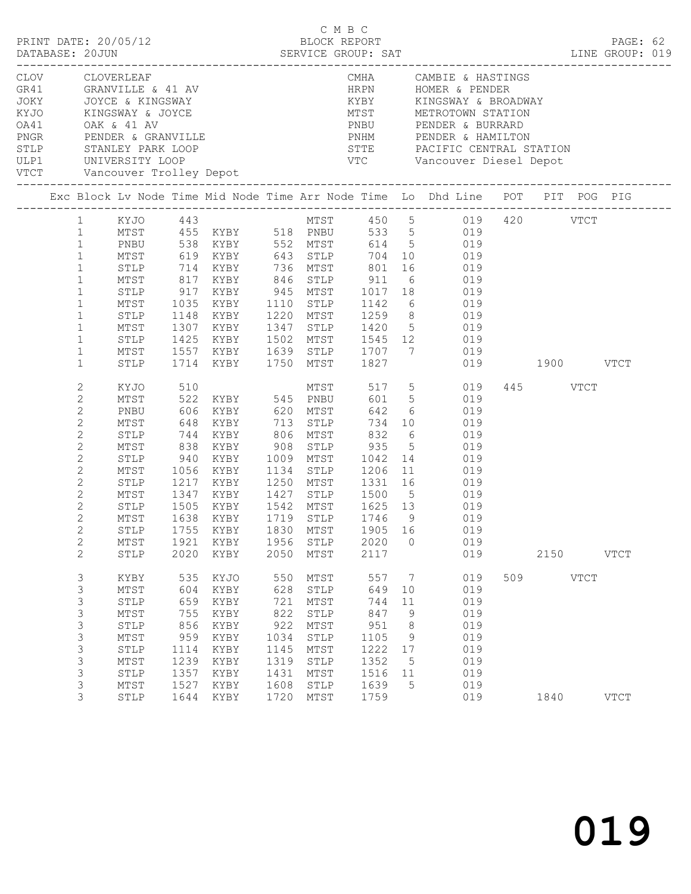|  |                                                                                                                                                                                                                                               |                                                                                                |                                                                                |                                                                                                                         |                                                                                 | C M B C                                                                                         |                                                                                 |                                                    | LINE GROUP: 019                                                                                                                                                                                                                                                                                                                                                                                                                                                     |     |                  |             | PAGE: 62    |  |
|--|-----------------------------------------------------------------------------------------------------------------------------------------------------------------------------------------------------------------------------------------------|------------------------------------------------------------------------------------------------|--------------------------------------------------------------------------------|-------------------------------------------------------------------------------------------------------------------------|---------------------------------------------------------------------------------|-------------------------------------------------------------------------------------------------|---------------------------------------------------------------------------------|----------------------------------------------------|---------------------------------------------------------------------------------------------------------------------------------------------------------------------------------------------------------------------------------------------------------------------------------------------------------------------------------------------------------------------------------------------------------------------------------------------------------------------|-----|------------------|-------------|-------------|--|
|  |                                                                                                                                                                                                                                               | CLOV CLOVERLEAF                                                                                |                                                                                | GR41 GRANVILLE & 41 AV<br>JOKY JOYCE & KINGSWAY<br>KYJO KINGSWAY & JOYCE<br>OA41 OAK & 41 AV<br>PNGR PENDER (CONVILLED) |                                                                                 |                                                                                                 |                                                                                 |                                                    | CMHA CAMBIE & HASTINGS<br>OA41 OAK & 41 AV<br>PRIDER & BURRARD<br>PRIDER & ENDER & GRANVILLE<br>STLP STANLEY PARK LOOP<br>ULP1 UNIVERSITY LOOP<br>TRIDER & HAMILTON<br>PENDER & HAMILTON<br>PENDER & HAMILTON<br>PENDER & HAMILTON<br>PENDER & HAMILTON<br>PENDER & HAMILTON                                                                                                                                                                                        |     |                  |             |             |  |
|  |                                                                                                                                                                                                                                               |                                                                                                |                                                                                |                                                                                                                         |                                                                                 |                                                                                                 |                                                                                 |                                                    | Exc Block Lv Node Time Mid Node Time Arr Node Time Lo Dhd Line POT PIT POG PIG                                                                                                                                                                                                                                                                                                                                                                                      |     |                  |             |             |  |
|  | $\mathbf{1}$<br>$\mathbf{1}$<br>$\mathbf{1}$<br>$\mathbf{1}$<br>$\mathbf{1}$<br>$\mathbf{1}$<br>$\mathbf{1}$<br>$\mathbf{1}$<br>$\mathbf{1}$<br>$\mathbf{1}$                                                                                  | MTST<br>MTST<br>STLP<br>MTST<br>STLP                                                           |                                                                                | 1714 KYBY 1750 MTST 1827                                                                                                |                                                                                 |                                                                                                 |                                                                                 |                                                    | 1 KYJO 443 MTST 450 5 019 420 VTCT<br>1 MTST 455 KYBY 518 PNBU 533 5 019<br>1 PNBU 538 KYBY 552 MTST 614 5 019<br>619 KYBY 643 STLP 704 10 019<br>STLP 714 KYBY 736 MTST 801 16 019<br>MTST 817 KYBY 846 STLP 911 6 019<br>STLP 917 KYBY 945 MTST 1017 18 019<br>MTST 1035 KYBY 1110 STLP 1142 6 019<br>STLP 1148 KYBY 1220 MTST 1259 8 019<br>1307 KYBY 1347 STLP 1420 5 019<br>1425 KYBY 1502 MTST 1545 12 019<br>1557 KYBY 1639 STLP 1707 7 019<br>019 1900 VTCT |     |                  |             |             |  |
|  | $\mathbf{2}$<br>$\mathbf{2}$<br>$\mathbf{2}$<br>$\mathbf{2}$<br>$\mathbf{2}$<br>$\mathbf{2}$<br>$\mathbf{2}$<br>$\mathbf{2}$<br>$\mathbf{2}$<br>$\mathbf{2}$<br>$\mathbf{2}$<br>$\overline{2}$<br>$2^{\circ}$<br>$\mathbf{2}$<br>$\mathbf{2}$ | PNBU<br>MTST<br>STLP<br>MTST<br>STLP<br>MTST<br>STLP<br>MTST<br>MTST<br>MTST<br>STLP           | 648<br>1921<br>2020                                                            | KYBY 713 STLP<br>1056 KYBY<br>1638 KYBY 1719 STLP<br>STLP 1755 KYBY 1830 MTST 1905 16<br>KYBY<br>KYBY                   | 1956<br>2050                                                                    | 1134 STLP 1206<br>STLP<br>MTST                                                                  | 734<br>1746 9<br>2020<br>2117                                                   | $\circ$                                            | XYJO 510 MTST 517 5 019<br>MTST 522 KYBY 545 PNBU 601 5 019<br>606 KYBY 620 MTST 642 6 019<br>10 019<br>6 019<br>5 019<br>940 KYBY 1009 MTST 1042 14 019<br>11 019<br>1217 KYBY 1250 MTST 1331 16 019<br>1347 KYBY 1427 STLP 1500 5 019<br>STLP 1505 KYBY 1542 MTST 1625 13 019<br>019<br>019<br>019<br>019                                                                                                                                                         |     | 445 VTCT<br>2150 |             | <b>VTCT</b> |  |
|  | 3<br>3<br>3<br>3<br>3<br>$\mathsf S$<br>3<br>3<br>3<br>3<br>3                                                                                                                                                                                 | KYBY<br>$MTST$<br>STLP<br>MTST<br>STLP<br>MTST<br>STLP<br>MTST<br>STLP<br>MTST<br>${\tt STLP}$ | 535<br>604<br>659<br>755<br>856<br>959<br>1114<br>1239<br>1357<br>1527<br>1644 | KYJO<br>KYBY<br>KYBY<br>KYBY<br>KYBY<br>KYBY<br>KYBY<br>KYBY<br>KYBY<br>KYBY<br>KYBY                                    | 550<br>628<br>721<br>822<br>922<br>1034<br>1145<br>1319<br>1431<br>1608<br>1720 | MTST<br>STLP<br>MTST<br>STLP<br>$\mathtt{MTST}$<br>STLP<br>MTST<br>STLP<br>MTST<br>STLP<br>MTST | 557<br>649<br>744<br>847<br>951<br>1105<br>1222<br>1352<br>1516<br>1639<br>1759 | 7<br>10<br>11<br>9<br>8<br>9<br>17<br>5<br>11<br>5 | 019<br>019<br>019<br>019<br>019<br>019<br>019<br>019<br>019<br>019<br>019                                                                                                                                                                                                                                                                                                                                                                                           | 509 | 1840             | <b>VTCT</b> | <b>VTCT</b> |  |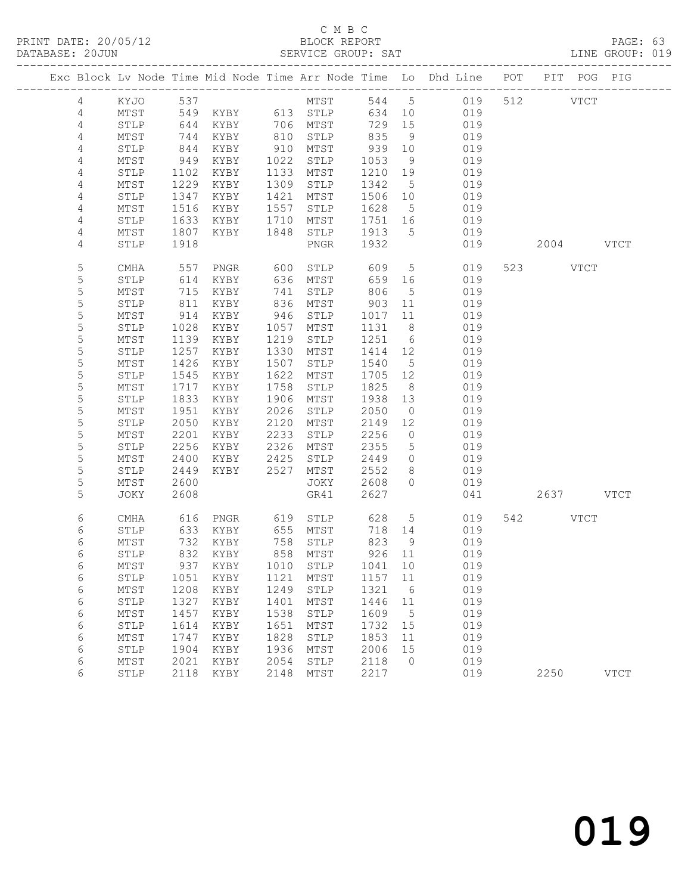#### C M B C<br>BLOCK REPORT SERVICE GROUP: SAT

|                |              |      |                            |      |          |         |                 | Exc Block Lv Node Time Mid Node Time Arr Node Time Lo Dhd Line POT |           | PIT POG PIG |             |
|----------------|--------------|------|----------------------------|------|----------|---------|-----------------|--------------------------------------------------------------------|-----------|-------------|-------------|
| 4              |              |      |                            |      |          |         |                 | 544 5 019                                                          | 512 VTCT  |             |             |
| 4              |              |      |                            |      |          | 634 10  |                 | 019                                                                |           |             |             |
| 4              | STLP         | 644  | KYBY                       |      | 706 MTST | 729     | 15              | 019                                                                |           |             |             |
| 4              | MTST         | 744  | KYBY                       | 810  | STLP     | 835     | - 9             | 019                                                                |           |             |             |
| 4              | STLP         | 844  | KYBY                       | 910  | MTST     | 939     | 10              | 019                                                                |           |             |             |
| 4              | MTST         | 949  | KYBY                       | 1022 | STLP     | 1053    | 9               | 019                                                                |           |             |             |
| 4              | STLP         | 1102 | KYBY                       | 1133 | MTST     | 1210    | 19              | 019                                                                |           |             |             |
| 4              | MTST         | 1229 | KYBY                       | 1309 | STLP     | 1342    | $5^{\circ}$     | 019                                                                |           |             |             |
| 4              | STLP         | 1347 | KYBY                       | 1421 | MTST     | 1506    | 10              | 019                                                                |           |             |             |
| $\overline{4}$ | MTST         | 1516 | KYBY                       | 1557 | STLP     | 1628    | $5\overline{)}$ | 019                                                                |           |             |             |
| 4              | STLP         | 1633 | KYBY                       | 1710 | MTST     | 1751 16 |                 | 019                                                                |           |             |             |
| 4              | MTST         | 1807 | KYBY                       | 1848 | STLP     | 1913    | $5^{\circ}$     | 019                                                                |           |             |             |
| 4              | STLP         | 1918 |                            |      | PNGR     | 1932    |                 | 019                                                                | 2004 VTCT |             |             |
| 5              | CMHA         | 557  | PNGR                       | 600  | STLP     | 609     | $5\overline{)}$ | 019                                                                | 523 VTCT  |             |             |
| 5              | STLP         | 614  | KYBY                       | 636  | MTST     | 659     | 16              | 019                                                                |           |             |             |
| 5              | MTST         | 715  | KYBY                       | 741  | STLP     | 806     | $5^{\circ}$     | 019                                                                |           |             |             |
| $\mathsf S$    | STLP         | 811  | KYBY                       | 836  | MTST     | 903     | 11              | 019                                                                |           |             |             |
| 5              | MTST         | 914  | KYBY                       | 946  | STLP     | 1017    | 11              | 019                                                                |           |             |             |
| 5              | STLP         | 1028 | KYBY                       | 1057 | MTST     | 1131    | 8 <sup>8</sup>  | 019                                                                |           |             |             |
| 5              | MTST         | 1139 | KYBY                       | 1219 | STLP     | 1251    | 6               | 019                                                                |           |             |             |
| 5              | STLP         | 1257 | KYBY                       | 1330 | MTST     | 1414    | 12              | 019                                                                |           |             |             |
| 5              | MTST         | 1426 | KYBY                       | 1507 | STLP     | 1540    | $5\overline{)}$ | 019                                                                |           |             |             |
| 5              | STLP         | 1545 | KYBY                       | 1622 | MTST     | 1705    | 12              | 019                                                                |           |             |             |
| 5              | MTST         | 1717 | KYBY                       | 1758 | STLP     | 1825    | 8 <sup>8</sup>  | 019                                                                |           |             |             |
| $\mathsf S$    | STLP         | 1833 | KYBY                       | 1906 | MTST     | 1938    | 13              | 019                                                                |           |             |             |
| 5              | MTST         | 1951 | KYBY                       | 2026 | STLP     | 2050    | $\overline{0}$  | 019                                                                |           |             |             |
| 5              | STLP         | 2050 | KYBY                       | 2120 | MTST     | 2149    | 12              | 019                                                                |           |             |             |
| 5              | MTST         | 2201 | KYBY                       | 2233 | STLP     | 2256    | $\overline{0}$  | 019                                                                |           |             |             |
| 5              | STLP         | 2256 | KYBY                       | 2326 | MTST     | 2355    | $5\overline{)}$ | 019                                                                |           |             |             |
| 5              | MTST         | 2400 | KYBY                       | 2425 | STLP     | 2449    | $\circ$         | 019                                                                |           |             |             |
| 5              | STLP         | 2449 | KYBY                       | 2527 | MTST     | 2552    | 8               | 019                                                                |           |             |             |
| 5              | MTST         | 2600 |                            |      | JOKY     | 2608    | $\Omega$        | 019                                                                |           |             |             |
| 5              | JOKY         | 2608 |                            |      | GR41     | 2627    |                 | 041                                                                | 2637 VTCT |             |             |
| 6              | CMHA         | 616  | PNGR                       | 619  | STLP     | 628     | 5 <sup>5</sup>  | 019                                                                | 542 VTCT  |             |             |
| 6              | STLP         | 633  | KYBY                       |      | 655 MTST | 718 14  |                 | 019                                                                |           |             |             |
| 6              | MTST         | 732  | KYBY                       | 758  | STLP     | 823     | 9               | 019                                                                |           |             |             |
| 6              | STLP         | 832  | KYBY                       |      | 858 MTST | 926 11  |                 | 019                                                                |           |             |             |
| 6              | ${\tt MTST}$ |      | 937 KYBY 1010 STLP 1041 10 |      |          |         |                 | 019                                                                |           |             |             |
| 6              | STLP         | 1051 | KYBY                       | 1121 | MTST     | 1157 11 |                 | 019                                                                |           |             |             |
| 6              | MTST         | 1208 | KYBY                       | 1249 | STLP     | 1321    | 6               | 019                                                                |           |             |             |
| 6              | STLP         | 1327 | KYBY                       | 1401 | MTST     | 1446    | 11              | 019                                                                |           |             |             |
| 6              | MTST         | 1457 | KYBY                       | 1538 | STLP     | 1609    | $5^{\circ}$     | 019                                                                |           |             |             |
| 6              | STLP         | 1614 | KYBY                       | 1651 | MTST     | 1732    | 15              | 019                                                                |           |             |             |
| 6              | MTST         | 1747 | KYBY                       | 1828 | STLP     | 1853    | 11              | 019                                                                |           |             |             |
| 6              | STLP         | 1904 | KYBY                       | 1936 | MTST     | 2006    | 15              | 019                                                                |           |             |             |
| 6              | MTST         | 2021 | KYBY                       | 2054 | STLP     | 2118    | $\overline{0}$  | 019                                                                |           |             |             |
| 6              | STLP         | 2118 | KYBY                       | 2148 | MTST     | 2217    |                 | 019                                                                | 2250      |             | <b>VTCT</b> |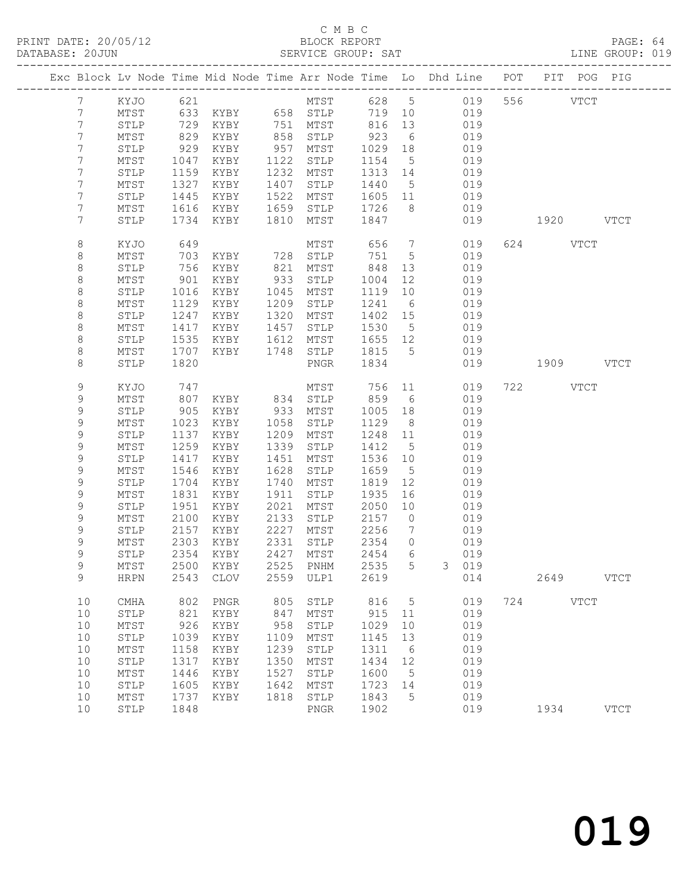## C M B C<br>BLOCK REPORT

| DATABASE: 20JUN             |                 |      |               |      | SERVICE GROUP: SAT         |         |                 |                                                                                |           |          |           | LINE GROUP: 019 |  |
|-----------------------------|-----------------|------|---------------|------|----------------------------|---------|-----------------|--------------------------------------------------------------------------------|-----------|----------|-----------|-----------------|--|
|                             |                 |      |               |      |                            |         |                 | Exc Block Lv Node Time Mid Node Time Arr Node Time Lo Dhd Line POT PIT POG PIG |           |          |           |                 |  |
| $7\phantom{0}$              | KYJO 621        |      |               |      |                            |         |                 | MTST 628 5 019 556 VTCT                                                        |           |          |           |                 |  |
| 7                           | MTST            |      |               |      | 633 KYBY 658 STLP          |         |                 | 719 10 019                                                                     |           |          |           |                 |  |
| 7                           | STLP            | 729  |               |      | KYBY 751 MTST 816          |         | 13              | 019                                                                            |           |          |           |                 |  |
| $\overline{7}$              | MTST            | 829  | KYBY          |      |                            | 923     | $6\overline{6}$ | 019                                                                            |           |          |           |                 |  |
| 7                           | STLP            | 929  | KYBY          |      | 858 STLP<br>957 MTST       | 1029    | 18              | 019                                                                            |           |          |           |                 |  |
| 7                           | MTST            | 1047 | KYBY          | 1122 | STLP                       | 1154    | $5\overline{)}$ | 019                                                                            |           |          |           |                 |  |
| 7                           | STLP            | 1159 | KYBY          |      | 1232 MTST                  | 1313 14 |                 | 019                                                                            |           |          |           |                 |  |
| 7                           | MTST            | 1327 | KYBY          | 1407 | STLP                       | 1440 5  |                 | 019                                                                            |           |          |           |                 |  |
| 7                           | STLP            | 1445 | KYBY          | 1522 | MTST                       | 1605 11 |                 | 019                                                                            |           |          |           |                 |  |
| 7                           | MTST            | 1616 | KYBY          | 1659 | STLP                       | 1726    | 8 <sup>8</sup>  | 019                                                                            |           |          |           |                 |  |
| 7                           | STLP            | 1734 | KYBY          | 1810 | MTST                       | 1847    |                 | 019                                                                            | 1920 VTCT |          |           |                 |  |
| 8                           | KYJO            | 649  |               |      | MTST                       | 656     | $7\overline{ }$ | 019                                                                            |           | 624 VTCT |           |                 |  |
| 8                           | MTST            | 703  | KYBY 728      |      | STLP                       | 751     | $5^{\circ}$     | 019                                                                            |           |          |           |                 |  |
| $\,8\,$                     | STLP            | 756  | KYBY          | 821  | MTST                       | 848     | 13              | 019                                                                            |           |          |           |                 |  |
| $\,8\,$                     | MTST            | 901  | KYBY          | 933  | STLP                       | 1004    | 12              | 019                                                                            |           |          |           |                 |  |
| $\,8\,$                     | STLP            | 1016 | KYBY          | 1045 | MTST                       | 1119    | 10              | 019                                                                            |           |          |           |                 |  |
| 8                           | MTST            | 1129 | KYBY          | 1209 | STLP                       | 1241    | 6               | 019                                                                            |           |          |           |                 |  |
| 8                           | STLP            | 1247 | KYBY          | 1320 | MTST                       | 1402 15 |                 | 019                                                                            |           |          |           |                 |  |
| 8                           | MTST            | 1417 | KYBY          | 1457 | STLP                       | 1530    | $5\overline{)}$ | 019                                                                            |           |          |           |                 |  |
| $\,8\,$                     | ${\tt STLP}$    | 1535 | KYBY          | 1612 | MTST                       | 1655 12 |                 | 019                                                                            |           |          |           |                 |  |
| 8                           | MTST            | 1707 | KYBY          | 1748 | STLP                       | 1815 5  |                 | 019                                                                            |           |          |           |                 |  |
| 8                           | STLP            | 1820 |               |      | PNGR                       | 1834    |                 | 019                                                                            | 1909 VTCT |          |           |                 |  |
| 9                           | KYJO            | 747  |               |      | MTST                       | 756 11  |                 | 019                                                                            |           | 722 VTCT |           |                 |  |
| 9                           | MTST            | 807  | KYBY 834 STLP |      |                            | 859     | 6               | 019                                                                            |           |          |           |                 |  |
| 9                           | STLP            | 905  | KYBY 933      |      | MTST                       | 1005    | 18              | 019                                                                            |           |          |           |                 |  |
| 9                           | MTST            | 1023 | KYBY          | 1058 | STLP                       | 1129    | 8 <sup>8</sup>  | 019                                                                            |           |          |           |                 |  |
| 9                           | STLP            | 1137 | KYBY          |      | 1209 MTST                  | 1248 11 |                 | 019                                                                            |           |          |           |                 |  |
| 9                           | MTST            | 1259 | KYBY          | 1339 | STLP                       | 1412    | $5^{\circ}$     | 019                                                                            |           |          |           |                 |  |
| 9                           | ${\tt STLP}$    | 1417 | KYBY          | 1451 | MTST                       | 1536 10 |                 | 019                                                                            |           |          |           |                 |  |
| 9                           | MTST            | 1546 | KYBY          | 1628 | STLP                       | 1659    | $5^{\circ}$     | 019                                                                            |           |          |           |                 |  |
| 9                           | STLP            | 1704 | KYBY          | 1740 | MTST                       | 1819    | 12              | 019                                                                            |           |          |           |                 |  |
| $\mathsf 9$                 | MTST            | 1831 | KYBY          | 1911 | STLP                       | 1935    | 16              | 019                                                                            |           |          |           |                 |  |
| 9                           | STLP            | 1951 | KYBY          | 2021 | MTST                       | 2050    | 10              | 019                                                                            |           |          |           |                 |  |
| 9                           | MTST            | 2100 | KYBY          | 2133 | STLP                       | 2157    | $\overline{0}$  | 019                                                                            |           |          |           |                 |  |
| 9                           | STLP            | 2157 | KYBY          | 2227 | MTST                       | 2256    | $\overline{7}$  | 019                                                                            |           |          |           |                 |  |
| $\mathsf 9$<br>$\mathsf{Q}$ | MTST            | 2303 | KYBY          |      | 2331 STLP                  | 2354    | $\overline{0}$  | 019                                                                            |           |          |           |                 |  |
|                             | STLP            |      |               |      | 2354 KYBY 2427 MTST 2454 6 |         |                 | 019                                                                            |           |          |           |                 |  |
| 9                           | MTST            | 2500 | KYBY          | 2525 | PNHM                       | 2535    | 5               | 3 <sup>7</sup><br>019                                                          |           |          |           |                 |  |
| 9                           | <b>HRPN</b>     | 2543 | CLOV          | 2559 | ULP1                       | 2619    |                 | 014                                                                            |           |          | 2649 VTCT |                 |  |
| 10                          | CMHA            | 802  | PNGR          | 805  | STLP                       | 816     | $5\overline{)}$ | 019                                                                            |           | 724 VTCT |           |                 |  |
| 10                          | STLP            | 821  | KYBY          | 847  | MTST                       | 915     | 11              | 019                                                                            |           |          |           |                 |  |
| 10                          | $\mathtt{MTST}$ | 926  | KYBY          | 958  | ${\tt STLP}$               | 1029    | 10              | 019                                                                            |           |          |           |                 |  |
| 10                          | STLP            | 1039 | KYBY          | 1109 | MTST                       | 1145    | 13              | 019                                                                            |           |          |           |                 |  |
| 10                          | ${\tt MTST}$    | 1158 | KYBY          | 1239 | STLP                       | 1311    | $6\overline{6}$ | 019                                                                            |           |          |           |                 |  |
| 10                          | STLP            | 1317 | KYBY          | 1350 | MTST                       | 1434    | 12              | 019                                                                            |           |          |           |                 |  |
| 10                          | $\mathtt{MTST}$ | 1446 | KYBY          | 1527 | STLP                       | 1600    | $5^{\circ}$     | 019                                                                            |           |          |           |                 |  |
| 10                          | STLP            | 1605 | KYBY          | 1642 | MTST                       | 1723    | 14              | 019                                                                            |           |          |           |                 |  |
| 10                          | ${\tt MTST}$    | 1737 | KYBY          | 1818 | STLP                       | 1843    | $5^{\circ}$     | 019                                                                            |           |          |           |                 |  |
| 10                          | STLP            | 1848 |               |      | PNGR                       | 1902    |                 | 019                                                                            |           | 1934     |           | $_{\rm VTCT}$   |  |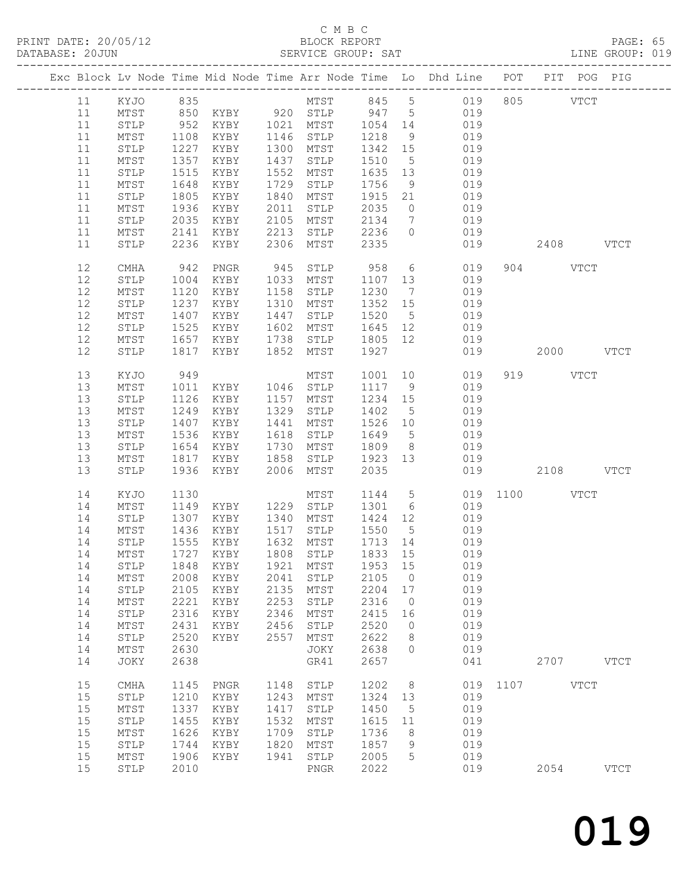# C M B C<br>BLOCK REPORT

PRINT DATE: 20/05/12 BLOCK REPORT PAGE: 65 SERVICE GROUP: SAT

| MTST 845 5 019<br>KYJO 835<br>805 VTCT<br>11<br>850 KYBY 920 STLP 947 5<br>019<br>11<br>MTST<br>KYBY 1021 MTST 1054 14<br>952<br>11<br>STLP<br>019<br>1108<br>KYBY<br>1146 STLP<br>1218<br>11<br>MTST<br>9<br>019<br>1227<br>11<br>${\tt STLP}$<br>KYBY<br>1300 MTST<br>1342 15<br>019<br>019<br>1357<br>11<br>MTST<br>KYBY<br>1437<br>STLP<br>1510<br>$5\overline{)}$<br>11<br>1515<br>KYBY<br>1552<br>1635 13<br>019<br>STLP<br>MTST<br>1648<br>1729<br>1756<br>019<br>11<br>MTST<br>KYBY<br>STLP<br>9<br>11<br>1805<br>1840<br>1915 21<br>019<br>STLP<br>KYBY<br>MTST<br>11<br>MTST<br>1936<br>KYBY<br>2011<br>STLP<br>2035<br>019<br>$\overline{0}$<br>11<br>2035<br>2105<br>2134<br>019<br>STLP<br>KYBY<br>MTST<br>$\overline{7}$<br>11<br>2141<br>2213<br>STLP<br>2236<br>$\overline{0}$<br>MTST<br>KYBY<br>019<br>11<br>2236<br>2306<br>MTST<br>2335<br>STLP<br>KYBY<br>019<br>2408 VTCT<br>12<br>942<br>945<br>958<br>$6\overline{6}$<br>904 VTCT<br>CMHA<br>PNGR<br>STLP<br>019<br>12<br>KYBY<br>1033 MTST<br>019<br>STLP<br>1004<br>1107 13<br>12<br>1120<br>1158<br>1230<br>019<br>MTST<br>KYBY<br>STLP<br>$\overline{7}$<br>12<br>1237<br>1310 MTST<br>1352 15<br>STLP<br>KYBY<br>019<br>019<br>12<br>1407<br>1520<br>MTST<br>KYBY<br>1447<br>STLP<br>$5\overline{)}$<br>12<br>1525<br>STLP<br>KYBY<br>1602<br>MTST<br>1645 12<br>019<br>12<br>MTST<br>1657<br>1738<br>STLP<br>1805 12<br>KYBY<br>019<br>1927<br>12<br>${\tt STLP}$<br>1817<br>1852 MTST<br>019<br>2000 VTCT<br>KYBY<br>13<br>949<br>1001<br>10<br>019<br>919 VTCT<br>KYJO<br>MTST<br>13<br>MTST<br>1046 STLP<br>1117 9<br>019<br>1011<br>KYBY<br>13<br>${\tt STLP}$<br>1126<br>KYBY<br>1157 MTST<br>1234 15<br>019<br>019<br>13<br>MTST<br>1249<br>KYBY<br>1329<br>1402<br>$5\overline{)}$<br>STLP<br>1407<br>KYBY<br>1441<br>1526 10<br>019<br>13<br>STLP<br>MTST<br>13<br>1536<br>1618<br>1649<br>$5\overline{)}$<br>019<br>MTST<br>KYBY<br>STLP<br>13<br>${\tt STLP}$<br>1654<br>KYBY<br>1730 MTST<br>1809<br>8 <sup>8</sup><br>019<br>13<br>1817<br>1858<br>1923 13<br>019<br>MTST<br>KYBY<br>STLP<br>2035<br>1936<br>KYBY<br>2006<br>MTST<br>019<br>2108 VTCT<br>13<br>STLP<br>1144 5<br>14<br>019 1100 VTCT<br>KYJO<br>1130<br>MTST<br>14<br>1229 STLP<br>1301 6<br>019<br>MTST<br>1149<br>KYBY<br>14<br>1307<br>1340<br>1424 12<br>019<br>STLP<br>KYBY<br>MTST<br>1436<br>1517<br>1550<br>14<br>MTST<br>KYBY<br>STLP<br>$5^{\circ}$<br>019<br>14<br>1555<br>1632 MTST<br>1713 14<br>019<br>STLP<br>KYBY<br>1833 15<br>1727<br>14<br>MTST<br>KYBY<br>1808 STLP<br>019<br>14 STLP 1848 KYBY 1921 MTST 1953 15 019<br>STLP<br>2105<br>019<br>14<br>MTST<br>2008<br>KYBY<br>2041<br>$\overline{0}$<br>14<br>2105<br>2135<br>2204 17<br>019<br>STLP<br>KYBY<br>MTST<br>2253<br>14<br>$\mathtt{MTST}$<br>2221<br>2316<br>019<br>KYBY<br>STLP<br>$\overline{0}$<br>14<br>2316<br>2346<br>019<br>STLP<br>KYBY<br>MTST<br>2415<br>16<br>2520<br>019<br>14<br>$\mathtt{MTST}$<br>2431<br>KYBY<br>2456<br>STLP<br>$\overline{0}$<br>14<br>2520<br>2557<br>2622<br>019<br>STLP<br>KYBY<br>MTST<br>8<br>14<br>2630<br>2638<br>019<br>MTST<br>JOKY<br>$\overline{0}$<br>2638<br>GR41<br>2657<br>041<br>2707 VTCT<br>14<br>JOKY<br>15<br>1148<br>1202<br>8 <sup>8</sup><br>019 1107 VTCT<br>CMHA<br>1145<br>PNGR<br>STLP<br>15<br>1210<br>1243<br>1324<br>019<br>STLP<br>KYBY<br>MTST<br>13<br>019<br>15<br>$MTST$<br>1337<br>1417<br>STLP<br>1450<br>$5^{\circ}$<br>KYBY<br>15<br>1455<br>1532<br>1615<br>019<br>STLP<br>KYBY<br>MTST<br>11<br>15<br>1626<br>1709<br>1736<br>019<br>MTST<br>KYBY<br>STLP<br>8<br>15<br>1744<br>1820<br>1857<br>9<br>019<br>STLP<br>KYBY<br>MTST<br>15<br>1906<br>1941<br>STLP<br>2005<br>019<br>MTST<br>KYBY<br>5<br>15<br>${\tt STLP}$<br>2010<br>2022<br>019<br>2054<br><b>VTCT</b><br>PNGR |  |  |  |  | Exc Block Lv Node Time Mid Node Time Arr Node Time Lo Dhd Line POT PIT POG PIG |  |  |
|-----------------------------------------------------------------------------------------------------------------------------------------------------------------------------------------------------------------------------------------------------------------------------------------------------------------------------------------------------------------------------------------------------------------------------------------------------------------------------------------------------------------------------------------------------------------------------------------------------------------------------------------------------------------------------------------------------------------------------------------------------------------------------------------------------------------------------------------------------------------------------------------------------------------------------------------------------------------------------------------------------------------------------------------------------------------------------------------------------------------------------------------------------------------------------------------------------------------------------------------------------------------------------------------------------------------------------------------------------------------------------------------------------------------------------------------------------------------------------------------------------------------------------------------------------------------------------------------------------------------------------------------------------------------------------------------------------------------------------------------------------------------------------------------------------------------------------------------------------------------------------------------------------------------------------------------------------------------------------------------------------------------------------------------------------------------------------------------------------------------------------------------------------------------------------------------------------------------------------------------------------------------------------------------------------------------------------------------------------------------------------------------------------------------------------------------------------------------------------------------------------------------------------------------------------------------------------------------------------------------------------------------------------------------------------------------------------------------------------------------------------------------------------------------------------------------------------------------------------------------------------------------------------------------------------------------------------------------------------------------------------------------------------------------------------------------------------------------------------------------------------------------------------------------------------------------------------------------------------------------------------------------------------------------------------------------------------------------------------------------------------------------------------------------------------------------------------------------------------------------------------------------------------------------------------------------------------------------------------------------------------------------------------------------------------------------------------------------------------------------------------------------------------------------------------|--|--|--|--|--------------------------------------------------------------------------------|--|--|
|                                                                                                                                                                                                                                                                                                                                                                                                                                                                                                                                                                                                                                                                                                                                                                                                                                                                                                                                                                                                                                                                                                                                                                                                                                                                                                                                                                                                                                                                                                                                                                                                                                                                                                                                                                                                                                                                                                                                                                                                                                                                                                                                                                                                                                                                                                                                                                                                                                                                                                                                                                                                                                                                                                                                                                                                                                                                                                                                                                                                                                                                                                                                                                                                                                                                                                                                                                                                                                                                                                                                                                                                                                                                                                                                                                                                     |  |  |  |  |                                                                                |  |  |
|                                                                                                                                                                                                                                                                                                                                                                                                                                                                                                                                                                                                                                                                                                                                                                                                                                                                                                                                                                                                                                                                                                                                                                                                                                                                                                                                                                                                                                                                                                                                                                                                                                                                                                                                                                                                                                                                                                                                                                                                                                                                                                                                                                                                                                                                                                                                                                                                                                                                                                                                                                                                                                                                                                                                                                                                                                                                                                                                                                                                                                                                                                                                                                                                                                                                                                                                                                                                                                                                                                                                                                                                                                                                                                                                                                                                     |  |  |  |  |                                                                                |  |  |
|                                                                                                                                                                                                                                                                                                                                                                                                                                                                                                                                                                                                                                                                                                                                                                                                                                                                                                                                                                                                                                                                                                                                                                                                                                                                                                                                                                                                                                                                                                                                                                                                                                                                                                                                                                                                                                                                                                                                                                                                                                                                                                                                                                                                                                                                                                                                                                                                                                                                                                                                                                                                                                                                                                                                                                                                                                                                                                                                                                                                                                                                                                                                                                                                                                                                                                                                                                                                                                                                                                                                                                                                                                                                                                                                                                                                     |  |  |  |  |                                                                                |  |  |
|                                                                                                                                                                                                                                                                                                                                                                                                                                                                                                                                                                                                                                                                                                                                                                                                                                                                                                                                                                                                                                                                                                                                                                                                                                                                                                                                                                                                                                                                                                                                                                                                                                                                                                                                                                                                                                                                                                                                                                                                                                                                                                                                                                                                                                                                                                                                                                                                                                                                                                                                                                                                                                                                                                                                                                                                                                                                                                                                                                                                                                                                                                                                                                                                                                                                                                                                                                                                                                                                                                                                                                                                                                                                                                                                                                                                     |  |  |  |  |                                                                                |  |  |
|                                                                                                                                                                                                                                                                                                                                                                                                                                                                                                                                                                                                                                                                                                                                                                                                                                                                                                                                                                                                                                                                                                                                                                                                                                                                                                                                                                                                                                                                                                                                                                                                                                                                                                                                                                                                                                                                                                                                                                                                                                                                                                                                                                                                                                                                                                                                                                                                                                                                                                                                                                                                                                                                                                                                                                                                                                                                                                                                                                                                                                                                                                                                                                                                                                                                                                                                                                                                                                                                                                                                                                                                                                                                                                                                                                                                     |  |  |  |  |                                                                                |  |  |
|                                                                                                                                                                                                                                                                                                                                                                                                                                                                                                                                                                                                                                                                                                                                                                                                                                                                                                                                                                                                                                                                                                                                                                                                                                                                                                                                                                                                                                                                                                                                                                                                                                                                                                                                                                                                                                                                                                                                                                                                                                                                                                                                                                                                                                                                                                                                                                                                                                                                                                                                                                                                                                                                                                                                                                                                                                                                                                                                                                                                                                                                                                                                                                                                                                                                                                                                                                                                                                                                                                                                                                                                                                                                                                                                                                                                     |  |  |  |  |                                                                                |  |  |
|                                                                                                                                                                                                                                                                                                                                                                                                                                                                                                                                                                                                                                                                                                                                                                                                                                                                                                                                                                                                                                                                                                                                                                                                                                                                                                                                                                                                                                                                                                                                                                                                                                                                                                                                                                                                                                                                                                                                                                                                                                                                                                                                                                                                                                                                                                                                                                                                                                                                                                                                                                                                                                                                                                                                                                                                                                                                                                                                                                                                                                                                                                                                                                                                                                                                                                                                                                                                                                                                                                                                                                                                                                                                                                                                                                                                     |  |  |  |  |                                                                                |  |  |
|                                                                                                                                                                                                                                                                                                                                                                                                                                                                                                                                                                                                                                                                                                                                                                                                                                                                                                                                                                                                                                                                                                                                                                                                                                                                                                                                                                                                                                                                                                                                                                                                                                                                                                                                                                                                                                                                                                                                                                                                                                                                                                                                                                                                                                                                                                                                                                                                                                                                                                                                                                                                                                                                                                                                                                                                                                                                                                                                                                                                                                                                                                                                                                                                                                                                                                                                                                                                                                                                                                                                                                                                                                                                                                                                                                                                     |  |  |  |  |                                                                                |  |  |
|                                                                                                                                                                                                                                                                                                                                                                                                                                                                                                                                                                                                                                                                                                                                                                                                                                                                                                                                                                                                                                                                                                                                                                                                                                                                                                                                                                                                                                                                                                                                                                                                                                                                                                                                                                                                                                                                                                                                                                                                                                                                                                                                                                                                                                                                                                                                                                                                                                                                                                                                                                                                                                                                                                                                                                                                                                                                                                                                                                                                                                                                                                                                                                                                                                                                                                                                                                                                                                                                                                                                                                                                                                                                                                                                                                                                     |  |  |  |  |                                                                                |  |  |
|                                                                                                                                                                                                                                                                                                                                                                                                                                                                                                                                                                                                                                                                                                                                                                                                                                                                                                                                                                                                                                                                                                                                                                                                                                                                                                                                                                                                                                                                                                                                                                                                                                                                                                                                                                                                                                                                                                                                                                                                                                                                                                                                                                                                                                                                                                                                                                                                                                                                                                                                                                                                                                                                                                                                                                                                                                                                                                                                                                                                                                                                                                                                                                                                                                                                                                                                                                                                                                                                                                                                                                                                                                                                                                                                                                                                     |  |  |  |  |                                                                                |  |  |
|                                                                                                                                                                                                                                                                                                                                                                                                                                                                                                                                                                                                                                                                                                                                                                                                                                                                                                                                                                                                                                                                                                                                                                                                                                                                                                                                                                                                                                                                                                                                                                                                                                                                                                                                                                                                                                                                                                                                                                                                                                                                                                                                                                                                                                                                                                                                                                                                                                                                                                                                                                                                                                                                                                                                                                                                                                                                                                                                                                                                                                                                                                                                                                                                                                                                                                                                                                                                                                                                                                                                                                                                                                                                                                                                                                                                     |  |  |  |  |                                                                                |  |  |
|                                                                                                                                                                                                                                                                                                                                                                                                                                                                                                                                                                                                                                                                                                                                                                                                                                                                                                                                                                                                                                                                                                                                                                                                                                                                                                                                                                                                                                                                                                                                                                                                                                                                                                                                                                                                                                                                                                                                                                                                                                                                                                                                                                                                                                                                                                                                                                                                                                                                                                                                                                                                                                                                                                                                                                                                                                                                                                                                                                                                                                                                                                                                                                                                                                                                                                                                                                                                                                                                                                                                                                                                                                                                                                                                                                                                     |  |  |  |  |                                                                                |  |  |
|                                                                                                                                                                                                                                                                                                                                                                                                                                                                                                                                                                                                                                                                                                                                                                                                                                                                                                                                                                                                                                                                                                                                                                                                                                                                                                                                                                                                                                                                                                                                                                                                                                                                                                                                                                                                                                                                                                                                                                                                                                                                                                                                                                                                                                                                                                                                                                                                                                                                                                                                                                                                                                                                                                                                                                                                                                                                                                                                                                                                                                                                                                                                                                                                                                                                                                                                                                                                                                                                                                                                                                                                                                                                                                                                                                                                     |  |  |  |  |                                                                                |  |  |
|                                                                                                                                                                                                                                                                                                                                                                                                                                                                                                                                                                                                                                                                                                                                                                                                                                                                                                                                                                                                                                                                                                                                                                                                                                                                                                                                                                                                                                                                                                                                                                                                                                                                                                                                                                                                                                                                                                                                                                                                                                                                                                                                                                                                                                                                                                                                                                                                                                                                                                                                                                                                                                                                                                                                                                                                                                                                                                                                                                                                                                                                                                                                                                                                                                                                                                                                                                                                                                                                                                                                                                                                                                                                                                                                                                                                     |  |  |  |  |                                                                                |  |  |
|                                                                                                                                                                                                                                                                                                                                                                                                                                                                                                                                                                                                                                                                                                                                                                                                                                                                                                                                                                                                                                                                                                                                                                                                                                                                                                                                                                                                                                                                                                                                                                                                                                                                                                                                                                                                                                                                                                                                                                                                                                                                                                                                                                                                                                                                                                                                                                                                                                                                                                                                                                                                                                                                                                                                                                                                                                                                                                                                                                                                                                                                                                                                                                                                                                                                                                                                                                                                                                                                                                                                                                                                                                                                                                                                                                                                     |  |  |  |  |                                                                                |  |  |
|                                                                                                                                                                                                                                                                                                                                                                                                                                                                                                                                                                                                                                                                                                                                                                                                                                                                                                                                                                                                                                                                                                                                                                                                                                                                                                                                                                                                                                                                                                                                                                                                                                                                                                                                                                                                                                                                                                                                                                                                                                                                                                                                                                                                                                                                                                                                                                                                                                                                                                                                                                                                                                                                                                                                                                                                                                                                                                                                                                                                                                                                                                                                                                                                                                                                                                                                                                                                                                                                                                                                                                                                                                                                                                                                                                                                     |  |  |  |  |                                                                                |  |  |
|                                                                                                                                                                                                                                                                                                                                                                                                                                                                                                                                                                                                                                                                                                                                                                                                                                                                                                                                                                                                                                                                                                                                                                                                                                                                                                                                                                                                                                                                                                                                                                                                                                                                                                                                                                                                                                                                                                                                                                                                                                                                                                                                                                                                                                                                                                                                                                                                                                                                                                                                                                                                                                                                                                                                                                                                                                                                                                                                                                                                                                                                                                                                                                                                                                                                                                                                                                                                                                                                                                                                                                                                                                                                                                                                                                                                     |  |  |  |  |                                                                                |  |  |
|                                                                                                                                                                                                                                                                                                                                                                                                                                                                                                                                                                                                                                                                                                                                                                                                                                                                                                                                                                                                                                                                                                                                                                                                                                                                                                                                                                                                                                                                                                                                                                                                                                                                                                                                                                                                                                                                                                                                                                                                                                                                                                                                                                                                                                                                                                                                                                                                                                                                                                                                                                                                                                                                                                                                                                                                                                                                                                                                                                                                                                                                                                                                                                                                                                                                                                                                                                                                                                                                                                                                                                                                                                                                                                                                                                                                     |  |  |  |  |                                                                                |  |  |
|                                                                                                                                                                                                                                                                                                                                                                                                                                                                                                                                                                                                                                                                                                                                                                                                                                                                                                                                                                                                                                                                                                                                                                                                                                                                                                                                                                                                                                                                                                                                                                                                                                                                                                                                                                                                                                                                                                                                                                                                                                                                                                                                                                                                                                                                                                                                                                                                                                                                                                                                                                                                                                                                                                                                                                                                                                                                                                                                                                                                                                                                                                                                                                                                                                                                                                                                                                                                                                                                                                                                                                                                                                                                                                                                                                                                     |  |  |  |  |                                                                                |  |  |
|                                                                                                                                                                                                                                                                                                                                                                                                                                                                                                                                                                                                                                                                                                                                                                                                                                                                                                                                                                                                                                                                                                                                                                                                                                                                                                                                                                                                                                                                                                                                                                                                                                                                                                                                                                                                                                                                                                                                                                                                                                                                                                                                                                                                                                                                                                                                                                                                                                                                                                                                                                                                                                                                                                                                                                                                                                                                                                                                                                                                                                                                                                                                                                                                                                                                                                                                                                                                                                                                                                                                                                                                                                                                                                                                                                                                     |  |  |  |  |                                                                                |  |  |
|                                                                                                                                                                                                                                                                                                                                                                                                                                                                                                                                                                                                                                                                                                                                                                                                                                                                                                                                                                                                                                                                                                                                                                                                                                                                                                                                                                                                                                                                                                                                                                                                                                                                                                                                                                                                                                                                                                                                                                                                                                                                                                                                                                                                                                                                                                                                                                                                                                                                                                                                                                                                                                                                                                                                                                                                                                                                                                                                                                                                                                                                                                                                                                                                                                                                                                                                                                                                                                                                                                                                                                                                                                                                                                                                                                                                     |  |  |  |  |                                                                                |  |  |
|                                                                                                                                                                                                                                                                                                                                                                                                                                                                                                                                                                                                                                                                                                                                                                                                                                                                                                                                                                                                                                                                                                                                                                                                                                                                                                                                                                                                                                                                                                                                                                                                                                                                                                                                                                                                                                                                                                                                                                                                                                                                                                                                                                                                                                                                                                                                                                                                                                                                                                                                                                                                                                                                                                                                                                                                                                                                                                                                                                                                                                                                                                                                                                                                                                                                                                                                                                                                                                                                                                                                                                                                                                                                                                                                                                                                     |  |  |  |  |                                                                                |  |  |
|                                                                                                                                                                                                                                                                                                                                                                                                                                                                                                                                                                                                                                                                                                                                                                                                                                                                                                                                                                                                                                                                                                                                                                                                                                                                                                                                                                                                                                                                                                                                                                                                                                                                                                                                                                                                                                                                                                                                                                                                                                                                                                                                                                                                                                                                                                                                                                                                                                                                                                                                                                                                                                                                                                                                                                                                                                                                                                                                                                                                                                                                                                                                                                                                                                                                                                                                                                                                                                                                                                                                                                                                                                                                                                                                                                                                     |  |  |  |  |                                                                                |  |  |
|                                                                                                                                                                                                                                                                                                                                                                                                                                                                                                                                                                                                                                                                                                                                                                                                                                                                                                                                                                                                                                                                                                                                                                                                                                                                                                                                                                                                                                                                                                                                                                                                                                                                                                                                                                                                                                                                                                                                                                                                                                                                                                                                                                                                                                                                                                                                                                                                                                                                                                                                                                                                                                                                                                                                                                                                                                                                                                                                                                                                                                                                                                                                                                                                                                                                                                                                                                                                                                                                                                                                                                                                                                                                                                                                                                                                     |  |  |  |  |                                                                                |  |  |
|                                                                                                                                                                                                                                                                                                                                                                                                                                                                                                                                                                                                                                                                                                                                                                                                                                                                                                                                                                                                                                                                                                                                                                                                                                                                                                                                                                                                                                                                                                                                                                                                                                                                                                                                                                                                                                                                                                                                                                                                                                                                                                                                                                                                                                                                                                                                                                                                                                                                                                                                                                                                                                                                                                                                                                                                                                                                                                                                                                                                                                                                                                                                                                                                                                                                                                                                                                                                                                                                                                                                                                                                                                                                                                                                                                                                     |  |  |  |  |                                                                                |  |  |
|                                                                                                                                                                                                                                                                                                                                                                                                                                                                                                                                                                                                                                                                                                                                                                                                                                                                                                                                                                                                                                                                                                                                                                                                                                                                                                                                                                                                                                                                                                                                                                                                                                                                                                                                                                                                                                                                                                                                                                                                                                                                                                                                                                                                                                                                                                                                                                                                                                                                                                                                                                                                                                                                                                                                                                                                                                                                                                                                                                                                                                                                                                                                                                                                                                                                                                                                                                                                                                                                                                                                                                                                                                                                                                                                                                                                     |  |  |  |  |                                                                                |  |  |
|                                                                                                                                                                                                                                                                                                                                                                                                                                                                                                                                                                                                                                                                                                                                                                                                                                                                                                                                                                                                                                                                                                                                                                                                                                                                                                                                                                                                                                                                                                                                                                                                                                                                                                                                                                                                                                                                                                                                                                                                                                                                                                                                                                                                                                                                                                                                                                                                                                                                                                                                                                                                                                                                                                                                                                                                                                                                                                                                                                                                                                                                                                                                                                                                                                                                                                                                                                                                                                                                                                                                                                                                                                                                                                                                                                                                     |  |  |  |  |                                                                                |  |  |
|                                                                                                                                                                                                                                                                                                                                                                                                                                                                                                                                                                                                                                                                                                                                                                                                                                                                                                                                                                                                                                                                                                                                                                                                                                                                                                                                                                                                                                                                                                                                                                                                                                                                                                                                                                                                                                                                                                                                                                                                                                                                                                                                                                                                                                                                                                                                                                                                                                                                                                                                                                                                                                                                                                                                                                                                                                                                                                                                                                                                                                                                                                                                                                                                                                                                                                                                                                                                                                                                                                                                                                                                                                                                                                                                                                                                     |  |  |  |  |                                                                                |  |  |
|                                                                                                                                                                                                                                                                                                                                                                                                                                                                                                                                                                                                                                                                                                                                                                                                                                                                                                                                                                                                                                                                                                                                                                                                                                                                                                                                                                                                                                                                                                                                                                                                                                                                                                                                                                                                                                                                                                                                                                                                                                                                                                                                                                                                                                                                                                                                                                                                                                                                                                                                                                                                                                                                                                                                                                                                                                                                                                                                                                                                                                                                                                                                                                                                                                                                                                                                                                                                                                                                                                                                                                                                                                                                                                                                                                                                     |  |  |  |  |                                                                                |  |  |
|                                                                                                                                                                                                                                                                                                                                                                                                                                                                                                                                                                                                                                                                                                                                                                                                                                                                                                                                                                                                                                                                                                                                                                                                                                                                                                                                                                                                                                                                                                                                                                                                                                                                                                                                                                                                                                                                                                                                                                                                                                                                                                                                                                                                                                                                                                                                                                                                                                                                                                                                                                                                                                                                                                                                                                                                                                                                                                                                                                                                                                                                                                                                                                                                                                                                                                                                                                                                                                                                                                                                                                                                                                                                                                                                                                                                     |  |  |  |  |                                                                                |  |  |
|                                                                                                                                                                                                                                                                                                                                                                                                                                                                                                                                                                                                                                                                                                                                                                                                                                                                                                                                                                                                                                                                                                                                                                                                                                                                                                                                                                                                                                                                                                                                                                                                                                                                                                                                                                                                                                                                                                                                                                                                                                                                                                                                                                                                                                                                                                                                                                                                                                                                                                                                                                                                                                                                                                                                                                                                                                                                                                                                                                                                                                                                                                                                                                                                                                                                                                                                                                                                                                                                                                                                                                                                                                                                                                                                                                                                     |  |  |  |  |                                                                                |  |  |
|                                                                                                                                                                                                                                                                                                                                                                                                                                                                                                                                                                                                                                                                                                                                                                                                                                                                                                                                                                                                                                                                                                                                                                                                                                                                                                                                                                                                                                                                                                                                                                                                                                                                                                                                                                                                                                                                                                                                                                                                                                                                                                                                                                                                                                                                                                                                                                                                                                                                                                                                                                                                                                                                                                                                                                                                                                                                                                                                                                                                                                                                                                                                                                                                                                                                                                                                                                                                                                                                                                                                                                                                                                                                                                                                                                                                     |  |  |  |  |                                                                                |  |  |
|                                                                                                                                                                                                                                                                                                                                                                                                                                                                                                                                                                                                                                                                                                                                                                                                                                                                                                                                                                                                                                                                                                                                                                                                                                                                                                                                                                                                                                                                                                                                                                                                                                                                                                                                                                                                                                                                                                                                                                                                                                                                                                                                                                                                                                                                                                                                                                                                                                                                                                                                                                                                                                                                                                                                                                                                                                                                                                                                                                                                                                                                                                                                                                                                                                                                                                                                                                                                                                                                                                                                                                                                                                                                                                                                                                                                     |  |  |  |  |                                                                                |  |  |
|                                                                                                                                                                                                                                                                                                                                                                                                                                                                                                                                                                                                                                                                                                                                                                                                                                                                                                                                                                                                                                                                                                                                                                                                                                                                                                                                                                                                                                                                                                                                                                                                                                                                                                                                                                                                                                                                                                                                                                                                                                                                                                                                                                                                                                                                                                                                                                                                                                                                                                                                                                                                                                                                                                                                                                                                                                                                                                                                                                                                                                                                                                                                                                                                                                                                                                                                                                                                                                                                                                                                                                                                                                                                                                                                                                                                     |  |  |  |  |                                                                                |  |  |
|                                                                                                                                                                                                                                                                                                                                                                                                                                                                                                                                                                                                                                                                                                                                                                                                                                                                                                                                                                                                                                                                                                                                                                                                                                                                                                                                                                                                                                                                                                                                                                                                                                                                                                                                                                                                                                                                                                                                                                                                                                                                                                                                                                                                                                                                                                                                                                                                                                                                                                                                                                                                                                                                                                                                                                                                                                                                                                                                                                                                                                                                                                                                                                                                                                                                                                                                                                                                                                                                                                                                                                                                                                                                                                                                                                                                     |  |  |  |  |                                                                                |  |  |
|                                                                                                                                                                                                                                                                                                                                                                                                                                                                                                                                                                                                                                                                                                                                                                                                                                                                                                                                                                                                                                                                                                                                                                                                                                                                                                                                                                                                                                                                                                                                                                                                                                                                                                                                                                                                                                                                                                                                                                                                                                                                                                                                                                                                                                                                                                                                                                                                                                                                                                                                                                                                                                                                                                                                                                                                                                                                                                                                                                                                                                                                                                                                                                                                                                                                                                                                                                                                                                                                                                                                                                                                                                                                                                                                                                                                     |  |  |  |  |                                                                                |  |  |
|                                                                                                                                                                                                                                                                                                                                                                                                                                                                                                                                                                                                                                                                                                                                                                                                                                                                                                                                                                                                                                                                                                                                                                                                                                                                                                                                                                                                                                                                                                                                                                                                                                                                                                                                                                                                                                                                                                                                                                                                                                                                                                                                                                                                                                                                                                                                                                                                                                                                                                                                                                                                                                                                                                                                                                                                                                                                                                                                                                                                                                                                                                                                                                                                                                                                                                                                                                                                                                                                                                                                                                                                                                                                                                                                                                                                     |  |  |  |  |                                                                                |  |  |
|                                                                                                                                                                                                                                                                                                                                                                                                                                                                                                                                                                                                                                                                                                                                                                                                                                                                                                                                                                                                                                                                                                                                                                                                                                                                                                                                                                                                                                                                                                                                                                                                                                                                                                                                                                                                                                                                                                                                                                                                                                                                                                                                                                                                                                                                                                                                                                                                                                                                                                                                                                                                                                                                                                                                                                                                                                                                                                                                                                                                                                                                                                                                                                                                                                                                                                                                                                                                                                                                                                                                                                                                                                                                                                                                                                                                     |  |  |  |  |                                                                                |  |  |
|                                                                                                                                                                                                                                                                                                                                                                                                                                                                                                                                                                                                                                                                                                                                                                                                                                                                                                                                                                                                                                                                                                                                                                                                                                                                                                                                                                                                                                                                                                                                                                                                                                                                                                                                                                                                                                                                                                                                                                                                                                                                                                                                                                                                                                                                                                                                                                                                                                                                                                                                                                                                                                                                                                                                                                                                                                                                                                                                                                                                                                                                                                                                                                                                                                                                                                                                                                                                                                                                                                                                                                                                                                                                                                                                                                                                     |  |  |  |  |                                                                                |  |  |
|                                                                                                                                                                                                                                                                                                                                                                                                                                                                                                                                                                                                                                                                                                                                                                                                                                                                                                                                                                                                                                                                                                                                                                                                                                                                                                                                                                                                                                                                                                                                                                                                                                                                                                                                                                                                                                                                                                                                                                                                                                                                                                                                                                                                                                                                                                                                                                                                                                                                                                                                                                                                                                                                                                                                                                                                                                                                                                                                                                                                                                                                                                                                                                                                                                                                                                                                                                                                                                                                                                                                                                                                                                                                                                                                                                                                     |  |  |  |  |                                                                                |  |  |
|                                                                                                                                                                                                                                                                                                                                                                                                                                                                                                                                                                                                                                                                                                                                                                                                                                                                                                                                                                                                                                                                                                                                                                                                                                                                                                                                                                                                                                                                                                                                                                                                                                                                                                                                                                                                                                                                                                                                                                                                                                                                                                                                                                                                                                                                                                                                                                                                                                                                                                                                                                                                                                                                                                                                                                                                                                                                                                                                                                                                                                                                                                                                                                                                                                                                                                                                                                                                                                                                                                                                                                                                                                                                                                                                                                                                     |  |  |  |  |                                                                                |  |  |
|                                                                                                                                                                                                                                                                                                                                                                                                                                                                                                                                                                                                                                                                                                                                                                                                                                                                                                                                                                                                                                                                                                                                                                                                                                                                                                                                                                                                                                                                                                                                                                                                                                                                                                                                                                                                                                                                                                                                                                                                                                                                                                                                                                                                                                                                                                                                                                                                                                                                                                                                                                                                                                                                                                                                                                                                                                                                                                                                                                                                                                                                                                                                                                                                                                                                                                                                                                                                                                                                                                                                                                                                                                                                                                                                                                                                     |  |  |  |  |                                                                                |  |  |
|                                                                                                                                                                                                                                                                                                                                                                                                                                                                                                                                                                                                                                                                                                                                                                                                                                                                                                                                                                                                                                                                                                                                                                                                                                                                                                                                                                                                                                                                                                                                                                                                                                                                                                                                                                                                                                                                                                                                                                                                                                                                                                                                                                                                                                                                                                                                                                                                                                                                                                                                                                                                                                                                                                                                                                                                                                                                                                                                                                                                                                                                                                                                                                                                                                                                                                                                                                                                                                                                                                                                                                                                                                                                                                                                                                                                     |  |  |  |  |                                                                                |  |  |
|                                                                                                                                                                                                                                                                                                                                                                                                                                                                                                                                                                                                                                                                                                                                                                                                                                                                                                                                                                                                                                                                                                                                                                                                                                                                                                                                                                                                                                                                                                                                                                                                                                                                                                                                                                                                                                                                                                                                                                                                                                                                                                                                                                                                                                                                                                                                                                                                                                                                                                                                                                                                                                                                                                                                                                                                                                                                                                                                                                                                                                                                                                                                                                                                                                                                                                                                                                                                                                                                                                                                                                                                                                                                                                                                                                                                     |  |  |  |  |                                                                                |  |  |
|                                                                                                                                                                                                                                                                                                                                                                                                                                                                                                                                                                                                                                                                                                                                                                                                                                                                                                                                                                                                                                                                                                                                                                                                                                                                                                                                                                                                                                                                                                                                                                                                                                                                                                                                                                                                                                                                                                                                                                                                                                                                                                                                                                                                                                                                                                                                                                                                                                                                                                                                                                                                                                                                                                                                                                                                                                                                                                                                                                                                                                                                                                                                                                                                                                                                                                                                                                                                                                                                                                                                                                                                                                                                                                                                                                                                     |  |  |  |  |                                                                                |  |  |
|                                                                                                                                                                                                                                                                                                                                                                                                                                                                                                                                                                                                                                                                                                                                                                                                                                                                                                                                                                                                                                                                                                                                                                                                                                                                                                                                                                                                                                                                                                                                                                                                                                                                                                                                                                                                                                                                                                                                                                                                                                                                                                                                                                                                                                                                                                                                                                                                                                                                                                                                                                                                                                                                                                                                                                                                                                                                                                                                                                                                                                                                                                                                                                                                                                                                                                                                                                                                                                                                                                                                                                                                                                                                                                                                                                                                     |  |  |  |  |                                                                                |  |  |
|                                                                                                                                                                                                                                                                                                                                                                                                                                                                                                                                                                                                                                                                                                                                                                                                                                                                                                                                                                                                                                                                                                                                                                                                                                                                                                                                                                                                                                                                                                                                                                                                                                                                                                                                                                                                                                                                                                                                                                                                                                                                                                                                                                                                                                                                                                                                                                                                                                                                                                                                                                                                                                                                                                                                                                                                                                                                                                                                                                                                                                                                                                                                                                                                                                                                                                                                                                                                                                                                                                                                                                                                                                                                                                                                                                                                     |  |  |  |  |                                                                                |  |  |
|                                                                                                                                                                                                                                                                                                                                                                                                                                                                                                                                                                                                                                                                                                                                                                                                                                                                                                                                                                                                                                                                                                                                                                                                                                                                                                                                                                                                                                                                                                                                                                                                                                                                                                                                                                                                                                                                                                                                                                                                                                                                                                                                                                                                                                                                                                                                                                                                                                                                                                                                                                                                                                                                                                                                                                                                                                                                                                                                                                                                                                                                                                                                                                                                                                                                                                                                                                                                                                                                                                                                                                                                                                                                                                                                                                                                     |  |  |  |  |                                                                                |  |  |
|                                                                                                                                                                                                                                                                                                                                                                                                                                                                                                                                                                                                                                                                                                                                                                                                                                                                                                                                                                                                                                                                                                                                                                                                                                                                                                                                                                                                                                                                                                                                                                                                                                                                                                                                                                                                                                                                                                                                                                                                                                                                                                                                                                                                                                                                                                                                                                                                                                                                                                                                                                                                                                                                                                                                                                                                                                                                                                                                                                                                                                                                                                                                                                                                                                                                                                                                                                                                                                                                                                                                                                                                                                                                                                                                                                                                     |  |  |  |  |                                                                                |  |  |
|                                                                                                                                                                                                                                                                                                                                                                                                                                                                                                                                                                                                                                                                                                                                                                                                                                                                                                                                                                                                                                                                                                                                                                                                                                                                                                                                                                                                                                                                                                                                                                                                                                                                                                                                                                                                                                                                                                                                                                                                                                                                                                                                                                                                                                                                                                                                                                                                                                                                                                                                                                                                                                                                                                                                                                                                                                                                                                                                                                                                                                                                                                                                                                                                                                                                                                                                                                                                                                                                                                                                                                                                                                                                                                                                                                                                     |  |  |  |  |                                                                                |  |  |
|                                                                                                                                                                                                                                                                                                                                                                                                                                                                                                                                                                                                                                                                                                                                                                                                                                                                                                                                                                                                                                                                                                                                                                                                                                                                                                                                                                                                                                                                                                                                                                                                                                                                                                                                                                                                                                                                                                                                                                                                                                                                                                                                                                                                                                                                                                                                                                                                                                                                                                                                                                                                                                                                                                                                                                                                                                                                                                                                                                                                                                                                                                                                                                                                                                                                                                                                                                                                                                                                                                                                                                                                                                                                                                                                                                                                     |  |  |  |  |                                                                                |  |  |
|                                                                                                                                                                                                                                                                                                                                                                                                                                                                                                                                                                                                                                                                                                                                                                                                                                                                                                                                                                                                                                                                                                                                                                                                                                                                                                                                                                                                                                                                                                                                                                                                                                                                                                                                                                                                                                                                                                                                                                                                                                                                                                                                                                                                                                                                                                                                                                                                                                                                                                                                                                                                                                                                                                                                                                                                                                                                                                                                                                                                                                                                                                                                                                                                                                                                                                                                                                                                                                                                                                                                                                                                                                                                                                                                                                                                     |  |  |  |  |                                                                                |  |  |
|                                                                                                                                                                                                                                                                                                                                                                                                                                                                                                                                                                                                                                                                                                                                                                                                                                                                                                                                                                                                                                                                                                                                                                                                                                                                                                                                                                                                                                                                                                                                                                                                                                                                                                                                                                                                                                                                                                                                                                                                                                                                                                                                                                                                                                                                                                                                                                                                                                                                                                                                                                                                                                                                                                                                                                                                                                                                                                                                                                                                                                                                                                                                                                                                                                                                                                                                                                                                                                                                                                                                                                                                                                                                                                                                                                                                     |  |  |  |  |                                                                                |  |  |
|                                                                                                                                                                                                                                                                                                                                                                                                                                                                                                                                                                                                                                                                                                                                                                                                                                                                                                                                                                                                                                                                                                                                                                                                                                                                                                                                                                                                                                                                                                                                                                                                                                                                                                                                                                                                                                                                                                                                                                                                                                                                                                                                                                                                                                                                                                                                                                                                                                                                                                                                                                                                                                                                                                                                                                                                                                                                                                                                                                                                                                                                                                                                                                                                                                                                                                                                                                                                                                                                                                                                                                                                                                                                                                                                                                                                     |  |  |  |  |                                                                                |  |  |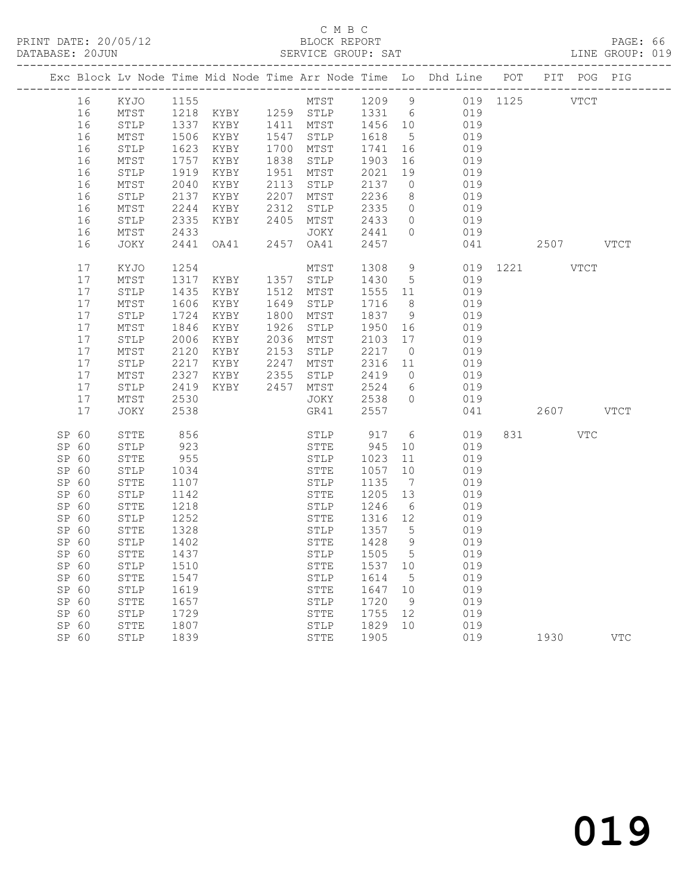### C M B C<br>BLOCK REPORT

PAGE: 66<br>LINE GROUP: 019

|       |       |              |      |                                                                  |      |                 |         |                 | Exc Block Lv Node Time Mid Node Time Arr Node Time Lo Dhd Line POT PIT POG PIG |             |             |           |            |
|-------|-------|--------------|------|------------------------------------------------------------------|------|-----------------|---------|-----------------|--------------------------------------------------------------------------------|-------------|-------------|-----------|------------|
|       | 16    | KYJO         | 1155 |                                                                  |      | MTST 1209 9     |         |                 |                                                                                | 019 1125    | <b>VTCT</b> |           |            |
|       | 16    | MTST         |      | 1218 KYBY 1259 STLP                                              |      |                 | 1331 6  |                 | 019                                                                            |             |             |           |            |
|       | 16    | STLP         |      |                                                                  |      |                 | 1456 10 |                 | 019                                                                            |             |             |           |            |
|       | 16    | ${\tt MTST}$ | 1506 | 1337 KYBY     1411  MTST<br>1506   KYBY      1547   STLP<br>KYBY |      | 1547 STLP       | 1618    | $5\overline{)}$ | 019                                                                            |             |             |           |            |
|       | 16    | STLP         | 1623 | KYBY                                                             |      | 1700 MTST       | 1741    | 16              | 019                                                                            |             |             |           |            |
|       | 16    | MTST         | 1757 | KYBY                                                             |      | 1838 STLP       | 1903    | 16              | 019                                                                            |             |             |           |            |
|       | 16    | STLP         | 1919 | KYBY                                                             |      | 1951 MTST       | 2021    | 19              | 019                                                                            |             |             |           |            |
|       | 16    | MTST         | 2040 | KYBY                                                             |      | 2113 STLP       | 2137    | $\overline{0}$  | 019                                                                            |             |             |           |            |
|       | 16    | STLP         | 2137 | KYBY                                                             |      | 2207 MTST       | 2236    | 8 <sup>8</sup>  | 019                                                                            |             |             |           |            |
|       | 16    | MTST         | 2244 | KYBY                                                             | 2312 | $\texttt{STLP}$ | 2335    | $\overline{0}$  | 019                                                                            |             |             |           |            |
|       | 16    | STLP         | 2335 | KYBY                                                             |      | 2405 MTST       | 2433    | $\overline{0}$  | 019                                                                            |             |             |           |            |
|       | 16    | MTST         | 2433 |                                                                  |      | JOKY            | 2441    | $\overline{0}$  | 019                                                                            |             |             |           |            |
|       | 16    | JOKY         | 2441 | OA41                                                             |      | 2457 OA41       | 2457    |                 | 041                                                                            |             |             | 2507 VTCT |            |
|       |       |              |      |                                                                  |      |                 |         |                 |                                                                                |             |             |           |            |
|       | 17    | KYJO         | 1254 |                                                                  |      | MTST            | 1308    | 9               | 019                                                                            | 1221 / 1221 |             | VTCT      |            |
|       | 17    | MTST         | 1317 | KYBY                                                             |      | 1357 STLP       | 1430    | $5^{\circ}$     | 019                                                                            |             |             |           |            |
|       | 17    | STLP         | 1435 | KYBY                                                             | 1512 | MTST            | 1555 11 |                 | 019                                                                            |             |             |           |            |
|       | 17    | MTST         | 1606 | KYBY                                                             | 1649 | STLP            | 1716    | 8               | 019                                                                            |             |             |           |            |
|       | 17    | STLP         | 1724 | KYBY                                                             | 1800 | MTST            | 1837    | - 9             | 019                                                                            |             |             |           |            |
|       | 17    | MTST         | 1846 | KYBY                                                             | 1926 | STLP            | 1950    | 16              | 019                                                                            |             |             |           |            |
|       | 17    | STLP         | 2006 | KYBY                                                             |      | 2036 MTST       | 2103    | 17              | 019                                                                            |             |             |           |            |
|       | 17    | MTST         | 2120 | KYBY                                                             | 2153 | STLP            | 2217    | $\overline{0}$  | 019                                                                            |             |             |           |            |
|       | 17    | STLP         | 2217 | KYBY                                                             | 2247 | MTST            | 2316    | 11              | 019                                                                            |             |             |           |            |
|       | 17    | MTST         | 2327 | KYBY                                                             | 2355 | STLP            | 2419    | $\overline{0}$  | 019                                                                            |             |             |           |            |
|       | 17    | STLP         | 2419 | KYBY                                                             | 2457 | MTST            | 2524    | 6               | 019                                                                            |             |             |           |            |
|       | 17    | MTST         | 2530 |                                                                  |      | JOKY            | 2538    | $\circ$         | 019                                                                            |             |             |           |            |
|       | 17    | JOKY         | 2538 |                                                                  |      | GR41            | 2557    |                 | 041                                                                            |             |             | 2607 VTCT |            |
| SP 60 |       | STTE         | 856  |                                                                  |      | STLP            | 917     | 6               | 019                                                                            |             | 831 — 100   | VTC       |            |
| SP 60 |       | STLP         | 923  |                                                                  |      | STTE            | 945     | 10              | 019                                                                            |             |             |           |            |
| SP 60 |       | STTE         | 955  |                                                                  |      | STLP            | 1023    | 11              | 019                                                                            |             |             |           |            |
| SP 60 |       | STLP         | 1034 |                                                                  |      | STTE            | 1057    | 10              | 019                                                                            |             |             |           |            |
| SP 60 |       | STTE         | 1107 |                                                                  |      | STLP            | 1135    | $\overline{7}$  | 019                                                                            |             |             |           |            |
| SP 60 |       | STLP         | 1142 |                                                                  |      | STTE            | 1205    | 13              | 019                                                                            |             |             |           |            |
| SP 60 |       | STTE         | 1218 |                                                                  |      | STLP            | 1246    | $6\overline{6}$ | 019                                                                            |             |             |           |            |
| SP 60 |       | STLP         | 1252 |                                                                  |      | STTE            | 1316    | 12              | 019                                                                            |             |             |           |            |
| SP 60 |       | STTE         | 1328 |                                                                  |      | STLP            | 1357    | $5^{\circ}$     | 019                                                                            |             |             |           |            |
| SP 60 |       | STLP         | 1402 |                                                                  |      | STTE            | 1428    | 9               | 019                                                                            |             |             |           |            |
| SP 60 |       | STTE         | 1437 |                                                                  |      | STLP            | 1505    | $5^{\circ}$     | 019                                                                            |             |             |           |            |
| SP 60 |       | STLP         | 1510 |                                                                  |      | STTE            | 1537    | 10              | 019                                                                            |             |             |           |            |
| SP 60 |       | STTE         | 1547 |                                                                  |      | STLP            | 1614    | $5^{\circ}$     | 019                                                                            |             |             |           |            |
| SP 60 |       | STLP         | 1619 |                                                                  |      | ${\tt STTE}$    | 1647    | 10              | 019                                                                            |             |             |           |            |
| SP 60 |       | STTE         | 1657 |                                                                  |      | STLP            | 1720    | 9               | 019                                                                            |             |             |           |            |
| SP 60 |       | STLP         | 1729 |                                                                  |      | STTE            | 1755    | 12              | 019                                                                            |             |             |           |            |
| SP 60 |       | STTE         | 1807 |                                                                  |      | STLP            | 1829    | 10              | 019                                                                            |             |             |           |            |
|       | SP 60 | STLP         | 1839 |                                                                  |      | STTE            | 1905    |                 | 019                                                                            | 1930        |             |           | <b>VTC</b> |
|       |       |              |      |                                                                  |      |                 |         |                 |                                                                                |             |             |           |            |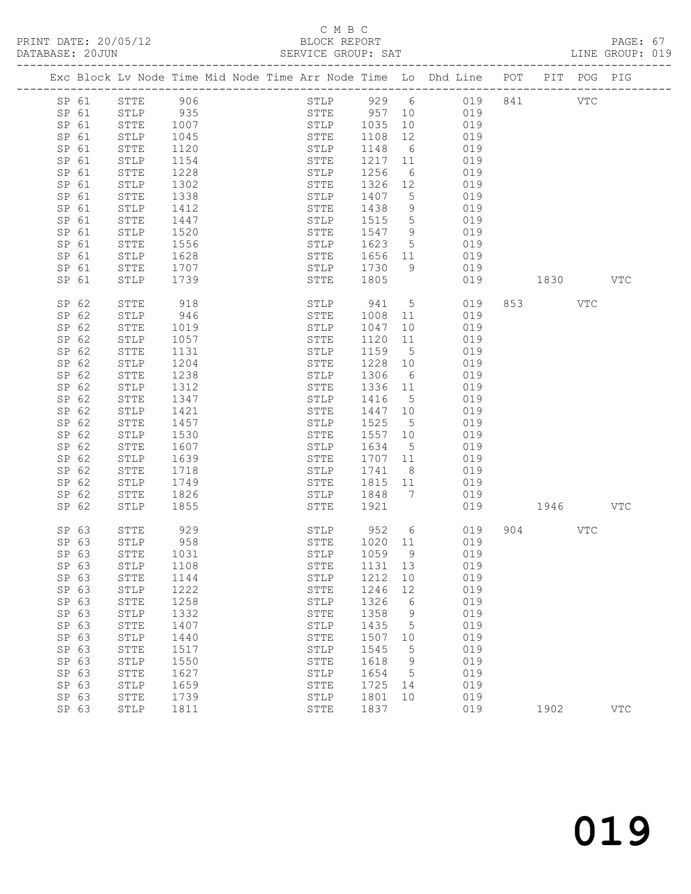# C M B C<br>BLOCK REPORT

| DATABASE: 20JUN |       |              |              |  | SERVICE GROUP: SAT           |              |                       |                                                                                |              |           |     | LINE GROUP: 019 |  |
|-----------------|-------|--------------|--------------|--|------------------------------|--------------|-----------------------|--------------------------------------------------------------------------------|--------------|-----------|-----|-----------------|--|
|                 |       |              |              |  |                              |              |                       | Exc Block Lv Node Time Mid Node Time Arr Node Time Lo Dhd Line POT PIT POG PIG |              |           |     |                 |  |
|                 | SP 61 | STTE 906     |              |  | STLP 929 6                   |              |                       | 019 841 VTC                                                                    |              |           |     |                 |  |
| SP 61           |       | STLP 935     |              |  | STTE 957 10                  |              |                       | 019                                                                            |              |           |     |                 |  |
| SP 61           |       | STTE         | 1007         |  |                              |              |                       | 019                                                                            |              |           |     |                 |  |
| SP 61           |       | STLP         | 1045         |  | STLP 1035 10<br>STTE 1108 12 |              |                       | 019                                                                            |              |           |     |                 |  |
| SP 61           |       | STTE         | 1120         |  | STLP 1148                    |              | 6                     | 019                                                                            |              |           |     |                 |  |
| SP 61           |       | STLP         | 1154         |  | STTE                         | 1217 11      |                       | 019                                                                            |              |           |     |                 |  |
| SP 61           |       | STTE         | 1228         |  | STLP                         | 1256         | 6                     | 019                                                                            |              |           |     |                 |  |
| SP 61           |       | STLP         | 1302         |  | STTE                         | 1326 12      |                       | 019                                                                            |              |           |     |                 |  |
| SP 61           |       | STTE         | 1338         |  | STLP                         | 1407         | $5\overline{)}$       | 019                                                                            |              |           |     |                 |  |
| SP 61           |       | STLP         | 1412         |  | STTE                         | 1438         | 9                     | 019                                                                            |              |           |     |                 |  |
| SP 61           |       | STTE         | 1447         |  | STLP                         | 1515         | $5\overline{)}$       | 019                                                                            |              |           |     |                 |  |
| SP 61           |       | STLP         | 1520         |  | STTE                         | 1547         | 9                     | 019                                                                            |              |           |     |                 |  |
| SP 61           |       | STTE         | 1556         |  | STLP                         | 1623         | $5\overline{)}$       | 019                                                                            |              |           |     |                 |  |
| SP 61           |       | STLP         | 1628         |  | STTE                         | 1656 11      |                       | 019                                                                            |              |           |     |                 |  |
| SP 61           |       | STTE         | 1707         |  | STLP 1730                    |              | 9                     | 019                                                                            |              |           |     |                 |  |
| SP 61           |       | STLP         | 1739         |  | STTE                         | 1805         |                       |                                                                                | 019          | 1830 1890 |     | $_{\rm VTC}$    |  |
| SP 62           |       | STTE         | 918          |  | STLP 941                     |              | $5\overline{)}$       | 019                                                                            |              | 853 VTC   |     |                 |  |
| SP 62           |       | STLP         | 946          |  | STTE                         | 1008         | 11                    | 019                                                                            |              |           |     |                 |  |
| SP 62           |       | STTE         | 1019         |  | STLP                         | 1047         | 10                    | 019                                                                            |              |           |     |                 |  |
| SP 62           |       | ${\tt STLP}$ | 1057         |  | STTE                         | 1120         | 11                    | 019                                                                            |              |           |     |                 |  |
| SP 62           |       | STTE         | 1131         |  | STLP                         | 1159         | $5\overline{)}$       | 019                                                                            |              |           |     |                 |  |
| SP 62           |       | STLP         | 1204         |  | STTE                         | 1228 10      |                       | 019                                                                            |              |           |     |                 |  |
| SP 62           |       | STTE         | 1238         |  | STLP                         | 1306         | 6                     | 019                                                                            |              |           |     |                 |  |
| SP 62           |       | STLP         | 1312         |  | STTE                         | 1336 11      |                       | 019                                                                            |              |           |     |                 |  |
| SP 62           |       | STTE         | 1347         |  | STLP                         | 1416         | $5^{\circ}$           | 019                                                                            |              |           |     |                 |  |
| SP 62           |       | STLP         | 1421         |  | STTE                         | 1447 10      |                       | 019                                                                            |              |           |     |                 |  |
| SP 62           |       | STTE         | 1457         |  | STLP                         | 1525         | $5\overline{)}$       | 019                                                                            |              |           |     |                 |  |
| SP 62           |       | STLP         | 1530         |  | STTE                         | 1557 10      |                       | 019                                                                            |              |           |     |                 |  |
| SP 62           |       | STTE         | 1607         |  | STLP                         | 1634         | $5^{\circ}$           | 019                                                                            |              |           |     |                 |  |
| SP 62           |       | STLP         | 1639         |  | STTE                         | 1707 11      |                       | 019                                                                            |              |           |     |                 |  |
| SP 62           |       | STTE         | 1718         |  | STLP                         | 1741         | 8 <sup>8</sup>        | 019                                                                            |              |           |     |                 |  |
| SP 62           |       | STLP         | 1749         |  | STTE                         | 1815 11      |                       | 019                                                                            |              |           |     |                 |  |
| SP 62           |       | STTE         | 1826         |  | STLP                         | 1848         | $7\phantom{0}$        | 019                                                                            |              |           |     |                 |  |
| SP 62           |       | STLP         | 1855         |  | STTE 1921                    |              |                       |                                                                                | 019 1946 VTC |           |     |                 |  |
| SP 63           |       | STTE         | 929<br>958   |  | STLP                         | 952          | $6\overline{6}$       | 019                                                                            |              | 904 — 100 | VTC |                 |  |
|                 | SP 63 | STLP         |              |  | STTE                         | 1020 11      |                       | 019                                                                            |              |           |     |                 |  |
|                 | SP 63 | STTE 1031    |              |  |                              |              |                       | STLP 1059 9 019                                                                |              |           |     |                 |  |
| SP 63           |       | STLP         | 1108         |  | STTE                         | 1131 13      |                       | 019                                                                            |              |           |     |                 |  |
| SP 63<br>SP 63  |       | STTE         | 1144<br>1222 |  | STLP                         | 1212<br>1246 | 10                    | 019<br>019                                                                     |              |           |     |                 |  |
| SP 63           |       | STLP         | 1258         |  | STTE                         | 1326         | 12<br>$6\overline{6}$ | 019                                                                            |              |           |     |                 |  |
| SP 63           |       | STTE         |              |  | STLP                         | 1358         | 9                     | 019                                                                            |              |           |     |                 |  |
| SP 63           |       | STLP         | 1332<br>1407 |  | STTE<br>STLP                 | 1435         | $5^{\circ}$           | 019                                                                            |              |           |     |                 |  |
| SP 63           |       | STTE         | 1440         |  |                              | 1507         | 10                    | 019                                                                            |              |           |     |                 |  |
| SP 63           |       | STLP<br>STTE | 1517         |  | STTE<br>STLP                 | 1545         | $5^{\circ}$           | 019                                                                            |              |           |     |                 |  |
| SP 63           |       | STLP         | 1550         |  | STTE                         | 1618         | $\overline{9}$        | 019                                                                            |              |           |     |                 |  |
| SP 63           |       | STTE         | 1627         |  | STLP                         | 1654         | $5^{\circ}$           | 019                                                                            |              |           |     |                 |  |
| SP 63           |       | STLP         | 1659         |  | STTE                         | 1725         | 14                    | 019                                                                            |              |           |     |                 |  |
| SP 63           |       | STTE         | 1739         |  | STLP                         | 1801         | 10                    | 019                                                                            |              |           |     |                 |  |
| SP 63           |       | STLP         | 1811         |  | STTE                         | 1837         |                       | 019                                                                            |              | 1902      |     | <b>VTC</b>      |  |
|                 |       |              |              |  |                              |              |                       |                                                                                |              |           |     |                 |  |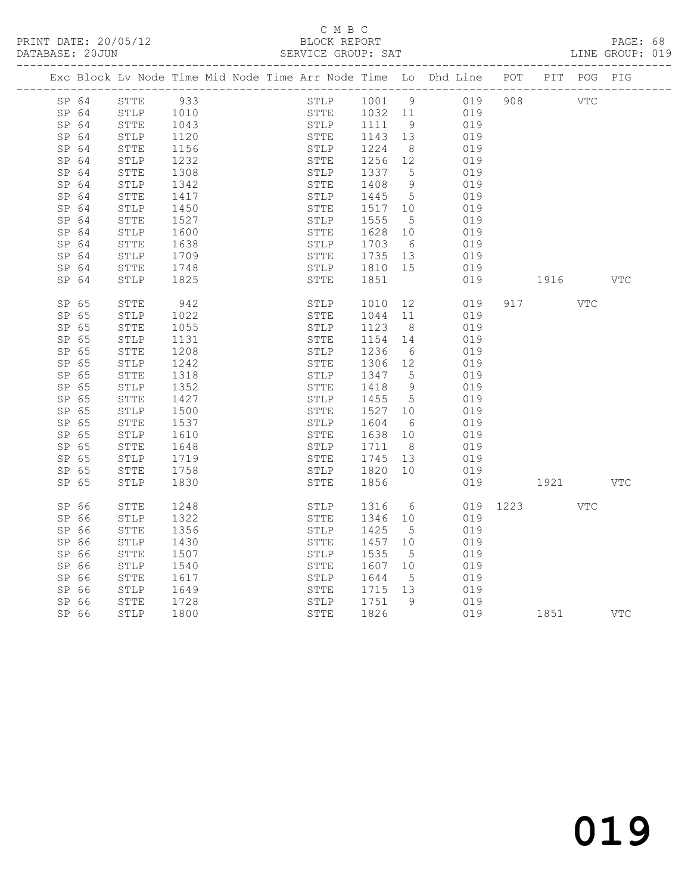# C M B C<br>BLOCK REPORT

PAGE: 68<br>LINE GROUP: 019

|       |              |      |  |      |      |         |                 | Exc Block Lv Node Time Mid Node Time Arr Node Time Lo Dhd Line POT |              |                                                                                                                                                                                                                                 | PIT POG PIG |            |
|-------|--------------|------|--|------|------|---------|-----------------|--------------------------------------------------------------------|--------------|---------------------------------------------------------------------------------------------------------------------------------------------------------------------------------------------------------------------------------|-------------|------------|
| SP 64 | STTE         | 933  |  |      | STLP | 1001 9  |                 | 019                                                                | 908          |                                                                                                                                                                                                                                 | <b>VTC</b>  |            |
| SP 64 | STLP         | 1010 |  |      | STTE | 1032 11 |                 | 019                                                                |              |                                                                                                                                                                                                                                 |             |            |
| SP 64 | STTE         | 1043 |  |      | STLP | 1111 9  |                 | 019                                                                |              |                                                                                                                                                                                                                                 |             |            |
| SP 64 | STLP         | 1120 |  | STTE |      | 1143 13 |                 | 019                                                                |              |                                                                                                                                                                                                                                 |             |            |
| SP 64 | STTE         | 1156 |  |      | STLP | 1224    | 8 <sup>8</sup>  | 019                                                                |              |                                                                                                                                                                                                                                 |             |            |
| SP 64 | STLP         | 1232 |  | STTE |      | 1256 12 |                 | 019                                                                |              |                                                                                                                                                                                                                                 |             |            |
| SP 64 | STTE         | 1308 |  | STLP |      | 1337    | $5^{\circ}$     | 019                                                                |              |                                                                                                                                                                                                                                 |             |            |
| SP 64 | ${\tt STLP}$ | 1342 |  | STTE |      | 1408    | 9               | 019                                                                |              |                                                                                                                                                                                                                                 |             |            |
| SP 64 | STTE         | 1417 |  | STLP |      | 1445    | $5\overline{)}$ | 019                                                                |              |                                                                                                                                                                                                                                 |             |            |
| SP 64 | STLP         | 1450 |  | STTE |      | 1517 10 |                 | 019                                                                |              |                                                                                                                                                                                                                                 |             |            |
| SP 64 | STTE         | 1527 |  | STLP |      | 1555    | $5^{\circ}$     | 019                                                                |              |                                                                                                                                                                                                                                 |             |            |
| SP 64 | STLP         | 1600 |  | STTE |      | 1628    | 10              | 019                                                                |              |                                                                                                                                                                                                                                 |             |            |
| SP 64 | STTE         | 1638 |  | STLP |      | 1703    | 6               | 019                                                                |              |                                                                                                                                                                                                                                 |             |            |
| SP 64 | STLP         | 1709 |  | STTE |      | 1735 13 |                 | 019                                                                |              |                                                                                                                                                                                                                                 |             |            |
| SP 64 | STTE         | 1748 |  |      | STLP | 1810 15 |                 | 019                                                                |              |                                                                                                                                                                                                                                 |             |            |
| SP 64 | STLP         | 1825 |  | STTE |      | 1851    |                 | 019                                                                |              | 1916 VTC                                                                                                                                                                                                                        |             |            |
| SP 65 | STTE         | 942  |  | STLP |      | 1010    | 12              | 019                                                                |              | 917 — 10                                                                                                                                                                                                                        | VTC         |            |
| SP 65 | STLP         | 1022 |  | STTE |      | 1044    | 11              | 019                                                                |              |                                                                                                                                                                                                                                 |             |            |
| SP 65 | STTE         | 1055 |  | STLP |      | 1123    | 8 <sup>8</sup>  | 019                                                                |              |                                                                                                                                                                                                                                 |             |            |
| SP 65 | STLP         | 1131 |  | STTE |      | 1154    | 14              | 019                                                                |              |                                                                                                                                                                                                                                 |             |            |
| SP 65 | STTE         | 1208 |  | STLP |      | 1236    | - 6             | 019                                                                |              |                                                                                                                                                                                                                                 |             |            |
| SP 65 | STLP         | 1242 |  | STTE |      | 1306 12 |                 | 019                                                                |              |                                                                                                                                                                                                                                 |             |            |
| SP 65 | STTE         | 1318 |  | STLP |      | 1347    | $5\overline{)}$ | 019                                                                |              |                                                                                                                                                                                                                                 |             |            |
| SP 65 | STLP         | 1352 |  | STTE |      | 1418    | 9               | 019                                                                |              |                                                                                                                                                                                                                                 |             |            |
| SP 65 | ${\tt STTE}$ | 1427 |  | STLP |      | 1455    | $5\overline{)}$ | 019                                                                |              |                                                                                                                                                                                                                                 |             |            |
| SP 65 | STLP         | 1500 |  | STTE |      | 1527    | 10              | 019                                                                |              |                                                                                                                                                                                                                                 |             |            |
| SP 65 | ${\tt STTE}$ | 1537 |  | STLP |      | 1604    | 6               | 019                                                                |              |                                                                                                                                                                                                                                 |             |            |
| SP 65 | STLP         | 1610 |  | STTE |      | 1638    | 10              | 019                                                                |              |                                                                                                                                                                                                                                 |             |            |
| SP 65 | STTE         | 1648 |  | STLP |      | 1711    | 8 <sup>8</sup>  | 019                                                                |              |                                                                                                                                                                                                                                 |             |            |
| SP 65 | STLP         | 1719 |  | STTE |      | 1745    | 13              | 019                                                                |              |                                                                                                                                                                                                                                 |             |            |
| SP 65 | STTE         | 1758 |  |      | STLP | 1820 10 |                 | 019                                                                |              |                                                                                                                                                                                                                                 |             |            |
| SP 65 | STLP         | 1830 |  | STTE |      | 1856    |                 | 019                                                                |              | 1921 — 1921 — 1921 — 1922 — 1923 — 1923 — 1924 — 1925 — 1925 — 1925 — 1926 — 1924 — 1925 — 1927 — 1928 — 1928 — 1928 — 1928 — 1928 — 1928 — 1928 — 1928 — 1928 — 1928 — 1928 — 1928 — 1928 — 1928 — 1928 — 1928 — 1928 — 1928 — |             | <b>VTC</b> |
| SP 66 | STTE         | 1248 |  |      | STLP | 1316    | 6               |                                                                    | 019 1223 VTC |                                                                                                                                                                                                                                 |             |            |
| SP 66 | STLP         | 1322 |  | STTE |      | 1346    | 10              | 019                                                                |              |                                                                                                                                                                                                                                 |             |            |
| SP 66 | ${\tt STTE}$ | 1356 |  | STLP |      | 1425    | $5^{\circ}$     | 019                                                                |              |                                                                                                                                                                                                                                 |             |            |
| SP 66 | STLP         | 1430 |  | STTE |      | 1457    | 10              | 019                                                                |              |                                                                                                                                                                                                                                 |             |            |
| SP 66 | STTE         | 1507 |  | STLP |      | 1535    | $5^{\circ}$     | 019                                                                |              |                                                                                                                                                                                                                                 |             |            |
| SP 66 | STLP         | 1540 |  | STTE |      | 1607    | 10              | 019                                                                |              |                                                                                                                                                                                                                                 |             |            |
| SP 66 | STTE         | 1617 |  | STLP |      | 1644    | $5^{\circ}$     | 019                                                                |              |                                                                                                                                                                                                                                 |             |            |
| SP 66 | STLP         | 1649 |  | STTE |      | 1715 13 |                 | 019                                                                |              |                                                                                                                                                                                                                                 |             |            |
| SP 66 | STTE         | 1728 |  | STLP |      | 1751    | 9               | 019                                                                |              |                                                                                                                                                                                                                                 |             |            |
| SP 66 | STLP         | 1800 |  | STTE |      | 1826    |                 | 019                                                                |              | 1851                                                                                                                                                                                                                            |             | VTC        |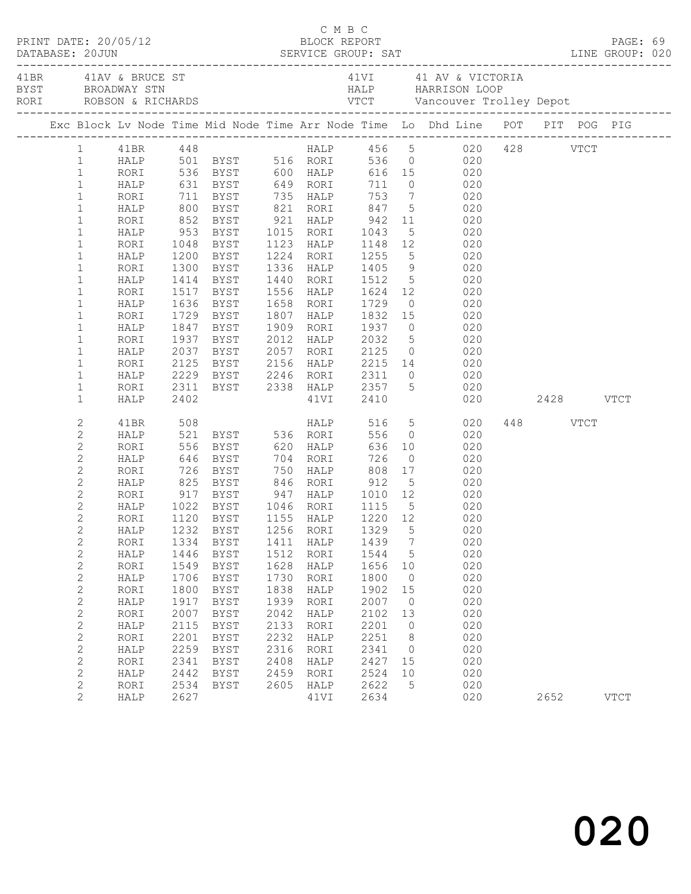| $\begin{array}{cccc}\n\texttt{CRINT} & \texttt{DATE:} & 20/05/12 & \texttt{C} & \texttt{M} & \texttt{B} & \texttt{C}\n\end{array}$<br>DATABASE: 20JUN |              |              |                                                                                        |              |                   |              |                      |                                                                                                                 |          |             |  |
|-------------------------------------------------------------------------------------------------------------------------------------------------------|--------------|--------------|----------------------------------------------------------------------------------------|--------------|-------------------|--------------|----------------------|-----------------------------------------------------------------------------------------------------------------|----------|-------------|--|
|                                                                                                                                                       |              |              |                                                                                        |              |                   |              |                      | 41VI 41 AV & VICTORIA                                                                                           |          |             |  |
|                                                                                                                                                       |              |              |                                                                                        |              |                   |              |                      | Exc Block Lv Node Time Mid Node Time Arr Node Time Lo Dhd Line POT PIT POG PIG                                  |          |             |  |
|                                                                                                                                                       |              |              |                                                                                        |              |                   |              |                      | 1 41BR 448 HALP 456 5 020 428 VTCT<br>1 HALP 501 BYST 516 RORI 536 0 020<br>1 RORI 536 BYST 600 HALP 616 15 020 |          |             |  |
|                                                                                                                                                       |              |              |                                                                                        |              |                   |              |                      |                                                                                                                 |          |             |  |
|                                                                                                                                                       |              |              |                                                                                        |              |                   |              |                      |                                                                                                                 |          |             |  |
| $\mathbf{1}$                                                                                                                                          |              |              |                                                                                        |              |                   |              |                      | HALP 631 BYST 649 RORI 711 0 020                                                                                |          |             |  |
| $\mathbf{1}$                                                                                                                                          | RORI         |              |                                                                                        |              |                   |              |                      |                                                                                                                 |          |             |  |
| $\mathbf{1}$<br>$\mathbf{1}$                                                                                                                          | HALP<br>RORI |              |                                                                                        |              |                   |              |                      | 11 BYST 135 HALP 153 7 020<br>1900 BYST 1621 RORI 1647 5 020<br>1952 BYST 1621 HALP 1642 11 020                 |          |             |  |
| $\mathbf{1}$                                                                                                                                          | HALP         |              | 953 BYST 1015 RORI                                                                     |              |                   | 1043         |                      | 5 020                                                                                                           |          |             |  |
| $\mathbf{1}$                                                                                                                                          | RORI         |              | 1048 BYST                                                                              |              | 1123 HALP         |              |                      | 1148 12 020                                                                                                     |          |             |  |
| $\mathbf{1}$                                                                                                                                          | HALP         |              |                                                                                        |              | 1224 RORI         |              |                      |                                                                                                                 |          |             |  |
| $\mathbf{1}$                                                                                                                                          | RORI         |              | 1200 BYST<br>1300 BYST                                                                 |              | 1336 HALP         | 1255<br>1405 |                      | 5 020<br>9 020                                                                                                  |          |             |  |
| $\mathbf{1}$                                                                                                                                          | HALP         |              | 1414 BYST                                                                              |              | 1440 RORI         | 1512         |                      | 5 020                                                                                                           |          |             |  |
| $\mathbf{1}$                                                                                                                                          | RORI         |              | 1517 BYST                                                                              |              | 1556 HALP 1624 12 |              |                      | 020                                                                                                             |          |             |  |
| $\mathbf{1}$                                                                                                                                          | HALP         |              | 1636 BYST<br>1729 BYST                                                                 |              | 1658 RORI         |              |                      |                                                                                                                 |          |             |  |
| $\mathbf{1}$                                                                                                                                          | RORI         |              |                                                                                        |              | 1807 HALP         |              |                      | 1729 0 020<br>1832 15 020                                                                                       |          |             |  |
| $\mathbf{1}$                                                                                                                                          | HALP         |              | 1847 BYST                                                                              |              | 1909 RORI         | 1937         |                      | $0$ 020                                                                                                         |          |             |  |
| $\mathbf{1}$                                                                                                                                          | RORI         |              | 1937 BYST                                                                              |              | 2012 HALP 2032    |              |                      | 5 020                                                                                                           |          |             |  |
| $\mathbf{1}$                                                                                                                                          | HALP         |              |                                                                                        |              | 2057 RORI         |              |                      | 2037 BYST 2057 RORI 2125 0 020<br>2125 BYST 2156 HALP 2215 14 020<br>2229 BYST 2246 RORI 2311 0 020             |          |             |  |
| $\mathbf{1}$                                                                                                                                          | RORI         |              |                                                                                        |              |                   |              |                      |                                                                                                                 |          |             |  |
| $\mathbf{1}$                                                                                                                                          | HALP         |              |                                                                                        |              |                   |              |                      |                                                                                                                 |          |             |  |
| $\mathbf{1}$                                                                                                                                          | RORI         |              |                                                                                        |              |                   |              |                      | 2311 BYST 2338 HALP 2357 5 020                                                                                  |          |             |  |
| $\mathbf{1}$                                                                                                                                          | HALP         | 2402         |                                                                                        |              | 41VI 2410         |              |                      | 020 2428 VTCT                                                                                                   |          |             |  |
| 2                                                                                                                                                     | 41BR         | 508          |                                                                                        |              | <b>HALP</b>       |              |                      | 516 5 020                                                                                                       | 448 VTCT |             |  |
| $\mathbf{2}$                                                                                                                                          | HALP         |              | 521 BYST 536 RORI                                                                      |              |                   | 556          |                      | $0$ 020                                                                                                         |          |             |  |
| $\mathbf{2}$                                                                                                                                          | RORI         |              |                                                                                        |              |                   |              |                      |                                                                                                                 |          |             |  |
| $\mathbf{2}$                                                                                                                                          | HALP         |              |                                                                                        |              |                   |              |                      |                                                                                                                 |          |             |  |
| $\mathbf{2}$                                                                                                                                          | RORI         |              |                                                                                        |              |                   |              |                      |                                                                                                                 |          |             |  |
| $\mathbf{2}$                                                                                                                                          | HALP         |              | 825 BYST 846 RORI 912                                                                  |              |                   |              |                      | 5 020                                                                                                           |          |             |  |
| $\mathbf{2}$                                                                                                                                          | RORI         |              |                                                                                        |              |                   |              |                      | 020                                                                                                             |          |             |  |
| $\overline{c}$                                                                                                                                        | HALP         |              | 917 BYST 947 HALP 1010 12<br>1022 BYST 1046 RORI 1115 5<br>1120 BYST 1155 HALP 1220 12 |              |                   |              |                      | $\begin{array}{c} 020 \\ 020 \end{array}$                                                                       |          |             |  |
| $\overline{c}$                                                                                                                                        | RORI         |              |                                                                                        |              |                   |              |                      |                                                                                                                 |          |             |  |
| $\overline{c}$                                                                                                                                        |              |              |                                                                                        |              |                   |              |                      | HALP 1232 BYST 1256 RORI 1329 5 020                                                                             |          |             |  |
| $\sqrt{2}$                                                                                                                                            | RORI         | 1334         | BYST                                                                                   | 1411         | HALP              | 1439         | $\overline{7}$       | 020                                                                                                             |          |             |  |
| $\mathbf{2}$                                                                                                                                          | HALP         | 1446         | BYST                                                                                   | 1512         | RORI              | 1544         | $5\phantom{0}$       | 020                                                                                                             |          |             |  |
| $\sqrt{2}$                                                                                                                                            | RORI         | 1549         | BYST                                                                                   | 1628         | HALP              | 1656         | 10                   | 020                                                                                                             |          |             |  |
| $\mathbf{2}$                                                                                                                                          | HALP         | 1706         | BYST                                                                                   | 1730<br>1838 | RORI              | 1800<br>1902 | $\overline{0}$       | 020<br>020                                                                                                      |          |             |  |
| $\mathbf{2}$<br>$\mathbf{2}$                                                                                                                          | RORI<br>HALP | 1800<br>1917 | BYST<br><b>BYST</b>                                                                    | 1939         | HALP<br>RORI      | 2007         | 15<br>$\overline{0}$ | 020                                                                                                             |          |             |  |
| $\sqrt{2}$                                                                                                                                            | RORI         | 2007         | <b>BYST</b>                                                                            | 2042         | HALP              | 2102         | 13                   | 020                                                                                                             |          |             |  |
| $\mathbf{2}$                                                                                                                                          | HALP         | 2115         | <b>BYST</b>                                                                            | 2133         | RORI              | 2201         | $\circ$              | 020                                                                                                             |          |             |  |
| $\sqrt{2}$                                                                                                                                            | RORI         | 2201         | BYST                                                                                   | 2232         | HALP              | 2251         | 8                    | 020                                                                                                             |          |             |  |
| $\mathbf{2}$                                                                                                                                          | HALP         | 2259         | <b>BYST</b>                                                                            | 2316         | RORI              | 2341         | $\overline{0}$       | 020                                                                                                             |          |             |  |
| $\overline{c}$                                                                                                                                        | RORI         | 2341         | <b>BYST</b>                                                                            | 2408         | HALP              | 2427         | 15                   | 020                                                                                                             |          |             |  |
| $\mathbf{2}$                                                                                                                                          | HALP         | 2442         | BYST                                                                                   | 2459         | RORI              | 2524         | 10                   | 020                                                                                                             |          |             |  |
| $\mathbf{2}$                                                                                                                                          | RORI         | 2534         | BYST                                                                                   | 2605         | HALP              | 2622         | 5                    | 020                                                                                                             |          |             |  |
| $\overline{2}$                                                                                                                                        | HALP         | 2627         |                                                                                        |              | 41VI              | 2634         |                      | 020                                                                                                             | 2652     | <b>VTCT</b> |  |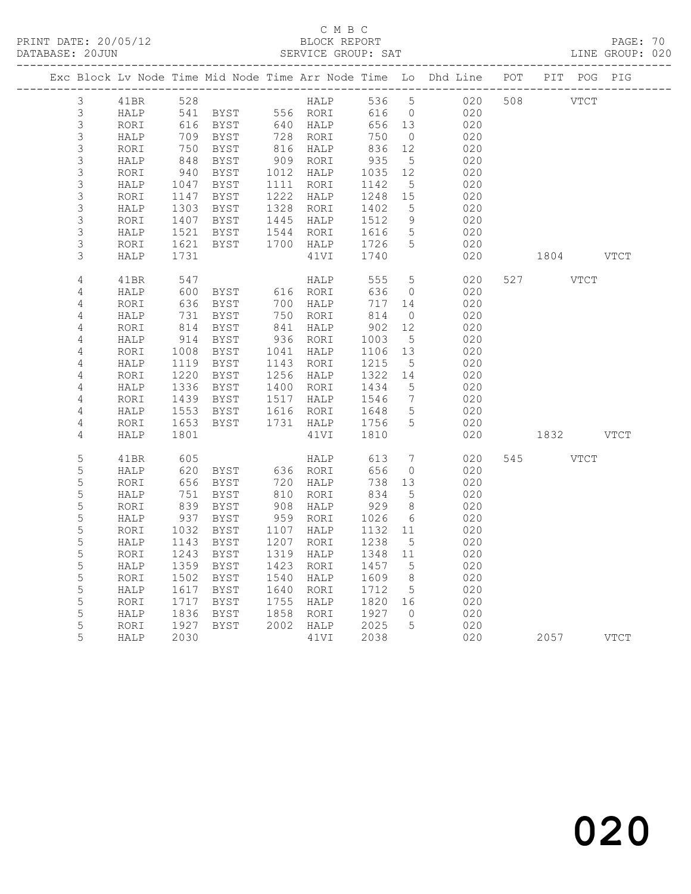# C M B C<br>BLOCK REPORT

PAGE: 70<br>LINE GROUP: 020

|                |      |                                                |                              |      |                        |                               |                     | Exc Block Lv Node Time Mid Node Time Arr Node Time Lo Dhd Line POT PIT POG PIG |           |             |      |
|----------------|------|------------------------------------------------|------------------------------|------|------------------------|-------------------------------|---------------------|--------------------------------------------------------------------------------|-----------|-------------|------|
| 3              | 41BR | 528                                            |                              |      | HALP                   | 536 5                         |                     | 020                                                                            | 508 VTCT  |             |      |
| $\mathcal{S}$  | HALP |                                                | 541 BYST 556 RORI            |      |                        | 616                           | $\overline{0}$      | 020                                                                            |           |             |      |
| $\mathfrak{Z}$ | RORI |                                                | 616 BYST<br>709 BYST         |      | 640 HALP<br>728 RORI   | 656 13                        |                     | 020                                                                            |           |             |      |
| $\mathfrak{Z}$ | HALP |                                                |                              |      |                        | 750                           | $\overline{0}$      | 020                                                                            |           |             |      |
| $\mathfrak{Z}$ | RORI | 750                                            | BYST                         |      | 816 HALP<br>909 RORI   | $835$<br>935                  | 12                  | 020                                                                            |           |             |      |
| $\mathfrak{Z}$ | HALP | 848                                            | BYST                         |      |                        |                               | $5\overline{)}$     | 020                                                                            |           |             |      |
| 3              | RORI | 940<br>1047                                    | BYST                         |      | 1012 HALP<br>1111 RORI | 1035                          | 12                  | 020                                                                            |           |             |      |
| 3              | HALP |                                                | BYST                         |      |                        | 1142                          | $5\overline{)}$     | 020                                                                            |           |             |      |
| $\mathfrak{Z}$ | RORI | 1147                                           | BYST                         |      | 1222 HALP<br>1328 RORI | 1248                          | 15                  | 020                                                                            |           |             |      |
| 3              | HALP | 1303                                           | BYST                         |      |                        | 1402                          | 5                   | 020                                                                            |           |             |      |
| $\mathfrak{Z}$ | RORI |                                                | 1407 BYST                    |      | 1445 HALP<br>1544 RORI | 1512<br>1616                  | 9                   | 020                                                                            |           |             |      |
| 3              | HALP | 1521                                           | BYST                         |      |                        | 1616                          | $5\overline{)}$     | 020                                                                            |           |             |      |
| $\mathfrak{Z}$ | RORI | 1621                                           | BYST                         |      | 1700 HALP              | 1726                          | 5                   | 020                                                                            |           |             |      |
| 3              | HALP | 1731                                           |                              |      | 41VI                   | 1740                          |                     | 020                                                                            | 1804 VTCT |             |      |
| $\overline{4}$ | 41BR | 547                                            |                              |      | HALP                   | 555                           | $5\overline{)}$     | 020                                                                            | 527 VTCT  |             |      |
| 4              | HALP |                                                | 600 BYST<br>636 BYST<br>BYST |      | 616 RORI               | 636                           | $\overline{0}$      | 020                                                                            |           |             |      |
| $\overline{4}$ | RORI |                                                |                              |      | 700 HALP               | 717 14                        |                     | 020                                                                            |           |             |      |
| 4              | HALP | $\begin{array}{c} 7 \\ 814 \\ 314 \end{array}$ | BYST                         |      | 750 RORI<br>841 HALP   | 814                           | $\overline{0}$      | 020                                                                            |           |             |      |
| 4              | RORI |                                                | BYST                         |      |                        | $50.$<br>1003<br>1106<br>1215 | 12                  | 020                                                                            |           |             |      |
| $\overline{4}$ | HALP | 914                                            | BYST                         |      | 936 RORI               |                               | $5^{\circ}$         | 020                                                                            |           |             |      |
| $\overline{4}$ | RORI | 1008                                           | BYST                         |      | 1041 HALP              | 1106 13                       |                     | 020                                                                            |           |             |      |
| $\sqrt{4}$     | HALP |                                                | 1119 BYST                    |      | 1143 RORI              | 1215 5<br>1322 14             |                     | 020                                                                            |           |             |      |
| 4              | RORI | 1220                                           | BYST                         |      | 1256 HALP              |                               |                     | 020                                                                            |           |             |      |
| $\sqrt{4}$     | HALP | 1336                                           | BYST                         |      | 1400 RORI              | 1434                          | $5^{\circ}$         | 020                                                                            |           |             |      |
| $\sqrt{4}$     | RORI |                                                | 1439 BYST                    |      | 1517 HALP              | 1546                          | $7\overline{ }$     | 020                                                                            |           |             |      |
| $\sqrt{4}$     | HALP | 1553                                           | BYST                         |      | 1616 RORI              | 1648                          | $5\overline{)}$     | 020                                                                            |           |             |      |
| 4              | RORI | 1653                                           | BYST                         |      | 1731 HALP              | 1756                          | $5\overline{)}$     | 020                                                                            |           |             |      |
| 4              | HALP | 1801                                           |                              |      | 41VI                   | 1810                          |                     | 020                                                                            | 1832 VTCT |             |      |
| $\mathsf S$    | 41BR | 605                                            |                              |      | HALP                   | 613                           | $\overline{7}$      | 020                                                                            | 545       | <b>VTCT</b> |      |
| $\mathsf S$    | HALP | 620                                            |                              |      |                        | 656                           | $\overline{0}$      | 020                                                                            |           |             |      |
| $\mathsf S$    | RORI | 656                                            |                              |      |                        | 738 13                        |                     | 020                                                                            |           |             |      |
| $\mathsf S$    | HALP | 751                                            | BYST                         |      | 810 RORI<br>908 HALP   | 834<br>929                    | $5^{\circ}$         | 020                                                                            |           |             |      |
| $\mathsf S$    | RORI | 839                                            | BYST                         |      |                        |                               | 8 <sup>8</sup>      | 020                                                                            |           |             |      |
| $\mathsf S$    | HALP | 937                                            | BYST                         |      | 959 RORI               | 1026                          | 6                   | 020                                                                            |           |             |      |
| 5              | RORI | 1032                                           | BYST                         |      | 1107 HALP              | 1132                          | 11                  | 020                                                                            |           |             |      |
| $\mathsf S$    | HALP | 1143                                           | BYST                         | 1207 | RORI                   | 1238                          | $5^{\circ}$         | 020                                                                            |           |             |      |
| 5              | RORI | 1243                                           | BYST                         |      | 1319 HALP              | 1348 11                       |                     | 020                                                                            |           |             |      |
| 5              | HALP | 1359                                           | BYST                         |      | 1423 RORI              | 1457                          | $5^{\circ}$         | 020                                                                            |           |             |      |
| 5              | RORI |                                                | 1502 BYST                    |      | 1540 HALP              | 1609                          | 8 <sup>8</sup>      | 020                                                                            |           |             |      |
| 5              | HALP | 1617                                           | BYST                         |      | 1640 RORI              | 1712                          | $5\overline{)}$     | 020                                                                            |           |             |      |
| 5              | RORI | 1717                                           | BYST                         |      | 1755 HALP              | 1820 16                       |                     | 020                                                                            |           |             |      |
| 5<br>5         | HALP | 1836                                           | BYST                         |      | 1858 RORI<br>2002 HALP | 1927<br>2025                  | $\overline{0}$<br>5 | 020                                                                            |           |             |      |
| 5              | RORI | 1927                                           | BYST                         |      |                        | 2038                          |                     | 020                                                                            |           |             |      |
|                | HALP | 2030                                           |                              |      | 41VI                   |                               |                     | 020                                                                            | 2057      |             | VTCT |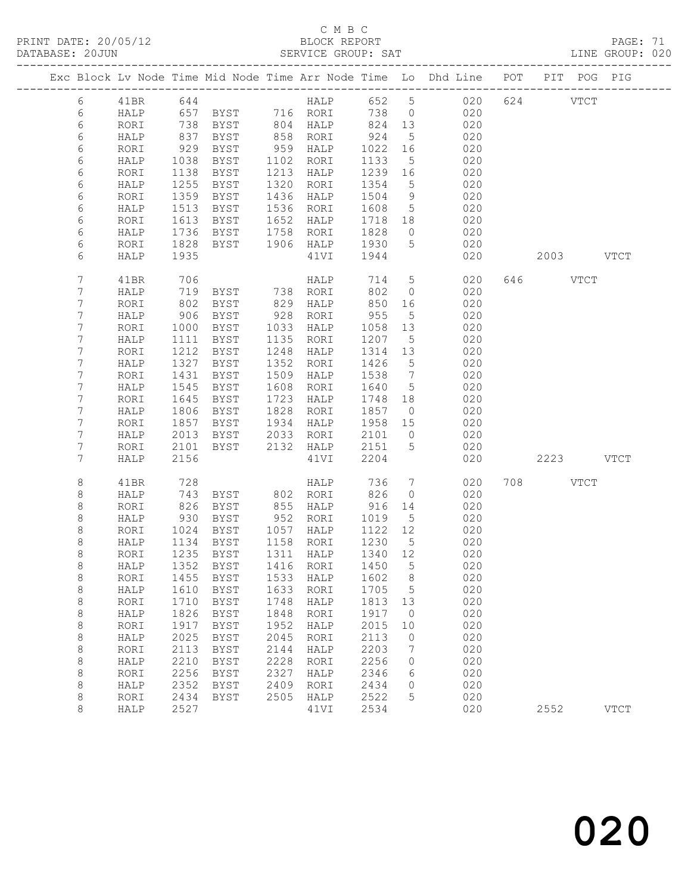# C M B C<br>BLOCK REPORT

PAGE: 71<br>LINE GROUP: 020

|  |                 |              |              |                                 |              |                        |                 |                               | Exc Block Lv Node Time Mid Node Time Arr Node Time Lo Dhd Line POT |           | PIT POG PIG |             |
|--|-----------------|--------------|--------------|---------------------------------|--------------|------------------------|-----------------|-------------------------------|--------------------------------------------------------------------|-----------|-------------|-------------|
|  | 6               | 41BR         |              |                                 |              |                        |                 |                               |                                                                    | 624 VTCT  |             |             |
|  | 6               | HALP         |              |                                 |              |                        |                 |                               |                                                                    |           |             |             |
|  | 6               | RORI         | 738          |                                 |              |                        |                 |                               |                                                                    |           |             |             |
|  | 6               | HALP         | 837          | BYST                            |              | 858 RORI               | 924             | $5\phantom{.0}$               | 020                                                                |           |             |             |
|  | 6               | RORI         | 929          | BYST                            | 959          | HALP                   | 1022            | 16                            | 020                                                                |           |             |             |
|  | 6               | HALP         | 1038         | BYST                            |              | 1102 RORI              | 1133            | $5\overline{)}$               | 020                                                                |           |             |             |
|  | 6               | RORI         | 1138         | BYST                            | 1213         | HALP                   | 1239            | 16                            | 020                                                                |           |             |             |
|  | 6               | HALP         | 1255         | BYST                            | 1320         | RORI                   | 1354            | $5^{\circ}$                   | 020                                                                |           |             |             |
|  | 6               | RORI         | 1359         | BYST                            | 1436         | HALP                   | 1504            | 9                             | 020                                                                |           |             |             |
|  | 6               | HALP         | 1513         | BYST                            | 1536         | RORI                   | 1608            | $5\overline{)}$               | 020                                                                |           |             |             |
|  | 6               | RORI         | 1613         | BYST                            | 1652         | HALP                   | 1718 18         |                               | 020                                                                |           |             |             |
|  | 6<br>6          | HALP         | 1736<br>1828 | BYST                            | 1758         | RORI                   | 1828<br>1930    | $\overline{0}$<br>$5^{\circ}$ | 020<br>020                                                         |           |             |             |
|  | 6               | RORI<br>HALP | 1935         | BYST                            |              | 1906 HALP<br>41VI      | 1944            |                               | 020                                                                | 2003 VTCT |             |             |
|  |                 |              |              |                                 |              |                        |                 |                               |                                                                    |           |             |             |
|  | $7\phantom{.0}$ | 41BR         | 706          |                                 |              | HALP                   | 714             | $5\overline{)}$               | 020                                                                | 646 VTCT  |             |             |
|  | 7               | HALP         | 719          | BYST 738 RORI                   |              |                        | 802             | $\overline{0}$                | 020                                                                |           |             |             |
|  | 7               | RORI         | 802          | BYST                            | 829          | HALP                   | 850             | 16                            | 020                                                                |           |             |             |
|  | 7               | HALP         | 906          | BYST                            | 928          | RORI                   | 955             | $5\overline{)}$               | 020                                                                |           |             |             |
|  | 7               | RORI         | 1000         | BYST                            | 1033         | HALP                   | 1058            | 13                            | 020                                                                |           |             |             |
|  | 7               | HALP         | 1111         | BYST                            | 1135         | RORI                   | 1207            | $5^{\circ}$                   | 020                                                                |           |             |             |
|  | 7               | RORI         | 1212         | BYST                            | 1248         | HALP                   | 1314            | 13                            | 020                                                                |           |             |             |
|  | 7               | HALP         | 1327         | BYST                            | 1352         | RORI                   | 1426            | $5^{\circ}$                   | 020                                                                |           |             |             |
|  | 7               | RORI         | 1431         | BYST                            | 1509         | HALP                   | 1538            | $\overline{7}$                | 020                                                                |           |             |             |
|  | 7<br>7          | HALP         | 1545         | BYST                            | 1608         | RORI                   | 1640            | $5^{\circ}$                   | 020<br>020                                                         |           |             |             |
|  | 7               | RORI         | 1645<br>1806 | BYST                            | 1723<br>1828 | HALP                   | 1748<br>1857    | 18<br>$\overline{0}$          | 020                                                                |           |             |             |
|  | 7               | HALP<br>RORI | 1857         | BYST<br>BYST                    | 1934         | RORI<br>HALP           | 1958 15         |                               | 020                                                                |           |             |             |
|  | 7               | HALP         | 2013         | BYST                            | 2033         | RORI                   | 2101            | $\overline{0}$                | 020                                                                |           |             |             |
|  | 7               | RORI         | 2101         | BYST                            |              | 2132 HALP              | 2151            | 5                             | 020                                                                |           |             |             |
|  | 7               | HALP         | 2156         |                                 |              | 41VI                   | 2204            |                               | 020                                                                | 2223 VTCT |             |             |
|  |                 |              |              |                                 |              |                        |                 |                               |                                                                    |           |             |             |
|  | 8               | 41BR         | 728          |                                 |              | HALP                   | 736             | $7\phantom{.0}$               | 020                                                                | 708 VTCT  |             |             |
|  | 8               | HALP         | 743          | BYST                            |              | 802 RORI               | 826             | $\circ$                       | 020                                                                |           |             |             |
|  | 8               | RORI         | 826          | BYST                            | 855          | HALP                   | 916             | 14                            | 020                                                                |           |             |             |
|  | 8               | HALP         | 930          | BYST                            |              | 952 RORI               | 1019            | $5\phantom{.0}$               | 020                                                                |           |             |             |
|  | 8               | RORI         | 1024         | BYST                            |              | 1057 HALP              | 1122 12         |                               | 020                                                                |           |             |             |
|  | 8<br>8          | HALP         | 1134<br>1235 | BYST<br>BYST                    |              | 1158 RORI<br>1311 HALP | 1230<br>1340 12 | $5^{\circ}$                   | 020<br>020                                                         |           |             |             |
|  |                 | RORI         |              | HALP 1352 BYST 1416 RORI 1450 5 |              |                        |                 |                               |                                                                    |           |             |             |
|  | 8<br>8          | RORI         | 1455         | BYST                            | 1533         | HALP                   | 1602            | 8                             | 020<br>020                                                         |           |             |             |
|  | 8               | HALP         | 1610         | BYST                            | 1633         | RORI                   | 1705            | 5                             | 020                                                                |           |             |             |
|  | 8               | RORI         | 1710         | BYST                            | 1748         | HALP                   | 1813            | 13                            | 020                                                                |           |             |             |
|  | 8               | HALP         | 1826         | BYST                            | 1848         | RORI                   | 1917            | $\overline{0}$                | 020                                                                |           |             |             |
|  | 8               | RORI         | 1917         | BYST                            | 1952         | HALP                   | 2015            | 10                            | 020                                                                |           |             |             |
|  | 8               | HALP         | 2025         | BYST                            | 2045         | RORI                   | 2113            | 0                             | 020                                                                |           |             |             |
|  | 8               | RORI         | 2113         | <b>BYST</b>                     | 2144         | HALP                   | 2203            | 7                             | 020                                                                |           |             |             |
|  | 8               | HALP         | 2210         | <b>BYST</b>                     | 2228         | RORI                   | 2256            | 0                             | 020                                                                |           |             |             |
|  | 8               | RORI         | 2256         | <b>BYST</b>                     | 2327         | HALP                   | 2346            | 6                             | 020                                                                |           |             |             |
|  | 8               | HALP         | 2352         | BYST                            | 2409         | RORI                   | 2434            | 0                             | 020                                                                |           |             |             |
|  | 8               | RORI         | 2434         | BYST                            | 2505         | HALP                   | 2522            | 5                             | 020                                                                |           |             |             |
|  | 8               | HALP         | 2527         |                                 |              | 41VI                   | 2534            |                               | 020                                                                | 2552      |             | <b>VTCT</b> |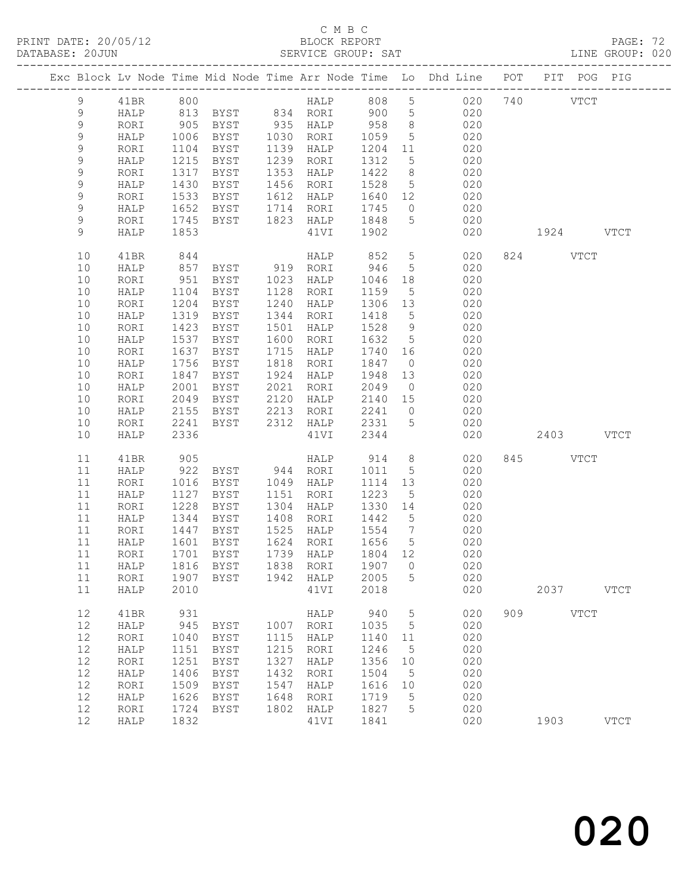## C M B C<br>BLOCK REPORT

PAGE: 72<br>LINE GROUP: 020

|               |      |      |                   |      |                                    |         |                 | Exc Block Lv Node Time Mid Node Time Arr Node Time Lo Dhd Line POT PIT POG PIG |     |           |               |             |
|---------------|------|------|-------------------|------|------------------------------------|---------|-----------------|--------------------------------------------------------------------------------|-----|-----------|---------------|-------------|
| 9             | 41BR | 800  |                   |      | HALP 808                           |         | 5 <sup>5</sup>  | 020                                                                            |     | 740       | $_{\rm VTCT}$ |             |
| $\mathcal{G}$ | HALP |      | 813 BYST 834 RORI |      |                                    | 900     | $5\overline{)}$ | 020                                                                            |     |           |               |             |
| 9             | RORI | 905  | BYST              |      | 935 HALP                           | 958     | 8 <sup>8</sup>  | 020                                                                            |     |           |               |             |
| $\mathsf 9$   | HALP | 1006 | BYST              |      | 1030 RORI                          | 1059    | $5\overline{)}$ | 020                                                                            |     |           |               |             |
| $\mathsf 9$   | RORI | 1104 | BYST              |      | 1139 HALP                          | 1204 11 |                 | 020                                                                            |     |           |               |             |
| 9             | HALP | 1215 | BYST              | 1239 | RORI                               | 1312    | 5               | 020                                                                            |     |           |               |             |
|               |      |      |                   |      |                                    |         |                 |                                                                                |     |           |               |             |
| $\mathsf 9$   | RORI | 1317 | BYST              | 1353 | HALP                               | 1422    | 8 <sup>8</sup>  | 020                                                                            |     |           |               |             |
| $\mathsf 9$   | HALP | 1430 | BYST              | 1456 | RORI                               | 1528    | $5\overline{)}$ | 020                                                                            |     |           |               |             |
| $\mathsf 9$   | RORI | 1533 | BYST              | 1612 | HALP                               | 1640 12 |                 | 020                                                                            |     |           |               |             |
| 9             | HALP | 1652 | BYST              |      | 1714 RORI                          | 1745    | $\overline{0}$  | 020                                                                            |     |           |               |             |
| 9             | RORI | 1745 | BYST              |      | 1823 HALP                          | 1848    | $5\overline{)}$ | 020                                                                            |     |           |               |             |
| 9             | HALP | 1853 |                   |      | 41VI                               | 1902    |                 | 020                                                                            |     | 1924 VTCT |               |             |
| 10            | 41BR | 844  |                   |      | HALP                               | 852     | $5\overline{)}$ | 020                                                                            |     | 824 VTCT  |               |             |
| 10            | HALP | 857  | BYST              |      | 919 RORI                           | 946     | $5\overline{)}$ | 020                                                                            |     |           |               |             |
| 10            | RORI | 951  | BYST              |      | 1023 HALP                          | 1046    | 18              | 020                                                                            |     |           |               |             |
| 10            | HALP | 1104 | BYST              | 1128 | RORI                               | 1159    | $5\overline{)}$ | 020                                                                            |     |           |               |             |
| 10            | RORI | 1204 | BYST              | 1240 | HALP                               | 1306    | 13              | 020                                                                            |     |           |               |             |
| 10            | HALP | 1319 | BYST              | 1344 | RORI                               | 1418    | $5^{\circ}$     | 020                                                                            |     |           |               |             |
| 10            | RORI | 1423 | BYST              | 1501 | HALP                               | 1528    | 9               | 020                                                                            |     |           |               |             |
| 10            | HALP | 1537 | BYST              | 1600 | RORI                               | 1632    | $5\overline{)}$ | 020                                                                            |     |           |               |             |
| 10            | RORI | 1637 | BYST              | 1715 | HALP                               | 1740 16 |                 | 020                                                                            |     |           |               |             |
|               |      |      |                   |      |                                    |         |                 |                                                                                |     |           |               |             |
| 10            | HALP | 1756 | BYST              | 1818 | RORI                               | 1847    | $\overline{0}$  | 020                                                                            |     |           |               |             |
| $10$          | RORI | 1847 | BYST              | 1924 | HALP                               | 1948    | 13              | 020                                                                            |     |           |               |             |
| 10            | HALP | 2001 | BYST              | 2021 | RORI                               | 2049    | $\overline{0}$  | 020                                                                            |     |           |               |             |
| 10            | RORI | 2049 | BYST              | 2120 | HALP                               | 2140 15 |                 | 020                                                                            |     |           |               |             |
| 10            | HALP | 2155 | BYST              | 2213 | RORI                               | 2241    | $\overline{0}$  | 020                                                                            |     |           |               |             |
| 10            | RORI | 2241 | BYST              |      | 2312 HALP                          | 2331    | $5\overline{)}$ | 020                                                                            |     |           |               |             |
| 10            | HALP | 2336 |                   |      | 41VI                               | 2344    |                 | 020                                                                            |     | 2403 VTCT |               |             |
| 11            | 41BR | 905  |                   |      | HALP                               | 914     | 8               | 020                                                                            |     | 845 VTCT  |               |             |
| 11            | HALP | 922  | BYST              |      | 944 RORI                           | 1011    | $5\overline{)}$ | 020                                                                            |     |           |               |             |
| 11            | RORI | 1016 | BYST              |      | 1049 HALP                          | 1114    | 13              | 020                                                                            |     |           |               |             |
| 11            | HALP | 1127 | BYST              | 1151 | RORI                               | 1223    | 5               | 020                                                                            |     |           |               |             |
| 11            | RORI | 1228 | BYST              | 1304 | HALP                               | 1330    | 14              | 020                                                                            |     |           |               |             |
| 11            | HALP | 1344 | BYST              | 1408 |                                    | 1442    | $5^{\circ}$     | 020                                                                            |     |           |               |             |
| 11            |      | 1447 | BYST              |      | RORI<br>1525 HALP                  | 1554    | $\overline{7}$  | 020                                                                            |     |           |               |             |
| 11            | RORI |      |                   |      | 1624 RORI                          | 1656    |                 | 020                                                                            |     |           |               |             |
|               | HALP | 1601 | BYST              |      | 1739 HALP                          |         | $5^{\circ}$     |                                                                                |     |           |               |             |
| 11            | RORI |      | 1701 BYST         |      |                                    | 1804 12 |                 | 020                                                                            |     |           |               |             |
|               |      |      |                   |      | 11 HALP 1816 BYST 1838 RORI 1907 0 |         |                 | 020                                                                            |     |           |               |             |
| 11            | RORI | 1907 | BYST              | 1942 | HALP                               | 2005    | 5               | 020                                                                            |     |           |               |             |
| 11            | HALP | 2010 |                   |      | 41VI                               | 2018    |                 | 020                                                                            |     | 2037      |               | <b>VTCT</b> |
| 12            | 41BR | 931  |                   |      | HALP                               | 940     | 5               | 020                                                                            | 909 |           | <b>VTCT</b>   |             |
| 12            | HALP | 945  | <b>BYST</b>       | 1007 | RORI                               | 1035    | 5               | 020                                                                            |     |           |               |             |
| 12            | RORI | 1040 | BYST              | 1115 | HALP                               | 1140    | 11              | 020                                                                            |     |           |               |             |
| 12            | HALP | 1151 | BYST              | 1215 | RORI                               | 1246    | 5               | 020                                                                            |     |           |               |             |
| 12            | RORI | 1251 | BYST              | 1327 | HALP                               | 1356    | 10              | 020                                                                            |     |           |               |             |
| 12            | HALP | 1406 | BYST              | 1432 | RORI                               | 1504    | 5               | 020                                                                            |     |           |               |             |
| 12            | RORI | 1509 | <b>BYST</b>       | 1547 | HALP                               | 1616    | 10              | 020                                                                            |     |           |               |             |
| 12            | HALP | 1626 | BYST              | 1648 | RORI                               | 1719    | 5               | 020                                                                            |     |           |               |             |
|               | RORI | 1724 | <b>BYST</b>       | 1802 | HALP                               | 1827    | 5               | 020                                                                            |     |           |               |             |
| 12            |      |      |                   |      |                                    |         |                 |                                                                                |     |           |               |             |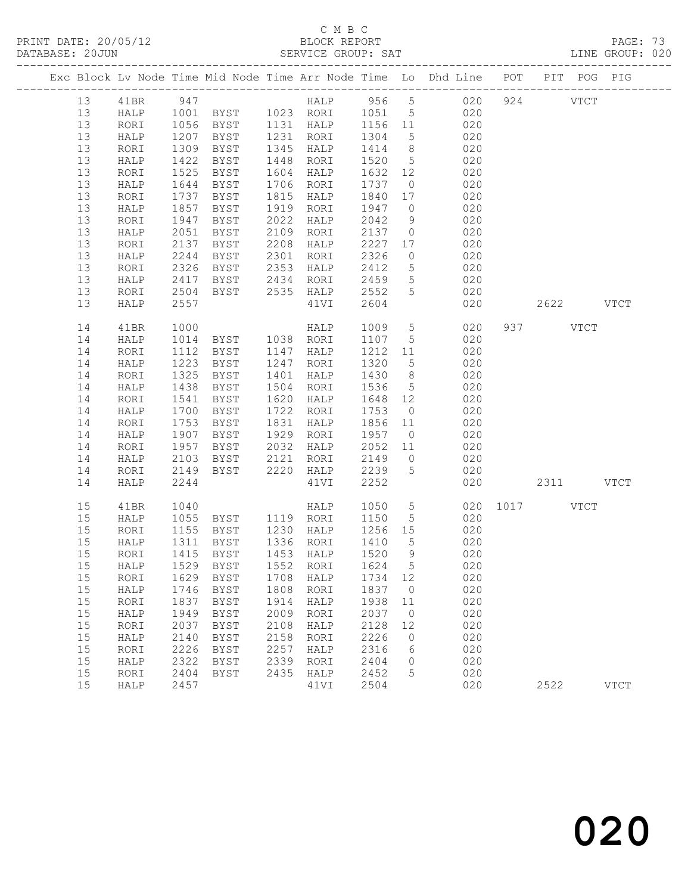# C M B C<br>BLOCK REPORT

|  | DATABASE: 20JUN |      |              |                                                                                |           |      |      | SERVICE GROUP: SAT                                                  |                 |         |            |               |           | LINE GROUP: 020 |  |
|--|-----------------|------|--------------|--------------------------------------------------------------------------------|-----------|------|------|---------------------------------------------------------------------|-----------------|---------|------------|---------------|-----------|-----------------|--|
|  |                 |      |              | Exc Block Lv Node Time Mid Node Time Arr Node Time Lo Dhd Line POT PIT POG PIG |           |      |      |                                                                     |                 |         |            |               |           |                 |  |
|  | 13              |      |              |                                                                                |           |      |      |                                                                     |                 |         |            |               |           |                 |  |
|  | 13              |      |              | HALP 1001 BYST 1023 RORI 1051 5 020                                            |           |      |      |                                                                     |                 |         |            |               |           |                 |  |
|  | 13              | RORI |              |                                                                                |           |      |      |                                                                     |                 |         |            |               |           |                 |  |
|  | 13              | HALP |              |                                                                                |           |      |      |                                                                     |                 |         |            |               |           |                 |  |
|  | 13              | RORI | 1309         | BYST                                                                           | 1345 HALP |      |      | $1414$ 8 020                                                        |                 |         |            |               |           |                 |  |
|  | 13              | HALP | 1422         | BYST                                                                           | 1448 RORI |      |      | 1520 5 020                                                          |                 |         |            |               |           |                 |  |
|  | 13              | RORI | 1525         | BYST                                                                           | 1604 HALP |      |      | 1632 12                                                             |                 | 020     |            |               |           |                 |  |
|  | 13              | HALP | 1644         | BYST                                                                           | 1706 RORI |      |      | 1737 0                                                              |                 |         | 020        |               |           |                 |  |
|  | 13              | RORI | 1737         | BYST                                                                           | 1815 HALP |      |      | 1840 17                                                             |                 |         | 020        |               |           |                 |  |
|  | 13              | HALP | 1857         | BYST                                                                           | 1919 RORI |      |      | 1947 0                                                              |                 | 020     |            |               |           |                 |  |
|  | 13              | RORI | 1947         | BYST                                                                           | 2022      | HALP |      | 2042                                                                |                 | 9 020   |            |               |           |                 |  |
|  | 13              | HALP | 2051         | BYST                                                                           | 2109 RORI |      |      | $\begin{array}{cccc} 2137 & 0 & 020 \\ 2227 & 17 & 020 \end{array}$ |                 |         |            |               |           |                 |  |
|  | 13              | RORI | 2137         | BYST                                                                           | 2208 HALP |      |      |                                                                     |                 |         |            |               |           |                 |  |
|  | 13              | HALP | 2244         | BYST 2301 RORI                                                                 |           |      |      | 2326                                                                | $\overline{0}$  | 020     |            |               |           |                 |  |
|  | 13              | RORI | 2326         | BYST 2353 HALP                                                                 |           |      |      | 2412                                                                | 5 <sup>5</sup>  | 020     |            |               |           |                 |  |
|  | 13              | HALP | 2417<br>2504 | BYST 2434 RORI 2459 5<br>BYST 2535 HALP 2552 5                                 |           |      |      | 2459                                                                |                 |         | 020        |               |           |                 |  |
|  | 13              | RORI |              |                                                                                |           |      |      |                                                                     |                 |         | 020        |               |           |                 |  |
|  | 13              | HALP | 2557         |                                                                                |           |      | 41VI | 2604                                                                |                 |         | 020        |               | 2622 VTCT |                 |  |
|  | 14              | 41BR | 1000         |                                                                                |           |      |      | HALP 1009 5<br>RORT 1107 5                                          |                 |         | 020        |               | 937 VTCT  |                 |  |
|  | 14              | HALP | 1014         | nani<br>BYST 1038 RORI                                                         |           |      |      | 1107 5                                                              |                 |         | 020        |               |           |                 |  |
|  | 14              | RORI | 1112         | <b>BYST</b>                                                                    | 1147 HALP |      |      | 1212 11                                                             |                 | 020     |            |               |           |                 |  |
|  | 14              | HALP | 1223         | BYST                                                                           | 1247 RORI |      |      | 1320                                                                | $5\overline{)}$ | 020     |            |               |           |                 |  |
|  | 14              | RORI | 1325         | BYST                                                                           | 1401 HALP |      |      | 1430 8                                                              |                 |         | 020        |               |           |                 |  |
|  | 14              | HALP | 1438         | BYST                                                                           | 1504 RORI |      |      | 1536 5                                                              |                 |         | 020        |               |           |                 |  |
|  | 14              | RORI | 1541         | BYST                                                                           | 1620 HALP |      |      | 1648 12                                                             |                 | 020     |            |               |           |                 |  |
|  | 14              | HALP | 1700         | BYST                                                                           | 1722 RORI |      |      | 1753                                                                | $\overline{0}$  |         | 020        |               |           |                 |  |
|  | 14              | RORI | 1753         | BYST                                                                           | 1831 HALP |      |      | 1856 11                                                             |                 | 020     |            |               |           |                 |  |
|  | 14              | HALP | 1907         | BYST                                                                           | 1929 RORI |      |      | 1957 0<br>$2052$ 11 020                                             |                 |         | 020        |               |           |                 |  |
|  | 14              | RORI | 1957         | BYST                                                                           | 2032 HALP |      |      |                                                                     |                 |         |            |               |           |                 |  |
|  | 14              | HALP | 2103         | BYST 2121 RORI                                                                 |           |      |      | 2149                                                                |                 | $0$ 020 |            |               |           |                 |  |
|  | 14              | RORI | 2149         | BYST 2220 HALP 2239 5                                                          |           |      |      |                                                                     |                 | 020     |            |               |           |                 |  |
|  | 14              | HALP | 2244         |                                                                                |           | 41VI |      | 2252                                                                |                 |         |            | 020 2311 VTCT |           |                 |  |
|  | 15              | 41BR |              | 1040 HALP 1050<br>1055 BYST 1119 RORI 1150                                     |           |      |      | HALP 1050 5                                                         |                 |         |            | 020 1017 VTCT |           |                 |  |
|  | 15              | HALP |              |                                                                                |           |      |      |                                                                     |                 | 5 020   |            |               |           |                 |  |
|  | 15              | RORI |              | 1155 BYST     1230   HALP<br>1311   BYST     1336   RORI                       |           |      |      | 1256 15<br>1410 5                                                   |                 |         | 020<br>020 |               |           |                 |  |
|  | 15              | HALP |              |                                                                                |           |      |      |                                                                     |                 |         |            |               |           |                 |  |
|  |                 |      |              | 15 RORI 1415 BYST 1453 HALP 1520 9 020                                         |           |      |      |                                                                     |                 |         |            |               |           |                 |  |
|  | 15              | HALP | 1529         | BYST                                                                           | 1552      | RORI |      | 1624                                                                | $5^{\circ}$     |         | 020        |               |           |                 |  |
|  | 15              | RORI | 1629         | BYST                                                                           | 1708      | HALP |      | 1734 12                                                             |                 |         | 020        |               |           |                 |  |
|  | 15              | HALP | 1746         | BYST                                                                           | 1808      | RORI |      | 1837                                                                | $\overline{0}$  |         | 020        |               |           |                 |  |
|  | 15              | RORI | 1837         | BYST                                                                           | 1914      | HALP |      | 1938                                                                | 11              |         | 020        |               |           |                 |  |
|  | 15              | HALP | 1949         | BYST                                                                           | 2009      | RORI |      | 2037                                                                | $\overline{0}$  |         | 020        |               |           |                 |  |
|  | 15              | RORI | 2037         | <b>BYST</b>                                                                    | 2108      | HALP |      | 2128                                                                | 12              |         | 020        |               |           |                 |  |
|  | 15              | HALP | 2140         | BYST                                                                           | 2158      | RORI |      | 2226                                                                | $\overline{0}$  |         | 020        |               |           |                 |  |
|  | 15              | RORI | 2226         | BYST                                                                           | 2257      | HALP |      | 2316                                                                | 6               |         | 020        |               |           |                 |  |
|  | 15              | HALP | 2322         | BYST                                                                           | 2339      | RORI |      | 2404                                                                | $\circ$         |         | 020        |               |           |                 |  |
|  | 15              | RORI | 2404         | BYST                                                                           | 2435      | HALP |      | 2452                                                                | 5               |         | 020        |               |           |                 |  |
|  | 15              | HALP | 2457         |                                                                                |           | 41VI |      | 2504                                                                |                 |         | 020        |               | 2522      | <b>VTCT</b>     |  |
|  |                 |      |              |                                                                                |           |      |      |                                                                     |                 |         |            |               |           |                 |  |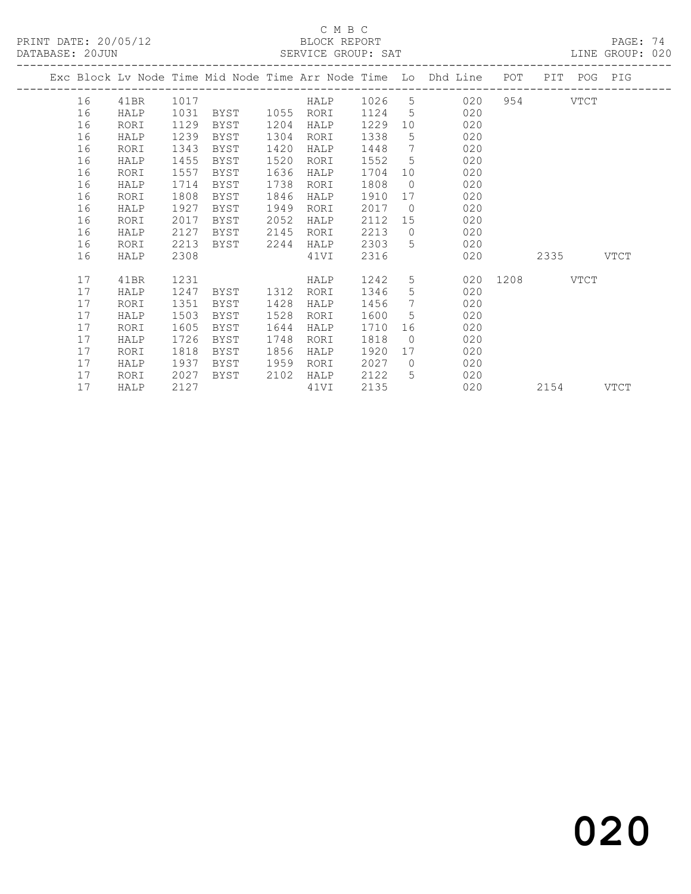PRINT DATE: 20/05/12 BLOCK REPORT<br>DATABASE: 20JUN SERVICE GROUP: SAT

### C M B C<br>BLOCK REPORT

PAGE: 74<br>LINE GROUP: 020

| 16 | 41BR |      |      |      |      |              |                 |           |                                  |     |                                                                    |                                                          |
|----|------|------|------|------|------|--------------|-----------------|-----------|----------------------------------|-----|--------------------------------------------------------------------|----------------------------------------------------------|
| 16 | HALP | 1031 | BYST |      | RORI | 1124         | 5               | 020       |                                  |     |                                                                    |                                                          |
| 16 | RORI | 1129 | BYST | 1204 | HALP | 1229         | 10              | 020       |                                  |     |                                                                    |                                                          |
| 16 | HALP | 1239 | BYST |      | RORI | 1338         | 5               | 020       |                                  |     |                                                                    |                                                          |
| 16 | RORI | 1343 | BYST | 1420 | HALP | 1448         | $7\phantom{.0}$ | 020       |                                  |     |                                                                    |                                                          |
| 16 | HALP | 1455 | BYST | 1520 | RORI | 1552         | 5               | 020       |                                  |     |                                                                    |                                                          |
| 16 | RORI | 1557 | BYST | 1636 | HALP | 1704         | 10 <sup>°</sup> | 020       |                                  |     |                                                                    |                                                          |
| 16 | HALP | 1714 | BYST | 1738 | RORI | 1808         | $\overline{0}$  | 020       |                                  |     |                                                                    |                                                          |
| 16 | RORI | 1808 | BYST | 1846 | HALP | 1910         | 17              | 020       |                                  |     |                                                                    |                                                          |
| 16 | HALP | 1927 | BYST | 1949 | RORI | 2017         | $\overline{0}$  | 020       |                                  |     |                                                                    |                                                          |
| 16 | RORI | 2017 | BYST | 2052 | HALP | 2112         | 15              | 020       |                                  |     |                                                                    |                                                          |
| 16 | HALP | 2127 | BYST | 2145 | RORI | 2213         | $\bigcirc$      | 020       |                                  |     |                                                                    |                                                          |
| 16 | RORI | 2213 | BYST |      | HALP | 2303         | $5^{\circ}$     | 020       |                                  |     |                                                                    |                                                          |
| 16 | HALP | 2308 |      |      | 41VI | 2316         |                 | 020       |                                  |     |                                                                    | VTCT                                                     |
| 17 | 41BR | 1231 |      |      | HALP | 1242         | 5               |           |                                  |     |                                                                    |                                                          |
| 17 | HALP | 1247 | BYST | 1312 | RORI | 1346         | 5               | 020       |                                  |     |                                                                    |                                                          |
| 17 | RORI | 1351 | BYST | 1428 | HALP | 1456         | $7\phantom{.0}$ | 020       |                                  |     |                                                                    |                                                          |
| 17 | HALP | 1503 | BYST | 1528 | RORI | 1600         | 5               | 020       |                                  |     |                                                                    |                                                          |
| 17 | RORI | 1605 | BYST | 1644 | HALP | 1710         | 16              | 020       |                                  |     |                                                                    |                                                          |
| 17 | HALP | 1726 | BYST | 1748 | RORI | 1818         | $\bigcirc$      | 020       |                                  |     |                                                                    |                                                          |
| 17 | RORI | 1818 | BYST | 1856 | HALP | 1920         | 17              | 020       |                                  |     |                                                                    |                                                          |
| 17 | HALP | 1937 | BYST | 1959 | RORI | 2027         | $\bigcirc$      | 020       |                                  |     |                                                                    |                                                          |
| 17 | RORI | 2027 | BYST | 2102 | HALP | 2122         | 5               | 020       |                                  |     |                                                                    |                                                          |
| 17 | HALP | 2127 |      |      | 41VI | 2135         |                 | 020       |                                  |     |                                                                    | VTCT                                                     |
|    |      |      | 1017 |      | 1304 | 1055<br>2244 |                 | HALP 1026 | $5 \quad \overline{\phantom{1}}$ | 020 | Exc Block Lv Node Time Mid Node Time Arr Node Time Lo Dhd Line POT | PIT POG PIG<br>954 VTCT<br>2335<br>020 1208 VTCT<br>2154 |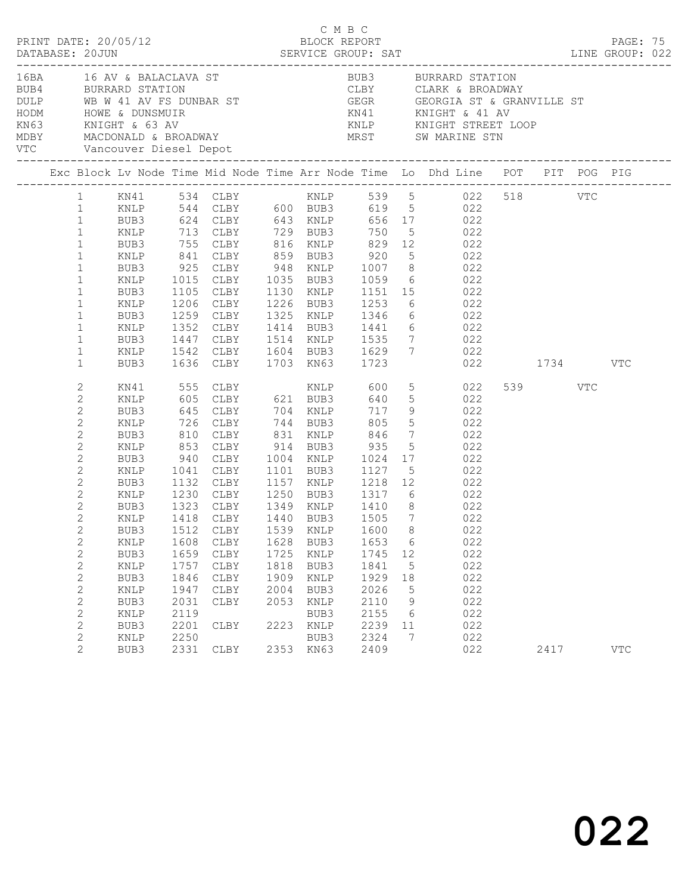|                                                                                                                                                                                                                                                                                                                                               |                                                                                                                                                                                      |                                                                                                     |                                                                                                                                                                    |                                                                      | C M B C                                                                              |                                                                                        |                                              | AT LINE GROUP: 022                                                                                                                                                                                                                                                                                                                                                                                                       |                 | PAGE: 75   |  |
|-----------------------------------------------------------------------------------------------------------------------------------------------------------------------------------------------------------------------------------------------------------------------------------------------------------------------------------------------|--------------------------------------------------------------------------------------------------------------------------------------------------------------------------------------|-----------------------------------------------------------------------------------------------------|--------------------------------------------------------------------------------------------------------------------------------------------------------------------|----------------------------------------------------------------------|--------------------------------------------------------------------------------------|----------------------------------------------------------------------------------------|----------------------------------------------|--------------------------------------------------------------------------------------------------------------------------------------------------------------------------------------------------------------------------------------------------------------------------------------------------------------------------------------------------------------------------------------------------------------------------|-----------------|------------|--|
|                                                                                                                                                                                                                                                                                                                                               |                                                                                                                                                                                      |                                                                                                     |                                                                                                                                                                    |                                                                      |                                                                                      |                                                                                        |                                              | 16BA 16 AV & BALACLAVA ST 600 BUB3 BURRARD STATION<br>EUBA BURRARD STATION<br>DULP WB W 41 AV FS DUNBAR ST<br>HODM HOWE & DUNSMUIR<br>MDBY MACDONALD & BROADWAY<br>MDBY MACDONALD & BROADWAY<br>THOP MACDONALD & BROADWAY<br>MDBY MACDONALD & BROADWAY<br>THOP MACDONALD & BROADWAY<br>THOP MEST SW                                                                                                                      |                 |            |  |
|                                                                                                                                                                                                                                                                                                                                               |                                                                                                                                                                                      |                                                                                                     |                                                                                                                                                                    |                                                                      |                                                                                      |                                                                                        |                                              | Exc Block Lv Node Time Mid Node Time Arr Node Time Lo Dhd Line POT PIT POG PIG                                                                                                                                                                                                                                                                                                                                           |                 |            |  |
| $\mathbf{1}$<br>$\mathbf{1}$<br>$\mathbf{1}$<br>$\mathbf{1}$<br>$\mathbf{1}$<br>$\mathbf{1}$<br>$\mathbf{1}$<br>$\mathbf{1}$<br>$\mathbf{1}$<br>$\mathbf{1}$<br>$\mathbf{1}$<br>$\mathbf{1}$<br>$\mathbf{1}$                                                                                                                                  | BUB3<br>KNLP<br>BUB3<br>KNLP<br>BUB3<br>KNLP<br>BUB3<br>KNLP<br>BUB3<br>KNLP<br>BUB3<br>KNLP<br>BUB3                                                                                 | 1352                                                                                                | 1636 CLBY 1703 KN63 1723                                                                                                                                           |                                                                      |                                                                                      |                                                                                        |                                              | 624 CLBY 643 KNLP 656 17 022<br>713 CLBY 729 BUB3 750 5 022<br>755 CLBY 816 KNLP 829 12 022<br>841 CLBY 859 BUB3 920 5 022<br>925 CLBY 948 KNLP 1007 8 022<br>1015 CLBY 1035 BUB3 1059 6 022<br>1105 CLBY 1130 KNLP 1151 15 022<br>1206 CLBY 1226 BUB3 1253 6 022<br>1259 CLBY 1325 KNLP 1346 6 022<br>CLBY 1414 BUB3 1441 6 022<br>1447 CLBY 1514 KNLP 1535 7 022<br>1542 CLBY 1604 BUB3 1629 7 022<br>$022$ $1734$ VTC |                 |            |  |
| 2<br>$\mathbf{2}$<br>$\mathbf{2}$<br>$\mathbf{2}$<br>$\mathbf{2}$<br>$\mathbf{2}$<br>$\mathbf{2}$<br>$\mathbf{2}$<br>2<br>$\mathbf{2}$<br>2<br>$\overline{2}$<br>$\mathbf{2}$<br>$\sqrt{2}$<br>$\mathbf{2}$<br>$\mathbf{2}$<br>$\mathbf{2}$<br>$\mathbf{2}$<br>$\mathbf{2}$<br>$\mathbf{2}$<br>$\mathbf{2}$<br>$\mathbf{2}$<br>$\overline{2}$ | KN41<br>KNLP<br>BUB3<br>KNLP<br>BUB3<br>KNLP<br>BUB3<br>KNLP<br>BUB3<br>KNLP<br>BUB3<br>KNLP<br>BUB3<br>KNLP<br>BUB3<br>KNLP<br>BUB3<br>KNLP<br>BUB3<br>KNLP<br>BUB3<br>KNLP<br>BUB3 | 726<br>1041<br>1512<br>1608<br>1659<br>1757<br>1846<br>1947<br>2031<br>2119<br>2201<br>2250<br>2331 | CLBY 744 BUB3 805<br>810 CLBY<br>853 CLBY<br>940 CLBY<br>CLBY<br>CLBY<br>CLBY<br>$\texttt{CLBY}{}$<br>CLBY<br>${\tt CLBY}$<br>CLBY<br>${\tt CLBY}$<br>CLBY<br>CLBY | 1539<br>1628<br>1725<br>1818<br>1909<br>2004<br>2053<br>2223<br>2353 | KNLP<br>BUB3<br>KNLP<br>BUB3<br>KNLP<br>BUB3<br>KNLP<br>BUB3<br>KNLP<br>BUB3<br>KN63 | 1600 8<br>1653<br>1745<br>1841<br>1929<br>2026<br>2110<br>2155<br>2239<br>2324<br>2409 | 6<br>12<br>5<br>18<br>5<br>9<br>6<br>11<br>7 | $\begin{array}{ccc} 5 & 022 \\ 5 & 022 \end{array}$<br>5 022<br>CLBY 831 KNLP 846 7 022<br>CLBY 914 BUB3 935 5 022<br>CLBY 1004 KNLP 1024 17 022<br>1101 BUB3 1127 5 022<br>1132 CLBY 1157 KNLP 1218 12 022<br>1230 CLBY 1250 BUB3 1317 6 022<br>1323 CLBY 1349 KNLP 1410 8 022<br>1418 CLBY 1440 BUB3 1505 7 022<br>022<br>022<br>022<br>022<br>022<br>022<br>022<br>022<br>022<br>022<br>022                           | 539 VTC<br>2417 | <b>VTC</b> |  |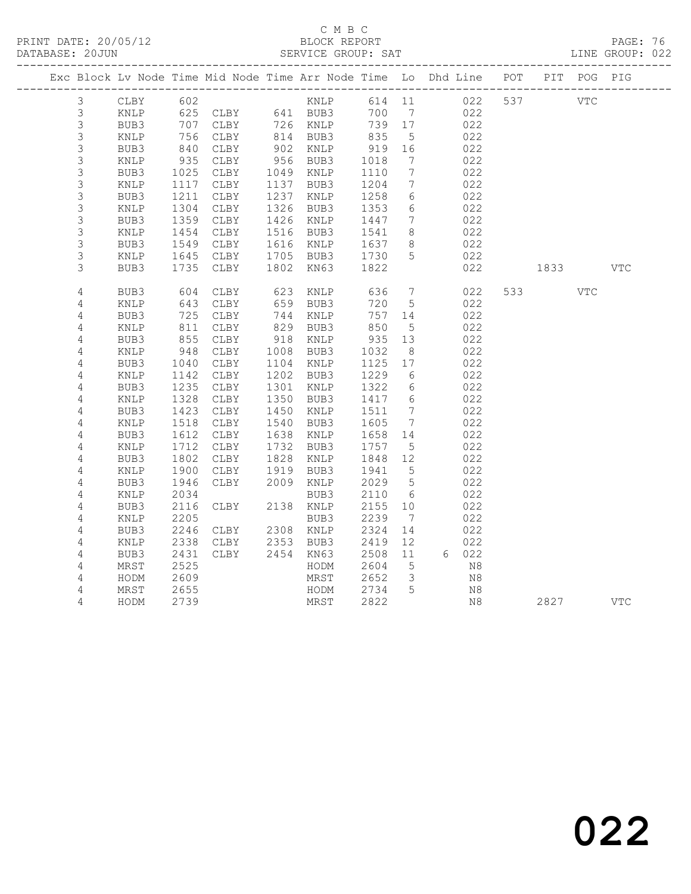# C M B C<br>BLOCK REPORT

PAGE: 76<br>LINE GROUP: 022

|  |                |                 |            |          |      |                      |            |                              | Exc Block Lv Node Time Mid Node Time Arr Node Time Lo Dhd Line POT PIT POG PIG |     |                                                                                                                                                                                                                                 |            |     |
|--|----------------|-----------------|------------|----------|------|----------------------|------------|------------------------------|--------------------------------------------------------------------------------|-----|---------------------------------------------------------------------------------------------------------------------------------------------------------------------------------------------------------------------------------|------------|-----|
|  | $\mathcal{S}$  | CLBY            | 602        |          |      | KNLP                 | 614 11     |                              | 022                                                                            | 537 | VTC                                                                                                                                                                                                                             |            |     |
|  | $\mathfrak{Z}$ | KNLP            |            |          |      |                      | 700        | $\overline{7}$               | 022                                                                            |     |                                                                                                                                                                                                                                 |            |     |
|  | $\mathfrak{Z}$ | BUB3            |            |          |      |                      | 739 17     |                              | 022                                                                            |     |                                                                                                                                                                                                                                 |            |     |
|  | 3              | KNLP            | 756        | CLBY     |      | 814 BUB3<br>902 KNLP | 835        | $5^{\circ}$                  | 022                                                                            |     |                                                                                                                                                                                                                                 |            |     |
|  | $\mathsf 3$    | BUB3            | 840        | CLBY     |      |                      | 919        | 16                           | 022                                                                            |     |                                                                                                                                                                                                                                 |            |     |
|  | 3              | KNLP            | 935        | CLBY     |      | 956 BUB3             | 1018       | $\overline{7}$               | 022                                                                            |     |                                                                                                                                                                                                                                 |            |     |
|  | $\mathsf 3$    | BUB3            | 1025       | CLBY     |      | 1049 KNLP            | 1110       | $\overline{7}$               | 022                                                                            |     |                                                                                                                                                                                                                                 |            |     |
|  | 3              | $\texttt{KNLP}$ | 1117       | CLBY     |      | 1137 BUB3            | 1204       | $7\phantom{.0}$              | 022                                                                            |     |                                                                                                                                                                                                                                 |            |     |
|  | 3              | BUB3            | 1211       | CLBY     |      | 1237 KNLP            | 1258       | 6                            | 022                                                                            |     |                                                                                                                                                                                                                                 |            |     |
|  | 3              | $\texttt{KNLP}$ | 1304       | CLBY     |      | 1326 BUB3            | 1353       | $6\overline{6}$              | 022                                                                            |     |                                                                                                                                                                                                                                 |            |     |
|  | 3              | BUB3            | 1359       | CLBY     |      | 1426 KNLP            | 1447       | 7                            | 022                                                                            |     |                                                                                                                                                                                                                                 |            |     |
|  | 3              | KNLP            | 1454       | CLBY     |      | 1516 BUB3            | 1541       | 8                            | 022                                                                            |     |                                                                                                                                                                                                                                 |            |     |
|  | 3              | BUB3            | 1549       | CLBY     |      | 1616 KNLP            | 1637       | 8                            | 022                                                                            |     |                                                                                                                                                                                                                                 |            |     |
|  | 3              | KNLP            | 1645       | CLBY     |      | 1705 BUB3            | 1730       | 5                            | 022                                                                            |     |                                                                                                                                                                                                                                 |            |     |
|  | 3              | BUB3            | 1735       | CLBY     |      | 1802 KN63            | 1822       |                              | 022                                                                            |     | 1833 — 1834 — 1845 — 1846 — 1847 — 1848 — 1848 — 1848 — 1848 — 1848 — 1848 — 1848 — 1848 — 1848 — 1848 — 1848 — 1848 — 1848 — 1848 — 1848 — 1848 — 1848 — 1848 — 1848 — 1848 — 1848 — 1848 — 1848 — 1848 — 1848 — 1848 — 1848 — |            | VTC |
|  | $\sqrt{4}$     | BUB3            |            | CLBY     | 623  | KNLP                 | 636        | $\overline{7}$               | 022                                                                            |     | 533 7                                                                                                                                                                                                                           | <b>VTC</b> |     |
|  | $\overline{4}$ | $\texttt{KNLP}$ | 604<br>643 | CLBY     | 659  | BUB3                 | 720        | 5                            | 022                                                                            |     |                                                                                                                                                                                                                                 |            |     |
|  | 4              | BUB3            |            | 725 CLBY |      | 744 KNLP             | 757        | 14                           | 022                                                                            |     |                                                                                                                                                                                                                                 |            |     |
|  | $\overline{4}$ | KNLP            | 811        | CLBY     |      | 829 BUB3             | 850<br>935 | $5^{\circ}$                  | 022                                                                            |     |                                                                                                                                                                                                                                 |            |     |
|  | 4              | BUB3            | 855        | CLBY     |      | 918 KNLP             |            | 13                           | 022                                                                            |     |                                                                                                                                                                                                                                 |            |     |
|  | 4              | KNLP            | 948        | CLBY     | 1008 | BUB3                 | 1032       | - 8                          | 022                                                                            |     |                                                                                                                                                                                                                                 |            |     |
|  | $\sqrt{4}$     | BUB3            | 1040       | CLBY     |      | 1104 KNLP            | 1125       | 17                           | 022                                                                            |     |                                                                                                                                                                                                                                 |            |     |
|  | $\overline{4}$ | KNLP            | 1142       | CLBY     |      | 1202 BUB3            | 1229       | 6                            | 022                                                                            |     |                                                                                                                                                                                                                                 |            |     |
|  | $\overline{4}$ | BUB3            | 1235       | CLBY     |      | 1301 KNLP            | 1322       | 6                            | 022                                                                            |     |                                                                                                                                                                                                                                 |            |     |
|  | $\sqrt{4}$     | KNLP            | 1328       | CLBY     |      | 1350 BUB3            | 1417       | $6\overline{6}$              | 022                                                                            |     |                                                                                                                                                                                                                                 |            |     |
|  | 4              | BUB3            | 1423       | CLBY     |      | 1450 KNLP            | 1511       | 7                            | 022                                                                            |     |                                                                                                                                                                                                                                 |            |     |
|  | $\overline{4}$ | $\texttt{KNLP}$ | 1518       | CLBY     |      | 1540 BUB3            | 1605       | $7\phantom{.0}\phantom{.0}7$ | 022                                                                            |     |                                                                                                                                                                                                                                 |            |     |
|  | $\overline{4}$ | BUB3            | 1612       | CLBY     |      | 1638 KNLP            | 1658       | 14                           | 022                                                                            |     |                                                                                                                                                                                                                                 |            |     |
|  | 4              | KNLP            | 1712       | CLBY     |      | 1732 BUB3            | 1757       | $5^{\circ}$                  | 022                                                                            |     |                                                                                                                                                                                                                                 |            |     |
|  | $\sqrt{4}$     | BUB3            | 1802       | CLBY     | 1828 | KNLP                 | 1848       | 12                           | 022                                                                            |     |                                                                                                                                                                                                                                 |            |     |
|  | 4              | KNLP            | 1900       | CLBY     | 1919 | BUB3                 | 1941       | $5^{\circ}$                  | 022                                                                            |     |                                                                                                                                                                                                                                 |            |     |
|  | $\overline{4}$ | BUB3            | 1946       | CLBY     |      | 2009 KNLP            | 2029       | $5\overline{)}$              | 022                                                                            |     |                                                                                                                                                                                                                                 |            |     |
|  | 4              | KNLP            | 2034       |          |      | BUB3                 | 2110       | 6                            | 022                                                                            |     |                                                                                                                                                                                                                                 |            |     |
|  | $\overline{4}$ | BUB3            | 2116       | CLBY     |      | 2138 KNLP            | 2155       | 10                           | 022                                                                            |     |                                                                                                                                                                                                                                 |            |     |
|  | $\overline{4}$ | KNLP            | 2205       |          |      | BUB3                 | 2239       | $\overline{7}$               | 022                                                                            |     |                                                                                                                                                                                                                                 |            |     |
|  | 4              | BUB3            | 2246       | CLBY     |      | 2308 KNLP            | 2324       | 14                           | 022                                                                            |     |                                                                                                                                                                                                                                 |            |     |
|  | $\overline{4}$ | KNLP            | 2338       | CLBY     |      | 2353 BUB3            | 2419       | 12                           | 022                                                                            |     |                                                                                                                                                                                                                                 |            |     |
|  | $\sqrt{4}$     | BUB3            | 2431       | CLBY     |      | 2454 KN63            | 2508       | 11                           | 6 022                                                                          |     |                                                                                                                                                                                                                                 |            |     |
|  | 4              | MRST            | 2525       |          |      | HODM                 | 2604       | $5^{\circ}$                  | N8                                                                             |     |                                                                                                                                                                                                                                 |            |     |
|  | 4              | HODM            | 2609       |          |      | MRST                 | 2652       | $\overline{\mathbf{3}}$      | N8                                                                             |     |                                                                                                                                                                                                                                 |            |     |
|  | 4              | MRST            | 2655       |          |      | HODM                 | 2734       | $5\overline{5}$              | N8                                                                             |     |                                                                                                                                                                                                                                 |            |     |
|  | 4              | HODM            | 2739       |          |      | MRST                 | 2822       |                              | N <sub>8</sub>                                                                 |     | 2827                                                                                                                                                                                                                            |            | VTC |
|  |                |                 |            |          |      |                      |            |                              |                                                                                |     |                                                                                                                                                                                                                                 |            |     |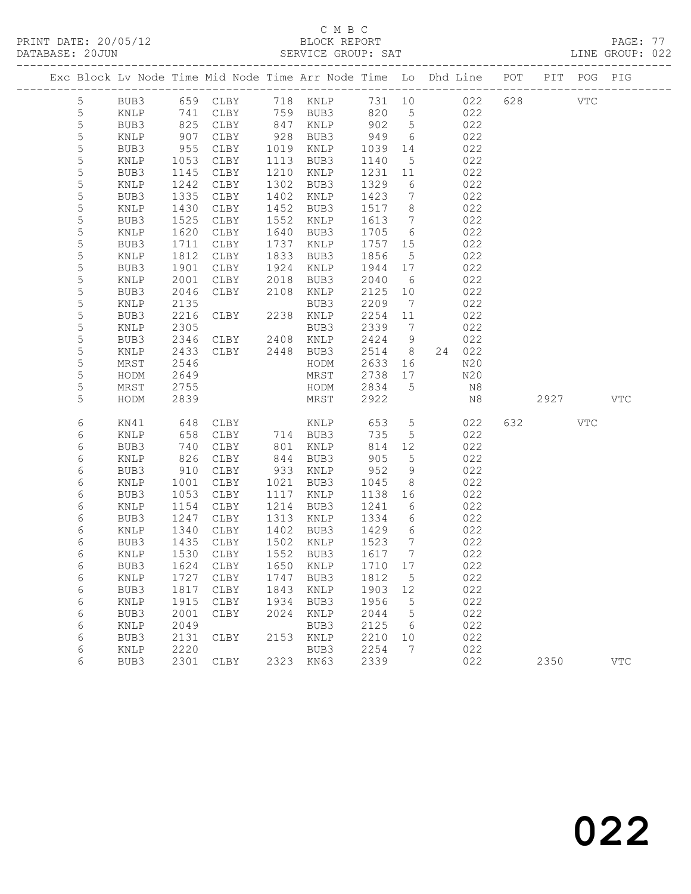## C M B C<br>BLOCK REPORT

PAGE: 77<br>LINE GROUP: 022

|  |                |      |      | Exc Block Lv Node Time Mid Node Time Arr Node Time Lo Dhd Line POT PIT POG PIG |           |             |          |      |                              |            |     |         |              |            |
|--|----------------|------|------|--------------------------------------------------------------------------------|-----------|-------------|----------|------|------------------------------|------------|-----|---------|--------------|------------|
|  | $5\phantom{.}$ | BUB3 |      | 659 CLBY                                                                       |           |             | 718 KNLP |      |                              | 731 10 022 | 628 |         | $_{\rm VTC}$ |            |
|  | 5              | KNLP | 741  | CLBY                                                                           |           | 759 BUB3    |          | 820  | 5 <sup>5</sup>               | 022        |     |         |              |            |
|  | $\mathsf S$    | BUB3 | 825  | CLBY                                                                           |           | 847 KNLP    |          | 902  | $5\overline{)}$              | 022        |     |         |              |            |
|  | 5              | KNLP | 907  | CLBY                                                                           | 928       | BUB3        |          | 949  | 6                            | 022        |     |         |              |            |
|  | 5              | BUB3 | 955  | CLBY                                                                           | 1019      | KNLP        |          | 1039 | 14                           | 022        |     |         |              |            |
|  | 5              | KNLP | 1053 | CLBY                                                                           | 1113      | BUB3        |          | 1140 | 5                            | 022        |     |         |              |            |
|  | $\mathsf S$    | BUB3 | 1145 | CLBY                                                                           | 1210      | KNLP        |          | 1231 | 11                           | 022        |     |         |              |            |
|  | 5              | KNLP | 1242 | CLBY                                                                           | 1302      | BUB3        |          | 1329 | 6                            | 022        |     |         |              |            |
|  | 5              | BUB3 | 1335 | CLBY                                                                           | 1402      | KNLP        |          | 1423 | $7\phantom{.0}\phantom{.0}7$ | 022        |     |         |              |            |
|  | 5              | KNLP | 1430 | CLBY                                                                           | 1452      | BUB3        |          | 1517 | 8 <sup>8</sup>               | 022        |     |         |              |            |
|  | $\mathsf S$    | BUB3 | 1525 | CLBY                                                                           | 1552      | KNLP        |          | 1613 | $7\phantom{.0}\phantom{.0}7$ | 022        |     |         |              |            |
|  | 5              | KNLP | 1620 | CLBY                                                                           | 1640      | BUB3        |          | 1705 | 6                            | 022        |     |         |              |            |
|  | 5              | BUB3 | 1711 | CLBY                                                                           | 1737      | KNLP        |          | 1757 | 15                           | 022        |     |         |              |            |
|  | 5              | KNLP | 1812 | CLBY                                                                           | 1833      | BUB3        |          | 1856 | $5\overline{)}$              | 022        |     |         |              |            |
|  | 5              | BUB3 | 1901 | CLBY                                                                           | 1924      | KNLP        |          | 1944 | 17                           | 022        |     |         |              |            |
|  | 5              | KNLP | 2001 | CLBY                                                                           | 2018      | BUB3        |          | 2040 | 6                            | 022        |     |         |              |            |
|  | 5              | BUB3 | 2046 | CLBY                                                                           | 2108      | KNLP        |          | 2125 | 10                           | 022        |     |         |              |            |
|  | 5              | KNLP | 2135 |                                                                                |           | BUB3        |          | 2209 | $\overline{7}$               | 022        |     |         |              |            |
|  | 5              | BUB3 | 2216 | CLBY                                                                           | 2238 KNLP |             |          | 2254 | 11                           | 022        |     |         |              |            |
|  | 5              | KNLP | 2305 |                                                                                |           | BUB3        |          | 2339 | $\overline{7}$               | 022        |     |         |              |            |
|  | 5              | BUB3 | 2346 | CLBY 2408 KNLP                                                                 |           |             |          | 2424 | 9                            | 022        |     |         |              |            |
|  | 5              | KNLP | 2433 | CLBY 2448                                                                      |           | BUB3        |          | 2514 | 8 <sup>8</sup>               | 24 022     |     |         |              |            |
|  | 5              | MRST | 2546 |                                                                                |           | HODM        |          | 2633 | 16                           | N20        |     |         |              |            |
|  | 5              | HODM | 2649 |                                                                                |           | MRST        |          | 2738 | 17                           | N20        |     |         |              |            |
|  | 5              | MRST | 2755 |                                                                                |           | HODM        |          | 2834 | $5^{\circ}$                  | N8         |     |         |              |            |
|  | 5              | HODM | 2839 |                                                                                |           | MRST        |          | 2922 |                              | N8         |     | 2927    |              | <b>VTC</b> |
|  | 6              | KN41 | 648  | CLBY                                                                           |           | KNLP        |          | 653  | $5\overline{)}$              | 022        |     | 632 000 | VTC          |            |
|  | 6              | KNLP | 658  | CLBY                                                                           |           | 714 BUB3    |          | 735  | $5\phantom{.0}$              | 022        |     |         |              |            |
|  | 6              | BUB3 | 740  | CLBY                                                                           | 801       | KNLP        |          | 814  | 12                           | 022        |     |         |              |            |
|  | 6              | KNLP | 826  | CLBY                                                                           | 844       | BUB3        |          | 905  | 5                            | 022        |     |         |              |            |
|  | 6              | BUB3 | 910  | CLBY                                                                           | 933       | KNLP        |          | 952  | 9                            | 022        |     |         |              |            |
|  | 6              | KNLP | 1001 | CLBY                                                                           | 1021      | BUB3        |          | 1045 | 8                            | 022        |     |         |              |            |
|  | 6              | BUB3 | 1053 | CLBY                                                                           | 1117      | KNLP        |          | 1138 | 16                           | 022        |     |         |              |            |
|  | 6              | KNLP | 1154 | CLBY                                                                           | 1214      | BUB3        |          | 1241 | 6                            | 022        |     |         |              |            |
|  | 6              | BUB3 | 1247 | CLBY                                                                           | 1313      | KNLP        |          | 1334 | 6                            | 022        |     |         |              |            |
|  | 6              | KNLP | 1340 | CLBY                                                                           | 1402 BUB3 |             |          | 1429 | 6                            | 022        |     |         |              |            |
|  | 6              | BUB3 | 1435 | CLBY                                                                           | 1502 KNLP |             |          | 1523 | $\overline{7}$               | 022        |     |         |              |            |
|  | 6              | KNLP | 1530 | CLBY                                                                           | 1552 BUB3 |             |          | 1617 | $\overline{7}$               | 022        |     |         |              |            |
|  | 6              |      |      | BUB3 1624 CLBY 1650 KNLP 1710 17                                               |           |             |          |      |                              | 022        |     |         |              |            |
|  | 6              | KNLP | 1727 | CLBY                                                                           | 1747      | BUB3        |          | 1812 | 5                            | 022        |     |         |              |            |
|  | 6              | BUB3 | 1817 | CLBY                                                                           | 1843      | <b>KNLP</b> |          | 1903 | 12                           | 022        |     |         |              |            |
|  | 6              | KNLP | 1915 | CLBY                                                                           | 1934      | BUB3        |          | 1956 | 5                            | 022        |     |         |              |            |
|  | 6              | BUB3 | 2001 | CLBY                                                                           | 2024      | <b>KNLP</b> |          | 2044 | 5                            | 022        |     |         |              |            |
|  | 6              | KNLP | 2049 |                                                                                |           | BUB3        |          | 2125 | 6                            | 022        |     |         |              |            |
|  | 6              | BUB3 | 2131 | CLBY                                                                           | 2153      | <b>KNLP</b> |          | 2210 | 10                           | 022        |     |         |              |            |
|  | 6              | KNLP | 2220 |                                                                                |           | BUB3        |          | 2254 | 7                            | 022        |     |         |              |            |
|  | 6              | BUB3 | 2301 | CLBY                                                                           | 2323      | KN63        |          | 2339 |                              | 022        |     | 2350    |              | <b>VTC</b> |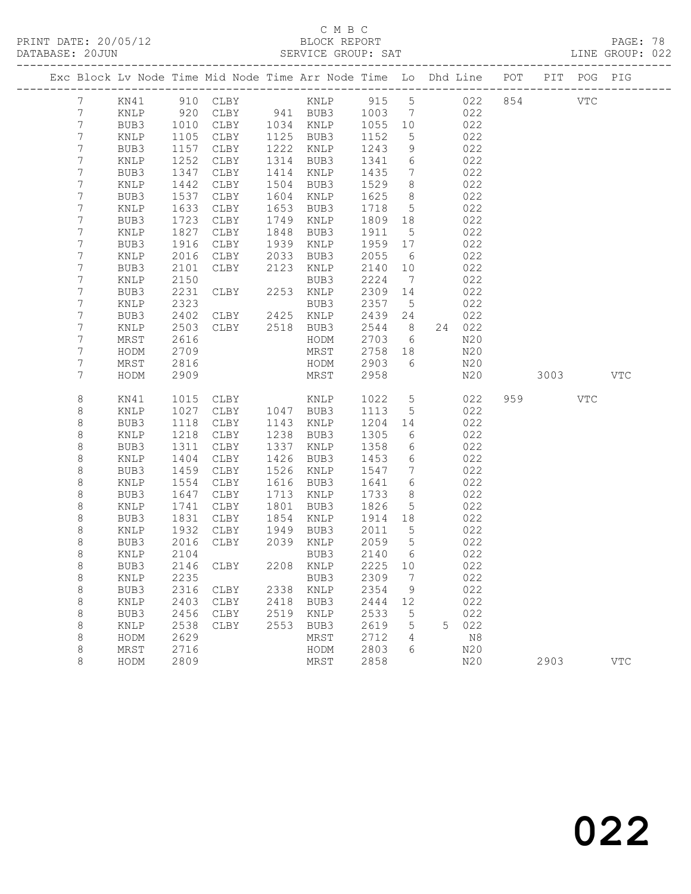### C M B C<br>BLOCK REPORT

|                 |      |              |                                                                                |      |             |                                                                                      |                 |                                                     |            |          |        |     | LINE GROUP: 022 |  |
|-----------------|------|--------------|--------------------------------------------------------------------------------|------|-------------|--------------------------------------------------------------------------------------|-----------------|-----------------------------------------------------|------------|----------|--------|-----|-----------------|--|
|                 |      |              | Exc Block Lv Node Time Mid Node Time Arr Node Time Lo Dhd Line POT PIT POG PIG |      |             |                                                                                      |                 |                                                     |            |          |        |     |                 |  |
| $7\phantom{0}$  |      |              |                                                                                |      |             |                                                                                      |                 |                                                     |            |          |        |     |                 |  |
| $7\phantom{.0}$ | KNLP |              | 920 CLBY 941 BUB3 1003 7 022                                                   |      |             |                                                                                      |                 |                                                     |            |          |        |     |                 |  |
| $7\phantom{.}$  | BUB3 |              | 1010 CLBY 1034 KNLP                                                            |      |             | 1055 10 022                                                                          |                 |                                                     |            |          |        |     |                 |  |
| 7               | KNLP | 1105<br>1157 | CLBY                                                                           |      | 1125 BUB3   | 1152                                                                                 |                 | $\begin{array}{ccc} 5 & 022 \\ 9 & 022 \end{array}$ |            |          |        |     |                 |  |
| $7\phantom{.}$  | BUB3 |              | CLBY                                                                           |      | 1222 KNLP   | 1243                                                                                 | 9               |                                                     |            |          |        |     |                 |  |
| 7               | KNLP | 1252         | CLBY                                                                           |      | 1314 BUB3   | 1341 6 022                                                                           |                 |                                                     |            |          |        |     |                 |  |
| 7               | BUB3 | 1347         | CLBY                                                                           |      | 1414 KNLP   | 1435 7 022                                                                           |                 |                                                     |            |          |        |     |                 |  |
| 7               | KNLP | 1442         | CLBY                                                                           |      | 1504 BUB3   | $\begin{array}{cccc} 1529 & 8 & 022 \\ 1625 & 8 & 022 \\ 1718 & 5 & 022 \end{array}$ |                 |                                                     |            |          |        |     |                 |  |
| $7\phantom{.0}$ | BUB3 | 1537         | CLBY                                                                           |      | 1604 KNLP   |                                                                                      |                 |                                                     |            |          |        |     |                 |  |
| $7\phantom{.0}$ | KNLP | 1633         | CLBY                                                                           | 1653 | BUB3        |                                                                                      |                 |                                                     |            |          |        |     |                 |  |
| $7\phantom{.}$  | BUB3 | 1723         | CLBY                                                                           | 1749 | KNLP        | 1809 18 022                                                                          |                 |                                                     |            |          |        |     |                 |  |
| 7               | KNLP | 1827         | CLBY                                                                           | 1848 | BUB3        | 1911                                                                                 | 5 <sup>5</sup>  |                                                     | 022        |          |        |     |                 |  |
| $7\phantom{.}$  | BUB3 | 1916         | CLBY                                                                           |      | 1939 KNLP   | 1959 17                                                                              |                 |                                                     | 022        |          |        |     |                 |  |
| 7               | KNLP | 2016         | CLBY                                                                           |      | 2033 BUB3   | 2055                                                                                 | 6               |                                                     | 022        |          |        |     |                 |  |
| 7               | BUB3 | 2101         | CLBY                                                                           | 2123 | KNLP        | 2140 10 022                                                                          |                 |                                                     |            |          |        |     |                 |  |
| 7               | KNLP | 2150         |                                                                                |      |             | 2224                                                                                 |                 | 7 022                                               |            |          |        |     |                 |  |
| 7               | BUB3 | 2231         | BUB3<br>CLBY 2253 KNLP<br>BUB3<br>CLBY 2425 KNLP                               |      |             | 2309 14                                                                              |                 |                                                     | 022        |          |        |     |                 |  |
| 7               | KNLP | 2323         |                                                                                |      |             | 2357 5                                                                               |                 |                                                     | 022        |          |        |     |                 |  |
| 7               | BUB3 | 2402         |                                                                                |      |             | 2439 24                                                                              |                 |                                                     | 022        |          |        |     |                 |  |
| 7               | KNLP | 2503         | CLBY 2518 BUB3                                                                 |      |             | 2544 8 24 022                                                                        |                 |                                                     |            |          |        |     |                 |  |
| 7               | MRST | 2616         |                                                                                |      | HODM        | 2703                                                                                 | $6\overline{6}$ |                                                     | N20        |          |        |     |                 |  |
| 7               | HODM | 2709         |                                                                                |      | MRST        | 2758 18                                                                              |                 |                                                     | N20        |          |        |     |                 |  |
| 7               | MRST | 2816         |                                                                                |      | HODM        | 2903                                                                                 | $6\overline{6}$ |                                                     | N20        |          |        |     |                 |  |
| 7               | HODM | 2909         |                                                                                |      | MRST        | 2958                                                                                 |                 |                                                     | N20        | 3003 VTC |        |     |                 |  |
| 8               | KN41 |              | 1015 CLBY KNLP<br>1027 CLBY 1047 BUB3                                          |      |             |                                                                                      |                 |                                                     | 1022 5 022 |          | 959 30 | VTC |                 |  |
| 8               | KNLP |              |                                                                                |      |             | 1113 5 022                                                                           |                 |                                                     |            |          |        |     |                 |  |
| 8               | BUB3 | 1118         | CLBY 1143 KNLP                                                                 |      |             | 1204 14                                                                              |                 |                                                     | 022        |          |        |     |                 |  |
| 8               | KNLP | 1218         | CLBY                                                                           |      | 1238 BUB3   | 1305                                                                                 |                 | 6022                                                |            |          |        |     |                 |  |
| 8               | BUB3 | 1311         | CLBY                                                                           |      | 1337 KNLP   | 1358                                                                                 | $6\overline{6}$ |                                                     | 022        |          |        |     |                 |  |
| 8               | KNLP | 1404         | CLBY                                                                           |      | 1426 BUB3   | 1453 6 022                                                                           |                 |                                                     |            |          |        |     |                 |  |
| 8               | BUB3 | 1459         | CLBY                                                                           |      | 1526 KNLP   | 1547 7 022                                                                           |                 |                                                     |            |          |        |     |                 |  |
| 8               | KNLP | 1554         | CLBY                                                                           | 1616 | BUB3        | 1641 6 022                                                                           |                 |                                                     |            |          |        |     |                 |  |
| $\,8\,$         | BUB3 | 1647         | CLBY                                                                           |      | 1713 KNLP   | 1733                                                                                 |                 | 8 022<br>5 022                                      |            |          |        |     |                 |  |
| 8               | KNLP | 1741         | CLBY                                                                           |      | 1801 BUB3   | 1826                                                                                 |                 |                                                     |            |          |        |     |                 |  |
| 8               | BUB3 |              | 1831 CLBY 1854 KNLP                                                            |      |             | 1914 18                                                                              |                 | 022                                                 |            |          |        |     |                 |  |
| 8               | KNLP |              | 1932 CLBY                                                                      |      | 1949 BUB3   | 2011                                                                                 | $5^{\circ}$     |                                                     | 022        |          |        |     |                 |  |
| 8               |      |              | BUB3 2016 CLBY 2039 KNLP 2059 5                                                |      |             |                                                                                      |                 |                                                     | 022        |          |        |     |                 |  |
| 8               | KNLP | 2104         |                                                                                |      | BUB3        | 2140                                                                                 | 6               |                                                     | 022        |          |        |     |                 |  |
| 8               | BUB3 | 2146         | CLBY                                                                           | 2208 | KNLP        | 2225                                                                                 | 10              |                                                     | 022        |          |        |     |                 |  |
| 8               | KNLP | 2235         |                                                                                |      | BUB3        | 2309                                                                                 | 7               |                                                     | 022        |          |        |     |                 |  |
| $\,8\,$         | BUB3 | 2316         | CLBY                                                                           | 2338 | KNLP        | 2354                                                                                 | 9               |                                                     | 022        |          |        |     |                 |  |
| $\,8\,$         | KNLP | 2403         | CLBY                                                                           | 2418 | BUB3        | 2444                                                                                 | 12              |                                                     | 022        |          |        |     |                 |  |
| 8               | BUB3 | 2456         | CLBY                                                                           | 2519 | <b>KNLP</b> | 2533                                                                                 | 5               |                                                     | 022        |          |        |     |                 |  |
| 8               | KNLP | 2538         | CLBY                                                                           | 2553 | BUB3        | 2619                                                                                 | 5               | 5.                                                  | 022        |          |        |     |                 |  |
| $\,8\,$         | HODM | 2629         |                                                                                |      | MRST        | 2712                                                                                 | 4               |                                                     | $\rm N8$   |          |        |     |                 |  |
| 8               | MRST | 2716         |                                                                                |      | HODM        | 2803                                                                                 | 6               |                                                     | N20        |          |        |     |                 |  |
| 8               | HODM | 2809         |                                                                                |      | MRST        | 2858                                                                                 |                 |                                                     | N20        |          | 2903   |     | <b>VTC</b>      |  |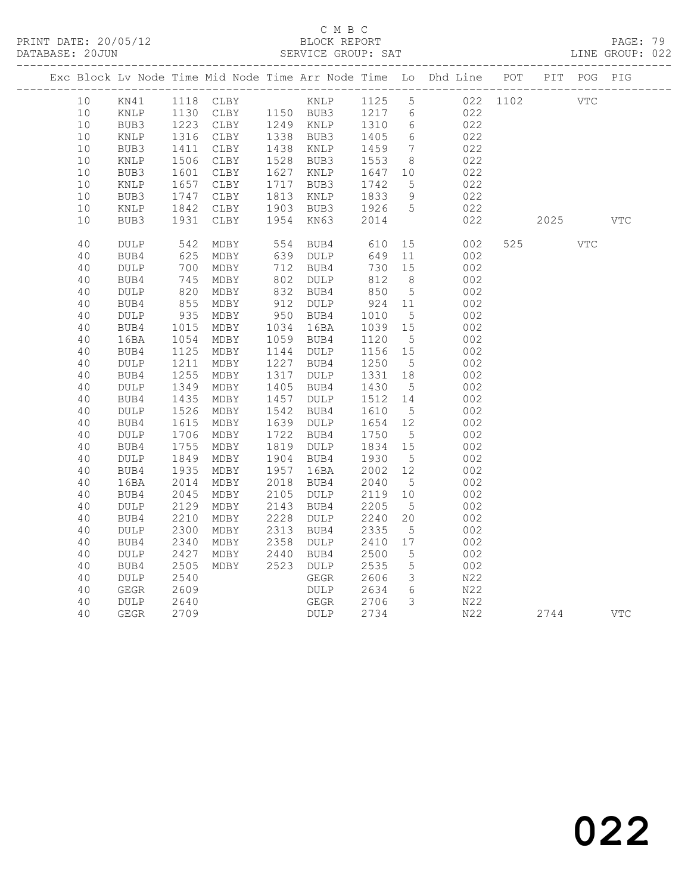### C M B C<br>BLOCK REPORT

PAGE: 79<br>LINE GROUP: 022

|          |                     |              |                                                                                              |              |                     |              |                              | Exc Block Lv Node Time Mid Node Time Arr Node Time Lo Dhd Line POT PIT POG PIG |      |            |            |
|----------|---------------------|--------------|----------------------------------------------------------------------------------------------|--------------|---------------------|--------------|------------------------------|--------------------------------------------------------------------------------|------|------------|------------|
| 10       | KN41                |              |                                                                                              |              |                     |              |                              | 022 1102 VTC                                                                   |      |            |            |
| 10       | KNLP                |              | 1130 CLBY 1150 BUB3 1217 6<br>1223 CLBY 1249 KNLP 1310 6<br>ـساب 1130<br>1223 CLBY<br>معمد م |              |                     |              |                              | 022                                                                            |      |            |            |
| 10       | BUB3                |              |                                                                                              |              |                     |              |                              | 022                                                                            |      |            |            |
| 10       | KNLP                | 1316         | CLBY                                                                                         |              | 1338 BUB3           | 1405         | $6\overline{6}$              | 022                                                                            |      |            |            |
| 10       | BUB3                | 1411         | CLBY                                                                                         |              | 1438 KNLP           | 1459         | $7\phantom{.0}\phantom{.0}7$ | 022                                                                            |      |            |            |
| 10       | KNLP                | 1506         | CLBY                                                                                         |              | 1528 BUB3           | 1553         | 8 <sup>8</sup>               | 022                                                                            |      |            |            |
| 10       | BUB3                | 1601         | CLBY                                                                                         | 1627         | KNLP                | 1647         | 10                           | 022                                                                            |      |            |            |
| 10       | KNLP                | 1657         | CLBY                                                                                         | 1717         | BUB3                | 1742         | 5                            | 022                                                                            |      |            |            |
| 10<br>10 | BUB3<br>KNLP        | 1747<br>1842 | CLBY<br>CLBY                                                                                 | 1813<br>1903 | KNLP<br>BUB3        | 1833<br>1926 | 9<br>$5\overline{)}$         | 022<br>022                                                                     |      |            |            |
| 10       | BUB3                | 1931         | CLBY                                                                                         | 1954         | KN63                | 2014         |                              | 022                                                                            | 2025 |            | <b>VTC</b> |
|          |                     |              |                                                                                              |              |                     |              |                              |                                                                                |      |            |            |
| 40       | <b>DULP</b>         | 542          | MDBY                                                                                         | 554          | BUB4                | 610          | 15                           | 002                                                                            | 525  | <b>VTC</b> |            |
| 40       | BUB4                | 625          | MDBY                                                                                         | 639          | DULP                | 649          | 11                           | 002                                                                            |      |            |            |
| 40       | $\texttt{DULP}$     | 700          | MDBY                                                                                         | 712          | BUB4                | 730          | 15                           | 002                                                                            |      |            |            |
| 40       | BUB4                | 745          | MDBY                                                                                         | 802          | <b>DULP</b>         | 812          | 8 <sup>8</sup>               | 002                                                                            |      |            |            |
| 40       | <b>DULP</b>         | 820          | MDBY                                                                                         | 832          | BUB4                | 850          | $5\overline{)}$              | 002                                                                            |      |            |            |
| 40       | BUB4                | 855          | MDBY                                                                                         | 912          | <b>DULP</b>         | 924          | 11                           | 002                                                                            |      |            |            |
| 40       | <b>DULP</b>         | 935          | MDBY                                                                                         | 950          | BUB4                | 1010         | $5^{\circ}$                  | 002                                                                            |      |            |            |
| 40       | BUB4                | 1015         | MDBY                                                                                         | 1034         | 16BA                | 1039         | 15                           | 002                                                                            |      |            |            |
| 40       | 16BA                | 1054         | MDBY                                                                                         | 1059         | BUB4                | 1120         | 5                            | 002                                                                            |      |            |            |
| 40       | BUB4                | 1125         | MDBY                                                                                         | 1144<br>1227 | <b>DULP</b>         | 1156         | 15                           | 002                                                                            |      |            |            |
| 40<br>40 | <b>DULP</b><br>BUB4 | 1211<br>1255 | MDBY<br>MDBY                                                                                 | 1317         | BUB4<br><b>DULP</b> | 1250<br>1331 | $5^{\circ}$<br>18            | 002<br>002                                                                     |      |            |            |
| 40       | <b>DULP</b>         | 1349         | MDBY                                                                                         | 1405         | BUB4                | 1430         | $5\phantom{.0}$              | 002                                                                            |      |            |            |
| 40       | BUB4                | 1435         | MDBY                                                                                         | 1457         | $\texttt{DULP}$     | 1512         | 14                           | 002                                                                            |      |            |            |
| 40       | <b>DULP</b>         | 1526         | MDBY                                                                                         | 1542         | BUB4                | 1610         | $5\phantom{.0}$              | 002                                                                            |      |            |            |
| 40       | BUB4                | 1615         | MDBY                                                                                         | 1639         | <b>DULP</b>         | 1654         | 12                           | 002                                                                            |      |            |            |
| 40       | <b>DULP</b>         | 1706         | MDBY                                                                                         | 1722         | BUB4                | 1750         | 5                            | 002                                                                            |      |            |            |
| 40       | BUB4                | 1755         | MDBY                                                                                         | 1819         | DULP                | 1834         | 15                           | 002                                                                            |      |            |            |
| 40       | <b>DULP</b>         | 1849         | MDBY                                                                                         | 1904         | BUB4                | 1930         | 5                            | 002                                                                            |      |            |            |
| 40       | BUB4                | 1935         | MDBY                                                                                         | 1957         | 16BA                | 2002         | 12                           | 002                                                                            |      |            |            |
| 40       | 16BA                | 2014         | MDBY                                                                                         | 2018         | BUB4                | 2040         | $5^{\circ}$                  | 002                                                                            |      |            |            |
| 40       | BUB4                | 2045         | MDBY                                                                                         | 2105         | <b>DULP</b>         | 2119         | 10 <sup>°</sup>              | 002                                                                            |      |            |            |
| 40       | $\texttt{DULP}$     | 2129         | MDBY                                                                                         | 2143         | BUB4                | 2205         | 5                            | 002                                                                            |      |            |            |
| 40       | BUB4                | 2210         | MDBY                                                                                         | 2228         | <b>DULP</b>         | 2240         | 20                           | 002                                                                            |      |            |            |
| 40       | <b>DULP</b>         | 2300         | MDBY                                                                                         | 2313         | BUB4                | 2335         | $5\phantom{.0}$              | 002                                                                            |      |            |            |
| 40       | BUB4                | 2340         | MDBY                                                                                         | 2358         | <b>DULP</b>         | 2410         | 17                           | 002                                                                            |      |            |            |
| 40       | <b>DULP</b>         | 2427         | MDBY                                                                                         | 2440         | BUB4                | 2500         | $5\phantom{.0}$              | 002                                                                            |      |            |            |
| 40       | BUB4                | 2505         | MDBY                                                                                         | 2523         | DULP                | 2535         | $5\overline{)}$              | 002                                                                            |      |            |            |
| 40       | <b>DULP</b>         | 2540         |                                                                                              |              | GEGR                | 2606         | $\mathcal{E}$                | N22                                                                            |      |            |            |
| 40       | <b>GEGR</b>         | 2609         |                                                                                              |              | <b>DULP</b>         | 2634         | 6                            | N22                                                                            |      |            |            |
| 40       | <b>DULP</b>         | 2640         |                                                                                              |              | GEGR                | 2706         | $\mathcal{S}$                | N22                                                                            |      |            |            |
| 40       | <b>GEGR</b>         | 2709         |                                                                                              |              | DULP                | 2734         |                              | N22                                                                            | 2744 |            | <b>VTC</b> |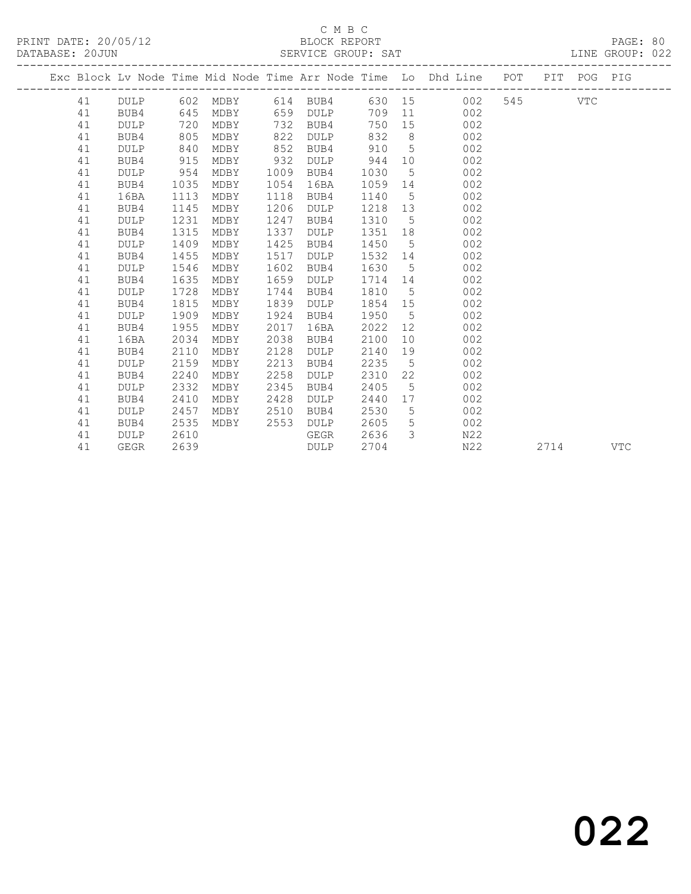|  |    |             |      |          |      |             |      |                 | Exc Block Lv Node Time Mid Node Time Arr Node Time Lo Dhd Line | POT |      | PIT POG PIG |            |
|--|----|-------------|------|----------|------|-------------|------|-----------------|----------------------------------------------------------------|-----|------|-------------|------------|
|  | 41 | DULP        |      | 602 MDBY |      | 614 BUB4    |      |                 | 630 15<br>002                                                  | 545 |      | VTC         |            |
|  | 41 | BUB4        | 645  | MDBY     | 659  | DULP        | 709  |                 | 11 7<br>002                                                    |     |      |             |            |
|  | 41 | <b>DULP</b> | 720  | MDBY     | 732  | BUB4        | 750  | 15              | 002                                                            |     |      |             |            |
|  | 41 | BUB4        | 805  | MDBY     | 822  | DULP        | 832  | 8               | 002                                                            |     |      |             |            |
|  | 41 | <b>DULP</b> | 840  | MDBY     | 852  | BUB4        | 910  | $5^{\circ}$     | 002                                                            |     |      |             |            |
|  | 41 | BUB4        | 915  | MDBY     | 932  | DULP        | 944  | 10              | 002                                                            |     |      |             |            |
|  | 41 | <b>DULP</b> | 954  | MDBY     | 1009 | BUB4        | 1030 | $5\overline{)}$ | 002                                                            |     |      |             |            |
|  | 41 | BUB4        | 1035 | MDBY     | 1054 | 16BA        | 1059 | 14              | 002                                                            |     |      |             |            |
|  | 41 | 16BA        | 1113 | MDBY     | 1118 | BUB4        | 1140 | $5^{\circ}$     | 002                                                            |     |      |             |            |
|  | 41 | BUB4        | 1145 | MDBY     | 1206 | <b>DULP</b> | 1218 | 13              | 002                                                            |     |      |             |            |
|  | 41 | <b>DULP</b> | 1231 | MDBY     | 1247 | BUB4        | 1310 | 5               | 002                                                            |     |      |             |            |
|  | 41 | BUB4        | 1315 | MDBY     | 1337 | <b>DULP</b> | 1351 | 18              | 002                                                            |     |      |             |            |
|  | 41 | <b>DULP</b> | 1409 | MDBY     | 1425 | BUB4        | 1450 | 5               | 002                                                            |     |      |             |            |
|  | 41 | BUB4        | 1455 | MDBY     | 1517 | DULP        | 1532 | 14              | 002                                                            |     |      |             |            |
|  | 41 | DULP        | 1546 | MDBY     | 1602 | BUB4        | 1630 | $5\overline{)}$ | 002                                                            |     |      |             |            |
|  | 41 | BUB4        | 1635 | MDBY     | 1659 | DULP        | 1714 | 14              | 002                                                            |     |      |             |            |
|  | 41 | <b>DULP</b> | 1728 | MDBY     | 1744 | BUB4        | 1810 | $5\overline{)}$ | 002                                                            |     |      |             |            |
|  | 41 | BUB4        | 1815 | MDBY     | 1839 | DULP        | 1854 | 15              | 002                                                            |     |      |             |            |
|  | 41 | <b>DULP</b> | 1909 | MDBY     | 1924 | BUB4        | 1950 | $5\overline{)}$ | 002                                                            |     |      |             |            |
|  | 41 | BUB4        | 1955 | MDBY     | 2017 | 16BA        | 2022 | 12              | 002                                                            |     |      |             |            |
|  | 41 | 16BA        | 2034 | MDBY     | 2038 | BUB4        | 2100 | 10 <sup>°</sup> | 002                                                            |     |      |             |            |
|  | 41 | BUB4        | 2110 | MDBY     | 2128 | <b>DULP</b> | 2140 | 19              | 002                                                            |     |      |             |            |
|  | 41 | <b>DULP</b> | 2159 | MDBY     | 2213 | BUB4        | 2235 | $5^{\circ}$     | 002                                                            |     |      |             |            |
|  | 41 | BUB4        | 2240 | MDBY     | 2258 | <b>DULP</b> | 2310 | 22              | 002                                                            |     |      |             |            |
|  | 41 | <b>DULP</b> | 2332 | MDBY     | 2345 | BUB4        | 2405 | 5               | 002                                                            |     |      |             |            |
|  | 41 | BUB4        | 2410 | MDBY     | 2428 | <b>DULP</b> | 2440 | 17              | 002                                                            |     |      |             |            |
|  | 41 | <b>DULP</b> | 2457 | MDBY     | 2510 | BUB4        | 2530 | 5               | 002                                                            |     |      |             |            |
|  | 41 | BUB4        | 2535 | MDBY     | 2553 | <b>DULP</b> | 2605 | $5\overline{)}$ | 002                                                            |     |      |             |            |
|  | 41 | <b>DULP</b> | 2610 |          |      | GEGR        | 2636 | $\mathcal{E}$   | N22                                                            |     |      |             |            |
|  | 41 | <b>GEGR</b> | 2639 |          |      | DULP        | 2704 |                 | N22                                                            |     | 2714 |             | <b>VTC</b> |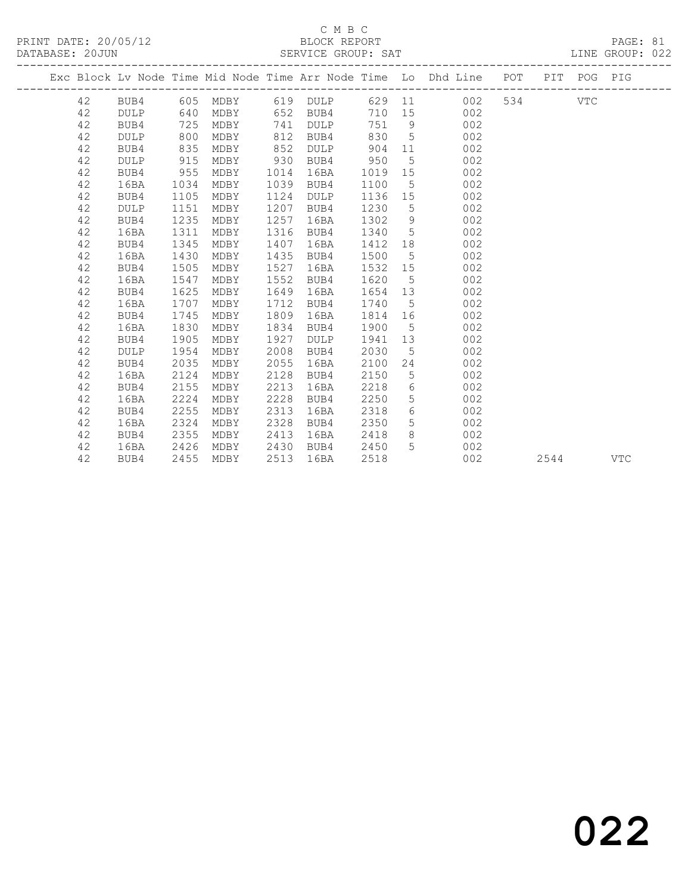#### C M B C SERVICE GROUP: SAT

| PRINT DATE: 20/05/12 | BLOCK REPORT       | PAGE: 81        |  |
|----------------------|--------------------|-----------------|--|
| DATABASE: 20JUN      | SERVICE GROUP: SAT | LINE GROUP: 022 |  |

|  |    |             |      |      |      |                   |         |                 | Exc Block Lv Node Time Mid Node Time Arr Node Time Lo Dhd Line POT PIT POG PIG |         |      |     |
|--|----|-------------|------|------|------|-------------------|---------|-----------------|--------------------------------------------------------------------------------|---------|------|-----|
|  | 42 | BUB4        |      |      |      | 605 MDBY 619 DULP |         |                 | 629 11<br>002                                                                  | 534 VTC |      |     |
|  | 42 | DULP        | 640  | MDBY |      | 652 BUB4          | 710 15  |                 | 002                                                                            |         |      |     |
|  | 42 | BUB4        | 725  | MDBY | 741  | DULP              | 751 9   |                 | 002                                                                            |         |      |     |
|  | 42 | DULP        | 800  | MDBY | 812  | BUB4              | 830     | $5^{\circ}$     | 002                                                                            |         |      |     |
|  | 42 | BUB4        | 835  | MDBY | 852  | <b>DULP</b>       | 904     | 11              | 002                                                                            |         |      |     |
|  | 42 | DULP        | 915  | MDBY | 930  | BUB4              | 950     | 5               | 002                                                                            |         |      |     |
|  | 42 | BUB4        | 955  | MDBY | 1014 | 16BA              | 1019    | 15              | 002                                                                            |         |      |     |
|  | 42 | 16BA        | 1034 | MDBY | 1039 | BUB4              | 1100    | $5^{\circ}$     | 002                                                                            |         |      |     |
|  | 42 | BUB4        | 1105 | MDBY | 1124 | <b>DULP</b>       | 1136    | 15              | 002                                                                            |         |      |     |
|  | 42 | DULP        | 1151 | MDBY | 1207 | BUB4              | 1230    | 5               | 002                                                                            |         |      |     |
|  | 42 | BUB4        | 1235 | MDBY | 1257 | 16BA              | 1302    | 9               | 002                                                                            |         |      |     |
|  | 42 | 16BA        | 1311 | MDBY | 1316 | BUB4              | 1340    | $5\overline{)}$ | 002                                                                            |         |      |     |
|  | 42 | BUB4        | 1345 | MDBY | 1407 | 16BA              | 1412 18 |                 | 002                                                                            |         |      |     |
|  | 42 | 16BA        | 1430 | MDBY | 1435 | BUB4              | 1500    | $5^{\circ}$     | 002                                                                            |         |      |     |
|  | 42 | BUB4        | 1505 | MDBY | 1527 | 16BA              | 1532    | 15              | 002                                                                            |         |      |     |
|  | 42 | 16BA        | 1547 | MDBY | 1552 | BUB4              | 1620    | $5^{\circ}$     | 002                                                                            |         |      |     |
|  | 42 | BUB4        | 1625 | MDBY | 1649 | 16BA              | 1654    | 13              | 002                                                                            |         |      |     |
|  | 42 | 16BA        | 1707 | MDBY | 1712 | BUB4              | 1740    | $5^{\circ}$     | 002                                                                            |         |      |     |
|  | 42 | BUB4        | 1745 | MDBY | 1809 | 16BA              | 1814    | 16              | 002                                                                            |         |      |     |
|  | 42 | 16BA        | 1830 | MDBY | 1834 | BUB4              | 1900    | 5               | 002                                                                            |         |      |     |
|  | 42 | BUB4        | 1905 | MDBY | 1927 | <b>DULP</b>       | 1941 13 |                 | 002                                                                            |         |      |     |
|  | 42 | <b>DULP</b> | 1954 | MDBY | 2008 | BUB4              | 2030    | $5\overline{)}$ | 002                                                                            |         |      |     |
|  | 42 | BUB4        | 2035 | MDBY | 2055 | 16BA              | 2100    | 24              | 002                                                                            |         |      |     |
|  | 42 | 16BA        | 2124 | MDBY | 2128 | BUB4              | 2150    | $5\phantom{.}$  | 002                                                                            |         |      |     |
|  | 42 | BUB4        | 2155 | MDBY | 2213 | 16BA              | 2218    | 6               | 002                                                                            |         |      |     |
|  | 42 | 16BA        | 2224 | MDBY | 2228 | BUB4              | 2250    | 5               | 002                                                                            |         |      |     |
|  | 42 | BUB4        | 2255 | MDBY | 2313 | 16BA              | 2318    | 6               | 002                                                                            |         |      |     |
|  | 42 | 16BA        | 2324 | MDBY | 2328 | BUB4              | 2350    | 5 <sup>5</sup>  | 002                                                                            |         |      |     |
|  | 42 | BUB4        | 2355 | MDBY | 2413 | 16BA              | 2418    | 8               | 002                                                                            |         |      |     |
|  | 42 | 16BA        | 2426 | MDBY | 2430 | BUB4              | 2450    | $5^{\circ}$     | 002                                                                            |         |      |     |
|  | 42 | BUB4        | 2455 | MDBY | 2513 | 16BA              | 2518    |                 | 002                                                                            |         | 2544 | VTC |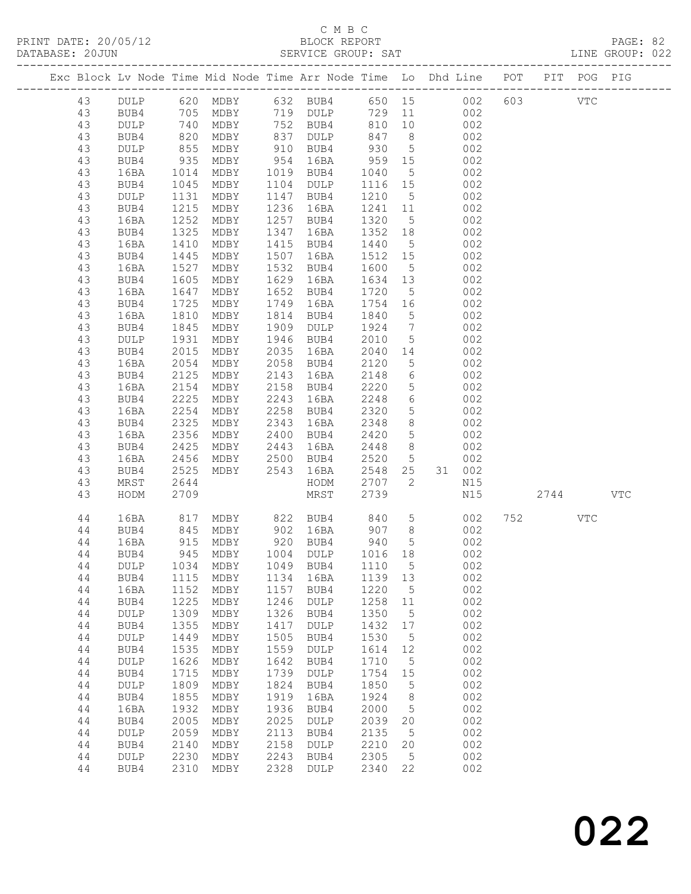| Exc Block Lv Node Time Mid Node Time Arr Node Time Lo Dhd Line POT PIT POG PIG                                                                                                                     |                                                                                                                                                                                                                                                                      |                                                                                                                                                                                                                                                         |                                                                                                                                                                                                                                             |                                                                                                                                                             |                                                                                                                                                                                                                                                                                                                                                                                                                                                                                                             |                                                                                                                                                                                                                                                                                                                                                            |                                                                                                                               |                                                                                                                                                                                                                                                                                                                   |                                                                                                                                          |      |            |            |  |
|----------------------------------------------------------------------------------------------------------------------------------------------------------------------------------------------------|----------------------------------------------------------------------------------------------------------------------------------------------------------------------------------------------------------------------------------------------------------------------|---------------------------------------------------------------------------------------------------------------------------------------------------------------------------------------------------------------------------------------------------------|---------------------------------------------------------------------------------------------------------------------------------------------------------------------------------------------------------------------------------------------|-------------------------------------------------------------------------------------------------------------------------------------------------------------|-------------------------------------------------------------------------------------------------------------------------------------------------------------------------------------------------------------------------------------------------------------------------------------------------------------------------------------------------------------------------------------------------------------------------------------------------------------------------------------------------------------|------------------------------------------------------------------------------------------------------------------------------------------------------------------------------------------------------------------------------------------------------------------------------------------------------------------------------------------------------------|-------------------------------------------------------------------------------------------------------------------------------|-------------------------------------------------------------------------------------------------------------------------------------------------------------------------------------------------------------------------------------------------------------------------------------------------------------------|------------------------------------------------------------------------------------------------------------------------------------------|------|------------|------------|--|
| 43<br>43<br>43<br>43<br>43<br>43<br>43<br>43<br>43<br>43<br>43<br>43<br>43<br>43<br>43<br>43<br>43<br>43<br>43<br>43<br>43<br>43<br>43<br>43<br>43<br>43<br>43<br>43<br>43<br>43<br>43<br>43<br>43 | BUB4<br>DULP<br>BUB4<br>DULP<br>BUB4<br>16BA<br>BUB4<br>DULP<br>BUB4<br>16BA<br>BUB4<br>16BA<br>BUB4<br>16BA<br>BUB4<br>16BA<br>BUB4<br>16BA<br>BUB4<br>DULP<br>BUB4<br>16BA<br>BUB4<br>16BA<br>BUB4<br>16BA<br>BUB4<br>16BA<br>BUB4<br>16BA<br>BUB4<br>MRST<br>HODM | 855<br>935<br>1014<br>1045<br>1131<br>1215<br>1252<br>$\frac{1}{1325}$<br>1410<br>1445<br>1527<br>1605<br>1647<br>1725<br>1810<br>1845<br>1931<br>2015<br>2054<br>2125<br>2154<br>2225<br>2254<br>$232$<br>2356<br>2425<br>2456<br>2525<br>2644<br>2709 | MDBY<br>MDBY<br>MDBY<br>MDBY<br>MDBY<br>MDBY<br>MDBY<br>MDBY<br>MDBY<br>MDBY<br>MDBY<br>MDBY<br>MDBY<br>MDBY<br>MDBY<br>MDBY<br>MDBY<br>MDBY<br>MDBY<br>MDBY<br>MDBY<br>MDBY<br>MDBY<br>MDBY<br>MDBY<br>MDBY<br>MDBY 2500<br>MDBY 2543 16BA | 954<br>1415<br>2058                                                                                                                                         | 43 DULP 620 MDBY 632 BUB4 650 15 002 603<br>705 MDBY 719 DULP 729 11 002<br>740 MDBY 752 BUB4 810 10 002<br>820 MDBY 837 DULP 847 8 002<br>910 BUB4 930 5 002<br>16BA<br>1019 BUB4<br>1104 DULP<br>1147 BUB4<br>1236 16BA<br>1257 BUB4<br>1347 16BA<br>BUB4<br>1507 16BA<br>1532 BUB4<br>1629 16BA<br>1652 BUB4<br>1749 16BA<br>1814 BUB4<br>1909 DULP<br>1946 BUB4<br>2035 16BA<br>BUB4<br>2143 16BA<br>2158 BUB4<br>2243 16BA<br>2258 BUB4<br>2343 16BA<br>2400 BUB4<br>2443 16BA<br>BUB4<br>HODM<br>MRST | 959 15 002<br>$\begin{array}{cccc} 1040 & 5 & 002 \\ 1116 & 15 & 002 \end{array}$<br>1210<br>1241 11 002<br>1320<br>1352 18<br>1440<br>1512 15 002<br>1600<br>1634<br>1720<br>1754 16 002<br>1840<br>1924<br>2010<br>2040 14 002<br>2120<br>2148<br>2220<br>2248<br>2320 5 002<br>2348 8 002<br>2420 5 002<br>2420<br>2448<br>2520<br>2548<br>2707<br>2739 | 13<br>$7\overline{ }$<br>$6\overline{6}$<br>$5 - 5$<br>25<br>$\overline{2}$                                                   | 5 002<br>$\begin{array}{ccc} 5 & 002 \\ 18 & 002 \end{array}$<br>5 002<br>$\begin{array}{ccc} 5 & 002 \\ 13 & 002 \end{array}$<br>$\frac{1}{5}$ 002<br>$\begin{array}{ccc} 5 & 002 \\ 7 & 002 \end{array}$<br>$5$ $002$<br>$\begin{array}{ccc} 5 & & 002 \\ 6 & & 002 \\ 5 & & 002 \end{array}$<br>6 002<br>8 002 | 002<br>31 002<br>N15<br>N15                                                                                                              | 2744 | <b>VTC</b> | <b>VTC</b> |  |
| 44<br>44<br>44<br>44<br>44<br>44<br>44<br>44<br>44<br>44<br>44<br>44<br>44<br>44<br>44<br>44<br>44<br>44<br>44<br>44<br>44<br>44                                                                   | 16BA<br>BUB4<br>16BA<br>BUB4<br>DULP<br>BUB4<br>16BA<br>BUB4<br>DULP<br>BUB4<br>DULP<br>BUB4<br>DULP<br>BUB4<br>DULP<br>BUB4<br>16BA<br>BUB4<br>DULP<br>BUB4<br>DULP<br>BUB4                                                                                         | 915<br>945<br>1034<br>1115<br>1152<br>1225<br>1309<br>1355<br>1449<br>1535<br>1626<br>1715<br>1809<br>1855<br>1932<br>2005<br>2059<br>2140<br>2230<br>2310                                                                                              | MDBY<br>MDBY<br>MDBY<br>MDBY<br>MDBY<br>MDBY<br>MDBY<br>MDBY<br>MDBY<br>MDBY<br>MDBY<br>MDBY<br>MDBY<br>MDBY<br>MDBY<br>MDBY<br>MDBY<br>MDBY<br>MDBY<br>MDBY                                                                                | 920<br>1004<br>1049<br>1134<br>1157<br>1246<br>1326<br>1417<br>1505<br>1559<br>1642<br>1739<br>1824<br>1919<br>1936<br>2025<br>2113<br>2158<br>2243<br>2328 | BUB4<br>DULP<br>BUB4<br>16BA<br>BUB4<br>DULP<br>BUB4<br>DULP<br>BUB4<br>DULP<br>BUB4<br>DULP<br>BUB4<br>16BA<br>BUB4<br>$\texttt{DULP}$<br>BUB4<br>DULP<br>BUB4<br>DULP                                                                                                                                                                                                                                                                                                                                     | 940<br>1016<br>1110<br>1139<br>1220<br>1258<br>1350<br>1432<br>1530<br>1614<br>1710<br>1754<br>1850<br>1924<br>2000<br>2039<br>2135<br>2210<br>2305<br>2340                                                                                                                                                                                                | 5<br>18<br>5<br>13<br>5<br>11<br>5<br>17<br>$\mathsf S$<br>12<br>5<br>15<br>$\mathsf S$<br>8<br>5<br>20<br>5<br>20<br>5<br>22 |                                                                                                                                                                                                                                                                                                                   | 002<br>002<br>002<br>002<br>002<br>002<br>002<br>002<br>002<br>002<br>002<br>002<br>002<br>002<br>002<br>002<br>002<br>002<br>002<br>002 | 752  | <b>VTC</b> |            |  |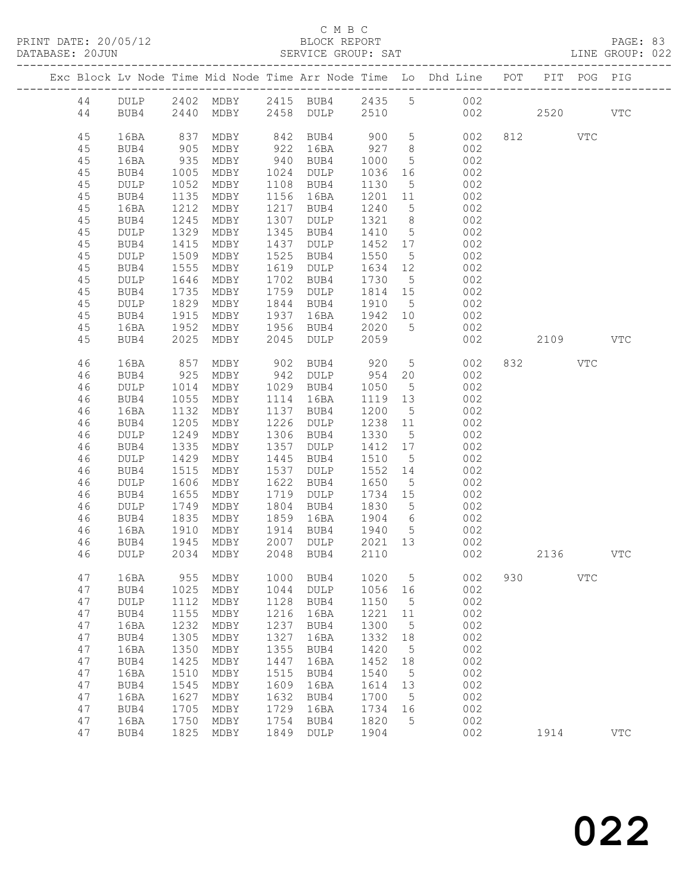|          |              |                      |                          |              |                   |                                                         |                 | Exc Block Lv Node Time Mid Node Time Arr Node Time Lo Dhd Line POT |     | PIT      | POG        | PIG          |
|----------|--------------|----------------------|--------------------------|--------------|-------------------|---------------------------------------------------------|-----------------|--------------------------------------------------------------------|-----|----------|------------|--------------|
| 44       |              |                      |                          |              |                   |                                                         |                 | DULP 2402 MDBY 2415 BUB4 2435 5 002                                |     |          |            |              |
| 44       | BUB4         |                      | 2440 MDBY 2458 DULP 2510 |              |                   |                                                         |                 | 002 000                                                            |     | 2520     |            | <b>VTC</b>   |
|          |              |                      |                          |              |                   |                                                         |                 |                                                                    |     |          |            |              |
| 45<br>45 | 16BA<br>BUB4 | 837                  | MDBY<br>MDBY             | 922          | 16BA              | 927 8                                                   |                 | 842 BUB4 900 5 002                                                 |     | 812 VTC  |            |              |
| 45       | 16BA         | 905<br>935           | MDBY                     |              | 940 BUB4          | 1000                                                    | $5\overline{)}$ | $\begin{array}{c} 002 \\ 002 \end{array}$                          |     |          |            |              |
| 45       | BUB4         | 1005                 | MDBY                     |              | 1024 DULP         | 1036                                                    | 16              | 002                                                                |     |          |            |              |
| 45       | DULP         | 1052                 | MDBY                     |              | 1108 BUB4         | 1130                                                    | $5\overline{)}$ | 002                                                                |     |          |            |              |
| 45       | BUB4         | 1135                 | MDBY                     |              | 1156 16BA         | 1201                                                    | 11              | 002                                                                |     |          |            |              |
| 45       | 16BA         | 1212                 | MDBY                     |              | 1217 BUB4         | 1240                                                    | $5\overline{)}$ | 002                                                                |     |          |            |              |
| 45       | BUB4         | 1245                 | MDBY                     | 1307         | DULP              | 1321 8                                                  |                 | 002                                                                |     |          |            |              |
| 45       | DULP         | 1329                 | MDBY                     | 1345         | BUB4              | 1410                                                    | $5\overline{)}$ | 002                                                                |     |          |            |              |
| 45       | BUB4         | 1415                 | MDBY                     | 1437         | DULP              | 1452 17                                                 |                 | 002                                                                |     |          |            |              |
| 45       | DULP         | 1509<br>1555         | MDBY                     | 1525         | BUB4<br>1619 DULP | 1550                                                    | $5\overline{)}$ | 002<br>002                                                         |     |          |            |              |
| 45<br>45 | BUB4<br>DULP | 1646                 | MDBY<br>MDBY             | 1702         | BUB4              | 1634 12<br>1730                                         | $5^{\circ}$     | 002                                                                |     |          |            |              |
| 45       | BUB4         | 1735                 | MDBY                     |              | 1759 DULP         | 1814 15                                                 |                 | 002                                                                |     |          |            |              |
| 45       | DULP         |                      | MDBY                     |              | 1844 BUB4         | 1910 5                                                  |                 | 002                                                                |     |          |            |              |
| 45       | BUB4         | $102$<br>1915<br>052 | MDBY                     | 1937         | 16BA              | $\begin{array}{c}\n 1512 \\  1942 \\  10\n \end{array}$ |                 | 002                                                                |     |          |            |              |
| 45       | 16BA         | 1952                 | MDBY                     |              | 1956 BUB4 2020    |                                                         | 5 <sup>5</sup>  | 002                                                                |     |          |            |              |
| 45       | BUB4         | 2025                 | MDBY                     | 2045         | DULP              | 2059                                                    |                 | 002                                                                |     | 2109 VTC |            |              |
| 46       | 16BA         | 857                  | MDBY                     |              | 902 BUB4          | 920                                                     |                 | 5 002                                                              |     | 832      | VTC        |              |
| 46       | BUB4         | 925                  | MDBY                     |              | 942 DULP          | 954 20                                                  |                 | 002                                                                |     |          |            |              |
| 46       | DULP         | 1014                 | MDBY                     |              | 1029 BUB4         | 1050                                                    | $5^{\circ}$     | 002                                                                |     |          |            |              |
| 46       | BUB4         | 1055                 | MDBY                     |              | 1114 16BA         | 1119 13                                                 |                 | 002                                                                |     |          |            |              |
| 46<br>46 | 16BA<br>BUB4 | 1132<br>1205         | MDBY<br>MDBY             | 1226         | 1137 BUB4<br>DULP | 1200 5<br>1238 11                                       |                 | 002<br>002                                                         |     |          |            |              |
| 46       | DULP         | 1249                 | MDBY                     |              | 1306 BUB4         | 1330                                                    | $5\overline{)}$ | 002                                                                |     |          |            |              |
| 46       | BUB4         | 1335                 | MDBY                     | 1357         | DULP              | 1412 17                                                 |                 | 002                                                                |     |          |            |              |
| 46       | DULP         | 1429                 | MDBY                     | 1445         | BUB4              | 1510                                                    | $5\overline{)}$ | 002                                                                |     |          |            |              |
| 46       | BUB4         | 1515                 | MDBY                     | 1537         | DULP              | 1552 14                                                 |                 | 002                                                                |     |          |            |              |
| 46       | DULP         | 1606                 | MDBY                     | 1622         | BUB4              | 1650                                                    | $5\overline{)}$ | 002                                                                |     |          |            |              |
| 46       | BUB4         | 1655                 | MDBY                     |              | 1719 DULP         | 1734 15                                                 |                 | 002                                                                |     |          |            |              |
| 46       | DULP         | 1749                 | MDBY                     | 1804         | BUB4              | 1830                                                    | $5\overline{)}$ | 002<br>002                                                         |     |          |            |              |
| 46<br>46 | BUB4<br>16BA | 1835<br>1910         | MDBY<br>MDBY             | 1859<br>1914 | 16BA<br>BUB4 1940 | 1904 6                                                  | $5\overline{)}$ | 002                                                                |     |          |            |              |
| 46       | BUB4         | 1945                 | MDBY                     | 2007         | DULP              | 2021 13                                                 |                 | 002                                                                |     |          |            |              |
| 46       | DULP         |                      | 2034 MDBY                |              | 2048 BUB4         | 2110                                                    |                 | 002                                                                |     | 2136     |            | <b>VTC</b>   |
| 47       | 16BA         | 955                  | MDBY                     | 1000         | BUB4              | 1020                                                    | 5               | 002                                                                | 930 |          | <b>VTC</b> |              |
| 47       | BUB4         | 1025                 | MDBY                     | 1044         | <b>DULP</b>       | 1056                                                    | 16              | 002                                                                |     |          |            |              |
| 47       | DULP         | 1112                 | MDBY                     | 1128         | BUB4              | 1150                                                    | 5               | 002                                                                |     |          |            |              |
| 47       | BUB4         | 1155                 | MDBY                     | 1216         | 16BA              | 1221                                                    | 11              | 002                                                                |     |          |            |              |
| 47       | 16BA         | 1232                 | MDBY                     | 1237         | BUB4              | 1300                                                    | 5               | 002                                                                |     |          |            |              |
| 47       | BUB4         | 1305                 | MDBY                     | 1327         | 16BA              | 1332                                                    | 18              | 002                                                                |     |          |            |              |
| 47       | 16BA         | 1350                 | MDBY                     | 1355         | BUB4              | 1420                                                    | 5               | 002                                                                |     |          |            |              |
| 47<br>47 | BUB4<br>16BA | 1425<br>1510         | MDBY<br>MDBY             | 1447<br>1515 | 16BA<br>BUB4      | 1452<br>1540                                            | 18<br>5         | 002<br>002                                                         |     |          |            |              |
| 47       | BUB4         | 1545                 | MDBY                     | 1609         | 16BA              | 1614                                                    | 13              | 002                                                                |     |          |            |              |
| 47       | 16BA         | 1627                 | MDBY                     | 1632         | BUB4              | 1700                                                    | 5               | 002                                                                |     |          |            |              |
| 47       | BUB4         | 1705                 | MDBY                     | 1729         | 16BA              | 1734                                                    | 16              | 002                                                                |     |          |            |              |
| 47       | 16BA         | 1750                 | MDBY                     | 1754         | BUB4              | 1820                                                    | 5               | 002                                                                |     |          |            |              |
| 47       | BUB4         | 1825                 | MDBY                     | 1849         | <b>DULP</b>       | 1904                                                    |                 | 002                                                                |     | 1914     |            | $_{\rm VTC}$ |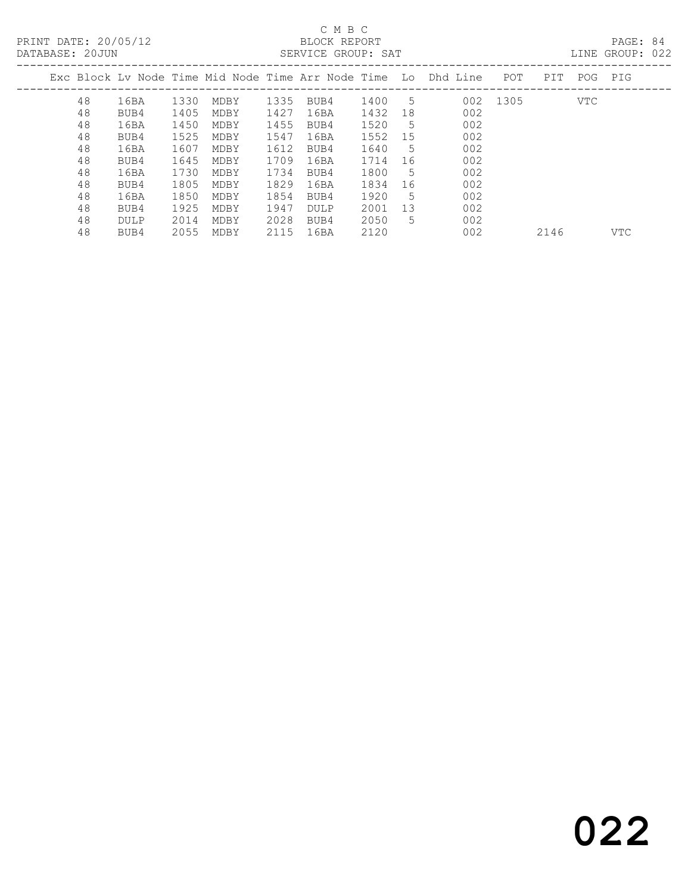PRINT DATE: 20/05/12 BLOCK REPORT<br>DATABASE: 20JUN SERVICE GROUP: SAT

# C M B C<br>BLOCK REPORT

PAGE: 84<br>LINE GROUP: 022

| 2000 . 2000 . 2000 AM |    |      |      |      |      | DUINTED ONOOL. DIIL |      |    |                                                                |          |      |            |            |
|-----------------------|----|------|------|------|------|---------------------|------|----|----------------------------------------------------------------|----------|------|------------|------------|
|                       |    |      |      |      |      |                     |      |    | Exc Block Ly Node Time Mid Node Time Arr Node Time Lo Dhd Line | POT      | PIT  | POG        | PIG        |
|                       | 48 | 16BA | 1330 | MDBY | 1335 | BUB4                | 1400 | .5 |                                                                | 002 1305 |      | <b>VTC</b> |            |
|                       | 48 | BUB4 | 1405 | MDBY | 1427 | 16BA                | 1432 | 18 | 002                                                            |          |      |            |            |
|                       | 48 | 16BA | 1450 | MDBY | 1455 | BUB4                | 1520 | .5 | 002                                                            |          |      |            |            |
|                       | 48 | BUB4 | 1525 | MDBY | 1547 | 16BA                | 1552 | 15 | 002                                                            |          |      |            |            |
|                       | 48 | 16BA | 1607 | MDBY | 1612 | BUB4                | 1640 | 5  | 002                                                            |          |      |            |            |
|                       | 48 | BUB4 | 1645 | MDBY | 1709 | 16BA                | 1714 | 16 | 002                                                            |          |      |            |            |
|                       | 48 | 16BA | 1730 | MDBY | 1734 | BUB4                | 1800 | 5  | 002                                                            |          |      |            |            |
|                       | 48 | BUB4 | 1805 | MDBY | 1829 | 16BA                | 1834 | 16 | 002                                                            |          |      |            |            |
|                       | 48 | 16BA | 1850 | MDBY | 1854 | BUB4                | 1920 | 5  | 002                                                            |          |      |            |            |
|                       | 48 | BUB4 | 1925 | MDBY | 1947 | DULP                | 2001 | 13 | 002                                                            |          |      |            |            |
|                       | 48 | DULP | 2014 | MDBY | 2028 | BUB4                | 2050 | 5  | 002                                                            |          |      |            |            |
|                       | 48 | BUB4 | 2055 | MDBY | 2115 | 16BA                | 2120 |    | 002                                                            |          | 2146 |            | <b>VTC</b> |
|                       |    |      |      |      |      |                     |      |    |                                                                |          |      |            |            |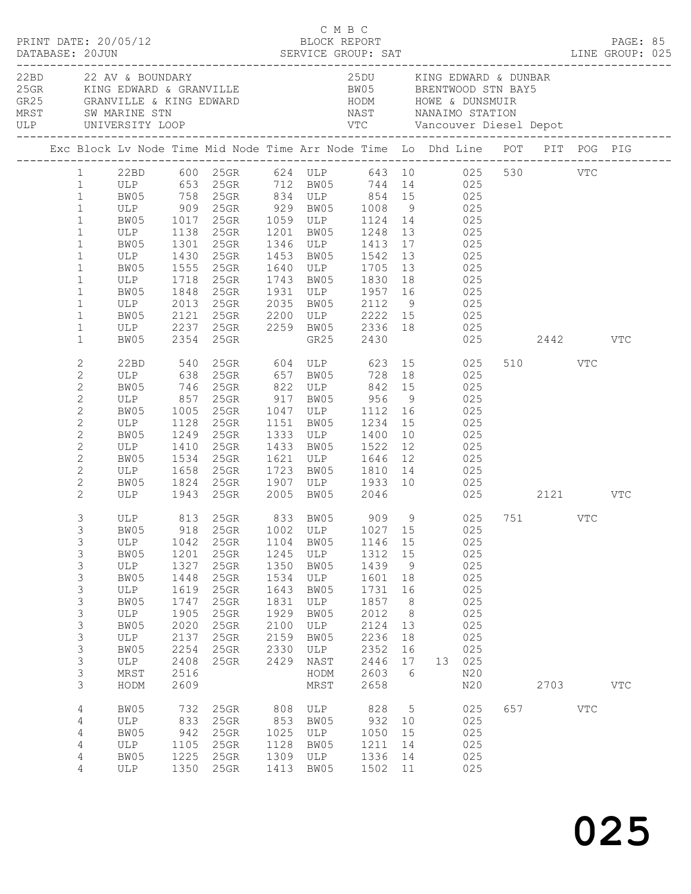| PRINT DATE: 20/05/12<br>DATABASE: 20JUN                                                                                                                                                            |                                                                                                |                                                                                                      | DATABASE: 20JUN<br>DATABASE: 20JUN SERVICE GROUP: SAT LINE GROUP: 025                                                                                                                                                                                                                                                                                                                                                    |                                                                                      | C M B C                                                                                         | BLOCK REPORT                                                                                            |                                                                                      |            |                                                                                            |                         | PAGE: 85     |  |
|----------------------------------------------------------------------------------------------------------------------------------------------------------------------------------------------------|------------------------------------------------------------------------------------------------|------------------------------------------------------------------------------------------------------|--------------------------------------------------------------------------------------------------------------------------------------------------------------------------------------------------------------------------------------------------------------------------------------------------------------------------------------------------------------------------------------------------------------------------|--------------------------------------------------------------------------------------|-------------------------------------------------------------------------------------------------|---------------------------------------------------------------------------------------------------------|--------------------------------------------------------------------------------------|------------|--------------------------------------------------------------------------------------------|-------------------------|--------------|--|
| 22BD 22 AV & BOUNDARY                                                                                                                                                                              |                                                                                                |                                                                                                      | 25GR KING EDWARD & GRANVILLE BW05 BRENTWOOD STN BAY5                                                                                                                                                                                                                                                                                                                                                                     |                                                                                      |                                                                                                 | 25DU KING EDWARD & DUNBAR                                                                               |                                                                                      |            |                                                                                            |                         |              |  |
|                                                                                                                                                                                                    |                                                                                                |                                                                                                      | Exc Block Lv Node Time Mid Node Time Arr Node Time Lo Dhd Line POT PIT POG PIG                                                                                                                                                                                                                                                                                                                                           |                                                                                      |                                                                                                 |                                                                                                         |                                                                                      |            |                                                                                            |                         |              |  |
| $\mathbf{1}$<br>$\mathbf{1}$<br>$\mathbf{1}$<br>$\mathbf{1}$<br>$\mathbf{1}$<br>$\mathbf{1}$<br>$\mathbf{1}$<br>$\mathbf{1}$<br>$\mathbf{1}$                                                       | ULP 1718 25GR                                                                                  |                                                                                                      | 1 22BD 600 25GR 624 ULP 643 10 025 530 VTC<br>1 ULP 653 25GR 712 BW05 744 14 025<br>99 5 758 758 758 834 ULP 854 15<br>ULP 909 25GR 929 BW05 1008 9 025<br>25GR 1059 ULP 1124 14 025<br>ULP 1138 25GR 1201 BW05 1248 13 025<br>BW05 1301 25GR 1346 ULP 1413 17 025<br>ULP 1430 25GR 1453 BW05 1542 13 025<br>BW05 1555 25GR 1640 ULP 1705 13 025                                                                         |                                                                                      |                                                                                                 | 1743 BW05 1830 18                                                                                       |                                                                                      | 025        |                                                                                            |                         |              |  |
| $\mathbf{1}$<br>$1\,$<br>$\mathbf{1}$<br>$\mathbf{1}$                                                                                                                                              | BW05                                                                                           |                                                                                                      | BW05 1848 25GR 1931 ULP 1957 16 025<br>ULP 2013 25GR 2035 BW05 2112 9 025<br>BW05 2121 25GR 2200 ULP 2222 15 025<br>ULP 2237 25GR 2259 BW05 2336 18 025<br>2354 25GR                                                                                                                                                                                                                                                     |                                                                                      |                                                                                                 | GR25 2430                                                                                               |                                                                                      |            |                                                                                            | 025 2442 VTC            |              |  |
| $\overline{c}$<br>$\mathbf{2}$<br>$\overline{c}$<br>$\mathbf{2}$<br>$\mathbf{2}$<br>$\mathbf{2}$<br>$\mathbf{2}$<br>$\mathbf{2}$<br>$\mathbf{2}$<br>$\mathbf{2}$<br>$\mathbf{2}$<br>$\overline{2}$ | BW05<br>ULP<br>BW05 1534 25GR<br>ULP 1658 25GR                                                 | 1410                                                                                                 | 22BD 540 25GR 604 ULP 623 15 025<br>ULP 638 25GR 657 BW05 728 18 025<br>BW05 746 25GR 822 ULP 842 15<br>ULP 857 25GR 917 BW05 956 9 025<br>BW05 1005 25GR 1047 ULP 1112 16 025<br>ULP 1128 25GR 1151 BW05 1234 15 025<br>1249  25GR  1333  ULP  1400  10<br>25GR 1433 BW05 1522 12 025<br>25GR 1621 ULP 1646 12 025<br>25GR 1723 BW05 1810 14 025<br>BW05 1824 25GR 1907 ULP 1933 10 025<br>ULP 1943 25GR 2005 BW05 2046 |                                                                                      |                                                                                                 |                                                                                                         |                                                                                      | 025<br>025 |                                                                                            | 510 VTC<br>025 2121 VTC |              |  |
| 3<br>3<br>3<br>3<br>3<br>3<br>3<br>3<br>3<br>3<br>3<br>3<br>3<br>3<br>3                                                                                                                            | ULP<br>BW05<br>ULP<br>BW05<br>ULP<br>BW05<br>ULP<br>BW05<br>ULP<br>BW05<br>ULP<br>MRST<br>HODM | 1042<br>1201<br>1327<br>1448<br>1619<br>1747<br>1905<br>2020<br>2137<br>2254<br>2408<br>2516<br>2609 | ULP 813 25GR 833 BW05 909 9 025 751 VTC<br>BW05 918 25GR 1002 ULP 1027 15 025<br>25GR<br>25GR<br>25GR<br>25GR<br>25GR<br>25GR<br>$25$ GR<br>25GR<br>25GR<br>25GR<br>25GR                                                                                                                                                                                                                                                 | 1104<br>1245<br>1350<br>1534<br>1643<br>1831<br>1929<br>2100<br>2159<br>2330<br>2429 | BW05<br>ULP<br>BW05<br>ULP<br>BW05<br>ULP<br>BW05<br>ULP<br>BW05<br>ULP<br>NAST<br>HODM<br>MRST | 1146 15<br>1312<br>1439<br>1601<br>1731<br>1857<br>2012<br>2124<br>2236<br>2352<br>2446<br>2603<br>2658 | 15<br>9<br>18<br>16<br>8 <sup>8</sup><br>8 <sup>8</sup><br>13<br>18<br>16<br>17<br>6 |            | 025<br>025<br>025<br>025<br>025<br>025<br>025<br>025<br>025<br>025<br>13 025<br>N20<br>N20 | 2703                    | $_{\rm VTC}$ |  |
| $\overline{4}$<br>4<br>4<br>4<br>4<br>4                                                                                                                                                            | BW05<br>ULP<br>BW05<br>ULP<br>BW05<br>ULP                                                      | 732<br>833<br>942<br>1105<br>1225                                                                    | 25GR<br>25GR<br>25GR<br>25GR<br>25GR<br>1350 25GR                                                                                                                                                                                                                                                                                                                                                                        | 808<br>853<br>1025<br>1128<br>1309<br>1413                                           | ULP<br>BW05<br>ULP<br>BW05<br>ULP<br>BW05                                                       | 828<br>932<br>1050<br>1211<br>1336<br>1502 11                                                           | $5\overline{)}$<br>10<br>15<br>14<br>14                                              |            | 025<br>025<br>025<br>025<br>025<br>025                                                     | 657 VTC                 |              |  |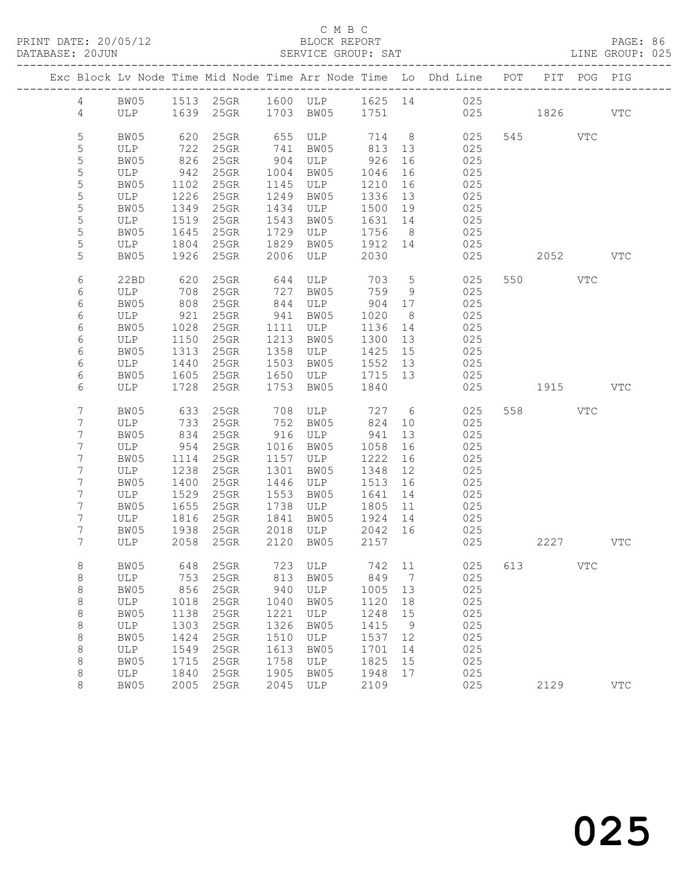| PRINT DATE: 20/05/12<br>DATABASE: 20JUN |                 |                                 |              | SERVICE GROUP: SAT              |      | C M B C<br>BLOCK REPORT                            |                                                        |                | LINE GROUP: 025                                                                |     |          |              | PAGE: 86     |  |
|-----------------------------------------|-----------------|---------------------------------|--------------|---------------------------------|------|----------------------------------------------------|--------------------------------------------------------|----------------|--------------------------------------------------------------------------------|-----|----------|--------------|--------------|--|
|                                         |                 |                                 |              |                                 |      |                                                    |                                                        |                | Exc Block Lv Node Time Mid Node Time Arr Node Time Lo Dhd Line POT PIT POG PIG |     |          |              |              |  |
|                                         |                 |                                 |              |                                 |      |                                                    |                                                        |                | 4 BW05 1513 25GR 1600 ULP 1625 14 025                                          |     |          |              |              |  |
|                                         |                 |                                 |              |                                 |      |                                                    |                                                        |                | 4 ULP 1639 25GR 1703 BW05 1751 025 1826 VTC                                    |     |          |              |              |  |
|                                         | $\mathsf S$     | BW05                            |              |                                 |      |                                                    |                                                        |                |                                                                                |     | 545 VTC  |              |              |  |
|                                         | 5               | ULP                             |              |                                 |      |                                                    |                                                        |                |                                                                                |     |          |              |              |  |
|                                         | 5               | BW05                            |              | 826 25GR                        |      | 904 ULP 926                                        |                                                        | 16             | 025                                                                            |     |          |              |              |  |
|                                         | 5               | ULP                             | 942          | $25$ GR                         |      | 1004 BW05                                          | 1046                                                   | 16             | 025                                                                            |     |          |              |              |  |
|                                         | $\mathsf S$     | BW05                            |              |                                 |      | 1145 ULP                                           | 1210                                                   | 16             | 025                                                                            |     |          |              |              |  |
|                                         | $\mathsf S$     | ULP                             |              | 1102 25GR<br>1226 25GR          | 1249 | BW05                                               | 1210<br>1336                                           | 13             | 025                                                                            |     |          |              |              |  |
|                                         | 5               | BW05                            |              | 1349 25GR                       | 1434 | ULP 1500 19                                        |                                                        |                | 025                                                                            |     |          |              |              |  |
|                                         | 5               | ULP                             | 1519         | $25$ GR                         | 1543 | BW05                                               | 1631 14                                                |                | 025                                                                            |     |          |              |              |  |
|                                         | 5               |                                 |              |                                 |      | 1729 ULP                                           | 1756                                                   | 8 <sup>8</sup> | 025                                                                            |     |          |              |              |  |
|                                         | $\mathsf S$     | BW05 1645 25GR<br>ULP 1804 25GR |              |                                 |      | 1829 BW05                                          | $\begin{array}{ccc} 1756 & 8 \\ 1912 & 14 \end{array}$ |                | 025                                                                            |     |          |              |              |  |
|                                         | 5               | BW05                            |              | 1926 25GR                       |      | 2006 ULP 2030                                      |                                                        |                | 025                                                                            |     |          | 2052 VTC     |              |  |
|                                         | 6               | 22BD                            | 620          |                                 |      |                                                    |                                                        |                | 025                                                                            |     | 550 VTC  |              |              |  |
|                                         | 6               | ULP                             |              |                                 |      | 25GR 644 ULP 703 5<br>25GR 727 BW05 759 9          |                                                        |                | 025                                                                            |     |          |              |              |  |
|                                         | 6               | BW05                            |              | 708     25GR<br>808     25GR    |      | $844$ ULP 904 17                                   |                                                        |                | 025                                                                            |     |          |              |              |  |
|                                         | 6               | ULP                             | 921          | $25$ GR                         | 941  | BW05                                               | 1020                                                   | 8 <sup>8</sup> | 025                                                                            |     |          |              |              |  |
|                                         | 6               | BW05                            |              | 25GR                            |      | 1111 ULP                                           | 1136                                                   | 14             | 025                                                                            |     |          |              |              |  |
|                                         | 6               | ULP                             | 1028<br>1150 | $25$ GR                         | 1213 | BW05                                               | 1300 13                                                |                | 025                                                                            |     |          |              |              |  |
|                                         | 6               | BW05                            | 1313         | $25$ GR                         | 1358 | $ULP$ 1425                                         |                                                        | 15             | 025                                                                            |     |          |              |              |  |
|                                         | 6               | ULP                             | 1440         | $25$ GR                         |      | 1503 BW05 1552 13                                  |                                                        |                | 025                                                                            |     |          |              |              |  |
|                                         | 6               | BW05                            | 1605         | $25$ GR                         |      | 1650 ULP 1715 13                                   |                                                        |                | 025                                                                            |     |          |              |              |  |
|                                         | 6               | ULP                             | 1728         | $25$ GR                         | 1753 | BW05                                               | 1840                                                   |                | 025                                                                            |     | 1915 VTC |              |              |  |
|                                         | 7               | BW05                            |              | 633 25GR                        |      | 708 ULP 727 6                                      |                                                        |                | 025                                                                            |     | 558 VTC  |              |              |  |
|                                         | 7               | ULP                             | 733          | $25$ GR                         | 752  | BW05                                               | 824                                                    | 10             | 025                                                                            |     |          |              |              |  |
|                                         | 7               | BW05                            |              | $25$ GR                         |      | 916 ULP                                            | 941                                                    | 13             | 025                                                                            |     |          |              |              |  |
|                                         | $7\phantom{.0}$ | ULP                             | 834<br>954   | $25$ GR                         |      | 1016 BW05                                          | 1058                                                   | 16             | 025                                                                            |     |          |              |              |  |
|                                         | $7\phantom{.0}$ | BW05                            | 1114         | 25GR                            |      | 1157 ULP                                           | 1222                                                   | 16             | 025                                                                            |     |          |              |              |  |
|                                         | 7               | ULP                             | 1238         | $25$ GR                         | 1301 | BW05                                               | 1348                                                   | 12             | 025                                                                            |     |          |              |              |  |
|                                         | 7               |                                 |              |                                 |      |                                                    |                                                        |                | 025                                                                            |     |          |              |              |  |
|                                         | $\overline{7}$  | BW05 1400 25GR<br>ULP 1529 25GR |              |                                 |      | 1446 ULP 1513 16<br>1553 BW05 1641 14<br>1553 BW05 |                                                        |                | 025                                                                            |     |          |              |              |  |
|                                         | 7               | BW05                            |              | 1655 25GR                       |      | 1738 ULP 1805 11                                   |                                                        |                | 025                                                                            |     |          |              |              |  |
|                                         | 7               | ULP                             |              | 1816 25GR                       |      | 1841 BW05 1924 14                                  |                                                        |                | 025                                                                            |     |          |              |              |  |
|                                         | $7\overline{ }$ |                                 |              | BW05 1938 25GR 2018 ULP 2042 16 |      |                                                    |                                                        |                | 025                                                                            |     |          |              |              |  |
|                                         | 7               | ULP                             | 2058         | 25GR                            | 2120 | BW05                                               | 2157                                                   |                | 025                                                                            |     | 2227     |              | $_{\rm VTC}$ |  |
|                                         | 8               | BW05                            | 648          | 25GR                            | 723  | ULP                                                | 742                                                    | 11             | 025                                                                            | 613 |          | $_{\rm VTC}$ |              |  |
|                                         | 8               | ULP                             | 753          | 25GR                            | 813  | BW05                                               | 849                                                    | 7              | 025                                                                            |     |          |              |              |  |
|                                         | 8               | BW05                            | 856          | 25GR                            | 940  | ULP                                                | 1005                                                   | 13             | 025                                                                            |     |          |              |              |  |
|                                         | 8               | ULP                             | 1018         | 25GR                            | 1040 | BW05                                               | 1120                                                   | 18             | 025                                                                            |     |          |              |              |  |
|                                         | 8               | BW05                            | 1138         | 25GR                            | 1221 | ULP                                                | 1248                                                   | 15             | 025                                                                            |     |          |              |              |  |
|                                         | 8               | $_{\rm ULP}$                    | 1303         | 25GR                            | 1326 | BW05                                               | 1415                                                   | 9              | 025                                                                            |     |          |              |              |  |
|                                         | $\,8\,$         | BW05                            | 1424         | 25GR                            | 1510 | ULP                                                | 1537                                                   | 12             | 025                                                                            |     |          |              |              |  |
|                                         | 8               | ULP                             | 1549         | 25GR                            | 1613 | BW05                                               | 1701                                                   | 14             | 025                                                                            |     |          |              |              |  |
|                                         | 8               | BW05                            | 1715         | 25GR                            | 1758 | ULP                                                | 1825                                                   | 15             | 025                                                                            |     |          |              |              |  |
|                                         | 8               | ULP                             | 1840         | 25GR                            | 1905 | BW05                                               | 1948                                                   | 17             | 025                                                                            |     |          |              |              |  |
|                                         | 8               | BW05                            | 2005         | 25GR                            | 2045 | ULP                                                | 2109                                                   |                | 025                                                                            |     | 2129     |              | $_{\rm VTC}$ |  |
|                                         |                 |                                 |              |                                 |      |                                                    |                                                        |                |                                                                                |     |          |              |              |  |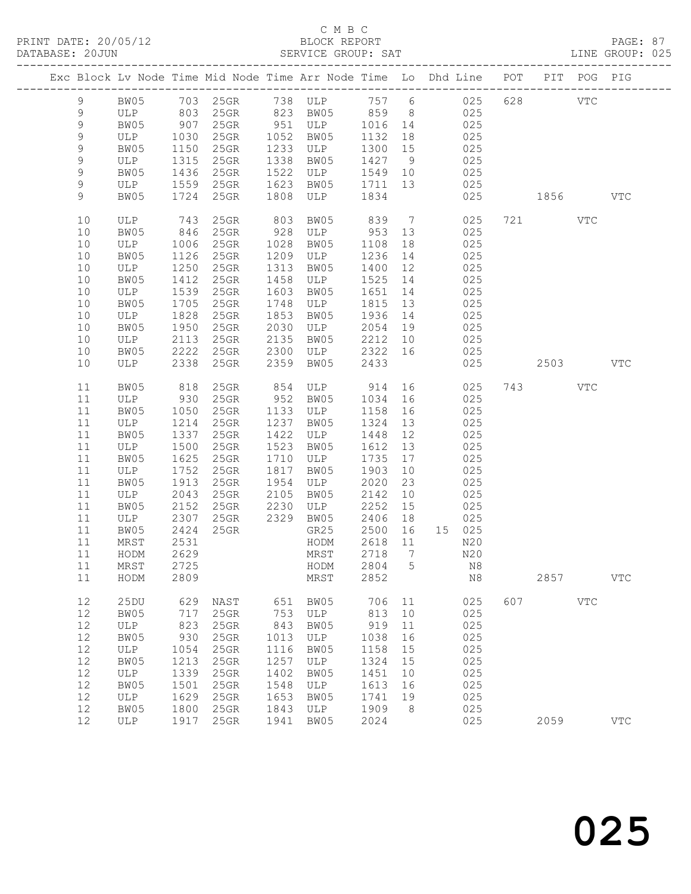|             |      |            |         |      | Exc Block Lv Node Time Mid Node Time Arr Node Time Lo Dhd Line POT PIT POG PIG |      |                 |        |     |         |              |              |
|-------------|------|------------|---------|------|--------------------------------------------------------------------------------|------|-----------------|--------|-----|---------|--------------|--------------|
| 9           | BW05 |            |         |      | 703 25GR 738 ULP 757 6 025                                                     |      |                 |        | 628 |         | VTC          |              |
| $\mathsf 9$ | ULP  | 803<br>907 | $25$ GR |      | 823 BW05 859<br>951 ULP 1016                                                   |      | 8 <sup>8</sup>  | 025    |     |         |              |              |
| 9           | BW05 |            | $25$ GR |      |                                                                                |      | 14              | 025    |     |         |              |              |
| 9           | ULP  | 1030       | $25$ GR | 1052 | BW05                                                                           | 1132 | 18              | 025    |     |         |              |              |
| 9           | BW05 | 1150       | 25GR    | 1233 | ULP                                                                            | 1300 | 15              | 025    |     |         |              |              |
| 9           | ULP  | 1315       | 25GR    | 1338 | BW05                                                                           | 1427 | 9               | 025    |     |         |              |              |
| 9           | BW05 | 1436       | 25GR    | 1522 | ULP                                                                            | 1549 | 10              | 025    |     |         |              |              |
| 9           | ULP  | 1559       | 25GR    | 1623 | BW05                                                                           | 1711 | 13              | 025    |     |         |              |              |
| 9           | BW05 | 1724       | 25GR    | 1808 | ULP                                                                            | 1834 |                 | 025    |     | 1856 70 |              | $_{\rm VTC}$ |
| $10$        | ULP  | 743<br>846 | 25GR    | 803  | BW05                                                                           | 839  | $7\overline{ }$ | 025    |     | 721 VTC |              |              |
| 10          | BW05 |            | 25GR    | 928  | ULP                                                                            | 953  | 13              | 025    |     |         |              |              |
| 10          | ULP  | 1006       | $25$ GR | 1028 | BW05                                                                           | 1108 | 18              | 025    |     |         |              |              |
| 10          | BW05 | 1126       | 25GR    | 1209 | ULP                                                                            | 1236 | 14              | 025    |     |         |              |              |
| 10          | ULP  | 1250       | 25GR    | 1313 | BW05                                                                           | 1400 | 12              | 025    |     |         |              |              |
| 10          | BW05 | 1412       | 25GR    | 1458 | ULP                                                                            | 1525 | 14              | 025    |     |         |              |              |
| 10          | ULP  | 1539       | 25GR    | 1603 | BW05                                                                           | 1651 | 14              | 025    |     |         |              |              |
| 10          | BW05 | 1705       | 25GR    | 1748 | ULP                                                                            | 1815 | 13              | 025    |     |         |              |              |
| 10          | ULP  | 1828       | 25GR    | 1853 | BW05                                                                           | 1936 | 14              | 025    |     |         |              |              |
| 10          | BW05 | 1950       | $25$ GR | 2030 | ULP                                                                            | 2054 | 19              | 025    |     |         |              |              |
| 10          | ULP  | 2113       | 25GR    | 2135 | BW05                                                                           | 2212 | 10              | 025    |     |         |              |              |
| 10          | BW05 | 2222       | 25GR    | 2300 | ULP                                                                            | 2322 | 16              | 025    |     |         |              |              |
| 10          | ULP  | 2338       | 25GR    | 2359 | BW05                                                                           | 2433 |                 | 025    |     | 2503    |              | VTC          |
| 11          | BW05 | 818        | $25$ GR | 854  | ULP                                                                            | 914  | 16              | 025    |     | 743     | VTC          |              |
| 11          | ULP  | 930        | 25GR    | 952  | BW05                                                                           | 1034 | 16              | 025    |     |         |              |              |
| 11          | BW05 | 1050       | 25GR    | 1133 | ULP                                                                            | 1158 | 16              | 025    |     |         |              |              |
| 11          | ULP  | 1214       | 25GR    | 1237 | BW05                                                                           | 1324 | 13              | 025    |     |         |              |              |
| 11          | BW05 | 1337       | 25GR    | 1422 | ULP                                                                            | 1448 | 12              | 025    |     |         |              |              |
| 11          | ULP  | 1500       | 25GR    | 1523 | BW05                                                                           | 1612 | 13              | 025    |     |         |              |              |
| 11          | BW05 | 1625       | 25GR    | 1710 | ULP                                                                            | 1735 | 17              | 025    |     |         |              |              |
| 11          | ULP  | 1752       | 25GR    | 1817 | BW05                                                                           | 1903 | 10              | 025    |     |         |              |              |
| 11          | BW05 | 1913       | 25GR    | 1954 | ULP                                                                            | 2020 | 23              | 025    |     |         |              |              |
| 11          | ULP  | 2043       | 25GR    | 2105 | BW05                                                                           | 2142 | 10              | 025    |     |         |              |              |
| 11          | BW05 | 2152       | $25$ GR | 2230 | ULP                                                                            | 2252 | 15              | 025    |     |         |              |              |
| 11          | ULP  | 2307       | $25$ GR | 2329 | BW05                                                                           | 2406 | 18              | 025    |     |         |              |              |
| 11          | BW05 | 2424       | 25GR    |      | GR25                                                                           | 2500 | 16              | 15 025 |     |         |              |              |
| 11          | MRST | 2531       |         |      | HODM                                                                           | 2618 | 11              | N20    |     |         |              |              |
| 11          | HODM | 2629       |         |      | MRST                                                                           | 2718 | $\overline{7}$  | N20    |     |         |              |              |
| 11 MRST     |      | 2725       |         |      | HODM 2804 5                                                                    |      |                 | N8     |     |         |              |              |
| 11          | HODM | 2809       |         |      | MRST                                                                           | 2852 |                 | N8     |     | 2857    |              | $_{\rm VTC}$ |
| $12$        | 25DU | 629        | NAST    | 651  | BW05                                                                           | 706  | 11              | 025    | 607 |         | $_{\rm VTC}$ |              |
| 12          | BW05 | 717        | 25GR    | 753  | ULP                                                                            | 813  | 10              | 025    |     |         |              |              |
| 12          | ULP  | 823        | 25GR    | 843  | BW05                                                                           | 919  | 11              | 025    |     |         |              |              |
| 12          | BW05 | 930        | 25GR    | 1013 | ULP                                                                            | 1038 | 16              | 025    |     |         |              |              |
| $12$        | ULP  | 1054       | 25GR    | 1116 | BW05                                                                           | 1158 | 15              | 025    |     |         |              |              |
| $12\,$      | BW05 | 1213       | 25GR    | 1257 | ULP                                                                            | 1324 | 15              | 025    |     |         |              |              |
| 12          | ULP  | 1339       | 25GR    | 1402 | BW05                                                                           | 1451 | 10              | 025    |     |         |              |              |
| 12          | BW05 | 1501       | 25GR    | 1548 | ULP                                                                            | 1613 | 16              | 025    |     |         |              |              |
| $12$        | ULP  | 1629       | 25GR    | 1653 | BW05                                                                           | 1741 | 19              | 025    |     |         |              |              |
| 12          | BW05 | 1800       | 25GR    | 1843 | ULP                                                                            | 1909 | 8               | 025    |     |         |              |              |
| 12          | ULP  | 1917       | 25GR    | 1941 | BW05                                                                           | 2024 |                 | 025    |     | 2059    |              | $_{\rm VTC}$ |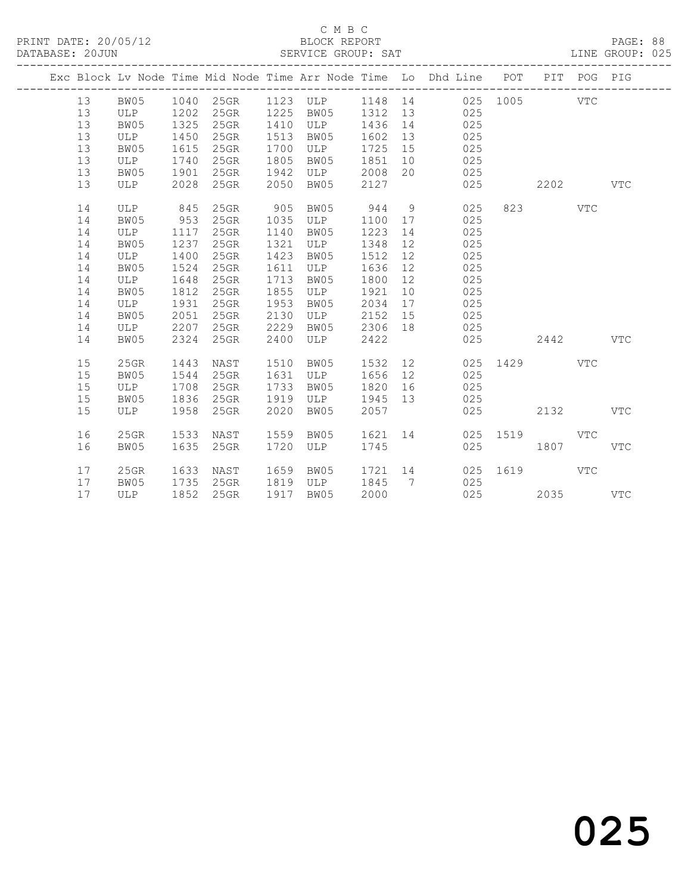|  |    |            |      |           |      |            |         |                              | Exc Block Lv Node Time Mid Node Time Arr Node Time Lo Dhd Line POT PIT POG PIG |          |      |              |              |
|--|----|------------|------|-----------|------|------------|---------|------------------------------|--------------------------------------------------------------------------------|----------|------|--------------|--------------|
|  | 13 | BW05       |      | 1040 25GR |      | 1123 ULP   | 1148 14 |                              |                                                                                | 025 1005 |      | <b>VTC</b>   |              |
|  | 13 | ULP        | 1202 | 25GR      | 1225 | BW05       | 1312    | 13                           | 025                                                                            |          |      |              |              |
|  | 13 | BW05       | 1325 | 25GR      | 1410 | ULP        | 1436    | 14                           | 025                                                                            |          |      |              |              |
|  | 13 | ULP        | 1450 | 25GR      | 1513 | BW05       | 1602    | 13                           | 025                                                                            |          |      |              |              |
|  | 13 | BW05       | 1615 | 25GR      | 1700 | ULP        | 1725    | 15                           | 025                                                                            |          |      |              |              |
|  | 13 | ULP        | 1740 | 25GR      | 1805 | BW05       | 1851    | 10                           | 025                                                                            |          |      |              |              |
|  | 13 | BW05       | 1901 | 25GR      | 1942 | ULP        | 2008    | 20                           | 025                                                                            |          |      |              |              |
|  | 13 | ULP        | 2028 | 25GR      | 2050 | BW05       | 2127    |                              | 025                                                                            |          | 2202 |              | <b>VTC</b>   |
|  | 14 | <b>ULP</b> | 845  | 25GR      | 905  | BW05       | 944     | 9                            | 025                                                                            | 823      |      | $_{\rm VTC}$ |              |
|  | 14 | BW05       | 953  | $25$ GR   | 1035 | ULP        | 1100    | 17                           | 025                                                                            |          |      |              |              |
|  | 14 | ULP        | 1117 | 25GR      | 1140 | BW05       | 1223    | 14                           | 025                                                                            |          |      |              |              |
|  | 14 | BW05       | 1237 | 25GR      | 1321 | ULP        | 1348    | 12 <sup>°</sup>              | 025                                                                            |          |      |              |              |
|  | 14 | ULP        | 1400 | 25GR      | 1423 | BW05       | 1512    | 12                           | 025                                                                            |          |      |              |              |
|  | 14 | BW05       | 1524 | $25$ GR   | 1611 | ULP        | 1636    | 12                           | 025                                                                            |          |      |              |              |
|  | 14 | ULP        | 1648 | $25$ GR   | 1713 | BW05       | 1800    | 12                           | 025                                                                            |          |      |              |              |
|  | 14 | BW05       | 1812 | $25$ GR   | 1855 | ULP        | 1921    | 10                           | 025                                                                            |          |      |              |              |
|  | 14 | ULP        | 1931 | 25GR      | 1953 | BW05       | 2034    | 17                           | 025                                                                            |          |      |              |              |
|  | 14 | BW05       | 2051 | 25GR      | 2130 | ULP        | 2152    | 15                           | 025                                                                            |          |      |              |              |
|  | 14 | ULP        | 2207 | 25GR      | 2229 | BW05       | 2306    | 18                           | 025                                                                            |          |      |              |              |
|  | 14 | BW05       | 2324 | 25GR      | 2400 | <b>ULP</b> | 2422    |                              | 025                                                                            |          | 2442 |              | <b>VTC</b>   |
|  | 15 | $25$ GR    | 1443 | NAST      | 1510 | BW05       | 1532    | 12                           | 025                                                                            | 1429     |      | <b>VTC</b>   |              |
|  | 15 | BW05       | 1544 | $25$ GR   | 1631 | ULP        | 1656    | 12                           | 025                                                                            |          |      |              |              |
|  | 15 | ULP        | 1708 | 25GR      | 1733 | BW05       | 1820    | 16                           | 025                                                                            |          |      |              |              |
|  | 15 | BW05       | 1836 | 25GR      | 1919 | ULP        | 1945    | 13                           | 025                                                                            |          |      |              |              |
|  | 15 | <b>ULP</b> | 1958 | 25GR      | 2020 | BW05       | 2057    |                              | 025                                                                            |          | 2132 |              | $_{\rm VTC}$ |
|  |    |            |      |           |      |            |         |                              |                                                                                |          |      |              |              |
|  | 16 | 25GR       | 1533 | NAST      | 1559 | BW05       | 1621    | 14                           | 025                                                                            | 1519     |      | $_{\rm VTC}$ |              |
|  | 16 | BW05       | 1635 | 25GR      | 1720 | ULP        | 1745    |                              | 025                                                                            |          | 1807 |              | $_{\rm VTC}$ |
|  | 17 | 25GR       | 1633 | NAST      | 1659 | BW05       | 1721    | 14                           | 025                                                                            | 1619     |      | <b>VTC</b>   |              |
|  | 17 | BW05       | 1735 | 25GR      | 1819 | ULP        | 1845    | $7\phantom{.0}\phantom{.0}7$ | 025                                                                            |          |      |              |              |
|  | 17 | <b>ULP</b> | 1852 | 25GR      | 1917 | BW05       | 2000    |                              | 025                                                                            |          | 2035 |              | <b>VTC</b>   |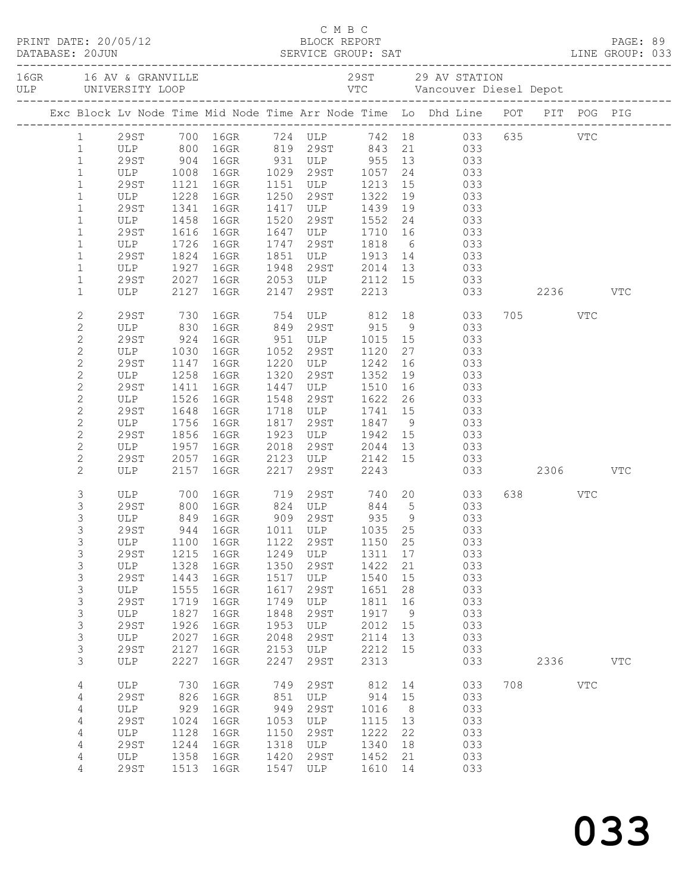|  | DATABASE: 20JUN                | PRINT DATE: 20/05/12 |              |                                                                                                             |              |                                            |                 |                 |   |                                                                                         |              |            |              |  |
|--|--------------------------------|----------------------|--------------|-------------------------------------------------------------------------------------------------------------|--------------|--------------------------------------------|-----------------|-----------------|---|-----------------------------------------------------------------------------------------|--------------|------------|--------------|--|
|  |                                |                      |              |                                                                                                             |              |                                            |                 |                 |   |                                                                                         |              |            |              |  |
|  |                                |                      |              | Exc Block Lv Node Time Mid Node Time Arr Node Time Lo Dhd Line POT PIT POG PIG                              |              |                                            |                 |                 |   |                                                                                         |              |            |              |  |
|  |                                |                      |              | 1 29ST 700 16GR 724 ULP 742 18 033 635 VTC                                                                  |              |                                            |                 |                 |   |                                                                                         |              |            |              |  |
|  | $\mathbf{1}$                   |                      |              | ULP 800 16GR 819 29ST 843 21 033<br>29ST 904 16GR 931 ULP 955 13 033<br>ULP 1008 16GR 1029 29ST 1057 24 033 |              |                                            |                 |                 |   |                                                                                         |              |            |              |  |
|  | $\mathbf{1}$                   |                      |              |                                                                                                             |              |                                            |                 |                 |   |                                                                                         |              |            |              |  |
|  | $\mathbf{1}$                   |                      |              |                                                                                                             |              |                                            |                 |                 |   |                                                                                         |              |            |              |  |
|  | $\mathbf{1}$                   | 29ST                 | 1121         | 16GR                                                                                                        | 1151<br>1250 | ULP 1213                                   |                 | 15              |   | 033                                                                                     |              |            |              |  |
|  | $\mathbf{1}$<br>$\mathbf{1}$   | ULP<br>29ST          | 1228<br>1341 | 16GR<br>16GR                                                                                                |              | 29ST<br>1417 ULP                           | 1322<br>1439    | 19<br>19        |   | 033                                                                                     |              |            |              |  |
|  | $\mathbf{1}$                   | ULP                  | 1458         | 16GR                                                                                                        | 1520         | 29ST                                       | 1552            |                 |   | $\begin{array}{ccc} 19 & \hspace{1.5cm} 033 \\ 24 & \hspace{1.5cm} 033 \end{array}$     |              |            |              |  |
|  | $\mathbf{1}$                   | 29ST                 | 1616         | 16GR                                                                                                        | 1647         |                                            | ULP 1710        | 16              |   | 033                                                                                     |              |            |              |  |
|  | $\mathbf{1}$                   | ULP                  | 1726         | 16GR                                                                                                        | 1747         | 29ST                                       | 1818            | $6\overline{6}$ |   | 033                                                                                     |              |            |              |  |
|  | $\mathbf{1}$                   | 29ST                 | 1824         | 16GR                                                                                                        | 1851         | ULP                                        | 1913            |                 |   | $\begin{array}{ccc} 14 & \hspace{1.5cm} & 033 \\ 13 & \hspace{1.5cm} & 033 \end{array}$ |              |            |              |  |
|  | $\mathbf{1}$                   | ULP                  | 1927         | 16GR                                                                                                        | 1948         |                                            | $29ST$ $2014$   |                 |   |                                                                                         |              |            |              |  |
|  | $\mathbf{1}$                   | 29ST                 | 2027         | 16GR                                                                                                        |              | 2053 ULP 2112 15 033                       |                 |                 |   |                                                                                         |              |            |              |  |
|  | $\mathbf{1}$                   | ULP                  | 2127         | 16GR                                                                                                        | 2147         | 29ST                                       | 2213            |                 |   |                                                                                         | 033 2236 VTC |            |              |  |
|  | $\mathbf{2}$                   | 29ST                 | 730          | 16GR 754 ULP 812 18 033                                                                                     |              |                                            |                 |                 |   |                                                                                         | 705 VTC      |            |              |  |
|  | $\mathbf{2}$                   | ULP                  | 830          | 16GR 849 29ST 915                                                                                           |              |                                            |                 |                 | 9 | 033                                                                                     |              |            |              |  |
|  | $\mathbf{2}$                   | 29ST                 | 924          | 16GR 951 ULP 1015 15                                                                                        |              |                                            |                 |                 |   | 033                                                                                     |              |            |              |  |
|  | $\mathbf{2}$                   | ULP                  | 1030         | 16GR                                                                                                        | 1052         | 29ST                                       | 1120            | 27              |   | 033                                                                                     |              |            |              |  |
|  | $\overline{c}$                 | 29ST                 | 1147         | 16GR                                                                                                        | 1220         | ULP                                        | 1242            | 16              |   | 033                                                                                     |              |            |              |  |
|  | $\sqrt{2}$                     | ULP                  | 1258         | 16GR                                                                                                        | 1320         | 29ST                                       | 1352            | 19              |   | 033                                                                                     |              |            |              |  |
|  | $\mathbf{2}$                   | 29ST                 | 1411         | 16GR                                                                                                        | 1447         | ULP                                        | 1510            | 16              |   | 033                                                                                     |              |            |              |  |
|  | $\mathbf{2}$                   | ULP                  | 1526         | 16GR                                                                                                        | 1548         | 29ST                                       | 1622            | 26              |   | 033                                                                                     |              |            |              |  |
|  | $\overline{c}$<br>$\mathbf{2}$ | 29ST<br>ULP          | 1648<br>1756 | 16GR<br>16GR                                                                                                | 1817         | 1718 ULP<br>29ST                           | 1741 15<br>1847 |                 |   | 033<br>$\frac{15}{9}$ 033                                                               |              |            |              |  |
|  | $\mathbf{2}$                   | 29ST                 | 1856         | 16GR                                                                                                        | 1923         |                                            | ULP 1942        | 15              |   | 033                                                                                     |              |            |              |  |
|  | $\mathbf{2}$                   | ULP                  | 1957         | 16GR                                                                                                        | 2018         | 29ST                                       | 2044            | 13              |   | 033                                                                                     |              |            |              |  |
|  | $\mathbf{2}$                   |                      | 2057         | 16GR                                                                                                        |              |                                            |                 |                 |   | 033                                                                                     |              |            |              |  |
|  | $\mathbf{2}$                   | 29ST<br>ULP          |              | 2157 16GR                                                                                                   | 2217         | 2123 ULP 2142 15<br>2217 29ST 2243<br>29ST | 2243            |                 |   | 033 2306 VTC                                                                            |              |            |              |  |
|  | 3                              | ULP                  | 700          | 16GR 719                                                                                                    |              |                                            |                 |                 |   | 29ST 740 20 033                                                                         | 638 VTC      |            |              |  |
|  | $\mathsf S$                    | 29ST 800<br>ULP 849  |              | 16GR 824 ULP 844 5<br>16GR 909 29ST 935 9                                                                   |              |                                            |                 |                 |   | $\begin{array}{ccc} 5 & 033 \\ 9 & 033 \end{array}$                                     |              |            |              |  |
|  | 3                              |                      |              |                                                                                                             |              |                                            |                 |                 |   |                                                                                         |              |            |              |  |
|  | 3                              | 29ST                 |              | 944 16GR 1011 ULP 1035 25 033                                                                               |              |                                            |                 |                 |   |                                                                                         |              |            |              |  |
|  | 3                              | ULP                  | 1100         | 16GR                                                                                                        | 1122         | 29ST                                       | 1150            | 25              |   | 033                                                                                     |              |            |              |  |
|  | 3<br>$\mathsf S$               | 29ST<br>ULP          | 1215<br>1328 | 16GR<br>16GR                                                                                                | 1249<br>1350 | ULP<br>29ST                                | 1311<br>1422    | 17<br>21        |   | 033<br>033                                                                              |              |            |              |  |
|  | $\mathsf S$                    | 29ST                 | 1443         | 16GR                                                                                                        | 1517         | ULP                                        | 1540            | 15              |   | 033                                                                                     |              |            |              |  |
|  | 3                              | ULP                  | 1555         | 16GR                                                                                                        | 1617         | 29ST                                       | 1651            | 28              |   | 033                                                                                     |              |            |              |  |
|  | $\mathsf S$                    | <b>29ST</b>          | 1719         | 16GR                                                                                                        | 1749         | ULP                                        | 1811            | 16              |   | 033                                                                                     |              |            |              |  |
|  | $\mathsf S$                    | ULP                  | 1827         | 16GR                                                                                                        | 1848         | 29ST                                       | 1917            | 9               |   | 033                                                                                     |              |            |              |  |
|  | $\mathsf S$                    | 29ST                 | 1926         | 16GR                                                                                                        | 1953         | ULP                                        | 2012            | 15              |   | 033                                                                                     |              |            |              |  |
|  | 3                              | ULP                  | 2027         | 16GR                                                                                                        | 2048         | 29ST                                       | 2114            | 13              |   | 033                                                                                     |              |            |              |  |
|  | $\mathfrak{S}$                 | <b>29ST</b>          | 2127         | 16GR                                                                                                        | 2153         | ULP                                        | 2212            | 15              |   | 033                                                                                     |              |            |              |  |
|  | 3                              | ULP                  | 2227         | 16GR                                                                                                        | 2247         | 29ST                                       | 2313            |                 |   | 033                                                                                     | 2336         |            | $_{\rm VTC}$ |  |
|  | 4                              | ULP                  | 730          | 16GR                                                                                                        | 749          | 29ST                                       | 812             | 14              |   | 033                                                                                     | 708          | <b>VTC</b> |              |  |
|  | 4                              | <b>29ST</b>          | 826          | 16GR                                                                                                        | 851          | ULP                                        | 914             | 15              |   | 033                                                                                     |              |            |              |  |
|  | $\sqrt{4}$                     | ULP                  | 929          | 16GR                                                                                                        | 949          | 29ST                                       | 1016            | 8               |   | 033                                                                                     |              |            |              |  |
|  | 4                              | 29ST                 | 1024         | 16GR                                                                                                        | 1053         | ULP                                        | 1115            | 13              |   | 033                                                                                     |              |            |              |  |
|  | 4                              | ULP<br><b>29ST</b>   | 1128<br>1244 | 16GR<br>16GR                                                                                                | 1150<br>1318 | 29ST                                       | 1222<br>1340    | 22              |   | 033<br>033                                                                              |              |            |              |  |
|  | 4<br>4                         | ULP                  | 1358         | 16GR                                                                                                        | 1420         | ULP<br>29ST                                | 1452            | 18<br>21        |   | 033                                                                                     |              |            |              |  |
|  | 4                              | 29ST                 | 1513         | 16GR                                                                                                        | 1547         | ULP                                        | 1610            | 14              |   | 033                                                                                     |              |            |              |  |
|  |                                |                      |              |                                                                                                             |              |                                            |                 |                 |   |                                                                                         |              |            |              |  |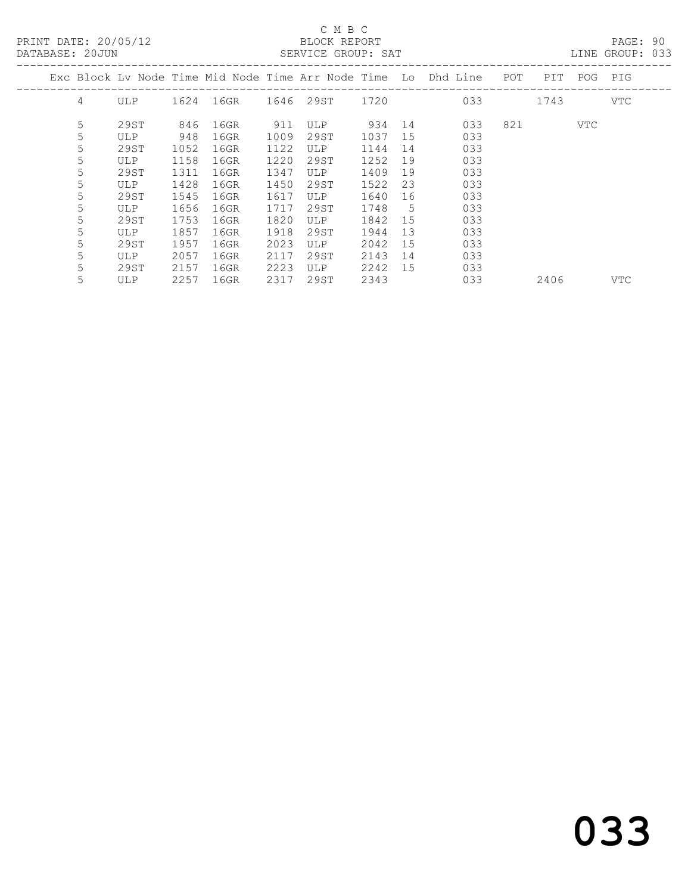PRINT DATE: 20/05/12 BLOCK REPORT<br>DATABASE: 20JUN SERVICE GROUP: SAT

### C M B C<br>BLOCK REPORT

PAGE: 90<br>LINE GROUP: 033

|   |            |      |      |      |            |      |    | Exc Block Ly Node Time Mid Node Time Arr Node Time Lo Dhd Line | POT | PIT  | POG        | PIG        |
|---|------------|------|------|------|------------|------|----|----------------------------------------------------------------|-----|------|------------|------------|
| 4 | <b>ULP</b> | 1624 | 16GR |      | 1646 29ST  | 1720 |    | 033                                                            |     | 1743 |            | VTC        |
| 5 | 29ST       | 846  | 16GR | 911  | <b>ULP</b> | 934  | 14 | 033                                                            | 821 |      | <b>VTC</b> |            |
| 5 | ULP        | 948  | 16GR | 1009 | 29ST       | 1037 | 15 | 033                                                            |     |      |            |            |
| 5 | 29ST       | 1052 | 16GR | 1122 | <b>ULP</b> | 1144 | 14 | 033                                                            |     |      |            |            |
| 5 | <b>ULP</b> | 1158 | 16GR | 1220 | 29ST       | 1252 | 19 | 033                                                            |     |      |            |            |
| 5 | 29ST       | 1311 | 16GR | 1347 | ULP        | 1409 | 19 | 033                                                            |     |      |            |            |
| 5 | <b>ULP</b> | 1428 | 16GR | 1450 | 29ST       | 1522 | 23 | 033                                                            |     |      |            |            |
| 5 | 29ST       | 1545 | 16GR | 1617 | <b>ULP</b> | 1640 | 16 | 033                                                            |     |      |            |            |
| 5 | <b>ULP</b> | 1656 | 16GR | 1717 | 29ST       | 1748 | 5  | 033                                                            |     |      |            |            |
| 5 | 29ST       | 1753 | 16GR | 1820 | ULP        | 1842 | 15 | 033                                                            |     |      |            |            |
| 5 | ULP        | 1857 | 16GR | 1918 | 29ST       | 1944 | 13 | 033                                                            |     |      |            |            |
| 5 | 29ST       | 1957 | 16GR | 2023 | ULP        | 2042 | 15 | 033                                                            |     |      |            |            |
| 5 | ULP        | 2057 | 16GR | 2117 | 29ST       | 2143 | 14 | 033                                                            |     |      |            |            |
| 5 | 29ST       | 2157 | 16GR | 2223 | <b>ULP</b> | 2242 | 15 | 033                                                            |     |      |            |            |
| 5 | ULP        | 2257 | 16GR | 2317 | 29ST       | 2343 |    | 033                                                            |     | 2406 |            | <b>VTC</b> |
|   |            |      |      |      |            |      |    |                                                                |     |      |            |            |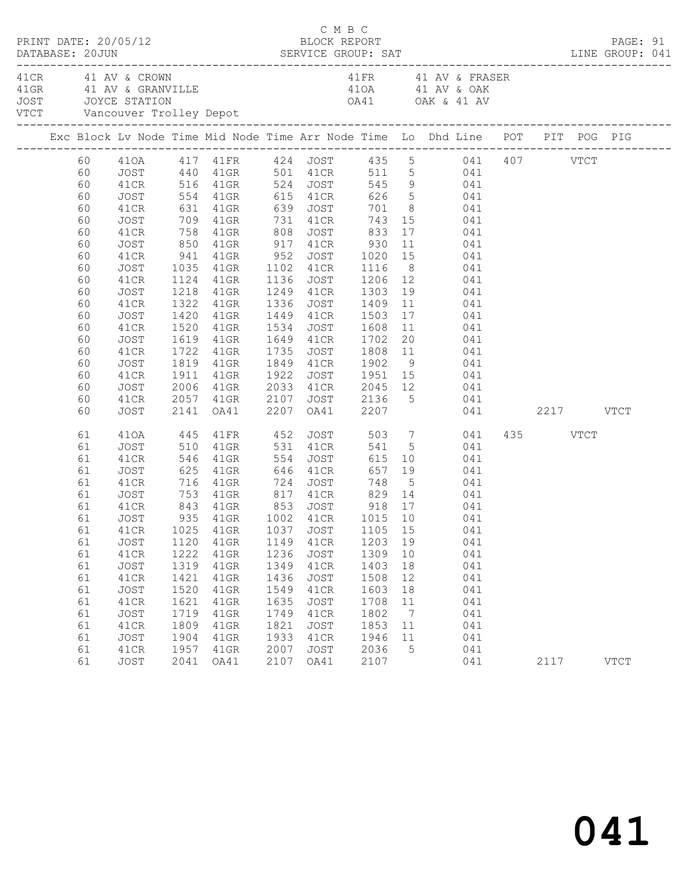|  |                                                                                                                | PRINT DATE: 20/05/12                                                                                                                                 |                                                                                             |                                                                                                                                                                        |                                                                                                    | C M B C<br>BLOCK REPORT                                                                                  |                                                                                         |                                                               |                                                                                                                                                                                                                                                                                                                                                                                                                                                                                                                                                              |                  | PAGE: 91    |  |
|--|----------------------------------------------------------------------------------------------------------------|------------------------------------------------------------------------------------------------------------------------------------------------------|---------------------------------------------------------------------------------------------|------------------------------------------------------------------------------------------------------------------------------------------------------------------------|----------------------------------------------------------------------------------------------------|----------------------------------------------------------------------------------------------------------|-----------------------------------------------------------------------------------------|---------------------------------------------------------------|--------------------------------------------------------------------------------------------------------------------------------------------------------------------------------------------------------------------------------------------------------------------------------------------------------------------------------------------------------------------------------------------------------------------------------------------------------------------------------------------------------------------------------------------------------------|------------------|-------------|--|
|  |                                                                                                                | 41 CR 41 AV & CROWN                                                                                                                                  |                                                                                             |                                                                                                                                                                        |                                                                                                    |                                                                                                          |                                                                                         |                                                               | 41 FR 41 AV & FRASER<br>41 GRAND AND A STRAIN AND A SURVEY OF THE MANUSCRIP ON A SURVEY OF THE MANUSCRIP OF A STRAIN AND A SURVEY OF THE MANUSCRIP OF A SURVEY OF THE MANUSCRIP OF A SURVEY OF THE MANUSCRIP OF A SURVEY OF THE MANUSCRIP OF THE MANUS                                                                                                                                                                                                                                                                                                       |                  |             |  |
|  |                                                                                                                |                                                                                                                                                      |                                                                                             |                                                                                                                                                                        |                                                                                                    |                                                                                                          |                                                                                         |                                                               | Exc Block Lv Node Time Mid Node Time Arr Node Time Lo Dhd Line POT PIT POG PIG                                                                                                                                                                                                                                                                                                                                                                                                                                                                               |                  |             |  |
|  | 60<br>60<br>60<br>60<br>60<br>60<br>60<br>60<br>60<br>60<br>60<br>60<br>60<br>60<br>60<br>60<br>60<br>60<br>60 | JOST<br>41CR<br>JOST<br>41CR<br>JOST<br>41CR<br>JOST<br>41CR<br>JOST<br>41CR<br>JOST<br>41CR<br>JOST<br>41CR<br>JOST<br>41CR<br>JOST<br>41CR         | 850<br>1218<br>1322<br>1420<br>2006                                                         | 41GR 917 41CR<br>41GR<br>41GR<br>41GR<br>1520 41GR<br>1619 41GR                                                                                                        | 2107                                                                                               | 1336 JOST 1409<br>1449 41CR 1503<br>1534 JOST 1608<br>1649 41CR 1702<br>1735 JOST                        | 930                                                                                     |                                                               | 41CR 516 41GR 524 JOST 545 9 041<br>554 41GR 615 41CR 626 5 041<br>631 41GR 639 JOST 701 8 041<br>709 41GR 731 41CR 743 15 041<br>758 41GR 808 JOST 833 17 041<br>11 041<br>941 41GR 952 JOST 1020 15 041<br>1035 41GR 1102 41CR 1116 8 041<br>1124 41GR 1136 JOST 1206 12 041<br>1249 41CR 1303 19 041<br>$\begin{array}{cc} 11 & \hspace{1.5cm} 041 \\ 17 & \hspace{1.5cm} 041 \end{array}$<br>11 041<br>20 041<br>1722 41GR 1735 JOST 1808 11 041<br>1819 41GR 1849 41CR 1902 9 041<br>1911 41GR 1922 JOST 1951 15 041<br>41GR  2033  41CR  2045  12  041 |                  |             |  |
|  | 60                                                                                                             | JOST                                                                                                                                                 |                                                                                             |                                                                                                                                                                        |                                                                                                    |                                                                                                          |                                                                                         |                                                               | 2057 41GR 2107 JOST 2136 5 041<br>2141 0A41 2207 0A41 2207 041<br>041 2217 VTCT                                                                                                                                                                                                                                                                                                                                                                                                                                                                              |                  |             |  |
|  | 61<br>61<br>61<br>61<br>61<br>61<br>61<br>61<br>61<br>61<br>61<br>61<br>61<br>61<br>61<br>61<br>61<br>61<br>61 | 410A<br>JOST<br>41CR<br>JOST<br>41CR<br>JOST<br>41CR<br>JOST<br>JOST<br>41CR<br>JOST<br>41CR<br>JOST<br>41CR<br>JOST<br>41CR<br>JOST<br>41CR<br>JOST | 445<br>1120<br>1222<br>1319<br>1421<br>1520<br>1621<br>1719<br>1809<br>1904<br>1957<br>2041 | 41FR 452<br>510 41GR<br>546 41GR<br>625 41GR<br>716 41GR 724<br>41GR<br>41GR<br>41GR<br>$41$ GR<br>$41$ GR<br>$41$ GR<br>$41$ GR<br>$41$ GR<br>$41$ GR<br>41GR<br>OA41 | 554<br>646<br>1149<br>1236<br>1349<br>1436<br>1549<br>1635<br>1749<br>1821<br>1933<br>2007<br>2107 | 531 41CR<br>JOST<br>41CR<br>JOST<br>41CR<br>JOST<br>41CR<br>JOST<br>41CR<br>JOST<br>41CR<br>JOST<br>OA41 | 1203 19<br>1309<br>1403<br>1508<br>1603<br>1708<br>1802<br>1853<br>1946<br>2036<br>2107 | 10<br>18<br>12<br>18<br>11<br>$\overline{7}$<br>11<br>11<br>5 | JOST 503 7 041<br>541 5 041<br>JOST 615 10 041<br>41CR 657 19 041<br>748 5 041<br>753 41GR 817 41CR 829 14 041<br>843 41GR 853 JOST 918 17 041<br>935 41GR 1002 41CR 1015 10 041<br>041<br>041<br>041<br>041<br>041<br>041<br>041<br>041<br>041<br>041<br>041                                                                                                                                                                                                                                                                                                | 435 VTCT<br>2117 | <b>VTCT</b> |  |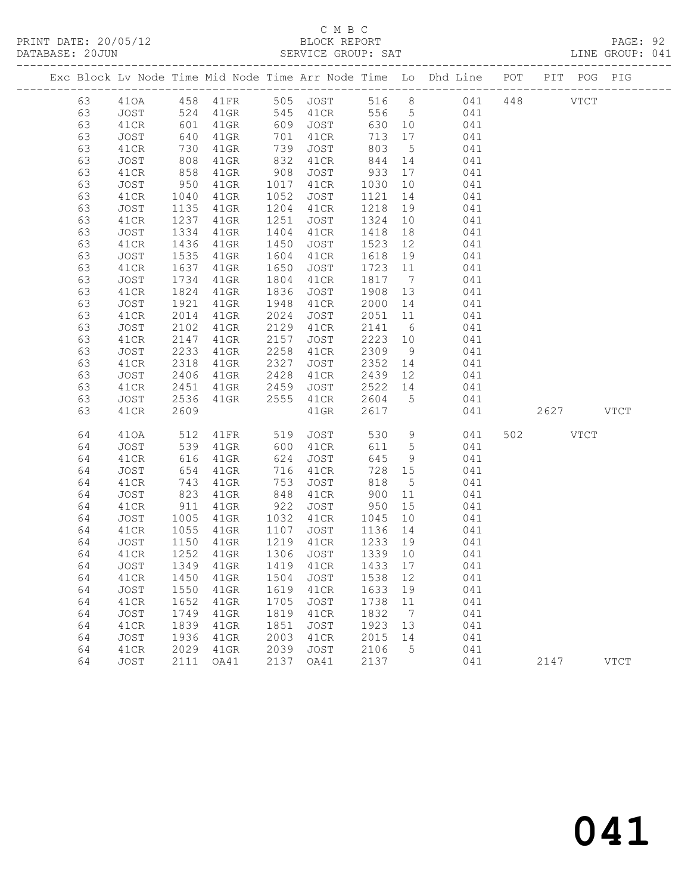### C M B C<br>BLOCK REPORT

PAGE: 92<br>LINE GROUP: 041

|    |      |                   |                                     |      |                        |         |                 | Exc Block Lv Node Time Mid Node Time Arr Node Time Lo Dhd Line POT PIT POG PIG |           |               |             |
|----|------|-------------------|-------------------------------------|------|------------------------|---------|-----------------|--------------------------------------------------------------------------------|-----------|---------------|-------------|
| 63 | 410A |                   | 458 41FR 505 JOST                   |      |                        |         |                 | 516 8 041                                                                      | 448       | $_{\rm VTCT}$ |             |
| 63 | JOST |                   | $41$ GR                             |      | 545  41CR<br>609  JOST |         |                 | 556 5 041                                                                      |           |               |             |
| 63 | 41CR | 524<br>601<br>640 | 41GR                                |      |                        | 630 10  |                 | 041                                                                            |           |               |             |
| 63 | JOST |                   | $41$ GR                             | 701  | 41CR                   | 713 17  |                 | 041                                                                            |           |               |             |
| 63 | 41CR | 730               | 41GR                                | 739  | JOST                   | 803     | $5\overline{)}$ | 041                                                                            |           |               |             |
| 63 | JOST |                   | $41$ GR                             | 832  | 41CR                   | 844     | 14              | 041                                                                            |           |               |             |
| 63 | 41CR | $858$ $358$       | 41GR                                | 908  | JOST                   | 933     | 17              | 041                                                                            |           |               |             |
| 63 | JOST | 950               | $41$ GR                             | 1017 | 41CR                   | 1030    | 10              | 041                                                                            |           |               |             |
| 63 | 41CR | 1040              | $41$ GR                             | 1052 | JOST                   | 1121    | 14              | 041                                                                            |           |               |             |
| 63 | JOST | 1135              | $41$ GR                             | 1204 | 41CR                   | 1218    | 19              | 041                                                                            |           |               |             |
| 63 | 41CR | 1237              | 41GR                                | 1251 | JOST                   | 1324    | 10              | 041                                                                            |           |               |             |
| 63 | JOST | 1334              | $41$ GR                             | 1404 | 41CR                   | 1418    | 18              | 041                                                                            |           |               |             |
| 63 | 41CR | 1436              | 41GR                                | 1450 | JOST                   | 1523    | 12              | 041                                                                            |           |               |             |
| 63 | JOST | 1535              | $41$ GR                             | 1604 | 41CR                   | 1618    | 19              | 041                                                                            |           |               |             |
| 63 | 41CR | 1637              | 41GR                                | 1650 | JOST                   | 1723 11 |                 | 041                                                                            |           |               |             |
| 63 | JOST | 1734              | $41$ GR                             | 1804 | 41CR                   | 1817    | $7\overline{)}$ | 041                                                                            |           |               |             |
| 63 | 41CR | 1824              | 41GR                                | 1836 | JOST                   | 1908    | 13              | 041                                                                            |           |               |             |
| 63 | JOST | 1921              | $41$ GR                             | 1948 | 41CR                   | 2000    | 14              | 041                                                                            |           |               |             |
| 63 | 41CR | 2014              | $41$ GR                             | 2024 | JOST                   | 2051    | 11              | 041                                                                            |           |               |             |
| 63 | JOST | 2102              | 41GR                                | 2129 | 41CR                   | 2141 6  |                 | 041                                                                            |           |               |             |
| 63 | 41CR | 2147              | $41$ GR                             | 2157 | JOST                   | 2223 10 |                 | 041                                                                            |           |               |             |
| 63 | JOST | 2233              | $41$ GR                             | 2258 | 41CR                   | 2309    | 9               | 041                                                                            |           |               |             |
| 63 | 41CR | 2318              | $41$ GR                             | 2327 | JOST                   | 2352 14 |                 | 041                                                                            |           |               |             |
| 63 | JOST | 2406              | $41$ GR                             | 2428 | 41CR                   | 2439    | 12              | 041                                                                            |           |               |             |
| 63 | 41CR | 2451              | $41$ GR                             | 2459 | JOST                   |         |                 | 2522 14 041                                                                    |           |               |             |
| 63 | JOST | 2536              | $41$ GR                             | 2555 | 41CR                   | 2604    |                 | 5 041                                                                          |           |               |             |
| 63 | 41CR | 2609              |                                     |      | $41$ GR                | 2617    |                 | 041                                                                            | 2627 VTCT |               |             |
| 64 | 410A | 512               | 41FR 519                            |      | JOST                   | 530     |                 | 9<br>041                                                                       | 502 VTCT  |               |             |
| 64 | JOST | 539               | 41GR                                | 600  | 41CR                   | 611     |                 | 5 041                                                                          |           |               |             |
| 64 | 41CR | 616               | 41GR                                | 624  | JOST                   | 645     | 9               | 041                                                                            |           |               |             |
| 64 | JOST | 654               | 41GR                                | 716  | 41CR                   | 728     | 15              | 041                                                                            |           |               |             |
| 64 | 41CR | 743               | $41$ GR                             | 753  | JOST                   | 818     | 5 <sup>5</sup>  | 041                                                                            |           |               |             |
| 64 | JOST | 823               | $41$ GR                             | 848  | 41CR                   | 900     | 11              | 041                                                                            |           |               |             |
| 64 | 41CR | 911               | $41$ GR                             | 922  | JOST                   | 950     | 15              | 041                                                                            |           |               |             |
| 64 | JOST | 1005              | 41GR                                | 1032 | 41CR                   | 1045    | 10              | 041                                                                            |           |               |             |
| 64 | 41CR | 1055              | $41$ GR                             | 1107 | JOST                   | 1136 14 |                 | 041                                                                            |           |               |             |
| 64 | JOST | 1150              | $41$ GR                             |      | 1219 41CR              | 1233 19 |                 | 041                                                                            |           |               |             |
| 64 | 41CR | 1252              | 41GR                                |      | 1306 JOST              | 1339 10 |                 | 041                                                                            |           |               |             |
|    |      |                   | 64 JOST 1349 41GR 1419 41CR 1433 17 |      |                        |         |                 | 041                                                                            |           |               |             |
| 64 | 41CR | 1450              | $41$ GR                             | 1504 | <b>JOST</b>            | 1538    | 12              | 041                                                                            |           |               |             |
| 64 | JOST | 1550              | 41GR                                | 1619 | 41CR                   | 1633    | 19              | 041                                                                            |           |               |             |
| 64 | 41CR | 1652              | 41GR                                | 1705 | <b>JOST</b>            | 1738    | 11              | 041                                                                            |           |               |             |
| 64 | JOST | 1749              | 41GR                                | 1819 | 41CR                   | 1832    | 7               | 041                                                                            |           |               |             |
| 64 | 41CR | 1839              | 41GR                                | 1851 | <b>JOST</b>            | 1923    | 13              | 041                                                                            |           |               |             |
| 64 | JOST | 1936              | 41GR                                | 2003 | 41CR                   | 2015    | 14              | 041                                                                            |           |               |             |
| 64 | 41CR | 2029              | 41GR                                | 2039 | <b>JOST</b>            | 2106    | 5               | 041                                                                            |           |               |             |
| 64 | JOST | 2111              | OA41                                | 2137 | OA41                   | 2137    |                 | 041                                                                            | 2147      |               | <b>VTCT</b> |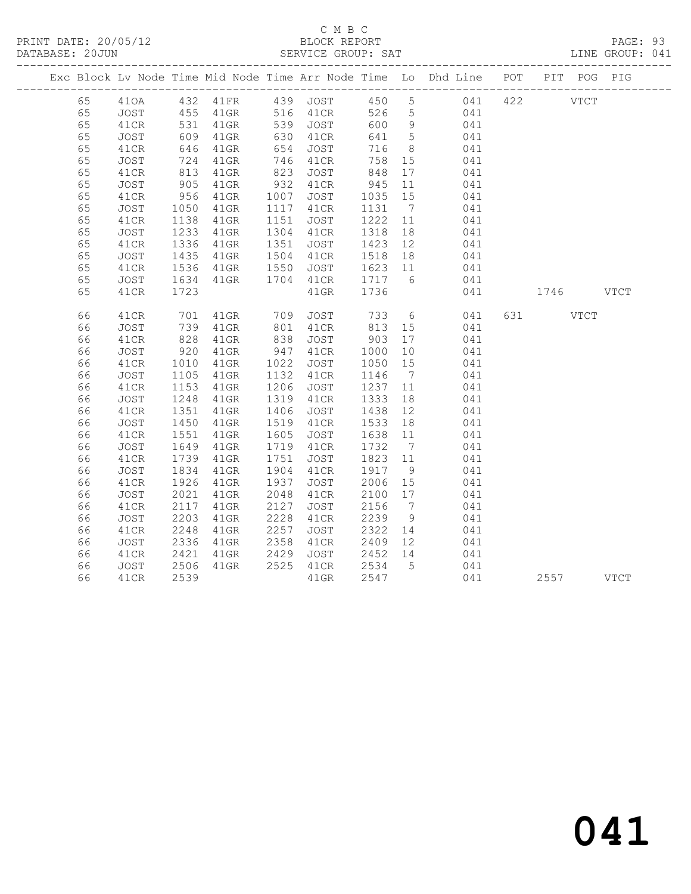# C M B C<br>BLOCK REPORT

PAGE: 93<br>LINE GROUP: 041

|    |      |                   |                   |                                                                                                        |                            |                    |                 | Exc Block Lv Node Time Mid Node Time Arr Node Time Lo Dhd Line POT PIT POG PIG |           |      |  |
|----|------|-------------------|-------------------|--------------------------------------------------------------------------------------------------------|----------------------------|--------------------|-----------------|--------------------------------------------------------------------------------|-----------|------|--|
| 65 |      |                   |                   |                                                                                                        |                            |                    |                 | 410A 432 41FR 439 JOST 450 5 041 422 VTCT                                      |           |      |  |
| 65 | JOST |                   | 455 41GR 516 41CR |                                                                                                        |                            |                    |                 | 526 5 041                                                                      |           |      |  |
| 65 | 41CR | 531<br>609        | 41GR              |                                                                                                        | 539    JOST<br>630    41CR | 600 9              |                 | 041                                                                            |           |      |  |
| 65 | JOST |                   | $41$ GR           |                                                                                                        |                            | 641                | $5\overline{)}$ | 041                                                                            |           |      |  |
| 65 | 41CR | 646               | $41$ GR           | 654                                                                                                    | JOST                       | 716                | 8 <sup>8</sup>  | 041                                                                            |           |      |  |
| 65 | JOST | 724<br>813        | 41GR              | $\begin{array}{c} \n \stackrel{1}{\cancel{0}} \\ \n 823 \\ \n \stackrel{1}{\cancel{0}} \n \end{array}$ | 746 41CR                   | 758                | 15              | 041                                                                            |           |      |  |
| 65 | 41CR |                   | $41$ GR           |                                                                                                        | JOST                       | 848                | 17              | 041                                                                            |           |      |  |
| 65 | JOST | 905               | 41GR              | 932                                                                                                    | 41CR                       | 945                | 11              | 041                                                                            |           |      |  |
| 65 | 41CR | 956               | $41$ GR           |                                                                                                        | 1007 JOST                  | 1035               | 15              | 041                                                                            |           |      |  |
| 65 | JOST | 1050              | $41$ GR           |                                                                                                        | 1117 41CR                  | 1131               | $7\overline{)}$ | 041                                                                            |           |      |  |
| 65 | 41CR | 1138              | 41GR              | 1151                                                                                                   | JOST                       | 1222               | 11              | 041                                                                            |           |      |  |
| 65 | JOST | 1233              | $41$ GR           |                                                                                                        | 1304 41CR                  | 1318               | 18              | 041                                                                            |           |      |  |
| 65 | 41CR | 1336              | $41$ GR           |                                                                                                        | 1351 JOST                  | 1423 12<br>1518 18 |                 | 041                                                                            |           |      |  |
| 65 | JOST | 1435              | 41GR              |                                                                                                        | 1504 41CR                  |                    |                 | 041                                                                            |           |      |  |
| 65 | 41CR | 1536              | 41GR              | 1550                                                                                                   | JOST 1623 11               |                    |                 | 041                                                                            |           |      |  |
| 65 | JOST | 1634              | 41GR              | 1704                                                                                                   | 41CR                       | 1717               | $6\overline{6}$ | 041                                                                            |           |      |  |
| 65 | 41CR | 1723              |                   |                                                                                                        | 41GR                       | 1736               |                 | 041                                                                            | 1746 VTCT |      |  |
| 66 | 41CR | 701<br>739<br>828 | 41GR              | 709                                                                                                    | JOST                       | 733                |                 | $6\overline{6}$<br>041                                                         |           | VTCT |  |
| 66 | JOST |                   | 41GR              | $801$<br>$838$                                                                                         | 41CR                       | 813 15<br>903 17   |                 | 041                                                                            |           |      |  |
| 66 | 41CR |                   | $41$ GR           |                                                                                                        | JOST                       |                    |                 | 041                                                                            |           |      |  |
| 66 | JOST | 920               | 41GR              | 947                                                                                                    | 41CR                       | 1000               | 10              | 041                                                                            |           |      |  |
| 66 | 41CR | 1010              | $41$ GR           | 1022                                                                                                   | JOST                       | 1050               | 15              | 041                                                                            |           |      |  |
| 66 | JOST | 1105              | $41$ GR           |                                                                                                        | 1132 41CR                  | 1146               | $\overline{7}$  | 041                                                                            |           |      |  |
| 66 | 41CR | 1153              | $41$ GR           |                                                                                                        | 1206 JOST                  | 1237 11            |                 | 041                                                                            |           |      |  |
| 66 | JOST | 1248              | $41$ GR           |                                                                                                        | 1319 41CR                  | 1333               | 18              | 041                                                                            |           |      |  |
| 66 | 41CR | 1351              | $41$ GR           | 1406                                                                                                   | JOST                       | 1438               | 12              | 041                                                                            |           |      |  |
| 66 | JOST | 1450              | $41$ GR           | 1519                                                                                                   | 41CR                       | 1533               | 18              | 041                                                                            |           |      |  |
| 66 | 41CR | 1551              | $41$ GR           | 1605                                                                                                   | JOST                       | 1638               | 11              | 041                                                                            |           |      |  |
| 66 | JOST | 1649              | $41$ GR           |                                                                                                        | 1719 41CR                  | 1732               | $\overline{7}$  | 041                                                                            |           |      |  |
| 66 | 41CR | 1739              | $41$ GR           | 1751                                                                                                   | JOST                       | 1823 11            |                 | 041                                                                            |           |      |  |
| 66 | JOST | 1834              | $41$ GR           | 1904                                                                                                   | 41CR                       | 1917               | 9               | 041                                                                            |           |      |  |
| 66 | 41CR | 1926              | $41$ GR           | 1937                                                                                                   | JOST                       | $2006$ 15          |                 | 041                                                                            |           |      |  |
| 66 | JOST | 2021              | $41$ GR           | 2048                                                                                                   | 41CR                       |                    |                 | 041                                                                            |           |      |  |
| 66 | 41CR | 2117              | 41GR              | 2127                                                                                                   | JOST                       | 2156               | $7\phantom{0}$  | 041                                                                            |           |      |  |
| 66 | JOST | 2203              | 41GR              | 2228                                                                                                   | 41CR                       | 2239               | - 9             | 041                                                                            |           |      |  |
| 66 | 41CR | 2248              | $41$ GR           | 2257                                                                                                   | JOST                       | 2322               | 14              | 041                                                                            |           |      |  |
| 66 | JOST | 2336              | 41GR              | 2358                                                                                                   | 41CR                       | 2409 12            |                 | 041                                                                            |           |      |  |
| 66 | 41CR | 2421              | 41GR              | 2429                                                                                                   | JOST 2452 14               |                    |                 | 041                                                                            |           |      |  |
| 66 | JOST | 2506              | 41GR              |                                                                                                        | 2525 41CR                  | 2534 5<br>2547     |                 | 041                                                                            |           |      |  |
| 66 | 41CR | 2539              |                   |                                                                                                        | $41$ GR                    | 2547               |                 | 041                                                                            | 2557 VTCT |      |  |

041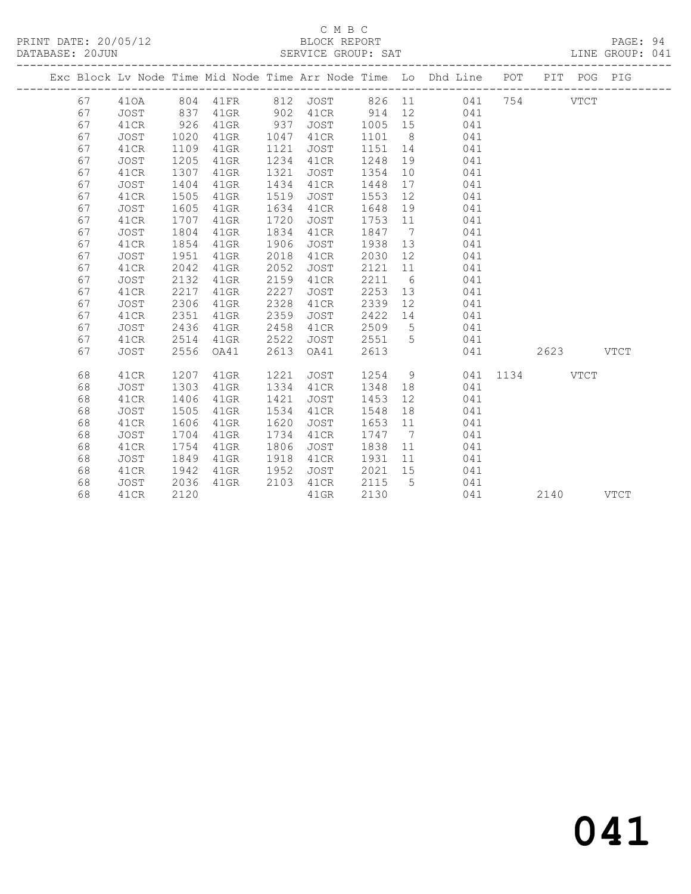### C M B C<br>BLOCK REPORT

PAGE: 94<br>LINE GROUP: 041

|    |             |      |          |      |             |        |                              | Exc Block Lv Node Time Mid Node Time Arr Node Time Lo Dhd Line POT PIT POG PIG |      |      |             |             |
|----|-------------|------|----------|------|-------------|--------|------------------------------|--------------------------------------------------------------------------------|------|------|-------------|-------------|
| 67 | 410A        |      | 804 41FR |      | 812 JOST    | 826 11 |                              | 041                                                                            | 754  |      | <b>VTCT</b> |             |
| 67 | <b>JOST</b> | 837  | $41$ GR  | 902  | 41CR        | 914    | 12                           | 041                                                                            |      |      |             |             |
| 67 | 41CR        | 926  | $41$ GR  | 937  | JOST        | 1005   | 15                           | 041                                                                            |      |      |             |             |
| 67 | JOST        | 1020 | 41GR     | 1047 | 41CR        | 1101   | 8 <sup>8</sup>               | 041                                                                            |      |      |             |             |
| 67 | 41CR        | 1109 | $41$ GR  | 1121 | JOST        | 1151   | 14                           | 041                                                                            |      |      |             |             |
| 67 | JOST        | 1205 | $41$ GR  | 1234 | 41CR        | 1248   | 19                           | 041                                                                            |      |      |             |             |
| 67 | 41CR        | 1307 | $41$ GR  | 1321 | JOST        | 1354   | 10                           | 041                                                                            |      |      |             |             |
| 67 | JOST        | 1404 | $41$ GR  | 1434 | 41CR        | 1448   | 17                           | 041                                                                            |      |      |             |             |
| 67 | 41CR        | 1505 | $41$ GR  | 1519 | JOST        | 1553   | 12                           | 041                                                                            |      |      |             |             |
| 67 | JOST        | 1605 | $41$ GR  | 1634 | 41CR        | 1648   | 19                           | 041                                                                            |      |      |             |             |
| 67 | 41CR        | 1707 | $41$ GR  | 1720 | JOST        | 1753   | 11                           | 041                                                                            |      |      |             |             |
| 67 | JOST        | 1804 | $41$ GR  | 1834 | 41CR        | 1847   | $7\overline{ }$              | 041                                                                            |      |      |             |             |
| 67 | 41CR        | 1854 | $41$ GR  | 1906 | JOST        | 1938   | 13                           | 041                                                                            |      |      |             |             |
| 67 | JOST        | 1951 | $41$ GR  | 2018 | 41CR        | 2030   | 12 <sup>°</sup>              | 041                                                                            |      |      |             |             |
| 67 | 41CR        | 2042 | $41$ GR  | 2052 | JOST        | 2121   | 11                           | 041                                                                            |      |      |             |             |
| 67 | JOST        | 2132 | $41$ GR  | 2159 | 41CR        | 2211   | 6                            | 041                                                                            |      |      |             |             |
| 67 | 41CR        | 2217 | $41$ GR  | 2227 | JOST        | 2253   | 13                           | 041                                                                            |      |      |             |             |
| 67 | JOST        | 2306 | $41$ GR  | 2328 | 41CR        | 2339   | 12 <sup>°</sup>              | 041                                                                            |      |      |             |             |
| 67 | 41CR        | 2351 | $41$ GR  | 2359 | JOST        | 2422   | 14                           | 041                                                                            |      |      |             |             |
| 67 | JOST        | 2436 | $41$ GR  | 2458 | 41CR        | 2509   | $5^{\circ}$                  | 041                                                                            |      |      |             |             |
| 67 | 41CR        | 2514 | $41$ GR  | 2522 | JOST        | 2551   | $5^{\circ}$                  | 041                                                                            |      |      |             |             |
| 67 | <b>JOST</b> | 2556 | OA41     | 2613 | OA41        | 2613   |                              | 041                                                                            |      | 2623 |             | <b>VTCT</b> |
| 68 | 41CR        | 1207 | 41GR     | 1221 | <b>JOST</b> | 1254   | 9                            | 041                                                                            | 1134 |      | <b>VTCT</b> |             |
| 68 | JOST        | 1303 | 41GR     | 1334 | 41CR        | 1348   | 18                           | 041                                                                            |      |      |             |             |
| 68 | 41CR        | 1406 | 41GR     | 1421 | JOST        | 1453   | 12                           | 041                                                                            |      |      |             |             |
| 68 | JOST        | 1505 | $41$ GR  | 1534 | 41CR        | 1548   | 18                           | 041                                                                            |      |      |             |             |
| 68 | 41CR        | 1606 | $41$ GR  | 1620 | JOST        | 1653   | 11                           | 041                                                                            |      |      |             |             |
| 68 | JOST        | 1704 | $41$ GR  | 1734 | 41CR        | 1747   | $7\phantom{.0}\phantom{.0}7$ | 041                                                                            |      |      |             |             |
| 68 | 41CR        | 1754 | $41$ GR  | 1806 | JOST        | 1838   | 11                           | 041                                                                            |      |      |             |             |
| 68 | JOST        | 1849 | 41GR     | 1918 | 41CR        | 1931   | 11                           | 041                                                                            |      |      |             |             |
| 68 | 41CR        | 1942 | 41GR     | 1952 | JOST        | 2021   | 15                           | 041                                                                            |      |      |             |             |
| 68 | <b>JOST</b> | 2036 | $41$ GR  | 2103 | 41CR        | 2115   | 5                            | 041                                                                            |      |      |             |             |
| 68 | 41CR        | 2120 |          |      | $41$ GR     | 2130   |                              | 041                                                                            |      | 2140 |             | <b>VTCT</b> |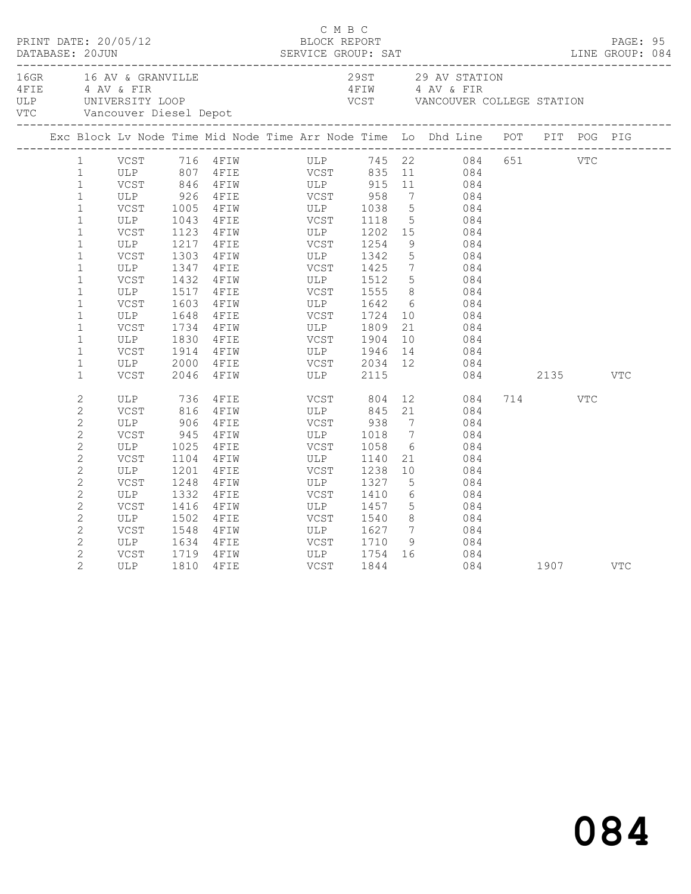|                | 16GR 16 AV & GRANVILLE<br>16GR 16 AV & GRANVILLE<br>4 AV & FIR<br>16LP UNIVERSITY LOOP VCST VANCOUVER COLLEGE STATION<br>16TIM 1 AV & FIR<br>16TIM 1 AV & FIR<br>16TIM 1 AV & FIR<br>16TIM 1 AV & FIR<br>16TIM 1 AV & FIR<br>16TIM 1 AV & FIR<br>1 |      |                                                         |             |                       |                 |                                                                                                                                        |              |      |     |     |  |
|----------------|----------------------------------------------------------------------------------------------------------------------------------------------------------------------------------------------------------------------------------------------------|------|---------------------------------------------------------|-------------|-----------------------|-----------------|----------------------------------------------------------------------------------------------------------------------------------------|--------------|------|-----|-----|--|
|                | Exc Block Lv Node Time Mid Node Time Arr Node Time Lo Dhd Line POT PIT POG PIG                                                                                                                                                                     |      |                                                         |             |                       |                 |                                                                                                                                        |              |      |     |     |  |
| $\mathbf{1}$   |                                                                                                                                                                                                                                                    |      |                                                         |             |                       |                 | VCST 716 4FIW ULP 745 22 084 651 VTC                                                                                                   |              |      |     |     |  |
| $\mathbf{1}$   |                                                                                                                                                                                                                                                    |      |                                                         |             |                       |                 |                                                                                                                                        |              |      |     |     |  |
| $\mathbf{1}$   |                                                                                                                                                                                                                                                    |      |                                                         |             |                       |                 |                                                                                                                                        |              |      |     |     |  |
| $\mathbf{1}$   | ULP 926                                                                                                                                                                                                                                            |      | 4FIE VCST 958                                           |             |                       |                 | 7 084                                                                                                                                  |              |      |     |     |  |
| $\mathbf{1}$   |                                                                                                                                                                                                                                                    |      | VCST 1005 4FIW ULP 1038<br>ULP 1043 4FIE VCST 1118      |             |                       |                 |                                                                                                                                        |              |      |     |     |  |
| $\mathbf{1}$   |                                                                                                                                                                                                                                                    |      |                                                         |             |                       |                 | $\begin{array}{ccc} 5 & 084 \\ 5 & 084 \end{array}$                                                                                    |              |      |     |     |  |
| $\mathbf{1}$   | VCST                                                                                                                                                                                                                                               | 1123 |                                                         |             |                       |                 | 15 084                                                                                                                                 |              |      |     |     |  |
| $\mathbf{1}$   | ULP                                                                                                                                                                                                                                                |      | 4FIW ULP 1202<br>4FIE VCST 1254<br>1217 4FIE            |             |                       | 9               | 084                                                                                                                                    |              |      |     |     |  |
| $\mathbf{1}$   | VCST                                                                                                                                                                                                                                               | 1303 | 4FIW ULP 1342                                           |             |                       | 5 <sup>5</sup>  | 084                                                                                                                                    |              |      |     |     |  |
| $\mathbf{1}$   | ULP                                                                                                                                                                                                                                                | 1347 |                                                         |             |                       |                 |                                                                                                                                        |              |      |     |     |  |
| $\mathbf{1}$   | VCST                                                                                                                                                                                                                                               |      | 1432 4FIW                                               |             |                       |                 | $\begin{array}{ccc} 7 & 084 \\ 5 & 084 \end{array}$                                                                                    |              |      |     |     |  |
| $\mathbf{1}$   | ULP                                                                                                                                                                                                                                                |      | 1517 4FIE                                               |             | <b>VCST</b> 1555      |                 | 8 084                                                                                                                                  |              |      |     |     |  |
| $\mathbf{1}$   | VCST                                                                                                                                                                                                                                               | 1603 |                                                         |             |                       |                 | $\begin{array}{c} 6 \\ 10 \end{array}$<br>084                                                                                          |              |      |     |     |  |
| $\mathbf{1}$   | ULP                                                                                                                                                                                                                                                | 1648 | 4 FIW ULP 1642<br>4 FIE VCST 1724                       |             |                       |                 | 084                                                                                                                                    |              |      |     |     |  |
| $\mathbf{1}$   | VCST                                                                                                                                                                                                                                               | 1734 | 4 FIW ULP 1809                                          |             |                       |                 | 21<br>084                                                                                                                              |              |      |     |     |  |
| $\mathbf{1}$   | ULP                                                                                                                                                                                                                                                | 1830 | $4$ FIE                                                 | VCST        | 1904                  | 10              | 084                                                                                                                                    |              |      |     |     |  |
| $\mathbf{1}$   | VCST                                                                                                                                                                                                                                               | 1914 | 4FIW ULP 1946                                           |             |                       |                 | $\begin{array}{ccc} 13 & 084 \end{array}$                                                                                              |              |      |     |     |  |
| $\mathbf{1}$   | ULP                                                                                                                                                                                                                                                | 2000 |                                                         |             |                       |                 | 12 084                                                                                                                                 |              |      |     |     |  |
| $\mathbf{1}$   | VCST                                                                                                                                                                                                                                               | 2046 |                                                         |             |                       |                 |                                                                                                                                        | 084 2135 VTC |      |     |     |  |
| $\sqrt{2}$     | ULP                                                                                                                                                                                                                                                |      | 4 FIE VCST 804<br>4 FIW ULP 845<br>736 4FIE<br>816 4FIW |             |                       |                 | $\begin{array}{ccc} 12 & \quad & 084 \\ 21 & \quad & 084 \end{array}$                                                                  |              | 714  | VTC |     |  |
| $\mathbf{2}$   | VCST                                                                                                                                                                                                                                               |      |                                                         |             |                       |                 |                                                                                                                                        |              |      |     |     |  |
| $\overline{c}$ | ULP                                                                                                                                                                                                                                                | 906  | $4$ FIE                                                 |             | VCST 938              |                 | $7\overline{ }$<br>084                                                                                                                 |              |      |     |     |  |
| $\overline{c}$ | VCST                                                                                                                                                                                                                                               | 945  | $4$ $F$ $I$ $W$                                         |             | ULP 1018              | $\overline{7}$  | 084                                                                                                                                    |              |      |     |     |  |
| $\mathbf{2}$   | ULP                                                                                                                                                                                                                                                |      | 1025 4FIE                                               |             | VCST 1058             | 6               | 084                                                                                                                                    |              |      |     |     |  |
| $\mathbf{2}$   | VCST                                                                                                                                                                                                                                               | 1104 | 4 F I W                                                 | ULP<br>VCST | 1140                  |                 | 21<br>084                                                                                                                              |              |      |     |     |  |
| $\sqrt{2}$     | ULP                                                                                                                                                                                                                                                | 1201 | 4FIE                                                    |             | 1238                  | 10              | 084                                                                                                                                    |              |      |     |     |  |
| $\mathbf{2}$   | VCST                                                                                                                                                                                                                                               | 1248 | 4FIW                                                    |             | ULP 1327              | $5\overline{)}$ | 084                                                                                                                                    |              |      |     |     |  |
| $\mathbf{2}$   | ULP                                                                                                                                                                                                                                                | 1332 | 4 F I E                                                 |             | VCST 1410<br>ULP 1457 |                 | 084                                                                                                                                    |              |      |     |     |  |
| $\overline{c}$ | VCST                                                                                                                                                                                                                                               | 1416 | $4$ $F$ $I$ $W$                                         |             |                       |                 | $\begin{array}{c} 6 \\ 5 \end{array}$<br>084                                                                                           |              |      |     |     |  |
| $\mathbf{2}$   | ULP                                                                                                                                                                                                                                                | 1502 | 4 F I E                                                 | VCST        | 1540                  |                 | 8 084                                                                                                                                  |              |      |     |     |  |
| $\sqrt{2}$     | VCST                                                                                                                                                                                                                                               | 1548 | 4FIW                                                    | ULP         | 1627                  | $7\overline{ }$ | 084                                                                                                                                    |              |      |     |     |  |
| $\overline{c}$ | ULP                                                                                                                                                                                                                                                |      | 1634 4FIE                                               |             | VCST 1710             |                 | $\begin{array}{ccc} \text{1} & \text{1} & \text{1} \\ \text{2} & \text{1} & \text{1} \\ \text{3} & \text{1} & \text{2} \\ \end{array}$ |              |      |     |     |  |
| $\overline{2}$ | VCST                                                                                                                                                                                                                                               | 1719 | 4 F I W                                                 |             | ULP 1754<br>VCST 1844 |                 | 16 084                                                                                                                                 |              |      |     |     |  |
| $\overline{2}$ | ULP                                                                                                                                                                                                                                                | 1810 | 4FIE                                                    |             |                       |                 | 084                                                                                                                                    |              | 1907 |     | VTC |  |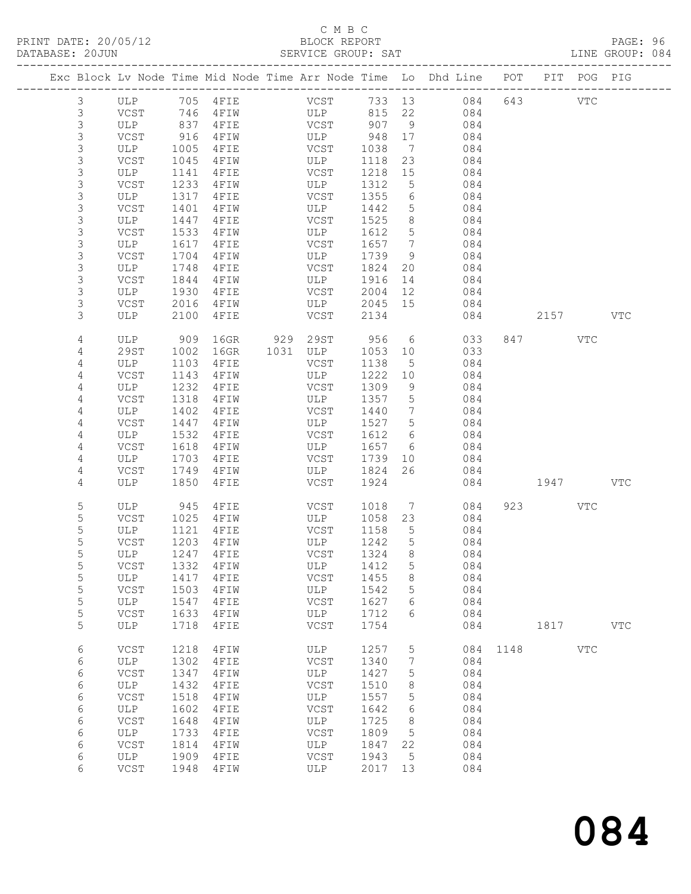PRINT DATE: 20/05/12<br>DATABASE: 20JUN

# C M B C<br>BLOCK REPORT<br>SERVICE GROUP: SAT

|                |                                                                                 |      |                       |  |                       |         |                 |                                                                                |      |              |            | PAGE: 96<br>LINE GROUP: 084 |  |
|----------------|---------------------------------------------------------------------------------|------|-----------------------|--|-----------------------|---------|-----------------|--------------------------------------------------------------------------------|------|--------------|------------|-----------------------------|--|
|                |                                                                                 |      |                       |  |                       |         |                 | Exc Block Lv Node Time Mid Node Time Arr Node Time Lo Dhd Line POT PIT POG PIG |      |              |            |                             |  |
| $\mathfrak{Z}$ |                                                                                 |      |                       |  |                       |         |                 |                                                                                |      |              |            |                             |  |
| 3              | $VCST$ 746                                                                      |      |                       |  |                       |         |                 | 4 FIW ULP 815 22 084                                                           |      |              |            |                             |  |
| $\mathfrak{Z}$ | ULP 837                                                                         |      |                       |  |                       |         |                 | 4 FIE VCST 907 9 084                                                           |      |              |            |                             |  |
| $\mathfrak{Z}$ |                                                                                 |      |                       |  |                       |         |                 |                                                                                |      |              |            |                             |  |
| $\mathfrak{Z}$ | $\begin{array}{cc}\n\text{VCST} & 916 \\ \text{ULP} & \text{100r}\n\end{array}$ |      |                       |  |                       |         |                 |                                                                                |      |              |            |                             |  |
| 3              | VCST                                                                            | 1045 |                       |  | 4FIW ULP              | 1118    | 23              | 084                                                                            |      |              |            |                             |  |
| 3              | ULP                                                                             | 1141 | $4$ FIE               |  | <b>VCST</b>           | 1218 15 |                 | 084                                                                            |      |              |            |                             |  |
| $\mathsf 3$    | VCST                                                                            | 1233 |                       |  | 4FIW ULP              | 1312    | 5 <sup>5</sup>  | 084                                                                            |      |              |            |                             |  |
| $\mathsf 3$    | ULP                                                                             | 1317 |                       |  |                       | 1355    | 6               | 084                                                                            |      |              |            |                             |  |
| 3              | VCST                                                                            | 1401 | 4FIE VCST<br>4FIW ULP |  |                       | 1442 5  |                 | 084                                                                            |      |              |            |                             |  |
| 3              | ULP                                                                             | 1447 |                       |  | 4 FIE VCST            | 1525 8  |                 | 084                                                                            |      |              |            |                             |  |
| 3              | VCST                                                                            | 1533 |                       |  | 4FIW ULP              | 1612 5  |                 | 084                                                                            |      |              |            |                             |  |
| $\mathsf 3$    | ULP                                                                             | 1617 | $4$ FIE               |  | VCST                  | 1657 7  |                 | 084                                                                            |      |              |            |                             |  |
| 3              | VCST                                                                            | 1704 | 4 F I W               |  | ULP                   | 1739    | 9               | 084                                                                            |      |              |            |                             |  |
| 3              | ULP                                                                             | 1748 |                       |  | 4 FIE VCST            | 1824    |                 | 20 084                                                                         |      |              |            |                             |  |
| $\mathfrak{Z}$ | VCST                                                                            | 1844 |                       |  | 4 FIW ULP             | 1916    |                 | 14 084                                                                         |      |              |            |                             |  |
| $\mathfrak{Z}$ | ULP                                                                             | 1930 |                       |  |                       | 2004 12 |                 | 084                                                                            |      |              |            |                             |  |
| $\mathfrak{Z}$ | VCST                                                                            | 2016 |                       |  | 4FIE VCST<br>4FIW ULP | 2045 15 |                 | 084                                                                            |      |              |            |                             |  |
| 3              | ULP                                                                             | 2100 |                       |  | 4FIE VCST             | 2134    |                 |                                                                                |      | 084 2157 VTC |            |                             |  |
| $\overline{4}$ | ULP                                                                             | 909  |                       |  | 16GR 929 29ST         |         |                 | 956 6 033                                                                      |      | 847 VTC      |            |                             |  |
| 4              | 29ST                                                                            | 1002 |                       |  |                       | 1053 10 |                 | 033                                                                            |      |              |            |                             |  |
| 4              | ULP                                                                             | 1103 | $4$ FIE               |  | VCST                  | 1138    | $5^{\circ}$     | 084                                                                            |      |              |            |                             |  |
| 4              | VCST                                                                            | 1143 | 4 F I W               |  | ULP                   | 1222    | 10              | 084                                                                            |      |              |            |                             |  |
| 4              | ULP                                                                             | 1232 | 4FIE                  |  | VCST                  | 1309    | 9               | 084                                                                            |      |              |            |                             |  |
| $\overline{4}$ | VCST                                                                            | 1318 | 4FIW                  |  | ULP                   | 1357 5  |                 | 084                                                                            |      |              |            |                             |  |
| $\overline{4}$ | ULP                                                                             | 1402 | 4FIE VCST             |  |                       | 1440    | $7\overline{ }$ | 084                                                                            |      |              |            |                             |  |
| 4              | VCST                                                                            | 1447 | $4$ FIW               |  | ULP                   | 1527 5  |                 | 084                                                                            |      |              |            |                             |  |
| 4              | ULP                                                                             | 1532 | $4$ FIE               |  | VCST                  | 1612 6  |                 | 084                                                                            |      |              |            |                             |  |
| $\overline{4}$ | VCST                                                                            | 1618 | $4$ FIW               |  | ULP                   | 1657 6  |                 | 084                                                                            |      |              |            |                             |  |
| $\overline{4}$ | ULP                                                                             | 1703 |                       |  | 4FIE VCST             |         |                 | 1739 10 084                                                                    |      |              |            |                             |  |
| 4              | VCST                                                                            | 1749 |                       |  | 4 FIW ULP             | 1824    |                 | 26 084                                                                         |      |              |            |                             |  |
| 4              | ULP                                                                             | 1850 | 4FIE                  |  | VCST                  | 1924    |                 |                                                                                |      | 084 1947 VTC |            |                             |  |
| 5              |                                                                                 |      | ULP 945 4FIE VCST     |  |                       |         |                 | 1018 7 084                                                                     |      | 923 — 100    | VTC        |                             |  |
| 5              | VCST                                                                            |      | 1025 4FIW ULP         |  |                       |         |                 | 1058 23 084                                                                    |      |              |            |                             |  |
| 5              | ULP                                                                             | 1121 | 4 F I E               |  | VCST                  | 1158    | $5^{\circ}$     | 084                                                                            |      |              |            |                             |  |
| 5              |                                                                                 |      | VCST 1203 4FIW        |  | ULP 1242 5            |         |                 | 084                                                                            |      |              |            |                             |  |
| $\mathsf S$    | ULP                                                                             | 1247 | 4FIE                  |  | VCST                  | 1324    | 8               | 084                                                                            |      |              |            |                             |  |
| 5              | VCST                                                                            | 1332 | 4FIW                  |  | ULP                   | 1412    | 5               | 084                                                                            |      |              |            |                             |  |
| $\mathsf S$    | ULP                                                                             | 1417 | 4FIE                  |  | VCST                  | 1455    | 8               | 084                                                                            |      |              |            |                             |  |
| $\mathsf S$    | VCST                                                                            | 1503 | 4FIW                  |  | ULP                   | 1542    | 5               | 084                                                                            |      |              |            |                             |  |
| $\mathsf S$    | ULP                                                                             | 1547 | 4FIE                  |  | $_{\rm VCST}$         | 1627    | 6               | 084                                                                            |      |              |            |                             |  |
| 5              | VCST                                                                            | 1633 | 4FIW                  |  | ULP                   | 1712    | 6               | 084                                                                            |      |              |            |                             |  |
| 5              | ULP                                                                             | 1718 | 4FIE                  |  | <b>VCST</b>           | 1754    |                 | 084                                                                            |      | 1817         |            | <b>VTC</b>                  |  |
| 6              | VCST                                                                            | 1218 | 4FIW                  |  | ULP                   | 1257    | 5               | 084                                                                            | 1148 |              | <b>VTC</b> |                             |  |
| 6              | ULP                                                                             | 1302 | 4FIE                  |  | VCST                  | 1340    | 7               | 084                                                                            |      |              |            |                             |  |
| 6              | VCST                                                                            | 1347 | 4FIW                  |  | ULP                   | 1427    | 5               | 084                                                                            |      |              |            |                             |  |
| 6              | ULP                                                                             | 1432 | 4FIE                  |  | VCST                  | 1510    | 8               | 084                                                                            |      |              |            |                             |  |
| 6              | VCST                                                                            | 1518 | 4FIW                  |  | ULP                   | 1557    | 5               | 084                                                                            |      |              |            |                             |  |
| 6              | ULP                                                                             | 1602 | 4FIE                  |  | $_{\rm VCST}$         | 1642    | 6               | 084                                                                            |      |              |            |                             |  |
| 6              | VCST                                                                            | 1648 | 4FIW                  |  | ULP                   | 1725    | 8               | 084                                                                            |      |              |            |                             |  |
| 6              | ULP                                                                             | 1733 | 4FIE                  |  | VCST                  | 1809    | 5               | 084                                                                            |      |              |            |                             |  |
| 6              | VCST                                                                            | 1814 | 4FIW                  |  | ULP                   | 1847    | 22              | 084                                                                            |      |              |            |                             |  |
| 6              | ULP                                                                             | 1909 | 4FIE                  |  | $_{\rm VCST}$         | 1943    | 5               | 084                                                                            |      |              |            |                             |  |
| 6              | VCST                                                                            | 1948 | 4FIW                  |  | ULP                   | 2017    | 13              | 084                                                                            |      |              |            |                             |  |

084